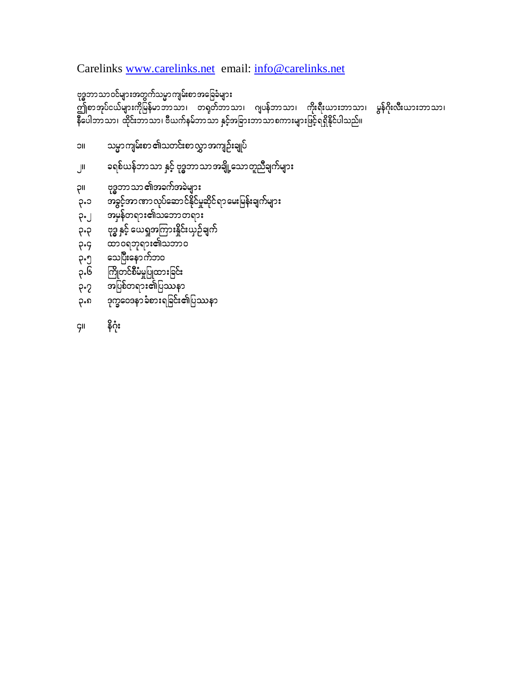Carelinks [www.carelinks.net](http://www.carelinks.net/) email: [info@carelinks.net](mailto:info@carelinks.net)

၃။ ဗုဒ္ဓဘာသာ၏အခက်အခဲများ

၃.၂ အမှန်တရား၏သဘောတရား ၃.၃ ဗုဒ္ဓ နှင့် ယေရှုအကြားနှိုင်းယှဉ်ချက်

၃.၈ ဒုက္ခဝေဒနာခံစားရခြင်း၏ပြဿနာ

**၃.**၄ ထာဝရဘုရား၏သဘာဝ

၃.၅ သေပြီးနောက်ဘ၀ ၃.၆ ကြိုတင်စီမံမှုပြုထားခြင်း ှာ သည်<br>၁.7 အပြစ်တရား၏ပြဿနာ

၄။ နိဂုံး

၁။ သမ္မာကျမ်းစာ ၏သတင်းစာလွှာအကျဉ်းချုပ်

2/ c&pf,efbmom ESifh Ak'¨bmomtcsdKUaomwlnDcsufrsm;

၃.၁ ောခွင့်အာဏာလုပ်ဆောင်နိုင်မှုဆိုင်ရာမေးမြန်းချက်များ

ု့<br>ဤစာအုပ်ငယ်များကိုမြန်မာဘာသာ၊ တရုတ်ဘာသာ၊ ဂျပန်ဘာသာ၊ ကိုးရီးယားဘာသာ၊ မွန်ဂိုးလီးယားဘာသာ၊ ္မ်ား<br>နီပေါဘာသာ၊ ထိုင်းဘာသာ၊ ဗီယက်နမ်ဘာသာ နှင့်အခြားဘာသာစကားများဖြင့်ရရှိနိုင်ပါသည်။

ဗုဒ္ဓဘာသာဝင်များအတွက်သမ္မာကျမ်းစာအခြေခံများ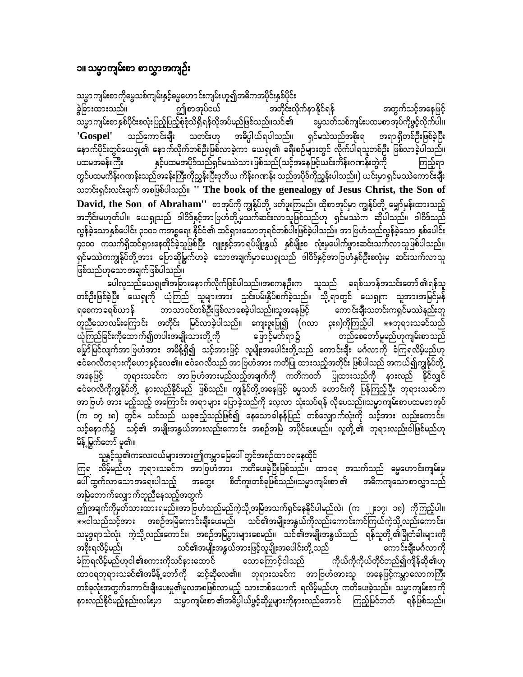#### ၁။ သမ္မာကျမ်းစာ စာလွှာအကျဉ်း

သမ္မာကျမ်းစာကိုမ္မေသစ်ကျမ်းနှင့်မွေဟောင်းကျမ်းဟူ၍အဓိကအပိုင်းနှစ်ပိုင်း ဤစာအုပ်ငယ် ခွဲခြားထားသည်။ အတိုင်းလိုက်နာနိုင်ရန် အတွက်သင့်အနေဖြင့် သမ္မာကျမ်းစာ နှစ်ပိုင်းစလုံးပြည့်ပြည့်စုံစုံသိရှိရန်လိုအပ်မည်ဖြစ်သည်။သင်၏ မွေသတ်သစ်ကျမ်းပထမစာအုပ်ကိုဖွင့်လိုက်ပါ။ 'Gospel' သတင်းဟု အဓိပ္ပါယ်ရပါသည်။ ရှင်မသဲသည်အစိုးရ သည်ကော**င်း**ချီး အရာ ရှိတစ်ဦးဖြစ်ခဲ့ပြီး နောက်ပိုင်းတွင်ယေရှု၏ နောက်လိုက်တစ်ဦးဖြစ်လာခဲ့ကာ ယေရှု၏ ခရီးစဉ်များတွင် လိုက်ပါရသူတစ်ဦး ဖြစ်လာခဲ့ပါသည်။ နှင့်ပထမအပိုဒ်သည်ရှင်မဿဲသားဖြစ်သည်(သင့်အနေဖြင့်ယင်းကိန်းဂဏန်းတွဲကို ပထမအခန်းကြီး ကြည့်ရာ တွင်ပထမကိန်းဂဏန်းသည်အခန်းကြီးကိုညွှန်းပြီးဒုတိယ ကိန်းဂဏန်း သည်အပိုဒ်ကိုညွှန်းပါသည်။) ယင်းမှာ ရှင်မဿဲကောင်းချီး သတင်းရှင်းလင်းချက် အစဖြစ်ပါသည်။ " The book of the genealogy of Jesus Christ, the Son of David, the Son of Abraham'' စာအုပ်ကို ကျွန်ုပ်တို့ ဖတ်ဖူးကြမည်။ ထိုစာအုပ်မှာ ကျွန်ုပ်တို့ မျှော်မှန်းထားသည့် အတိုင်းမဟုတ်ပါ။ ယေရှုသည် ဒါဝိဒ်နှင့်အာဗြဟံတို့မှသက်ဆင်းလာသူဖြစ်သည်ဟု ရှင်မဿဲက ဆိုပါသည်။ ဒါဝိဒ်သည် လွန်ခဲ့သောနှစ်ပေါင်း ၃၀၀၀ ကအစ္စရေး နိုင်ငံ၏ ထင်ရှားသောဘုရင်တစ်ပါးဖြစ်ခဲ့ပါသည်။ အာဗြဟံသည်လွန်ခဲ့သော နှစ်ပေါင်း ၄၀၀၀ ကသက်ရှိထင်ရှားနေထိုင်ခဲ့သူဖြစ်ပြီး ဂျူးနှင့်အာရပ်မျိုးနွယ် နှစ်မျိုးစ လုံးမှပေါက်ဖွားဆင်းသက်လာသူဖြစ်ပါသည်။ ရှင်မဿဲကကျွန်ုပ်တို့အား ပြောဆိုမြွက်ဟခဲ့ သောအချက်မှာယေရှုသည် ဒါဝိဒ်နှင့်အာဗြဟံနှစ်ဦးစလုံးမှ ဆင်းသက်လာသူ ဖြစ်သည်ဟုသောအချက်ဖြစ်ပါသည်။

ပေါလှသည်ယေရှု၏အခြားနောက်လိုက်ဖြစ်ပါသည်။အစကနဦးက သူသည် ခရစ်ယာန်အသင်းတော်၏ရန်သူ တစ်ဦးဖြစ်ခဲ့ပြီး ယေရှုကို ယုံကြည် သူများအား ညင်းပမ်းနှိပ်စက်ခဲ့သည်။ သို့ရာတွင် ယေရှုက သူအားအမြင်မှန် ဘာသာဝင်တစ်ဦးဖြစ်လာစေခဲ့ပါသည်။သူအနေဖြင့် ကောင်းချီးသတင်းကရှင်မဿဲနည်းတူ ရစေကာခရစ်ယာန် တူညီသောလမ်းကြောင်း အတိုင်း မြင်လာခဲ့ပါသည်။ ကျေးဇူးပြု၍ (ဂလာ ၃း၈)ကိုကြည့်ပါ  $\ast\ast$ ဘုရားသခင်သည် ယုံကြည်ခြင်းကိုထောက်၍တပါးအမျိုးသားတို့ကို ဖြောင့်မတ်ရာ၌ တည်စေတော်မူမည်ဟုကျမ်းစာသည် မြှော်မြင်လျက်အာ ဗြဟံအား အမိန့်ရှိ၍ သင့်အားဖြင့် လူမျိုးအပေါင်းတို့သည် ကောင်းချီး မင်္ဂလာကို ခံကြရလိမ့်မည်ဟု ဧဝီဂေလိတရားကိုဟောနှင့်လေ၏။ ဧဝီဂေလိသည် အာဗြဟီအား ကတိပြု ထားသည့်အတိုင်း ဖြစ်ပါသည် အကယ်၍ကျွန်ုပ်တို့ ဘုရားသခင်က အာဗြဟံအားမည်သည့်အချက်ကို ကတိကဝတ် ပြုထားသည်ကို နားလည် နိုင်လျှင် အနေဖြင့် ဧဝံဂေလိကိုကျွန်ုပ်တို့ နားလည်နိုင်မည် ဖြစ်သည်။ ကျွန်ုပ်တို့အနေဖြင့် မွေသတ် ဟောင်းကို ပြန်ကြည့်ပြီး ဘုရားသခင်က အာဗြဟံ အား မည့်သည့် အကြောင်း အရာများ ပြောခဲ့သည်ကို လေ့လာ သုံးသပ်ရန် လိုပေသည်။သမ္မာကျမ်းစာပထမစာအုပ် (က ၁၇ း၈) တွင် $\ast$  သင်သည် ယခုဧည့်သည်ဖြစ်၍ နေသောခါနန်ပြည် တစ်လျှောက်လုံးကို သင့်အား လည်းကောင်း၊ .<br>သင့်နောက်၌ သင့်၏ အမျိုးအနွယ်အားလည်းကောင်း အစဉ်အမြဲ အပိုင်ပေးမည်။ လူတို့၏ ဘုရားလည်းငါဖြစ်မည်ဟု မိန့် မြွက်တော် မှု၏။

သူနှင့်သူ၏ကလေးငယ်များအားဤကမ္ဘာမြေပေါ် တွင်အစဉ်ထာဝရနေထိုင်

ကြရ လိမ့်မည်ဟု ဘုရားသခင်က အာဗြဟီအား ကတိပေးခဲ့ပြီးဖြစ်သည်။ ထာဝရ အသက်သည် မွေ့ဟောင်းကျမ်းမှ စိတ်ကူးတစ်ခုဖြစ်သည်။သမ္မာကျမ်းစာ ၏ ပေါ် ထွက်လာသောအရေးပါသည့် အဓိကကျသောစာလွှာသည် အတွေး အမြဲတောက်လျှောက်တူညီနေသည့်အတွက်

ဤအချက်ကိုမှတ်သားထားရမည်။အာဗြဟံသည်မည်ကဲ့သို့ အမြဲအသက်ရှင်နေနိုင်ပါမည်လဲ၊ (က ၂၂း၁၇၊ ၁၈) ကိုကြည့်ပါ။ —-<br>\*\*ငါသည်သင့်အား အစဉ်အမြဲကောင်းချီးပေးမည်၊ သင်၏အမျိုးအနွယ်ကိုလည်းကောင်းကင်ကြယ်ကဲ့သို့လည်းကောင်း၊ သမုဒ္ဒရာသဲလုံး ကဲ့သို့လည်းကောင်း၊ အစဉ်အမြဲပွားများစေမည်။ သင်၏အမျိုးအနွယ်သည် ရန်သူတို့၏မြိုတ်ခါးများကို အစိုးရလိမ့်မည်၊ သင်၏အမျိုးအနွယ်အားဖြင့်လူမျိုးအပေါင်းတို့သည် ကောင်းချီးမင်္ဂလာကို ခံကြရလိမ့်မည်ဟုငါ၏စကားကိုသင်နားထောင် သောကြောင့်ငါသည် ကိုယ်ကိုကိုယ်တိုင်တည်၍ကျိန်ဆို၏ဟု ထာဝရဘုရားသခင်၏အမိန့် တော်ကို ဆင့်ဆိုလေ၏။ ဘုရားသခင်က အာဗြဟံအားသူ အနေဖြင့်ကမ္ဘာလောကကြီး တစ်ခုလုံးအတွက်ကောင်းချီးပေးမှု၏မူလအစဖြစ်လာမည့် သားတစ်ယောက် ရလိမ့်မည်ဟု ကတိပေးခဲ့သည်။ သမ္မာကျမ်းစာကို နားလည်နိုင်မည့်နည်းလမ်းမှာ သမ္မာကျမ်းစာ၏အဓိပ္ပါယ်ဖွင့်ဆိုမှုများကိုနားလည်အောင် ကြည့်မြင်တတ် ရန်ဖြစ်သည်။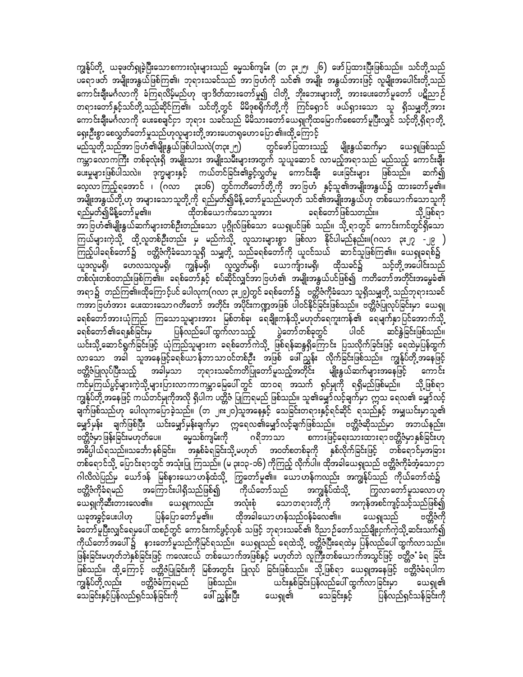ကျွန်ုပ်တို့ ယခုဖတ်ရှုခဲ့ပြီးသောစကားလုံးများသည် ဓမ္မသစ်ကျမ်း (တ ၃း၂၅၊ ၂၆) ဖော်ပြထားပြီးဖြစ်သည်။ သင်တို့သည် ပရောဖတ် အမျိုးအနွယ်ဖြစ်ကြ၏၊ ဘုရားသခင်သည် အာဗြဟံကို သင်၏ အမျိုး အနွယ်အားဖြင့် လူမျိုးအပေါင်းတို့သည် ကောင်းချီးမင်္ဂလာကို ခံကြရလိမ့်မည်ဟု ဗျာဒိတ်ထားတော်မူ၍ ငါတို့ ဘိုးဘေးများတို့ အားပေးတော်မူတော် ပဋိညာဉ် တရားတော်နှင့်သင်တို့ သည်ဆိုင်ကြ၏၊ သင်တို့တွင် မိမိခုစရိုက်တို့ကို ကြင်ရှောင် ဖယ်ရှားသော သူ ရှိသမျှတို့အား ကောင်းချီးမင်္ဂလာကို ပေးစေချင်ငှာ ဘုရား သခင်သည် မိမိသားတော်ယေရှုကိုထမြောက်စေတော်မူပြီးလျှင် သင့်တို့ရှိရာတို့ ရှေးဦးစွာ စေလွှတ်တော်မူသည်ဟုလူများတို့ အားပေတရှုဟော ပြော ၏။ထို့ ကြောင့်

မည်သူတို့ သည်အာ ဗြဟံ၏မျိုးနွယ်ဖြစ်ပါသလဲ(တ၃း ၂၅) ကမ္ဘာလောကကြီး တစ်ခုလုံးရှိ အမျိုးသား အမျိုးသမီးများအတွက် သူယူဆောင် လာမည့်အရာသည် မည်သည့် ကောင်းချီး ့<br>ပေးမှုများဖြစ်ပါသလဲ။ ဒုက္ခများနှင့် ကယ်တင်ခြင်း၏ခွင့်လွှတ်မှု ကောင်းချီး ပေးခြင်းများ ဖြစ်သည်။ ဆက်၍ လေ့လာကြည့်ရအောင် ၊ (ဂလာ ၃း၁၆) တွင်ကတိတော်တို့ကို အာဗြဟႆံ နှင့်သူ၏အမျိုးအနွယ်၌ ထားတော်မူ၏။ အမျိုးအနွယ်တို့ ဟု အများသောသူတို့ကို ရည်မှတ်၍မိန့် တော်မူသည်မဟုတ် သင်၏အမျိုးအနွယ်ဟု တစ်ယောက်သောသူကို - ထိုတစ်ယောက်သောသူအား ခရစ်တော်ဖြစ်သတည်း။ ရည်မှတ်၍မိန့်တော်မူ၏။ သို့ ဖြစ်ရာ အာဗြဟံ၏မျိုးနွယ်ဆက်များတစ်ဦးတည်းသော ပုဂ္ဂိုလ်ဖြစ်သော ယေရှုပင်ဖြစ် သည်။ သို့ရာတွင် ကောင်းကင်တွင်ရှိသော ကြယ်များကဲ့သို့ ထို့လူတစ်ဦးတည်း မှ မည်ကဲသို့ လူသားများစွာ ဖြစ်လာ နိုင်ပါမည်နည်း။(ဂလာ ၃း၂၇ -၂၉ ) ကြည့်ပါခရစ်တော်၌ ဗတ္တိဇံကိုခံသောသူရှိ သမျှတို့ သည်ခရစ်တော်ကို ယူငင်သယ် ဆာင်သူဖြစ်ကြ၏။ ယေရှုခရစ်၌ သင့်တို့အပေါင်းသည် တစ်လုံးတစ်ဝတည်းဖြစ်ကြ၏။ ခရစ်တော်နှင့် စပ်ဆိုင်လျှင်အာဗြဟံ၏ အမျိုးအနွယ်ပင်ဖြစ်၍ ကတိတော်အတိုင်းအမွေခံ၏ အရာ၌ တည်ကြ၏။ထိုကြောင့်ပင် ပေါလုက(ဂလာ ၃း၂၉)တွင် ခရစ်တော်၌ ဗတ္တိဇံကိုခံသော သူရှိသမျှတို့ သည်ဘုရားသခင် ကအာဗြဟံအား ပေးထားသောဂတိတော် အတိုင်း အပိုင်းကဏ္ဍအဖြစ် ပါဝင်နိုင်ခြင်းဖြစ်သည်။ ဗတ္တိဇံပြုလုပ်ခြင်းမှာ ယေရှု ခရစ်တော်အားယုံကြည် ကြသောသူများအား မြစ်တစ်ခု၊ ရေချိုးကန်သို့့မဟုတ်ရေကူးကန်၏ ရေမျက်နှာပြင်အောက်သို့ ခရစ်တော် ၏ရေနှစ်ခြင်းမှ ကြ ပြန်လည်ပေါ် ထွက်လာသည့် ပြွဲတော်တစ်ခုတွင် ပါဝင် ဆင်နွှဲခြင်းဖြစ်သည်။ ယင်းသို့့ဆောင်ရွက်ခြင်းဖြင့် ယုံကြည်သူများက ခရစ်တော်ကဲသို့ ဖြစ်ရန်ဆန္ဒရှိကြောင်း ပြသလိုက်ခြင်းဖြင့် ရေထဲမှပြန်ထွက် လာသော အခါ သူအနေဖြင့်ခရစ်ယာန်ဘာသာဝင်တစ်ဦး အဖြစ် ဖေါ်ညွှန်း လိုက်ခြင်းဖြစ်သည်။ ကျွန်ုပ်တို့အနေဖြင့် ဗတ္တိဇံပြုလုပ်ပြီးသည့် အခါမှသာ ဘုရားသခင်ကတိပြုတော်မူသည့်အတိုင်း မျိုးနွယ်ဆက်များအနေဖြင့် ကောင်း ား မြောက် ရွှေ့<br>ကင်မှကြယ်ပွင့်များကဲ့သို့ များပြားလာကာကမ္ဘာမြေပေါ် တွင် ထာဝရ အသက် ရှင်မှုကို ရရှိမည်ဖြစ်မည်။ သို့ ဖြစ်ရာ ကျွန်ုပ်တို့ အနေဖြင့် ကယ်တင်မှုကိုအလို ရှိပါက ပတ္တိဇံ ပြုကြရမည် ဖြစ်သည်။ သူ၏မျှော်လင့်ချက်မှာ ဣသ ရေလ၏ မျှော်လင့် ချက်ဖြစ်သည်ဟု ပေါလုကပြောခဲ့သည်။ (တ ၂၈ ၂၀)သူအနေနှင့် သေခြင်းတရားနှင့်ရင်ဆိုင် ရသည်နှင့် အမျှယင်းမှာသူ၏ ့<br>မျှော်မှန်း ချက်ဖြစ်ပြီး ယင်းမျှော်မှန်းချက်မှာ ဣရေလ၏မျှော်လင့်ချက်ဖြစ်သည်။ ဗတ္တိဇံဆိုသည်မှာ အဘယ်နည်း၊ ဗတ္တိဇံမှာ ဖြန်းခြင်းမဟုတ်ပေ။ ဓမ္မသစ်ကျမ်းကို ဂရိဘာသာ စကားဖြင့်ရေးသားထားရာ ဗတ္တိဇံမှာ နှစ်ခြင်းဟု အဓိပ္ပါယ်ရသည်။သင်္ဘောနှစ်ခြင်း၊ အနှစ်ခံရခြင်းသို့မဟုတ် အဝတ်စတစ်ခုကို နှစ်လိုက်ခြင်းဖြင့် တစ်ရောင်မှအခြား တစ်ရောင်သို့ ပြောင်းရာတွင် အသုံးပြု ကြသည်။ (မ ၃း၁၃-၁၆) ကိုကြည့် လိုက်ပါ။ ထိုအခါယေရျသည် ဗတ္တိဇံကိုခံအံ့သောငှာ ဂါလိလဲပြည်မှ ယော်ဒန် မြစ်နားယောဟန်ထံသို့ ကြွတော်မူ၏။ ယောဟန်ကလည်း အကျွန်ုပ်သည် ကိုယ်တော်ထံ၌ အကြောင်းပါရှိသည်ဖြစ်၍ ကိုယ်တော်သည် အကျွန်ုပ်ထံသို့ ဗတ္တိဇံကိုခံရမည် ကြွလာတော် မူသလော ဟု ယေရှုကိုဆီးတားလေ၏။ သောတရားတို့ကို အကုန်အစင်ကျင့်သင့်သည်ဖြစ်၍ ယေရှုကလည်း အလုံးစုံ ထိုအခါယော ဟန်သည်ဝန်ခံလေ၏။ ယေရျသည် ဗတ္တိဇံကို ယခုအခွင့်ပေးပါဟု ပြန်ပြော တော်မူ၏။ ခံတော်မူပြီးလျှင်ရေမှပေါ် ထစဉ်တွင် ကောင်းကင်ဖွင့်လှစ် သဖြင့် ဘုရားသခင်၏ ဝိညာဉ်တော်သည်ချိုးငှက်ကဲ့သို့ ဆင်းသက်၍ ကိုယ်တော် အပေါ် ၌ နားတော်မူသည်ကိုမြင်ရသည်။ ယေရှုသည် ရေထဲသို့ ဗတ္တိဇံပြီးရေထဲမှ ပြန်လည်ပေါ် ထွက်လာသည်။ ဖြန်းခြင်းမဟုတ်ဘဲနှစ်ခြင်းဖြင့် ကလေးငယ် တစ်ယောက်အဖြစ်နှင့် မဟုတ်ဘဲ လူကြီးတစ်ယောက်အသွင်ဖြင့် ဗတ္တိဇ ခံရ ခြင်း ဖြစ်သည်။ ထို့ကြောင့် ဗတ္တိဇံပြုခြင်းကို မြစ်အတွင်း ပြုလုပ် ခြင်းဖြစ်သည်။ သို့ဖြစ်ရာ ယေရှုအနေဖြင့် ဗတ္တိဇံခံရပါက ဖြစ်သည်။ ယင်းနှစ်ခြင်းပြန်လည်ပေါ် ထွက်လာခြင်းမှာ ကျွန်ုပ်တို့လည်း ဗတ္တိဇံခံကြရမည် ယေရှု၏ ဖေါ် ညွှန်းပြီး သေခြင်းနှင့်ပြန်လည်ရှင်သန်ခြင်းကို ယေရှု၏ သေခြင်းနှင့် ပြန်လည်ရှင်သန်ခြင်းကို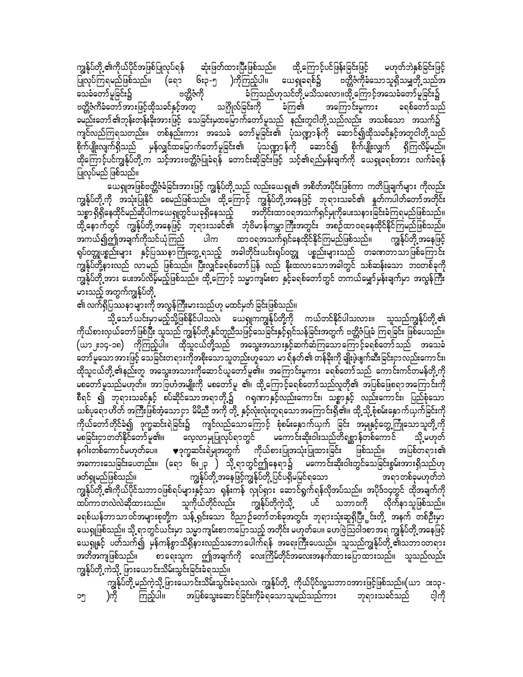ဆုံးဖြတ်ထားပြီးဖြစ်သည်။ ထို့ကြောင့်ပင်ဖြန်းခြင်းဖြင့် မဟုတ်ဘဲနှစ်ခြင်းဖြင့် ကျွန်ုပ်တို့ ၏ကိုယ်ပိုင်အဖြစ်ပြုလုပ်ရန် ပြုလုပ်ကြရမည်ဖြစ်သည်။ (ရော ၆း၃-၅ )ကိုကြည့်ပါ။ ယေရှုခရစ်၌ ဗတ္တိဇံကိုခံသောသူရှိသမျှတို့သည်အ ဗတ္တိဇံကို ခံကြသည်ဟုသင်တို့ မသိသလော။ထို့ ကြောင့်အသေခံတော်မူခြင်း၌ သေခံတော်မူခြင်း၌ ဗတ္တိဇံကိခံတော်အားဖြင့်ထိုသခင်နှင့်အတူ သဂြိုလ်ခြင်းကို ခံကြ၏ အကြောင်းမူကား ခရစ်တော်သည် ခမည်းတော် ၏ဘုန်းတန်းခိုးအားဖြင့် သေခြင်းမှထမြောက်တော်မူသည် နည်းတူငါတို့ သည်လည်း အသစ်သော အသက်၌ ကျင်လည်ကြရသတည်း။ တစ်နည်းကား အသေခံ တော်မူခြင်း၏ ပုံသဏ္ဍာန်ကို ဆောင်၍ထိုသခင်နှင့်အတူငါတို့သည် စိုက်ပျိုးလျက်ရှိသည် မှန်လျှင်ထမြောက်တော်မူခြင်း၏ ပုံသဏ္ဍာန်ကို ဆောင်၍ စိုက်ပျိုးလျှက် ရှိကြလိမ့်မည်။ ထိုကြောင့်ပင်ကျွန်ုပ်တို့က သင့်အားဗတ္တိဇံပြုခံရန် တောင်းဆိုခြင်းဖြင့် သင့်၏ရည်မှန်းချက်ကို ယေရှုခရစ်အား လက်ခံရန် ပြုလုပ်မည် ဖြစ်သည်။

ယေရှုအဖြစ်ဗတ္တိဇံခံခြင်းအားဖြင့် ကျွန်ုပ်တို့သည် လည်းယေရှု၏ အစိတ်အပိုင်းဖြစ်ကာ ကတိပြုချက်များ ကိုလည်း ကျွန်ုပ်တို့ ကို အသုံးပြုနိုင် စေမည်ဖြစ်သည်။ ထို့ကြောင့် ကျွန်ုပ်တို့အနေဖြင့် ဘုရားသခင်၏ နှုတ်ကပါတ်တော်အတိုင်း သစ္စာ ရှိရှိနေထိုင်မည်ဆိုပါကယေရှုတွင်ယခုရှိနေသည့် အတိုင်းထာဝရအသက်ရှင်မှုကိုပေးသနားခြင်းခံကြရမည်ဖြစ်သည်။ ထို့နောက်တွင် ကျွန်ုပ်တို့အနေဖြင့် ဘုရားသခင်၏ ဘုံဗိမာန်ကမ္ဘာကြီးအတွင်း အစဉ်ထာဝရနေထိုင်နိုင်ကြမည်ဖြစ်သည်။ အကယ်၍ဤအချက်ကိုသင်ယုံကြည် <sup>ီ</sup>ပါက ထာဝရအသက်ရှင်နေထိုင်နိုင်ကြမည်ဖြစ်သည်။ ကျွန်ုပ်တို့ အနေဖြင့် ရုပ်ဝတ္တုပစ္စည်းများ နှင့်ပြဿနာကြုံတွေ့ရသည့် အခါတိုင်းယင်းရုပ်ဝတ္တု ပစ္စည်းများသည် တခဏတာသာဖြစ်ကြောင်း ကျွန်ုပ်တို့နားလည် လာမည် ဖြစ်သည်။ ပြီးလျှင်ခရစ်တော်ပြန် လည် နိုးထလာသောအခါတွင် သစ်ဆန်းသော ဘဝတစ်ခုကို ကျွန်ုပ်တို့အား ပေးအပ်လိမ့်မည့်ဖြစ်သည်။ ထို့ကြောင့် သမ္မာကျမ်းစာ နှင့်ခရစ်တော်တွင် တကယ်မျှော်မုန်းချက်မှာ အလွန်ကြီး မားသည့် အတွက်ကျွန်ုပ်တို့

၏ လက်ရှိပြဿနာများကို အလွန်ကြီးမားသည်ဟု မထင်မှတ် ခြင်းဖြစ်သည်။

သို့သော် ယင်းမှာမည့်သို့ဖြစ်နိုင်ပါသလဲ၊ ယေရှုကကျွန်ုပ်တို့ကို ကယ်တင်နိုင်ပါသလား။ သူသည်ကျွန်ုပ်တို့၏ ကိုယ်စားလှယ်တော်ဖြစ်ပြီး သူသည် ကျွန်ုပ်တို့နှင်တူညီသဖြင့်သေခြင်းနှင့်ရှင်သန်ခြင်းအတွက် ဗတ္တိဇံပြုခံ ကြရခြင်း ဖြစ်ပေသည်။ (ယာ၂း၁၄-၁၈) ကိုကြည့်ပါ။ ထိုသူငယ်တို့သည် အသွေးအသားနှင့်ဆက်ဆံကြသောကြောင့်ခရစ်တော်သည် အသေခံ တော်မူသောအားဖြင့် သေခြင်းတရားကိုအစိုးသောသူတည်းဟူသော မာရ်နတ်၏ တန်ခိုးကို ချိုးဖွဲဖျက်ဆီးခြင်းငှာလည်းကောင်း၊ ထိုသူငယ်တို့ ၏နည်းတူ အသွေးအသားကိုဆောင်ယူတော်မူ၏။ အကြောင်းမူကား ခရစ်တော်သည် ကောင်းကင်တမန်တို့ကို မစတော်မူသည်မဟုတ်။ အာဗြဟံအမျိုးကို မစတော်မူ ၏၊ ထို့ကြောင့်ခရစ်တော်သည်လူတို၏ အပြစ်ဖြေစရာအကြောင်းကို စီရင် ၍ ဘုရားသခင်နှင့် စပ်ဆိုင်သောအရာတို့၌ ဂရုဏာနှင့်လည်းကောင်း၊ သစ္စာနှင့် လည်းကောင်း၊ ပြည်စုံသော ယစ်ပုရော ဟိတ် အကြီးဖြစ်အံ့သော ငှာ မိမိညီ အကို တို့ နှင့်လုံးလုံးတူရသော အကြောင်းရှိ၏။ ထို့သို့ စုံစမ်းနှောက်ယှက်ခြင်းကို ကိုယ်တော်တိုင်ခံ၍ ဒုက္ခဆင်းရဲခြင်း၌ ကျင်လည်သောကြောင့် စုံစမ်းနှောက်ယှက် ခြင်း အမှုနှင့်တွေ့ကြုံသောသူတို့့ကို မစခြင်းငှာတတ်နိုင်တော်မူ၏။ လေ့လာမှုပြုလုပ်ရာတွင် မကောင်းဆိုးဝါးသည်တိရစ္ဆာန်တစ်ကောင် သို့ မဟုတ် နဂါးတစ်ကောင်မဟုတ်ပေ။ ♥ဒုက္ခဆင်းရဲမျအတွက် ကိုယ်စားပြုအသုံးပြုထားခြင်း ဖြစ်သည်။ အပြစ်တရား၏ အခကားသေခြင်းပေတည်း။ (ရော ၆း၂၃ ) သို့ရာတွင်ဤနေရာ၌ မကောင်းဆိုးဝါးတွင်သေခြင်းစွမ်းအားရှိသည်ဟု ကျွန်ုပ်တို့ အနေဖြင့်ကျွန်ုပ်တို့ ပြင်ပရှိမမြင်ရသော ဖတ်ရှုမည်ဖြစ်သည်။ အရာတစ်ခုမဟုတ်ဘဲ ကျွန်ုပ်တို့ ၏ကိုယ်ပိုင်သဘာဝဖြစ်ရပ်များနှင့်သာ ရန်းကန် လှုပ်ရှား ဆောင်ရွက်ရန်လိုအပ်သည်။ အပိုဒ်၁၄တွင် ထိုအချက်ကို သူကိုယ်တိုင်လည်း ကျွန်ုပ်တိုကဲ့သို့ ပင် သဘာဝကို လိုက်နာသူဖြစ်သည်။ ထပ်ကာတလဲလဲဆိုထားသည်။ ခရစ်ယန်ဘာသာဝင်အများစုတို့က သန့် ရှင်းသော ဝိညာဉ်တော်တစ်ခုအတွင်း ဘုရားသုံးဆူရှိပြီးွင်းတို့ အနက် တစ်ဦးမှာ ယေရှုဖြစ်သည်။ သို့ ရာတွင်ယင်းမှာ သမ္မာကျမ်းစာကပြောသည့် အတိုင်း မဟုတ်ပေ။ ဟေဗြဲသြဝါဒစာအရ ကျွန်ုပ်တို့ အနေဖြင့် ားမြှောက်<br>ယေရှုနှင့် ပတ်သက်၍ မှန်ကန်စွာသိရှိနားလည်သဘောပေါက်ရန် အရေးကြီးပေသည်။ သူသည်ကျွန်ုပ်တို့ ၏သဘာဝတရား အတိအကျဖြစ်သည်။ စာရေးသူက ဤအချက်ကို လေးကြိမ်တိုင်အလေးအနက်ထားပြောထားသည်။ သူသည်လည်း ကျွန်ုပ်တို့ ကဲသို့ ဖြားယောင်းသိမ်းသွင်းခြင်းခံရသည်။

ကျွန်ုပ်တို့ မည်ကဲ့သို့ ဖြားယောင်းသိမ်းသွင်းခံရသလဲ၊ ကျွန်ုပ်တို့ ကိုယ်ပိုင်လူ့သဘာဝအားဖြင့်ဖြစ်သည်။(ယာ ၁း၁၃ -ကြည့်ပါ။ အပြစ်သွေးဆောင်ခြင်းကိုခံရသောသူမည်သည်ကား ဘုရားသခင်သည် )ကို င့ါကို ວໆ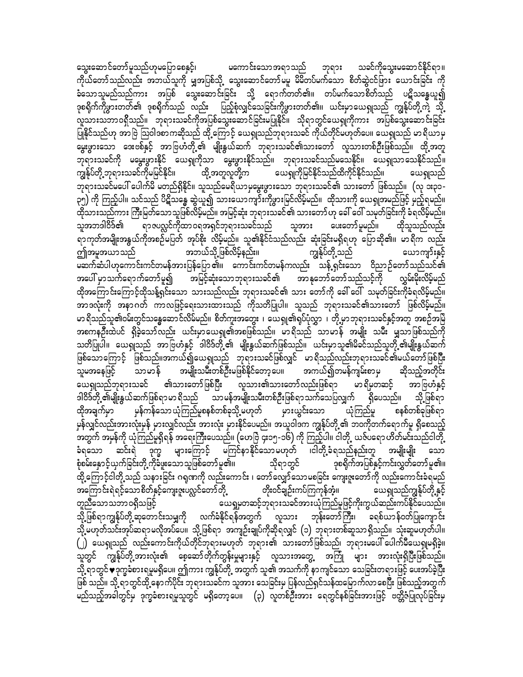သွေးဆောင်တော်မူသည်ဟုမပြောစေနှင့်၊ မကောင်းသောအရာသည် ဘုရား သခင်ကိုသွေးမဆောင်နိုင်ရာ။ ကိုယ်တော်သည်လည်း အဘယ်သူကို မျှအပြစ်သို့ သွေးဆောင်တော်မမူ မိမိတပ်မက်သော စိတ်ဆွဲငင်ဖြား ယောင်းခြင်း ကို ခံသောသူမည်သည်ကား အပြစ် သွေးဆောင်းခြင်း သို့ ရောက်တတ်၏။ တပ်မက်သောစိတ်သည် ပဋိသန္ဓေယူ၍ ဒုစရိုက်ကိုဖွားတတ်၏ ဒုစရိုက်သည် လည်း ပြည့်စုံလျှင်သေခြင်းကိုဖွားတတ်၏။ ယင်းမှာယေရှုသည် ကျွန်ုပ်တို့ကဲ့ သို့ ု<br>လူသားသဘာဝရှိသည်။ ဘုရားသခင်ကိုအပြစ်သွေးဆောင်ခြင်းမပြုနိုင်။ သိုရာတွင်ယေရှုကိုကား အပြစ်သွေးဆောင်းခြင်း ပြုနိုင်သည်ဟု အာဗြဲ ဩဝါဒစာကဆိုသည် ထို့ကြောင့် ယေရှုသည်ဘုရားသခင် ကိုယ်တိုင်မဟုတ်ပေ။ ယေရှုသည် မာရိယာမှ မွေးဖွားသော ဒေးဗစ်နှင့် အာဗြဟံတို့၏ မျိုးနွယ်ဆက် ဘုရားသခင်၏သားတော် လူသားတစ်ဦးဖြစ်သည်။ ထို့အတူ ဘုရားသခင်ကို မမွေးဖွားနိုင် ယေရှုကိုသာ မွေးဖွားနိုင်သည်။ ဘုရားသခင်သည်မသေနိုင်။ ယေရှုသာသေနိုင်သည်။ ကျွန်ုပ်တို့ ဘုရားသခင်ကိုမမြင်နိုင်၊၊ ထို့ အတူလူတို့က ယေရှုကိုမြင်နိုင်သည်ထိကိုင်နိုင်သည်။ ယေ၍သည် ဘုရားသခင်မပေါ် ပေါက်မိ မတည်ရှိနိုင်။ သူသည်မေရိယာမှမွေးဖွားသော ဘုရားသခင်၏ သားတော် ဖြစ်သည်။ (လု ၁း၃၁-၃၅) ကို ကြည့်ပါ။ သင်သည် ပိဋိသန္ဓေ ဆွဲယူ၍ သားယောကျာ်းကိုဖွားမြင်လိမ့်မည်။ ထိုသားကို ယေရှုအမည်ဖြင့် မှည့်ရမည်။ ထိုသားသည်ကား ကြီးမြတ်သောသူဖြစ်လိမ့်မည်။ အမြင့်ဆုံး ဘုရားသခင်၏ သားတော် ဟု ခေါ် ဝေါ် သမုတ်ခြင်းကို ခံရလိမ့်မည်။ ရာဇပလ္လင်ကိုထာဝရအရှင်ဘုရားသခင်သည် သူအား သူအဘဒါဝိဒ်၏ ပေးတော် မူမည်။ ထိုသူသည်လည်း ရာကုတ်အမျိုးအနွယ်ကိုအစဉ်မပြတ် အုပ်စိုး လိမ့်မည်။ သူ၏နိုင်ငံသည်လည်း ဆုံးခြင်းမရှိရဟု ပြောဆို၏။ မာရိက လည်း အဘယ်သို့ ဖြစ်လိမ့်နည်း။ ဤအမူအယာသည် <mark>ကျွန်ုပ်တို့</mark> သည် ယောကျာ်းနှင့် မဆက်ဆံပါဟုကောင်းကင်တမန်အားပြန်ပြော ၏။ ကောင်းကင်တမန်ကလည်း သန့် ရှင်းသော ဝိညာဉ်တော်သည်သင်၏ အပေါ် မှာသက်ရောက်တော်မူ၍ အမြင့်ဆုံးသောဘုရားသခင်၏ အာနုဘော်တော်သည်သင့်ကို စ လွှမ်းမိုးလိမ့်မည် ထိုအကြောင်းကြောင့်ထိုသန့်ရှင်းသော သားသည်လည်း ဘုရားသခင်၏ သား တော်ကို ခေါ် ဝေါ် သမုတ်ခြင်းကိုခံရလိမ့်မည်။ အာဒလုံးကို အနာဂတ် ကာလဖြင့်ရေးသားထားသည် ကိုသတိပြုပါ။ သူသည် ဘုရားသခင်၏သားတော် ဖြစ်လိမ့်မည်။ မာရိသည်သူ၏ဝမ်းတွင်သန္ဓေဆောင်လိမ်မည်။ စိတ်ကူးအတွေး ၊ ယေရှု၏ရုပ်ပုံလွှာ ၊ တို့မှာဘုရားသခင်နှင့်အတူ အစဉ်အမြဲ အစကနဦးထဲပင် ရှိခဲ့သော်လည်း ယင်းမှာယေရှု၏အစဖြစ်သည်။ မာရိသည် သာမာန် အမျိုး သမီး မျှသာဖြစ်သည်ကို သတိပြုပါ။ ယေရှုသည် အာဗြဟံနှင့် ဒါဝိဒ်တို့၏ မျိုးနွယ်ဆက်ဖြစ်သည်။ ယင်းမှာသူ၏မိခင်သည်သူတို့၏မျိုးနွယ်ဆက် ဖြစ်သောကြောင့် ဖြစ်သည်။အကယ်၍ယေရှုသည် ဘုရားသခင်ဖြစ်လျှင် မာရိသည်လည်းဘုရားသခင်၏မယ်တော်ဖြစ်ပြီး အမျိုးသမီးတစ်ဦးမဖြစ်နိုင်တော့ပေ။ အကယ်၍တမန်ကျမ်းစာမှ သူမအနေဖြင့် သာမာန် ဆိုသည့်အတိုင်း ယေရှုသည်ဘုရားသခင် ၏သားတော်ဖြစ်ပြီး လူသား၏သားတော်လည်းဖြစ်ရာ မာရိမှတဆင့် အာဗြဟံနှင့် ဒါဝိဒ်တို့ ၏မျိုးနွယ်ဆက်ဖြစ်ရာမာ ရှိသည် စသာမန်အမျိုးသမီးတစ်ဦးဖြစ်ရာသက်သေပြလျှက် ရှိပေသည်။ သို့ဖြစ်ရာ မှားယွင်းသော ယုံကြည်မှု စနစ်တစ်ခုဖြစ်ရာ ထိုအချက်မှာ မှန်ကန်သော ယုံကြည်မှုစနစ်တစ်ခုသို့ မဟုတ် မှန်လျှင်လည်းအားလုံးမှန် မှားလျှင်လည်း အားလုံး မှားနိုင်ပေမည်။ အယူဝါဒက ကျွန်ုပ်တို့ ၏ ဘဝကိုတက်ရောက်မှု ရှိစေသည့် အတွက် အမှန်ကို ယုံကြည်မှုရှိရန် အရေးကြီးပေသည်။ (ဟေဗြဲ ၄း၁၅-၁၆) ကို ကြည့်ပါ။ ငါတို့ ယဇ်ပရော ဟိတ်မင်းသည်ငါတို့ ခံရသော ဆင်းရဲ ဒုက္ခ များကြောင့် မကြင်နာနိုင်သောမဟုတ် ၊ငါတို့ခံရသည်နည်းတူ အမျိုးမျိုး သော သိုရာတွင် စုံစမ်းနှောင့်ယှက်ခြင်းတို့ ကိုခံဖူးသောသူဖြစ်တော်မူ၏။ ဒုစရိုက်အပြစ်နှင့်ကင်းလွှတ်တော်မူ၏။ ထို့ကြောင့်ငါတို့သည် သနားခြင်း ဂရုဏကို လည်းကောင်း ၊ တော်လျှော်သောမစခြင်း ကျေးဇူးတော်ကို လည်းကောင်းခံရမည် အကြောင်းရဲရင့်သောစိတ်နှင့်ကျေးဇူးပလ္လင်တော်တို့ တိုးဝင်ချဉ်းကပ်ကြကုန်အံ့။ ယေရျသည်ကျွန်ုပ်တို့နှင့် ယေရှုမှတဆင့်ဘုရားသခင်အားယုံကြည်မှုဖြင့်ကိုးကွယ်ဆည်းကပ်နိုင်ပေသည်။ တူညီသောသဘာဝရှိသဖြင့် သို့ဖြစ်ရာကျွန်ုပ်တို့ ဆုတောင်းသမျှကို လက်ခံနိုင်ရန်အတွက် လူသား ဘုန်းတော်ကြီး၊ ခရစ်ယာန်ဝတ်ပြုကျောင်း သို့ မဟုတ်သင်းအုပ်ဆရာမလိုအပ်ပေ။ သို့ဖြစ်ရာ အကျဉ်းချုပ်ကိုဆိုရလျှင် (၁) ဘုရားတစ်ဆူသာရှိသည်။ သုံးဆူမဟုတ်ပါ။ (၂) ယေရှုသည် လည်းကောင်းကိုယ်တိုင်ဘုရားမဟုတ် ဘုရား၏ သားတော်ဖြစ်သည်၊ ဘုရားမပေါ် ပေါက်မီယေရှုမရှိခဲ့။ သူတွင် ကျွန်ုပ်တို့အားလုံး၏ စေ့ဆော်တိုက်တွန်းမှုများနှင့် လူသားအတွေ့ အကြုံ များ အားလုံးရှိပြီးဖြစ်သည်။ သို့ ရာတွင်♥ဒုက္ခခံစားရမူမရှိပေ။ ဤကား ကျွန်ုပ်တို့ အတွက် သူ၏ အသက်ကို နာကျင်သော သေခြင်းတရားဖြင့် ပေးအပ်ခဲ့ပြီး ဖြစ် သည်။ သို့ ရာတွင်ထို့ နောက်ပိုင်း ဘုရားသခင်က သူအား သေခြင်းမှ ပြန်လည်ရှင်သန်ထမြောက်လာ စေပြီး ဖြစ်သည့်အတွက် မည်သည့်အခါတွင်မှ ဒုက္ခခံစားရမှုသူတွင် မရှိတော့ပေ။ (၃) လူတစ်ဦးအား ရေတွင်နစ်ခြင်းအားဖြင့် ဗတ္တိဇံပြုလုပ်ခြင်းမှ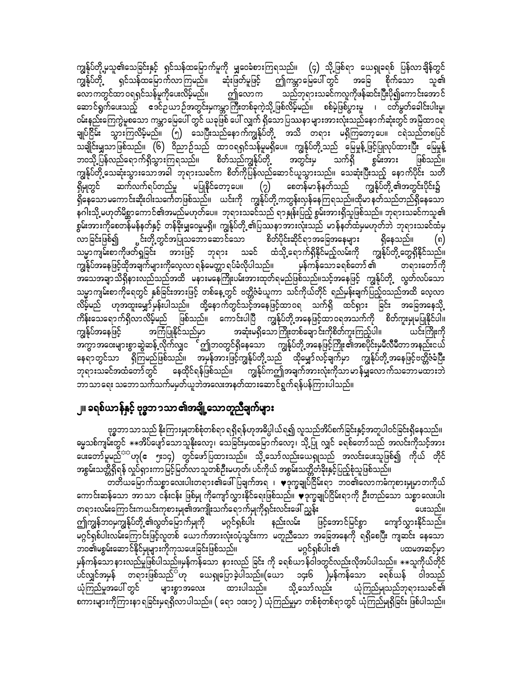ကျွန်ုပ်တို့မှသူ၏သေခြင်းနှင့် ရှင်သန်ထမြောက်မှုကို မျှဝေခံစားကြရသည်။ (၄) သို့ဖြစ်ရာ ယေရှုခရစ် ပြန်လာချိန်တွင် ကျွန်ုပ်တို့ ရှင်သန်ထမြောက်လာကြမည်။ ဆုံးဖြတ်မူဖြင့် ဤကမ္ဘာမြေပေါ် တွင် အခြေ စိုက်သော သူ၏ လောကတွင်ထာဝရရှင်သန်မူကိုပေးလိမ့်မည်။ ဤလောက သည်ဘုရားသခင်ကလူကိုဖန်ဆင်းပြီးပို၍ကောင်းအောင် ဆောင်ရွက်ပေးသည့် ဧဒင်ဥယာဉ်အတွင်းမှကမ္ဘာကြီးတစ်ခုကဲ့သို့ဖြစ်လိမ့်မည်။ စစ်မဲ့ဖြစ်ပွားမူ ၊ ငတ်မွတ်ခေါင်းပါးမှု၊ ဝမ်းနည်းကြေကွဲမူစသော ကမ္ဘာမြေပေါ် တွင် ယခုဖြစ် ပေါ် လျှက် ရှိသောပြဿနာများအားလုံးသည်နောက်ဆုံးတွင် အမြဲထာဝရ ချုပ်ငြိမ်း သွားကြလိမ့်မည်။ (၅) သေပြီးသည်နောက်ကျွန်ုပ်တို့ အသိ တရား မရှိကြတော့ပေ။ ငရဲသည်တစပြင် သချိုင်းမျှသာဖြစ်သည်။ (၆) ဝိညာဉ်သည် ထာဝရရှင်သန်မှုမရှိပေ။ ကျွန်ုပ်တို့သည် မြေမှုန့်ဖြင့်ပြုလုပ်ထားပြီး မြေမှုန့် ာ<br>တသို့ပြန်လည်ရောက်ရှိသွားကြရသည်။ စိတ်သည်ကျွန်ုပ်တို့ အတွင်းမှ သက်ရှိ စွမ်းအား ဖြစ်သည်။ ကျွန်ုပ်တို့ သေဆုံးသွားသောအခါ ဘုရားသခင်က စိတ်ကိုပြန်လည်ဆောင်ယူသွားသည်။ သေဆုံးပြီးသည့် နောက်ပိုင်း သတိ ရှိမှုတွင် ဆက်လက်ရပ်တည်မှု မပြုနိုင်တော့ပေ။  $\overline{(\imath)}$  စေတန်မာန်နတ်သည် ကျွန်ုပ်တို့ ၏အတွင်းပိုင်း၌ .<br>ရှိနေသောမကောင်းဆိုးဝါးသင်္ကေတဖြစ်သည်။ ယင်းကို ကျွန်ုပ်တို့့ကတွန်းလှန်နေကြရသည်။ထိုမာနတ်သည်တည်ရှိနေသော နဂါးသို့ မဟုတ်မိစ္ဆာကောင်၏အမည်မဟုတ်ပေ။ ဘုရားသခင်သည် ရာနှုန်းပြည့် စွမ်းအားရှိသူဖြစ်သည်။ ဘုရားသခင်ကသူ၏ စွမ်းအားကိုစေတန်မန်နတ်နှင့် တန်ခိုးမျှဝေမှုမရှိ။ ကျွန်ုပ်တို့ ၏ပြဿနာအားလုံးသည် မာန်နတ်ထံမှမဟုတ်ဘဲ ဘုရားသခင်ထံမှ ္ပင်းတို့တွင်အပြုသဘောဆောင်သော စိတ်ပိုင်းဆိုင်ရာအခြေအနေများ ရှိနေသည်။ လာခြင်းဖြစ်၍ (၈) သမ္မာကျမ်းစာကိုဖတ်ရှုခြင်း အားဖြင့် ဘုရား သခင် ထံသို့ရောက်ရှိနိုင်မည့်လမ်းကို ကျွန်ုပ်တို့တွေရှိနိုင်သည်။ ကျွန်ုပ်အနေဖြင့်ထိုအချက်များကိုလေ့လာ ရန်မေတ္တာ ရပ်ခံလိုပါသည်။ မှန်ကန်သော ခရစ်တော် ၏ တရားတော်ကို အသေအချာသိရှိနားလည်သည်အထိ မနားမနေကြိုးပမ်းအားထုတ်ရမည်ဖြစ်သည်။သင့်အနေဖြင့် ကျွန်ုပ်တို့ လွတ်လပ်သော သမ္မာကျမ်းစာကိုရေတွင် နှစ်ခြင်းအားဖြင့် တစ်နေ့တွင် ဗတ္တိဇံခံယူကာ သင်ကိုယ်တိုင် ရည်မှန်းချက်ပြည့်ဝသည်အထိ လေ့လာ လိမ့်မည် ဟုအထူးမျှော်မှန်းပါသည်။ ထို့နောက်တွင်သင့်အနေဖြင့်ထာဝရ သက်ရှိ ထင်ရှား ခြင်း အခြေအနေသို့ ကိန်းသေရောက်ရှိလာလိမ့်မည် ဖြစ်သည်။ ကောင်းပါပြီ ကျွန်ုပ်တို့အနေဖြင့်ထာဝရအသက်ကို စိတ်ကူးမှုမပြုနိုင်ပါ။ အကြံပြုနိုင်သည်မှာ အဆုံးမရှိသောကြိုးတစ်ချောင်းကိုစိတ်ကူးကြည့်ပါ။ ကျွန်ုပ်အနေဖြင့် ယင်းကြိုးကို အကွာအဝေးများစွာဆွဲဆန့် လိုက်လျှင<sup>် င</sup>ဤဘဝတွင်ရှိနေသော ကျွန်ုပ်တို့ အနေဖြင့်ကြိုး ၏အစပိုင်းမှမီလီမီတာအနည်းငယ် နေရာတွင်သာ ရှိကြမည်ဖြစ်သည်။ အမှန်အားဖြင့်ကျွန်ုပ်တို့သည် ထိုမျှော်လင့်ချက်မှာ ကျွန်ုပ်တို့အနေဖြင့်ဗတ္တိဇံခံပြီး ဘုရားသခင်အထံတော်တွင် နေထိုင်ရန်ဖြစ်သည်။ ကျွန်ုပ်ကဤအချက်အားလုံးကိုသာမာန်မျှလောက်သဘောမထားဘဲ ဘာသာရေး သဘောသက်သက်မမှတ်ယူဘဲအလေးအနတ်ထားဆောင်ရွက်ရန်ပန်ကြားပါသည်။

## ၂။ ခရစ်ယာန်နှင့် ဗုဒ္ဓဘၥသာ၏အချို့သောတူညီချက်များ

ဗုဒ္ဓဘာသာသည် နိုးကြားမှုတစ်စုံတစ်ရာ ရရှိရန်ဟုအဓိပ္ပါယ်ရ၍ လူသည်အိပ်စက်ခြင်းနှင့်အတူပါဝင်ခြင်းရှိနေသည်။ မ္မသစ်ကျမ်းတွင် \*\*အိပ်ပျော်သောသူနိုးလော့၊ သေခြင်းမှထမြောက်လော့၊ သို့ပြု လျှင် ခရစ်တော်သည် အလင်းကိုသင့်အား ပေးတော်မူမည်<sup>ာာ</sup>ဟု $(\varepsilon-$ ၅း၁၄) တွင်ဖော်ပြထားသည်။ သို့သော်လည်းယေရှုသည် အလင်းပေးသူဖြစ်၍ ကိုယ် တိုင် အစွမ်းသတ္တိရှိရန် လှုပ်ရှားကာမြင့်မြတ်လာသူတစ်ဦးမဟုတ်၊ ပင်ကိုယ် အစွမ်းသတ္တိတံခိုးနှင့်ပြည့်စုံသူဖြစ်သည်။

ာ<br>တတိယမြောက်သစ္စာလေးပါးတရား၏ဖေါ်ပြချက်အရ ၊ ♥ဒုက္ခချုပ်ငြိမ်းရာ ဘ၀၏လောက**်**ကုစားမှုမှာတကိုယ် ကောင်းဆန်သော အာသာ ငန်းငန်း ဖြစ်မျ ကိုကျော်လွှားနိုင်ရေးဖြစ်သည်။ ♥ဒုက္ခချုပ်ငြိမ်းရာကို ဦးတည်သော သစ္စာလေးပါး တရားလမ်းကြောင်းကယင်းကုစားမှု၏အကျိုးသက်ရောက်မှုကိုရှင်းလင်းဖေါ် ညွှန်း ပေးသည်။ ဤကျွန်ဘ၀မှကျွန်ုပ်တို့ ၏လွတ်မြောက်မှုကို မဂ္ဂင်ရှစ်ပါး နည်းလမ်း ဖြင့်အောင်မြင်စွာ ကျော်လွှားနိုင်သည်။ မဂ္ဂင်ရှစ်ပါးလမ်းကြောင်းဖြင့်လူတစ် ယောက်အားလုံးဝပုံသွင်းကာ မတူညီသော အခြေအနေကို ရရှိစေပြီး ကျဆင်း နေသော ဘဝ၏မစွမ်းဆောင်နိုင်မှုများကိုကုသပေးခြင်းဖြစ်သည်။ မဂ္ဂင်ရှစ်ပါး၏ ပထမအဆင့်မှာ ပင်လျှင်အမှန် တရားဖြစ်သည် ဟု ယေရှုပြောခဲ့ပါသည်။(ယော ၁၄း၆ )မှန်ကန်သော ခရစ်ယန် ဝါဒသည် ယုံကြည်မှုအပေါ် တွင် များစွာအလေး ထားပါသည်။ သို့သော်လည်း ယုံကြည်မျသည်ဘုရားသခင်၏ စကားများကိုကြားနာ ရခြင်းမှရရှိလာပါသည်။ ( ရော ၁၀း၁၇ ) ယုံကြည်မှုမှာ တစ်စုံတစ်ရာတွင် ယုံကြည်မှုရှိခြင်း ဖြစ်ပါသည်။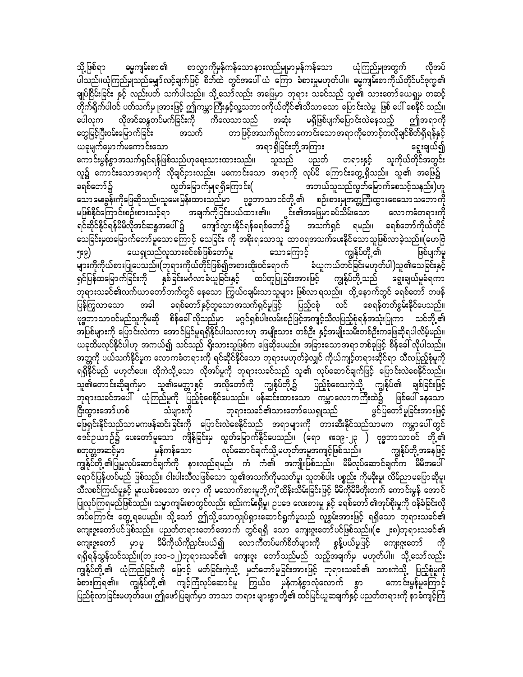ဓမ္မကျမ်းစာ ၏ စာလွှာကိုမှန်ကန်သောနားလည်မှုမှာမှန်ကန်သော သို့ ဖြစ်ရာ ယုံကြည်မျအတွက် လိုအပ် ပါသည်။ယုံကြည်မျသည်မျှော်လင့်ချက်ဖြင့် စိတ်ထဲ တွင်အပေါ် ယံ ကြော ခံစားမှုမဟုတ်ပါ။ ဓမ္မကျမ်းစာကိုယ်တိုင်ပင်ဒုက္ခ၏ ချုပ်ငြိမ်းခြင်း နှင့် လည်းပတ် သက်ပါသည်။ သို့သော်လည်း အဖြေမှာ ဘုရား သခင်သည် သူ၏ သားတော်ယေရှမှ တဆင့် တိုက်ရိုက်ပါဝင် ပတ်သက်မှ ုအားဖြင့် ဤကမ္ဘာကြီးနှင့်လူ့သဘာဝကိုယ်တိုင်၏သိသာသော ပြောင်းလဲမှု ဖြစ် ပေါ် စေနိုင် သည်။ ပေါလုက လိုအင်ဆန္ဒတပ်မက်ခြင်းကို ကိလေသာသည် အဆုံး မရှိဖြစ်ပျက်ပြောင်းလဲနေသည့် ဤအရာကို တွေမြင့်ပြီးဝမ်းမြောက်ခြင်း တာဖြင့်အသက်ရှင်ကာကောင်းသောအရာကိုတောင့်တလိုချင်စိတ်ရှိရန်နှင့် အသက် ယခုမျက်မှောက်မကောင်းသော အရာရှိခြင်းတို့အကြား ရွေးချယ်၍ သူကိုယ်တိုင်အတွင်း ကောင်းမွန်စွာအသက်ရှင်ရန်ဖြစ်သည်ဟုရေးသားထားသည်။ သူသည် ပညတ် တရားနှင့် လူ၌ ကောင်းသောအရာကို လိုချင်ငှားလည်း၊ မကောင်းသော အရာကို လုပ်မိ ကြောင်းတွေ့ရှိသည်။ သူ၏ အဖြေ၌ ာဘယ်သူသည်လွတ်မြောက်စေသင့်သနည်း)ဟူ လွတ်မြောက်မှုရရှိကြောင်း( ခရစ်တော်၌ သောမေးခွန်းကိုဖြေဆိုသည်။သူမေးမြန်းထားသည်မှာ ဗုဒ္ဓဘာသာဝင်တို့့၏ စဉ်းစားမှုအတ္တကြီးထွားစေသောသဘောကို ္ပင်း၏အဖြေမှာ ခပ်သိမ်းသော အချက်ကိုငြင်းပယ်ထား၏။ လောကဓံတရားကို မဖြစ်နိုင်ကြောင်းစဉ်းစားသင့်ရာ ရင်ဆိုင်နိုင်ရန်မိမိလိုအင်ဆန္ဒအပေါ် ၌ ကျော်လွှားနိုင်ရန်ခရစ်တော်၌ အသက်ရှင် ရမည်။ ခရစ်တော်ကိုယ်တိုင် သေခြင်းမှထမြောက်တော်မူသောကြောင့် သေခြင်း ကို အစိုးရသောသူ ထာဝရအသက်ပေးနိုင်သောသူဖြစ်လာခဲ့သည်။(ဟေဗြဲ ယေရှုသည်လူသားစင်စစ်ဖြစ်တော်မူ သောကြောင့် ကျွန်ုပ်တို့ ၏ ဖြစ်ပျက်မှု ၅း၉) ခံယူကယ်တင်ခြင်းမဟုတ်ပါ)သူ၏သေခြင်းနှင့် များကိုကိုယ်စားပြုပေသည်။(ဘုရားကိုယ်တိုင်ဖြစ်၍အစားထိုးဝင်ရောက် ရှင်ပြန်ထမြောက်ခြင်းကို နှစ်ခြင်းမင်္ဂလာခံယူခြင်းနှင့် ထပ်တူပြုခြင်းအားဖြင့် ကျွန်ုပ်တို့သည် ရွေးချယ်မှုခံရကာ .<br>ဘုရားသခင်၏လက်ယာတော်ဘက်တွင် နေသော ကြွယ်ဝချမ်းသာသူများ ဖြစ်လာရသည်။ ထို့နောက်တွင် ခရစ်တော် တဖန် ခရစ်တော် နှင့်တူသောအသက်ရှင်မှုဖြင့် ပြည့်ဝစုံ ပြန်ကြွလာသော အခါ လင် စေရန်တတ်စွမ်းနိုင်ပေသည်။ ဗုဒ္ဓဘာသာဝင်မည်သူကိုမဆို စိန်ခေါ် လိုသည်မှာ မဂ္ဂင်ရှစ်ပါးလမ်းစဉ်ဖြင့်အကျင့်သီလပြည့်စုံရန်အသုံးပြုကာ သင်တို့့၏ ယခုထိမလုပ်နိုင်ပါဟု အကယ်၍ သင်သည် ရိုးသားသူဖြစ်က ဖြေဆိုပေမည်။ အခြားသောအရာတစ်ခုဖြင့် စိန်ခေါ် လိုပါသည်။ အတ္တကို ပယ်သက်နိုင်မူက လောကဓံတရားကို ရင်ဆိုင်နိုင်သော ဘုရားမဟုတ်ခဲ့လျှင် ကိုယ်ကျင့်တရားဆိုင်ရာ သီလပြည့်စုံမူကို ရရှိနိုင်မည် မဟုတ်ပေ။ ထိုကဲသို့သော လိုအပ်မှုကို ဘုရားသခင်သည် သူ၏ လုပ်ဆောင်ချက်ဖြင့် ပြောင်းလဲစေနိုင်သည်။ သူ၏တောင်းဆိုချက်မှာ သူ၏မေတ္တာနှင့် အလိုတော်ကို ကျွန်ုပ်တို့၌ ပြည့်စုံစေသကဲ့သို့ ကျွန်ုပ်၏ ချစ်ခြင်းဖြင့် ဘုရားသခင်အပေါ် ယုံကြည်မှုကို ပြည့်စုံစေနိုင်ပေသည်။ ဖန်ဆင်းထားသော ကမ္ဘာလောကကြီးထဲ၌ ဖြစ်ပေါ် နေသော .<br>ပွင်ပြတော်မူခြင်းအားဖြင့် ငြီးထွားအော်ဟစ် သံများကို ဘုရားသခင်၏သားတော်ယေရှုသည် ဖြေရှင်းနိုင်သည်သာမကဖန်ဆင်းခြင်းကို ပြောင်းလဲစေနိုင်သည် အရာများကို တားဆီးနိုင်သည်သာမက ကမ္ဘာပေါ် တွင် ဧဒင်ဥယာဉ်၌ ပေးတော်မူသော ကျိန်ခြင်းမှ လွတ်မြောက်နိုင်ပေသည်။ (ရော ၈း၁၉-၂၃ ) ဗုဒ္ဓဘာသာဝင် တို့့၏ လုပ်ဆောင်ချက်သို့ မဟုတ်အမှုအကျင့်ဖြစ်သည်။ စတတ္တအဆင့်မှာ မှန်ကန်သော ကျွန်ုပ်တို့ အနေဖြင့် ကျွန်ုပ်တို့ ၏ပြုမူလုပ်ဆောင်ချက်ကို နားလည်ရမည်၊ ကံ ကံ၏ အကျိုးဖြစ်သည်။ မိမိလုပ်ဆောင်ချက်က မိမိအပေါ် ရောင်ပြန်ဟပ်မည် ဖြစ်သည်။ ငါးပါးသီလဖြစ်သော သူ၏အသက်ကိုမသတ်မူ၊ သူတစ်ပါး ပစ္စည်း ကိုမခိုးမူ၊ လိမ်ညာမပြောဆိုမူ၊ သီလစင်ကြယ်မှုနှင့် မူးယစ်စေသော အရာ ကို မသောက်စားမှုတို့ကိုထိန်းသိမ်းခြင်းဖြင့် မိမိကိုမိမိတိုးတက် ကောင်းမွန် အောင် ပြုလုပ်ကြရမည်ဖြစ်သည်။ သမ္မာကျမ်းစာတွင်လည်း စည်းကမ်းရှိမှု၊ ဉပဒေ လေးစားမှု နှင့် ခရစ်တော် ၏အုပ်စိုးမှုကို ဝန်ခံခြင်းလို အပ်ကြောင်း တွေ့ရပေမည်။ သို့သော် ဤသို့သောလှုပ်ရှားဆောင်ရွက်မှုသည် လူစွမ်းအားဖြင့် ရရှိသော ဘုရားသခင်၏ ကျေးဇူးတော်ပင်ဖြစ်သည်။ ပညတ်တရားတော်အောက် တွင်ရရှိ သော ကျေးဇူးတော်ပင်ဖြစ်သည်။(ဧ ၂း၈)ဘုရားသခင်၏ ကျေးဇူးတော် မှာမူ မိမိကိုယ်ကိုညင်းပယ်၍ လောကီတပ်မက်စိတ်များကို စွန့်ပယ်မှုဖြင့် ကျေးဇူးတော် ရရှိရန်သွန်သင်သည်။(တ၂း၁၁-၁၂)ဘုရားသခင်၏ ကျေးဇူး တော်သည်မည် သည့်အချက်မှ မဟုတ်ပါ။ သို့့သော်လည်း ကျွန်ုပ်တို့၏ ယုံကြည်ခြင်းကို ဖြောင့် မတ်ခြင်းကဲ့သို့ မှတ်တော်မူခြင်းအားဖြင့် ဘုရားသခင်၏ သားကဲသို့ ပြည့်စုံမူကို ခံစားကြရ၏။ ကျွန်ုပ်တို့၏ ကျင့်ကြံလုပ်ဆောင်မှု ကြွယ်ဝ မှန်ကန်စွာလုံလောက် စွာ ကောင်းမွန်မှုကြောင့် .<br>ပြည်စုံလာခြင်းမဟုတ်ပေ။ ဤဖော်ပြချက်မှာ ဘာသာ တရား များစွာတို့၏ ထင်မြင်ယူဆချက်နှင့် ပညတ်တရားကို နာခံကျင့်ကြံ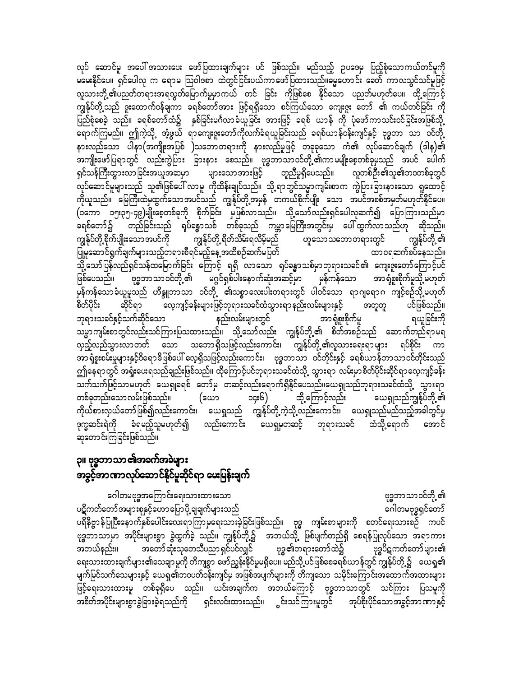လုပ် ဆောင်မှု အပေါ် အသားပေး ဖော်ပြထားချက်များ ပင် ဖြစ်သည်။ မည်သည့် ဉပဒေမှ ပြည့်စုံသောကယ်တင်မှုကို မမေးနိုင်ပေ။ ရှင်ပေါလု က ရောမ သြဝါဒစာ ထဲတွင်ငြင်းပယ်ကာဖော်ပြထားသည်။မွေဟောင်း ခေတ် ကာလသွင်သင်မှုဖြင့် လူသားတို့ ၏ပညတ်တရားအရလွတ်မြောက်မှုမှာကယ် တင် ခြင်း ကိုဖြစ်စေ နိုင်သော ပညတ်မဟုတ်ပေ။ ထို့ကြောင့် ကျွန်ုပ်တို့သည် ဒူးထောက်ဝန်ချကာ ခရစ်တော်အား ဖြင့်ရရှိသော စင်ကြယ်သော ကျေးဇူး တော် ၏ ကယ်တင်ခြင်း ကို ပြည်စုံစေခဲ့ သည်။ ခရစ်တော်ထံ၌ နှစ်ခြင်းမင်္ဂလာခံယူခြင်း အားဖြင့် ခရစ် ယာန် ကို ပုံဖော်ကာသင်းဝင်ခြင်းအဖြစ်သို့ ရောက်ကြမည်။ ဤကဲ့သို့ အံ့ဖွယ် ရာကျေးဇူးတော်ကိုလက်ခံရယူခြင်းသည် ခရစ်ယာန်ဝန်းကျင်နှင့် ဗုဒ္ဓဘာ သာ ဝင်တို့ နားလည်သော ပါနာ(အကျိုးအပြစ် )သဘောတရားကို နားလည်မူဖြင့် တခုခုသော ကံ၏ လုပ်ဆောင်ချက် (ဒါန)၏ အကျိုးဖော်ပြရာတွင် လည်းကွဲပြား ခြားနား စေသည်။ ဗုဒ္ဓဘာသာဝင်တို့့၏ကာမမျိုးစေ့တစ်ခုမှသည် အပင် ပေါက် ရှင်သန်ကြီးထွားလာခြင်းအယူအဆမှာ များသောအားဖြင့် တူညီမူရှိပေသည်။ လူတစ်ဦး၏သူ၏ဘဝတစ်ခုတွင် လုပ်ဆောင်မူများသည် သူ၏ဖြစ်ပေါ် လာမူ ကိုထိန်းချုပ်သည်။ သို့့ရာတွင်သမ္မာကျမ်းစာက ကွဲပြားခြားနားသော ရူထောင့် ကိုယူသည်။ မြေကြီးထဲမှထွက်သောအပင်သည် ကျွန်ုပ်တို့အမှန် တကယ်စိုက်ပျိုး သော အပင်အစစ်အမှတ်မဟုတ်နိုင်ပေ။ (၁ကော ၁၅း၃၅-၄၉)မျိုးစေ့တစ်ခုကို စိုက်ခြင်း မှဖြစ်လာသည်။ သို့သော်လည်းရှင်ပေါလုဆက်၍ ပြောကြားသည်မှာ ခရစ်တော်၌ တည်ခြင်းသည် ရုပ်ခန္ဓာသစ် တစ်ခုသည် ကမ္ဘာမြေကြီးအတွင်းမှ ပေါ်ထွက်လာသည်ဟု ဆိုသည်။ ကျွန်ုပ်တို့ စိုက်ပျိုးးသော အပင်ကို ကျွန်ုပ်တို့ ရိတ်သိမ်းရလိမ့်မည် ဟူသောသဘောတရားတွင် ကျွန်ုပ်တို့ ၏ ပြုမူဆောင်ရွက်ချက်များသည့်တရားစီရင်မည့်နေ့အထိစဉ်ဆက်မပြတ် ထာဝရဆက်စပ်နေသည်။ ာင်<br>သို့သော်ပြန်လည်ရှင်သန်ထမြောက်ခြင်း ကြောင့် ရရှိ လာသော ရုပ်ခန္ဓာသစ်မှာဘုရားသခင်၏ ကျေးဇူးတော်ကြောင့်ပင် ဖြစ်ပေသည်။ ဗုဒ္ဓဘာသာဝင်တို့၏ မဂ္ဂင်ရှစ်ပါးနောက်ဆုံးအဆင့်မှာ မှန်ကန်သော အာရုံစူးစိုက်မှုသို့ မဟုတ် မှန်ကန်သောခံယူမူသည် ဟိန္ဒူဘာသာ ဝင်တို့ ၏သစ္စာလေးပါးတရားတွင် ပါဝင်သော ရာဂျရောဂ ကျင့်စဉ်သို့မဟုတ် လေ့ကျင့်ခန်းများဖြင့်ဘုရားသခင်ထံသွားရာနည်းလမ်းများနှင့် စိတ်ပိုင်း ဆိုင်ရာ အတူတူ ပင်ဖြစ်သည်။ နည်းလမ်းများတွင် ဘုရားသခင်နှင့်သက်ဆိုင်သော ရယူခြင်းကို အာ ရှံစူးစိုက်မှု သမ္မာကျမ်းစာတွင်လည်းသင်ကြားပြသထားသည်။ သို့သော်လည်း ကျွန်ုပ်တို့၏ စိတ်အစဉ်သည် ဆောက်တည်ရာမရ လှည့်လည်သွားလာတတ် သော သဘောရှိသဖြင့်လည်းကောင်း၊ ကျွန်ုပ်တို့၏လူသားရေးရာများ ရပ်စိုင်း ကာ အာ ရုံစူးစမ်းမှုများနှင့်ဝိရောဓိဖြစ်ပေါ် လေ့ရှိသဖြင့်လည်းကောင်း၊ ဗုဒ္ဓဘာသာ ဝင်တိုင်းနှင့် ခရစ်ယာန်ဘာသာဝင်တိုင်းသည် ဤနေရာတွင် အရှုံးပေးရသည်ချည်းဖြစ်သည်။ ထိုကြောင့်ပင်ဘုရားသခင်ထံသို့ သွားရာ လမ်းမှာစိတ်ပိုင်းဆိုင်ရာလေ့ကျင့်ခန်း သက်သက်ဖြင့်သာမဟုတ် ယေရှုခရစ် တော်မှ တဆင့်လည်းရောက်ရှိနိုင်ပေသည်။ယေရှုသည်ဘုရားသခင်ထံသို့ သွားရာ ၁၄း၆) တစ်ခုတည်းသော လမ်းဖြစ်သည်။ ယေရှုသည်ကျွန်ုပ်တို့ ၏ (ယော ထို့ကြောင့်လည်း ကိုယ်စားလှယ်တော်ဖြစ်၍လည်းကောင်း၊ ယေရှုသည် ကျွန်ုပ်တို့ကဲ့သို့လည်းကောင်း၊ ယေရှုသည်မည်သည့်အခါတွင်မှ ဒုက္ခဆင်းရဲကို ခံရမည့်သူမဟုတ်၍ လည်းကောင်း ယေရှုမှတဆင့် ဘုရားသခင် ထံသို့ရောက် အောင် ဆုတောင်းကြခြင်းဖြစ်သည်။

### ၃။ ဗုဒ္ဓဘာသာ၏အခက်အခဲများ အခွင့်အာဏာလုပ်ဆောင်နိုင်မူဆိုင်ရာ မေးမြန်းချက်

ဂေါတမဗုဒ္ဓအကြောင်းရေးသားထားသော ဗုဒ္ဓဘာသာဝင်တို့ ၏ ပဋိကတ်တော်အများစုနှင့်ဟောပြောပို့ ချချက်များသည် ဂေါတမဗုဒ္ဓရှင်တော် ပရိနိဗ္ဗာန်ပြုပြီးနောက်နှစ်ပေါင်းလေးရာကြာမှရေးသားခဲ့ခြင်းဖြစ်သည်။ ဗုဒ္ဓ ကျမ်းစာများကို စတင်ရေးသားစဉ် ကပင် ဗုဒ္ဓဘာသာမှာ အပိုင်းများစွာ ခွဲထွက်ခဲ့ သည်။ ကျွန်ုပ်တို့၌ အဘယ်သို့ ဖြစ်ပျက်တည်ရှိ စေရန်ပြုလုပ်သော အရာကား အတော်ဆုံးသုတေသီပညာရှင်ပင်လျှင် ဗုဒ္ဓ၏တရားတော်ထဲ၌ အဘယ်နည်း။ ဗုဒ္ဓပိဋကတ်တော်များ၏ ရေးသားထားချက်များ၏သေချာမူကို တိကျစွာ ဖော်ညွှန်းနိုင်မူမရှိပေ။ မည်သို့ ပင်ဖြစ်စေခရစ်ယာန်တွင် ကျွန်ုပ်တို့၌ ယေရှု၏ မျက်မြင်သက်သေများနှင့် ယေရှု၏ဘဝပတ်ဝန်းကျင်မှ အဖြစ်အပျက်များကို တိကျသော သမိုင်းကြောင်းအထောက်အထားများ ဖြင့်ရေးသားထားမှု တစ်ခုရှိပေ သည်။ ယင်းအချက်က အဘယ်ကြောင့် ဗုဒ္ဓဘာသာတွင် သင်ကြား ပြသမှုကို အစိတ်အပိုင်းများစွာခွဲခြားခဲ့ရသည်ကို ရှင်းလင်းထားသည်။ ္ပင်းသင်ကြားမူတွင် အုပ်စိုးပိုင်သောအခွင့်အာဏာနှင့်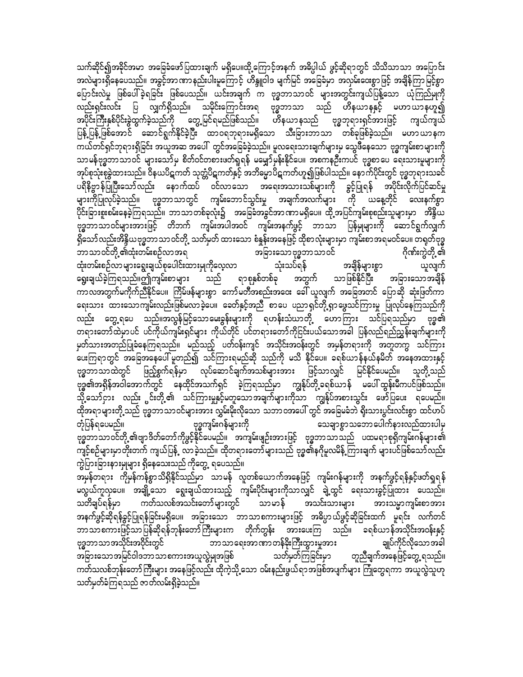သက်ဆိုင်၍အခိုင်အမာ အခြေခံဖော်ပြထားချက် မရှိပေ။ထို့ကြောင့်အနက် အဓိပ္ပါယ် ဖွင့်ဆိုရာတွင် သိသိသာသာ အပြောင်း အလဲများရှိနေပေသည်။ အခွင့်အာဏာနည်းပါးမှုကြောင့် ဟိန္ဒူဝါဒ မျက်မြင် အခြေခံမှာ အလှမ်းဝေးစွာဖြင့် အချိန်ကြာမြင့်စွာ ပြောင်းလဲမှု ဖြစ်ပေါ်ခဲ့ရခြင်း ဖြစ်ပေသည်။ ယင်းအချက် က ဗုဒ္ဓဘာသာဝင် များအတွင်းကျယ်ပြန့်သော ယုံကြည်မှုကို လည်းရှင်းလင်း ပြ လျှက်ရှိသည်။ သမိုင်းကြောင်းအရ ဗုဒ္ဓဘာသာ သည် ဟိနယာနနှင့် မဟာယာနဟူ၍ အပိုင်းကြီးနှစ်ပိုင်းခွဲထွက်ခဲ့သည်ကို တွေ့မြင်ရမည်ဖြစ်သည်။ ဟိနယာနသည် ဗုဒ္ဓဘုရားရှင်အားဖြင့် ကျယ်ကျယ် ပြန့် ပြန့် ဖြစ်အောင် ဆောင်ရွက်နိုင်ခဲ့ပြီး ထာဝရဘုရားမရှိသော သီးခြားဘာသာ တစ်ခုဖြစ်ခဲ့သည်။ မဟာယာနက ကယ်တင်ရှင်ဘုရားရှိခြင်း အယူအဆ အပေါ် တွင်အခြေခံခဲ့သည်။ မူလရေးသားချက်များမှ သွေဖီနေသော ဗုဒ္ဓကျမ်းစာများကို သာမန်ဗုဒ္ဓဘာသာဝင် များသော်မှ စိတ်ဝင်တစားဖတ်ရှုရန် မမျှော်မှန်းနိုင်ပေ။ အစကနဦးကပင် ဗုဒ္ဓစာပေ ရေးသားမှုများကို အုပ်စုသုံးစုံခွဲထားသည်။ ဝိနယပိဋကတ် သုတ္တံပိဋကတ်နှင့် အဘိမ္မောပိဋကတ်ဟူ၍ဖြစ်ပါသည်။ နောက်ပိုင်းတွင် ဗုဒ္ဓဘုရားသခင် ပရိနိဗ္ဗာန်ပြိုပြီးသော်လည်း နောက်ထပ် ဝင်လာသော အရေးအသားသစ်များကို ခွင့်ပြုရန် အပိုင်းလိုက်ပြင်ဆင်မှု များကိုပြုလုပ်ခဲ့သည်။ ဗုဒ္ဓဘာသာတွင် ကျမ်းဘောင်သွင်းမှု အချက်အလက်များ ကို ယနေ့တိုင် လေးနက်စွာ .<br>ပိုင်းခြားစူးစမ်းနေခဲ့ကြရသည်။ ဘာသာတစ်ခုလုံး၌ အခြေခံအခွင်အာဏာမရှိပေ။ ထို့အပြင်ကျမ်းစုစည်းသူများမှာ အိန္ဒိယ ဗုဒ္ဓဘာသာဝင်များအားဖြင့် တိဘက် ကျမ်းအပါအဝင် ကျမ်းအနက်ဖွင့် ဘာသာ ပြန်မှုများကို ဆောင်ရွက်လျှက် ရှိသော် လည်းအိန္ဒိယဗုဒ္ဓဘာသာ ဝင်တို့ သတ်မှတ် ထားသော စံနူန်းအနေဖြင့် ထိုစာလုံးများမှာ ကျမ်းစာအရမဝင်ပေ။ တရုတ်ဗုဒ္ဓ ဂိုဏ်းကွဲတို့ ၏ ဘာသာဝင်တို့၏ထုံးတမ်းစဉ်လာအရ အခြားသောဗုဒ္ဓဘာသာဝင် ထုံးတမ်းစဉ်လာများရွေးချယ်စုပေါင်းထားမှုကိုလေ့လာ သုံးသပ်ရန် အချိန်များစွာ ယူလျက် ရာစုနှစ်တစ်ခု ရွေးချယ်ခဲ့ကြရသည်။ဤကျမ်းစာများ သည် အတွက် သာဖြစ်နိုင်ပြီး အခြားသောအချိန် ကာလအတွက်မကိုက်ညီနိုင်ပေ။ ကြိမ်ဖန်များစွာ ကော်မတီအစည်းအဝေး ခေါ် ယူလျက် အခြေအတင် ပြောဆို ဆုံးဖြတ်ကာ ရေးသား ထားသောကျမ်းလည်းဖြစ်မလာခဲ့ပေ။ ခေတ်နှင့်အညီ စာပေ ပညာရှင်တို့ရှာဖွေသင်ကြားမှု ပြုလုပ်နေကြသည်ကို လည်း တွေ့ရပေ သည်။အလွန်မြင့်သောမေးခွန်းများကို ရဟန်းသံဃာတို့ ဟောကြား သင်ပြရသည်မှာ ဗုဒ္ဓ၏ တရားတော်ထဲမှာပင် ပင်ကိုယ်ကျမ်းရှင်များ ကိုယ်တိုင် ပင်တရားတော်ကိုငြင်းပယ်သောအခါ ပြန်လည်ရည်ညွှန်းချက်များကို .<br>မတ်သားအတည်ပြုခံနေကြရသည်။ မည်သည့် ပတ်ဝန်းကျင် အသိုင်းအဝန်းတွင် အမှန်တရားကို အတူတကွ သင်ကြား ပေးကြရာတွင် အခြေအနေပေါ် မူတည်၍ သင်ကြားရမည်ဆို သည်ကို မသိ နိုင်ပေ။ ခရစ်ယာန်နယ်နမိတ် အနေအထားနှင့် ဗုဒ္ဓဘာသာထဲတွင် ဖြည့်စွက်ရန်မှာ လုပ်ဆောင်ချက်အသစ်များအား ဖြင့်သာလျှင် မြင်နိုင်ပေမည်။ ဗုဒ္ဓ၏အရှိန်အဝါအောက်တွင် နေထိုင်အသက်ရှင် ခဲ့ကြရသည်မှာ ကျွန်ုပ်တို့ခရစ်ယာန် မပေါ်ထွန်းမီကပင်ဖြစ်သည်။ .<br>သို့ သော်ငှား လည်း င်းတို့၏ သင်ကြားမှုနှင့်မတူသောအချက်များကိုသာ ကျွန်ုပ်အစားသွင်း ဖော်ပြပေး ရပေမည်။ ထိုအရာများတို့သည် ဗုဒ္ဓဘာသာဝင်များအား လွှမ်းမိုးလိုသော သဘာဝအပေါ် တွင် အခြေမခံဘဲ ရိုးသားပွင်းလင်းစွာ ထင်ဟပ် ဗုဒ္ဓကျမ်းဂန်များကို တုံပြန်ရပေမည်။ သေချာစွာသဘောပေါက်နားလည်ထားပါမှ ဗုဒ္ဓဘာသာဝင်တို့ ၏ဗျာဒိတ်တော်ကိုဖွင့်နိုင်ပေမည်။ အကျမ်းဖျဉ်းအားဖြင့် ဗုဒ္ဓဘာသာသည် ပထမရာစုရှိကျမ်းဂန်များ၏ ကျင့်စဉ်များမှာတိုးတက် ကျယ်ပြန့် ့လာခဲ့သည်။ ထိုတရားတော်များသည် ဗုဒ္ဓ၏နဂိုမူလမိန့် ကြားချက် များပင်ဖြစ်သော်လည်း ကွဲပြားခြားနားမှုများ ရှိနေသေးသည် ကိုတွေ့ ရပေသည်။

ာမြန်တရား ကိုမှန်ကန်စွာသိရှိနိုင်သည်မှာ သာမန် လူတစ်ယောက်အနေဖြင့် ကျမ်းဂန်များကို အနက်ဖွင့်ရန်နှင့်ဖတ်ရှုရန် မလွယ်ကူလှပေ။ အချို့သော ရွေးချယ်ထားသည့် ကျမ်းပိုင်းများကိုသာလျှင် ချဲ့ထွင် ရေးသားခွင့်ပြုထား ပေသည်။ သတိချပ်ရန်မှာ ကတ်သလစ်အသင်းတော်များတွင် သာမာန် အသင်းသားများ အားသမ္မာကျမ်းစာအား အနက်ဖွင့်ဆိုရန်ခွင့်ပြုရန်ခြင်းမရှိပေ။ အခြားသော ဘာသာစကားများဖြင့် အဓိပ္ပာယ်ဖွင့်ဆိုခြင်းထက် မူရင်း လက်တင် ဘာသာစကားဖြင့်သာပြန်ဆိုရန်ဘုန်းတော်ကြီးများက တိုက်တွန်း အားပေးကြ သည်။ ခရစ်ယာန်အသိုင်းအဝန်းနှင့် ချုပ်ကိုင်လိုသောအခါ ဗုဒ္ဓဘာသာအသိုင်းအဝိုင်းတွင် ဘာသာရေးအာဏာတန်ခိုးကြီးထွားမှုအား ာ<br>အခြားသောအမြင်ဝါဒဘာသာစကားအယူလွဲမှုအဖြစ် - သတ်မှတ်ကြခြင်းမှာ တူညီချက်အနေဖြင့်တွေ့ ရသည်။ ကတ်သလစ်ဘုန်းတော်ကြီးများ အနေဖြင့်လည်း ထိုကဲ့သို့ သော ဝမ်းနည်းဖွယ်ရာအဖြစ်အပျက်များ ကြုံတွေရကာ အယူလွဲသူဟု သတ်မှတ်ခံကြရသည် ဇာတ်လမ်းရှိခဲ့သည်။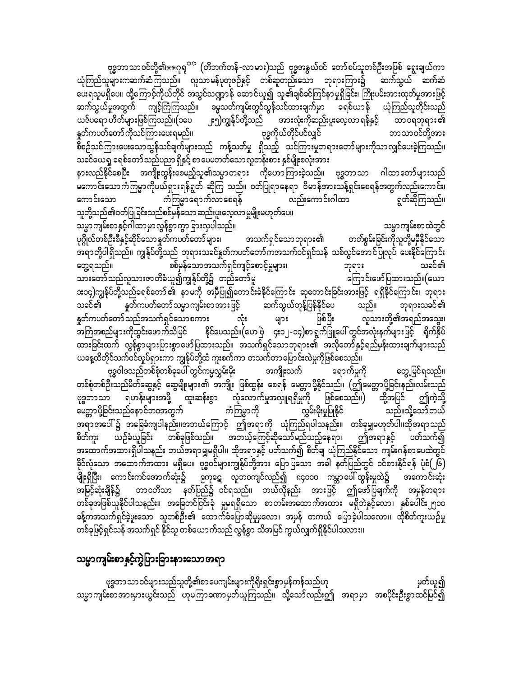မေတ္တာပို့ခြင်းသည်နောင်ဘဝအတွက်<sup>''</sup> ကံကြမ္မာကို လွှမ်းမိုးမှုပြုနိုင် သည်။သို့သော်ဘယ် အရာအပေါ် ၌ အခြေခံကျပါနည်း။အဘယ်ကြောင့် ဤအရာကို ယုံကြည်ရပါသနည်း။ တစ်ခုမျှမဟုတ်ပါ။ထိုအရာသည် ဤအရာနှင့် ယဉ်ခံယူခြင်း တစ်ခုဖြစ်သည်။ အဘယ့်ကြေင့်ဆိုသော်မည်သည့်နေရာ၊ စိတ်ကူး ပတ်သက်၍ အထောက်အထားရှိပါသနည်း ဘယ်အရာမျှမရှိပါ။ ထိုအရာနှင့် ပတ်သက်၍ စိတ်ချ ယုံကြည်နိုင်သော ကျမ်းဂန်စာပေထဲတွင် ခိုင်လုံသော အထောက်အထား မရှိပေ။ ဗုဒ္ဓဝင်များကျွန်ုပ်တို့အား ပြောပြသော အခါ နတ်ပြည်တွင် ဝင်စားနိုင်ရန် ပုံစံ(၂၆) .<br>မျိုးရှိပြီး၊ ကောင်းကင်အောက်ဆုံး၌ ၉ကုဋေ လူဘ၀ကျင်လည်၍ ၈၄၀၀၀ ကမ္ဘာပေါ်ထွန်းမှုထဲ၌ အကောင်းဆုံး အမြင့်ဆုံးချိန်၌ တာဝတိသာ နတ်ပြည်၌ ဝင်ရသည်။ ဘယ်လိုနည်း အားဖြင့် ဤဖော်ပြချက်ကို အမှန်တရား တစ်ခုအဖြစ်ယူနိုင်ပါသနည်း။ အခြေတင်ငြင်းခုံ မှုမရရှိသော စာတမ်းအထောက်အထား မရှိဘဲနှင့်လော၊ နှစ်ပေါင်း၂၅၀၀ ခန့်ကအသက်ရှင်ခဲ့ဖူးသော သူတစ်ဦး၏ ထောက်ခံပြောဆိုမှုမလော၊ အမှန် တကယ် ပြောခဲ့ပါသလော။ ထိုစိတ်ကူးယဉ်မှု တစ်ခုဖြင့်ရှင်သန် အသက်ရှင် နိုင်သူ တစ်ယောက်သည် လွန်စွာ သိအမြင် ကွယ်လျှက်ရှိနိုင်ပါသလား။

သူတို့သည်၏ဝတ်ပြုခြင်းသည်စစ်မှန်သော ဆည်းပူးလေ့လာ မှုမျိုးမဟုတ်ပေ။ သမ္မာကျမ်းစာနှင့်ဂါထာမှာလွန်စွာကွာခြားလှပါသည်။ သမ္မာကျမ်းစာထဲတွင် တတ်စွမ်းခြင်းကိုလူတို့မမှီနိုင်သော ပုဂ္ဂိုလ်တစ်ဦးစီနှင့်ဆိုင်သော နူတ်ကပတ်တော် များ၊ အသက်ရှင်သောဘုရာ**း**၏ ား<br>အရာတို့ပါရှိသည်။ ကျွန်ုပ်တို့သည် ဘုရားသခင်နှုတ်ကပတ်တော်ကအသက်ဝင်ရှင်သန် သစ်လွင်အောင်ပြုလုပ် ပေးနိုင်ကြောင်း စစ်မှန်သောအသက်ရှင်ကျင့်စောင့်မှုများ၊ တွေ့ရသည်။ သခင်၏ ဘုရား သားတော်သည်လူသားဇာတိခံယူ၍ကျွန်ုပ်တို့၌ တည်တော်မူ ကြောင်းဖော်ပြထားသည်။(ယော ား၁၄)ကျွန်ုပ်တို့သည်ခရစ်တော် ၏ နာ မကို အမှီပြု၍တောင်းခံနိုင်ကြောင်း ဆုတောင်းခြင်းအားဖြင့် ရရှိနိုင်ကြောင်း၊ ဘုရား ဆက်သွယ်တုန့်ပြန်နိုင်ပေ နူတ်ကပတ်တော်သမ္မာ ကျမ်းစာအားဖြင့် သည်။ ဘုရားသခင်၏ သခင်၏ နူတ်ကပတ်တော်သည်အသက်ရှင်သောစကား မြစ်ပြီး လူသားတို့၏အရည်အသွေး၊ လုံး များ အကြံအစည်များကိုထွင်းဖောက်သိမြင် နိုင်ပေသည်။(ဟေဗြဲ ၄း၁၂-၁၄)စာရွက်ဖြူပေါ် တွင်အလုံးနက်များဖြင့် ရိုက်နှိပ် ထားခြင်းထက် လွန်စွာများပြားစွာဖော်ပြထားသည်။ အသက်ရှင်သောဘုရား၏ အလိုတော်နှင့်ရည်မှန်းထားချက်များသည် ယနေ့ထိတိုင်သက်ဝင်လှုပ်ရှားကာ ကျွန်ုပ်တို့ထံ ကူးစက်ကာ တသက်တာပြောင်းလဲမှုကိုဖြစ်စေသည်။

နူတ်ကပတ်တော် ကိုသင်ကြားပေးရမည်။ ဗုဒ္ဓကိုယ်တိုင်ပင်လျှင် သခင်ယေရှ ခရစ်တော်သည်ပညာ ရှိနှင့် စာပေမတတ်သောလူတန်းစား နှစ်မျိုးစလုံးအား နားလည်နိုင်စေပြီး အကျိုးထွန်းစေမည့်သူ၏သမ္မာတရား ကိုဟောကြားခဲ့သည်။ ဗုဒ္ဓဘာသာ ဂါထာတော်များသည် မကောင်းသောကံကြမ္မာကိုပယ်ရှားရန်ရွတ် ဆိုကြ သည်။ ဝတ်ပြုရာနေရာ ဗိမာန်အားသန့်ရှင်းစေရန်အတွက်လည်းကောင်း၊ ကံကြမ္မာရောက်လာစေရန် လည်းကောင်းဂါထာ ကောင်းသော ရွတ်ဆိုကြသည်။

ဗုဒ္ဓဘာသာဝင်တို့၏ $\ast\ast$ ဂုရှ<sup>ား</sup> (တိဘက်တန်-လာမား)သည် ဗုဒ္ဓအနွယ်ဝင် တော်စပ်သူတစ်ဦးအဖြစ် ရွေးချယ်ကာ ယုံကြည်သူများကဆက်ဆံကြသည်။ လူသာမန်ပုတုဇဉ်နှင့် တစ်ဆူတည်းသော ဘုရားကြား၌ ဆက်သွယ် ဆက်ဆံ ပေးရသူမရှိပေ။ ထို့ကြောင့်ကိုယ်တိုင် အသွင်သဏ္ဍာန် ဆောင်ယူ၍ သူ၏ချစ်ခင်ကြင်နာမှုရှိခြင်း၊ ကြိုးပမ်းအားထုတ်မှုအားဖြင့် ္သား<br>အမွှသတ်ကျမ်းတွင်သွန်သင်ထားချက်မှာ ခရစ်ယာန် ယုံကြည်သူတိုင်းသည် ဆက်သွယ်မှုအတွက် ကျင့်ကြံကြသည်။ ၂း၅)ကျွန်ုပ်တို့သည်<br>-ယဇ်ပရော ဟိတ်များဖြစ်ကြသည်။(၁ပေ အားလုံးကိုဆည်းပူးလေ့လာ ရန်နှင့် ထာ၀ရဘုရား၏ ဘာသာဝင်တို့အား စီစဉ်သင်ကြားပေးသောသွန်သင်ချက်များသည် ကန့်သတ်မှု ရှိသည့် သင်ကြားမှုတရားတော်များကိုသာလျှင်ပေးခဲ့ကြသည်။

တွေ့မြင်ရသည်။ ဗုဒ္ဓဝါဒသည်တစ်စုံတစ်ခုပေါ် တွင်ကမ္မလွှမ်းမိုး အကျိုးသက် ရောက်မှုကို တစ်စုံတစ်ဦးသည်မိတ်ဆွေနှင့် ဆွေမျိုးများ၏ အကျိုး ဖြစ်ထွန်း စေရန် မေတ္တာပို့နိုင်သည်။ (ဤမေတ္တာပို့ခြင်းနည်းလမ်းသည် \_<br>ရဟန်းများအဖို့ ထူးဆန်းစွာ လုံလောက်မှုအလှူရရှိမှုကို ဖြစ်စေသည်။) ထို့အပြင် ဤကဲ့သို့ ဗုဒ္ဓဘာသာ

သမ္မာကျမ်းစာနှင့်ကွဲပြားခြားနားသောအရာ

ဗုဒ္ဓဘာသာဝင်များသည်သူတို့၏စာပေကျမ်းများကိုရိုးရှင်းစွာမှန်ကန်သည်ဟု မှတ်ယူ၍ သမ္မာကျမ်းစာအားမှားယွင်းသည် ဟုမကြာခဏာမှတ်ယူကြသည်။ သို့သော်လည်းဤ အရာမှာ အစပိုင်းဦးစွာထင်မြင်၍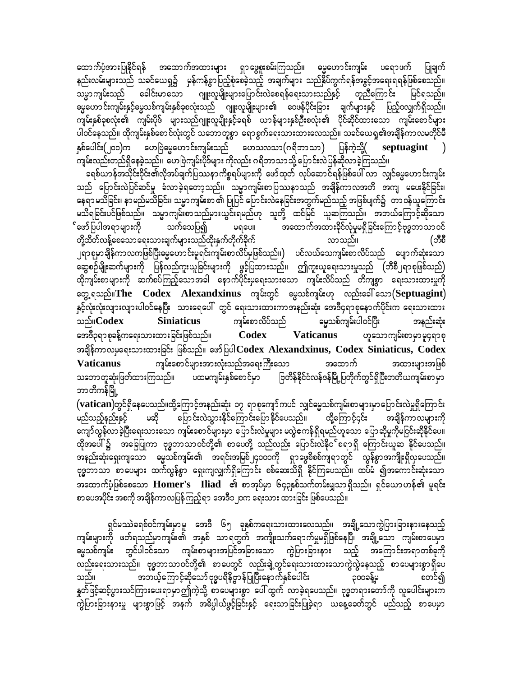ထောက်ပံ့အားပြုနိုင်ရန် အထောက်အထားများ ရှာဖွေစူးစမ်းကြသည်။ ဓမ္မဟောင်းကျမ်း ပရောဖက် နည်းလမ်းများသည် သခင်ယေရှ၌ မှန်ကန်စွာပြည့်စုံစေခဲ့သည့် အချက်များ သည်နှိပ်ကွက်ရန်အခွင့်အရေးရရန်ဖြစ်စေသည်။ ခေါင်းမာသော ဂျူးလူမျိုးများပြောင်းလဲစေရန်ရေးသားသည်နှင့် တူညီကြောင်း သမ္မာကျမ်းသည် မြင်ရသည်။ ဓမ္မဟောင်းကျမ်းနှင့်ဓမ္မသစ်ကျမ်းနှစ်ခုစလုံးသည် ဂျူးလူမျိုးများ၏ ဝေဖန်ပိုင်းခြား ချက်များနှင့် ပြည့်ဝလျှက်ရှိသည်။ ကျမ်းနှစ်ခုစလုံး၏ ကျမ်းပိုဒ် များသည်ဂျူးလူမျိုးနှင့်ခရစ် ယာန်များနှစ်ဦးစလုံး၏ ပိုင်ဆိုင်ထားသော ကျမ်းစောင်များ ပါဝင်နေသည်။ ထိုကျမ်းနှစ်စောင်လုံးတွင် သဘောတူစွာ ရောစွက်ရေးသားထားလေသည်။ သခင်ယေရှု၏အချိန်ကာလမတိုင်မီ နှစ်ပေါင်း(၂၀၀)က ဟေဗြဲဓမ္မဟောင်းကျမ်းသည် ဟေသလသာ(ဂရိဘာသာ) ပြန်ကဲ့သို့( septuagint ) ကျမ်းလည်းတည်ရှိနေခဲ့သည်။ ဟေဗြဲကျမ်းပိုဒ်များ ကိုလည်း ဂရိဘာသာသို့ ပြောင်းလဲပြန်ဆိုလာခဲ့ကြသည်။

.<br>|ခရစ်ယာန်အသိုင်းဝိုင်း၏လိုအပ်ချက်ပြဿနာကိစ္စရပ်များကို ဖော်ထုတ် လုပ်ဆောင်ရန်ဖြစ်ပေါ် လာ လျှင်ဓမ္မဟောင်းကျမ်း| သည် ပြောင်းလဲပြင်ဆင်မှု ခံလာခဲ့ရတော့သည်။ သမ္မာကျမ်းစာပြဿနာသည် အချိန်ကာလအတိ အကျ မပေးနိုင်ခြင်း၊ နေရာမသိခြင်း၊ နာမည်မသိခြင်း၊ သမ္မာကျမ်းစာ ၏ ပြုပြင် ပြောင်းလဲနေခြင်းအတွက်မည်သည့် အဖြစ်ပျက်၌ တာဝန်ယူကြောင်း မသိရခြင်းပင်ဖြစ်သည်။ သမ္မာကျမ်းစာသည်မှားယွင်းရမည်ဟု သူတို့ ထင်မြင် ယူဆကြသည်။ အဘယ်ကြောင့်ဆိုသော ်ဖော်ပြပါအရာများကို သက်သေပြ၍ မရပေ။ အထောက်အထားခိုင်လုံမှုမရှိခြင်းကြောင့်ဗုဒ္ဓဘာသာဝင် တို့ထိတ်လန့်စေသောရေးသားချက်များသည်ထိုးနှက်တိုက်ခိုက် လာသည်။ (ဘီစီ ၂ရာစုမှာချိန်ကာလကဖြစ်ပြီးဓမ္မဟောင်းမှုရင်းကျမ်းစာလိပ်မှဖြစ်သည်။) ပင်လယ်သေကျမ်းစာလိပ်သည် ပျောက်ဆုံးသော ဆွေစဉ်မျိုးဆက်များကို ပြန်လည်ကူးယူခြင်းများကို ဖွင့်ပြထားသည်။ ဤကူးယူရေးသားမှုသည် (ဘီစီ၂ရာစုဖြစ်သည်) ထိုကျမ်းစာများကို ဆက်စပ်ကြည့်သောအခါ နောက်ပိုင်းမှရေးသားသော ကျမ်းလိပ်သည် တိကျစွာ ရေးသားထားမှုကို တွေ့ ရသည်။The Codex Alexandxinus ကျမ်းတွင် မွေသစ်ကျမ်းဟု လည်းခေါ် သော(Septuagint) နှင့်လုံးလုံးလျားလျားပါဝင်နေပြီး သားရေပေါ် တွင် ရေးသားထားကာအနည်းဆုံး အေဒီ၄ရာစုနောက်ပိုင်းက ရေးသားထား သည်။ $\mathbf{Codex}$ **Siniaticus** ကျမ်းစာလိပ်သည် မွေသစ်ကျမ်းပါဝင်ပြီး အနည်းဆုံး အေဒီ၃ရာ စုခန့်ကရေးသားထားခြင်းဖြစ်သည်။ **Vaticanus** Codex ဟူသောကျမ်းစာမှာမူ၄ရာစု အချိန်ကာလမှရေးသားထားခြင်း ဖြစ်သည်။ ဖော်ပြပါ Codex Alexandxinus, Codex Siniaticus, Codex ကျမ်းစောင်များအားလုံးသည်အရေးကြီးသော အထောက် **Vaticanus** အထားများအဖြစ် သဘောတူဆုံးဖြတ်ထားကြသည်။ ပထမကျမ်းနှစ်စောင်မှာ ဗြတိန်နိုင်ငံလန်ဒန်မြို့ပြတိုက်တွင်ရှိပြီးတတိယကျမ်းစာမှာ ဘာတိကန်မြို့

(vatican)တွင်ရှိနေပေသည်။ထို့ကြောင့်အနည်းဆုံး ၁၇ ရာစုကျော်ကပင် လျှင်မွေသစ်ကျမ်းစာများမှာပြောင်းလဲမှုရှိကြောင်း -<br>မြောင်းလဲသွားနိုင်ကြောင်းပြောနိုင်ပေသည်။ ထို့ကြောင့်၄င်း မည်သည့်နည်းနှင့် မဆို အချိန်ကာလများကို ကျော်လွန်လာခဲ့ပြီးရေးသားသော ကျမ်းစောင်များမှာ ပြောင်းလဲမှုများ မလွဲဧကန်ရှိရမည်ဟူသော ပြောဆိုမှုကိုမငြင်းဆိုနိုင်ပေ။ အနည်းဆုံးရှေးကျသော ဓမ္မသစ်ကျမ်း၏ အရင်းအမြစ်၂၄၀၀၀ကို ရှာဖွေစိစစ်ကျရာတွင် လွန်စွာအကျိုးရှိလှပေသည်။ ဗုဒ္ဓဘာသာ စာပေများ ထက်လွန်စွာ ရှေးကျလျှက်ရှိကြောင်း စစ်ဆေးသိရှိ နိုင်ကြပေသည်။ ထပ်မံ ၍အကောင်းဆုံးသော အထောက်ပံ့ဖြစ်စေသော Homer's Iliad ၏ စာအုပ်မှာ ၆၄၃နှစ်သက်တမ်းမျှသာရှိသည်။ ရှင်ယောဟန်၏ မူရင်း စာပေအပိုင်း အစကို အချိန်ကာလပြန်ကြည့်ရာ အေဒီ၁၂၀က ရေးသား ထားခြင်း ဖြစ်ပေသည်။

ရှင်မဿဲခရစ်ဝင်ကျမ်းမှာမူ အေဒီ ၆၅ ခုနှစ်ကရေးသားထားလေသည်။ အချို့သောကွဲပြားခြားနားနေသည့် ကျမ်းများကို ဖတ်ရသည်မှာကျမ်း၏ အနှစ် သာရတွက် အကျိုးသက်ရောက်မှုမရှိဖြစ်နေပြီ၊ အချို့သော ကျမ်းစာပေမှာ မ္မေသစ်ကျမ်း တွင်ပါဝင်သော ကျမ်းစာများအပြင်အခြားသော ကွဲပြားခြားနား သည့် အကြောင်းအရာတစ်ခုကို လည်းရေးသားသည်။ ဗုဒ္ဓဘာသာဝင်တို့၏ စာပေတွင် လည်းချဲ့တွင်ရေးသားထားသောကွဲလွဲနေသည့် စာပေများစွာရှိပေ အဘယ့်ကြောင့်ဆိုသော် ဗုဒ္ဓပရိနိဗ္ဗာန်ပြုပြီးနောက်နှစ်ပေါင်း သည်။ ၃၀၀ခန့်မ စတင်၍ နှုတ်ဖြင့်ဆင့်ပွားသင်ကြားပေးရာမှာဤကဲ့သို့ စာပေများစွာ ပေါ်ထွက် လာခဲ့ရပေသည်။ ဗုဒ္ဓတရားတော်ကို လူပေါင်းများက ကွဲပြားခြားနားမှု များစွာဖြင့် အနက် အဓိပ္ပါယ်ဖွင့်ခြင်းနှင့် ရေးသာခြင်းပြုခဲ့ရာ ယနေ့ခေတ်တွင် မည်သည့် စာပေမှာ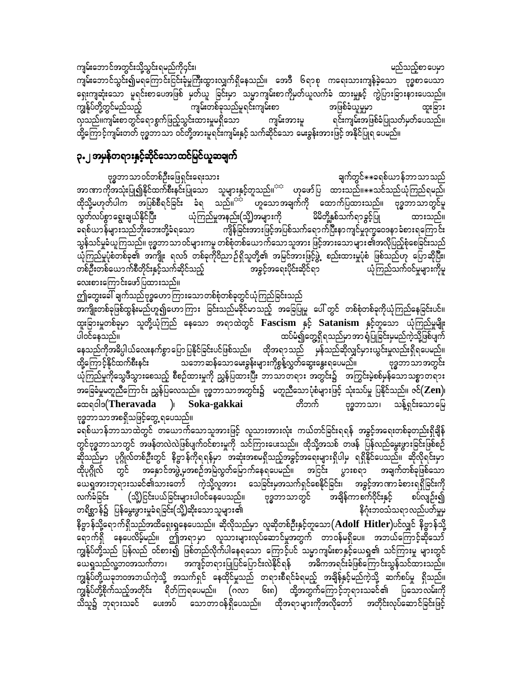ဆိုသည်မှာ ပုဂ္ဂိုလ်တစ်ဦးတွင် နိဗ္ဗာန်ကိုရရန်မှာ အဆုံးအစမရှိသည့်အခွင့်အရေးများရှိပါမှ ရရှိနိုင်ပေသည်။ ဆိုလိုရင်းမှာ ထိုပုဂ္ဂိုလ် တွင် အနှောင်အဖွဲ့မှုအစဉ်အမြဲလွှတ်မြောက်နေရပေမည်။ အငြင်း ပွားစရာ အချက်တစ်ခုဖြစ်သော ာသော<br>ယေရှုအားဘုရားသခင်၏သားတော် ကဲ့သို့လူအား သေခြင်းမှအသက်ရှင်စေနိုင်ခြင်း၊ အခွင့်အာဏာခံစားရရှိခြင်းကို လက်ခံခြင်း (သို့)ငြင်းပယ်ခြင်းများပါဝင်နေပေသည်။ ဗုဒ္ဓဘာသာတွင် အချိန်ကာစက်ဝိုင်းနှင့် စပ်လျဉ်း၍ တရိစ္ဆာန်၌ ပြန်မွေးဖွားမှုခံရခြင်း(သို့)ဆိုးသောသူများ၏ နိဂုံးဘဝသံသရာလည်ပတ်မှုမှ နိဗ္ဗာန်သို့ရောက်ရှိသည်အထိရှေးရှနေပေသည်။ ဆိုလိုသည်မှာ လူဆိုတစ်ဦးနှင့်တူသော $({\bf Add}{\bf H}{\bf it}{\bf der})$ ပင်လျှင် နိဗ္ဗာန်သို့ ာ<br>ရောက်ရှိ နေပေလိမ့်မည်။ ဤအရာမှာ လူသားများလုပ်ဆောင်မှုအတွက် တာဝန်မရှိပေ။ အဘယ်ကြောင့်ဆိုသော် ကျွန်ုပ်တို့သည် ပြန်လည် ဝင်စား၍ ဖြစ်တည်လိုက်ပါနေရသော ကြောင့်ပင် သမ္မာကျမ်းစာနှင့်ယေရှု၏ သင်ကြားမှု များတွင် ယေရှုသည်လူ့ဘဝအသက်တာ၊ အကျင့်တရားပြုပြင်ပြောင်းလဲနိုင်ရန် အဓိကအရင်းခံဖြစ်ကြောင်းသွန်သင်ထားသည်။ ကျွန်ုပ်တို့ယခုဘဝအဘယ်ကဲ့သို့ အသက်ရှင် နေထိုင်မှုသည် တရားစီရင်ခံရမည့် အချိန်နှင့်မည်ကဲ့သို့ ဆက်စပ်မှု ရှိသည်။ ကျွန်ုပ်တို့စိုက်သည့်အတိုင်း ရိတ်ကြရပေမည်။ (ဂလာ ၆း၈) ထို့အတွက်ကြောင့်ဘုရားသခင်၏ ပြသောလမ်းကို သိသူ၌ ဘုရားသခင် ပေးအပ် သောတာဝန်ရှိပေသည်။ ထိုအရာများကိုအလိုတော် အတိုင်းလုပ်ဆောင်ခြင်းဖြင့်

ဤတွေးခေါ် ချက်သည်ဗုဒ္ဓဟော ကြားသော တစ်စုံတစ်ခုတွင်ယုံကြည်ခြင်းသည် အကျိုးတစ်ခုဖြစ်ထွန်းမည်ဟူ၍ဟောကြား ခြင်းသည်မခိုင်မာသည့် အခြေပြုမူ ပေါ်တွင် တစ်စုံတစ်ခုကိုယုံကြည်နေခြင်းပင်။ ထူးခြားမှုတစ်ခုမှာ သူတို့ယုံကြည် နေသော အရာထဲတွင် Fascism နှင့် Satanism နှင့်တူသော ယုံကြည်မှုမျိုး ထပ်မံ၍တွေ့ရှိရသည်မှာအာ ရုံပြုခြင်းမှမည်ကဲ့သို့ဖြစ်ပျက် ပါဝင်နေသည်။ နေသည်ကိုအဓိပ္ပါယ်လေးနက်စွာပြောပြနိုင်ခြင်းပင်ဖြစ်သည်။ ထိုအရာသည် မှန်သည်ဆိုလျှင်မှားယွင်းမှုလည်းရှိရပေမည်။ ထို့ကြောင့်နိုင်ထက်စီးနင်း သဘောဆန်သောမေးခွန်းများကိုစွန့်လွှတ်ဆွေးနွေးရပေမည်။ ဗုဒ္ဓဘာသာအတွင်း ယုံကြည်မှုကိုသွေဖီသွားစေသည့် စီစဉ်ထားမှုကို ညွှန်ပြထားပြီး ဘာသာတရား အတွင်း၌ အကြွင်းမဲ့စစ်မှန်သောသစ္စာတရား အခြေခံမှုမတူညီကြောင်း ညွှန်ပြလေသည်။ ဗုဒ္ဓဘာသာအတွင်း၌ မတူညီသောပုံစံများဖြင့် သုံးသပ်မှု ပြနိုင်သည်။ ဇင် $(\mathbf{Zen})$ ၊ တိဘက် ဗုဒ္ဓဘာသာ၊ သန့်ရှင်းသောမြေ conols(Theravada ) Soka-gakkai ဗုဒ္ဓဘာသာအစရှိသဖြင့်တွေ့ ရပေသည်။

ခရစ်ယာန်ဘာသာထဲတွင် တယောက်သောသူအားဖြင့် လူသားအားလုံး ကယ်တင်ခြင်းရရန် အခွင့်အရေးတစ်ခုတည်းရှိချိန် တွင်ဗုဒ္ဓဘာသာတွင် အဖန်တလဲလဲဖြစ်ပျက်ဝင်စားမှုကို သင်ကြားပေးသည်။ ထိုသို့အသစ် တဖန် ပြန်လည်မွေးဖွားခြင်းဖြစ်စဉ်

ဗုဒ္ဓဘာသာဝင်တစ်ဦးဖြေရှင်းရေးသား ချက်တွင် $\ast\ast$ ခရစ်ယာန်ဘာသာသည် အာဏာကိုအသုံးပြု၍နိုင်ထက်ိစီးနင်းပြုသော သူများနှင့်တူသည်။<sup>သာ</sup> ဟုဖော်ပြ ထားသည်။ $\ast\ast$ သင်သည်ယုံကြည်ရမည်၊ မိမိတို့နှစ်သက်ရာခွင့်ပြု လွတ်လပ်စွာ ရွေးချယ်နိုင်ပြီး ယုံကြည်မှုအနည်း(သို့)အများကို ထားသည်။ ခရစ်ယာန်များသည်ဘိုးဘေးတို့ခံရသော ကျိန်ခြင်းအားဖြင့်အပြစ်သက်ရောက်ပြီးနာကျင်မှုဒုက္ခဝေဒနာ ခံစားရကြောင်း သွန်သင်မှုခံယူကြသည်။ ဗုဒ္ဓဘာသာဝင်များကမူ တစ်စုံတစ်ယောက်သောသူအား ဖြင့်အားသောများ၏အလိုပြည့်စုံစေခြင်းသည် ယုံကြည်မှုပုံစံတစ်ခု၏ အကျိုး ရလဒ် တစ်ခုကိုဝိညာဉ်ရှိသူတို့၏ အမြင်အားဖြင့်ဖွဲ့ စည်းထားမှုပုံစံ ဖြစ်သည်ဟု ပြောဆိုပြီး၊ အခွင့်အရေးပိုင်းဆိုင်ရာ တစ်ဦးတစ်ယောက်စီတိုင်းနှင့်သက်ဆိုင်သည့် ယုံကြည်သက်ဝင်မှုများကိုမူ လေးစားကြောင်းဖော်ပြထားသည်။

# ၃.၂ အမှန်တရားနှင့်ဆိုင်သောထင်မြင်ယူဆချက်

ကျမ်းဘောင်အတွင်းသို့သွင်းရမည်ကို၄င်း၊ မည်သည့်စာ ပေမှာ ကျမ်းဘောင်သွင်း၍မရကြောင်းငြင်းခုံမှုကြီးထွားလျှက်ရှိနေသည်။ အေဒီ ၆ရာစု ကရေးသားကျန်ခဲ့သော ဗုဒ္ဓစာပေသာ ရှေးကျဆုံးသော မူရင်းစာပေအဖြစ် မှတ်ယူ ခြင်းမှာ သမ္မာကျမ်းစာကိုမှတ်ယူလက်ခံ ထားမှုနှင့် ကွဲပြားခြားနားပေသည်။ ကျွန်ုပ်တို့တွင်မည်သည့် ကျမ်းတစ်ခုသည်မူရင်းကျမ်းစာ အဖြစ်ခံယူမှုမှာ ထူးခြား လှသည်။ကျမ်းစာတွင်ရောစွက်ဖြည့်သွင်းထားမှုမရှိသော ရင်းကျမ်းအဖြစ်ခံပြုသတ်မှတ်ပေသည်။ ကျမ်းအားမူ ထို့ကြောင့်ကျမ်းတတ် ဗုဒ္ဓဘာသာ ဝင်တို့အားမူရင်းကျမ်းနှင့် သက်ဆိုင်သော မေးခွန်းအားဖြင့် အနိုင်ပြုရ ပေမည်။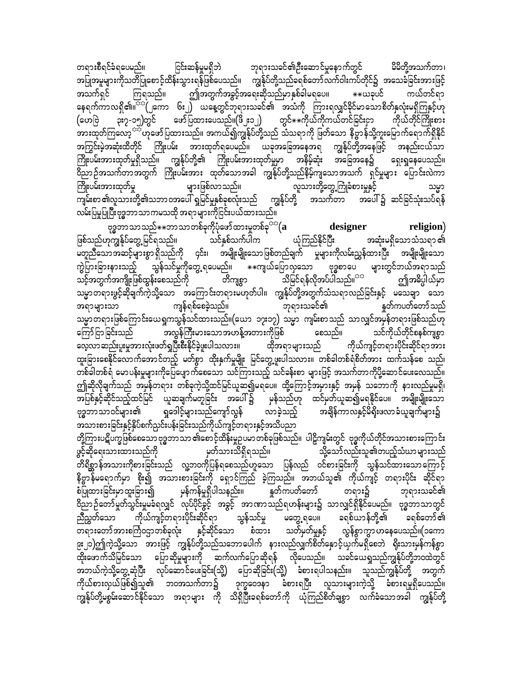ငြင်းဆန်မှုမရှိဘဲ ဘုရားသခင်၏ဦးဆောင်မှုနောက်တွင် မိမိတို့အသက်တာ၊ တရားစီရင်ခံရပေမည်။ အပြုအမူများကိုသတိပြုစောင့်ထိန်းသွားရန်ဖြစ်ပေသည်။ ကျွန်ုပ်တို့သည်ခရစ်တော်လက်ဝါးကပ်တိုင်၌ အသေခံခြင်းအားဖြင့် ဤအတွက်အခွင့်အရေးဆိုသည်မှာနှစ်ခါမရပေ။ \*\*ယခုပင် ကြရသည်။ ကယ်တင်ရာ အသက်ရှင် နေရက်ကာလရှိ၏။<sup>အေ(</sup>၂ကော ၆း၂) ယနေ့တွင်ဘုရားသခင်၏ အသံကို ကြားရလျှင်ခိုင်မာသောစိတ်နှလုံးမရှိကြနှင့်ဟု ား<br>၃း၇-၁၅)တွင် ဖော်ပြထားပေသည်။(ဖိ ့း၁၂) တွင် $\ast$  $\ast$ ကိုယ်ကိုကယ်တင်ခြင်းငှာ (ဟေဗြဲ ကိုယ်တိုင်ကြိုးစား အားထုတ်ကြလော့<sup>သည်</sup>ဟုဖော်ပြထားသည်။ အကယ်၍ကျွန်ုပ်တို့သည် သံသရာကို ဖြတ်သော နိဗ္ဗာန်သို့ကူးမြောက်ရောက်ရှိနိုင် အကြွင်းမဲ့အဆုံးထိတိုင် ကြိုးပမ်း အားထုတ်ရပေမည်။ ယခုအခြေအနေအရ ကျွန်ုပ်တို့အနေဖြင့် အနည်းငယ်သာ ကြိုးပမ်းအားထုတ်မှုရှိသည်။ ကျွန်ုပ်တို့၏ ကြိုးပမ်းအားထုတ်မှုမှာ အနိမ့်ဆုံး အခြေအနေ၌ ရှေးရှုနေပေသည်။ ာက<br>တညာဉ်အသက်တာအတွက် ကြိုးပမ်းအား ထုတ်သောအခါ ကျွန်ုပ်တို့သည်နိမ့်ကျသောအသက် ရှင်မှုများ ပြောင်းလဲကာ များဖြစ်လာသည်။ ကြိုးပမ်းအားထုတ်မှု လူသားတို့တွေ့ကြုံခံစားမှုနှင့် လမ်းပြမှုပြုပြီးဗုဒ္ဓဘာသာကမသထို အရာများကိုငြင်းပယ်ထားသည်။

ဗုဒ္ဓဘာသာသည် $\ast\ast$ ဘာသာတစ်ခုကိုပုံဖော်ထားမှုတစ်ခု<sup>ား(</sup>( ${\bf a}$ designer religion) သင်နှစ်သက်ပါက ဖြစ်သည်ဟုကျွန်ုပ်တွေ့ မြင်ရသည်။ ယုံကြည်နိုင်ပြီး အဆုံးမရှိသောသံသရာ ၏ မိတူညီသောအဆင့်များစွာ ရှိသည်ကို ၄င်း၊ အမျိုးမျိုးသောဖြစ်တည်ချက် မှုများကိုလမ်းညွှန်ထားပြီး အမျိုးမျိုးသော က္ပဲြားခြားနားသည့် သွန်သင်မှုကိုတွေ့ရပေမည်။ \*\*ကျယ်ပြောလှသော ဗုဒ္ဓစာပေ များတွင်ဘယ်အရာသည် ာင်<br>သင့်အတွက်အကျိုးဖြစ်ထွန်းစေသည်ကို သိမြင်ရန်လိုအပ်ပါသည်။<sup>အအ</sup> တိကျစွာ ဤအဓိပ္ပါယ်မှာ သမ္မာတရားဖွင့်ဆိုချက်ကဲ့သို့သော အကြောင်းတရားမဟုတ်ပါ။ ကျွန်ုပ်တို့အတွက်သံသရာလည်ခြင်းနှင့် မသေချာ သော ကျန်ရစ်စေခဲ့သည်။ ဘုရားသခင်၏ နှုတ်ကပတ်တော်သည် အရာများသာ သမ္မာတရားဖြစ်ကြောင်းယေရှုကသွန်သင်ထားသည်။(ယော ၁၇း၁၇) သမ္မာ ကျမ်းစာသည် သာလျှင်အမှန်တရားဖြစ်သည်ဟု ကြော်ငြာခြင်းသည် အလွန်ကြီးမားသောအဟန့်အတားကိုဖြစ် စေသည်။ သင်ကိုယ်တိုင်စနစ်ကျစွာ လေ့လာဆည်းပူးမှုအားလုံးဖတ်ရှပြီးစီးနိုင်ခဲ့ဖူးပါသလား။ ကိုယ်ကျင့်တရားပိုင်းဆိုင်ရာအား ထိုအရာများသည် ထူးခြားစေနိုင်လောက်အောင်တည့် မတ်စွာ ထိုးနှက်မှုမျိုး မြင်တွေ့ဖူးပါသလား။ တစ်ခါတစ်ရံစိတ်အား ထက်သန်စေ သည်၊ တစ်ခါတစ်ရံ မောပန်းမှုများကိုပြေပျောက်စေသော သင်ကြားသည့် သင်ခန်းစာ များဖြင့် အသက်တာကိုပို့ဆောင်ပေးလေသည်။ ဤဆိုလိုချက်သည် အမှန်တရား တစ်ခုကဲ့သို့ထင်မြင်ယူဆ၍မရပေ။ ထို့ကြောင့်အမှားနှင့် အမှန် သဘောကို နားလည်မှုမရှိ၊ ာ<br>အပြစ်နှင့်ဆိုင်သည့်ထင်မြင် ယူဆချက်မတူခြင်း အပေါ်၌ မှန်သည်ဟု ထင်မှတ်ယူဆ၍မရနိုင်ပေ။ အမျိုးမျိုးသော ာချိန်ကာလနှင့်မိရိုးဖလာခံယူချက်များ၌ ဗုဒ္ဓဘာသာဝင်များ၏ ရှဒေါင့်များသည်ကျော်လွန် လာခဲ့သည့် တို့ကြားပဋိပက္ခဖြစ်စေသော ဗုဒ္ဓဘာသာ ၏စောင့်ထိန်းမှုဉပမာတစ်ခုဖြစ်သည်။ ပါဠိကျမ်းတွင် ဗုဒ္ဓကိုယ်တိုင်အသားစားကြောင်း ဖွင့်ဆိုရေးသားထားသည်ကို မှတ်သားသိရှိရသည်။ သို့သော်လည်းသူ၏တပည့်သံဃာများသည် .<br>တိရိစ္ဆာန်အသားကိုစားခြင်းသည် လူ့ဘ၀ကိုပြန်ရစေသည်ဟူသော ပြန်လည် ၀င်စားခြင်းကို သွန်သင်ထားသောကြောင့် နိဗ္ဗာနိမရောက်မှာ စိုး၍ အသားစားခြင်းကို ရှောင်ကြည် ခဲ့ကြသည်။ အဘယ်သူ၏ ကိုယ်ကျင့် တရားပိုင်း ဆိုင်ရာ မှန်ကန်မှုရှိပါသနည်း။ နှုတ်ကပတ်တော် မြ တရား၌ စံပြုထားခြင်းမှာထူးခြား၍ ဘုရားသခင်၏ ညီညွှတ်သော ကိုယ်ကျင့်တရားပိုင်းဆိုင်ရာ သွန်သင်မှု မတွေ့ရပေ။ ခရစ်ယာန်တို့၏ ခရစ်တော် ၏ တရားတော်အားစင်္ကြဝဌာတစ်ခုလုံး နှင့်ဆိုင်သော စံထား သတ်မှတ်မှုနှင့် လွန်စွာကွာဟနေပေသည်။(၁ကော ၉း၂၁)ဤကဲ့သို့သော အားဖြင့် ကျွန်ုပ်တို့သည်သဘောပေါက် နားလည်လျှက်စိတ်နှောင့်ယှက်မရှိစေဘဲ ရိုးသားမှန်ကန်စွာ ထိုးဖောက်သိမြင်သော ပြောဆိုမှုများကို ဆက်လက်ပြောဆိုရန် လိုပေသည်။ သခင်ယေရှုသည်ကျွန်ုပ်တို့ဘဝထဲတွင် အဘယ်ကဲ့သို့တွေ့ဆုံပြီး လုပ်ဆောင်ပေးခြင်း(သို့) ပြောဆိုခြင်း(သို့) ခံစားရပါသနည်း။ သူသည်ကျွန်ုပ်တို့ အတွက် ကိုယ်စားလှယ်ဖြစ်၍သူ၏ ဘဝအသက်တာ၌ ဒုက္ခဝေဒနာ ခံစားရပြီး လူသားများကဲ့သို့ ခံစားရမှုရှိပေသည်။ ကျွန်ုပ်တို့မစွမ်းဆောင်နိုင်သော အရာများ ကို သိရှိပြီးခရစ်တော်ကို ယုံကြည်စိတ်ချစွာ လက်ခံသောအခါ ကျွန်ုပ်တို့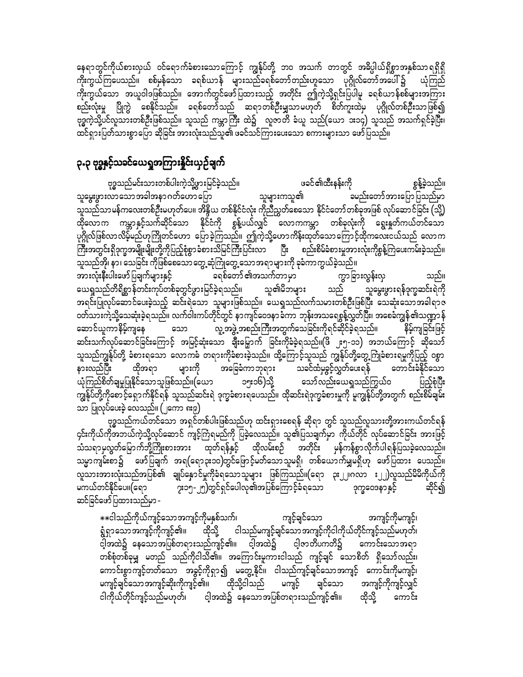နေရာတွင်ကိုယ်စားလှယ် ဝင်ရောက်ခံစားသောကြောင့် ကျွန်ုပ်တို့ ဘဝ အသက် တာတွင် အဓိပ္ပါယ်ရှိစွာအနှစ်သာရရှိရှိ ကိုးကွယ်ကြပေသည်။ စစ်မှန်သော ခရစ်ယာန် များသည်ခရစ်တော်တည်းဟူသော ပုဂ္ဂိုလ်တော်အပေါ်၌ ယုံကြည် ကိုးကွယ်သော အယူဝါဒဖြစ်သည်။ အောက်တွင်ဖော်ပြထားသည့် အတိုင်း ဤကဲ့သို့ရှင်းပြပါမူ ခရစ်ယာန်စစ်များအကြား စည်းလုံးမှု ပြိုကွဲ စေနိုင်သည်။ ခရစ်တော်သည် ဆရာတစ်ဦးမျှသာမဟုတ် စိတ်ကူးထဲမှ ပုဂ္ဂိုလ်တစ်ဦးသာဖြစ်၍ ဗုဒ္ဓကဲ့သို့ပင်လူသားတစ်ဦးဖြစ်သည်။ သူသည် ကမ္ဘာကြီး ထဲ၌ လူဇာတိ ခံယူ သည်(ယော ၁း၁၄) သူသည် အသက်ရှင်ခဲ့ပြီး၊ ထင်ရှားပြတ်သားစွာပြော ဆိုခြင်း အားလုံးသည်သူ၏ ဖခင်သင်ကြားပေးသော စကားများသာ ဖော်ပြသည်။

## ၃.၃ ဗုဒ္ဓနှင့်သခင်ယေရှုအကြားနိူင်းယှဉ်ချက်

ဖခင်၏ထီးနန်းကို ဗုဒ္ဓသည်မင်းသားတစ်ပါးကဲ့သို့ဖွားမြင်ခဲ့သည်။ စွန့်ခဲ့သည်။ သူမွေးဖွားလာသောအခါအနာ ဂတ်ဟော ပြော သူများကသူ၏ ခမည်းတော်အားပြော ပြသည်မှာ ာ့<br>သူသည်သာမန်ကလေးတစ်ဦးမဟုတ်ပေ။ အိန္ဒိယ တစ်နိုင်ငံလုံး ကိုညီညွှတ်စေသော နိုင်ငံတော်တစ်ခုအဖြစ် လုပ်ဆောင်ခြင်း (သို့) ထိုလောက ကမ္ဘာနှင့်သက်ဆိုင်သော နိုင်ငံကို စွန့်ပယ်လျှင် လောကကမ္ဘာ တစ်ခုလုံးကို ရွေးနှုတ်ကယ်တင်သော ပုဂ္ဂိုလ်ဖြစ်လာလိမ့်မည်ဟုကြိုတင်ဟော ပြောခဲ့ကြသည်။ ဤကဲ့သို့ဟောကိန်းထုတ်သောကြောင့်ထိုကလေးငယ်သည် လောက ခရစ်တော် ၏အသက်တာမှာ ကွာခြားလွန်းလှ အားလုံးနီးပါးဖော်ပြချက်များနှင့် သည်။ ယေရှုသည်တိရိစ္ဆာန်တင်းကုပ်တစ်ခုတွင်ဖွားမြင်ခဲ့ရသည်။ သူ၏မိဘများ သူမွေးဖွားရန်ဒုက္ခဆင်းရဲကို သည်

အရင်းပြုလုပ်ဆောင်ပေးခဲ့သည့် ဆင်းရဲသော သူများဖြစ်သည်။ ယေရှသည်လက်သမားတစ်ဦးဖြစ်ပြီး သေဆုံးသောအခါရာဇ ဝတ်သားကဲ့သို့သေဆုံးခဲ့ရသည်။ လက်ဝါးကပ်တိုင်တွင် နာကျင်ဝေဒနာခံကာ ဘုန်းအသရေစွန့်လွှတ်ပြီး၊ အစေခံကျွန်၏သဏ္ဍာန် ဆောင်ယူကာနိမ့်ကျနေ<sup>်</sup> လူ့အဖွဲ့ အစည်းကြီးအတွက်သေခြင်းကိုရင်ဆိုင်ခဲ့ရသည်။ သော နိမ့်ကျခြင်းဖြင့် ဆင်းသက်လုပ်ဆောင်ခြင်းကြောင့် အမြင့်ဆုံးသော ချီးမြှောက် ခြင်းကိုခံခဲ့ရသည်။(ဖိ ၂း၅-၁၁) အဘယ်ကြောင့် ဆိုသော် သူသည်ကျွန်ုပ်တို့ ခံစားရသော လောကဓံ တရားကိုခံစားခဲ့သည်။ ထို့ကြောင့်သူသည် ကျွန်ုပ်တို့တွေ့ကြုံခံစားရမှုကိုပြည့် ဝစွာ အခြေခံကာဘုရား သခင်ထံမှခွင့်လွှတ်ပေးရန် တောင်းခံနိုင်သော များကို ယုံကြည်စိတ်ချမှုပြုနိုင်သောသူဖြစ်သည်။(ယော ၁၅း၁၆)သို့ သော်လည်းယေရှုသည်ကြွယ်ဝ ပြည့်စုံပြီး ကျွန်ုပ်တို့ကိုစောင့်ရှောက်နိုင်ရန် သူသည်ဆင်းရဲ ဒုက္ခခံစားရပေသည်။ ထိုဆင်းရဲဒုက္ခခံစားမှုကို မူကျွန်ုပ်တို့အတွက် စည်းစိမ်ချမ်း သာ ပြုလုပ်ပေးခဲ့ လေသည်။ (၂ကော ၈း၉)

ဗုဒ္ဓသည်ကယ်တင်သော အရှင်တစ်ပါးဖြစ်သည်ဟု ထင်းရှားစေရန် ဆိုရာ တွင် သူသည်လူသားတို့အားကယ်တင်ရန် ၄င်းကိုယ်ကိုအဘယ်ကဲ့သို့လုပ်ဆောင် ကျင့်ကြံရမည်ကို ပြခဲ့လေသည်။ သူ၏ပြသချက်မှာ ကိုယ်တိုင် လုပ်ဆောင်ခြင်း အားဖြင့် သံသရာမှလွတ်မြောက်ဘို့ကြိုးစားအား ထုတ်ရန်နှင့် ထိုလမ်းစဉ် အတိုင်း မှန်ကန်စွာလိုက်ပါရန်ပြသခဲ့လေသည်။ သမ္မာကျမ်းစာ၌ ဖော်ပြချက် အရ(ရော၃း၁၀)တွင်ဖြောင့်မတ်သောသူမရှိ၊ တစ်ယောက်မျှမရှိဟု ဖော်ပြထား ပေသည်။ လူသားအားလုံးသည်အပြစ်၏ ချုပ်နှောင်မှုကိုခံရသောသူများ ဖြစ်ကြသည်။(ရော ၃း၂၂၊ဂလာ း၂၂)လူသည်မိမိကိုယ်ကို မကယ်တင်နိုင်ပေ။(ရော ၇း၁၅-၂၅)တွင်ရှင်ပေါလု၏အပြစ်ကြောင့်ခံရသော ဒုက္ခဝေဒနာနှင့် ဆိုင်၍ ဆင်ခြင်ဖော်ပြထားသည်မှာ -

\*\*ငါသည်ကိုယ်ကျင့်သောအကျင့်ကိုမနှစ်သက်၊ ကျင့်ချင်သော အကျင့်ကိုမကျင့်၊ ရွံရှာသောအကျင့်ကိုကျင့်၏။ ထိုသို့ ငါသည်မကျင့်ချင်သောအကျင့်ကိုငါကိုယ်တိုင်ကျင့်သည်မဟုတ်၊ ငါ့အထဲ၌ နေသောအပြစ်တရားသည်ကျင့်၏။ ငါ့အထဲ၌ ငါ့ဇာတိပကတိ၌ ကောင်းသောအရာ တစ်စုံတစ်ခုမျှ မတည် သည်ကိုငါသိ၏။ အကြောင်းမူကားငါသည် ကျင့်ချင် သောစိတ် ရှိသော်လည်း၊ ကောင်းစွာကျင့်တတ်သော အခွင့်ကိုရှာ၍ မတွေ့နိုင်။ ငါသည်ကျင့်ချင်သောအကျင့် ကောင်းကိုမကျင့်၊ မကျင့်ချင်သောအကျင့်ဆိုးကိုကျင့်၏။ ထိုသို့ငါသည် မကျင့် ချင်သော အကျင့်ကိုကျင့်လျှင် ငါကိုယ်တိုင်ကျင့်သည်မဟုတ်၊ ငါ့အထဲ၌ နေသောအပြစ်တရားသည်ကျင့်၏။ ထိုသို့ ကောင်း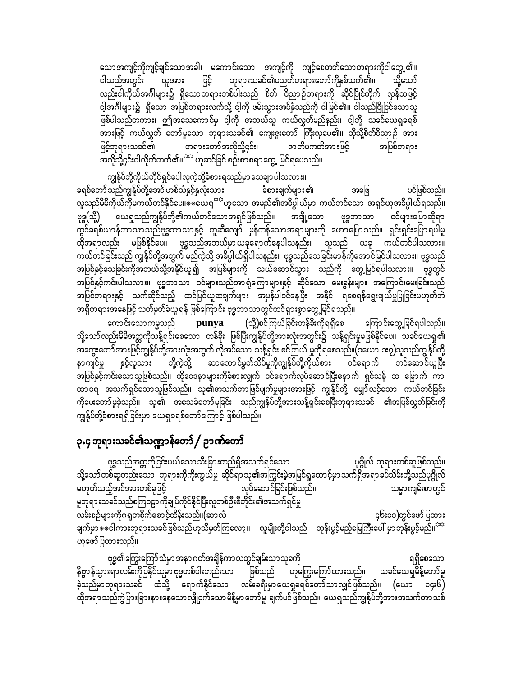သောအကျင့်ကိုကျင့်ချင်သောအခါ၊ မကောင်းသော အကျင့်ကို ကျင့်စေတတ်သောတရားကိုငါတွေ့၏။ ဘုရားသခင်၏ပညတ်တရားတော်ကိုနှစ်သက်၏။ ငါသည်အတွင်း လူအား ဖြင့် သို့သော် လည်းငါကိုယ်အင်္ဂါများ၌ ရှိသောတရားတစ်ပါးသည် စိတ် ဝိညာဉ်တရားကို ဆိုင်ပြိုင်တိုက် လှန်သဖြင့် ငါ့အင်္ဂါများ၌ ရှိသော အပြစ်တရားလက်သို့ ငါ့ကို ဖမ်းသွားအပ်နှံသည်ကို ငါမြင်၏။ ငါသည်ငြိုငြင်သောသူ ဖြစ်ပါသည်တကား၊ ဤအသေကောင်မှ ငါ့ကို အဘယ်သူ ကယ်လွှတ်မည်နည်း၊ ငါ့တို့ သခင်ယေရှုခရစ် အားဖြင့် ကယ်လွှတ် တော်မူသော ဘုရားသခင်၏ ကျေးဇူးတော် ကြီးလှပေ၏။ ထိုသို့စိတ်ဝိညာဉ် အား ဖြင့်ဘုရားသခင်၏ တရားတော်အလိုသို့၄င်း၊ ဇာတိပကတိအားဖြင့် အပြစ်တရား အလိုသို့၄င်းငါလိုက်တတ်၏။<sup>ာာ</sup> ဟုဆင်ခြင် စဉ်းစာစရာတွေ့ မြင်ရပေသည်။

ကျွန်ုပ်တို့ကိုယ်တိုင်ရှင်ပေါလုကဲ့သို့ခံစားရသည်မှာ သေချာ ပါသလား။ ခရစ်တော်သည်ကျွန်ုပ်တို့အော် ဟစ်သံနှင့်နှလုံးသား ခံစားချက်များ၏ ပင်ဖြစ်သည်။ အဖြေ လူသည်မိမိကိုယ်ကိုမကယ်တင်နိုင်ပေ။ $\ast\ast$ ယေရှ<sup>ား</sup>ဟူသော အမည်၏အဓိပ္ပါယ်မှာ ကယ်တင်သော အရှင်ဟုအဓိပ္ပါယ်ရသည်။ ဗုဒ္ဓ(သို့) ယေရှုသည်ကျွန်ုပ်တို့၏ကယ်တင်သောအရှင်ဖြစ်သည်။ အချို့သော ဗုဒ္ဓဘာသာ ဝင်များပြောဆိုရာ တွင်ခရစ်ယာန်ဘာသာသည်ဗုဒ္ဓဘာသာနှင့် တူဆီလျော် မှန်ကန်သောအရာများကို ဟောပြောသည်။ ရှင်းရှင်းပြောရပါမူ ထိုအရာလည်း မဖြစ်နိုင်ပေ။ ဗုဒ္ဓသည်အဘယ်မှာယခုရောက်နေပါသနည်း။ သူသည် ယခု ကယ်တင်ပါသလား။ ကယ်တင်ခြင်းသည် ကျွန်ုပ်တို့အတွက် မည်ကဲ့သို့ အဓိပ္ပါယ်ရှိပါသနည်း။ ဗုဒ္ဓသည်သေခြင်းမာန်ကိုအောင်မြင်ပါသလား။ ဗုဒ္ဓသည် အပြစ်နှင့်သေခြင်းကိုအဘယ်သို့အနိုင်ယူ၍ အပြစ်များကို သယ်ဆောင်သွား သည်ကို တွေ့မြင်ရပါသလား။ ဗုဒ္ဓတွင် အပြစ်နှင့်ကင်းပါသလား။ ဗုဒ္ဓဘာသာ ဝင်များသည်အာရုံကြောများနှင့် ဆိုင်သော မေးခွန်းများ အကြောင်းမေးခြင်းသည် အပြစ်တရားနှင့် သက်ဆိုင်သည့် ထင်မြင်ယူဆချက်များ အမှန်ပါဝင်နေပြီး အနိုင် ရစေရန်ရွေးချယ်မှုပြုခြင်းမဟုတ်ဘဲ အရှိတရားအနေဖြင့် သတ်မှတ်ခံယူရန် ဖြစ်ကြောင်း ဗုဒ္ဓဘာသာတွင်ထင်ရှားစွာတွေ့မြင်ရသည်။

ကောင်းသောကမ္မသည် punya (သို့)စင်ကြယ်ခြင်းတန်ခိုးကိုရရှိစေ ကြောင်းတွေ့မြင်ရပါသည်။ သို့သော်လည်းမိမိအတ္တကိုသိန့်ရှင်းစေသော တန်ခိုး ဖြစ်ပြီးကျွန်ုပ်တို့အားလုံးအတွင်း၌ သန့်ရှင်းမှုမဖြစ်နိုင်ပေ။ သခင်ယေရှု၏ နာကျင်မှု နှင့်လူသား တို့ကဲ့သို့ ဆာလောင်မွတ်သိပ်မှုကိုကျွန်ုပ်တို့ကိုယ်စား ဝင်ရောက် တင်ဆောင်ယူပြီး .<br>အပြစ်နှင့်ကင်းသောသူဖြစ်သည်။ ထိုဝေဒနာများကိုခံစားလျှက် ဝင်ရောက်လုပ်ဆောင်ပြီးနောက် ရှင်သန် ထ မြောက် ကာ ထာဝရ အသက်ရှင်သောသူဖြစ်သည်။ သူ၏အသက်တာဖြစ်ပျက်မှုများအားဖြင့် ကျွန်ုပ်တို့ မျှော်လင့်သော ကယ်တင်ခြင်း ကိုပေးတော်မူခဲ့သည်။ သူ၏ အသေခံတော်မူခြင်း သည်ကျွန်ုပ်တို့အားသန့်ရှင်းစေပြီးဘုရားသခင် ၏အပြစ်လွှတ်ခြင်းကို ကျွန်ုပ်တို့ခံစားရရှိခြင်းမှာ ယေရှုခရစ်တော်ကြောင့် ဖြစ်ပါသည်။

# ၃.၄ ဘုရားသခင်၏သဏ္ဍာန်တော် / ဉာဏ်တော်

ဗုဒ္ဓသည်အတ္တကိုငြင်းပယ်သောသီးခြားတည်ရှိအသက်ရှင်သော ပုဂ္ဂိုလ် ဘုရားတစ်ဆူဖြစ်သည်။ သို့သော်တစ်ဆူတည်းသော ဘုရားကိုကိုးကွယ်မှု ဆိုင်ရာသူ၏အကြွင်းမဲ့အမြင်ရှုထောင့်မှာသက်ရှိအရာခပ်သိမ်းတို့သည်ပုဂ္ဂိုလ် လုပ်ဆောင်ခြင်းဖြစ်သည်။ မဟုတ်သည့်အင်အားတစ်ခုဖြင့် သမ္မာကျမ်းစာတွင် မူဘုရားသခင်သည်စကြဝဠာကိုချုပ်ကိုင်နိုင်ပြီးလူတစ်ဦးစီတိုင်း၏အသက်ရှင်မှု လမ်းစဉ်များကိုဂရုတစိုက်စောင့်ထိန်းသည်။(ဆာလံ ၄၆း၁၀)တွင်ဖော်ပြထား ချက်မှာ $\ast\ast$ ငါကားဘုရားသခင်ဖြစ်သည်ဟုသိမှတ်ကြလော့။ လူမျိုးတို့ငါသည် ဘုန်းပွင့်မည့်မြေကြီးပေါ် မှာဘုန်းပွင့်မည်။<sup>အအ</sup> ဟုဖော်ပြထားသည်။

ဗုဒ္ဓ၏ကြွေးကြော်သံမှာ အနာ ဂတ်အချိန်ကာ လတွင်ချမ်းသာ သုခကို ရရှိစေသော နိဗ္ဗာန်သွားရာလမ်းကိုပြနိုင်သူမှာ ဗုဒ္ဓတစ်ပါးတည်းသာ ဖြစ်သည် ဟုကြွေးကြော်ထားသည်။ သခင်ယေရှမိန့်တော်မူ ခဲ့သည်မှာဘုရားသခင် ထံသို့ ရောက်နိုင်သော လမ်းခရီးမှာယေရှုခရစ်တော်သာလျှင်ဖြစ်သည်။ (ယော ၁၄း၆)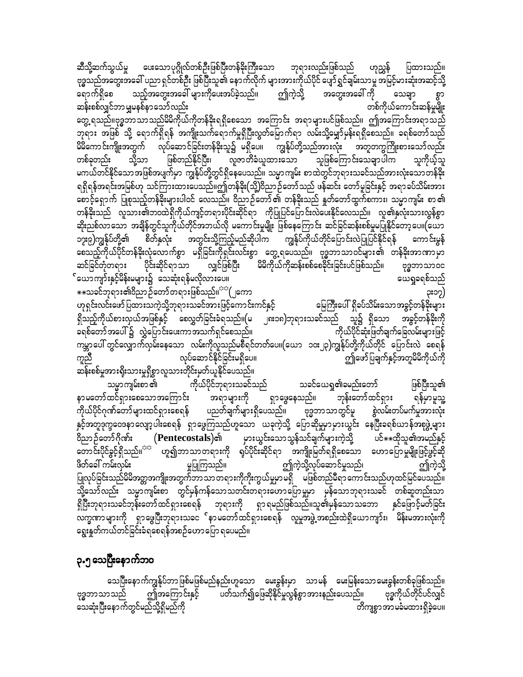ပေးသောပုဂ္ဂိုလ်တစ်ဦးဖြစ်ပြီးတန်ခိုးကြီးသော ဘုရားလည်းဖြစ်သည် ဟုညွှန် ဆီသို့ဆက်သွယ်မှု ပြထားသည်။ ဗုဒ္ဓသည်အတွေးအခေါ် ပညာ ရှင်တစ်ဦး ဖြစ်ပြီးသူ၏ နောက်လိုက် များအားကိုယ်ပိုင် ပျော်ရွှင်ချမ်းသာမူ အမြင့်မားဆုံးအဆင့်သို့ သည့်အတွေးအခေါ် များကိုပေးအပ်ခဲ့သည်။ ဤကဲ့သို့ အတွေးအခေါ် ကို ရောက်ရှိစေ သေချာ တစ်ကိုယ်ကောင်းဆန်မှုမျိုး ဆန်းစစ်လျှင်ဘာမျှမနစ်နာသော်လည်း

တွေ့ ရသည်။ဗုဒ္ဓဘာသာသည်မိမိကိုယ်ကိုတန်ခိုးရရှိစေသော အကြောင်း အရာများပင်ဖြစ်သည်။ ဤအကြောင်းအရာသည် ဘုရား အဖြစ် သို့ ရောက်ရှိရန် အကျိုးသက်ရောက်မှုရှိပြီးလွတ်မြောက်ရာ လမ်းသို့မျှော်မှန်းရရှိစေသည်။ ခရစ်တော်သည် မိမိကောင်းကျိုးအတွက် လုပ်ဆောင်ခြင်းတန်ခိုးသူ၌ မရှိပေ။ ကျွန်ုပ်တို့သည်အားလုံး အတူတကွကြိုးစားသော်လည်း ဖြစ်တည်နိုင်ပြီး၊ လူဇာတိခံယူထားသော သူဖြစ်ကြောင်းသေချာပါက သို့သာ သူကိုယ့်သူ တစ်ခုတည်း မကယ်တင်နိုင်သောအဖြစ်အပျက်မှာ ကျွန်ုပ်တို့တွင်ရှိနေပေသည်။ သမ္မာကျမ်း စာထဲတွင်ဘုရားသခင်သည်အားလုံးသောတန်ခိုး ရရှိရန်အရင်းအမြစ်ဟု သင်ကြားထားပေသည်။ဤတန်ခိုး(သို့)ဝိညာဉ်တော်သည် ဖန်ဆင်း တော်မူခြင်းနှင့် အရာခပ်သိမ်းအား စောင့်ရှောက် ပြုစုသည့်တန်ခိုးများပါဝင် လေသည်။ ဝိညာဉ်တော်၏ တန်ခိုးသည် နှတ်တော်ထွက်စကား၊ သမ္မာကျမ်း စာ၏ တန်ခိုးသည် လူသား၏ဘ၀ထဲရှိကိုယ်ကျင့်တရားပိုင်းဆိုင်ရာ ကိုပြုပြင်ပြောင်းလဲပေးနိုင်လေသည်။ လူ၏နှလုံးသားလွန်စွာ ဆိုးညစ်လာသော အချိန်တွင်သူကိုယ်တိုင်အဘယ်လို မကောင်းမှုမျိုး ဖြစ်နေကြောင်း ဆင်ခြင်ဆန်းစစ်မှုမပြုနိုင်တော့ပေ။(ယော ၁၇း၉)ကျွန်ုပ်တို့၏ စိတ်နှလုံး အတွင်းသို့ကြည့်မည်ဆိုပါက ကျွန်ုပ်ကိုယ်တိုင်ပြောင်းလဲပြုပြင်နိုင်ရန် ကောင်းမွန် စေသည့်ကိုယ်ပိုင်တန်ခိုးလုံလောက်စွာ မရှိခြင်းကိုရှင်းလင်းစွာ တွေ့ရပေသည်။ ဗုဒ္ဓဘာသာဝင်များ၏ တန်ခိုးအာဏာမှာ ဆင်ခြင်တုံတရား ပိုင်းဆိုင်ရာသာ လျှင်ဖြစ်ပြီး <sup>ီ</sup> မိမိကိုယ်ကိုဆန်းစစ်စေခိုင်းခြင်းပင်ဖြစ်သည်။ ဗုဒ္ဓဘာသာဝင ်ယောကျာ်းနှင့်မိန်းမများ၌ သေဆုံးရန်မလိုလားပေ။ ယေရှုခရစ်သည် ⋇⋇သခင်ဘုရား၏ဝိညာဉ်တော်တရားဖြစ်သည်။<sup>¤¤</sup>(၂ကော ၃း၁၇)

ဟုရှင်းလင်းဖော်ပြထားသကဲ့သို့ဘုရားသခင်အားဖြင့်ကောင်းကင်နှင့် မြေကြီးပေါ် ရှိခပ်သိမ်းသောအခွင့်တန်ခိုးများ ၂၈း၁၈)ဘုရားသခင်သည် သူ၌ ရှိသော အခွင့်တန်ခိုးကို ရှိသည့်ကိုယ်စားလှယ်အဖြစ်နှင့် စေလွှတ်ခြင်းခံရသည်။(မ ာ<br>ခရစ်တော်အပေါ် ၌ လွှဲပြောင်းပေးကာအသက်ရှင်စေသည်။ -<br>ကိုယ်ပိုင်ဆုံးဖြတ်ချက်ခြေလမ်းများဖြင့် ကမ္ဘာ့ပေါ် တွင်လျှောက်လှမ်းနေသော လမ်းကိုလူသည်မစီရင်တတ်ပေ။(ယော ၁၀း၂၃)ကျွန်ုပ်တို့ကိုယ်တိုင် ပြောင်းလဲ စေရန် လုပ်ဆောင်နိုင်ခြင်းမရှိပေ။ ကူညီ ဤဖော်ပြချက်နှင့်အတူမိမိကိုယ်ကို ဆန်းစစ်မှုအားရိုးသားမှုရှိစွာလူသားတိုင်းမှတ်ယူနိုင်ပေသည်။

.<br>ကိုယ်ပိုင်ဘုရားသခင်သည် သခင်ယေရှု၏ခမည်းတော် ဖြစ်ပြီးသူ၏ သမ္မာကျမ်းစာ ၏ နာမတော်ထင်ရှားစေသောအကြောင်း အရာများကို ရှာဖွေနေသည်။ ဘုန်းတော်ထင်ရှား ရန်မှာမူသူ့ ကိုယ်ပိုင်ဂုဏ်တော်များထင်ရှားစေရန် ပညတ်ချက်များရှိပေသည်။ ဗုဒ္ဓဘာသာတွင်မူ စွဲလမ်းတပ်မက်မှုအားလုံး နှင့်အတူဒုက္ခဝေဒနာလျော့ပါးစေရန် ရှာဖွေကြသည်ဟူသော ယခုကဲ့သို့ ပြောဆိုမှုမှာမှားယွင်း နေပြီးခရစ်ယာန်အစုဖွဲ့များ ဝိညာဉ်တော်ဂိုဏ်း (Pentecostals)၏ မှားယွင်းသောသွန်သင်ချက်များကဲ့သို့ ပင် $\ast\ast$ ထိုသူ၏အမည်နှင့် တောင်းပိုင်ခွင့်ရှိသည်။<sup>ဒဲအ</sup>ဲ ဟူ၍ဘာသာတရားကို ရုပ်ပိုင်းဆိုင်ရာ အကျိုးမြတ်ရရှိစေသော ဟောပြောမှုမျိုးဖြင့်ဖွင့်ဆို မှုပြုကြသည်။ ဤကဲ့သို့လုပ်ဆောင်မှုသည်၊ ဖိတ်ခေါ် ကမ်းလှမ်း ဤကဲ့သို့ ပြုလုပ်ခြင်းသည်မိမိအတ္တအကျိုးအတွက်ဘာသာတရားကိုကိုးကွယ်မှုမှာမရှိ မဖြစ်တည်မီရာကောင်းသည်ဟုထင်မြင်ပေသည်။ ာိမ္ပံသော်လည်း သမ္မာကျမ်းစာ တွင်မှန်ကန်သောသတင်းတရားဟောပြောမှုမှာ မှန်သောဘုရားသခင် တစ်ဆူတည်းသာ ရှိပြီးဘုရားသခင်ဘုန်းတော်ထင်ရှားစေရန် ဘုရားကို ရှာရမည်ဖြစ်သည်။သူ၏မှန်သောသဘော နှင်ဖြောင့်မတ်ခြင်း ား<br>လက္ခဏာများကို ရှာဖွေပြီးဘုရားသခင ်နာမတော်ထင်ရှားစေရန် လူမှုအဖွဲ့အစည်းထဲရှိယောကျာ်း၊ မိန်းမအားလုံးကို ရွေးနှုတ်ကယ်တင်ခြင်းခံရစေရန်အစဉ်ဟောပြော ရပေမည်။

## ၃.၅ သေပြီးနောက်ဘဝ

သေပြီးနောက်ကျွန်ုပ်ဘာဖြစ်မဖြစ်မည်နည်းဟူသော မေးခွန်းမှာ သာမန် မေးမြန်းသောမေးခွန်းတစ်ခုဖြစ်သည်။ .<br>ပတ်သက်၍ဖြေဆိုနိုင်မှုလွန်စွာအားနည်းပေသည်။ ဤအကြောင်းနှင့် ဗုဒ္ဓကိုယ်တိုင်ပင်လျှင် ဗုဒ္ဓဘာသာသည် သေဆုံးပြီးနောက်တွင်မည်သို့ရှိမည်ကို တိကျစွာအာမခံမထားရှိခဲ့ပေ။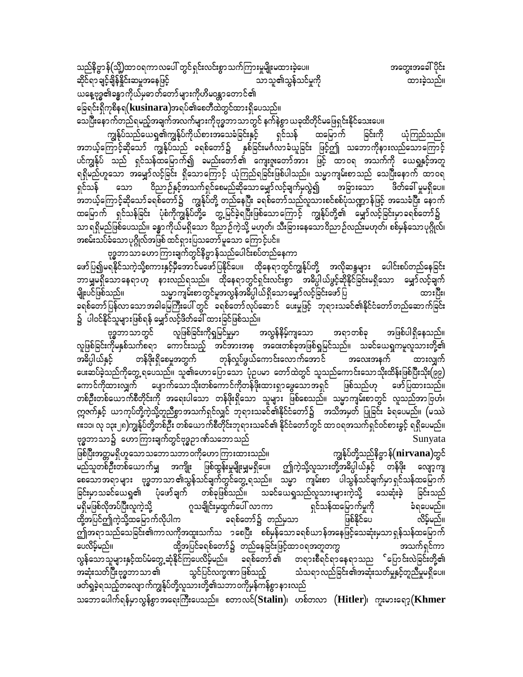အတွေးအခေါ် ပိုင်း ထားခဲ့သည်။

သေပြီးနောက်တည်ရမည့်အချက်အလက်များကိုဗုဒ္ဓဘာသာတွင် နက်နဲစွာ ယခုထိတိုင်မဖြေရှင်းနိုင်သေးပေ။

ကျွန်ုပ်သည်ယေရှု၏ကျွန်ုပ်ကိုယ်စားအသေခံခြင်းနှင့် ရှင်သန် ထမြောက် ခြင်းကို ယုံကြည်သည်။ အဘယ့်ကြောင့်ဆိုသော် ကျွန်ုပ်သည် ခရစ်တော်၌ နှစ်ခြင်းမင်္ဂလာခံယူခြင်း ဖြင့်ဤ သဘောကိုနားလည်သောကြောင့်<br>ပင်ကျွန်ုပ် သည် ရှင်သန်ထမြောက်၍ ခမည်းတော်၏ ကျေးဇူးတော်အား ဖြင့် ထာဝရ အသက်ကို ယေရှုနှင့်အတူ ္ မျိုး<br>ရရှိမည်ဟူသော အမျှော်လင့်ခြင်း ရှိသောကြောင့် ယုံကြည်ရခြင်းဖြစ်ပါသည်။ သမ္မာကျမ်းစာသည် သေပြီးနောက် ထာဝရ<br>ရှင်သန် သော ဝိညာဉ်နှင့်အသက်ရှင်စေမည်ဆိုသောမျှော်လင့်ချက်မှလွဲ၍ အခြားသော ဖိတ်ခေါ် မှုမရှိပေ။ ထမြောက် ရှင်သန်ခြင်း ပုံစံကိုကျွန်ုပ်တို့ေ တွ့့မြင်ခဲ့ရပြီးဖြစ်သောကြောင့် ကျွန်ုပ်တို့၏ မျှော်လင့်ခြင်းမှာခရစ်တော်၌ သာ ရရှိမည်ဖြစ်ပေသည်။ ခန္ဓာကိုယ်မရှိသော ဝိညာဉ်ကဲ့သို့ မဟုတ်၊ သီးခြားနေသောဝိညာဉ်လည်းမဟုတ်၊ စစ်မှန်သောပုဂ္ဂိုလ်၊ အစမ်းသပ်ခံသောပုဂ္ဂိုလ်အဖြစ် ထင်ရှားပြသတော်မူသော ကြောင့်ပင်။

ဗုဒ္ဓဘာသာဟောကြားချက်တွင်နိဗ္ဗာန်သည်ပေါင်းစပ်တည်နေကာ ဖော်ပြ၍မရနိုင်သကဲ့သို့စကားနှင့်မှီအောင်မဖော်ပြနိုင်ပေ။ ထိုနေရာတွင်ကျွန်ုပ်တို့ အလိုဆန္ဒများ ပေါင်းစပ်တည်နေခြင်း ဘာမျှမရှိသောနေရာဟု နားလည်ရသည်။ ထိုနေရာတွင်ရှင်းလင်းစွာ အဓိပ္ပါယ်ဖွင့်ဆိုနိုင်ခြင်းမရှိသော မျှော်လင့်ချက် မျိုးပင်ဖြစ်သည်။ သမ္မာကျမ်းစာတွင်မူအလွန်အဓိပ္ပါယ်ရှိသောမျှော်လင့်ခြင်းဖော်ပြ ထားပြီး၊ ခရစ်တော်ပြန်လာသောအခါမြေကြီးပေါ် တွင် ခရစ်တော်လုပ်ဆောင် ပေးမှုဖြင့် ဘုရားသခင်၏နိုင်ငံတော်တည်ဆောက်ခြင်း ၌ ပါဝင်နိုင်သူများဖြစ်ရန် မျှော်လင့်ဖိတ်ခေါ် ထားခြင်ဖြစ်သည်။

ဗုဒ္ဓဘာသာတွင် လူဖြစ်ခြင်းကိုရှမြင်မှုမှာ အလွန်နိမ့်ကျသော အရာတစ်ခု အဖြစ်ပါရှိနေသည်။ လူဖြစ်ခြင်းကိုမနှစ်သက်စရာ ကောင်းသည့် အင်အားအစု အဝေးတစ်ခုအဖြစ်ရှုမြင်သည်။ သခင်ယေရှုကမူလူသားတို့၏ အဓိပ္ပါယ်နှင့် တန်ဖိုးရှိစေမှုအတွက် တုန်လှုပ်ဖွယ်ကောင်းလောက်အောင် အလေးအနက် ထားလျှက် ပေးဆပ်ခဲ့သည်ကိုတွေ့ ရပေသည်။ သူ၏ဟောပြောသော ပုံဉပမာ တော်ထဲတွင် သူသည်ကောင်းသောသိုးထိန်းဖြစ်ပြီးသိုး(၉၉) ကောင်ကိုထားလျှက် ပျောက်သောသိုးတစ်ကောင်ကိုတန်ဖိုးထားရှာဖွေသောအရှင် ဖြစ်သည်ဟု ဖော်ပြထားသည်။ တစ်ဦးတစ်ယောက်စီတိုင်းကို အရေးပါသော တန်ဖိုးရှိသော သူများ ဖြစ်စေသည်။ သမ္မာကျမ်းစာတွင် လူသည်အာဗြဟံ၊ ဣဇက်နှင့် ယာကုပ်တို့ကဲ့သို့တူညီစွာအသက်ရှင်လျှင် ဘုရားသခင်၏နိုင်ငံတော်၌ အသိအမှတ် ပြုခြင်း ခံရပေမည်။ (မဿဲ းသေ၊ လု ၁၃း၂၈)ကျွန်ုပ်တို့တစ်ဦး တစ်ယောက်စီတိုင်းဘုရားသခင်၏ နိုင်ငံတော်တွင် ထာဝရအသက်ရှင်ဝင်စားခွင့် ရရှိပေမည်။ ဗုဒ္ဓဘာသာ၌ ဟောကြားချက်တွင်ဗုဒ္ဓဉာဏ်သဘောသည် Sunyata

ဖြစ်ပြီးအတ္တမရှိဟူသော သဘော သဘာ ဝကိုဟော ကြားထားသည်။ ကျွန်ုပ်တို့သည်နိဗ္ဗာန် $(\bf nirvana)$ တွင် မည်သူတစ်ဦးတစ်ယောက်မျှ အကျိုး ဖြစ်ထွန်းမှုမျိုးမျှမရှိပေ။ ဤကဲ့သို့လူသားတို့အဓိပ္ပါယ်နှင့် တန်ဖိုး လျော့ကျ စေသောအရာများ ဗုဒ္ဓဘာသာ၏သွန်သင်ချက်တွင်တွေ့ရသည်။ သမ္မာ ကျမ်းစာ ပါသွန်သင်ချက်မှာရှင်သန်ထမြောက် ခြင်းမှာသခင်ယေရှု၏ ပုံဖော်ချက် တစ်ခုဖြစ်သည်။ သခင်ယေရှုသည်လူသားများကဲ့သို့ သေဆုံးခဲ့ ခြင်းသည် မရှိမဖြစ်လိုအပ်ပြီးလူကဲ့သို့ ဂူသချိုင်းမှထွက်ပေါ် လာကာ ရှင်သန်ထမြောက်မှုကို ခံရပေမည်။ ခရစ်တော်၌ တည်မှသာ ထို့အပြင်ဤကဲ့သို့ထမြောက်လိုပါက ဖြစ်နိုင်ပေ လိမ့်မည်။ ကျ်အရာသည်သေခြင်း၏ကာလကိုအထူးသက်သ ၁စေပြီး စစ်မှန်သောခရစ်ယာန်အနေဖြင့်သေဆုံးမှသာရှန်သန်ထမြောက် ပေလိမ့်မည်။ ထို့အပြင်ခရစ်တော်၌ တည်နေခြင်းဖြင့်ထာဝရအတူတကွ အသက်ရှင်ကာ လွန်သောသူများနှင့်ထပ်မံတွေ့ဆုံနိုင်ကြပေလိမ့်မည်။ ခရစ်တော်၏ တရားစီရင်ရာနေရာသည ်ပြောင်းလဲခြင်းတို့၏ အဆုံးသတ်ပြီးဗုဒ္ဓဘာသာ ၏ သွင်ပြင်လက္ခဏာ ဖြစ်သည့် သံသရာလည်ခြင်း၏အဆုံးသတ်မှုနှင့်တူညီမှုမရှိပေ။ ဖတ်ရှုခဲ့ရသည့်တလျောက်ကျွန်ုပ်တို့လူသားတို့၏သဘာဝကိုမှန်ကန်စွာနားလည်

သဘောပေါက်ရန်မှာလွန်စွာအရေးကြီးပေသည်။ စတာလင် $(\mathbf{Stalin})$ ၊ ဟစ်တလာ  $(\mathbf{Hitler})$ ၊ ကူးမားရော့ $(\mathbf{Khmer})$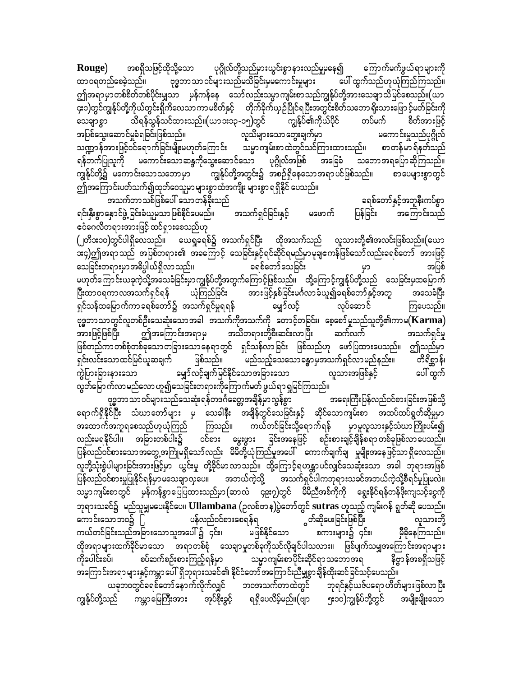အစရှိသဖြင့်ထိုသို့သော ပုဂ္ဂိုလ်တို့သည်မှားယွင်းစွာ နားလည်မှုမနေ၍ ကြောက်မက်ဖွယ်ရာများကို Rouge) ထာဝရတည်စေခဲ့သည်။ ဗုဒ္ဓဘာသာ ဝင်များသည်မသိခြင်းမှမကောင်းမှုများ ပေါ် ထွက်သည်ဟုယုံကြည်ကြသည်။ ဤအရာမှာတစ်စိတ်တစ်ပိုင်းမျှသာ မှန်ကန်နေ သော်လည်းသမ္မာကျမ်းစာသည်ကျွန်ုပ်တို့အားသေချာသိမြင်စေသည်။(ယာ ၄း၁)တွင်ကျွန်ုပ်တို့ကိုယ်တွင်းရိုကိလေသာကာမစိတ်နှင့် တိုက်ခိုက်ယှဉ်ပြိုင်ရပြီးအတွင်းစိတ်သဘော ရိုးသားဖြော င့်မတ်ခြင်းကို သိရန်သွန်သင်ထားသည်။(ယာ ၁း၁၃ -၁၅)တွင် ကျွန်ုပ်၏ကိုယ်ပိုင် တပ်မက် စိတ်အားဖြင့် သေချာစွာ အပြစ်သွေးဆောင်မှုခံရခြင်းဖြစ်သည်။ လူသိများသောတွေးချက်မှာ မကောင်းမှုသည်ပုဂ္ဂိုလ် သဏ္ဍာန်အားဖြင့်ဝင်ရောက်ခြင်းမျိုးမဟုတ်ကြောင်း သမ္မာကျမ်းစာထဲတွင်သင်ကြားထားသည်။ စာတန်မာရ်နတ်သည် ပုဂ္ဂိုလ်အဖြစ် အခြေခံ သဘောအရပြောဆိုကြသည်။ ရန်ဘက်ပြုသူကို မကောင်းသောဆန္ဒကိုသွေးဆောင်သော ကျွန်ုပ်တို့အတွင်း၌ အစဉ်ရှိနေသောအရာပင်ဖြစ်သည်။ ကျွန်ုပ်တို့၌ မကောင်းသောသဘောမှာ စာပေများစွာတွင် ဤအကြောင်းပတ်သက်၍ထုတ်ဝေသူမှာ များစွာထံအကျိုး များစွာ ရရှိနိုင် ပေသည်။

အသက်တာသစ်ဖြစ်ပေါ် သောတန်ခိုးသည် ခရစ်တော်နှင့်အတူနီးကပ်စွာ အကြောင်းသည် ရင်းနှီးစွာနှောင်ဖွဲ့ ခြင်းခံယူမှသာ ဖြစ်နိုင်ပေမည်။ အသက်ရှင်ခြင်းနှင့် ပြန်ခြင်း မဖောက် ဧဝံဂေလိတရားအားဖြင့် ထင်ရှားစေသည်ဟု

(၂တိ၁း၁၀)တွင်ပါရှိလေသည်။ ယေရှုခရစ်၌ အသက်ရှင်ပြီး ထိုအသက်သည် လူသားတို့၏အလင်းဖြစ်သည်။(ယော ား၄)ဤအရာ သည် အပြစ်တရား၏ အခကြောင့် သေခြင်းနှင့်ရင်ဆိုင်ရမည်မှာ မုချဧကန်ဖြစ်သော် လည်းခရစ်တော် အားဖြင့် ခရစ်တော်သေခြင်း သေခြင်းတရားမှာအဓိပ္ပါယ်ရှိလာသည်။ အပြစ် မဟုတ်ကြောင်းယခုကဲ့သို့အသေခံခြင်းမှာကျွန်ုပ်တို့အတွက်ကြောင့်ဖြစ်သည်။ ထို့ကြောင့်ကျွန်ုပ်တို့သည် သေခြင်းမှထမြောက် ပြီးထာဝရကာလအသက်ရှင်ရန် ယုံကြည်ခြင်း အားဖြင့်နှစ်ခြင်းမင်္ဂလာခံယူ၍ခရစ်တော်နှင့်အတူ အသေခံပြီး ရှင်သန်ထမြောက်ကာခရစ်တော်၌ အသက်ရှင်မှုရရန် မျှော်လင့် လုပ်ဆောင် ကြပေသည်။ ား<br>ဗုဒ္ဓဘာသာတွင်လူတစ်ဦးသေဆုံးသောအခါ အသက်ကိုအသက်ကို တောင့်တခြင်း၊ စေ့စော်မှုသည်သူတို့၏ကာမ $(\bf{Karma})$ ဤအကြောင်းအရာမှ အသိတရားတို့စီးဆင်းလာပြီး အားဖြင့်ဖြစ်ပြီး ဆက်လက် အသက်ရှင်မှု ဖြစ်တည်ကာတစ်စုံတစ်ခုသောတခြားသောနေရာတွင် ရှင်သန်လာခြင်း ဖြစ်သည်ဟု ဖော်ပြထားပေသည်။ ဤသည်မှာ ဖြစ်သည်။ ရှင်းလင်းသောထင်မြင်ယူဆချက် မည်သည့်သေသောခန္ဓာမှအသက်ရှင်လာမည်နည်း။ တိရိစ္ဆာန်၊ ကွဲပြားခြားနားသော မျှော်လင့်ချက်မြင်နိုင်သောအခြားသော လူသားအဖြစ်နှင့် ပေါ် ထွက် လွတ်မြောက်လာမည်လောဟူ၍သေခြင်းတရားကိုကြောက်မတ် ဖွယ်ရာရှမြင်ကြသည်။

ဗုဒ္ဓဘာသာဝင်များသည်သေဆုံးရန်တဒင်္ဂခေတ္တအချိန်မှာလွန်စွာ အရေးကြီးပြန်လည်ဝင်စားခြင်းအဖြစ်သို့ ရောက်ရှိနိုင်ပြီး သံဃာတော်များ မှ သေခါနီး အချိန်တွင်သေခြင်းနှင့် ဆိုင်သောကျမ်းစာ အထပ်ထပ်ရွတ်ဆိုမှုမှာ ာထောက်အကူရစေသည်ဟုယုံကြည်<br>လည်းမရနိုင်ပါ။ အခြားတစ်ပါး၌ c ကြသည်။ ကယ်တင်ခြင်းသို့ရောက်ရန် မှာမူလူသားနှင့်သံဃာကြိုးပမ်း၍ ဝင်စား မွေးဖွား ခြင်းအနေဖြင့် စဉ်းစားချင့်ချိန်စရာတစ်ခုဖြစ်လာပေသည်။ ပြန်လည်ဝင်စားသောအတွေ့အကြုံမရှိသော်လည်း မိမိတို့ယုံကြည်မှုအပေါ် ကောက်ချက်ချ မှုမျိုးအနေဖြင့်သာရှိလေသည်။ လူတို့သုံးစွဲပါများခြင်းအားဖြင့်မှာ ယွင်းမှု တို့ခိုင်မာလာသည်။ ထို့ကြောင့်ရဟန္တာပင်လျှင်သေဆုံးသော အခါ ဘုရားအဖြစ် ပြန်လည်ဝင်စားမှုပြုနိုင်ရန်မှာ မသေချာလှပေ။ အဘယ်ကဲ့သို့ အသက်ရှင်ပါကဘုရားသခင်အဘယ်ကဲ့သို့စီရင်မှုပြုမလဲ။ သမ္မာကျမ်းစာတွင် မှန်ကန်စွာပြေပြထားသည်မှာ(ဆာလံ ၄၉း၇)တွင် မိမိညီအစ်ကိုကို ရွေးနိုင်ရန်တန်ဖိုးကျသင့်ငွေကို ဘုရားသခင်၌ မည်သူမျှမပေးနိုင်ပေ။ Ullambana (ဥလစ်ဗာန)ပွဲတော်တွင် sutras ဟူသည့် ကျမ်းဂန် ရွတ်ဆို ပေသည်။ -<br>ွတ်ဆိုပေးခြင်းဖြစ်ပြီး ကောင်းသောဘဝ၌ ြ ပန်လည်ဝင်စားစေရန်ရ လူသားတို့ ကယ်တင်ခြင်းသည်အခြားသောသူအပေါ် ၌ ၄င်း၊ မဖြစ်နိုင်သော စကားများ၌ ၄င်း၊ မှီခိုနေကြသည်။ ထိုအရာများထက်ခိုင်မာသော အရာတစ်စုံ သေချာမှုတစ်ခုကိုသင်လိုချင်ပါသလား။ ဖြစ်ပျက်သမျှအကြောင်းအရာများ နိဗ္ဗာန်အစရှိသဖြင့် ကိုပေါင်းစပ်၊ စပ်ဆက်စဉ်းစားကြည့်ရန်မှာ သမ္မာကျမ်းစာပိုင်းဆိုင်ရာသဘောအရ အကြောင်းအရာများနှင့်ကမ္ဘာပေါ် ရှိဘုရားသခင်၏ နိုင်ငံတော်အကြောင်းညီမျှစွာချိန်ထိုးဆင်ခြင်သင့်ပေသည်။ ယခုဘဝတွင်ခရစ်တော်နောက်လိုက်လျှင် ဘဝအသက်တာထဲတွင် ဘုရင်နှင့်ယဇ်ပရော ဟိတ်များဖြစ်လာပြီး ကျွန်ုပ်တို့သည် ကမ္ဘာမြေကြီးအား အုပ်စိုးခွင့် ရရှိပေလိမ့်မည်။(ဗျာ ၅း၁၀)ကျွန်ုပ်တို့တွင် အမျိုးမျိုးသော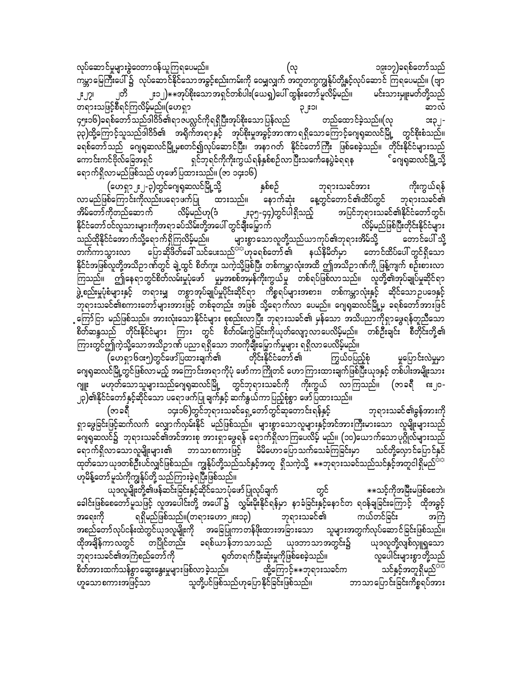လုပ်ဆောင်မှုများခွဲဝေတာဝန်ယူကြရပေမည်။ ၁၉း၁၇)ခရစ်တော်သည် (လ ကမ္ဘာမြေကြီးပေါ် ၌ လုပ်ဆောင်နိုင်သောအခွင့်စည်းကမ်းကို ဝေမျှလျှက် အတူတကွကျွန်ုပ်တို့နှင့်လုပ်ဆောင် ကြရပေမည်။ (ဗျာ ုတိ ၂း၁၂) $\ast\ast$ အုပ်စိုးသောအရှင်တစ်ပါး(ယေရှ)ပေါ် ထွန်းတော်မူလိမ့်မည်။ မင်းသားမှူးမတ်တို့သည် ၂:၂၇၊ lc:C ဆာလံ ၄၅း၁၆)ခရစ်တော်သည်ဒါဝိဒ်၏ရာဇပလ္လင်ကိုရရှိပြီးအုပ်စိုးသောပြန်လည် တည်ထောင်ခဲ့သည်။(လု း၃၂-.<br>၃၃)ထို့ကြောင့်သူသည်ဒါဝိဒ်၏ အရိုက်အရာနှင့် အုပ်စိုးမှုအခွင့်အာဏာရရှိသောကြောင့်ဂျေရုဆလင်မြို့ တွင်စိုးစံသည်။ ခရစ်တော်သည် ဂျေရှဆလင်မြို့မှစတင်၍လုပ်ဆောင်ပြီး၊ အနာဂတ် နိုင်ငံတော်ကြီး ဖြစ်စေခဲ့သည်။ တိုင်းနိုင်ငံများသည် ရှင်ဘုရင်ကိုကိုးကွယ်ရန်နှစ်စဉ်လာပြီးသင်္ကေနေပွဲခံရရန ်ဂျေရှဆလင်မြို့သို့ ကောင်းကင်ဗိုလ်ခြေအရှင် ရောက်ရှိလာမည်ဖြစ်သည် ဟုဖော်ပြထားသည်။ (ဇာ ၁၄း၁၆)

ကိုးကွယ်ရန် ဘုရားသခင်အား (ဟေရှာ၂း၂-၃)တွင်ဂျေရုဆလင်မြို့သို့ နှစ်စဉ် လာမည်ဖြစ်ကြောင်းကိုလည်းပရောဖက်ပြု ထားသည်။ နောက်ဆုံး နေ့တွင်တောင်၏ထိပ်တွင် ဘုရားသခင်၏ အပြင်ဘုရားသခင်၏နိုင်ငံတော်တွင်၊ အိမ်တော်ကိုတည်ဆောက် လိမ့်မည်ဟု(ဒံ ၂း၃၅-၄၄)တွင်ပါရှိသည့် း<br>နိုင်ငံတော်ဝင်လူသားများကိုအရာခပ်သိမ်းတို့အပေါ် တွင်ချီးမြှောက် လိမ့်မည်ဖြစ်ပြီးတိုင်းနိုင်ငံများ \_<br>သည်ထိုနိုင်ငံအော က်သို့ရော က်ရှိကြလိမ့်မည်။ .<br>များစွာသောလူတို့သည်ယာကုပ်၏ဘုရားအိမ်သို့ တောင်ပေါ် သို့ တက်ကာသွားလာ ပြောဆိုဖိတ်ခေါ် သင်ပေးသည်<sup>ာာ</sup>ဟုခရစ်တော် ၏ နယ်နိမိတ်မှာ တောင်ထိပ်ပေါ် တွင်ရှိသော နိုင်ငံအဖြစ်လူတို့အသိဉာဏ်တွင် ချဲ့ထွင် စိတ်ကူး သကဲ့သို့ဖြစ်ပြီး တစ်ကမ္ဘာလုံးအထိ ဤအသိဉာဏ်ကို ဖြန့်ကျက် စဉ်းစားလာ ကြသည်။ ဤနေရာတွင်စိတ်လမ်းမှုပုံဖော် မှုမှအစစ်အမှန်ကိုးကွယ်မှု တစ်ရပ်ဖြစ်လာသည်။ လူတို့၏အုပ်ချုပ်မှုဆိုင်ရာ .<br>ဖွဲ့စည်းမှုပုံစံများနှင့် တရားမျှ တစွာအုပ်ချုပ်မှုပိုင်းဆိုင်ရာ ကိစ္စရပ်များအစား၊ တစ်ကမ္ဘာလုံးနှင့် ဆိုင်သောဉပဒေနှင့် -<br>|ဘုရားသခင်၏စကားတော်များအားဖြင့် တစ်ခုတည်း အဖြစ် သို့ရောက်လာ ပေမည်။ ဂျေရှဆလင်မြို့မှ ခရစ်တော်အားဖြင် ့ကြော်ငြာ မည်ဖြစ်သည်။ အားလုံးသောနိုင်ငံများ စုစည်းလာပြီး ဘုရားသခင်၏ မှန်သော အသိပညာကိုရှာဖွေရန်တူညီသော စိတ်ဆန္ဒသည် တိုင်းနိုင်ငံများ ကြား တွင် စိတ်ဝမ်းကွဲခြင်းကိုယုတ်လျော့လာပေလိမ့်မည်။ တစ်ဦးချင်း စီတိုင်းတို့၏ ကြားတွင်ဤကဲ့သို့သောအသိဉာဏ် ပညာ ရရှိသော ဘ၀ကိုချီးမြှောက်မှုများ ရရှိလာပေလိမ့်မည်။

တိုင်းနိုင်ငံတော် ၏ (ဟေရှာ၆၀း၅)တွင်ဖော်ပြထားချက်၏ ကြွယ်ဝပြည့်စုံ မှုပြောင်းလဲမှုမှာ ဂျေရုဆလင်မြို့တွင်ဖြစ်လာမည့် အကြောင်းအရာကိုပုံ ဖော်ကာကြိုတင် ဟောကြားထားချက်ဖြစ်ပြီးယုဒနှင့် တစ်ပါးအမျိုးသား ဂျူး မဟုတ်သောသူများသည်ဂျေရှဆလင်မြို့ တွင်ဘုရားသခင်ကို ကိုးကွယ် လာကြသည်။ (ဇာခရီ ၈း၂၀-၂၃)၏နိုင်ငံတော်နှင့်ဆိုင်သော ပရောဖက်ပြု ချက်နှင့် ဆက်နွယ်ကာပြည့်စုံစွာ ဖော်ပြထားသည်။

၁၄း၁၆)တွင်ဘုရားသခင်ရှေ့တော်တွင်ဆုတောင်းရန်နှင့် ဘုရားသခင်၏ခွန်အားကို (ဇာခရီ ရှာဖွေခြင်းဖြင့်ဆက်လက် လျှောက်လှမ်းနိုင် မည်ဖြစ်သည်။ များစွာသောလူများနှင့်အင်အားကြီးမားသော လူမျိုးများသည် ဂျေရုဆလင်၌ ဘုရားသခင်၏အင်အားစု အားရှာဖွေရန် ရောက်ရှိလာကြပေလိမ့် မည်။ (၁၀)ယောက်သောပုဂ္ဂိုလ်များသည် ရောက်ရှိလာသောလူမျိုးများ၏ ဘာသာစကားဖြင့် မိမိဟောပြောသက်သေခံကြခြင်းမှာ သင်တို့လှောင်ပြောင်နှင် ထုတ်သော ယုဒတစ်ဦးပင်လျှင်ဖြစ်သည်။ ကျွန်ုပ်တို့သည်သင်နှင့်အတူ ရှိသကဲ့သို့  $**$ ဘုရားသခင်သည်သင်နှင့်အတူငါရှိမည်<sup>သာ</sup> ဟုမိန့်တော်မူသံကိုကျွန်ုပ်တို့ သည်ကြားခဲ့ရပြီးဖြစ်သည်။

ယုဒလူမျိုးတို့၏ဖန်ဆင်းခြင်းနှင့်ဆိုင်သောပုံဖော်ပြုလုပ်ချက် တွင် \*\*သင့်ကိုအမြီးမဖြစ်စေဘဲ၊ ခေါင်းဖြစ်စေတော်မူသဖြင့် လူအပေါင်းတို့ အပေါ်၌ လွှမ်းမိုးနိုင်ရန်မှာ နာခံခြင်းနှင့်နောင်တ ရဝန်ချခြင်းကြောင့် ထိုအခွင့် ရရှိမည်ဖြစ်သည်။(တရားဟော၂၈း၁၃) အရေးကို ဘုရားသခင်၏ ကယ်တင်ခြင်း အစည်တော်လုပ်ငန်းထဲတွင်ယုဒလူမျိုးကို အခြေပြုကာတန်ဖိုးထားအခြားသော သူများအတွက်လုပ်ဆောင်ခြင်းဖြစ်သည်။ ထိုအချိန်ကာလတွင် တပြိုင်တည်း ခရစ်ယာန်ဘာသာသည် ယုဒဘာသာအတွင်း၌ ယုဒလူတို့လျစ်လှူရှုသော ဘုရားသခင်၏အကြံစည်တော်ကို ရှတ်တရက်ပြီးဆုံးမှုကိုဖြစ်စေခဲ့သည်။ လူပေါင်းများစွာတို့သည် သင်နှင့်အတူရှိမည်<sup>အာ</sup> စိတ်အားထက်သန်စွာ ဆွေးနွေးမှုများဖြစ်လာခဲ့သည်။ ထို့ကြောင့် $\ast\ast$ ဘုရားသခင်က သူတို့ပင်ဖြစ်သည်ဟုပြောနိုင်ခြင်းဖြစ်သည်။ ဘာသာပြောင်းခြင်းကိစ္စရပ်အား ဟူသောစကားအဖြင့်သာ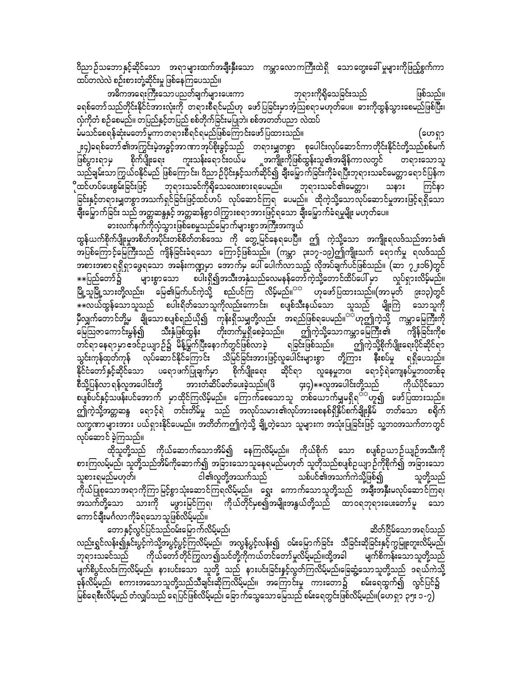ဝိညာဉ်သဘောနှင့်ဆိုင်သော အရာများထက်အချီးနှီးသော ကမ္ဘာလောကကြီးထဲရှိ သောတွေးခေါ် မူများကိုဖြည့်စွက်ကာ ထပ်တလဲလဲ စဉ်းစားတုံ့ဆိုင်းမှု ဖြစ်နေကြပေသည်။

အဓိကအရေးကြီးသောပညတ်ချက်များပေးကာ ဘုရားကိုရှိသေခြင်းသည် ဖြစ်သည်။ ခရစ်တော်သည်တိုင်းနိုင်ငံအားလုံးကို တရားစီရင်မည်ဟု ဖော်ပြခြင်းမှာအံ့သြစရာမဟုတ်ပေ။ ဓားကိုထွန်သွားစေမည်ဖြစ်ပြီး၊ လှံကိုတံ စဉ်စေမည်။ တပြည်နှင့်တပြည် စစ်တိုက်ခြင်းမပြုဘဲ၊ စစ်အတတ်ပညာ လဲထပ်

မီမသင်စေရန်ဆုံးမတော် မူကာ တရားစီရင်ရမည်ဖြစ်ကြောင်းဖော် ပြထားသည်။ (ဟေရှာ ၂း၄)ခရစ်တော် ၏အကြွင်းမဲ့အခွင့်အာဏာအုပ်စိုးခွင့်သည် တရားမျှတစွာ စုပေါင်းလုပ်ဆောင်ကာတိုင်းနိုင်ငံတို့သည်စစ်မက် ဖြစ်ပွားရာမှ ာ<br>သည်ချမ်းသာကြွယ်ဝနိုင်မည် ဖြစ်ကြောင်း၊ ဝိညာဉ်ပိုင်းနှင့်သက်ဆိုင်၍ ချီးမြှောက်ခြင်းကိုခံရပြီးဘုရားသခင်မေတ္တာရောင်ပြန်က ိုထင်ဟပ်ပေးစွမ်းခြင်းဖြင့် ဘုရားသခင်ကိုရိုသေလေးစားရပေမည်။ ဘုရားသခင်၏မေတ္တာ၊ သနား ကြင်နာ ခြင်းနှင့်တရားမျှတစွာ အသက်ရှင်ခြင်းဖြင့်ထင်ဟပ် လုပ်ဆောင်ကြရ ပေမည်။ ထိုကဲ့သို့သောလုပ်ဆောင်မှုအားဖြင့်ရရှိသော ချီးမြှောက်ခြင်း သည် အတ္တဆန္ဒနှင့် အတ္တဆန်စွာ ဝါကြွားစရာအားဖြင့်ရသော ချီးမြှောက်ခံရမှုမျိုး မဟုတ်ပေ။

ဓားလက်နက်ကိုလုံသွားဖြစ်စေမှုသည်မြောက်များစွာအကြီးအကျယ်

ထွန်ယက်စိုက်ပျိုးမှုအစိတ်အပိုင်းတစ်စိတ်တစ်ဒေသ ကို တွေ့မြင်နေရပေပြီ။ ဤ ကဲ့သို့သော အကျိုးရလဒ်သည်အာဒံ၏ အပြစ်ကြောင့်မြေကြီးသည် ကျိန်ခြင်းခံရသော ကြောင့်ဖြစ်သည်။ (ကမ္ဘာ ၃း၁၇-၁၉)ဤကျိုးသက် ရောက်မှု ရလဒ်သည် အစားအစာ ရရှိရှာဖွေရသော အခန်းကဏ္ဍမှာ အောက်မှ ပေါ် ပေါက်လာသည့် လိုအပ်ချက်ပင်ဖြစ်သည်။ (ဆာ ၇၂း၁၆)တွင် ☀☀ပြည်တော်၌ များစွာသော စပါးရှိ၍အသီးအနှံသည်လေမနန်တော်ကဲ့သို့တောင်ထိပ်ပေါ် မှာ လှုပ်ရှားလိမ့်မည်။ မြို့သူမြို့သားတို့လည်း၊ မြေ၏မြက်ပင်ကဲ့သို့ စည်ပင်ကြ လိမ့်မည်။<sup>သာ</sup> ဟုဖော်ပြထားသည်။(အာမုတ် ၉း၁၃)တွင် မီလျှက်တောင်တို့မ<sup>ဲ</sup> ချိုသောစပျစ်ရည်ယို၍ "ကုန်းရှိသမျှတို့လည်း အရည်ဖြစ်ရပေမည်။<sup>သိင်္</sup>ဟုဤကဲ့သို့ ကမ္ဘာမြေကြီးကို ာ ကို<br>မြေဩဇာကောင်းမွန်၍ သီးနှံဖြစ်ထွန်း တိုးတက်မှုရှိစေခဲ့သည်။ ဤကဲ့သို့သောကမ္ဘာမြေကြီး၏ ကျိန်ခြင်းကိုစ တင်ရာနေရာမှာ ဒေင်ဥယျာဉ်၌ မိန့်မြွက်ပြီးနောက်တွင်ဖြစ်လာခဲ့ စြခြင်းဖြစ်သည်။ ဤကဲ့သို့စိုက်ပျိုးရေးပိုင်ဆိုင်ရာ သွင်းကုန်ထုတ်ကုန် လုပ်ဆောင်နိုင်ကြောင်း သိမြင်ခြင်းအားဖြင့်လူပေါင်းများစွာ တို့ကြား နီးစပ်မှု ရရှိပေသည်။ နိုင်ငံတော်နှင့်ဆိုင်သော ပရောဖက်ပြုချက်မှာ စိုက်ပျိုးရေး ဆိုင်ရာ လူနေမှုဘဝ၊ ရောင့်ရဲကျေနပ်မှုဘဝတစ်ခု စီသို့ပြန်လာ ရန်လူအပေါင်းတို့ ၄း၄) $\ast\ast$ လူအပေါင်းတို့သည် ကိုယ်ပိုင်သော စပျစ်ပင်နှင့်သဖန်းပင်အောက် မှာထိုင်ကြလိမ့်မည်။ ကြောက်စေသောသူ တစ်ယောက်မျှမရှိရ<sup>ာ ဟူ</sup>တူ၍ ဖော်ပြထားသည်။ .<br>ဤကဲ့သို့အတ္တဆန္ဒ ရောင့်ရဲ တင်းတိမ်မှု သည် အလုပ်သမား၏လုပ်အားခစနစ်ရှိနှိပ်စက်ချိုးနှိမ် တတ်သော စရိုက် —-<br>လက္ခဏာများအား ပယ်ရှားနိုင်ပေမည်။ အတိတ်ကဤကဲ့သို့ ချို့တဲ့သော သူများက အသုံးပြုခြင်းဖြင့် သူ့ဘဝအသက်တာတွင် လုပ်ဆောင် ခဲ့ကြသည်။

ထိုသူတို့သည် ကိုယ်ဆောက်သောအိမ်၍ နေကြလိမ့်မည်။ ကိုယ်စိုက် သော စပျစ်ဉယာဉ်ယျဉ်အသီးကို စားကြလမ်မည်၊ သူတို့သည်အိမ်ကိုဆောက်၍ အခြားသောသူနေရမည်မဟုတ် သူတိုသည်စပျစ်ဥယျာဉ်ကိုစိုက်၍ အခြားသော ငါ၏လူတို့အသက်သည် ာစ်ပင်၏အသက်ကဲသို့ဖြစ်၍ သူစားရမည်မဟုတ်၊ သူတို့သည် ကိုယ်ပြုစုသောအရာကိုကြာမြင့်စွာသုံးဆောင်ကြရလိမ့်မည်။ ရွှေး ကောက်သောသူတို့သည် အချီးအနှီးမလုပ်ဆောင်ကြရ၊ အသက်တို့သော သားကို မဖွားမြင်ကြရ၊ ကိုယ်တိုင်မှစ၍အမျိုးအနွယ်တို့သည် ထာဝရဘုရားပေးတော်မူ သော ကောင်ချီးမင်္ဂလာကိုခံရသောသူဖြစ်လိမ့်မည်။

တောနှင့်လွင်ပြင်သည်ဝမ်းမြောက်လိမ့်မည်၊ ဆိတ်ငြိမ်သောအရပ်သည် လည်းရွှင်လန်း၍နှင်းပွင့်ကဲသို့အပွင့်ပွင့်ကြလိမ့်မည်၊ အလွန်ပွင့်လန်း၍ ဝမ်းမြောက်ခြင်း သီခြင်းဆိုခြင်းနှင့်ကွမြူးတူးလိမ့်မည်၊ ဘုရားသခင်သည် ကိုယ်တော်တိုင်ကြွလာ၍သင်တို့ကိုကယ်တင်တော်မှုလိမ့်မည်။ထို့အခါ မျက်စိကန်းသောသူတို့သည် မျက်စိပွင်လင်းကြလိမ့်မည်၊ နားပင်းသော သူတို့ သည် နားပင်းခြင်းနှင့်လွတ်ကြလိမ့်မည်၊ခြေဆွံ့သောသူတို့သည် ဒရယ်ကဲသို့ ခန်လိမ့်မည်၊ စကားအသောသူတို့သည်သီချင်းဆိုကြလိမ့်မည်။ အကြောင်းမှု ကားတော၌ စမ်းရေထွက်၍ လွင်ပြင်၌ မြစ်ရေစီးလိမ့်မည် တံလျှပ်သည် ရေပြင်ဖြစ်လိမ့်မည်၊ ခြော က်သွေသော မြေသည် စမ်းရေတွင်းဖြစ်လိမ့်မည်။(ဟေရှာ ၃၅း ၁ -၇)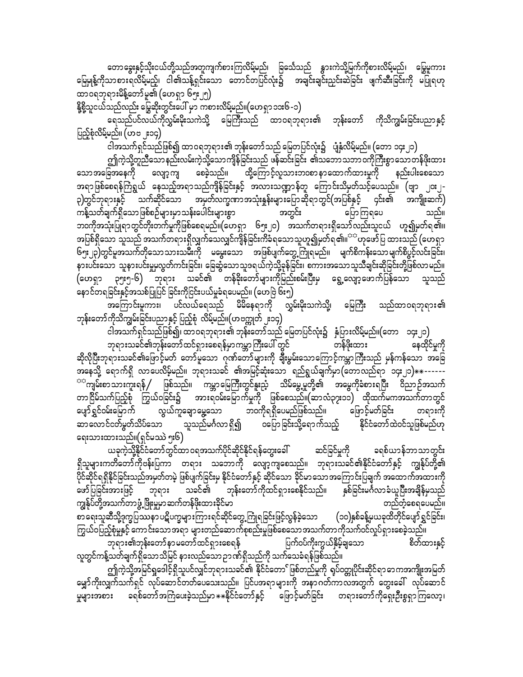တောခွေးနှင့်သိုးငယ်တို့သည်အတူကျက်စားကြလိမ့်မည်၊ ခြင်္သေသည် နွားကဲသို့မြက်ကိုစားလိမ့်မည်၊ မြွေမူကား မြေမျန့်ကိုသာစားရလိမ့်မည့်၊ ငါ၏သန့်ရှင်းသော တောင်တပြင်လုံး၌ အချင်းချင်းညှင်းဆဲခြင်း ဖျက်ဆီးခြင်းကို မပြုရဟု ထာ၀ရဘုရားမိန့်တော်မူ၏ (ဟေရှာ ၆၅း၂၅)

<u>နို့စို့</u>သူငယ်သည်လည်း မြွေဆိုးတွင်းပေါ် မှာ ကစားလိမ့်မည်။(ဟေရှာ ၁၁း၆ -၁)

ရေသည်ပင်လယ်ကိုလွှမ်းမိုးသကဲသို့ မြေကြီးသည် ထာဝရဘုရား၏ ဘုန်းတော် ကိုသိကျွမ်းခြင်းပညာနှင့် ပြည့်စုံလိမ့်မည်။ (ဟဗ ၂း၁၄) ၊

ငါအသက်ရှင်သည်ဖြစ်၍ ထာဝရဘုရား၏ ဘုန်းတော်သည် မြေတပြင်လုံး၌ ပျံနှံလိမ့်မည်။ (တော ၁၄း၂၁)

ဤကဲ့သို့တူညီသော နည်းလမ်းကဲ့သို့သော ကျိန်ခြင်းသည် ဖန်ဆင်းခြင်း ၏သဘောသဘာ ဝကိုကြီးစွာ သော တန်ဖိုးထား သောအခြေအနေကို လျော့ကျ စေခဲ့သည်။ ထို့ကြောင့်လူသားဘ၀စာ နာထောက်ထားမှုကို နည်းပါးစေသော အရာဖြစ်စေရန်ကြံရွယ် နေသည့်အရာသည်ကျိန်ခြင်းနှင့် အလားသဏ္ဍာန်တူ ကြောင်းသိမှတ်သင့်ပေသည်။ (ဗျာ ၂၀း၂-၃)တွင်ဘုရားနှင့် သက်ဆိုင်သော အမှတ်လက္ခဏာအသုံးနှန်းများပြောဆိုရာတွင်(အပြစ်နှင့် ၄င်း၏ အကျိုးဆက်) ကန့်သတ်ချက်ရှိသောဖြစ်စဉ်များမှာသန်းပေါင်းများစွာ အတွင်း ပြောကြရပေ သည်။ ဘဝကိုအသုံးပြုရာတွင်တိုးတက်မှုကိုဖြစ်စေရမည်။(ဟေရှာ ၆၅း၂၀) အသက်တရားရှိသော်လည်းသူငယ် ဟူ၍မှတ်ရ၏။ အပြစ်ရှိသော သူသည် အသက်တရားရှိလျှက်သေလျှင်ကျိန်ခြင်းကိခံရသောသူဟူ၍မှတ်ရ ၏။<sup>အဆို</sup>ဟုဖော်ပြ ထားသည် (ဟေရှာ ၆၅း၂၃)တွင်မူအသက်တိုသောသားသမီးကို မမွေးသော အဖြစ်ပျက်တွေ့ကြုံရမည်။ မျက်စိကန်းသောမျက်စိပွင့်လင်းခြင်း၊ နားပင်းသော သူနားပင်းမှုမလွတ်ကင်းခြင်း၊ ခြေဆွံသောသူဒရယ်ကဲ့သို့ခုန်ခြင်း၊ စကားအသောသူသီချင်းဆိုခြင်းတို့ဖြစ်လာမည်။ (ဟေရှာ ၃၅း၅-၆) ဘုရား သခင်၏ တန်ခိုးတော်များကိုမြည်းစမ်းပြီးမှ ရွေ့လျော့ဖောက်ပြန်သော သူသည် နောင်တရခြင်းနှင့်အသစ်ပြုပြင် ခြင်းကိုငြင်းပယ်မှုခံရပေမည်။ (ဟေဗြဲ ၆း၅)

ဘုန်းတော်ကိုသိကျွမ်းခြင်းပညာနှင့် ပြည့်စုံ လိမ့်မည်။(ဟဗက္ကုတ် ၂း၁၄)

ငါအသက်ရှင်သည်ဖြစ်၍၊ ထာဝရဘုရား၏ ဘုန်းတော်သည် မြေတပြင်လုံး၌ နှံပြားလိမ့်မည်။(တော ၁၄း၂၁) ဘုရားသခင်၏ဘုန်းတော်ထင်ရှားစေရန်မှာကမ္ဘာကြီးပေါ် တွင် တန်ဖိုးထား ဆိုလိုပြီးဘုရားသခင်၏ဖြောင့်မတ် တော်မူသော ဂုဏ်တော်များကို ချီးမွမ်းသောကြောင့်ကမ္ဘာကြီးသည် မှန်ကန်သော အခြေ အနေသို့ ရောက်ရှိ လာပေလိမ့်မည်။ ဘုရားသခင် ၏အမြင့်ဆုံးသော ရည်ရွယ်ချက်မှာ (တောလည်ရာ ၁၄း၂၁) $\ast\ast\text{-}$ -----<sup>ာာ</sup>ကျမ်းစာသားကူးရန် ဖြစ်သည်။ ကမ္ဘာမြေကြီးတွင်နူးညံ့ သိမ်မွေ့မှုတို့၏ အမွေကိုခံစားရပြီး ဝိညာဉ်အသက် တာငြိမ်သက်ပြည့်စုံ ကြွယ်ဝခြင်း၌ အားရဝမ်းမြောက်မှုကို ဖြစ်စေသည်။(ဆာလံ၃၇း၁၁) ထိုထက်မကအသက်တာတွင် ပျော်ရွှင်ဝမ်းမြောက် လွယ်ကူချောမွှေ့သော ဘဝကိုရရှိပေမည်ဖြစ်သည်။ မြောင့်မတ်ခြင်း တရားကို ဆာလောင်ငတ်မွတ်သိပ်သော သူသည်မင်္ဂလာ ရှိ၍ ဝပြောခြင်းသို့ရောက်သည့် နိုင်ငံတော်ထဲဝင်သူဖြစ်မည်ဟု ရေးသားထားသည်။(ရှင်မဿဲ ၅း၆)

ယခုကဲ့သို့နိုင်ငံတော်တွင်ထာဝရအသက်ပိုင်ဆိုင်နိုင်ရန်တွေးခေါ် ဆင်ခြင်မှုကို ခရစ်ယာန်ဘာသာတွင်း ရှိသူများကတိတော်ကိုဗန်းပြကာ တရား သဘောကို လျော့ကျစေသည်။ ဘုရားသခင်၏နိုင်ငံတော်နှင့် ကျွန်ုပ်တို့၏ .<br>ပိုင်ဆိုင်ရရှိနိုင်ခြင်းသည်အမှတ်တမဲ့ ဖြစ်ပျက်ခြင်းမှ နိုင်ငံတော်နှင့် ဆိုင်သော ခိုင်မာသောအကြောင်းပြချက် အထောက်အထားကို -<br>ဖော်ပြခြင်းအားဖြင့် ဘုရား သခင်၏ ဘုန်းတော်ကိုထင်ရှားစေနိုင်သည်။ နှစ်ခြင်းမင်္ဂလာခံယူပြီးအချိန်မှသည် ကျွန်ုပ်တို့အသက်တာ ဖွံ့ ဖြိုးမှုမှာ ဆက်တန်ဖိုးထားခိုင်မာ တည်တံ့စေရပေမည်။ ာ<br>စာရေးသူဆီသို့ဒုက္ခပြဿနာပဋိပက္ခများကြားရင်ဆိုင်တွေ့ကြုံရခြင်းဖြင့်လွန်ခဲ့သော (၁၀)နှစ်ခန့်မှယခုထိတိုင်ပျော်ရွှင်ခြင်း၊ ကြွယ်ဝပြည့်စုံမှုနှင့် ကောင်းသောအရာ များတည်ဆောက်စုစည်းမှုဖြစ်စေသောအသက်တာကိုသက်ဝင်လှုပ်ရှားစေခဲ့သည်။ စိတ်ထားနှင့် ပြက်ဝပ်ကိုးကွယ်နှိမ့်ချသော လူတွင်ကန့်သတ်ချက်ရှိသောသိမြင် နားလည်သော ဉာဏ်ရှိသည်ကို သက်သေခံရန်ဖြစ်သည်။

ဤကဲ့သို့အမြင်ရှုဒေါင့်ရှိသူပင်လျှင်ဘုရားသခင်၏ နိုင်ငံတော်ဖြစ်တည်မှုကို ရပ်ဝတ္တုပိုင်းဆိုင်ရာ ၁ေကအကျိုးအမြတ် မျှော်ကိုးလျှက်သက်ရှင် လုပ်ဆောင်တတ်ပေသေးသည်။ ပြင်ပအရာများကို အနာဂတ်ကာလအတွက် တွေးခေါ် လုပ်ဆောင် မှုများအစား ခရစ်တော်အကြံပေးခဲ့သည်မှာ $\ast\ast$ နိုင်ငံတော်နှင့် ဖြောင့်မတ်ခြင်း တရားတော်ကိုရှေးဦးစွရှာကြလော့၊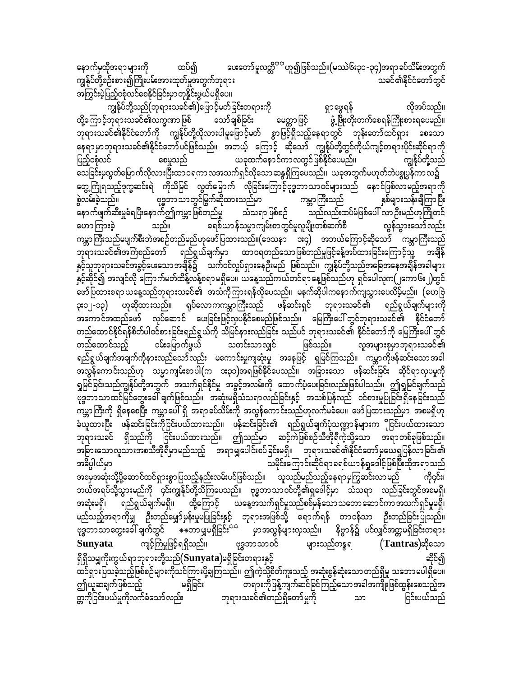ပေးတော်မူလတ္တိ<sup>ာ</sup> ဟူ၍ဖြစ်သည်။(မဿဲ၆း၃၀ -၃၄)အရာ ခပ်သိမ်းအတွက် နောက်မှထိုအရာများကို ထပ်၍ ကျွန်ုပ်တို့စဉ်းစား၍ကြိုးပမ်းအားထုတ်မှုအတွက်ဘုရား သခင်၏နိုင်ငံတော်တွင် အကြွင်းမဲ့ပြည့်ဝစုံလင်စေနိုင်ခြင်းမှာတုနိုင်းဖွယ်မရှိပေ။

ကျွန်ုပ်တို့သည်(ဘုရားသခင်၏)ဖြောင့်မတ်ခြင်းတရားကို ရှာဖွေရန် လိုအပ်သည်။ ထို့ကြောင့်ဘုရားသခင်၏လက္ခဏာဖြစ် ပေတ္တာပြင့် ပွဲ့ဖြိုးတိုးတက်စေရန်ကြိုးစားရပေမည်။ သော်ချစ်ခြင်း ဘုရားသခင်၏နိုင်ငံတော်ကို ကျွန်ုပ်တို့လိုလားပါမူဖြောင့်မတ် စွာဖြင့်ရှိသည့်နေရာတွင် ဘုန်းတော်ထင်ရှား စေသော နေရာမှာဘုရားသခင်၏နိုင်ငံတော်ပင်ဖြစ်သည်။ အဘယ့် ကြောင့် ဆိုသော် ကျွန်ုပ်တို့တွင်ကိုယ်ကျင့်တရားပိုင်းဆိုင်ရာကို ပြည့်ဝစုံလင် ယခုထက်နောင်ကာလတွင်ဖြစ်နိုင်ပေမည်။ စေမူသည် သေခြင်းမှလွှတ်မြောက်လိုလားပြီးထာဝရကာလအသက်ရှင်လိုသောဆန္ဒရှိကြပေသည်။ ယခုအတွက်မဟုတ်ဘဲပစ္စုပ္ပန်ကာလ၌ တွေ့ကြုံရသည့်ဒုက္ခဆင်းရဲ ကိုသိမြင် လွတ်မြောက် လိုခြင်းကြောင့်ဗုဒ္ဓဘာသာဝင်များသည် နောင်ဖြစ်လာမည့်အရာကို ဗုဒ္ဓဘာသာတွင်မြွက်ဆိုထားသည်မှာ စွဲလမ်းခဲ့သည်။ ကမ္ဘာကြီးသည် နှစ်များသန်းချီကြာပြီး နောက်ဖျက်ဆီးမှုခံရပြီးနောက်ဤကမ္ဘာဖြစ်တည်မှု သည်လည်းထပ်မံဖြစ်ပေါ် လာဦးမည်ဟုကြိုတင် သံသရာဖြစ်စဉ် သည်။ ခရစ်ယာန်သမ္မာကျမ်းစာတွင်မှုလူမျိုးတစ်ဆက်စီ လွန်သွားသော်လည်း ဟောကြားခဲ့ ကမ္ဘာကြီးသည်မပျက်စီးဘဲအစဉ်တည်မည်ဟုဖော်ပြထားသည်။(ဒေသနာ ဒး၄) အဘယ်ကြောင့်ဆိုသော် ကမ္ဘာကြီးသည် ဘုရားသခင်၏အကြံစည်တော် ရည်ရွယ်ချက်မှာ ထာဝရတည်သောဖြစ်တည်မှုဖြင့်ခန့်အပ်ထားခြင်းကြောင့်သို့ အချိန် နှင့်သူဘုရားသခင်အခွင့်ပေးသောအချိန်၌ သက်ဝင်လှုပ်ရှားနေဦးမည် ဖြစ်သည်။ ကျွန်ုပ်တို့သည်အခြေအနေအချိန်အခါများ နှင့်ဆိုင်၍ အလျင်လို ကြောက်မတ်ထိန့်လန့်စရာမရှိပေ။ ယနေ့သည်ကယ်တင်ရာနေ့ဖြစ်သည်ဟု ရှင်ပေါလှက(၂ကော၆း၂)တွင် ဖော်ပြထားစရာ ယနေ့သည်ဘုရားသခင်၏ အသံကိုကြားရန်လိုပေသည်။ မနက်ဆိုပါကနောက်ကျသွားပေလိမ့်မည်။ (ဟေဗြဲ ား၁၂-၁၃) ဟုဆိုထားသည်။ ရုပ်လောကကမ္ဘာကြီးသည် ဖန်ဆင်းရှင် ဘုရားသခင်၏ ရည်ရွယ်ချက်များကို အကောင်အထည်ဖော် လုပ်ဆောင် ပေးခြင်းဖြင့်လှပနိုင်စေမည်ဖြစ်သည်။ မြေကြီးပေါ် တွင်ဘုရားသခင်၏ နိုင်ငံတော် တည်ထောင်နိုင်ရန်စိတ်ပါဝင်စားခြင်းရည်ရွယ်ကို သိမြင်နားလည်ခြင်း သည်ပင် ဘုရားသခင်၏ နိုင်ငံတော်ကို မြေကြီးပေါ် တွင် ဝမ်းမြောက်ဖွယ် သတင်းသာလျှင် ဖြစ်သည်။ တည်ထောင်သည့် လူအများစုမှာဘုရားသခင်၏ ရည်ရွယ်ချက်အချက်ကိုနားလည်သော်လည်း မကောင်းမှုကျဆုံးမှု အနေဖြင့် ရှုမြင်ကြသည်။ ကမ္ဘာကိုဖန်ဆင်းသောအခါ အလွန်ကောင်းသည်ဟု သမ္မာကျမ်းစာပါ(က ၁း၃၁)အရဖြစ်နိုင်ပေသည်။ အခြားသော ဖန်ဆင်းခြင်း ဆိုင်ရာလှပမှုကို ရှုမြင်ခြင်းသည်ကျွန်ုပ်တို့အတွက် အသက်ရှင်နိုင်မှု အခွင့်အလမ်းကို ထောက်ပံ့ပေးခြင်းလည်းဖြစ်ပါသည်။ ဤရှုမြင်ချက်သည် ဗုဒ္ဒဘာသာထင်မြင်တွေးခေါ် ချက်ဖြစ်သည်။ အဆုံးမရှိသံသရာလည်ခြင်းနှင့် အသစ်ပြန်လည် ဝင်စားမှုပြုခြင်းရှိနေခြင်းသည် ာ<br>ကမ္ဘာ့ကြီးကို ရှိနေစေပြီး ကမ္ဘာပေါ် ရှိ အရာခပ်သိမ်းကို အလွန်ကောင်းသည်ဟုလက်မခံပေ။ ဖော်ပြထားသည်မှာ အစမရှိဟု ခံယူထားပြီး ဖန်ဆင်းခြင်းကိုငြင်းပယ်ထားသည်။ ဖန်ဆင်းခြင်း၏ ရည်ရွယ်ချက်ပုံသဏ္ဍာန်များက ိုငြင်းပယ်ထားသော ဘုရားသခင် ရှိသည်ကို ငြင်းပယ်ထားသည်။ ဤသည်မှာ ဆင့်ကဲဖြစ်စဉ်သီအိုရီကဲ့သို့သော အရာတစ်ခုဖြစ်သည်။ ာခြားသောလူသားအစသီအိုရီမှာမည်သည့် အရာမျှပေါင်းစပ်ခြင်းမရှိ။ ဘုရားသခင်၏နိုင်ငံတော်မှယေရှုပြန်လာခြင်း၏ သမိုင်းကြောင်းဆိုင်ရာခရစ်ယာန်ရှုဒေါင့်ဖြစ်ပြီးထိုအရာသည် အဓိပ္ပါယ်မှာ အစမှအဆုံးသို့ပို့ဆောင်ထင်ရှားစွာ ပြသည့်နည်းလမ်းပင်ဖြစ်သည်။ သူသည်မည်သည့်နေရာမှကြွဆင်းလာမည် ဘယ်အရပ်သို့သွားမည်ကို ၄င်းကျွန်ုပ်တို့သိကြပေသည်။ ဗုဒ္ဓဘာသာဝင်တို့၏ရှုဒေါင့်မှာ သံသရာ လည်ခြင်းတွင်အစမရှိ၊ ယနေ့အသက်ရှင်မှုသည်စစ်မှန်သော သဘော ဆောင်ကာ အသက်ရှင်မှုမရှိ၊ ရည်ရွယ်ချက်မရှိ။ ထို့ကြောင့် အဆုံးမရှိ၊ မည်သည့်အရာကိုမျှ ဦးတည်မျှော်မှန်းမှုမပြုခြင်းနှင့် ဘုရားအဖြစ်သို့ ရောက်ရန် တာဝန်သာ ဦးတည်ခြင်းပြုသည်။ ဗုဒ္ဓဘာသာတွေးခေါ် ချက်တွင် မြန်ဆာ မျှမရှိခြင်း<sup>ခံမှ</sup> မှာအလွန်များလှသည်။ နိဗ္ဗာန်၌ ပင်လျှင်အတ္တမရှိခြင်းတရား ကျင့်ကြံမှုဖြင့်ရရှိသည်။ ဗုဒ္ဓဘာသာဝင် **Sunyata** များသည်တန္ဒရ  $(Tantras)$ ဆိုသော ဆိုင်၍ ရှိရှိသမျှကိုးကွယ်ရာဘုရားတို့သည် $(\mathbf{Sunyata})$ မရှိခြင်းတရားနှင့် ထင်ရှားပြသခဲ့သည့်ဖြစ်စဉ်များကိုသင်ကြားပို့ချကြသည်။ ဤကဲ့သို့စိတ်ကူးသည့် အဆုံးစွန်ဆုံးသောတည်ရှိမှု သဘောမပါရှိပေ။ ဤယူဆချက်ဖြစ်သည့် တရားကိုဖြန့်ကျက်ဆင်ခြင်ကြည့်သောအခါအကျိုးဖြစ်ထွန်းစေသည့်အ မရှိခြင်း တ္တကိုငြင်းပယ်မှုကိုလက်ခံသော်လည်း ဘုရားသခင်၏တည်ရှိတော်မူကို ငြင်းပယ်သည် သာ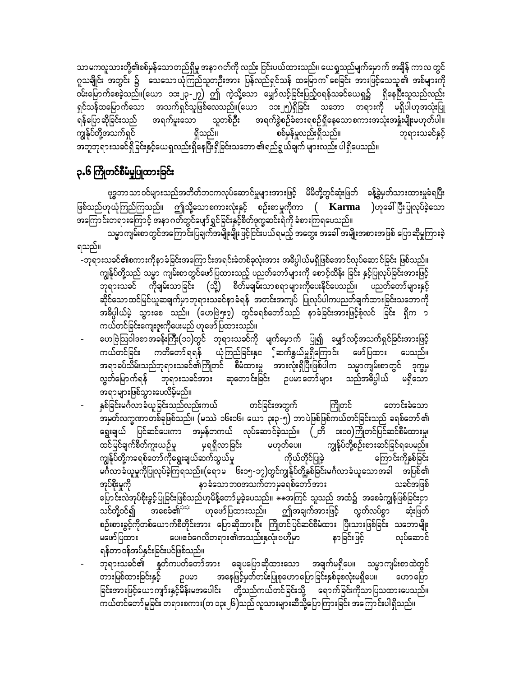သာမကလူသားတို့၏စစ်မှန်သောတည်ရှိမှု အနာဂတ်ကို လည်း ငြင်းပယ်ထားသည်။ ယေရှုသည်မျက်မှောက် အချိန် ကာလ တွင် ဂူသချိုင်း အတွင်း ၌ သေသောယုံကြည်သူတဦးအား ပြန်လည်ရှင်သန် ထမြောက ်စေခြင်း အားဖြင့်သေသူ၏ အစ်များကို ဝမ်းမြောက်စေခဲ့သည်။(ယော ၁၁း၂၃-၂၇) ဤ ကဲ့သို့သော မျှော်လင့်ခြင်းပြည့်ဝရန်သခင်ယေရှု၌ ရှိနေပြီးသူသည်လည်း ရှင်သန်ထမြောက်သော အသက်ရှင်သူဖြစ်လေသည်။(ယော ၁၁း၂၅)ရှိခြင်း သဘော တရားကို မရှိပါဟုအသုံးပြု အရက်မူးသော သူတစ်ဦး အရက်စွဲစဉ်ခံစားရစဉ်ရှိနေသောစကားအသုံးအနှုံးမျိုးမဟုတ်ပါ။ ရန်ပြောဆိုခြင်းသည် ကျွန်ုပ်တို့အသက်ရှင် ရှိသည်။ စစ်မှန်မှုလည်းရှိသည်။ ဘုရားသခင်နှင့် အတူဘုရားသခင်ရှိခြင်းနှင့်ယေရှလည်းရှိနေပြီးရှိခြင်းသဘော ၏ရည်ရွယ်ချက် များလည်း ပါရှိပေသည်။

# ၃.၆ ကြိုတင်စီမံမှုပြုထားခြင်း

ဗုဒ္ဓဘာသာဝင်များသည်အတိတ်ဘဝကလုပ်ဆောင်မှုများအားဖြင့် မိမိတို့တွင်ဆုံးဖြတ် ခန့်ခွဲမှတ်သားထားမှုခံရပြီး ဖြစ်သည်ဟုယုံကြည်ကြသည်။ ဤသို့သောစကားလုံးနှင့် စဉ်းစာမှုကိုကာ ( **Karma** )ဟုခေါ်ပြီးပြုလုပ်ခဲ့သော အကြောင်းတရားကြောင့် အနာဂတ်တွင်ပျော်ရွှင်ခြင်းနှင့်စိတ်ဒုက္ခဆင်းရဲကို ခံစားကြရပေသည်။

သမ္မာကျမ်းစာတွင်အကြောင်းပြချက်အမျိုးမျိုးဖြင့်ငြင်းပယ်ရမည့် အတွေး အခေါ် အမျိုးအစားအဖြစ် ပြောဆိုမှုကြားခဲ့ ရသည်။

- -ဘုရားသခင်၏စကားကိုနာခံခြင်းအကြောင်းအရင်းခံတစ်ခုလုံးအား အဓိပ္ပါယ်မရှိဖြစ်အောင်လုပ်ဆောင်ခြင်း ဖြစ်သည်။ ကျွန်ုပ်တို့သည် သမ္မာ ကျမ်းစာတွင်ဖော်ပြထားသည့် ပညတ်တော်များကို စောင့်ထိန်း ခြင်း နှင့်ပြုလုပ်ခြင်းအားဖြင့် ဘုရားသခင် ကိုချမ်းသာခြင်း (သို့) စိတ်မချမ်းသာစရာများကိုပေးနိုင်ပေသည်။ ပညတ်တော်များနှင့် ဆိုင်သောထင်မြင်ယူဆချက်မှာဘုရားသခင်နာခံရန် အတင်းအကျပ် ပြုလုပ်ပါကပညတ်ချက်ထားခြင်းသဘောကို အဓိပ္ပါယ်မဲ့ သွားစေ သည်။ (ဟေဗြဲ၅း၉) တွင်ခရစ်တော်သည် နာခံခြင်းအားဖြင့်စုံလင် ခြင်း ရှိက ၁ ကယ်တင်ခြင်းကျေးဇူးကိုပေးမည် ဟုဖော်ပြထားသည်။
- ဟေဗြဲသြဝါဒစာအခန်းကြီး(၁၁)တွင် ဘုရားသခင်ကို မျက်မှောက် <u>ပြု၍</u> မျှော်လင့်အသက်ရှင်ခြင်းအားဖြင့် ကယ်တင်ခြင်း ကတိတော်ရရန် ယုံကြည်ခြင်းနှင ့်ဆက်နွယ်မှုရှိကြောင်း ဖော်ပြထား ပေသည်။ အရာခပ်သိမ်းသည်ဘုရားသခင်၏ကြိုတင် စီမံထားမှု အားလုံးရှိပြီးဖြစ်ပါက သမ္မာကျမ်းစာတွင် ဒုက္ခမှ လွတ်မြောက်ရန် ဘုရားသခင်အား ဆုတောင်းခြင်း ဉပမာတော်များ သည်အဓိပ္ပါယ် မရှိသော အရာများဖြစ်သွားပေလိမ့်မည်။
- နှစ်ခြင်းမင်္ဂလာခံယူခြင်းသည်လည်းကယ် တင်ခြင်းအတွက် ကြိုတင် တောင်းခံသော အမှတ်လက္ခဏာတစ်ခုဖြစ်သည်။ (မဿဲ ၁၆း၁၆၊ ယော ၃း၃-၅) ဘာပဲဖြစ်ဖြစ်ကယ်တင်ခြင်းသည် ခရစ်တော်၏ ရွေးချယ် ပြင်ဆင်ပေးကာ အမှန်တကယ် လုပ်ဆောင်ခဲ့သည်။ (၂တိ ၁း၁၀)ကြိုတင်ပြင်ဆင်စီမံထားမှု၊ ထင်မြင်ချက်စိတ်ကူးယဉ်မှု <sup>ိ ကျွ</sup>န်ုပ်တို့စဉ်းစားဆင်ခြင်ရပေမည်။ မှရရှိလာခြင်း မဟုတ်ပေ။ ကိုယ်တိုင်ပြုခဲ့ ကျွန်ုပ်တို့ကခရစ်တော်ကိုရွေးချယ်ဆက်သွယ်မှု ကြောင်းကိုနှစ်ခြင်း မင်္ဂလာခံယူမှုကိုပြုလုပ်ခဲ့ကြရသည်။(ရောမ <sup>--</sup> ၆း၁၅-၁၇)တွင်ကျွန်ုပ်တို့နှစ်ခြင်းမင်္ဂလာခံယူသောအခါ အပြစ်၏ နာ ခံသော ဘဝအသက်တာ မှခရစ်တော် အား အုပ်စိုးမှုကို သခင်အဖြစ် သင်တို့ဝင်၍ အစေခံ၏<sup>အအ</sup> ဟုဖော်ပြထားသည်။ ဤအချက်အားဖြင့် လွတ်လပ်စွာ ဆုံးဖြတ် စဉ်းစားခွင့်ကိုတစ်ယောက်စီတိုင်းအား ပြောဆိုထားပြီး ကြိုတင်ပြင်ဆင်စီမံထား ပြီးသားဖြစ်ခြင်း သဘောမျိုး ပေ။ဧဝံဂေလိတရား၏အသည်းနှလုံးဗဟိုမှာ နာခြင်းဖြင့် မဖော်ပြထား လုပ်ဆောင် ရန်တာ ဝန်အပ်နှင်းခြင်းပင်ဖြစ်သည်။
	- ဘုရားသခင်၏ နူတ်ကပတ်တော်အား ချေပပြောဆိုထားသော အချက်မရှိပေ။ သမ္မာကျမ်းစာထဲတွင် ဉပမာ အနေဖြင့်မှတ်တမ်းပြုစုဟောပြောခြင်းနှစ်ခုစလုံးမရှိပေ။ တားမြစ်ထားခြင်းနှင့် ဟောပြော ခြင်းအားဖြင့်ယောကျာ်းနှင့်မိန်းမအပေါင်း တို့သည်ကယ်တင်ခြင်းသို့ ရောက်ခြင်းကိုသာပြသထားပေသည်။ ကယ်တင်တော် မူခြင်း တရားစကား(တ ၁၃း၂၆)သည် လူသားများဆီသို့ပြောကြားခြင်း အကြောင်းပါရှိသည်။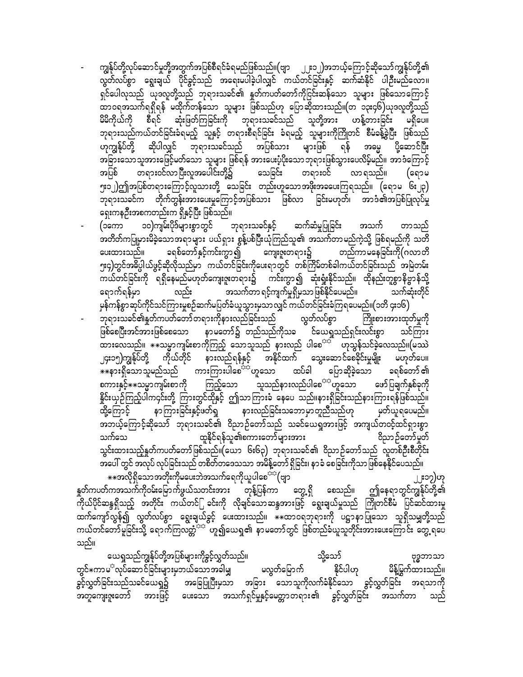ကျွန်ုပ်တို့လုပ်ဆောင်မှုတို့အတွက်အပြစ်စီရင်ခံရမည်ဖြစ်သည်။(ဗျာ ၂၂း၁၂)အဘယ့်ကြောင့်ဆိုသော်ကျွန်ုပ်တို့၏ လွတ်လပ်စွာ ရွေးချယ် ပိုင်ခွင့်သည် အရေးမပါခဲ့ပါလျှင် ကယ်တင်ခြင်းနှင့် ဆက်ဆံနိုင် ပါဉီးမည်လော။ ရှင်ပေါလုသည် ယုဒလူတို့သည် ဘုရားသခင်၏ နှုတ်ကပတ်တော်ကိုငြ<mark>င်း</mark>ဆန်သော သူများ ဖြစ်သောကြောင့် ထာဝရအသက်ရရှိရန် မထိုက်တန်သော သူများ ဖြစ်သည်ဟု ပြောဆိုထားသည်။(တ ၁၃း၄၆)ယုဒလူတို့သည် စီရင် ဆုံးဖြတ်ကြခြင်းကို ဘုရားသခင်သည် သူတို့အား ဟန့်တားခြင်း မရှိပေ။ မိမိကိုယ်ကို ဘုရားသည်ကယ်တင်ခြင်းခံရမည့် သူနှင့် တရားစီရင်ခြင်း ခံရမည့် သူများကိုကြိုတင် စီမံခန့်ခွဲပြီး ဖြစ်သည် ဟုကျွန်ုပ်တို့ ဆိုပါလျှင် ဘုရားသခင်သည် အပြစ်သား များဖြစ် ရန် အမ္မေ ပို့ဆောင်ပြီး အခြားသောသူအားဖြေင့်မတ်သော သူများ ဖြစ်ရန် အားပေးပံ့ပိုးသောဘုရားဖြစ်သွားပေလိမ့်မည်။ အာဒံကြောင့် တရားဝင်လာပြီးလူအပေါင်းတို့၌ သေခြင်း တရားဝင် အပြစ် လာ ရသည်။ (ရောမ ၅း၁၂)ဤအပြစ်တရားကြောင့်လူသားတို့ သေခြင်း တည်းဟူသောအဖိုးအခပေးကြရသည်။ (ရောမ ၆း၂၃) ာ တို့သည်။<br>ဘုရားသခင်က တိုက်တွန်းအားပေးမှုကြောင့်အပြစ်သား ဖြစ်လာ ခြင်းမဟုတ်၊ အာဒံ၏အပြစ်ပြုလုပ်မှု ရှေးကနဦးအစကတည်းက ရှိနှင့်ပြီး ဖြစ်သည်။

၁၀)ကျမ်းပိုဒ်များစွာတွင် ဘုရားသခင်နှင့် ဆက်ဆံမှုပြုခြင်း အသက် (၁ကော တာသည် အတိတ်ကပြုမှားမိခဲ့သောအရာများ ပယ်ရှား စွန့်ပစ်ပြီးယုံကြည်သူ၏ အသက်တာမည်ကဲ့သို့ ဖြစ်ရမည်ကို သတိ ခရစ်တော်နှင့်ကင်းကွာ၍ ကျေးဇူးတရား၌ တည်ကာမနေခြင်းကို(ဂလာတိ ပေးထားသည်။ ၅း၄)တွင်အဓိပ္ပါယ်ဖွင့်ဆိုလိုသည်မှာ ကယ်တင်ခြင်းကိုပေးရာတွင် တစ်ကြိမ်တစ်ခါကယ်တင်ခြင်းသည် အမြဲတမ်း ကယ်တင်ခြင်းကို ရရှိနေမည်မဟုတ်ကျေးဇူးတရား၌ ကင်းကွာ၍ ဆုံးရှုံးနိုင်သည်။ ထိုနည်းတူစွာနိဗ္ဗာန်သို့ ရောက်ရန်မှာ သက်ဆုံးတိုင် မှန်ကန်စွာဆုပ်ကိုင်သင်ကြားမှုစဉ်ဆက်မပြတ်ခံယူသွားမှသာလျှင် ကယ်တင်ခြင်းခံကြရပေမည်။(၁တိ ၄း၁၆)

ာ<br>'ဘုရားသခင်၏နှုတ်ကပတ်တော်'တရားကိုနားလည်ခြင်းသည် လွတ်လပ်စွာ ကြိုးစားအားထုတ်မှုကို .<br>ဖြစ်စေပြီးအင်အားဖြစ်စေသော နာမတော်၌ တည်သည်ကိုသခ င်ယေရှုသည်ရှင်းလင်းစွာ သင်ကြား ထားလေသည်။  $\ast\ast$ သမ္မာကျမ်းစာကိုကြည့် သောသူသည် နားလည် ပါစေ<sup>ာာ်</sup> ဟုသွန်သင်ခဲ့လေသည်။(မဿဲ ၂၄း၁၅)ကျွန်ုပ်တို့ ကိုယ်တိုင် နားလည်ရန်နှင့် အနိုင်ထက် သွေးဆောင်စေခိုင်းမှုမျိုး မဟုတ်ပေ။ ပြောဆိုခဲ့သော ခရစ်တော် ၏ စကားနှင့် $\ast\ast$ သမ္မာကျမ်းစာကို ကြည့်သော ာ<br>သူသည်နားလည်ပါစေ<sup>ာာ</sup>ဟူသော ဖော်ပြချက်နှစ်ခုကို နိုင်းယှဉ်ကြည့်ပါက၄င်းတို့ ကြားတွင်ထိုနှင့် ဤသာကြားခံ နေပေ သည်။နားရှိခြင်းသည်နားကြားရန်ဖြစ်သည်။ နာကြားခြင်းနှင့်ဖတ်ရှု နားလည်ခြင်းသဘောမှာတူညီသည်ဟု မှတ်ယူ ရပေမည်။ ထို့ကြောင့် အဘယ့်ကြောင့်ဆိုသော် ဘုရားသခင်၏ ဝိညာဉ်တော်သည် သခင်ယေရှုအားဖြင့် အကျယ်တဝင့်ထင်ရှားစွာ သက်သေ ထူနိုင်ရန်သူ၏စကားတော်များအား ဝိညာဉ်တော်မူတ် သွင်းထားသည့်နှတ်ကပတ်တော်ဖြစ်သည်။(ယော ၆း၆၃) ဘုရားသခင်၏ ဝိညာဉ်တော်သည် လူတစ်ဦးစီတိုင်း အပေါ် တွင် အလုပ် လုပ်ခြင်းသည် တစိတ်တဒေသသာ အမိန့်တော် ရှိခြင်း၊ နာခံ စေခြင်းကိုသာ ဖြစ်နေနိုင်ပေသည်။

\*\*အလိုရှိသောအတိုးကိုမပေးဘဲအသက်ရေကိုယူပါစေ<sup>ာင</sup>(ဗျာ ၂၂း၁၇)ဟု နှုတ်ကပတ်ကအသက်ကိုဝမ်းမြောက်ဖွယ်သတင်းအား တုန့်ပြန်ကာ တွေ့ရှိ စေသည်။ ဤနေရာတွင်ကျွန်ုပ်တို့၏ ကိုယ်ပိုင်ဆန္ဒရှိသည့် အတိုင်း ကယ်တင်ြ ခင်းကို လိုချင်သောဆန္ဒအားဖြင့် ရွေးချယ်မှုသည် ကြိုတင်စီမံ ပြင်ဆင်ထားမှု ကယ်တင်တော်မူခြင်းသို့ ရောက်ကြလတ္တံ<sup>သည်</sup> ဟူ၍ယေရှု၏ နာမတော်တွင် ဖြစ်တည်ခံယူသူတိုင်းအားပေးကြောင်း တွေ့ရပေ သည်။

ယေရှုသည်ကျွန်ုပ်တို့အပြစ်များကိုခွင့်လွှတ်သည်။ သို့သော် ဗုဒ္ဓဘာသာ နိုင်ပါဟု တွင် $\ast$ ကာမ $^{\mathbb{G}}$ လုပ်ဆောင်ခြင်းများမှဘယ်သောအခါမျှ မလွတ်မြောက် မိန့်မြွက်ထားသည်။ ခွင့်လွှတ်ခြင်းသည်သခင်ယေရှု၌ အခြေပြုပြီးမှသာ အခြား သောသူကိုလက်ခံနိုင်သော ခွင့်လွှတ်ခြင်း အရသာကို ပ•ံ ပ<br>အတူကျေးဇူးတော် အားဖြင့် ပေးသော အသက်ရှင်မှုနှင့်မေတ္တာတရား၏ ခွင့်လွှတ်ခြင်း အသက်တာ သည်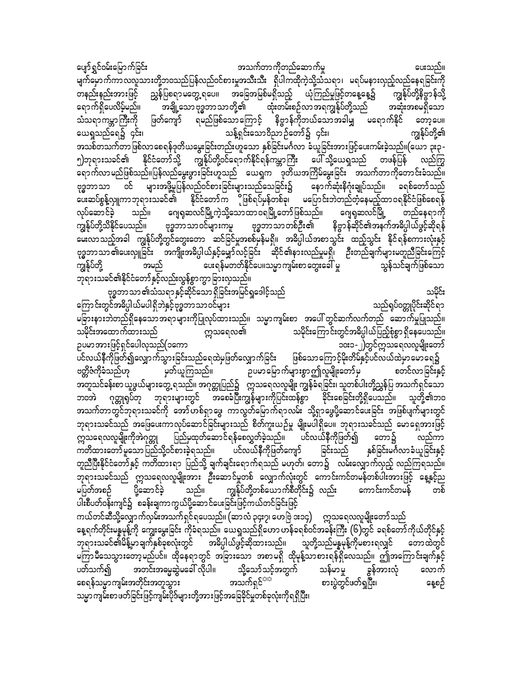ပျော်ရွှင်ဝမ်းမြောက်ခြင်း အသက်တာကိုတည်ဆောက်မှု ပေးသည်။ မျက်မှောက်ကာလလူသားတို့ဘဝသည်ပြန်လည်ဝင်စားမှုအသီးသီး ရှိပါကထိုကဲ့သို့သံသရာ၊ မရပ်မနားလှည့်လည်နေရခြင်းကို တနည်းနည်းအားဖြင့် ညွှန်ပြစရာ မတွေ့ ရပေ။ အခြေအမြစ်မရှိသည့် ယုံကြည်မှုဖြင့်တနေ့နေ့၌ ကျွန်ုပ်တို့နိဗ္ဗာန်သို့ အချို့သော ဗုဒ္ဓဘာသာတို့၏ ထုံးတမ်းစဉ်လာအရကျွန်ုပ်တို့သည် ရောက်ရှိပေလိမ့်မည်။ အဆုံးအစမရှိသော -<br>ရမည်ဖြစ်သောကြောင့် နိဗ္ဗာန်ကိုဘယ်သောအခါမျှ မရောက်နိုင် တော့ပေ။ သံသရာကမ္ဘာကြီးကို ဖြတ်ကျော် ယေရှုသည်ရေ၌ ၄င်း၊ သန့်ရှင်းသောဝိညာဉ်တော်၌ ၄င်း၊ ကျွန်ုပ်တို့၏ အသစ်တသက်တာဖြစ်လာစေရန်ဒုတိယမွေးခြင်းတည်းဟူသော နှစ်ခြင်းမင်္ဂလာ ခံယူခြင်းအားဖြင့်ပေးကမ်းခဲ့သည်။(ယော ၃း၃ -၅)ဘုရားသခင်၏ နိုင်ငံတော်သို့ ကျွန်ုပ်တို့ဝင်ရောက်နိုင်ရန်ကမ္ဘာကြီး ပေါ်သို့ယေရှုသည် တဖန်ပြန် လည်ကြွ -<br>ရောက်လာမည်ဖြစ်သည်။ပြန်လည်မွေးဖွားခြင်းဟူသည် ယေရှုက ဒုတိယအကြိမ်မွေးခြင်း အသက်တာကိုတောင်းခံသည်။ ဗုဒ္ဓဘာသာ ဝင် များအဖို့မှုပြန်လည်ဝင်စားခြင်းများသည်သေခြင်း၌ နောက်ဆုံးနိဂုံးချုပ်သည်။ ခရစ်တော်သည် း<br>အောက်စွန့်လှူကာဘုရားသခင်၏ နိုင်ငံတော်က ဖြစ်ရပ်မှန်တစ်ခု၊ မပြောင်းဘဲတည်တံ့နေမည့်ထာဝရနိုင်ငံဖြစ်စေရန် လုပ်ဆောင်ခဲ့ သည်။ ဂျေရုဆလင်မြို့ကဲ့သို့သောထာဝရမြို့တော်ဖြစ်သည်။ ဂျေရုဆလင်မြို့ တည်နေရာကို ဗုဒ္ဓဘာသာတစ်ဦး၏ နိဗ္ဗာန်ဆိုင်၏အနက်အဓိပ္ပါယ်ဖွင့်ဆိုရန် ကျွန်ုပ်တို့သိနိုင်ပေသည်။ ဗုဒ္ဓဘာသာဝင်များကမူ မေးလာသည့်အခါ ကျွန်ုပ်တို့တွင်တွေးတော ဆင်ခြင်မှုအစစ်မှန်မရှိ။ အဓိပ္ပါယ်အစာသွင်း ထည့်သွင်း နိုင်ရန်စကားလုံးနှင့် ဗုဒ္ဓဘာသာ ၏ပေးလှူခြင်း အကျိုးအဓိပ္ပါယ်နှင့်မျှော်လင့်ခြင်း ဆိုင်၏နားလည်မှုမရှိ၊ ဦးတည်ချက်များမတူညီခြင်းကြေင့် ပေးရန်မတတ်နိုင်ပေ။သမ္မာ ကျမ်းစာ တွေးခေါ် မှု သွန်သင်ချက်ဖြစ်သော ကျွန်ုပ်တို့ အမည် ဘုရားသခင်၏နိုင်ငံတော်နှင့်လည်းလွန်စွာကွာခြားလှသည်။ ဗုဒ္ဓဘာသာ၏သံသရာနှင့်ဆိုင်သော ရှိခြင်းအမြင်ရှုဒေါင့်သည် သမိုင်း

သည်ရုပ်ဝတ္တုပိုင်းဆိုင်ရာ ကြောင်းတွင်အဓိပ္ပါယ်မပါရှိဘဲနှင့်ဗုဒ္ဓဘာသာဝင်များ မခြားနားဘဲတည်ရှိနေသောအရာများကိုပြုလုပ်ထားသည်။ သမ္မာကျမ်းစာ အပေါ် တွင်ဆက်လက်တည် ဆောက်မှုပြုသည်။ သမိုင်းကြောင်းတွင်အဓိပ္ပါယ်ပြည့်စုံစွာ ရှိနေပေသည်။ က္ကသရေလ၏ သမိုင်းအထောက်ထားသည် ဉပမာအားဖြင့်ရှင်ပေါလုသည်(၁ကော ၁၀း၁-၂)တွင်ဣသရေလလူမျိုးတော် ပင်လယ်နီကိုဖြတ်၍လျှောက်သွားခြင်းသည်ရေထဲမှဖြတ်လျှောက်ခြင်း ဖြစ်သောကြောင့်မိုးတိမ်နှင့်ပင်လယ်ထဲမှာမောရေ၌ ဉပမာမြောက်များစွာဤလူမျိုးတော်မှ ဗတ္တိဇံကိုခံသည်ဟု မှတ်ယူကြသည်။ စတင်လာခြင်းနှင့်

ာ က ၂ ပြုပြုပြုပြုပါ များကို များကြသည်။ အကုတ္တုပြည်၌ က္ကသရေလလူမျိုး ကျွန်ခံရခြင်း၊ သူတစ်ပါးတို့ညွှန်ပြ အသက်ရှင်သော ဘဝအဲ ဂုတ္တုရပ်တု ဘုရားများတွင် အစေခံပြီးကျွန်များကိုပြင်းထန်စွာ ခိုင်းစေခြင်းတို့ရှိပေသည်။ သူတို့၏ဘဝ အသက်တာတွင်ဘုရားသခင်ကို အော်ဟစ်ရှာဖွေ ကာလွတ်မြောက်ရာလမ်း သို့ရှာဖွေပို့ဆောင်ပေးခြင်း အဖြစ်ပျက်များတွင် ဘုရားသခင်သည် အဖြေပေးကာလုပ်ဆောင်ခြင်းများသည် စိတ်ကူးယဉ်မှု မျိုးမပါရှိပေ။ ဘုရားသခင်သည် မောရှေအားဖြင့် ဣ္ကာဒရလလူမျိုးကိုအဲဂုတ္တု ပြည်မှထုတ်ဆောင်ရန်စေလွှတ်ခဲ့သည်။ ပင်လယ်နီကိုဖြတ်၍ တော၌ လည်ကာ ကတိထားတော်မူသောပြည်သို့ဝင်စားခဲ့ရသည်။ ပင်လယ်နီကိုဖြတ်ကျော် ခြင်းသည် နှစ်ခြင်းမင်္ဂလာခံယူခြင်းနှင့် တူညီပြီးနိုင်ငံတော်နှင့် ကတိထားရာ ပြည်သို့ ချက်ချင်းရောက်ရသည် မဟုတ်၊ တော၌ လမ်းလျှောက်လှည့် လည်ကြရသည်။ ဘုရားသခင်သည် ဣသရေလလူမျိုးအား ဦးဆောင်မှုတစ် လျှောက်လုံးတွင် ကောင်းကင်တမန်တစ်ပါးအားဖြင့် နေ့နှင့်ည မပြတ်အစဉ် ပို့ဆောင်ခဲ့ သည်။ ကျွန်ုပ်တို့တစ်ယောက်စီတိုင်း၌ လည်း ကောင်းကင်တမန် တစ် ပါးစီပတ်ဝန်းကျင်၌ စခန်းချကာကွယ်ပို့ဆောင်ပေးခြင်းဖြင့်ကယ်တင်ခြင်းဖြင့်

ကယ်တင်ဆီသို့လျှောက်လှမ်းအသက်ရှင်ရပေသည်။ (ဆာလံ ၃၄း၇၊ ဟေဗြဲ ၁း၁၄) ဣသရေလလူမျိုးတော်သည် နေ့ရက်တိုင်းမန္နမုန့်ကို ကျွေးမွေးခြင်း ကိုခံရသည်။ ယေရှုသည်ရှိဟော ဟန်ခရစ်ဝင်အခန်းကြီး (၆)တွင် ခရစ်တော်ကိုယ်တိုင်နှင့် ဘုရားသခင်၏မိန့်မှာချက်နှစ်ခုစလုံးတွင် အဓိပ္ပါယ်ဖွင့်ဆိုထားသည်။ သူတို့သည်မန္နမုန့်ကိုမစားရလျှင် တောထဲတွင် မကြာမီသေသွားတော့မည်ပင်။ ထိုနေရာတွင် အခြားသော အစာမရှိ ထိုမုန့်သာစားရန်ရှိလေသည်။ ဤအကြောင်းချက်နှင့် အတင်းအမ္မေဆွဲမခေါ် လိုပါ။ သို့သော်သင့်အတွက် သန်မာမှု ပတ်သက်၍ ခွန်အားလုံ လောက် အသက်ရှင်<sup>အအ</sup> စားပွဲတွင်ဖတ်ရှပြီး၊ စေရန်သမ္မာကျမ်းအတိုင်းအတူသွား နေ့စဉ် သမ္မာကျမ်းစာ ဖတ်ခြင်းဖြင့်ကျမ်းပိုဒ်များတို့အားဖြင့်အခြေခိုင်မှုတစ်ခုလုံးကိုရရှိပြီး၊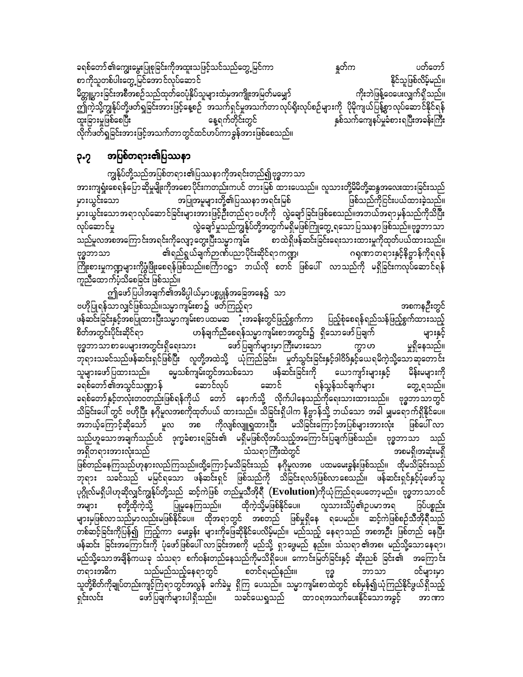ခရစ်တော် ၏ကျွေးမွေးပြုစုခြင်းကိုအထူးသဖြင့်သင်သည်တွေ့မြင်ကာ နူတ်က<br>စာကိုသူတစ်ပါးတွေ့မြင်အောင်လုပ်ဆောင် စာကိုသူတစ်ပါးတွေ့မြင်အောင်လုပ်ဆောင် မိတ္တူပွားခြင်းအစီအစဉ်သည်ထုတ်ဝေပုံနှိပ်သူများထံမှအကျိုးအမြတ်မမျှော် တိုးတဲ့ ကိုးဘဲဖြန့်ဝေပေးလျှက်ရှိသည်။ က္သြယ္မ်ာ<br>တြကဲ့သို့ကျွန်ုပ်တို့ဖတ်ရှုခြင်းအားဖြင့်နေ့စဉ် အသက်ရှင်မှုအသက်တာလုပ်ရိုးလုပ်စဉ်များကို ပိုမိုကျယ်ပြန့်စွာလုပ်ဆောင်နိုင်ရန် ထူးခြားမှုဖြစ်စေပြီး နေ့ရက်တိုင်းတွင် နှစ်သက်ကျေနပ်မှုခံစားရပြီးအခန်းကြီး လိုက်ဖတ်ရှုခြင်းအားဖြင့်အသက်တာတွင်ထင်ဟပ်ကာခွန်အားဖြစ်စေသည်။

# ၃.၇ အပြစ်တရား၏ပြဿနာ

ကျွန်ုပ်တို့သည်အပြစ်တရား၏ပြဿနာကိုအရင်းတည်၍ဗုဒ္ဓဘာသာ အားကျရှုံးစေရန်ပြောဆိုမှုမျိုးကိုအစောပိုင်းကတည်းကပင် တားမြစ် ထားပေသည်။ လူသားတို့မိမိတို့ဆန္ဒအလေးထားခြင်းသည် မှားယွင်းသော အပြုအမူများတို့၏ပြဿနာအရင်းမြစ် ဖြစ်သည်ကိုငြင်းပယ်ထားခဲ့သည်။ မှားယွင်းသောအရာလုပ်ဆောင်ခြင်းများအားဖြင့်ဦးတည်ရာဗဟိုကို လွဲချော်ခြင်းဖြစ်စေသည်။အဘယ်အရာမှန်သည်ကိုသိပြီး လုပ်ဆောင်မှု လွဲချော်မှုသည်ကျွန်ုပ်တို့အတွက်မရှိမဖြစ်ကြုံတွေ့ ရသောပြဿနာဖြစ်သည်။ဗုဒ္ဓဘာသာ သည်မူလအစအကြောင်းအရင်းကိုလျော့တွေးပြီးသမ္မာကျမ်း စာထဲရှိဖန်ဆင်းခြင်းရေးသားထားမှုကိုထုတ်ပယ်ထားသည်။<br>ဗုဒ္ဓဘာသာ ၏ရည်ရွယ်ချက်ဉာဏ်ပညာပိုင်းဆိုင်ရာကဏ္ဍ၊ ဂရုဏာတရားနှင့်နိဗ္ဗာန်ကိုရရန် Ak'¨bmom \&nf&G,fcsufÓPfynmydkif;qdkif&mu@? \*½kPmw&m;ESifhedAÁmefudk&&ef BudK;pm;rIu@rsm;udkzGHNzdK;ap&efjzpfonf/pBuFm0|m b,fvdk pwif jzpfay: vmonfudk r&Sdjcif;uvkyfaqmif&ef ကူညီထောက်ပံ့သိစေခြင်း ဖြစ်သည်။

ဤဖော်ပြပါအချက်၏အဓိပ္ပါယ်မှာပစ္စပ္ပုန်အခြေအနေ၌ သာ A[dkjyK&efomvQifjzpfonf/or®musrf;pmüzwfMunfh&m tpueOD;wGif ဖန်ဆင်းခြင်းနှင့်အစပြုထားပြီးသမ္မာကျမ်းစာ ပထမဆ<sup>ြ</sup>ုံးအခန်းတွင်ဖြည့်စွက်ကာ ပြည့်စုံစေရန်ရည်သန်ဖြည့်စွက်ထားသည့်<br>စိတ်အတွင်းပိုင်းဆိုင်ရာ ပာန်ချက်ညီစေရန်သမ္မာကျမ်းစာအတွင်း၌ ရှိသောဖော်ပြချက်<br>၁း ဖော်ပြချက်များမှာကြီးမားသော ကွာဟ မှုရှိနေသည်။ ဗုဒ္ဓဘာသာစာပေများအတွင်းရှိရေးသား ဖော်ပြချက်များမှာကြီးမားသော ကွာဟ ်သူရားသခင်သည်ဖန်ဆင်းရှင်ဖြစ်ပြီး လူတို့အထဲသို့ ယုံကြည်ခြင်း၊ မှုတ်သွင်းခြင်းနှင့်ဒါဝိဒ်နှင့်ယေရမိကဲ့သို့သောဆုတောင်း သူများဖော်ပြထားသည်။ ဓမ္မသစ်ကျမ်းတွင်အသစ်သော ဖန်ဆင်းခြင်းကို ယောကျာ်းများနှင့် မိန်းမများကို<br>ခရစ်တော်၏အသွင်သဏ္ဍာန် ဆောင်လုပ် ဆောင် မနောင် ရန်သွန်သင်ချက်များ ဆွေ့ရသည်။ ခရစ်တော် ၏အသွင်သဏ္ဍာန် ဆောင်လုပ် ဆောင် ရန်သွန်သင်ချက်များ တွေ့ ရသည်။<br>-ခရစ်တော်နှင့်တလုံးတဝတည်းဖြစ်ရန်ကိုယ် တော် နောက်သို့ လိုက်ပါနေသည်ကိုရေးသားထားသည်။ ဗုဒ္ဓဘာသာတွင် သိခြင်းပေါ် တွင် ဗဟိုပြီး နဂိုမူလအစကိုထုတ်ပယ် ထားသည်။ သိခြင်းရှိပါက နိဗ္ဗာန်သို့ ဘယ်သော အခါ မျှမရောက်ရှိနိုင်ပေ။ အဘယ့်ကြောင့်ဆိုသော် <sup>- -</sup> မူလ အစ ကိုလျစ်လျူရှုထားပြီး မသိခြင်းကြောင့်အပြစ်များအားလုံး ဖြစ်ပေါ် လာ သည်ဟူသောအချက်သည်ပင် ဒုက္ခခံစားရခြင်း၏ မရှိမဖြစ်လိုအပ်သည့်အကြောင်းပြချက်ဖြစ်သည်။ ဗုဒ္ဓဘာသာ သည် t&Sdw&m;tm;vHk;onf oHo&mBuD;xJwGif tpr&Sd?tqHk;r&Sd ဖြစ်တည်နေကြသည်ဟုနားလည်ကြသည်။ထို့ကြောင့်မသိခြင်းသည် နဂိုမူလအစ ပထမမေးခွန်းဖြစ်သည်။ ထိုမသိခြင်းသည် ဘုရား သခင်သည် မမြင်ရသော ဖန်ဆင်းရှင် ဖြစ်သည်ကို သိခြင်းရလဒ်ဖြစ်လာစေသည်။ ဖန်ဆင်းရှင်နှင့်ပုံဖော်သူ ပုဂ္ဂိုလ်မရှိပါဟုဆိုလျှင်ကျွန်ုပ်တို့သည် ဆင့်ကဲဖြစ် တည်မှုသီအိုရီ (<mark>Evolution)</mark>ကိုယုံကြည်ရပေတော့မည်။ ဗုဒ္ဓဘာသာဝင်<br>အများ စုတို့ထိုကဲ့သို့ ပြုမူနေကြသည်။ ထိုကဲ့သို့မဖြစ်နိုင်ပေ။ လူသားသိပ္ပံ၏ဉပမာအရ ဒြပ်ပစ္စည်း အများ စုတို့ထိုကဲ့သို့ ပြုမှုနေကြသည်။ ထိုကဲ့သို့မဖြစ်နိုင်ပေ။ လူသားသိပ္ပံ၏ဉပမာအရ ဒြပ်ပစ္စည်း များမှဖြစ်လာသည်မှာလည်းမဖြစ်နိုင်ပေ။ ထိုအရာတွင် အစတည် ဖြစ်မှုရှိနေ ရပေမည်။ ဆင့်ကဲဖြစ်စဉ်သီအိုရီသည် တစ်ဆင့်ခြင်းကိုပြန်၍ ကြည့်ကာ မေးခွန်း များကိုဖြေဆိုနိုင်ပေလိမ့်မည်။ မည်သည့် နေရာသည် အစအဦး ဖြစ်တည် နေပြီး ဖန်ဆင်း ခြင်းအကြောင်းကို ပုံဖော်ဖြစ်ပေါ် လာခြင်းအစကို မည်သို့ ရှာဖွေမည် နည်း။ သံသရာ၏အစ၊ မည်သို့သောနေရာ၊ မည်သို့သောအချိန်ကယခု သံသရာ စက်ဝန်းတည်နေသည်ကိုမသိရှိပေ။ ကောင်းမြတ်ခြင်းနှင့် ဆိုးညစ် ခြင်း၏ အကြောင်း w&m;t"du onfrnfonfhae&mwGif pwif&rnfenf;/ Ak'¨ bmom 0ifrsm;rSm သူတို့စိတ်ကိုချုပ်တည်းကျင့်ကြရာတွင်အလွန် ခက်ခဲမှု ရှိကြ ပေသည်။ သမ္မာကျမ်းစာထဲတွင် စစ်မှန်၍ယုံကြည်နိုင်ဖွယ်ရှိသည့် ရှင်းလင်း မော်ပြချက်များပါရှိသည်။ သခင်ယေရှသည် ထာဝရအသက်ပေးနိုင်သောအခွင့် အာဏာ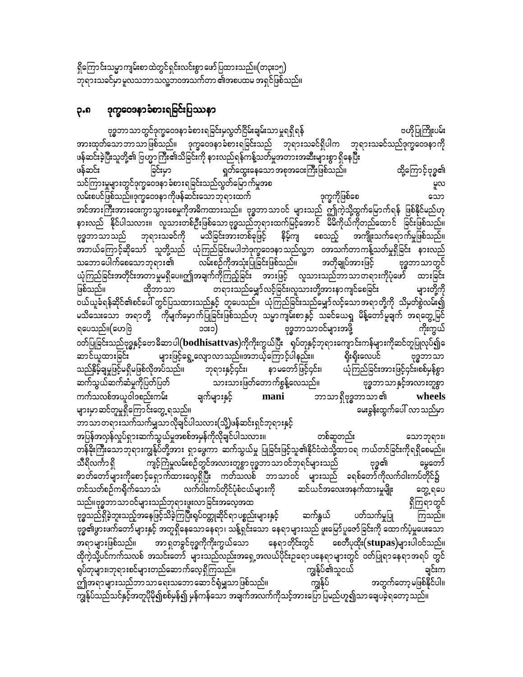ဗုဒ္ဓဘာသာတွင်ဒုက္ခဝေဒနာခံစားရခြင်းမှလွတ်ငြိမ်းချမ်းသာမှုရရှိရန် ဗဟိုပြုကြိုးပမ်း အားထုတ်သောဘာသာဖြစ်သည်။ ဒုက္ခဝေဒနာခံစားရခြင်းသည် ဘုရားသခင်ရှိပါက ဘုရားသခင်သည်ဒုက္ခဝေဒနာကို ဖန်ဆင်းခဲ့ပြီးသူတို့၏ ဗြဟ္မာ ကြီး၏သိခြင်းကို နားလည်ရန်ကန့်သတ်မှုအတားအဆီးများစွာ ရှိနေပြီး ထို့ကြောင့်ဗုဒ္ဓ၏ ခြင်းမှာ ရှတ်ထွေးနေသော အစုအဝေးကြီးဖြစ်သည်။ ဖန်ဆင်း သင်ကြားမှုများတွင်ဒုက္ခဝေဒနာ ခံစားရခြင်းသည်လွတ်မြောက်မှုအစ မူလ လမ်းစပင်ဖြစ်သည်။ဒုက္ခဝေဒနာကိုဖန်ဆင်းသောဘုရားထက် ဒုက္ခကိုဖြစ်စေ သော အင်အားကြီးအားဝေးကွာသွားစေမှုကိုအဓိကထားသည်။ ဗုဒ္ဓဘာသာဝင် များသည် ဤကဲ့သို့ထွက်မြောက်ရန် ဖြစ်နိုင်မည်ဟု<br>နားလည် နိုင်ပါသလား။ လူသားတစ်ဦးဖြစ်သောဗုဒ္ဓသည်ဘုရားထက်မြင့်အောင် မိမိကိုယ်ကိုတည်ထောင် ခြင်းဖြစ်သည်။ မသိခြင်းအားတစ်ခုဖြင့် ဘုရားသခင်ကို နိမ့်ကျ စေသည့် အကျိုးသက်ရောက်မှုဖြစ်သည်။ ဗုဒ္ဓဘာသာသည် -<br>- အဘယ်ကြောင့်ဆိုသော် သူတို့သည် ယုံကြည်ခြင်းမပါဘဲဒုက္ခဝေဒနာသည်လူ့ဘ ဝအသက်တာကန့်သတ်မှုရှိခြင်း နားလည်<br>- သဘောပေါက်စေသောဘုရား၏ - လမ်းစဉ်ကိုအသုံးပြုခြင်းဖြစ်သည်။ - - - - အတိုချုပ်အားဖြင့် - - - - ဗုဒ္ဓဘာသာတွင် ယုံကြည်ခြင်းအတိုင်းအတာမှုမရှိပေ။ဤအချက်ကိုကြည့်ခြင်း ဘားဖြင့် လူသားသည်ဘာသာတရားကိုပုံဖော် ထားခြင်း တရားသည်မျှော်လင့်ခြင်း၊လူသားတို့အားနာကျင်စေခြင်း များတို့ကို ဖြစ်သည်။ ထိုဘာသာ ဝယ်ယူခံရန်ဆိုင်၏စင်ပေါ် တွင်ပြသထားသည်နှင့် တူပေသည်။ ယုံကြည်ခြင်းသည်မျှော်လင့်သောအရာတို့ကို သိမှတ်စွဲလမ်း၍ မသိသေးသော အရာတို့ ကိုမျက်မှောက်ပြုခြင်းဖြစ်သည်ဟု သမ္မာကျမ်းစာနှင့် သခင်ယေရှု မိန့်တော်မူချက် အရတွေ့မြင် ဗုဒ္ဓဘာသာဝင်များအဖို့ ရပေသည်။(ဟေဗြဲ  $\circ$ ကိုးကွယ် ၀တ်ပြုခြင်းသည်ဗုဒ္ဓနှင့်ဗောဓိဆာပါ $($ bodhisattvas)ကိုကိုးကွယ်ပြီး ရပ်တုနှင့်ဘုရားကျောင်းကန်များကိုဆင်တူပြုလုပ်၍ ေ များဖြင့်ရွေ့လျောလာသည်။အဘယ့်ကြောင့်ပါနည်း။ ဆာင်ယူထားခြင်း ရိုးရိုးလေပင် ဗုဒ္ဓဘာသာ သည်နှိမ့်ချမှုဖြင့်မရှိမဖြစ်လိုအပ်သည်။ ယုံကြည်ခြင်းအားဖြင့်၄င်း၊စစ်မှန်စွာ ဘုရားနှင့်၄င်း၊ နာ မတော်ဖြင့်၄င်း၊ ဆက်သွယ်ဆက်ဆံမှုကိုပြတ်ပြတ် သားသားဖြတ်တောက်စွန့်လေသည်။ ဗုဒ္ဓဘာသာနှင့်အလားတူစွာ ကက်သလစ်အယူဝါဒစည်းကမ်း ဘာသာရှိဗုဒ္ဓဘာသာ၏ ချက်များနှင့် wheels mani များမှာဆင်တူမှုရှိကြောင်းတွေ့ ရသည်။ မေးခွန်းထွက်ပေါ် လာသည်မှာ ဘာသာတရားသက်သက်မျှသာလိုချင်ပါသလား(သို့)ဖန်ဆင်းရှင်ဘုရားနှင့် အပြန်အလှန်လှုပ်ရှားဆက်သွယ်မှုအစစ်အမှန်ကိုလိုချင်ပါသလား။ တစ်ဆူတည်း သောဘုရား၊ တန်ခိုးကြီးသောဘုရားကျွန်ုပ်တို့အား ရှာဖွေကာ ဆက်သွယ်မှု ပြုခြင်းဖြင့်သူ၏နိုင်ငံထဲသို့ထာဝရ ကယ်တင်ခြင်းကိုရရှိစေမည်။ ကျင့်ကြံမှုလမ်းစဉ်တွင်အလားတူစွာ ဗုဒ္ဓဘာသာ ဝင်ဘုရင်များသည် မွေတော် သီရိလင်္ကာ ရှိ ဗုဒ္ဓ၏ ဓာတ်တော်များကိုစောင့်ရှောက်ထားလေ့ရှိပြီး ကတ်သလစ် ဘာသာဝင် များသည် ခရစ်တော်ကိုလက်ဝါးကပ်တိုင်၌ တင်သတ်စဉ်ကရိုက်သောသံ၊ လက်ဝါးကပ်တိုင်ပုံစံငယ်များကို ဆင်ယင်အလေးအနက်ထားမှုမျိုး တွေ့ ရပေ သည်။ဗုဒ္ဓဘာသာဝင်များသည်ဘုရားဖူးလာခြင်းအလေ့အထ ရှိကြရာတွင် ပတ်သက်မှုပြု ဗုဒ္ဓသည်ရှိခဲ့ဘူးသည့်အနေဖြင့်သိခဲ့ကြပြီးရုပ်ဝတ္တုဆိုင်ရာ ပစ္စည်းများနှင့် ဆက်နွယ် ကြသည်။ ဗုဒ္ဓ၏ဖွားဖက်တော်များနှင့် အတူရှိနေသောနေရာ၊ သန့်ရှင်းသော နေရာများသည် ဖူးမြော်ပူဇော်ခြင်းကို ထောက်ပံ့မှုပေးသော အရာများဖြစ်သည်။ အာ ရှတခွင်ဗုဒ္ဓကိုကိုးကွယ်သော နေရာတိုင်းတွင် စေတီပုထိုး $(\bf stupas)$ များပါဝင်သည်။ ထိုကဲ့သို့ပင်ကက်သလစ် အသင်းတော် များသည်လည်းအရှေ့အလယ်ပိုင်းဉရောပနေရာများတွင် ဝတ်ပြုရာနေရာအရပ် တွင် ရုပ်တုများ၊ဘုရားစင်များတည်ဆောက်လေ့ရှိကြသည်။ ကျွန်ုပ်၏သူငယ် ချင်းက အတွက်တော့မဖြစ်နိုင်ပါ။ ဤအရာများသည်ဘာသာရေးသဘောဆောင်ရုံမျှသာဖြစ်သည်။ ကျွန်ုပ် ကျွန်ုပ်သည်သင်နှင့်အတူပိုမို၍စစ်မှန်၍ မှန်ကန်သော အချက်အလက်ကိုသင့်အားပြော ပြမည်ဟူ၍သာ ချေပခဲ့ရတော့ သည်။

#### ဒုက္ခဝေဒနာခံစားရခြင်းပြဿနာ ၃.၈

ရှိကြောင်းသမ္မာကျမ်းစာထဲတွင်ရှင်းလင်းစွာဖော်ပြထားသည်။(တ၃း၁၅) ဘုရားသခင်မှာ မူလသဘာသလူ့ဘဝအသက်တာ ၏အစပထမ အရှင်ဖြစ်သည်။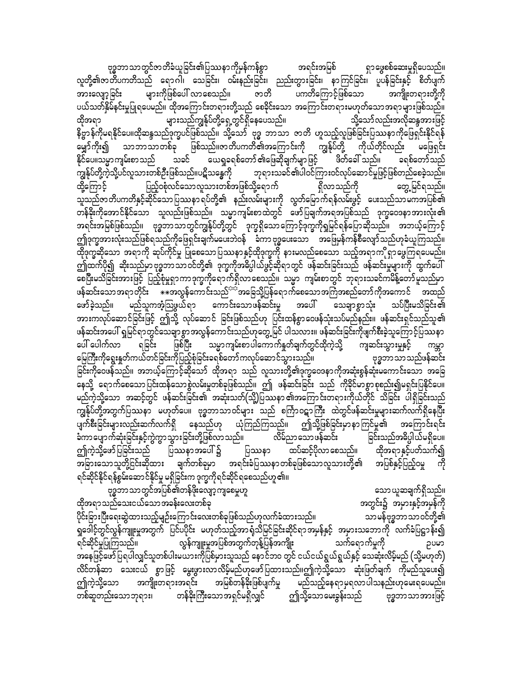ဗုဒ္ဓဘာသာတွင်အပြစ်၏တန်ဖိုးလျော့ကျစေမှုဟူ သော ယူဆချက်ရှိသည်။ ထိုအရာသည်သေးငယ်သောအခန်းလေးတစ်ခု အတွင်း၌ အမှားနှင့်အမှန်ကို ပိုင်းခြားပြီးရေးဆွဲထားသည့်မျဉ်းကြောင်းလေးတစ်ခုဖြစ်သည်ဟုလက်ခံထားသည်။ သာမန်ဗုဒ္ဓဘာသာဝင်တို့၏ ရှုခေါ်င့်တွင်လွန်ကျူးမှုအတွက် ပြင်ပပိုင်း မဟုတ်သည့်အာရုံသိမြင်ခြင်းဆိုင်ရာအမှန်နှင့် အမှားသဘောကို လက်ခံပြဋ္ဌာန်း၍ ရင်ဆိုင်မှုပြုကြသည်။ လွန်ကျူးမှုအပြစ်အတွက်တုန့်ပြန်အကျိုး သက်ရောက်မှုကို ဥပမာ အနေဖြင့်ဖော်ပြရပါလျှင်သူတစ်ပါးမယားကိုပြစ်မှားသူသည် နောင်ဘဝ တွင် ငယ်ငယ်ရွယ်ရွယ်နှင့် သေဆုံးလိမ့်မည် (သို့မဟုတ်) လိင်တန်ဆာ သေးငယ် စွာဖြင့် မွေးဖွားလာလိမ့်မည်ဟုဖော်ပြထားသည်။ဤကဲ့သို့သော ဆုံးဖြတ်ချက် ကိုမည်သူပေး၍ အကျိုးတရားအရင်း အမြစ်တန်ခိုးဖြစ်ပျက်မှု ဤကဲ့သို့သော မည်သည့်နေရာမှရလာပါသနည်းဟုမေးရပေမည်။ တစ်ဆူတည်းသောဘုရား၊ တန်ခိုးကြီးသောအရှင်မရှိလျှင် ဤသို့သောမေးခွန်းသည် ဗုဒ္ဓဘာသာအားဖြင့်

နိဗ္ဗာန်ကိုမရနိုင်ပေ။ထိုဆန္ဒသည်ဒုက္ခပင်ဖြစ်သည်။ သို့သော် ဗုဒ္ဓ ဘာသာ ဇာတိ ဟူသည့်လူဖြစ်ခြင်းပြဿနာကိုဖြေရှင်းနိုင်ရန် မျှော်ကိုး၍ သာဘာသာတစ်ခု ဖြစ်သည်။ဇာတိပကတိ၏အကြောင်းကို ကျွန်ုပ်တို့ ကိုယ်တိုင်လည်း မဖြေရှင်း သခင် နိုင်ပေ။သမ္မာကျမ်းစာသည် ယေရှုခရစ်တော် ၏ဖြေဆိုချက်မျာဖြင့် ဖိတ်ခေါ် သည်။ ခရစ်တော်သည် ကျွန်ုပ်တို့ကဲ့သို့ပင်လူသားတစ်ဦးဖြစ်သည်။ပဋိသန္ဓေကို ဘုရားသခင်၏ပါဝင်ကြားဝင်လုပ်ဆောင်မှုဖြင့်ဖြစ်တည်စေခဲ့သည်။ ထို့ကြောင့် ပြည့်ဝစုံလင်သောလူသားတစ်အဖြစ်သို့ရောက် တွေ့ မြင်ရသည်။ ာ<br>သူသည်ဇာတိပကတိနှင့်ဆိုင်သောပြဿနာ ရပ်တို့၏ နည်းလမ်းများကို လွတ်မြောက်ရန်လမ်းဖွင့် ပေးသည်သာမကအပြစ်၏<br>တန်ခိုးကိုအောင်နိုင်သော သူလည်းဖြစ်သည်။ သမ္မာကျမ်းစာထဲတွင် ဖော်ပြချက်အရအပြစ်သည် ဒုက္ခဝေဒနာအားလုံး၏ အရင်းအမြစ်ဖြစ်သည်။ ဗုဒ္ဓဘာသာတွင်ကျွန်ုပ်တို့တွင် ဒုက္ခရှိသောကြောင့်ဒုက္ခကိုရှုမြင်ရန်ပြောဆိုသည်။ အဘယ့်ကြောင့် ဤခုက္ခအားလုံးသည်ဖြစ်ရသည်ကိုဖြေရှင်းချက်မပေးဘဲဝန် နီးကာ ဗုဒ္ဓပေးသော အဖြေမှန်ကန်စီလျော်သည်ဟုခံယူကြသည်။ ထိုဒုက္ခဆိုသော အရာကို ဆုပ်ကိုင်မှု ပြုစေသောပြဿနာနှင့်ထိုဒုက္ခကို နားမလည်စေသော သည့်အရာကိုရှာဖွေကြရပေမည်။ ဤထက်ပို၍ ဆိုးသည်မှာဗုဒ္ဓဘာသာဝင်တို့၏ ဒုက္ခကိုအဓိပ္ပါယ်ဖွင့်ဆိုရာတွင် ဖန်ဆင်းခြင်းသည် ဖန်ဆင်းမှုများကို ထွက်ပေါ် စေပြီးမသိခြင်းအားဖြင့် ပြည့်စုံမှုရှာကာဒုက္ခကိုရောက်ရှိလာစေသည်။ သမ္မာ ကျမ်းစာတွင် ဘုရားသခင်ကမိန့်တော်မူသည်မှာ ဖန်ဆင်းသောအရာတိုင်း \*\*အလွန်ကောင်းသည်<sup>ာင်</sup>အခြေသို့ပြန်ရောက်စေသောအကြံအစည်တော်ကိုအကောင် အထည် ဖော်ခဲ့သည်။ မည်သူကအံ့သြဖွယ်ရာ ကောင်းသောဖန်ဆင်းမှု အပေါ် သေချာစွာသုံး သပ်ပြီးမသိခြင်း၏ အားကလုပ်ဆောင်ခြင်းဖြင့် ဤသို့ လုပ်ဆောင် ခြင်းဖြစ်သည်ဟု ပြင်းထန်စွာဝေဖန်သုံးသပ်မည်နည်း။ ဖန်ဆင်းရှင်သည်သူ၏ ဖန်ဆင်းအပေါ် ရှုမြင်ရာတွင်သေချာစွာအလွန်ကောင်းသည်ဟုတွေ့မြင် ပါသလား။ ဖန်ဆင်းခြင်းကိုဖျက်စီးခဲ့သူကြောင့်ပြဿနာ သမ္မာကျမ်းစာပါကောက်နှတ်ချက်တွင်ထိုကဲ့သို့ ကျဆင်းသွားမှုနှင့် ပေါ် ပေါက်လာ ဖြစ်ပြီး ရခြင်း ುಗಿರು မြေကြီးကိုရွေးနူတ်ကယ်တင်ခြင်းကိုပြည့်စုံခြင်းခရစ်တော် ကလုပ်ဆောင်သွားသည်။ ဗုဒ္ဓဘာသာသည်ဖန်ဆင်း ခြင်းကိုဝေဖန်သည်။ အဘယ့်ကြောင့်ဆိုသော် ထိုအရာ သည် လူသားတို့၏ဒုက္ခဝေဒနာကိုအဆုံးစွန်ဆုံးမကောင်းသော အခြေ နေသို့ ရောက်စေသောပြင်းထန်သောစွဲလမ်းမှုတစ်ခုဖြစ်သည်။ ဤ ဖန်ဆင်းခြင်း သည် ကိုခိုင်မာစွာစုစည်း၍မရှင်းပြနိုင်ပေ။ မည်ကဲ့သို့သော အဆင့်တွင် ဖန်ဆင်းခြင်း၏ အဆုံးသတ်(သို့)ပြဿနာ၏အကြောင်းတရားကိုယ်တိုင် သိခြင်း ပါရှိခြင်းသည် ကျွန်ုပ်တို့အတွက်ပြဿနာ မဟုတ်ပေ။ ဗုဒ္ဓဘာသာဝင်များ သည် စင်္ကြာဝဋာကြီး ထဲတွင်ဖန်ဆင်းမှုများဆက်လက်ရှိနေပြီး ပျက်စီးခြင်းများလည်းဆက်လက်ရှိ နေသည်ဟု ယုံကြည်ကြသည်။ ဤသို့ဖြစ်ခြင်းမှာနာကြင်မှု၏ အကြောင်းရင်း ခံကာပျောက်ဆုံးခြင်းနှင့်ကွဲကွာသွားခြင်းတို့ဖြစ်လာသည်။ လိမ်ညာသောဖန်ဆင်း ခြင်းသည်အဓိပ္ပါယ်မရှိပေ။ ပြဿနာ ထပ်ဆင့်ပိုလာ စေသည်။ ဤကဲ့သို့ဖော်ပြခြင်းသည် ပြဿနာအပေါ် ၌ ထိုအရာနှင့်ပတ်သက်၍ အပြစ်နှင့်ပြည့်ဝမှု အခြားသောသူတို့ငြင်းဆိုထား ချက်တစ်ခုမှာ အရင်းခံပြဿနာတစ်ခုဖြစ်သောလူသားတို့၏ ကို ရင်ဆိုင်နိုင်ရန်စွမ်းဆောင်နိုင်မှု မရှိခြင်းက ဒုက္ခကိုရင်ဆိုင်ရစေသည်ဟူ၏။

ဗုဒ္ဓဘာသာတွင်ဇာတိခံယူခြင်း၏ပြဿနာကိုမှန်ကန်စွာ ရှာဖွေစစ်ဆေးမှုရှိပေသည်။ အရင်းအမြစ် လူတို့၏ဇာတိပကတိသည် ရောဂါ၊ သေခြင်း၊ ဝမ်းနည်းခြင်း၊ ညည်းတွားခြင်း၊ နာကြင်ခြင်း၊ ပူပန်ခြင်းနှင့် စိတ်ပျက် များကိုဖြစ်ပေါ် လာစေသည်။ ဇာတိ ပကတိကြောင့်ဖြစ်သော အကျိုးတရားတို့ကို အားလျော့ခြင်း ပယ်သတ်နှိမ်နင်းမှုပြုရပေမည်။ ထိုအကြောင်းတရားတို့သည် စေခိုင်းသော အကြောင်းတရားမဟုတ်သောအရာများဖြစ်သည်။ များသည်ကျွန်ုပ်တို့ရှေ့တွင်ရှိနေပေသည်။ သို့သော်လည်းအလိုဆန္ဒအားဖြင့် ထိုအရာ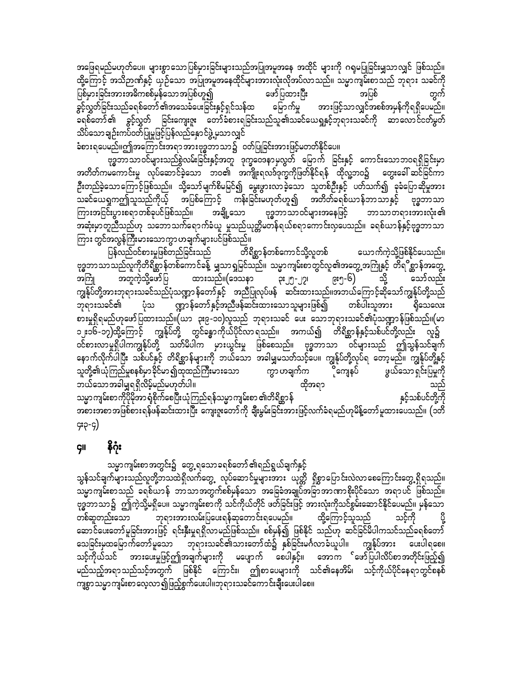အဖြေရမည်မဟုတ်ပေ။ များစွာသောပြစ်မှားခြင်းများသည်အပြုအမူအနေ အထိုင် များကို ဂရုမပြုခြင်းမျှသာလျှင် ဖြစ်သည်။ ထို့ကြောင့် အသိဉာဏ်နှင့် ယှဉ်သော အပြုအမူအနေထိုင်များအားလုံးလိုအပ်လာသည်။ သမ္မာကျမ်းစာသည် ဘုရား သခင်ကို ပြစ်မှားခြင်းအားအဓိကစစ်မှန်သောအပြစ်ဟူ၍ ဖော်ပြထားပြီး အပြစ် အားဖြင့်သာလျှင်အစစ်အမှန်ကိုရရှိပေမည်။ ခွင့်လွှတ်ခြင်းသည်ခရစ်တော် ၏အသေခံပေးခြင်းနှင့်ရှင်သန်ထ မြောက်မှု ခရစ်တော်၏ ခွင့်လွှတ် ခြင်းကျေးဇူး တော်ခံစားရခြင်းသည်သူ၏သခင်ယေရှုနှင့်ဘုရားသခင်ကို ဆာလောင်ငတ်မှတ် သိပ်သောချဉ်းကပ်ဝတ်ပြုမှုဖြင့်ပြန်လည်နှောင်ဖွဲ့ မှသာလျှင်

ခံစားရပေမည်။ဤအကြောင်းအရာအားဗုဒ္ဓဘာသာ၌ ဝတ်ပြုခြင်းအားဖြင့်မတတ်နိုင်ပေ။

ဗုဒ္ဓဘာသာဝင်များသည်စွဲလမ်းခြင်းနှင့်အတူ ဒုက္ခဝေဒနာမှလွတ် မြောက် ခြင်းနှင့် ကောင်းသောဘဝရရှိခြင်းမှာ အတိတ်ကမကောင်းမှု လုပ်ဆောင်ခဲ့သော ဘဝ၏ အကျိုးရလဒ်ဒုက္ခကိုဖြတ်နိုင်ရန် ထိုလူ့ဘဝ၌ တွေးခေါ် ဆင်ခြင်ကာ ဦးတည်ခဲ့သောကြောင့်ဖြစ်သည်။ သို့သော်မျက်စိမမြင်၍ မွေးဖွားလာခဲ့သော သူတစ်ဦးနှင့် ပတ်သက်၍ ခုခံပြောဆိုမှုအား ကြားအငြင်းပွားစရာတစ်ခုပင်ဖြစ်သည်။ အချို့သော ဗုဒ္ဓဘာသာဝင်များအနေဖြင့် ဘာသာတရားအားလုံး၏ အဆုံးမှာတူညီသည်ဟု သဘောသက်ရောက်ခံယူ မှုသည်ယုတ္တိမတန်ရယ်စရာကောင်းလှပေသည်။ ခရစ်ယာန်နှင့်ဗုဒ္ဓဘာသာ ကြား တွင်အလွန်ကြီးမားသောကွာဟချက်များပင်ဖြစ်သည်။

ပြန်လည်ဝင်စားမှုဖြစ်တည်ခြင်းသည် တိရိစ္ဆာန်တစ်ကောင်သို့လူတစ် ယောက်ကဲ့သို့ဖြစ်နိုင်ပေသည်။ ဗုဒ္ဓဘာသာသည်လူကိုတိရိစ္ဆာန်တစ်ကောင်ခန့် မျှသာရှုမြင်သည်။ သမ္မာကျမ်းစာတွင်လူ၏အတွေ့အကြုံနှင့် တိရ**ိ**စ္ဆာန်အတွေ့ ထားဘည်။(ဒေသနာ ၃း၂၅-၂၇၊ ၉း၅-၆) အကြုံ အတူကဲ့သို့ဖော်ပြ သို့ သော်လည်း ကျွန်ုပ်တို့အားဘုရားသခင်သည်ပုံသဏ္ဍာ န်တော်နှင့် အညီပြုလုပ်ဖန် ဆင်းထားသည်။အဘယ်ကြောင့်ဆိုသော်ကျွန်ုပ်တို့သည် ပုံသ ဏ္ဍာန်တော်နှင့်အညီဖန်ဆင်းထားသောသူများဖြစ်၍ ဘုရားသခင်၏ တစ်ပါးသူအား ရှိသေလေး စားမှုရှိရမည်ဟုဖော်ပြထားသည်။(ယာ ၃း၉-၁၀)လူသည် ဘုရားသခင် ပေး သောဘုရားသခင်၏ပုံသဏ္ဍာန်ဖြစ်သည်။(မာ လ၌ ဝင်စားလာမှုရှိပါကကျွန်ုပ်တို့ သတ်မိပါက မှားယွင်းမှု ဖြစ်စေသည်။ ဗုဒ္ဓဘာသာ ဝင်များသည် ဤသွန်သင်ချက် နောက်လိုက်ပါပြီး သစ်ပင်နှင့် တိရိစ္ဆာန်များကို ဘယ်သော အခါမျှမသတ်သင့်ပေ။ ကျွန်ုပ်တို့လုပ်ရ တော့မည်။ ကျွန်ုပ်တို့နှင့် သူတို့၏ယုံကြည်မှုစနစ်မှာခိုင်မာ၍ထုထည်ကြီးမားသော က္မွာ ဟချက်က ိုကျေနပ် ဖွယ်သောရှင်းပြမှုကို ဘယ်သောအခါမျှရရှိလိမ့်မည်မဟုတ်ပါ။ ထိုအရာ သည် နှင့်သစ်ပင်တို့ကို သမ္မာကျမ်းစာကိုပိုမိုအာ ရုံစိုက်စေပြီးယုံကြည်ရန်သမ္မာကျမ်းစာ ၏တိရိစ္ဆာန် ၄း၃-၄)

#### နိဂုံး **GII**

သမ္မာကျမ်းစာအတွင်း၌ တွေ့ ရသောခရစ်တော်၏ရည်ရွယ်ချက်နှင့်

သွန်သင်ချက်များသည်လူတို့ဘသထဲရှိလက်တွေ့ လုပ်ဆောင်မှုများအား ယုတ္တိ ရှိစွာပြောင်းလဲလာစေကြောင်းတွေ့ရှိရသည်။ သမ္မာကျမ်းစာသည် ခရစ်ယာန် ဘာသာအတွက်စစ်မှန်သော အခြေခံအချုပ်အခြာအာဏာစိုးပိုင်သော အရာပင် ဖြစ်သည်။ ဗုဒ္ဓဘာသာ၌ ဤကဲ့သို့မရှိပေ။ သမ္မာကျမ်းစာကို သင်ကိုယ်တိုင် ဖတ်ခြင်းဖြင့် အားလုံးကိုသင်စွမ်းဆောင်နိုင်ပေမည်။ မှန်သော တစ်ဆူတည်းသော ဘုရားအားလမ်းပြပေးရန်ဆုတောင်းရပေမည်။ ထို့ကြောင့်သူသည် သင့်ကို ဆောင်ပေးတော်မူခြင်းအားဖြင့် ရင်းနှီးမှုရရှိလာမည်ဖြစ်သည်။ စစ်မှန်၍ ဖြစ်နိုင် သည်ဟု ဆင်ခြင်မိပါကသင်သည်ခရစ်တော် သေခြင်းမှထမြောက်တော်မူသော ဘုရားသခင်၏သားတော်ထံ၌ နှစ်ခြင်းမင်္ဂလာခံယူပါ။ ကျွန်ုပ်အား ပေးပါရစေ။ သင့်ကိုယ်သင် အားပေးမှုဖြင့်ဤအချက်များကို မပျောက် စေပါနှင့်။ အောက ်ဖော်ပြပါလိပ်စာအတိုင်းဖြည့်၍ မည်သည့်အရာသည်သင့်အတွက် ဖြစ်နိုင် ကြောင်း၊ ဤစာပေများကို သင်၏နေအိမ်၊ သင့်ကိုယ်ပိုင်နေရာတွင်စနစ် ကျစွာသမ္မာကျမ်းစာလေ့လာ၍ဖြည့်စွက်ပေးပါ။ဘုရားသခင်ကောင်းချီးပေးပါစေ။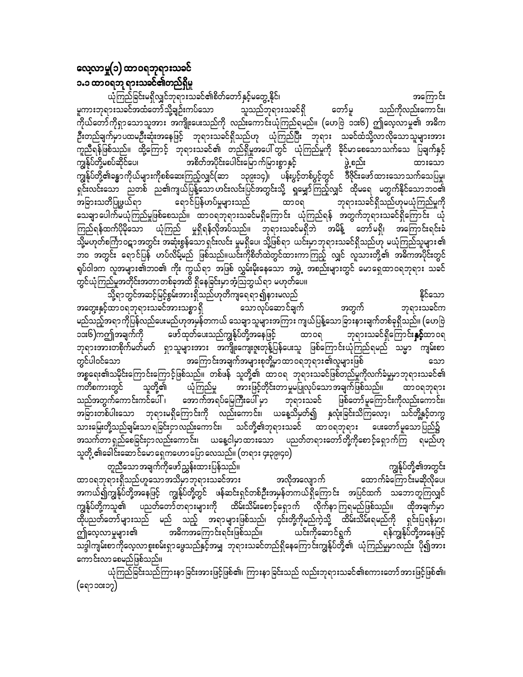# လေ့လာမှု(၁) ထာဝရဘုရားသခင် ၁.၁ ထာဝရဘု ရားသခင်၏တည်ရှိမှု

ယုံကြည်ခြင်းမရှိလျှင်ဘုရားသခင်၏စိတ်တော်နှင့်မတွေ့နိုင်၊ အကြောင်း မူကားဘုရားသခင်အထံတော်သို့ချဉ်းကပ်သော သူသည်ဘုရားသခင်ရှိ တော်မူ သည်ကိုလည်းကောင်း၊ ကိုယ်တော်ကိုရှာသောသူအား အကျိုးပေးသည်ကို လည်းကောင်းယုံကြည်ရမည်။ (ဟေဗြဲ ၁၁း၆) ဤလေ့လာမှု၏ အဓိက ဦးတည်ချက်မှာပထမဦးဆုံးအနေဖြင့် ဘုရားသခင်ရှိသည်ဟု ယုံကြည်ပြီး ဘုရား သခင်ထံသို့လာလိုသောသူများအား .<br>ကူညီရန်ဖြစ်သည်။ ထို့ကြောင့် ဘုရားသခင်၏ တည်ရှိမှုအပေါ်တွင် ယုံကြည်မှုကို ခိုင်မာစေသောသက်သေ<sup>ီ</sup>ပြချက်နှင့် အစိတ်အပိုင်းပေါင်းမြောက်မြားစွာနှင့် ဖွဲ့စည်း ကျွန်ုပ်တို့မစပ်ဆိုင်ပေ၊ ထားသော ကျွန်ုပ်တို့၏ခန္ဓာကိုယ်များကိုစစ်ဆေးကြည့်လျှင်(ဆာ ၁၃၉း၁၄)၊ ပန်းပွင့်တစ်ပွင့်တွင် ဒီဇိုင်းဖော်ထားသောသက်သေပြမှု၊ ရှင်းလင်းသော ညတစ် ည၏ကျယ်ပြန့်သောဟင်းလင်းပြင်အတွင်းသို့ ရှမျှော်ကြည့်လျှင် ထိုမရေ မတွက်နိုင်သောဘဝ၏ ရောင်ပြန်ဟပ်မှုများသည် အခြားသတိပြုဖွယ်ရာ ထာ၀ရ ဘုရားသခင်ရှိသည်ဟုမယုံကြည်မှုကို သေချာပေါက်မယုံကြည်မှုဖြစ်စေသည်။ ထာဝရဘုရားသခင်မရှိကြောင်း ယုံကြည်ရန် အတွက်ဘုရားသခင်ရှိကြောင်း ယုံ ကြည်ရန်ထက်ပိုမိုသော ယုံကြည် မှုရှိရန်လိုအပ်သည်။ ဘုရားသခင်မရှိဘဲ အမိန့် တော်မရှိ၊ အကြောင်းရင်းခံ ာ္မ်ိဳ႕<br>သို့မဟုတ်စင်္ကြာဝဋ္ဌာအတွင်း အဆုံးစွန်သောရှင်းလင်း မှုမရှိပေ၊ သို့ဖြစ်ရာ ယင်းမှာဘုရားသခင်ရှိသည်ဟု မယုံကြည်သူများ၏ ဘဝ အတွင်း ရောင်ပြန် ဟပ်လိမ့်မည် ဖြစ်သည်။ယင်းကိုစိတ်ထဲတွင်ထားကာကြည့် လျှင် လူသားတို့၏ အဓိကအပိုင်းတွင် ရုပ်ဝါဒက လူအများ၏ဘ၀၏ ကိုး ကွယ်ရာ အဖြစ် လွှမ်းမိုးနေသော အဖွဲ့ အစည်းများတွင် မောရှေထာဝရဘုရား သခင် တွင်ယုံကြည်မှုအတိုင်းအတာတစ်ခုအထိ ရှိနေခြင်းမှာအံ့သြဘွယ်ရာ မဟုတ်ပေ။

သို့ရာတွင်အဆင့်မြင့်စွမ်းအားရှိသည်ဟုတိကျရေရာ၍နားမလည် နိုင်သော အတွေးနှင့်ထာဝရဘုရားသခင်အားသစ္စာ ရှိ သောလုပ်ဆောင်ချက် အတွက် ဘုရားသခင်က မည်သည့်အရာကိုပြန်လည်ပေးမည်ဟုအမှန်တကယ် သေချာသူများအကြား ကျယ်ပြန့်သောခြားနားချက်တစ်ခုရှိသည်။ (ဟေဗြဲ ၁၁း၆)ကဤအချက်ကို ဖော်ထုတ်ပေးသည်ကျွန်ုပ်တို့အနေဖြင့် ထာဝရ ဘုရားသခင်ရှိကြောင်း**နှင့်**ထာဝရ ဘုရားအားတစိုက်မတ်မတ် ရှာသူများအား အကျိုးကျေးဇူးတုန့်ပြန်ပေးသူ ဖြစ်ကြောင်းယုံကြည်ရမည် သမ္မာ ကျမ်းစာ အကြောင်းအချက်အများစုတို့မှာထာဝရဘုရား၏လူများဖြစ် တွင်ပါဝင်သော သော အစ္စရေး၏သမိုင်းကြောင်းကြောင့်ဖြစ်သည်။ တစ်ဖန် သူတို့၏ ထာဝရ ဘုရားသခင်ဖြစ်တည်မှုကိုလက်ခံမှုမှာဘုရားသခင်၏ သူတို့၏ ယုံကြည်မှု အားဖြင့်တိုင်းတာမှုမပြုလုပ်သောအချက်ဖြစ်သည်။ ကတိစကားတွင် ထာဝရဘုရား သည်အတွက်ကောင်းကင်ပေါ် ၊ အောက်အရပ်မြေကြီးပေါ် မှာ ဘုရားသခင် ဖြစ်တော်မူကြောင်းကိုလည်းကောင်း၊ အခြားတစ်ပါးသော ဘုရားမရှိကြောင်းကို လည်းကောင်း၊ ယနေ့သိမှတ်၍ နှလုံးခြင်းသိကြလော့၊ သင်တို့နှင့်တကွ သားမြေးတို့သည်ချမ်းသာ ရခြင်းငှာလည်းကောင်း၊ သင်တို့၏ဘုရားသခင် ထာ ဝရဘုရား ပေးတော်မူသော ပြည်၌ အသက်တာ ရှည်စေခြင်းငှာလည်းကောင်း၊ ယနေ့ငါမှာထားသော ပညတ်တရားတော်တို့ကိုစောင့်ရှောက်ကြ ရမည်ဟု သူတို့ ၏ခေါင်းဆောင်မောရှေကဟောပြောလေသည်။ (တရား ၄း၃၉၊၄၀)

တူညီသောအချက်ကိုဖော်ညွှန်းထားပြန်သည်။ ကျွန်ုပ်တို့၏အတွင်း ထာဝရဘုရားရှိသည်ဟူသောအသိမှာဘုရားသခင်အား အလိုအလျောက် ထောက်ခံကြောင်းမဆိုလိုပေ၊ အကယ်၍ကျွန်ုပ်တို့အနေဖြင့် ကျွန်ုပ်တို့တွင် ဖန်ဆင်းရှင်တစ်ဦးအမှန်တကယ်ရှိကြောင်း အပြင်ထက် သဘောတူကြလျှင် ကျွန်ုပ်တို့ကသူ၏ ပညတ်တော်တရားများကို ထိမ်းသိမ်းစောင့်ရှောက် လိုက်နာကြရမည်ဖြစ်သည်။ ထိုအချက်မှာ ထိုပညတ်တော်များသည် မည် သည့် အရာများဖြစ်သည်၊ ၄င်းတို့ကိုမည်ကဲ့သို့ ထိမ်းသိမ်းရမည်ကို ရှင်းပြရန်မှာ၊ အဓိကအကြောင်းရင်းဖြစ်သည်။ ယင်းကိုဆောင်ရွက် ဤလေ့လာမှုများ၏ ရန်ကျွန်ုပ်တို့အနေဖြင့် သဒ္ဒါကျမ်းစာကိုလေ့လာစူးစမ်းရှာဖွေသည်နှင့်အမျှ ဘုရားသခင်တည်ရှိနေကြောင်းကျွန်ုပ်တို့၏ ယုံကြည်မှုမှာလည်း ပို၍အား ကောင်းလာစေမည်ဖြစ်သည်။

ယုံကြည်ခြင်းသည်ကြားနာခြင်းအားဖြင့်ဖြစ်၏၊ ကြားနာခြင်းသည် လည်းဘုရားသခင်၏စကားတော်အားဖြင့်ဖြစ်၏၊ (ရော ၁၀း၁၇)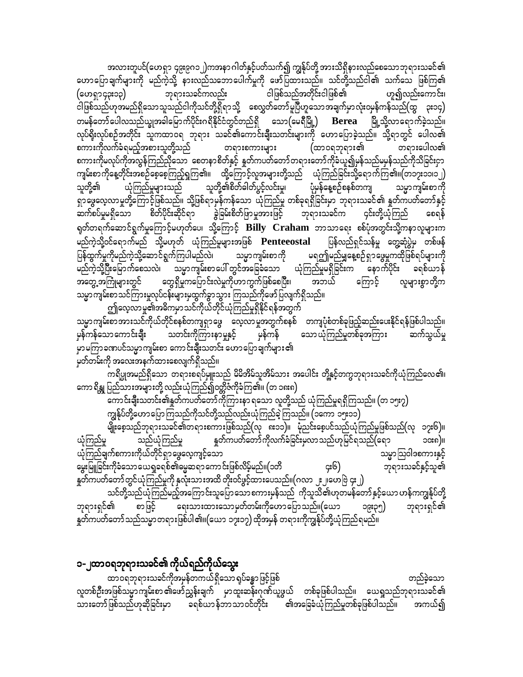အလားတူပင်(ဟေရှာ ၄၉း၉ဂ၁၂)ကအနာဂါတ်နှင့်ပတ်သက်၍ ကျွန်ုပ်တို့ အားသိရှိနားလည်စေသောဘုရားသခင်၏ ဟောပြောချက်များကို မည်ကဲ့သို့ နားလည်သဘောပေါက်မှုကို ဖော်ပြထားသည်။ သင်တို့သည်ငါ၏ သက်သေ ဖြစ်ကြ၏ ဘုရားသခင်ကလည်း ငါဖြစ်သည်အတိုင်းငါဖြစ်၏ ဟူ၍လည်းကောင်း၊ (ဟေရှာ၄၃း၁၃) .<br>ငါဖြစ်သည်ဟုအမည်ရှိသောသူသည်ငါကိုသင်တို့ရှိရာသို့ စေလွှတ်တော်မူပြီဟူသောအချက်မှာလုံးဝမှန်ကန်သည်(ထွ ၃း၁၄) တမန်တော်ပေါလသည်ယျွအခါမြောက်ပိုင်းဂရိနိုင်ငံတွင်တည်ရှိ သော $($ မေရီမြို့ $)$   $\rm{Berea}$  မြို့သို့လာရောက်ခဲ့သည်။ လုပ်ရိုးလုပ်စဉ်အတိုင်း သူကထာဝရ ဘုရား သခင်၏ကောင်းချီးသတင်းများကို ဟောပြောခဲ့သည်။ သို့ရာတွင် ပေါလ၏ စကားကိုလက်ခံရမည့်အစားသူတို့သည် (ထာ၀ရဘုရား၏ တရားစကားများ တရားပေါလ၏ စကားကိုမလုပ်ကိုအလွန်ကြည်ညိုသော စေတနာစိတ်နှင့် နှုတ်ကပတ်တော်တရားတော်ကိုခံယူ၍မှန်သည်မမှန်သည်ကိုသိခြင်းငှာ ကျမ်းစာကိုနေ့တိုင်းအစဉ်စေ့စေ့ကြည့်ရှုကြ၏။ ထို့ကြောင့်လူအများတို့သည် ယုံကြည်ခြင်းသို့ရောက်ကြ၏။(တ၁၇း၁၁၊၁၂) သူတို့၏ -<br>ယုံကြည်မှုများသည် သူတို့၏စိတ်ဓါတ်ပွင့်လင်းမှု၊ ပုံမှန်နေ့စဉ်စနစ်တကျ သမ္မာကျမ်းစာကို ရှာဖွေလေ့လာမှုတို့ကြောင့်ဖြစ်သည်။ သို့ဖြစ်ရာမှန်ကန်သော ယုံကြည်မှု တစ်ခုရရှိခြင်းမှာ ဘုရားသခင်၏ နှုတ်ကပတ်တော်နှင့် ဆက်စပ်မှုမရှိသော စိတ်ပိုင်းဆိုင်ရာ ခွဲခြမ်းစိတ်ဖြာမှုအားဖြင့် ဘုရားသခင်က ၄င်းတို့ယုံကြည် စေရန် ရုတ်တရက်ဆောင်ရွက်မှုကြောင့်မဟုတ်ပေ၊ သို့ကြောင့် Billy Craham ဘာသာရေး စစ်ပုံအတွင်းသို့ကနာလူများက မည်ကဲ့သို့ဝင်ရောက်မည် သို့မဟုတ် ယုံကြည်မှုများအဖြစ်  $\bf P$ enteeostal ပြန်လည်ရှင်သန်မှု တွေ့ဆုံပွဲမှ တစ်ဖန် ပြန်ထွက်မှုကိုမည်ကဲ့သို့ဆောင်ရွက်ကြပါမည်လဲ၊ မရဤမည်မျှနေ့စဉ်ရှာဖွေမှုကထိုဖြစ်ရပ်များကို သမ္မာကျမ်းစာကို မည်ကဲ့သို့ပြီးမြောက်စေသလဲ၊ သမ္မာကျမ်းစာပေါ် တွင်အခြေခံသော ယုံကြည်မှုမရှိခြင်းက နောက်ပိုင်း ခရစ်ယာန် တွေရှိမှုကပြောင်းလဲမှုကိုဟာကွက်ဖြစ်စေပြီး၊ အဘယ် အတွေ့ အကြုံများတွင် ကြောင့် လူများစွာတို့က သမ္မာကျမ်းစာသင်ကြားမှုလုပ်ငန်းများမှထွက်ခွာသွား ကြသည်ကိုဖော်ပြလျက်ရှိသည်။

ဤလေ့လာမှု၏အဓိကမှာသင်ကိုယ်တိုင်ယုံကြည်မှုရှိနိုင်ရန်အတွက် သမ္မာကျမ်းစာအားသင်ကိုယ်တိုင်စနစ်တကျရှာဖွေ လေ့လာမှုအတွက်စနစ် တကျပုံစံတစ်ခုဖြည့်ဆည်းပေးနိုင်ရန်ဖြစ်ပါသည်။ မှန်ကန် သတင်းကိုကြားနာမှုနှင့် သော ယုံကြည်မှုတစ်ခုအကြား ဆက်သွယ်မှု မှန်ကန်သော ကောင်းချီး မှာမကြာခဏပင်သမ္မာကျမ်းစာ ကောင်းချီးသတင်း ဟောပြောချက်များ၏ မှတ်တမ်းကို အလေးအနက်ထားစေလျက်ရှိသည်။

ကရိပ္ပုအမည်ရှိသော တရားစရပ်မှူးသည် မိမိအိမ်သူအိမ်သား အပေါင်း တို့နှင့်တကွဘုရားသခင်ကိုယုံကြည်လေ၏၊ ကော ရိန္တု ပြည်သားအများတို့ လည်းယုံကြည်၍ဝတ္တိဇံကိုခံကြ၏။ (တ ၁၈း၈)

ကောင်းချီးသတင်း၏နူတ်ကပတ်တော်ကိုကြားနာ ရသော လူတို့သည် ယုံကြည်မှုရရှိကြသည်။ (တ ၁၅း၇) ကျွန်ုပ်တို့ဟောပြောကြသည်ကိုသင်တို့သည်လည်းယုံကြည်ခဲ့ကြသည်။ (၁ကော ၁၅း၁၁)

မျိုးစေ့သည်ဘုရားသခင်၏တရားစကားဖြစ်သည်(လု ၈း၁၁)။ မုံညင်းစေ့ပင်သည်ယုံကြည်မှုဖြစ်သည်(လု ၁၇း၆)။ ယုံကြည်မှု သည်ယုံကြည်မှု နှုတ်ကပတ်တော်ကိုလက်ခံခြင်းမှလာသည်ဟုမြင်ရသည်(ရော ၁၀း၈)။ ား——--<br>ယုံကြည်ချက်စကားကိုယ်တိုင်ရှာဖွေလေ့ကျင့်သော သမ္မာဩဝါဒစကားနှင့် မွေးမြူခြင်းကိုခံသော ယေရှုခရစ်၏ဓမ္မဆရာကောင်းဖြစ်လိမ့်မည်။(၁တိ ဘုရားသခင်နှင့်သူ၏ ၄း၆) နှုတ်ကပတ်တော်တွင်ယုံကြည်မှုကို နှလုံးသားအထိ တိုးဝင်ဖွင့်ထားပေသည်။(ဂလာ ၂း၂၊ဟေဗြဲ ၄း၂)

သင်တို့သည်ယုံကြည်မည့်အကြောင်းသူပြောသောစကားမှန်သည် ကိုသူသိ၏ဟုတမန်တော်နှင့်ယော ဟန်ကကျွန်ုပ်တို့ ဘုရားရှင်၏ စာဖြင့် ရေးသားထားသောမှတ်တမ်းကိုဟောပြောသည်။(ယော ၁၉း၃၅) ဘုရားရှင်၏ နှုတ်ကပတ်တော် သည်သမ္မာ တရားဖြစ်ပါ၏။(ယော ၁၇း၁၇) ထိုအမှန် တရားကိုကျွန်ုပ်တို့ယုံကြည်ရမည်။

#### ၁-၂ထာဝရဘုရားသခင်၏ ကိုယ်ရည်ကိုယ်သွေး

ထာဝရဘုရားသခင်ကိုအမှန်တကယ်ရှိသောရပ်ခန္ဓာဖြင့်ဖြစ် တည်ခဲ့သော လူတစ်ဦးအဖြစ်သမ္မာကျမ်းစာ ၏ဖော်ညွှန်းချက် မှာထူးဆန်းဂုဏ်ယူဖွယ် တစ်ခုဖြစ်ပါသည်။ ယေရှုသည်ဘုရားသခင်၏ သားတော်ဖြစ်သည်ဟုဆိုခြင်းမှာ ခရစ်ယာန်ဘာသာဝင်တိုင်း ၏အခြေခံယုံကြည်မှုတစ်ခုဖြစ်ပါသည်။ အကယ်၍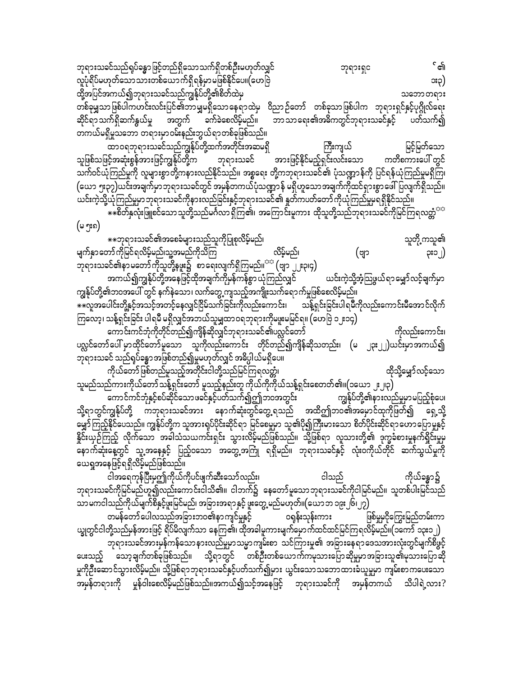ဘုရားသခင်သည်ရုပ်ခန္ဓာဖြင့်တည်ရှိသောသက်ရှိတစ်ဦးမဟုတ်လျှင် ် ၏ ဘုရားရှင လူပုံရိပ်မဟုတ်သောသားတစ်ယောက်ရှိရန်မှာမဖြစ်နိုင်ပေ။(ဟေဗြဲ ား၁) ထို့အပြင်အကယ်၍ဘုရားသခင်သည်ကျွန်ုပ်တို့၏စိတ်ထဲမှ သဘောတရား တစ်ခုမျှသာဖြစ်ပါကဟင်းလင်းပြင်၏ဘာမျှမရှိသောနေရာထဲမှ ဝိညာဉ်တော် တစ်ခုသာဖြစ်ပါက ဘုရားရှင်နှင့်ပုဂ္ဂိုလ်ရေး ဆိုင်ရာသက်ရှိဆက်နွယ်မှု အတွက် ခက်ခဲစေလိမ့်မည်။ ဘာသာရေး၏အဓိကတွင်ဘုရားသခင်နှင့် ပတ်သက်၍ တကယ်မရှိမှုသဘော တရားမှာဝမ်းနည်းဘွယ်ရာတစ်ခုဖြစ်သည်။

ထာဝရဘုရားသခင်သည်ကျွန်ုပ်တို့ထက်အတိုင်းအဆမရှိ မြင့်မြတ်သော ကြီးကျယ် -<br>- အားဖြင့်နိုင်မည့်ရှင်းလင်းသော ဘုရားသခင် သူဖြစ်သဖြင့်အဆုံးစွန်အားဖြင့်ကျွန်ုပ်တို့က ကတိစကားပေါ် တွင် သက်ဝင်ယုံကြည်မှုကို လူများစွာတို့ကနားလည်နိုင်သည်။ အစ္စရေး တို့ကဘုရားသခင်၏ ပုံသဏ္ဍာန်ကို ပြင်ရန်ယုံကြည်မှုမရှိကြ၊ (ယော ၅း၃၇)ယင်းအချက်မှာဘုရားသခင်တွင် အမှန်တကယ်ပုံသဏ္ဍာန် မရှိဟူသောအချက်ကိုထင်ရှားစွာဖေါ်ပြလျက်ရှိသည်။ ယင်းကဲ့သို့ယုံကြည်မှုမှာဘုရားသခင်ကိုနားလည်ခြင်းနှင့်ဘုရားသခင်၏ နှတ်ကပတ်တော်ကိုယုံကြည်မှုမရရှိနိုင်သည်။

\*\*စိတ်နှလုံးဖြူစင်သောသူတို့သည်မင်္ဂလာ ရှိကြ၏၊ အကြောင်းမူကား ထိုသူတို့သည်ဘုရားသခင်ကိုမြင်ကြရလတ္တံ<sup>ာာ</sup> (မ ၅း၈)

\*\*ဘုရားသခင်၏အစေခံများသည်သူကိုပြုစုလိမ့်မည်၊ သူတို့ကသူ၏ မျက်နှာတော်ကိုမြင်ရလိမ့်မည်၊သူ့အမည်ကိုသိကြ လိမ့်မည်၊ (ဗျာ ၃း၁၂) ဘုရားသခင်၏နာမတော်ကိုသူတို့နဖူး၌ စာရေးလျက်ရှိကြမည်။<sup>အဒ</sup> (ဗျာ ၂၂း၃၊၄) အကယ်၍ကျွန်ုပ်တို့အနေဖြင့်ထိုအချက်ကိုမှန်ကန်စွာ ယုံကြည်လျှင် ယင်းကဲ့သို့အံ့သြဖွယ်ရာမျှော်လင့်ချက်မှာ

ကျွန်ုပ်တို့၏ဘဝအပေါ် တွင် နက်နဲသော၊ လက်တွေ့ ကျသည့်အကျိုးသက်ရောက်မှုဖြစ်စေလိမ့်မည်။ ☀☀လူအပေါင်းတို့နှင့်အသင့်အတင့်နေလျှင်ငြိမ်သက်ခြင်းကိုလည်းကောင်း၊ သန့်ရှင်းခြင်းပါရမီကိုလည်းကောင်းမီအောင်လိုက် ကြလော့၊ သန့်ရှင်းခြင်း ပါရမီ မရှိလျှင်အဘယ်သူမျှထာဝရဘုရားကိုမဖူးမမြင်ရ။ (ဟေဗြဲ ၁၂း၁၄)

ကောင်းကင်ဘုံကိုတိုင်တည်၍ကျိန်ဆိုလျှင်ဘုရားသခင်၏ပလ္လင်တော် ကိုလည်းကောင်း၊ ပလ္လင်တော်ပေါ် မှာထိုင်တော်မူသော သူကိုလည်းကောင်း တိုင်တည်၍ကျိန်ဆိုသတည်း၊ (မ ၂၃း၂၂)ယင်းမှာအကယ်၍ ဘုရားသခင် သည်ရှပ်ခန္ဓာအဖြစ်တည်၍မူမဟုတ်လျှင် အဓိပ္ပါယ်မရှိပေ။

.<br>ကိုယ်တော်ဖြစ်တည်မူသည့်အတိုင်းငါတို့သည်မြင်ကြရလတ္တံ၊ ထိုသို့မျှော်လင့်သော<br>` သူမည်သည်ကားကိုယ်တော်သန့်ရှင်းတော် မူသည့်နည်းတူ ကိုယ်ကိုကိုယ်သန့်ရှင်းစေတတ်၏။(၁ယော ၂း၂၃)

ကောင်ကင်ဘုံနှင့်စပ်ဆိုင်သောဖခင်နှင့်ပတ်သက်၍ဤဘဝအတွင်း ကျွန်ုပ်တို့၏နားလည်မှုမှာမပြည့်စုံပေ၊ သို့ရာတွင်ကျွန်ုပ်တို့ ကဘုရားသခင်အား နောက်ဆုံးတွင်တွေ့ရသည် အထိဤဘဝ၏အမှောင်ထုကိုဖြတ်၍ ရှေ့သို့ မျှော်ကြည့်နိုင်ပေသည်။ ကျွန်ုပ်တို့က သူအားရုပ်ပိုင်းဆိုင်ရာ မြင်စေမှုမှာ သူ၏ပို၍ကြီးမားသော စိတ်ပိုင်းဆိုင်ရာဟောပြောမှုနှင့် နိူင်းယှဉ်ကြည့် လိုက်သော အခါသံသယကင်းရှင်း သွားလိမ့်မည်ဖြစ်သည်။ သို့ဖြစ်ရာ လူသားတို့၏ ဒုက္ခခံစားမှုနက်ရှိုင်းမှုမ နောက်ဆုံးနေ့တွင် သူ့အနေနှင့် ပြည့်ဝသော အတွေ့အကြုံ ရရှိမည်။ ဘုရားသခင်နှင့် လုံးဝကိုယ်တိုင် ဆက်သွယ်မှုကို ယေရှုအနေဖြင့်ရရှိလိမ့်မည်ဖြစ်သည်။

ငါအရေကုန်ပြီးမှဤကိုယ်ကိုပင်ဖျက်ဆီးသော်လည်း၊ ကိုယ်ခန္ဓာ၌ ငါသည် ဘုရားသခင်ကိုမြင်မည်ဟူ၍လည်းကောင်းငါသိ၏။ ငါဘက်၌ နေတော်မူသောဘုရားသခင်ကိုငါမြင်မည်။ သူတစ်ပါးမြင်သည် သာမကငါသည်ကိုယ်မျက်စိနှင့်ဖူးမြင်မည်၊ အခြားအရာနှင့် ဖူးတွေ့ မည်မဟုတ်။(ယောဘ ၁၉း၂၆၊၂၇)

တမန်တော်ပေါလသည်အခြားဘဝ၏နာကျင်မှုနှင့် ဝရှန်းသုန်းကား ဖြစ်မှုမှငိုကြွေးမြည်တမ်းကာ ယ္ခုတွင်ငါတို့သည်မှန်အားဖြင့် ရိပ်မိလျက်သာ နေကြ၏၊ ထိုအခါမူကားမျက်မှောက်ထင်ထင်မြင်ကြရလိမ့်မည်။(၁ကော် ၁၃း၁၂) ဘုရားသခင်အားမှန်ကန်သောနားလည်မှုမှာသမ္မာကျမ်းစာ သင်ကြားမှု၏ အခြားနေရာဒေသအားလုံးတွင်မျက်စိဖွင့် ပေးသည့် သော့ချက်တစ်ခုဖြစ်သည်၊၊ သို့ရာတွင် တစ်ဦးတစ်ယောက်ကမုသားပြောဆိုမှုမှာအခြားသူ၏မုသားပြောဆို မှုကိုဦးဆောင်သွားလိမ့်မည်။ သို့ဖြစ်ရာဘုရားသခင်နှင့်ပတ်သက်၍မှား ယွင်းသောသဘောထားခံယူမှုမှာ ကျမ်းစာကပေးသော အမှန်တရားကို မှုန်ဝါးစေလိမ့်မည်ဖြစ်သည်။အကယ်၍သင့်အနေဖြင့် ဘုရားသခင်ကို အမှန်တကယ် သိပါရဲ့လား?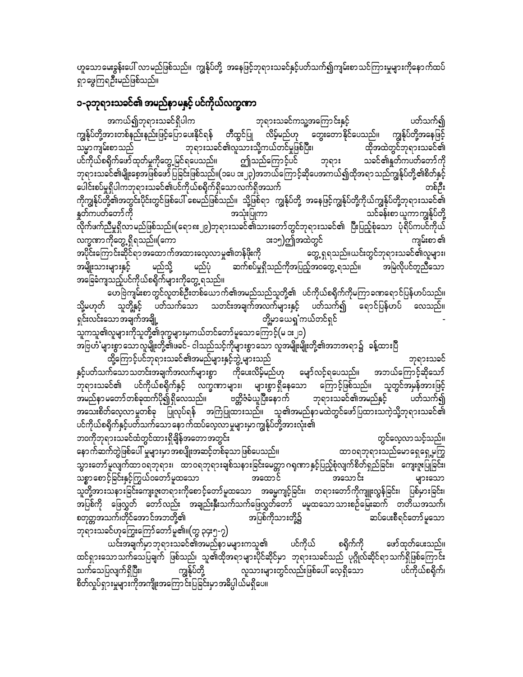ဟူသောမေးခွန်းပေါ် လာမည်ဖြစ်သည်။ ကျွန်ုပ်တို့ အနေဖြင့်ဘုရားသခင်နှင့်ပတ်သက်၍ကျမ်းစာသင်ကြားမှုများကိုနောက်ထပ် ရှာဖွေကြရ<mark>ဦး</mark>မည်ဖြစ်သည်။

# ၁-၃ဘုရားသခင်၏ အမည်နာမနှင့် ပင်ကိုယ်လက္ခဏာ

ပတ်သက်၍ အကယ်၍ဘုရားသခင်ရှိပါက ဘုရားသခင်ကသူ့အကြောင်းနှင့် ကျွန်ုပ်တို့အားတစ်နည်းနည်းဖြင့်ပြောပေးနိုင်ရန် တီထွင်ပြု လိမ့်မည်ဟု တွေးတောနိုင်ပေသည်။ ကျွန်ုပ်တို့အနေဖြင့် ဘုရားသခင်၏လူသားသို့ကယ်တင်မှုဖြစ်ပြီး၊ သမ္မာကျမ်းစာသည် ထိုအထဲတွင်ဘုရားသခင်၏ ပင်ကိုယ်စရိုက်ဖော်ထုတ်မှုကိုတွေ့မြင်ရပေသည်။ ဤသည်ကြောင့်ပင် သခင်၏နှုတ်ကပတ်တော်ကို ဘုရား ဘုရားသခင်၏မျိုးစေ့အဖြစ်ဖော်ပြခြင်းဖြစ်သည်။(၁ပေ ၁း၂၃)အဘယ်ကြောင့်ဆိုပေအကယ်၍ထိုအရာ သည်ကျွန်ုပ်တို့၏စိတ်နှင့် ပေါင်းစပ်မှုရှိပါကဘုရားသခင်၏ပင်ကိုယ်စရိုက်ရှိသောလက်ရှိအသက် တစ်ဦး ကိုကျွန်ုပ်တို့၏အတွင်းပိုင်းတွင်ဖြစ်ပေါ် စေမည်ဖြစ်သည်။ သို့ဖြစ်ရာ ကျွန်ုပ်တို့ အနေဖြင့်ကျွန်ုပ်တို့ကိုယ်ကျွန်ုပ်တို့ဘုရားသခင်၏ နှတ်ကပတ်တော်ကို သင်ခန်းစာ ယူကာကျွန်ုပ်တို့ အသုံးပြုကာ -<br>လိုက်ဖက်ညီမှုရှိလာမည်ဖြစ်သည်။(ရော၈း၂၉)ဘုရားသခင်၏သားတော်တွင်ဘုရားသခင်၏ ပြီးပြည့်စုံသော ပုံရိပ်ကပင်ကိုယ် **း**၁၅)ဤအထဲတွင် လက္ခဏာကိုတွေ့ ရှိရသည်။(ကော ကျမ်းစာ ၏ .<br>အပိုင်းကြောင်းဆိုင်ရာအထောက်အထားလေ့လာမှု၏တန်ဖိုးကို တွေ့ ရှရသည်။ယင်းတွင်ဘုရားသခင်၏လူများ၊ ဆက်စပ်မှုရှိသည်ကိုအပြည့်အဝတွေ့ ရသည်။ အမြဲလိုပင်တူညီသော အမျိုးသားများနှင့် မည်သို့ မည်ပုံ အခြေခံကျသည့်ပင်ကိုယ်စရိုက်များကိုတွေ့ ရသည်။

တေဗြဲကျမ်းစာတွင်လူတစ်ဦးတစ်ယောက်၏အမည်သည်သူတို့၏ ပင်ကိုယ်စရိုက်ကိုမကြာခဏရောင်ပြန်ဟပ်သည်။ သို့မဟုတ် သူတို့နှင့် ပတ်သက်သော သတင်းအချက်အလက်များနှင့် ပတ်သက်၍ ရောင်ပြန်ဟပ် လေသည်။ ရှင်းလင်းသောအချက်အချို့ တို့မှာယေရှုကယ်တင်ရှင် ာ.<br>သူကသူ၏လူများကိုသူတို့၏ဒုက္ခများမှကယ်တင်တော်မူသောကြောင့်(မ ၁း၂၁)

အဗြဟႆံ 'များစွာ သောလူမျိုးတို့၏ဖခင်- ငါသည်သင့်ကိုများစွာသော လူအမျိုးမျိုးတို့၏အဘအရာ၌ ခန့်ထားပြီ ထို့ကြောင့်ပင်ဘုရားသခင်၏အမည်များနှင့်ဘွဲ့ များသည် ဘုရားသခင် နှင့်ပတ်သက်သောသတင်းအချက်အလက်များစွာ ကိုပေးလိမ့်မည်ဟု မျော်လင့်ရပေသည်။ အဘယ်ကြောင့်ဆိုသော် -<br>ဘုရားသခင်၏ ပင်ကိုယ်စရိုက်နှင့် လက္ခဏာများ၊ များစွာရှိနေသော ကြောင့်ဖြစ်သည်။ သူတွင်အမှန်အားဖြင့် အမည်နာ မတော် တစ်ခုထက်ပို၍ ရှိလေသည်။ ဗတ္တိဇံခံယူပြီးနောက် ဘုရားသခင်၏အမည်နှင့် ပတ်သက်၍ အသေးစိတ်လေ့လာမှုတစ်ခု ပြုလုပ်ရန် အကြံပြုထားသည်။ သူ၏အမည်နာမထဲတွင်ဖော်ပြထားသကဲ့သို့ဘုရားသခင်၏ ပင်ကိုယ်စရိုက်နှင့်ပတ်သက်သော နောက်ထပ်လေ့လာမှုများမှာကျွန်ုပ်တို့အားလုံး၏ ဘ၀ကိုဘုရားသခင်ထံတွင်ထားရှိချိန်အတောအတွင်း တွင်လေ့လာသင့်သည်။ နောက်ဆက်တွဲဖြစ်ပေါ် မှုများမှာအစပျိုးအဆင့်တစ်ခုသာဖြစ်ပေသည်။ ထာဝရဘုရားသည်မောရှေရှေ့မှကြွ

ာ<br>တစ္စာစောင့်ခြင်းနှင့်ကြွယ်ဝတော်မူထသော အထောင် အသောင်း များသော သူတို့အားသနားခြင်းကျေးဇူးတရားကိုစောင့်တော်မူထသော အဓမ္မကျင့်ခြင်း၊ တရားတော်ကိုကျူးလွန်ခြင်း၊ ပြစ်မှားခြင်း၊ .<br>အပြစ်ကို ဖြေလွှတ် တော်လည်း အချည်းနှီးသက်သက်ဖြေလွှတ်တော် မမူထသောသားစဉ်မြေးဆက် တတိယအသက်၊ စတုတ္တအသက်၊တိုင်အောင်အဘတို့၏ အပြစ်ကိုသားတို့၌ ဆပ်ပေးစီရင်တော်မူသော ဘုရားသခင်ဟုကြွေးကြော်တော်မူ၏။(တွ ၃၄း၅-၇)

ယင်းအချက်မှာဘုရားသခင်၏အမည်နာ မများကသူ၏ ပင်ကိုယ် စရိုက်ကို ဖော်ထုတ်ပေးသည်။ ထင်ရှားသောသက်သေပြချက် ဖြစ်သည်၊ သူ၏ထိုအရာများပိုင်ဆိုင်မှာ ဘုရားသခင်သည် ပုဂ္ဂိုလ်ဆိုင်ရာသက်ရှိဖြစ်ကြောင်း လူသားများတွင်လည်းဖြစ်ပေါ် လေ့ရှိသော သက်သေပြလျက်ရှိပြီး၊ ကျွန်ုပ်တို့ ပင်ကိုယ်စရိုက်၊ စိတ်လှုပ်ရှားမှုများကိုအကျိုးအကြောင်းပြခြင်းမှာအဓိပ္ပါယ်မရှိပေ။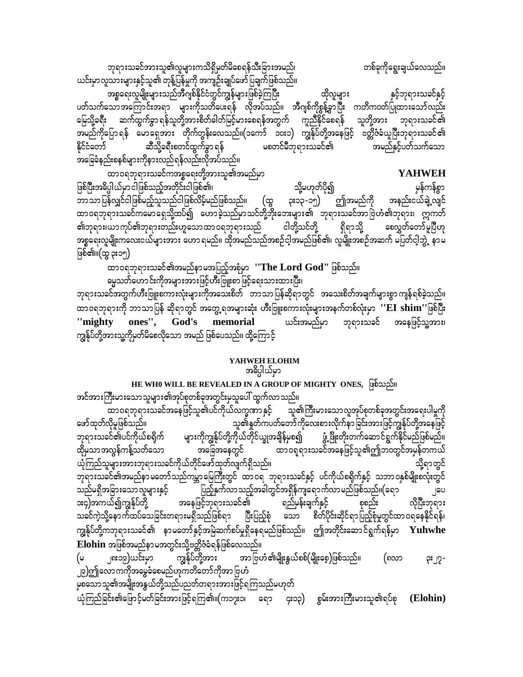ဘုရားသခင်အားသူ၏လူများကသိရှိမှတ်မိစေရန်သီးခြားအမည်၊ ယင်းမှာလူသားများနှင့်သူ၏ တုန့်ပြန်မှုကို အကျဉ်းချုပ်ဖော် ပြချက်ဖြစ်သည်။

အစ္စရေးလူမျိုးများသည်အီဂျစ်နိုင်ငံတွင်ကျွန်များဖြစ်ခဲ့ကြပြီး နှင့်ဘုရားသခင်နှင့် ထိုလူများ ပတ်သက်သောအကြောင်းအရာ များကိုသတိပေးရန် လိုအပ်သည်။ အီဂျစ်ကိုစွန့်ခွာပြီး ကတိကဝတ်ပြုထားသော်လည်း မြေသို့ခရီး ဆက်ထွက်ခွာရန်သူတို့အားစိတ်ဓါတ်မြင့်မားစေရန်အတွက် ကူညီနိုင်စေရန် သူတို့အား ဘုရားသခင်၏ အမည်ကိုပြော ရန် မောရှေအား တိုက်တွန်းလေသည်။(၁ကော် ၁၀း၁) ကျွန်ုပ်တို့အနေဖြင့် ဗတ္တိဇံခံယူပြီးဘုရားသခင်၏ ဆီသို့ခရီးစတင်ထွက်ခွာ ရန် မစတင်မီဘုရားသခင်၏ နိုင်ငံတော် အမည်နှင့်ပတ်သက်သော အခြေခံနည်းစနစ်များကိုနားလည်ရန်လည်းလိုအပ်သည်။

တစ်ခုကိုရွေးချယ်လေသည်။

ထာဝရဘုရားသခင်ကအစ္စရေးတို့အားသူ၏အမည်မှာ **YAHWEH** ဖြစ်ပြီးအဓိပ္ပါယ်မှာငါဖြစ်သည့်အတိုင်းငါဖြစ်၏၊ သို့မဟုတ်ပို၍ မှန်ကန်စွာ ဘာသာပြန်လျှင်ငါဖြစ်မည့်သူသည်ငါဖြစ်လိမ့်မည်ဖြစ်သည်။ (ထွ ဤအမည်ကို အနည်းငယ်ချဲ့လျင် ၃း၁၃-၁၅) ထာဝရဘုရားသခင်ကမောရှေသို့ထပ်၍ ဟောခဲ့သည်မှာသင်တို့ဘိုးဘေးများ၏ ဘုရားသခင်အာဗြဲဟံ၏ဘုရား၊ ဣကတ် ၏ဘုရား၊ယာကုပ်၏ဘုရားတည်းဟူသောထာဝရဘုရားသည် ငါတို့သင်တို့ ရှိရာသို့ စေလွှတ်တော်မူပြီဟု အစ္စရေးလူမျိုးကလေးငယ်များအား ဟောရမည်။ ထိုအမည်သည်အစဉ်ငါ့အမည်ဖြစ်၏၊ လူမျိုးအစဉ်အဆက် မပြတ်ငါ့ဘွဲ့ နာမ ဖြစ်၏။(ထွ ၃း၁၅)

ထာဝရဘုရားသခင်၏အမည်နာမအပြည့်အစုံမှာ ''The Lord God'' ဖြစ်သည်။ ဓမ္မသတ်ဟောင်းကိုအများအားဖြင့်ဟီးဗြူးစာဖြင့်ရေးသားထားပြီး၊

ဘုရားသခင်အတွက်ဟီးဗြူးစကားလုံးများကိုအသေးစိတ် ဘာသာပြန်ဆိုရာတွင် အသေးစိတ်အချက်များစွာကျန်ရစ်ခဲ့သည်။ ထာဝရဘုရားကို ဘာသာပြန် ဆိုရာတွင် အတွေ့ ရအများဆုံး ဟီးဗြူးစကားလုံးများအနက်တစ်လုံးမှာ ''EI shim''ဖြစ်ပြီး ones", God's memorial ယင်းအမည်မှာ ဘုရားသခင် အနေဖြင့်သူ့အား၊ "mighty ကျွန်ုပ်တို့အားသူ့ကိုမှတ်မိစေလိုသော အမည် ဖြစ်ပေသည်။ ထို့ကြောင့်

#### YAHWEH ELOHIM

#### အဓိပ္ပါယ်မှာ

#### HE WHO WILL BE REVEALED IN A GROUP OF MIGHTY ONES, (φδωρδι အင်အားကြီးမားသောသူများ၏အုပ်စုတစ်ခုအတွင်းမှသူပေါ် ထွက်လာသည်။

ဖော်ထုတ်လိုမှုဖြစ်သည်။ သူ၏နှုတ်ကပတ်တော်ကိုလေးစားလိုက်နာခြင်းအားဖြင့်ကျွန်ုပ်တို့အနေဖြင့် များကိုကျွန်ုပ်တို့ကိုယ်တိုင်ယျွအချိန်မှစ၍ ာချိန်မှစ၍ ဖွံ့ဖြိုးတိုးတက်ဆောင်ရွက်နိုင်မည်ဖြစ်မည်။<br>ထာဝရုရားသခင်အနေဖြင့်သူ၏ဤဘဝတွင်အမှန်တကယ် ဘုရားသခင်၏ပင်ကိုယ်စရိုက် အခြေအနေတွင် ထိုမှသာအလွန်ကန့်သတ်သော ယုံကြည်သူများအားဘုရားသခင်ကိုယ်တိုင်ဖော်ထုတ်လျက်ရှိသည်။ သို့ရာတွင် ဘုရားသခင်၏အမည်နာ မတော်သည်ကမ္ဘာ မြေကြီးတွင် ထာဝရ ဘုရားသခင်နှင့် ပင်ကိုယ်စရိုက်နှင့် သဘာဝနှစ်မျိုးစလုံးတွင် ပြည့်နှက်လာသည့်အခါတွင်အရှိန်ကျရောက်လာမည်ဖြစ်သည်။(ရော သည်မရှိအခြားသော လူများနှင့် ၂၀ပ **း**၄)အကယ်၍ကျွန်ုပ်တို့ လိုပြီးဘုရား အနေဖြင့်ဘုရားသခင်၏ ရည်မှန်းချက်နှင့် စုစည်း သခင်ကဲ့သို့နောက်ထပ်သေခြင်းတရားမရှိသည်ဖြစ်ရာ ပြီးပြည့်စုံ သော စိတ်ပိုင်းဆိုင်ရာပြည့်စုံမှုတွင်ထာဝရနေနိုင်ရန်၊ ကျွန်ုပ်တို့ကဘုရားသခင်၏ နာမတော်နှင့်အမြဲဆက်စပ်မှုရှိနေရမည်ဖြစ်သည်။ ဤအတိုင်းဆောင်ရွက်ရန်မှာ  ${\bf Yuhwhe}$ Elohin အဖြစ်အမည်နာမအတွင်းသို့ဗတ္တိဇံခံရန်ဖြစ်လေသည်။

ကျွန်ုပ်တို့အား အာ ဗြဟံ ၏မျိုးနွယ်စစ်(မျိုးစေ့)ဖြစ်သည်။ (မ ၂၈း၁၉)ယင်းမှာ (၈လာ ၃း၂၇-၂၉)ဤလောကကိုအမွေခံစေမည်ဟုကတိတော်ကိုအာ ဗြဟံ

မှစသောသူ၏အမျိုးအနွယ်တို့သည်ပညတ်တရားအားဖြင့်ရကြသည်မဟုတ်

ယုံကြည်ခြင်း၏ဖြောင့်မတ်ခြင်းအားဖြင့်ရကြ၏။(က၁၇း၁၊ ရော ၄း၁၃) စွမ်းအားကြီးမားသူ၏ရပ်စု (Elohin)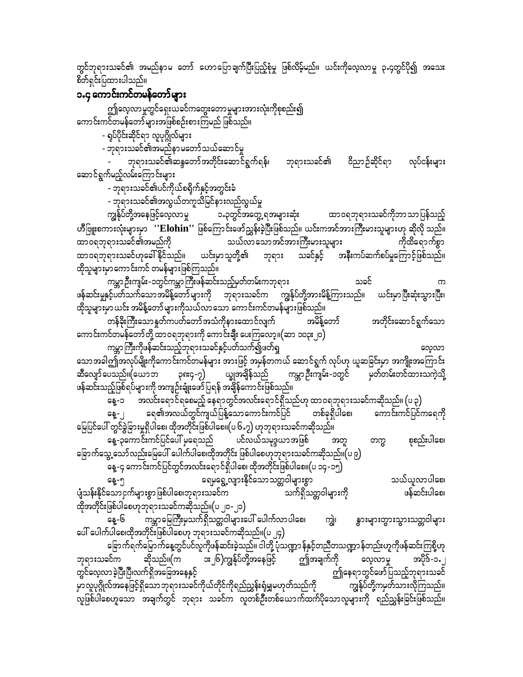တွင်ဘုရားသခင်၏ အမည်နာမ တော် ဟောပြောချက်ပြီးပြည့်စုံမှု ဖြစ်လိမ့်မည်။ ယင်းကိုလေ့လာမှု ၃.၄တွင်ပို၍ အသေး စိတ်ရှင်းပြထားပါသည်။

### ၁.၄ ကောင်းကင်တမန်တော်များ

ဤလေ့လာမှုတွင်ရှေးယခင်ကတွေးတောမှုများအားလုံးကိုစုစည်း၍ ကောင်းကင်တမန်တော်များအဖြစ်စဉ်းစားကြမည် ဖြစ်သည်။

- ရပ်ပိုင်းဆိုင်ရာ လူပုဂ္ဂိုလ်များ

- ဘုရားသခင်၏အမည်နာမတော်သယ်ဆောင်မှု

ဘုရားသခင်၏ဆန္ဒတော်အတိုင်းဆောင်ရွက်ရန်၊ ဘုရားသခင်၏ ဝိညာဉ်ဆိုင်ရာ လုပ်ငန်းများ ဆောင်ရွက်မည့်လမ်းကြောင်းများ

- ဘုရားသခင်၏ပင်ကိုယ်စရိုက်နှင့်အတွင်းခံ

- ဘုရားသခင်၏အလွယ်တကူသိမြင်နားလည်လွယ်မှု

ထာဝရဘုရားသခင်ကိုဘာသာပြန်သည့် ကျွန်ုပ်တို့အနေဖြင့်လေ့လာမှု ၁.၃တွင်အတွေ့ ရအများဆုံး ဟိဳဗြူးစကားလုံးများမှာ ''Elohin'' ဖြစ်ကြောင်းဖော်ညွှန်းခဲ့ပြီးဖြစ်သည်။ ယင်းကအင်အားကြီးမားသူများဟု ဆိုလို သည်။ သယ်လာသောအင်အားကြီးမားသူများ ကိုထိရောက်စွာ ထာဝရဘုရားသခင်၏အမည်ကို ထာဝရဘုရားသခင်ဟုခေါ် နိုင်သည်။ ယင်းမှာသူတို့၏ ဘုရား သခင်နှင့် အနီးကပ်ဆက်စပ်မှုကြောင့်ဖြစ်သည်။ ထိုသူများမှာကောင်းကင် တမန်များဖြစ်ကြသည်။

ကမ္ဘာဉီးကျမ်း-၁တွင်ကမ္ဘာကြီးဖန်ဆင်းသည့်မှတ်တမ်းကဘုရား သခင် ဖန်ဆင်းမှုနှင့်ပတ်သက်သောအမိန့်တော်များကို ဘုရားသခင်က ကျွန်ုပ်တို့အားမိန့်ကြားသည်။ ယင်းမှာပြီးဆုံးသွားပြီး၊ ထိုသူများမှာ ယင်း အမိန့်တော်များကိုသယ်လာသော ကောင်းကင်တမန်များဖြစ်သည်။

တန်ခိုးကြီးသောနှတ်ကပတ်တော်အသံကိုနားထောင်လျက် အမိန့်တော် အတိုင်းဆောင်ရွက်သော ကောင်းကင်တမန်တော်တို့ ထာဝရဘုရားကို ကောင်းချီး ပေးကြလော့။(ဆာ ၁၀၃း၂၀)

ကမ္ဘာကြီးကိုဖန်ဆင်းသည့်ဘုရားသခင်နှင့်ပတ်သက်၍ဖတ်ရှ လေ့လာ သောအခါဤအလုပ်မျိုးကိုကောင်းကင်တမန်များ အားဖြင့် အမှန်တကယ် ဆောင်ရွက် လုပ်ဟု ယူဆခြင်းမှာ အကျိုးအကြောင်း ္း<br>ကမ္ဘာ ဦးကျမ်း-၁တွင် မှတ်တမ်းတင်ထားသကဲ့သို့ ဆီလျော်ပေသည်။(ယောဘ ၃၈း၄-၇) ယ္ခုအချိန်သည် ဖန်ဆင်းသည့်ဖြစ်ရပ်များကို အကျဉ်းချုံးဖော်ပြရန် အချိန်ကောင်းဖြစ်သည်။

\_\_<br>နေ့-၁ အလင်းရောင်ရစေမည့် နေရာတွင်အလင်းရောင်ရှိသည်ဟု ထာဝရဘုရားသခင်ကဆိုသည်။ (ပ ၃) ကောင်းကင်ပြင်ကရေကို ရေ၏အလယ်တွင်ကျယ်ပြန့်သောကောင်းကင်ပြင် တစ်ခုရှိပါစေ၊ နေ့- ၂ မြေပြင်ပေါ် တွင်ခွဲခြားမှုရှိပါစေ၊ ထိုအတိုင်းဖြစ်ပါစေ၊၊(ပ ၆ႉ၇) ဟုဘုရားသခင်ကဆိုသည်။ နေ့-၃ကောင်းကင်ပြင်ပေါ် မှရေသည် ပင်လယ်သမုဒ္ဒယာအဖြစ် စုစည်းပါစေ၊ အတ တက္က ခြောက်သွေ့ သော်လည်းမြေပေါ် ပေါက်ပါစေ၊ထိုအတိုင်း ဖြစ်ပါစေဟုဘုရားသခင်ကဆိုသည်။(ပ ၉)

နေ့-၄ ကောင်းကင်ပြင်တွင်အလင်းရောင်ရှိပါစေ၊ ထိုအတိုင်းဖြစ်ပါစေ။(ပ ၁၄-၁၅)

ရေမုရွေ့လျားနိုင်သောသတ္တဝါများစွာ သယ်ယူလာပါစေ၊ နေ့-၅ ပျံသန်းနိုင်သောငှက်များစွာဖြစ်ပါစေ၊ဘုရားသခင်က သက်ရှိသတ္တဝါများကို ဖန်ဆင်းပါစေ၊ ထိုအတိုင်းဖြစ်ပါစေဟုဘုရားသခင်ကဆိုသည်။(ပ ၂၀-၂၁)

နေ့-၆ ကမ္ဘာမြေကြီးမှသက်ရှိသတ္တဝါများပေါ် ပေါက်လာပါစေ၊ ကျွဲ၊ နွားများတွားသွားသတ္တဝါများ ပေါ် ပေါက်ပါစေ၊ထိုအတိုင်းဖြစ်ပါစေဟု ဘုရားသခင်ကဆိုသည်။(ပ ၂၄)

ခြောက်ရက်မြောက်နေ့တွင်ပင်လူကိုဖန်ဆင်းခဲ့သည်။ ငါတို့ ပုံသဏ္ဍာ န်နှင့်တညီတသဏ္ဍာ န်တည်းဟူကိုဖန်ဆင်းကြစို့ဟု ဤအချက်ကို ဆိုသည်။(က း၂၆)ကျွန်ုပ်တို့အနေဖြင့် ဘုရားသခင်က လေ့လာမှု အပိုဒ်-၁.၂ ဤနေရာတွင်ဖော်ပြသည့်ဘုရားသခင် တွင်လေ့လာခဲ့ပြီးပြီ၊လက်ရှိအခြေအနေနှင့် မှာလူပုဂ္ဂိုလ်အနေဖြင့်ရှိသောဘုရားသခင်ကိုယ်တိုင်ကိုရည်ညွှန်းရ<u>ံမ</u>ျှမဟုတ်သည်ကို ကျွန်ုပ်တို့ကမှတ်သားလိုကြသည်။ .<br>လူဖြစ်ပါစေဟူသော အချက်တွင် ဘုရား သခင်က လူတစ်ဦးတစ်ယောက်ထက်ပိုသောလူများကို ရည်ညွှန်းခြင်းဖြစ်သည်။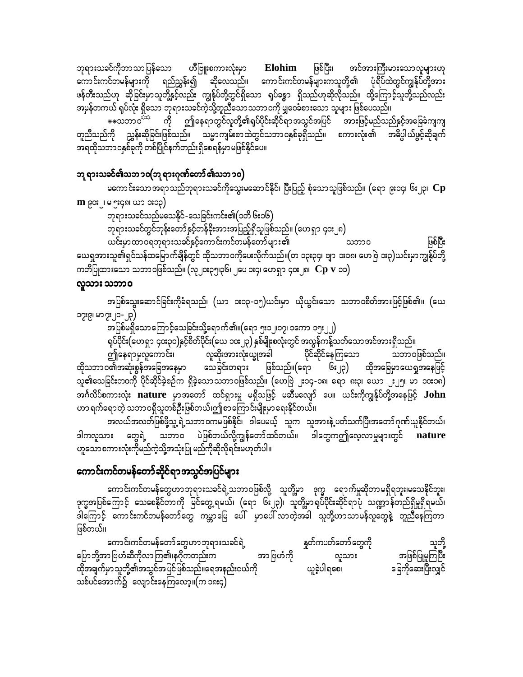ဘုရားသခင်ကိုဘာသာပြန်သော ဟိဳဗြူးစကားလုံးမှာ ဖြစ်ပြီး၊ အင်အားကြီးမားသောလူများဟု Elohim ကောင်းကင်တမန်များကို ရည်ညွှန်း၍ ဆိုလေသည်။ ကောင်းကင်တမန်များကသူတို့၏ ပုံရိပ်ထဲတွင်ကျွန်ုပ်တို့အား ဖန်တီးသည်ဟု ဆိုခြင်းမှာသူတို့နှင့်လည်း ကျွန်ုပ်တို့တွင်ရှိသော ရုပ်ခန္ဓာ ရှိသည်ဟုဆိုလိုသည်။ ထို့ကြောင့်သူတို့သည်လည်း အမှန်တကယ် ရုပ်လုံး ရှိသော ဘုရားသခင်ကဲ့သို့တူညီသောသဘာဝကို မျှဝေခံစားသော သူများ ဖြစ်ပေသည်။

\*\*သဘာဝ<sup>ာာ</sup> ကို ဤနေရာတွင်လူတို့၏ရပ်ပိုင်းဆိုင်ရာအသွင်အပြင် အားဖြင့်မည်သည်နှင့်အခြေခံကျကျ တူညီသည်ကို ညွှန်းဆိုခြင်းဖြစ်သည်။ သမ္မာကျမ်းစာထဲတွင်သဘာဝနှစ်ခုရှိသည်။ စကားလုံး၏ အဓိပ္ပါယ်ဖွင့်ဆိုချက် အရထိုသဘာဝနှစ်ခုကို တစ်ပြိုင်နက်တည်းရှိစေရန်မှာမဖြစ်နိုင်ပေ။

#### ဘု ရားသခင်၏သဘၥဝ(ဘု ရားဂုဏ်တော် ၏သဘ၁၀)

မကောင်းသောအရာသည်ဘုရားသခင်ကိုသွေးမဆောင်နိုင်၊ ပြီးပြည့် စုံသောသူဖြစ်သည်။ (ရော ၉း၁၄၊ ၆း၂၃၊  ${\bf Cp}$ **m** ၉၀း ၂၊ မ ၅း၄၈၊ ယာ **း**၁၃)

ဘုရားသခင်သည်မသေနိုင်-သေခြင်းကင်း၏(၁တိ ၆း၁၆)

ဘုရားသခင်တွင်ဘုန်းတော်နှင့်တန်ခိုးအားအပြည့်ရှိသူဖြစ်သည်။ (ဟေရှာ ၄၀း၂၈)

ဖြစ်ပြီး ယင်းမှာထာဝရဘုရားသခင်နှင့်ကောင်းကင်တမန်တော်များ၏ သဘာဝ ယေရှုအားသူ၏ရှင်သန်ထမြောက်ချိန်တွင် ထိုသဘာဝကိုပေးလိုက်သည်။(တ ၁၃း၃၄၊ ဗျာ ၁း၁၈၊ ဟေဗြဲ ၁း၃)ယင်းမှာကျွန်ုပ်တို့ ကတိပြုထားသော သဘာဝဖြစ်သည်။ (လု၂၀း၃၅၊၃၆၊ ၂ပေ ၁း၄၊ ဟေရှာ ၄၀း၂၈၊  $\,\bf CP\,$   ${\bf v}\,$  ၁၁ $)$ 

#### လူသား သဘာဝ

အပြစ်သွေးဆောင်ခြင်းကိုခံရသည်၊ (ယာ ၁း၁၃-၁၅)ယင်းမှာ ယိုယွင်းသော သဘာဝစိတ်အားဖြင့်ဖြစ်၏။ (ယေ ၁၁ႏြယ္ ၂၁-၂၃)

အပြစ်မရှိသောကြောင့်သေခြင်းသို့ရောက်၏။(ရော ၅း၁၂၊၁၇၊ ၁ကော ၁၅း၂၂)

ရုပ်ပိုင်း(ဟေရှာ ၄၀း၃၀)နှင့်စိတ်ပိုင်း(ယေ ၁၀း၂၃) နှစ်မျိုးစလုံးတွင် အလွန်ကန့်သတ်သောအင်အားရှိသည်။

ဤနေရာမှလူကောင်း၊ လူဆိုးအားလုံးယျှအခါ ပိုင်ဆိုင်နေကြသော သဘာဝဖြစ်သည်။ ထိုသဘာဝ၏အဆုံးစွန်အခြေအနေမှာ သေခြင်းတရား ဖြစ်သည်။(ရော ၆း၂၃) ထိုအခြေမှာယေရှအနေဖြင့် သူ၏သေခြင်းဘဝကို ပိုင်ဆိုင်ခဲ့စဉ်က ရှိခဲ့သောသဘာဝဖြစ်သည်။ (ဟေဗြဲ ၂း၁၄-၁၈၊ ရော ၈း၃၊ ယော ၂း၂၅၊ မာ ၁၀း၁၈) အင်္ဂလိပ်စကားလုံး nature မှာအတော် ထင်ရှားမှု မရှိသဖြင့် မဆီမလျော် ပေ။ ယင်းကိုကျွန်ုပ်တို့အနေဖြင့်  $\bf{John}$ ဟာ ရက်ရောတဲ့ သဘာဝရှိသူတစ်ဦးဖြစ်တယ်၊ဤစာကြောင်းမျိုးမှာရေးနိုင်တယ်။

အလယ်အလတ်ဖြစ်ဖို့သူ့ ရဲ့သဘာဝကမဖြစ်နိုင်၊ ဒါပေမယ့် သူက သူအားနဲ့ ပတ်သက်ပြီးအတော်ဂုဏ်ယူနိုင်တယ်၊ ဟူသောစကားလုံးကိုမည်ကဲ့သို့အသုံးပြု မည်ကိုဆိုလိုရင်းမဟုတ်ပါ။

# ကောင်းကင်တမန်တော်ဆိုင်ရာအသွင်အပြင်များ

ကောင်းကင်တမန်တွေဟာဘုရားသခင်ရဲ့သဘာဝဖြစ်လို့ သူတို့မှာ ဒုက္ခ ရောက်မှုဆိုတာမရှိရဘူး၊မသေနိုင်ဘူး၊<br>ဒုက္ခအပြစ်ကြောင့် သေစေနိုင်တာကို မြင်တွေ့ရမယ်၊ (ရော ၆း၂၃)၊ သူတို့မှာရုပ်ပိုင်းဆိုင်ရာပုံ သဏ္ဍာန်တည်ရှိမှုရှိရမယ်၊ .<br>ဒါကြောင့် ကောင်းကင်တမန်တော်တွေ ကမ္ဘာမြေ ပေါ် မှာပေါ်လာတဲ့အခါ သူတို့ဟာသာမန်လူတွေနဲ့ တူညီနေကြတာ ဖြစ်တယ်။

ကောင်းကင်တမန်တော်တွေဟာဘုရားသခင်ရဲ့ နူတ်ကပတ်တော်တွေကို သူတို့ ပြောဘို့အာ ဗြဟံဆီကိုလာကြ၏၊နဂိုကတည်းက အဖြစ်ပြုမှုကြပြီး အာဗြဟံကို လူသား ခြေကိုဆေးပြီးလျှင် ယူခဲ့ပါရစေ၊ ထိုအချက်မှာသူတို့၏အသွင်အပြင်ဖြစ်သည်။ရေအနည်းငယ်ကို သစ်ပင်အောက်၌ လျောင်းနေကြလော့။(က ၁၈း၄)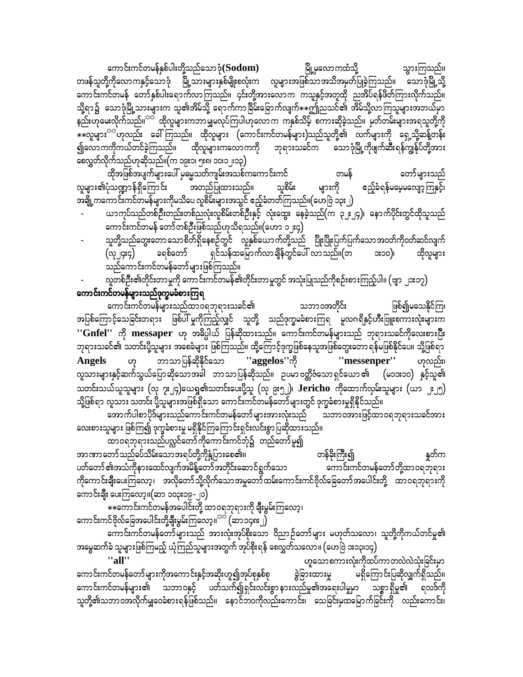ကောင်းကင်တမန်နှစ်ပါးတို့သည်သောဒုံ $({\bf Sodom})$ မြို့မှလောကထံသို့ သွားကြသည်။ တဖန်သူတို့ကိုလောကနှင့်သောဒုံ မြို့သားများနှစ်မျိုးစလုံးက လူများအဖြစ်သာအသိအမှတ်ပြုခဲ့ကြသည်။ သောဒုံမြို့သို့ ကောင်းကင်တမန် တော်နှစ်ပါးရောက်လာကြသည်။ ၄င်းတို့အားလောက ကသူနှင့်အတူထို ညအိပ်ရန်ဖိတ်ကြားလိုက်သည်။ သို့ရာ၌ သောဒုံမြို့သားများက သူ၏အိမ်သို့ ရောက်ကာခြိမ်းခြောက်လျက် $\ast\ast$ ဤညသင်၏ အိမ်သို့လာကြသူများအဘယ်မှာ နည်းဟုမေးလိုက်သည်။<sup>ာင်</sup> ထိုလူများကဘာမျှမလုပ်ကြပါဟုလောက ကနှစ်သိမ့် စကားဆိုခဲ့သည်။ မှတ်တမ်းများအရသူတို့ကို \*\*လူများ<sup>သာ</sup>ဟုလည်း ခေါ်ကြသည်။ ထိုလူများ (ကောင်းကင်တမန်များ)သည်သူတို့၏ လက်များကို ရှေ့သို့ဆန့်တန်း ၍လောကကိုကယ်တင်ခဲ့ကြသည်။ ထိုလူများကလောကကို ဘုရားသခင်က သောဒုံမြို့ကိုဖျက်ဆီးရန်ကျွန်ုပ်တို့အား စေလွှတ်လိုက်သည်ဟုဆိုသည်။(က ၁၉း၁၊ ၅း၈၊ ၁၀၊၁၂၊၁၃)

ထိုအဖြစ်အပျက်များပေါ် မှမ္မေသတ်ကျမ်းအသစ်ကကောင်းကင် တမန် တော်များသည် လူများ၏ပုံသဏ္ဍာန်ရှိကြောင်း အတည်ပြုထားသည်။ များကို ဧည့်ခံရန်မမေ့မလျော့ကြနှင့်၊ သူစိမ်း အချို့ကကောင်းကင်တမန်များကိုမသိပေ လူစိမ်းများအသွင် ဧည့်ခံတတ်ကြသည်။(ဟေဗြဲ ၁၃း၂)

- ယာကုပ်သည်တစ်ဦးတည်းတစ်ညလုံးလူစိမ်းတစ်ဦးနှင့် လုံးထွေး နေခဲ့သည်(က ၃၂း၂၄)၊ နောက်ပိုင်းတွင်ထိုသူသည် ကောင်းကင်တမန် တော်တစ်ဦးဖြစ်သည်ဟုသိရသည်။(ဟော ၁၂း၄)
- သူတို့သည်တွေးတော သောစိတ်ရှိနေစဉ်တွင် လူနှစ်ယောက်တို့သည် ပြိုးပြိုးပြက်ပြက်သောအဝတ်ကိုဝတ်ဆင်လျက်  $\overline{(\text{Q})}$ ပြီးပွဲ ပြစ်တော် ရှင်သန်ထမြောက်လာချိန်တွင်ပေါ် လာသည်။ $\overline{(\text{P})}$ ား၁၀)၊ ထိုလူများ သည်ကောင်းကင်တမန်တော် များဖြစ်ကြသည်။

လူတစ်ဦး၏တိုင်းတာမှုကို ကောင်းကင်တမန်၏တိုင်းတာမှုတွင် အသုံးပြုသည်ကိုစဉ်းစားကြည့်ပါ။ (ဗျာ ၂၁း၁၇)

#### ကောင်းကင်တမန်များသည်ဒုက္ခမခံစားကြရ

ကောင်းကင်တမန်များသည်ထာဝရဘုရားသခင်၏ သဘာ၀အတိုင်း ဖြစ်၍မသေနိုင်ကြ၊ အပြစ်ကြောင့်သေခြင်းတရား ဖြစ်ပါ်မှုကိုကြည့်လျှင် သူတို့ သည်ဒုက္ခမခံစားကြရ မူလဂရိနှင့်ဟီးဗြူးစကားလုံးများက ''Gnfel'' ကို messaper ဟု အဓိပ္ပါယ် ပြန်ဆိုထားသည်။ ကောင်းကင်တမန်များသည် ဘုရားသခင်ကိုလေးစားပြီး ဘုရားသခင်၏ သတင်းပို့သူများ အစေခံများ ဖြစ်ကြသည်။ ထို့ကြောင့်ဒုက္ခဖြစ်နေသူအဖြစ်တွေးတော ရန်မဖြစ်နိုင်ပေ။ သို့ဖြစ်ရာ ဘာသာပြန်ဆိုနိုင်သော ''aggelos''ကို "messenper" Angels ဟုလည်း၊ ဟု လူသားများနှင့်ဆက်သွယ်ပြောဆိုသောအခါ ဘာသာပြန်ဆိုသည်။ ဉပမာဗတ္တိဇံသောရှင်ယော၏ (မ၁၁း၁၀) နှင့်သူ၏ သတင်းသယ်ယူသူများ (လှ ၇း၂၄)ယေရှု၏သတင်းပေးပို့သူ (လှ ၉း၅၂)၊  $\overline{\rm Jerich}$ ၀ ကိုထောက်လှမ်းသူများ (ယာ ၂ႏ၂၅) သို့ဖြစ်ရာ လူသား သတင်း ပို့သူများအဖြစ်ရှိသော ကောင်းကင်တမန်တော်များတွင် ဒုက္ခခံစားမှုရှိနိုင်သည်။

အောက်ပါစာပိုဒ်များသည်ကောင်းကင်တမန်တော် များအားလုံးသည် သဘာဝအားဖြင့်ထာဝရဘုရားသခင်အား လေးစားသူများ ဖြစ်ကြ၍ ဒုက္ခခံစားမှု မရှိနိုင်ကြကြောင်းရှင်းလင်းစွာ ပြဆိုထားသည်။

ထာဝရဘုရားသည်ပလ္လင်တော်ကိုကောင်းကင်ဘုံ၌ တည်တော်မူ၍ အာဏာတော်သည်ခပ်သိမ်းသောအရပ်တို့ကိုနှံ့ပြားစေ၏။ တန်ခိုးကြီး၍ နူတ်က ပတ်တော် ၏အသံကိုနားထေင်လျက်အမိန့်တော်အတိုင်းဆောင်ရွက်သော ကောင်းကင်တမန်တော်တို့ထာဝရဘုရား ကိုကောင်းချီးပေးကြလော့၊ အလိုတော်သို့လိုက်သောအမှုတော်ထမ်းကောင်းကင်ဗိုလ်ခြေတော်အပေါင်းတို့ ထာဝရဘုရားကို ကောင်းချီး ပေးကြလော့။(ဆာ ၁၀၃း၁၉-၂၁)

☀☀ကောင်းကင်တမန်အပေါင်းတို့ ထာဝရဘုရားကို ချီးမွမ်းကြလော့၊ ကောင်းကင်ဗိုလ်ခြေအပေါင်းတို့<mark>ချီး</mark>မွမ်းကြလော့။<sup>ာာ (</sup>ဆာ၁၄၈း၂)

ကောင်းကင်တမန်တော်များသည် အားလုံးအုပ်စိုးသော ဝိညာဉ်တော်များ မဟုတ်သလော၊ သူတို့ကိုကယ်တင်မှု၏ အမွေဆက်ခံ သူများဖြစ်ကြမည့် ယုံကြည်သူများအတွက် အုပ်စိုးရန် စေလွှတ်သလော။ (ဟေဗြဲ ၁း၁၃၊၁၄)

"all" ဟူသောစကားလုံးကိုထပ်ကာတလဲလဲသုံးခြင်းမှာ ကောင်းကင်တမန်တော်များကိုအကောင်းနှင့်အဆိုးဟူ၍အုပ်စုနှစ်စု ခွဲခြားထားမှု မရှိကြောင်းပြဆိုလျှက်ရှိသည်။ ကောင်းကင်တမန်များ၏ သဘာဝနှင့် ပတ်သက်၍ရှင်းလင်းစွာနားလည်မှု၏အရေးပါမှုမှာ သစ္စာရှိမှု၏ ရလဒ်ကို သူတို့၏သဘာဝအလိုက်မျှဝေခံစားရန်ဖြစ်သည်။ နောင်ဘဝကိုလည်းကောင်း၊ သေခြင်းမှထမြောက်ခြင်းကို လည်းကောင်း၊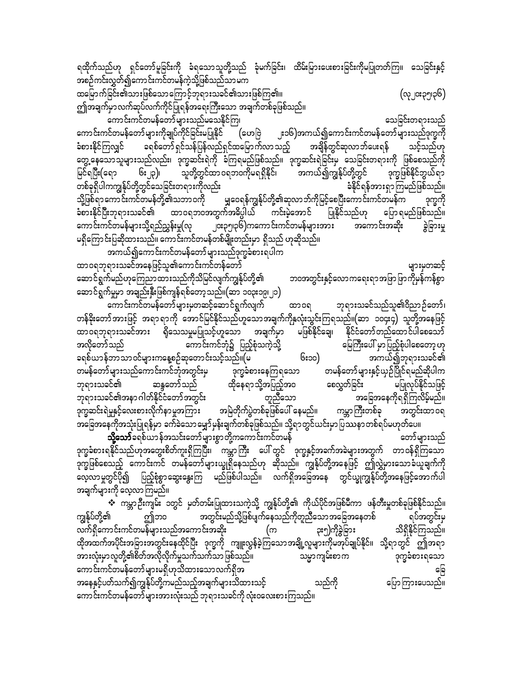ရထိုက်သည်ဟု ရှင်တော်မူခြင်းကို ခံရသောသူတို့သည် ခုံမက်ခြင်း၊ ထိမ်းမြားပေးစားခြင်းကိုမပြုတတ်ကြ။ သေခြင်းနှင့် အစဉ်ကင်းလွှတ်၍ကောင်းကင်တမန်ကဲ့သို့ဖြစ်သည်သာမက

(လု၂**း**၃၅၊၃၆)

ထမြောက်ခြင်း၏သားဖြစ်သောကြောင့်ဘုရားသခင်၏သားဖြစ်ကြ၏။ ဤအချက်မှာလက်ဆုပ်လက်ကိုင်ပြုရန်အရေးကြီးသော အချက်တစ်ခုဖြစ်သည်။

ကောင်းကင်တမန်တော်များသည်မသေနိုင်ကြ၊ သေခြင်းတရားသည် ကောင်းကင်တမန်တော်များကိုချုပ်ကိုင်ခြင်းမပြုနိုင် (ဟေဗြဲ ၂း၁၆)အကယ်၍ကောင်းကင်တမန်တော်များသည်ဒုက္ခကို ခံစားနိုင်ကြလျှင် ခရစ်တော်ရှင်သန်ပြန်လည်ရှင်ထမြောက်လာသည့် အချိန်တွင်ဆုလာဘ်ပေးရန် သင့်သည်ဟု တွေ့ နေသောသူများသည်လည်း၊ ဒုက္ခဆင်းရဲကို ခံကြရမည်ဖြစ်သည်။ ဒုက္ခဆင်းရဲခြင်းမှ သေခြင်းတရားကို ဖြစ်စေသည်ကို ၆း၂၃)၊ သူတို့တွင်ထာ ဝရဘဝကိုမရရှိနိုင်၊ အကယ်၍ကျွန်ုပ်တို့တွင် ဒုက္ခဖြစ်နိုင်ဘွယ်ရာ မြင်ရပြီး(ရော -<br>တစ်ခုရှိပါကကျွန်ုပ်တို့တွင်သေခြင်းတရားကိုလည်း ခံနိုင်ရန်အားရှာကြမည်ဖြစ်သည်။ သို့ဖြစ်ရာကောင်းကင်တမန်တို့၏သဘာဝကို မြွှဝေရန်ကျွန်ုပ်တို့၏ဆုလာဘ်ကိုမြင့်စေပြီးကောင်းကင်တမန်က<sup>်</sup> ဒုက္ခကို ခံစားနိုင်ပြီးဘုရားသခင်၏ ထာဝရဘဝအတွက်အဓိပ္ပါယ် ကင်းမဲ့အောင် ပြုနိုင်သည်ဟု ပြော ရမည်ဖြစ်သည်။ ကောင်းကင်တမန်များသို့ရည်ညွှန်းမှု(လု ၂၀း၃၅၊၃၆)ကကောင်းကင်တမန်များအား အကောင်းအဆိုး ခွဲခြားမှု မရှိကြောင်းပြဆိုထားသည်။ ကောင်းကင်တမန်တစ်မျိုးတည်းမှာ ရှိသည် ဟုဆိုသည်။

အကယ်၍ကောင်းကင်တမန်တော်များသည်ဒုက္ခခံစားရပါက ထာဝရဘုရားသခင်အနေဖြင့်သူ၏ကောင်းကင်တန်တော် များမှတဆင့် ဆောင်ရွက်မည်ဟုကြေညာထားသည်ကိုသိမြင်လျက်ကျွန်ုပ်တို့၏ ဘဝအတွင်းနှင့်လောကရေးရာအဖြာဖြာကိုမှန်ကန်စွာ ဆောင်ရွက်မှုမှာ အချည်းနှီးဖြစ်ကျန်ရစ်တော့သည်။(ဆာ ၁၀၃း၁၉၊၂၁)

ကောင်းကင်တမန်တော်များမှတဆင့်ဆောင်ရွက်လျက် ထာဝရ ဘုရားသခင်သည်သူ၏ဝိညာဉ်တော်၊ တန်ခိုးတော်အားဖြင့် အရာရာကို အောင်မြင်နိုင်သည်ဟူသောအချက်ကိုနှလုံးသွင်းကြရသည်။(ဆာ ၁၀၄း၄) သူတို့အနေဖြင့် ထာဝရဘုရားသခင်အား ရှိသေသမှုမပြုသင့်ဟူသော အချက်မှာ မဖြစ်နိုင်ချေ၊ နိုင်ငံတော်တည်ထောင်ပါစေသော် အလိုတော်သည် ကောင်းကင်ဘုံ၌ ပြည့်စုံသကဲ့သို့ မြေကြီးပေါ် မှာပြည့်စုံပါစေတော့ ဟု ခရစ်ယာန်ဘာသာဝင်များကနေ့စဉ်ဆုတောင်းသင့်သည်။(မ အကယ်၍ဘုရားသခင်၏ ၆း၁၀) တမန်တော်များသည်ကောင်းကင်ဘုံအတွင်းမှ တမန်တော်များနှင့်ယှဉ်ပြိုင်ရမည်ဆိုပါက ဒုက္ခခံစားနေကြရသော မပြုလုပ်နိုင်သဖြင့် ထိုနေရာသို့အပြည့်အဝ စေလွှတ်ခြင်း ဘုရားသခင်၏ ဆန္ဒတော်သည် ာ<br>- ဘုရားသခင်၏အနာ ဂါတ်နိုင်ငံတော်အတွင်း တူညီသော အခြေအနေကိုရရှိကြလိမ့်မည်။ ု<br>ဒုက္ခဆင်းရဲမှုနှင့်လေးစားလိုက်နာမှုအကြား အမြဲတိုက်ပွဲတစ်ခုဖြစ်ပေါ် နေမည်။ ကမ္ဘာကြီးတစ်ခု အတွင်းထာ ၀ရ -<br>အခြေအနေကိုအသုံးပြုရန်မှာ ခက်ခဲသောမျှော်မှန်းချက်တစ်ခုဖြစ်သည်။ သို့ရာတွင်ယင်းမှာပြဿနာတစ်ရပ်မဟုတ်ပေ။ **သို့သော်**ခရစ်ယာန်အသင်းတော်များစွာတို့ကကောင်းကင်တမန် တော်များသည် ဒုက္ခခံစားရနိုင်သည်ဟုအတွေးစိတ်ကူးရှိကြပြီး၊ ကမ္ဘာကြီး ပေါ်တွင် ဒုက္ခနှင့်အခက်အခဲများအတွက် တာဝန်ရှိကြသော ဒုက္ခဖြစ်စေသည့် ကောင်းကင် တမန်တော်များယျွရှိနေသည်ဟု ဆိုသည်။ ကျွန်ုပ်တို့အနေဖြင့် ဤလွှဲမှားသောခံယူချက်ကို - စီတောမှုတွင်ပို၍ ပြည့်စုံစွာဆွေးနွေးကြ မည်ဖြစ်ပါသည်။ လက်ရှိအခြေအနေ တွင်ယျွကျွန်ုပ်တို့အနေဖြင့်အောက်ပါ

အချက်များကို လေ့လာကြမည်။

**᠅** ကမ္ဘာဉီးကျမ်း ၁တွင် မှတ်တမ်းပြုထားသကဲ့သို့ ကျွန်ုပ်တို့၏ ကိုယ်ပိုင်အဖြစ်မီကာ ဖန်တီးမှုတစ်ခုဖြစ်နိုင်သည်။ အတွင်းမည်သို့ဖြစ်ပျက်နေသည်ကိုတူညီသော အခြေအနေတစ် ကျွန်ုပ်တို့၏ ဤဘ၀ ရပ်အတွင်းမှ ၃း၅)ကိုခွဲခြား လက်ရှိကောင်းကင်တမန်များသည်အကောင်းအဆိုး သိရှိနိုင်ကြသည်။ (က ထိုအထက်အပိုင်းအခြားအတွင်းနေထိုင်ပြီး ဒုက္ခကို ကျူးလွန်ခဲ့ကြသောအချို့လူများကိုမအုပ်ချုပ်နိုင်။ သို့ရာတွင် ဤအရာ အားလုံးမှာလူတို့၏စိတ်အလိုလိုက်မှုသက်သက်သာ ဖြစ်သည်။ သမ္မာကျမ်းစာက ဒုက္ခခံစားရသော ကောင်းကင်တမန်တော်များမရှိဟုသိထားသောလက်ရှိအ ခြေ အနေနှင့်ပတ်သက်၍ကျွန်ုပ်တို့ကမည်သည့်အချက်များသိထားသင့် သည်ကို ပြောကြားပေသည်။ ကောင်းကင်တမန်တော်များအားလုံးသည် ဘုရားသခင်ကို လုံးဝလေးစားကြသည်။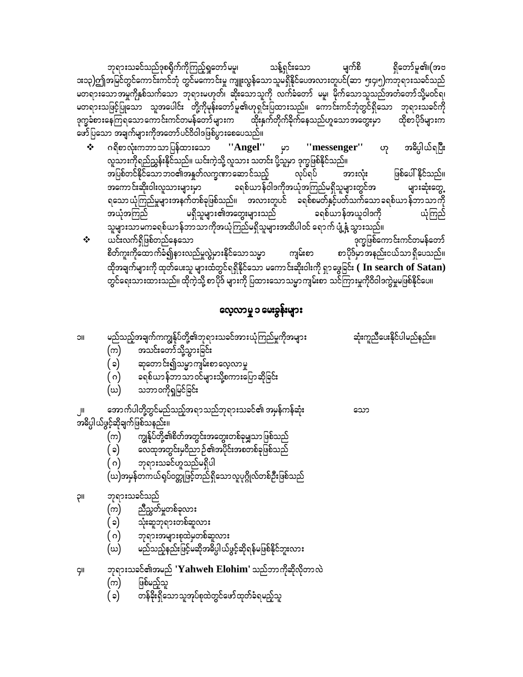- တန်ခိုးရှိသောသူအုပ်စုထဲတွင်ဖော်ထုတ်ခံရမည့်သူ ( ၁)
- ဖြစ်မည့်သူ (က)
- ဘုရားသခင်၏အမည် ' $\mathbf{{Y}}$ ahweh Elohim' သည်ဘာကိုဆိုလိုတာလဲ
- 
- မည်သည့်နည်းဖြင့်မဆိုအဓိပ္ပါယ်ဖွင့်ဆိုရန်မဖြစ်နိုင်ဘူးလား (ဃ)
- ဘုရားအများစုထဲမှတစ်ဆူလား ( ဂ)
- 
- သုံးဆူဘုရားတစ်ဆူလား (၁)
- ညီညွတ်မှုတစ်ခုလား (က)
- ဘုရားသခင်သည်

llÇ

ÇII

- 
- (ဃ)အမှန်တကယ်ရပ်ဝတ္တုဖြင့်တည်ရှိသောလူပုဂ္ဂိုလ်တစ်ဦးဖြစ်သည်
- ဘုရားသခင်ဟူသည်မရှိပါ ( ဂ)
- ာ<br>ထေထုအတွင်းမှဝိညာ ဉ်၏အပိုင်းအစတစ်ခုဖြစ်သည် ( ၁)
- (က) ကျွန်ုပ်တို့၏စိတ်အတွင်းအတွေးတစ်ခုမျှသာဖြစ်သည်

အဓိပ္ပါယ်ဖွင့်ဆိုချက်ဖြစ်သနည်း။

အောက်ပါတို့တွင်မည်သည့်အရာသည်ဘုရားသခင်၏ အမှန်ကန်ဆုံး

သော

- သဘာ၀ကိုရှုမြင်ခြင်း (ဃ)
- ( ဂ) ၁ရစ်ယာန်ဘာသာဝင်များသို့စကားပြောဆိုခြင်း
- ဆုတောင်း၍သမ္မာကျမ်းစာလေ့လာမှု
- ( ၁)
- အသင်းတော်သို့သွားခြင်း (က)
- မည်သည့်အချက်ကကျွန်ုပ်တို့၏ဘုရားသခင်အားယုံကြည်မှုကိုအများ ဆုံးကူညီပေးနိုင်ပါမည်နည်း။ **IIC**
- လေ့လာမှု ၁ မေးခွန်းများ
- မရှိသူများ၏အတွေးများသည် ခရစ်ယာန်အယူဝါဒကို ယုံကြည် အယုံအကြည်  $\Leftrightarrow$  ယင်းလက်ရှိဖြစ်တည်နေသော ဒုက္ခဖြစ်ကောင်းကင်တမန်တော် စိတ်ကူးကိုထောက်ခံ၍နားလည်မှုလွဲမှားနိုင်သောသမ္မာ စာပိုဒ်မှာအနည်းငယ်သာရှိပေသည်။ ကျမ်းစာ ထိုအချက်များကို ထုတ်ပေးသူ များထံတွင်ရရှိနိုင်သော မကောင်းဆိုးဝါးကို ရှာဖွေခြင်း (  $\,$  In search of  $\,$ Sa $\tan)$ တွင်ရေးသားထားသည်။ ထိုကဲ့သို့ စာပိုဒ် များကို ပြထားသောသမ္မာကျမ်းစာ သင်ကြားမှုကိုဝိဝါဒကွဲမှုမဖြစ်နိုင်ပေ။
- ''Angel'' ဟု ဂရိစာလုံးကဘာသာပြန်ထားသော ဟု အဓိပ္ပါယ်ရပြီး "messenger" လူသားကိုရည်ညွှန်းနိုင်သည်။ ယင်းကဲ့သို့ လူသား သတင်း ပို့သူမှာ ဒုက္ခဖြစ်နိုင်သည်။ အပြစ်တင်နိုင်သော ဘဝ၏အနူတ်လက္ခဏာဆော င်သည့် ဖြစ်ပေါ် နိုင်သည်။ လုပ်ရပ် အားလုံး .<br>အကောင်းဆိုးဝါးလူသားများမှာ ခရစ်ယာန်ဝါဒကိုအယုံအကြည်မရှိသူများတွင်အ များဆုံးတွေ့ ရသော ယုံကြည်မှုများအနက်တစ်ခုဖြစ်သည်။ အလားတူပင် ခရစ်စမတ်နှင့်ပတ်သက်သော ခရစ်ယာ န်ဘာသာကို

မျက်စိ ရှိတော်မူ၏၊(အဗ ဘုရားသခင်သည်ဒုစရိုက်ကိုကြည့်ရှုတော်မမှု၊ သန့်ရှင်းသော း၁၃)ဤအမြင်တွင်ကောင်းကင်ဘုံ တွင်မကောင်းမှု ကျူးလွန်သောသူမရှိနိုင်ပေအလားတူပင်(ဆာ ၅း၄၊၅)ကဘုရားသခင်သည် မတရားသောအမှုကိုနှစ်သက်သော ဘုရားမဟုတ်၊ ဆိုးသောသူကို လက်ခံတော် မမူ၊ မိုက်သောသူသည်အတံတော်သို့မဝင်ရ၊ မတရားသဖြင့်ပြုသော သူအပေါင်း တို့ကိုမုန်းတော်မူ၏ဟုရှင်းပြထားသည်။ ကောင်းကင်ဘုံတွင်ရှိသော ဘုရားသခင်ကို ဒုက္ခခံစားနေကြရသောကောင်းကင်တမန်တော်များက ထိုးနှက်တိုက်ခိုက်နေသည်ဟူသောအတွေးမှာ ထိုစာပိုဒ်များက ဖော်ပြသော အချက်များကိုအတော်ပင်ဝိဝါဒဖြစ်ပွားစေပေသည်။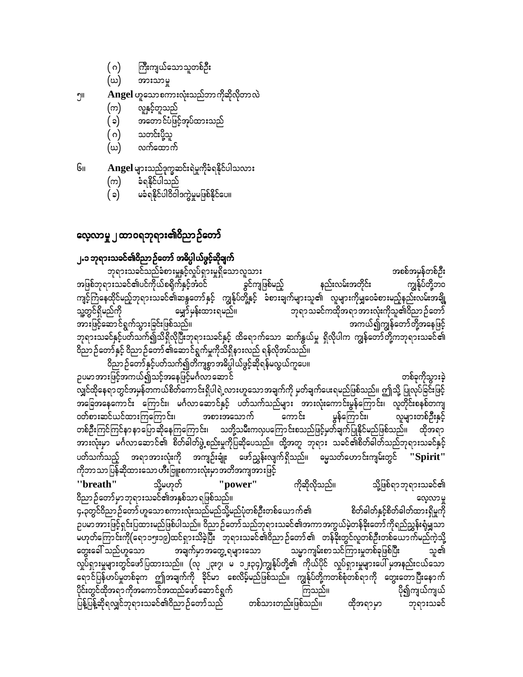ကိုဘာသာပြန်ဆိုထားသော ဟီးဗြူးစကားလုံးမှာအတိအကျအားဖြင့် သို့မဟုတ် "breath" "power" ကိုဆိုလိုသည်။ သို့ဖြစ်ရာဘုရားသခင်၏ ဝိညာဉ်တော်မှာဘုရားသခင်၏အနှစ်သာရဖြစ်သည်။ လေ့လာမှု ၄<sub>•</sub>၃တွင်ဝိညာဉ်တော် ဟူသော စကားလုံးသည်မည်သို့မည်ပုံတစ်ဦးတစ်ယောက်၏ စိတ်ခါတ်နှင့်စိတ်ခါတ်ထားရှိမှုကို ဉပမာအားဖြင့်ရှင်းပြထားမည်ဖြစ်ပါသည်။ ဝိညာဉ်တော်သည်ဘုရားသခင်၏အကာအကွယ်မဲ့တန်ခိုးတော်ကိုရည်ညွှန်းရုံမျှသာ မဟုတ်ကြောင်းကို(ရော၁၅း၁၉)ထင်ရှားသိခဲ့ပြီး ဘုရားသခင်၏ဝိညာဉ်တော်၏ တန်ခိုးတွင်လူတစ်ဦးတစ်ယောက်မည်ကဲ့သို့ တွေးခေါ် သည်ဟူသော အချက်မှာအတွေ့ ရများသော သမ္မာကျမ်းစာသင်ကြားမှုတစ်ခုဖြစ်ပြီး သူ၏ လှုပ်ရှားမှုများတွင်ဖော်ပြထားသည်။ (လု ၂၃း၇၊ မ ၁၂း၃၄)ကျွန်ုပ်တို့၏ ကိုယ်ပိုင် လှုပ်ရှားမှုများပေါ် မှအနည်းငယ်သော ရောင်ပြန်ဟပ်မှုတစ်ခုက ဤအချက်ကို ခိုင်မာ စေလိမ့်မည်ဖြစ်သည်။ ကျွန်ုပ်တို့ကတစ်စုံတစ်ရာကို တွေးတောပြီးနောက် ပိုင်းတွင်ထိုအရာ ကိုအကောင်အထည်ဖော်ဆောင်ရွက် ပို၍ကျယ်ကျယ် ကြသည်။ .<br>ပြန့်ပြန့်ဆိုရလျှင်ဘုရားသခင်၏ဝိညာ ဉ်တော်သည် တစ်သားတည်းဖြစ်သည်။ ထိုအရာမှာ ဘုရားသခင်

ဝိညာဉ်တော်နှင့်ပတ်သက်၍တိကျစွာအဓိပ္ပါယ်ဖွင့်ဆိုရန်မလွယ်ကူပေ။ ဉပမာအားဖြင့်အကယ်၍သင့်အနေဖြင့်မင်္ဂလာဆောင် တစ်ခုကိုသွားခဲ့ လျှင်ထိုနေရာတွင်အမှန်တကယ်စိတ်ကောင်းရှိပါရဲ့လားဟူသောအချက်ကို မှတ်ချက်ပေးရမည်ဖြစ်သည်။ ဤသို့ ပြုလုပ်ခြင်းဖြင့် ာ<br>အခြေအနေကောင်း ကြောင်း၊ မင်္ဂလာဆောင်နှင့် ပတ်သက်သည်များ အားလုံးကောင်းမွန်ကြောင်း၊ လူတိုင်းစနစ်တကျ .<br>မွန်ကြောင်း၊ ဝတ်စားဆင်ယင်ထားကြကြောင်း၊ ကောင်း အစားအသောက် လူများတစ်ဦးနှင့် တစ်ဦးကြင်ကြင်နာနာပြောဆိုနေကြကြောင်း၊ သတို့သမီးကလှပကြောင်းစသည်ဖြင့်မှတ်ချက်ပြုနိုင်မည်ဖြစ်သည်။ ထိုအရာ အားလုံးမှာ မင်္ဂလာဆောင်၏ စိတ်ဓါတ်ဖွဲ့စည်းမှုကိုပြဆိုပေသည်။ ထို့အတူ ဘုရား သခင်၏စိတ်ဓါတ်သည်ဘုရားသခင်နှင့် ပတ်သက်သည့် အရာအားလုံးကို အကျဉ်းချုံး ဖော်ညွှန်းလျက်ရှိသည်။ မွေ့သတ်ဟောင်းကျမ်းတွင် ''Spirit''

၂.၁ ဘုရားသခင်၏ဝိညာဉ်တော် အဓိပ္ပါယ်ဖွင့်ဆိုချက် ဘုရားသခင်သည်ခံစားမှုနှင့်လှုပ်ရှားမှုရှိသောလူသား အစစ်အမှန်တစ်ဦး အဖြစ်ဘုရားသခင်၏ပင်ကိုယ်စရိုက်နှင့်အံဝင် ကျွန်ုပ်တို့ဘဝ နည်းလမ်းအတိုင်း ခွင်ကျဖြစ်မည့် ကျင့်ကြံနေထိုင်မည့်ဘုရားသခင်၏ဆန္ဒတော်နှင့် ကျွန်ုပ်တို့နှင့် ခံစားချက်များသူ၏ လူများကိုမျှဝေခံစားမည့်နည်းလမ်းအချို့ သူ့တွင်ရှိမည်ကို မျှော်မှန်းထားရမည်။ ဘုရာသခင်ကထိုအရာအားလုံးကိုသူ၏ဝိညာဉ်တော် အားဖြင့်ဆောင်ရွက်သွားခြင်းဖြစ်သည်။ အကယ်၍ကျွန်တော်တို့အနေဖြင့် ဘုရားသခင်နှင့်ပတ်သက်၍သိရှိလိုပြီးဘုရားသခင်နှင့် ထိရောက်သော ဆက်နွယ်မှု ရှိလိုပါက ကျွန်တော်တို့ကဘုရားသခင်၏ ဝိညာဉ်တော်နှင့် ဝိညာဉ်တော် ၏ဆောင်ရွက်မှုကိုသိရှိနားလည် ရန်လိုအပ်သည်။

## လေ့လာမှု ၂ ထာဝရဘုရား<mark>၏</mark>ဝိညာဉ်တော်

- မခံရနိုင်ပါဝိဝါဒကွဲမှုမဖြစ်နိုင်ပေ။  $(c)$
- ခံရနိုင်ပါသည် (က)
- Angel များသည်ဒုက္ခဆင်းရဲမှုကိုခံရနိုင်ပါသလား Gн
- လက်ထောက် (ဃ)
- သတင်းပို့သူ ( ဂ)
- အတောင်ပံဖြင့်အုပ်ထားသည် (၁)
- လူနှင့်တူသည် (က)

#### Angel ဟူသောစကားလုံးသည်ဘာကိုဆိုလိုတာလဲ ווף

- (ယ) အားသာမှု
- $(\circ)$ ကြီးကျယ်သောသူတစ်ဦး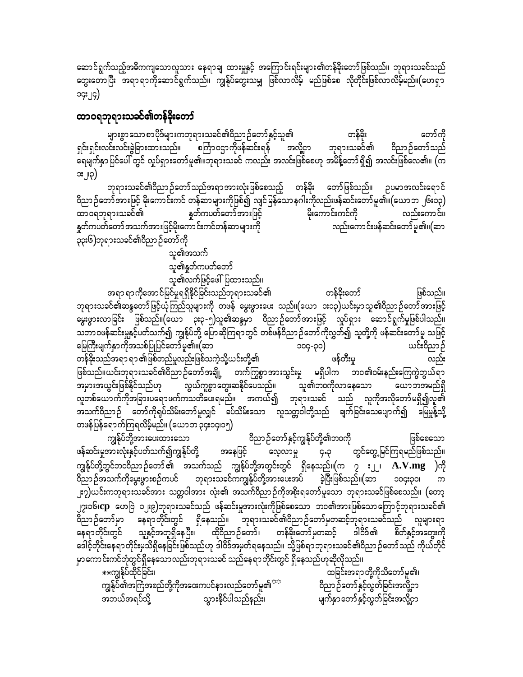ဆောင်ရွက်သည့်အဓိကကျသောလူသား နေရာချ ထားမှုနှင့် အကြောင်းရင်းများ၏တန်ခိုးတော်ဖြစ်သည်။ ဘုရားသခင်သည် တွေးတောပြီး အရာ ရာကိုဆောင်ရွက်သည်။ ကျွန်ုပ်တွေးသမျှ ဖြစ်လာလိမ့် မည်ဖြစ်စေ လိုတိုင်းဖြစ်လာလိမ့်မည်။(ဟေရှာ ၁၄း၂၄)

### ထာဝရဘုရားသခင်၏တန်ခိုးတော်

များစွာသောစာပိုဒ်များကဘုရားသခင်၏ဝိညာဉ်တော်နှင့်သူ၏ တန်ခိုး တော်ကို ဝိညာဉ်တော်သည် ရှင်းရှင်းလင်းလင်းခွဲခြားထားသည်။ စင်္ကြာဝဌာကိုဖန်ဆင်းရန် အလို့ငှာ ဘုရားသခင်၏ ရေမျက်နှာပြင်ပေါ် တွင် လှုပ်ရှားတော်မူ၏။ဘုရားသခင် ကလည်း အလင်းဖြစ်စေဟု အမိန့်တော်ရှိ၍ အလင်းဖြစ်လေ၏။ (က ား၂၊၃)

ဘုရားသခင်၏ဝိညာဉ်တော်သည်အရာအားလုံးဖြစ်စေသည့် တန်ခိုး တော်ဖြစ်သည်။ ဉပမာအလင်းရောင် ဝိညာဉ်တော်အားဖြင့် မိုးကောင်းကင် တန်ဆာများကိုဖြစ်၍ လျင်မြန်သောနဂါးကိုလည်းဖန်ဆင်းတော်မူ၏။(ယောဘ ၂၆း၁၃) နှုတ်ကပတ်တော်အားဖြင့် မိုးကောင်းကင်ကို ထာ၀ရဘုရားသခင်၏ လည်းကောင်း၊ နှုတ်ကပတ်တော် အသက်အားဖြင့်မိုးကောင်းကင်တန်ဆာများကို လည်းကောင်းဖန်ဆင်းတော်မူ၏။(ဆာ ၃၃း၆)ဘုရားသခင်၏ဝိညာဉ်တော်ကို

သူ၏အသက်

သူ၏နူတ်ကပတ်တော် သူ၏လက်ဖြင့်ဖေါ်ပြထားသည်။

အရာ ရာကိုအောင်မြင်မှုရရှိနိုင်ခြင်းသည်ဘုရားသခင်၏ တန်ခိုးတော် ဖြစ်သည်။ ဘုရားသခင်၏ဆန္ဒတော် ဖြင့်ယုံကြည်သူများကို တဖန် မွေးဖွားပေး သည်။(ယော အ၁၃)ယင်းမှာသူ၏ဝိညာဉ်တော်အားဖြင့် မွေးဖွားလာခြင်း ဖြစ်သည်။(ယော ၃း၃-၅)သူ၏ဆန္ဒမှာ ဝိညာဉ်တော်အားဖြင့် လှုပ်ရှား ဆောင်ရွက်မှုဖြစ်ပါသည်။ သဘာဝဖန်ဆင်းမှုနှင့်ပတ်သက်၍ ကျွန်ုပ်တို့ ပြောဆိုကြရာတွင် တစ်ဖန်ဝိညာဉ်တော်ကိုလွှတ်၍ သူတို့ကို ဖန်ဆင်းတော်မူ သဖြင့် မြေကြီးမျက်နှာကိုအသစ်ပြုပြင်တော်မူ၏။(ဆာ ယင်းဝိညာဉ် ၁၀၄-၃၀) ဖန်တီးမှု တန်ခိုးသည်အရာ ရာ ၏ဖြစ်တည်မှုလည်းဖြစ်သကဲ့သို့ယင်းတို့၏ ဖြစ်သည်။ယင်းဘုရားသခင်၏ဝိညာဉ်တော်အချို့ တက်ကြွစွာအားသွင်းမှု မရှိပါက ဘဝ၏ဝမ်းနည်းကြေကွဲဘွယ်ရာ အမှားအယွင်းဖြစ်နိုင်သည်ဟု လွယ်ကူစွာတွေးဆနိုင်ပေသည်။ သူ၏ဘ၀ကိုလာနေသော ယောဘအမည်ရှိ ာ<br>လူတစ်ယောက်ကိုအခြားပရောဖက်ကသတိဖေးရမည်။ အကယ်၍ ဘုရားသခင် သည် လူကိုအလိုတော်မရှိ၍လူ၏ .<br>အသက်ဝိညာဉ် တော်ကိုရုပ်သိမ်းတော်မူလျှင် ခပ်သိမ်းသော လူသတ္တဝါတို့သည် ချက်ခြင်းသေပျောက်၍ မြေမှုန့်သို့ တဖန်ပြန်ရောက်ကြရလိမ့်မည်။ (ယောဘ ၃၄း၁၄၊၁၅)

ဝိညာဉ်တော်နှင့်ကျွန်ုပ်တို့<mark>၏</mark>ဘဝကို ကျွန်ုပ်တို့အားပေးထားသော ဖြစ်စေသော အနေဖြင့် ဖန်ဆင်းမှုအားလုံးနှင့်ပတ်သက်၍ကျွန်ုပ်တို့ တွင်တွေ့ မြင်ကြရမည်ဖြစ်သည်။ လေ့လာမှု ၄.၃ ကျွန်ုပ်တို့တွင်ဘဝဝိညာဉ်တော်၏ အသက်သည် ကျွန်ုပ်တို့အတွင်းတွင် ရှိနေသည်။ $(\text{m}$  ၇ း၂၂၊  $\textbf{A.V.mg}$ )ကို ၁၀၄း၃၀၊ ၂း၇)ယင်းကဘုရားသခင်အား သတ္တဝါအား လုံး၏ အသက်ဝိညာဉ်ကိုအစိုးရတော်မူသော ဘုရားသခင်ဖြစ်စေသည်။ (တော့ ၂<mark>၇း၁၆၊cp</mark> ဟေဗြဲ ၁၂း၉)ဘုရားသခင်သည် ဖန်ဆင်းမှုအားလုံးကိုဖြစ်စေသော ဘဝ၏အားဖြစ်သောကြောင့်ဘုရားသခင်၏ ာင္<br>ဝိညာဉ်တော်မှာ နေရာတိုင်းတွင် ရှိနေသည်။ ဘုရားသခင်၏ဝိညာဉ်တော်မှတဆင့်ဘုရားသခင်သည် လူများရာ သူနှင့်အတူရှိနေပြီး၊ ထိုဝိညာဉ်တော်၊ နေရာတိုင်းတွင် တန်ခိုးတော်မှတဆင့် ဒါဝိဒ်၏ စိတ်နှင့်အတွေးကို ဒေါင့်တိုင်းနေရာတိုင်းမှသိရှိနေခြင်းဖြစ်သည်ဟု ဒါဝိဒ်အမှတ်ရနေသည်။ သို့ဖြစ်ရာဘုရားသခင်၏ဝိညာဉ်တော်သည် ကိုယ်တိုင် မှာကောင်းကင်ဘုံတွင်ရှိနေသောလည်းဘုရားသခင် သည်နေရာတိုင်းတွင် ရှိနေသည်ဟုဆိုလိုသည်။

\*\*ကျွန်ုပ်ထိုင်ခြင်း၊ ကျွန်ုပ်၏အကြံအစည်တို့ကိုအဝေးကပင်နားလည်တော်မူ၏<sup>အဒ</sup> သွားနိုင်ပါသည်နည်း၊ အဘယ်အရပ်သို့

ထခြင်းအရာတို့ကိုသိတော်မူ၏၊ ဝိညာဉ်တော်နှင့်လွတ်ခြင်းအလို့ငှာ မျက်နှာတော်နှင့်လွှတ်ခြင်းအလို့ငှာ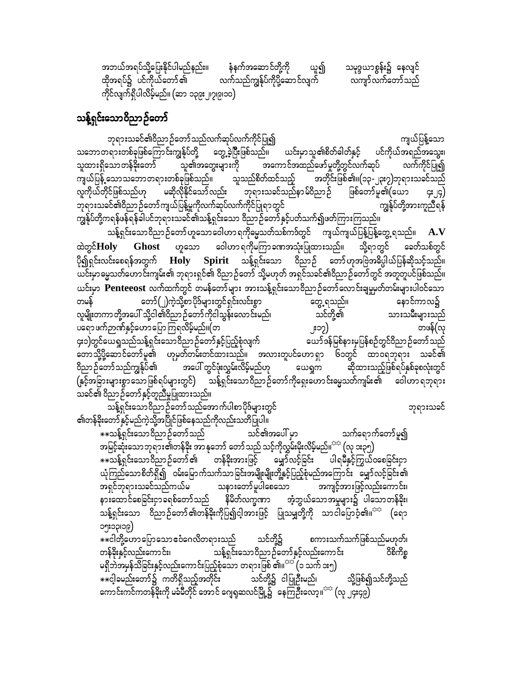အဘယ်အရပ်သို့ပြေးနိုင်ပါမည်နည်း။ နံနက်အဆောင်တို့ကို ယူ၍ သမုဒ္ဒယာစွန်း၌ နေလျင်<br>ထိုအရပ်၌ ပင်ကိုယ်တော်၏ လက်သည်ကျွန်ုပ်ကိုပို့ဆောင်လျက် လကျာ်လက်တော်သည် လက်သည်ကျွန်ုပ်ကိုပို့ဆောင်လျက် လကျာ်လက်တော်သည် ကိုင်လျက်ရှိပါလိမ့်မည်။ (ဆာ ၁၃၉း၂၊၇၊၉၊၁၀)

### သန့်ရှင်းသောဝိညာဉ်တော်

bk&m;ocif\0dnmOfawmfonfvufqkyfvufudkifjyKí us,fjyefYaom သဘောတရားတစ်ခုဖြစ်ကြောင်းကျွန်ုပ်တို့ တွေ့ခဲ့ပြီးဖြစ်သည်။ ယင်းမှာသူ၏စိတ်ခါတ်နှင့် ပင်ကိုယ်အရည်အသွေး၊ သူထားရှိသောတန်ခိုးတော် သူ၏အတွေးများကို အကောင်အထည်ဖော်မှုတို့တွင်လက်ဆုပ် လက်ကိုင်ပြု၍ ကျယ်ပြန့် သောသဘောတရားတစ်ခုဖြစ်သည်။ သူသည်စိတ်ထင်သည့် အတိုင်းဖြစ်၏။(၁၃-၂၃း၇)ဘုရားသခင်သည်<br>လူကိုယ်တိုင်ဖြစ်သည်ဟု မဆိုလိုနိုင်သော်လည်း ဘုရားသခင်သည်နာမ်ိဝိညာဉ် ဖြစ်တော်မူ၏(ယော ၄း၂၄) လူကိုယ်တိုင်ဖြစ်သည်ဟု မဆိုလိုနိုင်သော်လည်း ဘုရားသခင်သည်နာမ်ဝိညာဉ် ဖြစ်တော်မူ၏(ယော ၄း၂၄)<br>ဘုရားသခင်၏ဝိညာဉ်တော်ကျယ်ပြန့်မှုကိုလက်ဆုပ်လက်ကိုင်ပြုရာတွင် ဘုရားသခင်၏ဝိညာဉ်တော်ကျယ်ပြန့်မှုကိုလက်ဆုပ်လက်ကိုင်ပြုရာတွင် ကျွန်ုပ်တို့ကရန်ဖန်ရန်ခါပင်ဘုရားသခင်၏သန့်ရှင်းသော ဝိညာဉ်တော်နှင့်ပတ်သက်၍ဖတ်ကြားကြသည်။

သန့်ရှင်းသောဝိညာဉ်တော်ဟူသောဝေါဟာရကိုမ္မေသတ်သစ်ကဒ်တွင် ကျယ်ကျယ်ပြန့်ပြန့်တွေ့ရသည်။  $\mathbf{A}.\mathbf{V}$ ထဲတွင်**Holy Ghost** ဟူသော ဝေါဟာရကိုမကြာခဏအသုံးပြုထားသည်။ သို့ရာတွင် ခေတ်သစ်တွင် ပို၍ရှင်းလင်းစေရန်အတွက် **Holy Spirit** သန့်ရှင်းသော ဝိညာဉ် တော်ဟုအဗြဲအဓိပ္ပါယ်ပြန်ဆိုသင့်သည်။ ယင်းမှာမွေ့သတ်ဟောင်းကျမ်း၏ ဘုရားရှင်၏ ဝိညာဉ်တော် သို့မဟုတ် အရှင်သခင်၏ဝိညာဉ်တော်တွင် အတူတူပင်ဖြစ်သည်။ ယ**်း**မှာ **Penteeost** လက်ထက်တွင် တမန်တော်များ အားသန့်ရှင်းသောဝိညာဉ်တော်လောင်းချမှုမှတ်တမ်းများပါဝင်သော wref awmf(2)uJhodkYpmydk'frsm;wGif&Sif;vif;pGm awGU&onf/ aemifumvü လူမျိုးတကာ တို့အပေါ် သို့ငါ၏ဝိညာ ဉ်တော် ကိုငါသွန်းလောင်းမည်၊ ပရောဖက်ဉာဏ်နှင့်ဟောပြောကြရလိမ့်မည်။(တ<br>၄း၁)တွင်ယေရှုသည်သန့်ရှင်းသောဝိညာဉ်တော်နှင့်ပြည့်စုံလျက် ယာ်ဒန်မြစ်နားမှပြန်စဉ်တွင်ဝိညာဉ်တော်သည် **၄း၁)တွင်ယေရှုသည်သန့်ရှင်းသောဝိညာဉ်တော်နှင့်ပြည့်စုံလျက်** ာကာသို့ပို့ဆောင်တော် မူ၏ ဟုမှတ်တမ်းတင်ထားသည်။ အလားတူပင်ဟောရှာ ၆၁တွင် ထာဝရဘုရား သခင်၏<br>-<br>ဝိညာဉ်တော်သည်ကျွန်ုပ်၏ - အပေါ် တွင်ဖုံးလွှမ်းလိမ့်မည်ဟု - ယေရှက - ဆိုထားသည့်ဖြစ်ရပ်နှစ်ခုစလုံးတွင် ယေရှုက ဆိုထားသည့်ဖြစ်ရပ်နှစ်ခုစလုံးတွင်  $(\mathrm{s}$ င့်အခြားများစွာသောဖြစ်ရပ်များတွင် $)$  သန့်ရှင်းသောဝိညာဉ်တော်ကိုရှေးဟောင်းမ္မေသတ်ကျမ်း၏ ဝေါဟာရဘုရား ာ<br>သခင်၏ ဝိညာဉ်တော်နှင့်တူညီမှုပြုထားသည်။

oefY&Sif;aom0dnmOfawmfonfatmufygpmydk'frsm;wGif bk&m;ocif  $\hat{\mathcal{S}}$ က်န်ခိုးတော်နှင့်မည်ကဲ့သို့အပြိုင်ဖြစ်နေသည်ကိုလည်းသတိပြုပါ။

 $\ast$ းသန့်ရှင်းသောဝိညာဉ်တော်သည် $\quad$  သင်၏အပေါ် မှာ $\quad$  သက်ရောက်တော်မူ၍ အမြင့်ဆုံးသောဘုရား၏တန်ခိုး အာနုဘော် တော်သည် သင့်ကိုလွှမ်းမိုးလိမ့်မည်။ $^{\text{max}}$  (လု ၁း၃၅)  $\ast\ast$ သန့်ရှင်းသောဝိညာဉ်တော်၏ တန်ခိုးအားဖြင့် မျှော်လင့်ခြင်း ပါရမီနှင့်ကြွယ်ဝစေခြင်းငှာ ယုံကြည်သောစိတ်ရှိ၍ ဝမ်းမြောက်သက်သာခြင်းအမျိုးမျိုးတို့နှင့်ပြည့်စုံမည်အကြောင်း မျှော်လင့်ခြင်း၏  $\frac{1}{\sqrt{2\pi}}\frac{1}{\sqrt{2\pi}}\frac{1}{\sqrt{2\pi}}\frac{1}{\sqrt{2\pi}}\frac{1}{\sqrt{2\pi}}\frac{1}{\sqrt{2\pi}}\frac{1}{\sqrt{2\pi}}\frac{1}{\sqrt{2\pi}}\frac{1}{\sqrt{2\pi}}\frac{1}{\sqrt{2\pi}}\frac{1}{\sqrt{2\pi}}\frac{1}{\sqrt{2\pi}}\frac{1}{\sqrt{2\pi}}\frac{1}{\sqrt{2\pi}}\frac{1}{\sqrt{2\pi}}\frac{1}{\sqrt{2\pi}}\frac{1}{\sqrt{2\pi}}\frac{1}{\sqrt{2\pi}}\frac{$ နားထောင်စေခြင်းငှာခရစ်တော်သည် နိမိတ်လက္ခဏာ အံ့ဘွယ်သောအမှုများ၌ ပါသောတန်ခိုး၊ သန့်ရှင်းသော ဝိညာဉ်တော်၏တန်ခိုးကိုပြ၍ငါ့အားဖြင့် ပြုသမျှတို့ကို သာငါပြောဝံ့၏။<sup>ာ</sup>ံ (ရော ၁၅း၁၃၊၁၉)<br>\*\*ငါတို့ဟောပြောသော ဧဝံဂေလိတရားသည် သင်တို့၌ စကားသက်သက်ဖြစ်သည်မဟုတ်၊ တန်ခိုးနှင့်လည်းကောင်း၊ စာနေ့ရှင်းသောဝိညာဉ်တော်နှင့်လည်းကောင်း စြစ်ကိစ္စ

မရှိဘဲအမှန်သိခြင်းနှင့်လည်းကောင်းပြည့်စုံသော တရားဖြစ် ၏။<sup>ာာ</sup> (၁ သက် ၁း၅)<br>\*\*ငါ့ခမည်းတော်၌ ကတိရှိသည့်အတိုင်း သင်တို့၌ ငါပြုဦးမည်၊  $\ast$ းငါ့ခမည်းတော်၌ ကတိရှိသည့်အတိုင်း $\qquad\qquad$  သင်တို့၌ ငါပြုဦးမည်၊  $\qquad\qquad$ သို့ဖြစ်၍သင်တို့သည် ကောင်းကင်ကတန်ခိုးကို မခဲမီတိုင် အောင် ဂျေရုဆလင်မြို့၌ နေကြဦးလော့။<sup>သင</sup> (လု ၂၄း၄၉)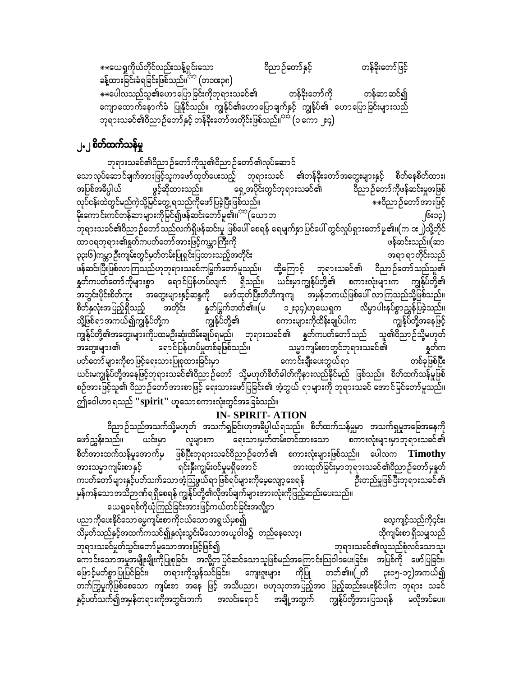$*$ းယေရှုကိုယ်တိုင်လည်းသန့်ရှင်းသော ဝိညာဉ်တော်နှင့် တန်ခိုးတော်ဖြင့် ခန့်ထားခြင်းခံရခြင်းဖြစ်သည်။ $\vec{P}^{i\alpha}$  (တ၁၀း၃၈)  $\ast\ast$ ပေါလသည်သူ၏ဟောပြောခြင်းကိုဘုရားသခင်၏ တန်ခိုးတော်ကို တန်ဆာဆင်၍ ကျောထောက်နောက်ခံ ပြုနိုင်သည်။ ကျွန်ုပ်၏ဟောပြောချက်နှင့် ကျွန်ုပ်၏ ဟောပြောခြင်းများသည် ဘုရားသခင်၏ဝိညာဉ်တော်နှင့် တန်ခိုးတော်အတိုင်းဖြစ်သည်။<sup>သင်္</sup> (၁ ကော ၂း၄)

### ၂**.၂ စိတ်ထက်သန်မှု**

ဘုရားသခင်၏ဝိညာဉ်တော်ကိုသူ၏ဝိညာဉ်တော်၏လုပ်ဆောင် သောလုပ်ဆောင်ချက်အားဖြင့်သူကဖော်ထုတ်ပေးသည့် ဘုရားသခင် ၏တန်ခိုးတော်အတွေးများနှင့် စိတ်နေစိတ်ထား၊<br>အပြစ်အဓိပ္ပါယ် ဖွင့်ဆိုထားသည်။ ရှေ့အပိုင်းတွင်ဘုရားသခင်၏ ဝိညာဉ်တော်ကိုဖန်ဆင်းမှုအဖြစ် ဝိညာဉ်တော်ကိုဖန်ဆင်းမှုအဖြစ် vkyfief;xJwGifrnfuJhodkYjrifawGU&onfudkazmfjycJhNyD;jzpfonf/ ]]0dnmOfawmftm;jzifh မိုးကောင်းကင်တန်ဆာများကိုမြင်၍ဖန်ဆင်းတော်မူ၏။<sup>သည</sup> ဖြယာဘ -<br>ဘုရားသခင်၏ဝိညာဉ်တော်သည်လက်ရှိဖန်ဆင်းမှု ဖြစ်ပေါ် စေရန် ရေမျက်နှာပြင်ပေါ် တွင်လှုပ်ရှားတော်မူ၏။(က ၁း၂)သို့တိုင် ထာဝရဘုရား၏နူတ်ကပတ်တော်အားဖြင့်ကမ္ဘာကြီးကို ကြီးစားကြသည်။ အောက်ကားကြသည်။(ဆာ ၃၃း၆)ကမ္ဘာ ဦးကျမ်းတွင်မှတ်တမ်းပြုရှင်းပြထားသည့်အတိုင်း<br>-ဖန်ဆင်းပြီးဖြစ်လာကြသည်ဟုဘုရားသခင်ကမြွက်တော်မူသည်။ ထို့ကြောင့် ဘုရားသခင်၏ ဝိညာဉ်တော်သည်သူ၏ နှုတ်ကပတ်တော်ကိုများစွာ ရောင်ပြန်ဟပ်လျက် ရှိသည်။ ယင်းမှာကျွန်ုပ်တို့၏ စကားလုံးများက ကျွန်ုပ်တို့၏ အတွင်းပိုင်းစိတ်ကူး အတွေးများနှင့်ဆန္ဒကို ဖော်ထုတ်ပြီးတိတိကျကျ အမှန်တကယ်ဖြစ်ပေါ် လာကြသည်သို့ဖြစ်သည်။<br>စိတ်နှလုံးအပြည့်ရှိသည့် အတိုင်း နှုတ်မြွက်တတ်၏။(မ ၁၂း၃၄)ဟုယေရှုက လိမ္မာပါးနပ်စွာညွှန်ပြခဲ့သည်။ စိတ်နှလုံးအပြည့်ရှိသည့် အတိုင်း နှုတ်မြွက်တတ်၏။(မ ၁၂း၃၄)ဟုယေရှုက လိ<br>သို့ဖြစ်ရာအကယ်၍ကျွန်ုပ်တို့က ကျွန်ုပ်တို့၏ စကားများကိုထိန်းချုပ်ပါက သို့ဖြစ်ရာအကယ်၍ကျွန်ုပ်တို့က ကျွန်ုပ်တို့၏ စကားများကိုထိန်းချုပ်ပါက ကျွန်ုပ်တို့အနေဖြင့် ကျွန်ုပ်တို့၏အတွေးများကိုပထမဦးဆုံးထိမ်းချုပ်ရမည်၊ ဘုရားသခင်၏ နှတ်ကပတ်တော်သည် သူ၏ဝိညာဉ်သို့မဟုတ် အတွေးများ၏ ရောင်ပြန်ဟပ်မှုတစ်ခုဖြစ်သည်။ သမ္မာကျမ်းစာတွင်ဘုရားသခင်၏ နှုတ်က ywfawmfrsm;udkpmjzifha&;om;jyKpkxm;jcif;rSm aumif;csD;ay;bG,f&m wpfckjzpfNyD; ,<br>ယင်းမကျွန်ုပ်တို့အနေဖြင့်ဘုရားသခင်၏ဝိညာဉ်တော် သို့မဟုတ်စိတ်ခါတ်ကိုနားလည်နိုင်မည် ဖြစ်သည်။ စိတ်ထက်သန်မှုဖြစ် စဉ်အားဖြင့်သူ၏ ဝိညာဉ်တော်အားစာဖြင့် ရေးသားဖော်ပြခြင်း၏ အံ့ဘွယ် ရာများကို ဘုရားသခင် အောင်မြင်တော်မူသည်။ ဤဝေါဟာ ရသည် **''spirit''** ဟူသောစကားလုံးတွင်အခြေခံသည်။

#### **IN- SPIRIT- ATION**

ဝိညာဉ်သည်အသက်သို့မဟုတ် အသက်ရှုခြင်းဟုအဓိပ္ပါယ်ရသည်။ စိတ်ထက်သန်မှုမှာ အသက်ရှမှုအခြေအနေကို<br>ဖော်ညွှန်းသည်။ ယင်းမှာ လူများက ရေးသားမှတ်တမ်းတင်ထားသော စကားလုံးများမှာဘုရားသခင်၏ လူများက ရေးသားမှတ်တမ်းတင်ထားသော စကားလုံးများမှာဘုရားသခင်၏ စိတ်အားထက်သန်မှုအောက်မှ ဖြစ်ပြီးဘုရားသခင်ဝိညာဉ်တော်၏ စကားလုံးများဖြစ်သည်။ ပေါလက **Timothy**<br>အားသမ္မာကျမ်းစာနှင့် ရင်းနှီးကျွမ်းဝင်မှုမရှိအောင် အားထုတ်ခြင်းမှာဘုရားသခင်၏ဝိညာဉ်တော်မှနှတ် အားသမ္မာကျမ်းစာနှင့် စကြေးနီးကျွမ်းဝင်မှုမရှိအောင် အားထုတ်ခြင်းမှာဘုရားသခင်၏ဝိညာဉ်တော်မှနုတ်<br>ကပတ်တော်များနှင့်ပတ်သက်သောအံ့သြဖွယ်ရာဖြစ်ရပ်များကိုမေ့လျော့စေရန် ဦးတည်မှုဖြစ်ပြီးဘုရားသခင်၏ ကပတ်တော် များနှင့်ပတ်သက်သော အံ့သြဖွယ်ရာဖြစ်ရပ်များကိုမေ့လျော့စေရန် မှန်ကန်သောအသိဉာဏ်ရရှိစေရန် ကျွန်ုပ်တို့၏လိုအပ်ချက်များအားလုံးကိုဖြည့်ဆည်းပေးသည်။ ယေရှုခရစ်ကိုယုံကြည်ခြင်းအားဖြင့်ကယ်တင်ခြင်းအလို့ငှာ

ပညာကိုပေးနိုင်သောဓမ္မကျမ်းစာကိုငယ်သောအရွယ်မှစ၍<br>သိမုတ်သည်နှင့်အထက်ကသင်၍နှလုံးသွင်းမိသောအယူဝါဒ၌ တည်နေလော့၊ ထိုကျမ်းစာ ရှိသမျှသည် သိမှတ်သည်နှင့်အထက်ကသင်၍နှလုံးသွင်းမိသော အယူဝါဒ၌ တည်နေလော့၊<br>ဘုရားသခင်မှုတ်သွင်းတော် မူသော အားဖြင့်ဖြစ်၍ ဘုရားသခင်မှုတ်သွင်းတော်မူသောအားဖြင့်ဖြစ်၍ ကောင်းသောအမှုအမျိုးမျိုးကိုပြုစုခြင်း အလို့ငှာပြင်ဆင်သောသူဖြစ်မည်အကြောင်းသြဝါဒပေးခြင်း၊ အပြစ်ကို ဖော်ပြခြင်း၊<br>ဖြောင့်မတ်စွာပြုပြင်ခြင်း၊ တရားကိုသွန်သင်ခြင်း၊ ကျေးဇူးများ ကိုပြု တတ်၏။(၂တိ ၃း၁၅-၁၇)အကယ်၍ ကြောင့်မတ်စွာပြုပြင်ခြင်း၊ တရားကိုသွန်သင်ခြင်း၊ ကျေးဇူးများ ကိုပြု တက်ကြွမှုကိုဖြစ်စေသော ကျမ်းစာ အနေ ဖြင့် အသိပညာ၊ ဗဟုသုတအပြည့်အဝ ဖြည့်ဆည်းပေးနိုင်ပါက ဘုရား သခင် နှင့်ပတ်သက်၍အမှန်တရားကိုအတွင်းဘက် အလင်းရောင် အချို့အတွက် ကျွန်ုပ်တို့အားပြသရန် မလိုအပ်ပေ။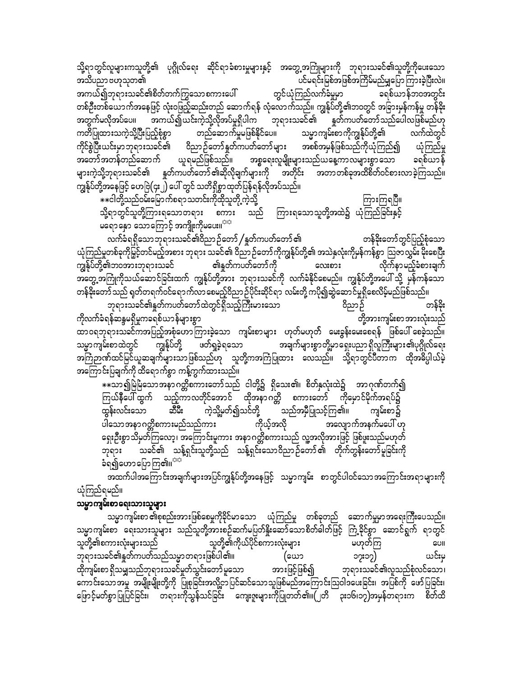သမ္မာကျမ်းစာ ၏စုစည်းအားဖြစ်စေမှုကိုခိုင်မာသော ယုံကြည်မှု တစ်ခုတည် ဆောက်မှုမှာအရေးကြီးပေသည်။ သမ္မာကျမ်းစာ ရေးသားသူများ သည်သူတို့အားစဉ်ဆက်မပြတ်နှိုးဆော်သောစိတ်ခါတ်ဖြင့် ကြံ့ခိုင်စွာ ဆောင်ရွက် ရာတွင် သူတို့၏ကိုယ်ပိုင်စကားလုံးများ သူတို့၏စကားလုံးများသည် မဟုတ်ကြ CUII ဘုရားသခင်၏နှုတ်ကပတ်သည်သမ္မာတရားဖြစ်ပါ၏။ ယင်းမ (ယော ၁၇း၁၇) ထိုကျမ်းစာ ရှိသမျှသည်ဘုရားသခင်မှုတ်သွင်းတော် မူသော ဘားဖြင့်ဖြစ်၍ ဘုရားသခင်၏လူသည်စုံလင်သော၊ ကောင်းသောအမှု အမျိုးမျိုးတို့ကို ပြုစုခြင်းအလို့ငှာပြင်ဆင်သောသူဖြစ်မည်အကြောင်းသြဝါဒပေးခြင်း၊ အပြစ်ကို ဖော်ပြခြင်း၊ ဖြောင့်မတ်စွာပြုပြင်ခြင်း၊ တရားကိုသွန်သင်ခြင်း ကျေးဇူးများကိုပြုတတ်၏။(၂တိ ၃း၁၆၊၁၇)အမှန်တရားက စိတ်ထိ

#### သမ္မာကျမ်းစာရေးသားသူများ

ယုံကြည်ရမည်။

ကျွန်ုပ်တို့၏ဘဝအားဘုရားသခင်

ပါသောအနာဂတ္တိစကားမည်သည်ကား ကိုယ့်အလို အလျောက်အနက်မပေါ် ဟု ရှေးဦးစွာသိမှတ်ကြလော့၊ အကြောင်းမူကား အနာဂတ္တိစကားသည် လူ့အလိုအားဖြင့် ဖြစ်ဖူးသည်မဟုတ် ား ပါတီကို သည်။<br>ဘုရား သခင်၏ သန့်ရှင်းသူတို့သည် သန့်ရှင်းသောဝိညာဉ်တော်၏ တိုက်တွန်းတော်မူခြင်းကို ခံရ၍ဟောပြောကြ၏။<sup>သာ</sup> အထက်ပါအကြောင်းအချက်များအပြင်ကျွန်ုပ်တို့အနေဖြင့် သမ္မာကျမ်း စာတွင်ပါဝင်သောအကြောင်းအရာများကို

ကျွန်ုပ်တို့ ဖတ်ရှခဲ့ရသော အကြောင်းပြချက်ကို ထိရောက်စွာ ကန့်ကွက်ထားသည်။ \*\*သာ၍မြဲမြံသောအနာဂတ္တိစကားတော်သည် ငါတို့၌ ရှိသေး၏၊ စိတ်နှလုံးထဲ၌ အာဂုဏ်တက်၍ ကြယ်နီပေါ် ထွက် သည့်ကာလတိုင်အောင် ထိုအနာဂတ္တိ စကားတော် ကိုမှောင်မိုက်အရပ်၌ \_<br>\_<br>သည်အမှီပြုသင့်ကြ၏။ ကဲ့သို့မှတ်၍သင်တို့ ထွန်းလင်းသော ಖಿದಿ: ကျမ်းစာ၌

အတွေ့အကြုံကိုသယ်ဆောင်ခြင်းထက် ကျွန်ုပ်တို့အား ဘုရားသခင်ကို လက်ခံနိုင်စေမည်။ ကျွန်ုပ်တို့အပေါ် သို့ မှန်ကန်သော တန်ခိုးတော်သည် ရုတ်တရက်ဝင်ရောက်လာ စေမည့်ဝိညာ ဉ်ပိုင်းဆိုင်ရာ လမ်းတို့ ကပို၍ဆွဲဆောင်မှုရှိစေလိမ့်မည်ဖြစ်သည်။ ဘုရားသခင်၏နှုတ်ကပတ်တော်ထဲတွင်ရှိသည့်ကြီးမားသော ဝိညာဉ် တန်ခိုး ကိုလက်ခံရန်ဆန္ဒမရှိမှုကခရစ်ယာန်များစွာ တို့အားကျမ်းစာ အားလုံးသည် ထာဝရဘုရားသခင်ကအပြည့်အစုံဟောကြားခဲ့သော ကျမ်းစာများ ဟုတ်မဟုတ် မေးခွန်းမေးစေရန် ဖြစ်ပေါ် စေခဲ့သည်။ အချက်များစွာတို့မှာရှေးပညာရှိလူကြီးများ၏ပုဂ္ဂိုလ်ရေး သမ္မာကျမ်းစာထဲတွင် အကြံဉာဏ်ထင်မြင်ယူဆချက်များသာဖြစ်သည်ဟု သူတို့ကအကြံပြုထား လေသည်။ သို့ရာတွင်ပီတာက ထိုအဓိပ္ပါယ်မဲ့

ယုံကြည်မှုတစ်ခုကိုမြှင့်တင်မည့်အစား ဘုရား သခင်၏ ဝိညာဉ်တော်ကိုကျွန်ုပ်တို့၏ အသဲနှလုံးကိုမှန်ကန်စွာ ဩဇာလွှမ်းမိုးစေပြီး

၏နှုတ်ကပတ်တော်ကို

လေးစား

လိုက်နာမည့်ခံစားချက်

\*\*ငါတို့သည်ဝမ်းမြောက်စရာသတင်းကိုထိုသူတို့ ကဲ့သို့ ကြားကြရပြီ။ သို့ရာတွင်သူတို့ကြားရသောတရား စကား သည် မရောနော သောကြောင့် အကျိုးကိုမပေး။<sup>သာ</sup> လက်ခံရရှိသောဘုရားသခင်၏ဝိညာဉ်တော် /နှုတ်ကပတ်တော် ၏ တန်ခိုးတော်တွင်ပြည့်စုံသော

သို့ရာတွင်လူများကသူတို့၏ ပုဂ္ဂိုလ်ရေး ဆိုင်ရာခံစားမှုများနှင့် အတွေ့အကြုံများကို ဘုရားသခင်၏သူတို့ကိုပေးသော .<br>ပင်မရင်းမြစ်အဖြစ်အကြိမ်မည်မျှပြောကြားခဲ့ပြီးလဲ။ အသိပညာ ဗဟုသုတ၏ တွင်ယုံကြည်လက်ခံမှုမှာ အကယ်၍ဘုရားသခင်၏စိတ်တက်ကြွသောစကားပေါ် ခရစ်ယာန်ဘ၀အတွင်း တစ်ဦးတစ်ယောက်အနေဖြင့် လုံးဝဖြည့်ဆည်းတည် ဆောက်ရန် လုံလောက်သည်။ ကျွန်ုပ်တို့၏ဘဝတွင် အခြားမှန်ကန်မှု တန်ခိုး -<br>- အကယ်၍ယင်းကဲ့သို့လိုအပ်မှုရှိပါက ဘုရားသခင်၏ နွတ်ကပတ်တော်သည်ပေါလဖြစ်မည်ဟု အတွက်မလိုအပ်ပေ။ ကတိပြုထားသကဲ့သို့ပြီးပြည့်စုံစွာ တည်ဆောက်မှုမဖြစ်နိုင်ပေ။ သမ္မာကျမ်းစာကိုကျွန်ုပ်တို့၏ လက်ထဲတွင် ကိုင်စွဲပြီးယင်းမှာဘုရားသခင်၏ ဝိညာဉ်တော်နှတ်ကပတ်တော်များ အစစ်အမှန်ဖြစ်သည်ကိုယုံကြည်၍ ယုံကြည်မှု ာ<br>အတော်အတန်တည်ဆောက် ယူရမည်ဖြစ်သည်။ အစ္စရေးလူမျိုးများသည်ယနေ့ကာလများစွာသော ခရစ်ယာန် များကဲ့သို့ဘုရားသခင်၏ နှုတ်ကပတ်တော်၏ဆိုလိုချက်များကို အတိုင်း အတာတစ်ခုအထိစိတ်ဝင်စားလာခဲ့ကြသည်။ ကျွန်ုပ်တို့အနေဖြင့် ဟေဗြဲ(၄း၂) ပေါ် တွင် သတိရှိစွာထုတ်ပြန်ရန်လိုအပ်သည်။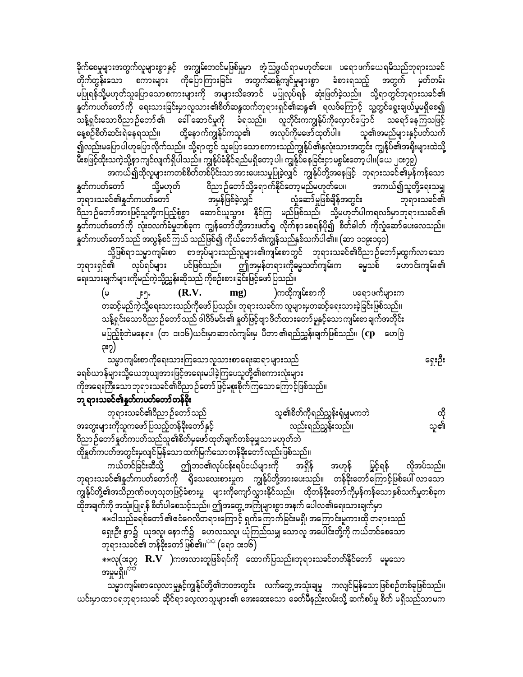ခိုက်စေမှုများအတွက်လူများစွာနှင့် အကျွမ်းတဝင်မဖြစ်မှုမှာ အံ့သြဖွယ်ရာမဟုတ်ပေ။ ပရောဖက်ယေရမိသည်ဘုရားသခင် တိုက်တွန်းသော စကားများ ကိုပြောကြားခြင်း အတွက်ဆန့်ကျင်မှုများစွာ ခံစားရသည့် အတွက် မှတ်တမ်း မပြုရန်သို့မဟုတ်သူပြောသောစကားများကို အများသိအောင် မပြုလုပ်ရန် ဆုံးဖြတ်ခဲ့သည်။ သို့ရာတွင်ဘုရားသခင်၏ နှုတ်ကပတ်တော်ကို ရေးသားခြင်းမှာလူသား၏စိတ်ဆန္ဒထက်ဘုရားရှင်၏ဆန္ဒ၏ ရလဒ်ကြောင့် သူ့တွင်ရွေးချယ်မှုမရှိစေ၍ သန့်ရှင်းသောဝိညာဉ်တော် ၏ ခေါ် ဆောင်မှုကို ခံရသည်။ လူတိုင်းကကျွန်ုပ်ကိုလှောင်ပြောင် သရော်နေကြသဖြင့် နေ့စဉ်စိတ်ဆင်းရဲနေရသည်။ ထို့နောက်ကျွန်ုပ်ကသူ၏ အလုပ်ကိုမဖော်ထုတ်ပါ။ သူ၏အမည်များနှင့်ပတ်သက် ၍လည်းမပြောပါဟုပြောလိုက်သည်။ သို့ရာတွင် သူပြောသောစကားသည်ကျွန်ုပ်၏နှလုံးသားအတွင်း ကျွန်ုပ်၏အရိုးများထဲသို့ မ်ိဳးစဖြင့်ထိုးသကဲ့သို့နာကျင်လျက်ရှိပါသည်။ ကျွန်ုပ်ခံနိုင်ရည်မရှိတော့ပါ၊ ကျွန်ုပ်နေခြင်းငှာမစွမ်းတော့ပါ။(ယေ ၂၀း၇၉)

အကယ်၍ထိုလူများကတစ်စိတ်တစ်ပိုင်းသာအားပေးသမှုပြုခဲ့လျှင် ကျွန်ုပ်တို့အနေဖြင့် ဘုရားသခင်၏မှန်ကန်သော နူတ်ကပတ်တော် ဝိညာဉ်တော်သို့ရောက်နိုင်တော့မည်မဟုတ်ပေ။ သို့မဟုတ် အကယ်၍သူတို့ရေးသမျှ ဘုရားသခင်၏နှုတ်ကပတ်တော် အမှန်ဖြစ်ခဲ့လျှင် လှုံ့ဆော်မှုဖြစ်ချိန်အတွင်း ဘုရားသခင်၏ ဝိညာဉ်တော်အားဖြင့်သူတို့ကပြည့်စုံစွာ ဆောင်ယူသွား နိုင်ကြ မည်ဖြစ်သည်၊ သို့မဟုတ်ပါကရလဒ်မှာဘုရားသခင်၏ နူတ်ကပတ်တော်ကို လုံးဝလက်ခံမှုတစ်ခုက ကျွန်တော်တို့အားဖတ်ရှု လိုက်နာစေရန်ပို၍ စိတ်ဓါတ် ကိုလှုံဆော်ပေးလေသည်။ -<br>နူတ်ကပတ်တော် သည် အလွန်စင်ကြယ် သည်ဖြစ်၍ ကိုယ်တော် ၏ကျွန်သည်နှစ်သက်ပါ၏။ (ဆာ ၁၁၉း၁၄၀)

သို့ဖြစ်ရာသမ္မာကျမ်းစာ စာအုပ်များသည်လူများ၏ကျမ်းစာတွင် ဘုရားသခင်၏ဝိညာဉ်တော်မှထွက်လာသော ဘုရားရှင်၏ ပင်ဖြစ်သည်။ ဤအမှန်တရားကိုဓမ္မသတ်ကျမ်းက လုပ်ရပ်များ မွေသစ် ဟောင်းကျမ်း၏ ရေးသားချက်များကိုမည်ကဲ့သို့ညွှန်းဆိုသည် ကိုစဉ်းစားခြင်းဖြင့်ဖော်ပြသည်။

 $(R.V.$ )ကထိုကျမ်းစာကို ပရောဖက်များက mg) (မ ၂:၅. .<br>တဆင့်မည်ကဲ့သို့ရေးသားသည်ကိုဖော်ပြသည်။ ဘုရားသခင်က လူများမှတဆင့်ရေးသားခဲ့ခြင်းဖြစ်သည်။ သန့်ရှင်းသောဝိညာဉ်တော်သည် ဒါဝိဒ်မင်း၏ နှတ်ဖြင့်ဗျာဒိတ်ထားတော်မူနှင့်သောကျမ်းစာချက်အတိုင်း မပြည့်စုံဘဲမနေရ။ (တ ၁း၁၆)ယင်းမှာဆာလံကျမ်းမှ ပီတာ၏ရည်ညွှန်းချက်ဖြစ်သည်။ ( ${\bf cp}$  ဟေဗြဲ ၃း၇)

သမ္မာကျမ်းစာကိုရေးသားကြသောလူသားစာရေးဆရာများသည် ခရစ်ယာန်များသို့ယေဘုယျအားဖြင့်အရေးမပါခဲ့ကြပေသူတို့၏စကားလုံးများ ကိုအရေးကြီးသောဘုရားသခင်၏ဝိညာဉ်တော်ဖြင့်မစူးစိုက်ကြသောကြောင့်ဖြစ်သည်။ ဘု ရားသခင်၏နှုတ်ကပတ်တော်တန်ခိုး

ထို<br>သူ၏ ဘုရားသခင်၏ဝိညာဉ်တော်သည် သူ၏စိတ်ကိုရည်ညွှန်းရုံမျှမကဘဲ အတွေးများကိုသူကဖော်ပြသည့်တန်ခိုးတော်နှင့် လည်းရည်ညွှန်းသည်။ ဝိညာဉ်တော်နူတ်ကပတ်သည်သူ၏စိတ်မှဖော်ထုတ်ချက်တစ်ခုမျှသာမဟုတ်ဘဲ ထိုနှုတ်ကပတ်အတွင်းမှလျင်မြန်သော ထက်မြက်သော တန်ဒိုးတော် လည်းဖြစ်သည်။

ဤဘဝ၏လုပ်ငန်းရပ်ငယ်များကို အရှိန် ကယ်တင်ခြင်းဆီသို့ အဟုန် မြှင့်ရန် လိုအပ်သည်။ ဘုရားသခင်၏နှုတ်ကပတ်တော်ကို ရိုသေလေးစားမှုက ကျွန်ုပ်တို့အားပေးသည်။ တန်ဒိုးတော်ကြောင့်ဖြစ်ပေါ် လာသော ကျွန်ုပ်တို့၏အသိဉာဏ်ဗဟုသုတဖြင့်ခံစားမှု များကိုကျော်လွှားနိုင်သည်။ ထိုတန်ခိုးတော်ကိုမှန်ကန်သောနှစ်သက်မှုတစ်ခုက ထိုအချက်ကို အသုံးပြုရန် စိတ်ပါစေသင့်သည်။ ဤအတွေ့ အကြုံများစွာ အနက် ပေါလ၏ရေးသားချက်မှာ

\*\*ငါသည်ခရစ်တော် ၏ဧဝံဂေလိတရားကြောင့် ရှက်ကြောက်ခြင်းမရှိ၊ အကြောင်းမူကားထို တရားသည် ရှေးဦး စွာ၌ ယုဒလူ၊ နောက်၌ ဟေလသလူ၊ ယုံကြည်သမျှ သောလူ အပေါင်းတို့ကို ကယ်တင်စေသော ဘုရားသခင်၏ တန်ခိုးတော်ဖြစ်၏။<sup>အဒ</sup> (ရော ၁း၁၆)

 $\ast\ast$ လု(၁း၃၇  $\bf{R.V}$  )ကအလားတူဖြစ်ရပ်ကို ထောက်ပြသည်။ဘုရားသခင်တတ်နိုင်တော် မမူသော အမှုမရှိ။

သမ္မာကျမ်းစာလေ့လာမှုနှင့်ကျွန်ုပ်တို့၏ဘဝအတွင်း လက်တွေ့အသုံးချမှု ကလျင်မြန်သောဖြစ်စဉ်တစ်ခုဖြစ်သည်။ ယင်းမှာထာဝရဘုရားသခင် ဆိုင်ရာလေ့လာသူများ၏ အေးဆေးသော ခေတ်မီနည်းလမ်းသို့ ဆက်စပ်မှု စိတ် မရှိသည်သာမက

ရှေးဦး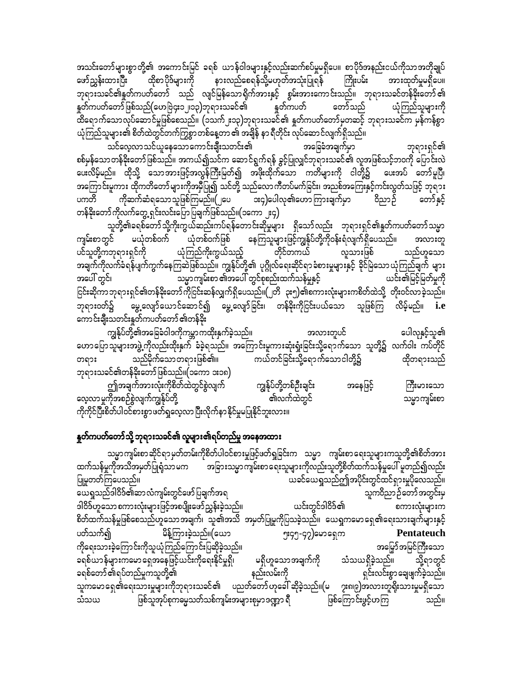အသင်းတော်များစွာတို့၏ အကောင်းမြင် ခရစ် ယာန်ဝါဒများနှင့်လည်းဆက်စပ်မှုမရှိပေ။ စာပိုဒ်အနည်းငယ်ကိုသာအတိုချုပ် နားလည်စေရန်သို့မဟုတ်အသုံးပြုရန် ထိုစာပိုဒ်များကို ကြိုးပမ်း ဖော်ညွှန်းထားပြီး အားထုတ်မှုမရှိပေ။ ဘုရားသခင်၏နှုတ်ကပတ်တော် သည် လျင်မြန်သောရိုက်အားနှင့် စွမ်းအားကောင်းသည်။ ဘုရားသခင်တန်ခိုးတော်၏ နှုတ်ကပတ်တော်ဖြစ်သည်(ဟေဗြဲ၄း၁၂၊၁၃)ဘုရားသခင်၏ နူတ်ကပတ် တော်သည် ယုံကြည်သူများကို ာ<br>ထိရောက်သောလုပ်ဆောင်မှုဖြစ်စေသည်။ (၁သက်၂း၁၃)ဘုရားသခင်၏ နှုတ်ကပတ်တော်မှတဆင့် ဘုရားသခင်က မှန်ကန်စွာ ယုံကြည်သူများ၏ စိတ်ထဲတွင်တက်ကြွစွာ တစ်နေ့တာ ၏ အချိန် နာ ရီတိုင်း လုပ်ဆောင်လျက်ရှိသည်။

သင်လေ့လာသင်ယူနေသောကောင်းချီးသတင်း၏ အခြေခံအချက်မှာ ဘုရားရှင်၏ စစ်မှန်သောတန်ခိုးတော်ဖြစ်သည်။ အကယ်၍သင်က ဆောင်ရွက်ရန် ခွင့်ပြုလျှင်ဘုရားသခင်၏ လူအဖြစ်သင့်ဘဝကို ပြောင်းလဲ ပေးလိမ့်မည်။ ထိုသို့ သောအားဖြင့်အလွန်ကြီးမြတ်၍ အဖိုးထိုက်သော ကတိများကို ငါတို့၌ ပေးအပ် တော်မူပြီ၊ အကြောင်းမူကား ထိုကတိတော်များကိုအမှီပြု၍ သင်တို့ သည်လောကီတပ်မက်ခြင်း၊ အညစ်အကြေးနှင့်ကင်းလွတ်သဖြင့် ဘုရား ကိုဆက်ဆံရသောသူဖြစ်ကြမည်။(၂ပေ **း**၄)ပေါလု၏ဟောကြားချက်မှာ ဝိညာဉ် တော် နှင့် ပကတိ တန်ခိုးတော်ကိုလက်တွေ့ ရှင်းလင်းပြောပြချက်ဖြစ်သည်။(၁ကော ၂း၄)

သူတို့၏ခရစ်တော်သို့ကိုးကွယ်ဆည်းကပ်ရန်တောင်းဆိုမှုများ ရှိသော်လည်း ဘုရားရှင်၏နှုတ်ကပတ်တော်သမ္မာ ကျ**မ်း**စာတွင် မယုံတစ်ဝက် ယုံတစ်ဝက်ဖြစ် နေကြသူများဖြင့်ကျွန်ုပ်တို့ကိုဝန်းရံလျက်ရှိပေသည်။ အလားတူ ယုံကြည်ကိုးကွယ်သည့် ပင်သူတို့ကဘုရားရှင်ကို တိုင်တကယ် သည်ဟူသော လူသားဖြစ် အချက်ကိုလက်ခံရန်ပျက်ကွက်နေကြဆဲဖြစ်သည်။ ကျွန်ုပ်တို့၏ ပုဂ္ဂိုလ်ရေးဆိုင်ရာခံစားမှုများနှင့် ခိုင်မြဲသောယုံကြည်ချက် များ သမ္မာကျမ်းစာ ၏အပေါ် တွင်စုစည်းထက်သန်မှုနှင့် အပေါ် တွင်၊ ယင်း၏မြင့်မြတ်မှုကို ငြင်းဆိုကာဘုရားရှင်၏တန်ခိုးတော်ကိုငြင်းဆန်လျှက်ရှိပေသည်။(၂တိ ၃း၅)၏စကားလုံးများကစိတ်ထဲသို့ တိုးဝင်လာခဲ့သည်။ မွေ့လျော်ယောင်ဆောင်၍ မွေ့လျော်ခြင်း၊ တန်ခိုးကိုငြင်းပယ်သော သူဖြစ်ကြ လိမ့်မည်။ **i.e** ဘုရားဝတ်၌ ကောင်းချီးသတင်းနှတ်ကပတ်တော် ၏တန်ခိုး

ကျွန်ုပ်တို့၏အခြေခံဝါဒကိုကမ္ဘာကထိုးနှက်ခဲ့သည်။ ပေါလုနှင့်သူ၏ အလားတူပင် ဟောပြောသူများအဖွဲ့ ကိုလည်းထိုးနှက် ခံခဲ့ရသည်။ အကြောင်းမူကားဆုံးရှုံးခြင်းသို့ရောက်သော သူတို့၌ လက်ဝါး ကပ်တိုင် သည်မိုက်သောတရားဖြစ်၏။ ကယ်တင်ခြင်းသို့ရောက်သောငါတို့၌ ထိုတရားသည် တရား ဘုရားသခင်၏တန်ခိုးတော်ဖြစ်သည်။(၁ကော ၁း၁၈) ဤအချက်အားလုံးကိုစိတ်ထဲတွင်စွဲလျက်<sup>်</sup> ကျွန်ုပ်တို့တစ်ဦးချင်း အနေဖြင့် ကြီးမားသော ှ<br>၏လက်ထဲတွင် သမ္မာကျမ်းစာ လေ့လာမှုကိုအစဉ်စွဲလျက်ကျွန်ုပ်တို့ ကိုကိုင်ပြီးစိတ်ပါဝင်စားစွာဖတ်ရှုလေ့လာပြီးလိုက်နာနိုင်မှုမပြုနိုင်ဘူးလား။

#### နှုတ်ကပတ်တော်သို့ ဘုရားသခင်၏ လူများ၏ရပ်တည်မှု အနေအထား

သမ္မာကျမ်းစာဆိုင်ရာမှတ်တမ်းကိုစိတ်ပါဝင်စားမှုဖြင့်ဖတ်ရှုခြင်းက သမ္မာ ကျမ်းစာရေးသူများကသူတို့၏စိတ်အား ထက်သန်မှုကိုအသိအမှတ်ပြုရုံသာမက .<br>- အခြားသမ္မာကျမ်းစာရေးသူများကိုလည်းသူတို့စိတ်ထက်သန်မှုပေါ် မူတည်၍လည်း .<br>ယခင်ယေရှုသည်ဤအပိုင်းတွင်ထင်ရှားမှုပိုလေသည်။ ပြုမှုတတ်ကြပေသည်။ မြေး<br>ယေရှုသည်ဒါဝိဒ်၏ဆာလံကျမ်းတွင်ဖော်ပြချက်အရ သူကဝိညာဉ်တော်အတွင်းမှ ကင္းသိုင္ျ<br>က ဒါဝိဒ်ဟူသောစကားလုံးများဖြင့်အစပျိုးဖော်ညွှန်းခဲ့သည်။ စကားလုံးများက စိတ်ထက်သန်မှုဖြစ်စေသည်ဟူသောအချက်၊ သူ၏အသိ အမှတ်ပြုမှုကိုပြသခဲ့သည်။ ယေရှုကမောရှေ့၏ရေးသားချက်များနှင့် ပတ်သက်၍ မိန့်ကြားခဲ့သည်။(ယော ၅း၄၅-၄၇)မောရှေ့က **Pentateuch** ကိုရေးသားခဲ့ကြောင်းကိုသူယုံကြည်ကြောင်းပြဆိုခဲ့သည်။ အမြှော်အမြင်ကြီးသော ခရစ်ယာန်များကမောနေရအနေဖြင့်ယင်းကိုရေးနိုင်မှုရှိ၊ မရှိဟူသောအချက်ကို သံသယရှိခဲ့သည်။ သို့ရာတွင် နည်းလမ်းကို ခရစ်တော် ၏ရပ်တည်မှုကသူတို့၏ ရှင်းလင်းစွာ ချေဖျက်ခဲ့သည်။ သူကမောရှေ၏ရေးသားမှုများကိုဘုရားသခင်၏ ပညတ်တော်ဟုခေါ် ဆိုခဲ့သည်။(မ ၇း၈၉)အလားတူရိုးသားမှုမရှိသော ဖြစ်သူအုပ်စုကမ္မေသတ်သစ်ကျမ်းအများစုမှာဒဏ္ဍာ ရီ ဖြစ်ကြောင်းဖွင့်ဟကြ သံသယ သည်။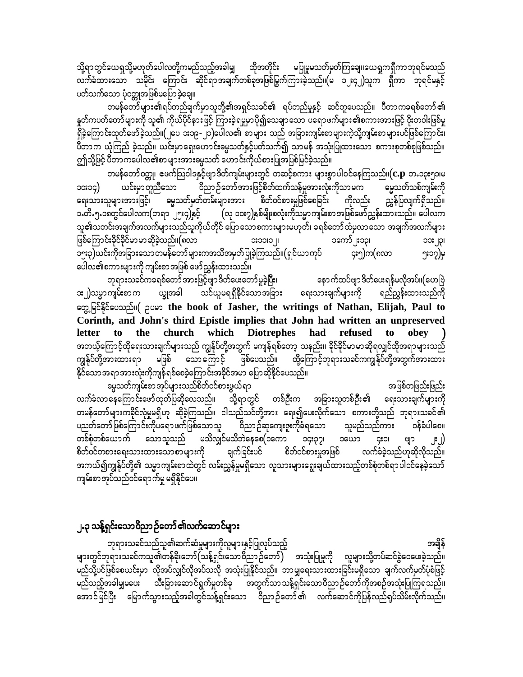သို့ရာတွင်ယေရှုသို့မဟုတ်ပေါလတို့ကမည်သည့်အခါမျှ ထိုအတိုင်း မပြုမူမသတ်မှတ်ကြချေ။ယေရှုကရှိကာဘုရင်မသည် လက်ခံထားသော သမိုင်း ကြောင်း ဆိုင်ရာအချက်တစ်ခုအဖြစ်မြွက်ကြားခဲ့သည်။(မ ၁၂း၄၂)သူက ရှီကာ ဘုရင်မနှင့် ပတ်သက်သော ပုံဝတ္တုအဖြစ်မပြောခဲ့ချေ။

တမန်တော်များ၏ရပ်တည်ချက်မှာသူတို့၏အရှင်သခင်၏ ရပ်တည်မှုနှင့် ဆင်တူပေသည်။ ပီတာကခရစ်တော်၏ နှတ်ကပတ်တော်များကို သူ၏ ကိုယ်ပိုင်နားဖြင့် ကြားခဲ့ရမှုမှာပို၍သေချာသော ပရောဖက်များ၏စကားအားဖြင့် ဝိုးတဝါးဖြစ်မှု ရှိခဲ့ကြောင်းထုတ်ဖော်ခဲ့သည်။(၂ပေ ၁း၁၉-၂၁)ပေါလ၏ စာများ သည် အခြားကျမ်းစာများကဲ့သို့ကျမ်းစာများပင်ဖြစ်ကြောင်း၊ ပီတာက ယုံကြည် ခဲ့သည်။ ယင်းမှာရှေးဟောင်းဓမ္မသတ်နှင့်ပတ်သက်၍ သာမန် အသုံးပြုထားသော စကားစုတစ်စုဖြစ်သည်။ ဤသို့ဖြင့် ပီတာကပေါလ၏စာ များအားမွေသတ် ဟောင်းကိုယ်စားပြုအပြစ်မြင်ခဲ့သည်။

တမန်တော်ဝတ္ထု၊ ဧဖက်သြဝါဒနှင့်ဗျာဒိတ်ကျမ်းများတွင် တဆင့်စကား များစွာပါဝင်နေကြသည်။ $(\mathbf{c}.\mathbf{p}% _{i}^{T}\mathbf{c})$  တ.၁၃း၅၁၊မ .<br>ဝိညာဉ်တော်အားဖြင့်စိတ်ထက်သန်မူအားလုံးကိုသာ မက ဓမ္မသတ်သစ်ကျမ်းကို ယင်းမှာတူညီသော ၁၀း၁၄) ရေးသားသူများအားဖြင့်၊ ဓမ္မသတ်မှတ်တမ်းများအား စိတ်ဝင်စားမှုဖြစ်စေခြင်း စ ညွှန်ပြလျက်ရှိသည်။ ကိုလည်း ၁.တိႉ၅.၁၈တွင်ပေါလက(တရာ ၂၅း၄)နှင့် (လု ၁၀း၇)နှစ်မျိုးစလုံးကိုသမ္မာကျမ်းစာအဖြစ်ဖော်ညွှန်းထားသည်။ ပေါလက သူ၏သတင်းအချက်အလက်များသည်သူကိုယ်တိုင် ပြောသောစကားများမဟုတ်၊ ခရစ်တော်ထံမှလာသော အချက်အလက်များ ဖြစ်ကြောင်းခိုင်ခိုင်မာ မာဆိုခဲ့သည်။(၈လာ  $\parallel$  CICCIC ၁ကော် ဧ၁၃၊ ခြား၃)ယင်းကိုအခြားသောတမန်တော်များကအသိအမှတ်ပြုခဲ့ကြသည်။(ရှင်ယာကုပ် ၄း၅)က(၈လာ ၅း၁၇)မှ ပေါလ၏စကားများကို ကျမ်းစာအဖြစ် ဖော်ညွှန်းထားသည်။

ဘုရားသခင်ကခရစ်တော်အားဖြင့်ဗျာ ဒိတ်ပေးတော် မူခဲ့ပြီး၊ နောက်ထပ်ဗျာဒိတ်ပေးရန်မလိုအပ်။(ဟေဗြဲ ား၂)သမ္မာကျမ်းစာ က ယျွအခါ သင်ယူမရရှိနိုင်သောအခြား ရေးသားချက်များကို ရည်ညွှန်းထားသည်ကို တွေ့မြင်နိုင်ပေသည်။( ဉပမာ the book of Jasher, the writings of Nathan, Elijah, Paul to Corinth, and John's third Epistle implies that John had written an unpreserved letter to the church which Diotrephes had refused to obey အဘယ့်ကြောင့်ထိုရေးသားချက်များသည် ကျွန်ုပ်တို့အတွက် မကျန်ရစ်တော့ သနည်း။ ခိုင်ခိုင်မာမာဆိုရလျှင်ထိုအရာများသည် ကျွန်ုပ်တို့အားထားရာ မဖြစ် သောကြောင့် ဖြစ်ပေသည်။ ထို့ကြောင့်ဘုရားသခင်ကကျွန်ုပ်တို့အတွက်အားထား နိုင်သောအရာအားလုံးကိုကျန်ရစ်စေခဲ့ကြောင်းအခိုင်အမာ ပြောဆိုနိုင်ပေသည်။

ဓမ္မသတ်ကျမ်းစာ အုပ်များသည်စိတ်ဝင်စားဖွယ်ရာ အဖြစ်တဖြည်းဖြည်း လက်ခံလာနေကြောင်းဖော်ထုတ်ပြဆိုလေသည်။ သို့ရာတွင် တစ်ဦးက အခြားသူတစ်ဦး၏ ရေးသားချက်များကို တမန်တော်များကခိုင်လုံမှုမရှိဟု ဆိုခဲ့ကြသည်။ ငါသည်သင်တို့အား ရေး၍ပေးလိုက်သော စကားတို့သည် ဘုရားသခင်၏ ပညတ်တော် ဖြစ်ကြောင်းကိုပရော ဖက်ဖြစ်သော သူ စြညာ ဉ်ဆုကျေးဇူးကိုခံရသော သူမည်သည်ကား ဝန်ခံပါစေ။ တစ်စုံတစ်ယောက် သောသူသည် မသိလျှင်မသိဘဲနေစေ(၁ကော ၁၄း၃၇၊ သယော CIOI  $|\cdot|$ ဗျာ စိတ်ဝင်တစားရေးသားထားသောစာများကို ချက်ခြင်းပင် စိတ်ဝင်စားမှုအဖြစ် လက်ခံခဲ့သည်ဟုဆိုလိုသည်။ အကယ်၍ကျွန်ုပ်တို့၏ သမ္မာကျမ်းစာထဲတွင် လမ်းညွှန်မှုမရှိသော လူသားများရွေးချယ်ထားသည့်တစ်စုံတစ်ရာပါဝင်နေခဲ့သော် ကျမ်းစာအုပ်သည်ဝင်ရောက်မှု မရှိနိုင်ပေ။

#### ၂.၃ သန့်ရှင်းသောဝိညာဉ်တော် ၏လက်ဆောင်များ

ဘုရားသခင်သည်သူ၏ဆက်ဆံမှုများကိုလူများနှင့်ပြုလုပ်သည့် အချိန် များတွင်ဘုရားသခင်ကသူ၏တန်ခိုးတော်(သန့်ရှင်းသောဝိညာဉ်တော်) အသုံးပြုမှုကို လူများသို့တပ်ဆင်ခွဲဝေပေးခဲ့သည်။ မည်သို့ပင်ဖြစ်စေယင်းမှာ လိုအပ်လျှင်လိုအပ်သလို အသုံးပြုနိုင်သည်။ ဘာမျှရေးသားထားခြင်းမရှိသော ချက်လက်မှတ်ပုံစံဖြင့် မည်သည့်အခါမျှမပေး သီးခြားဆောင်ရွက်မှုတစ်ခု အတွက်သာသန့်ရှင်းသောဝိညာဉ်တော်ကိုအစဉ်အသုံးပြုကြရသည်။ အောင်မြင်ပြီး မြောက်သွားသည့်အခါတွင်သန့်ရှင်းသော ဝိညာဉ်တော်၏ လက်ဆောင်ကိုပြန်လည်ရုပ်သိမ်းလိုက်သည်။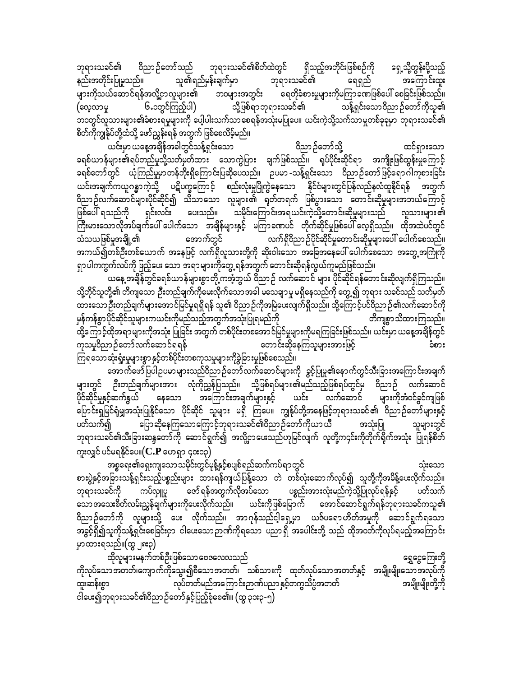ဘုရားသခင်၏ ဝိညာဉ်တော်သည် ဘုရားသခင်၏စိတ်ထဲတွင် ရှိသည့်အတိုင်းဖြစ်စဉ်ကို ရှေ့သို့တွန်းပို့သည့် နည်းအတိုင်းပြုမူသည်။ သူ၏ရည်မှန်းချက်မှာ ဘုရားသခင်၏ ရေရှည် အကြောင်းထူး<br>များကိုသယ်ဆောင်ရန်အလို့ငှာလူများ၏ ဘဝများအတွင်း ရေတိုခံစားမှုများကိုမကြာခဏဖြစ်ပေါ် စေခြင်းဖြစ်သည်။ များကိုသယ်ဆောင်ရန်အလို့ဌာလူများ၏ ဘ၀များအတွင်း ရေတိုခံစားမှုမှ<br>(လေ့လာမှု ၆.၁တွင်ကြည့်ပါ) သို့ဖြစ်ရာဘုရားသခင်၏ (avhvmrI 6.1wGifMunfhyg) odkYjzpf&mbk&m;ocif\ oefY&Sif;aom0dnmOfawmfudkol\ ဘ၀တွင်လူသားများ၏ခံစားရမှုများကို ပေါ့ပါးသက်သာစေရန်အသုံးမပြုပေ။ ယင်းကဲ့သို့သက်သာမှုတစ်ခုခုမှာ ဘုရားသခင်၏ စိတ်ကိုကျွန်ုပ်တို့ထံသို့ ဖော်ညွှန်းရန် အတွက် ဖြစ်စေလိမ့်မည်။

,if;rSm,aeYtcsdeftcgwGifoefY&Sif;aom 0dnmOfawmfodkY xif&Sm;aom ခရစ်ယာန်များ၏ရပ်တည်မှုသို့သတ်မှတ်ထား သောကွဲပြား ချက်ဖြစ်သည်။ ရုပ်ပိုင်းဆိုင်ရာ အကျိုးဖြစ်ထွန်းမှုကြောင့် ခရစ်တော်တွင် ယုံကြည်မှုမာတန်ဘိုးရှိကြောင်းပြဆိုပေသည်။ ဥပမာ-သန့်ရှင်းသော ဝိညာဉ်တော်ဖြင့်ရောဂါကုစားခြင်း ယင်းအချက်ကယူဂန္ဓာကဲ့သို့ ပဋိပက္ခကြောင့် စည်းလုံးမှုပြိုကွဲနေသော နိုင်ငံများတွင်ပြန်လည်နလံထူနိုင်ရန် အတွက် ဝိညာဉ်လက်ဆောင်များပိုင်ဆိုင်၍ သိသာသော လူများ၏ ရုတ်တရက် ဖြစ်ပွားသော တောင်းဆိုမှုများအဘယ်ကြောင့်<br>ဖြစ်ပေါ် ရသည်ကို ရှင်းလင်း ပေးသည်။ သမိုင်းကြောင်းအရယင်းကဲ့သို့တောင်းဆိုမှုများသည် လူသားများ၏ ရှင်းလင်း ပေးသည်။ သမိုင်းကြောင်းအရယင်းကဲ့သို့တောင်းဆိုမှုများသည် လူသားများ၏ ကြီးမားသောလိုအပ်ချက်ပေါ် ပေါက်သော အချိန်များနှင့် မကြာခဏပင် တိုက်ဆိုင်မှုဖြစ်ပေါ် လေ့ရှိသည်။ ထိုအထဲပင်တွင်<br>သံသယဖြစ်မှုအချို့၏ လက်ရှိဝိညာဉ်ပိုင်ဆိုင်မှုတောင်းဆိုမှုများပေါ် ပေါက်စေသည်။ <u>အကယ်၍တစ်ဦးတစ်ယောက် အနေဖြင့် လက်ရှိလူသားတို့ကို ဆိုးဝါးသော အခြေအနေပေါ် ပေါက်စေသော အတွေ့အကြုံကို</u> ရှာပါကကွက်လပ်ကို ဖြည့်ပေး သော အရာများကိုတွေ့ ရန်အတွက် တောင်းဆိုရန်လွယ်ကူမည်ဖြစ်သည်။

,<br>ယနေ့ အချိန်တွင်ခရစ်ယာန်များစွာတို့ ကအံ့ဘွယ် ဝိညာဉ် လက်ဆောင် များ ပိုင်ဆိုင်ရန်တောင်းဆိုလျက်ရှိကြသည်။ သို့တိုင်သူတို့၏ တိကျသော ဉီးတည်ချက်ကိုမေးလိုက်သောအခါ မသေချာမူ မရှိနေသည်ကို တွေ့၍ ဘုရား သခင်သည် သတ်မှတ် \_\_\_\_\_\_\_<br>ထားသော ဦးတည်ချက်များအောင်မြင်မှုရရှိရန် သူ၏ ဝိညာဉ်ကိုအမြဲပေးလျက်ရှိသည်။ ထို့ကြောင့်ပင်ဝိညာဉ်၏လက်ဆောင်ကို မှန်ကန်စွာပိုင်ဆိုင်သူများကယင်းကိုမည်သည့်အတွက်အသုံးပြုရမည်ကို - - - - - တိကျစွာသိထားကြသည်။ ာင် လြောင့်ထိုအရာများကိုအသုံး ပြုခြင်း အတွက် တစ်ပိုင်းတစအောင်မြင်မှုများကိုမရကြခြင်းဖြစ်သည်။ ယင်းမှာ ယနေ့အချိန်တွင်<br>ကုသမှုဝိညာ ဉ်တော်လက်ဆောင်ရရန် ကုသမှုဝိညာဉ်တော်လက်ဆောင်ရရန် ကြာကားကား ကောင်းဆိုနေကြသူများအားဖြင့် ကြာကားကြီး အစား ကြရသောဆုံးရှုံးမှုများစွာ နှင့်တစ်ပိုင်းတစကုသမှုများကိုခွဲခြားမှုဖြစ်စေသည်။

အောက်ဖော်ပြပါဥပမာများသည်ဝိညာဉ်တော်လက်ဆောင်များကို ခွင့်ပြုမှု၏နောက်တွင်သီးခြားအကြောင်းအချက် များတွင် ဉီးတည်ချက်များအား လုံကိုညွှန်ပြသည်။ သို့ဖြစ်ရပ်များ၏မည်သည့်ဖြစ်ရပ်တွင်မှ ဝိညာဉ် လက်ဆောင် ပိုင်ဆိုင်မှုနှင့်ဆက်နွယ် နေသော အကြောင်းအချက်များနှင့် ယင်း ထက်ဆောင် များကိုအံဝင်ခွင်ကျဖြစ် .<br>ပြောင်းရှမြင်ရုံမျှအသုံးပြုနိုင်သော ပိုင်ဆိုင် သူများ မရှိ ကြပေ။ ကျွန်ုပ်တို့အနေဖြင့်ဘုရားသခင်၏ ဝိညာဉ်တော်များနှင့် ပတ်သက်၍ ကြောဆိုနေကြသောကြောင့်ဘုရားသခင်၏ဝိညာဉ်တော်ကိုယာယီ အသုံးပြု သူများတွင် ဘုရားသခင်၏သီးခြားဆန္ဒတော်ကို ဆောင်ရွက်၍ အလို့ငှာပေးသည်ဟုမြင်လျက် လူတို့က၄င်းကိုတိုက်ရိုက်အသုံး ပြုရန်စိတ် ကူးလျှင် ပင်မရနိုင်ပေ။ $({\bf C.P}$  ဟေရှာ ၄၀း၁၃)

tpöa&;\a&S;usaomordkif;wGifrkefYESifhpyspf&nfqufuyf&mwGif oHk;aom စားပွဲနှင့်အခြားသန့်ရှင်းသည့်ပစ္စည်းများ ထားရန်ကျယ်ပြန့်သော တဲ တစ်လုံးဆောက်လုပ်၍ သူတို့ကိုအမိန့်ပေးလိုက်သည်။<br>ဘုရားသခင်ကို ကပ်လျုပ္ပ ဇော်ရန်အတွက်လိုအပ်သော ပစ္စည်းအားလုံးမည်ကဲ့သို့ပြုလုပ်ရန်နှင့် ပတ်သက် ဘုရားသခင်ကို ကပ်လှူပူ ဇော်ရန်အတွက်လိုအပ်သော ပစ္စည်းအားလုံးမည်ကဲ့သို့ပြုလုပ်ရန်နှင့် ပတ်သက် သောအသေးစိတ်လမ်းညွှန်ချက်များကိုပေးလိုက်သည်။ ယင်းကိုဖြစ်မြောက် အောင်ဆောင်ရွက်ရန်ဘုရားသခင်ကသူ၏ ဝိညာဉ်တော်ကို လူများသို့ ပေး လိုက်သည်။ အာဂုန်သည်ငါ့ရှေ့မှာ ယဇ်ပရောဟိတ်အမှုကို ဆောင်ရွက်ရသော အခွင့်ရှိ၍သူကိုသန့်ရှင်းစေခြင်းငှာ ငါပေးသောဉာဏ်ကိုရသော ပညာရှိ အပေါင်းတို့ သည် ထိုအဝတ်ကိုလုပ်ရမည့်အကြောင်း မှာထားရသည်။ $(\infty, \text{snz})$ 

xdkvlrsm;reufwpfOD;jzpfaomaAZavvonf a&TaiGaMu;wdkY ကိုလုပ်သောအတတ်၊ကျောက်ကိုသွေး၍စီသောအတတ်၊ သစ်သားကို ထုတ်လုပ်သောအတတ်နှင့် အမျိုးမျိုးသောအလုပ်ကို<br>ထူးဆန်းစွာ လုပ်တတ်မည်အကြောင်းဉာဏ်ပညာနှင့်တကွသိပ္ပံအတတ် လုပ်တတ်မည်အကြောင်းဉာဏ်ပညာနှင့်တကွသိပ္ပံအတတ် အမျိုးမျိုးတို့ကို ငါပေး၍ဘုရားသခင်၏ဝိညာဉ်တော်နှင့်ပြည့်စုံစေ၏။ (ထွ ၃၁း၃-၅)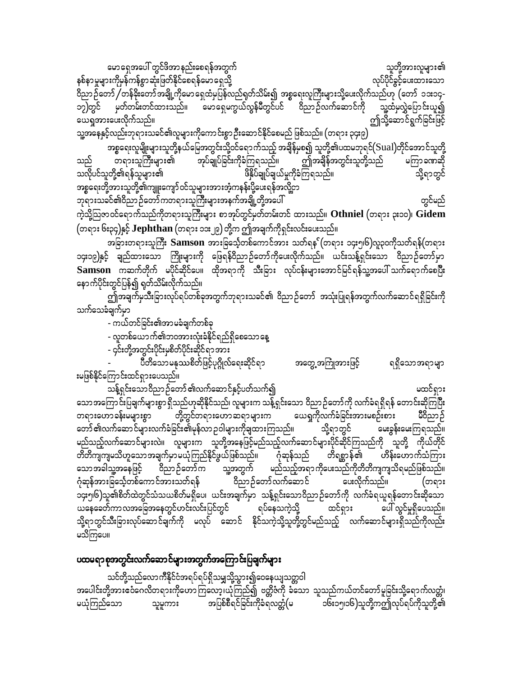arma&Stay:wGifzdtmenf;ap&eftwGuf olwdkYtm;vlrsm;\ နစ်နာမှုများကိုမုန်ကန်စွာဆုံးဖြတ်နိုင်စေရန်မောရှေသို့ ကြားသည် အထိ မေရှာက် အစည်းပြင်ခွင့်ပေးထားသော ဝိညာဉ်တော် /တန်ခိုးတော်အချို့ကိုမောရှေထံမှပြန်လည်ရုတ်သိမ်း၍ အစ္စရေးလူကြီးများသို့ပေးလိုက်သည်ဟု (တော် ၁၁း၁၄-<br>၁၇)တွင် မှတ်တမ်းတင်ထားသည်။ မောရှေမကွယ်လွန်မီတွင်ပင် ဝိညာဉ်လက်ဆောင်ကို သူ့ထံမှလွှဲပြောင်းယူ၍ ၁၇)တွင် မှတ်တမ်းတင်ထားသည်။ မောရှေမကွယ်လွန်မီတွင်ပင် ဝိညာဉ်လက်ဆောင်ကို သူ့ထံမှလွှဲပြောင်းယူ၍<br>ယေရှုအားပေးလိုက်သည်။ ယေရှုအားပေးလိုက်သည်။ သူ့အနေနှင့်လည်းဘုရားသခင်၏လူများကိုကောင်းစွာဦးဆောင်နိုင်စေမည် ဖြစ်သည်။  $($ တရား ၃၄း၉ $)$ 

အစ္စရေးလူမျိုးများသူတို့နယ်မြေအတွင်းသို့ဝင်ရောက်သည့် အချိန်မှစ၍ သူတို့၏ပထမဘုရင်(Sual)တိုင်အောင်သူတို့<br>- တရားသူကြီးများ၏ အုပ်ချုပ်ခြင်းကိုခံကြရသည်။ ဤအချိန်အတွင်းသူတို့သည် မကြာခဏဆို သည် တရားသူကြီးများ၏ အုပ်ချုပ်ခြင်းကိုခံကြရသည်။ ဤအချိန်အတွင်းသူတို့သည် မကြာခဏဆို<br>သလိုပင်သူတို့၏ရန်သူများ၏ ovdkyifolwdkY\&efolrsm;\ zdESdyfcsKyfcs,frIudkcHMu&onf/ odkY&mwGif အစ္စရေးတို့အားသူတို့၏ကျူးကျော်ဝင်သူများအားအံ့ကနန်းပို့ပေးရန်အလို့ငှာ ဘုရားသခင်၏ဝိညာဉ်တော်ကတရားသူကြီးများအနက်အချို့တို့အပေါ် ကားသားသော အောင်မည် တွင်မည် ကဲ့သို့သြဇာဝင်ရောက်သည်ကိုတရားသူကြီးများ စာအုပ်တွင်မှတ်တမ်းတင် ထားသည်။ **Othniel** (တရား ၃း၁၀)၊ Gidem

(တရား ၆း၃၄)နှင့် **Jephthan** (တရား ၁၁း၂၉) တို့က ဤအချက်ကိုရှင်းလင်းပေးသည်။

အခြားတရားသူကြီး  $\bf{Samson}$  အားခြင်္သေ့တစ်ကောင်အား သတ်ရန $\,$ (တရား ၁၄း၅၊၆)လူ၃၀ကိုသတ်ရန် $\,$ (တရား $\,$ ၁၄း၁၉)နှင့် ချည်ထားသော ကြိုးများကို ဖြေရန်ဝိညာဉ်တော်ကိုပေးလိုက်သည်။ ယင်းသန့်ရှင်းသော ဝိညာဉ်တော်မှာ **Samson** uqufwdkuf rydkifqdkifay/ xdkt&mudk oD;jcm; vkyfief;rsm;atmifjrif&efolYtay:oufa&mufapNyD; နောက်ပိုင်းတွင်ပြန်၍ ရှတ်သိမ်းလိုက်သည်။

ဤအချက်မှသီးခြားလုပ်ရပ်တစ်ခုအတွက်ဘုရားသခင်၏ ဝိညာဉ်တော် အသုံးပြုရန်အတွက်လက်ဆောင်ရရှိခြင်းကို သက်သေခံချက်မှာ

- ကယ်တင်ခြင်း၏အာမခံချက်တစ်ခု

- လူတစ်ယောက်၏ဘ၀အားလုံးခံနိုင်ရည်ရှိစေသောနေ့

- ၄င်းတို့အတွင်းပိုင်းမှစိတ်ပိုင်းဆိုင်ရာအား

- yDwdaomrEkópdwfjzihfyk\*¾dKvfa&;qdkif&m tawGUtBuHKtm;jzifh &&Sdaomt&mrsm းမဖြစ်နိုင်ကြောင်းထင်ရှားပေသည်။

သန့်ရှင်းသောဝိညာဉ်တော် ၏လက်ဆောင်နှင့်ပတ်သက်၍ ကာလာသာ အာဏာကား မထင်ရှား သောအကြောင်းပြချက်များစွာရှိသည်ဟုဆိုနိုင်သည်၊ လူများက သန့်ရှင်းသော ဝိညာဉ်တော်ကို လက်ခံရရှိရန် တောင်းဆိုကြပြီး<br>တရားဟောခန်းမများစွာ တို့တွင်တရားဟောဆရာများက ယေရှုကိုလက်ခံခြင်းအားမစဉ်းစား မိဝိညာဉ် တရားဟောခန်းမများစွာ တို့တွင်တရားဟောဆရာများက ယေရှုကိုလက်ခံခြင်းအားမစဉ်းစား မိဝိညာဉ်<br>တော်၏လက်ဆောင်များလက်ခံခြင်း၏မုန်လာဉဝါများကိုချထားကြသည်။ သို့ရာတွင် မေးခွန်းမေးကြရသည်။ တော် ၏လက်ဆောင်များလက်ခံခြင်း၏မုန်လာ ဉဝါများကိုချထားကြသည်။ သို့ရာတွင် မည်သည့်လက်ဆောင်များလဲ။ လူများက သူတို့အနေဖြင့်မည်သည့်လက်ဆောင်များပိုင်ဆိုင်ကြသည်ကို သူတို့ ကိုယ်တိုင်<br>တိတိကျကျမသိဟူသောအချက်မှာမယုံကြည်နိုင်ဖွယ်ဖြစ်သည်။ ဂုံဆုန်သည် တိရစ္ဆာန်၏ ဟိန်းဟောက်သံကြား တိတိကျကျမသိဟူသောအချက်မှာမယုံကြည်နိုင်ဖွယ်ဖြစ်သည်။ ဂုံဆုန်သည် တိရစ္ဆာန်၏ ဟိန်းဟောက်သံကြား<br>သောအခါသူ့အနေဖြင့် ဝိညာဉ်တော်က သူ့အတွက် မည်သည့်အရာကိုပေးသည်ကိုတိတိကျကျသိရမည်ဖြစ်သည်။ သောအခါသူ့အနေဖြင့် ဝိညာဉ်တော်က သူ့အတွက် မည်သည့်အရာကိုပေးသည်ကိုတိတိကျကျ၁<br>ဂုံဆုန်အားခြင်္သေ့တစ်ကောင်အားသတ်ရန် ဝိညာဉ်တော်လက်ဆောင် မေးလိုက်သည်။ ဂုံဆုန်အားခြင်္သေ့တစ်ကောင်အားသတ်ရန် ဝိညာဉ်တော်လက်ဆောင် ပေးလိုက်သည်။ (တရား ၁၄း၅၊၆)သူ၏စိတ်ထဲတွင်သံသယစိတ်မရှိပေ၊ ယင်းအချက်မှာ သန့်ရှင်းသောဝိညာဉ်တော်ကို လက်ခံရယူရန်တောင်းဆိုသော<br>ယနေခေတ်ကာလအခြေအနေတွင်ဟင်းလင်းပြင်တွင် ရပ်နေသကဲ့သို့ ထင်ရှား မပါ လွင်မှုရှိပေသည်။  $\omega$ နေခေတ်ကာလအခြေအနေတွင်ဟင်းလင်းပြင်တွင် ရပ်နေသကဲ့သို့ ထင်ရှား သို့ရာတွင်သီးခြားလုပ်ဆောင်ချက်ကို မလုပ် ဆောင် နိုင်သကဲ့သို့သူတို့တွင်မည်သည့် လက်ဆောင်များရှိသည်ကိုလည်း မသိကြပေ။

### ပထမရာစုအတွင်းလက်ဆောင်များအတွက်အကြောင်းပြချက်များ

သင်တို့သည်လောကီနိုင်ငံအရပ်ရပ်ရှိသမျှသို့သွား၍ဝေနေယျသတ္တဝါ အပေါင်းတို့အားဧဝံဂေလိတရားကိုဟောကြလော့၊ယုံကြည်၍ ဗတ္တိဇံကို ခံသော သူသည်ကယ်တင်တော်မူခြင်းသို့ရောက်လတ္တံ၊<br>မယုံကြည်သော သူမူကား အပြစ်စီရင်ခြင်းကိုခံရလတ္တံ(မ ၁၆း၁၅၊၁၆)သူတို့ကဤလုပ်ရပ်ကိုသူတို့၏ သူမူကား အပြစ်စီရင်ခြင်းကိုခံရလတ္တံ(မ ၁၆း၁၅၊၁၆)သူတို့ကဤလုပ်ရပ်ကိုသူတို့၏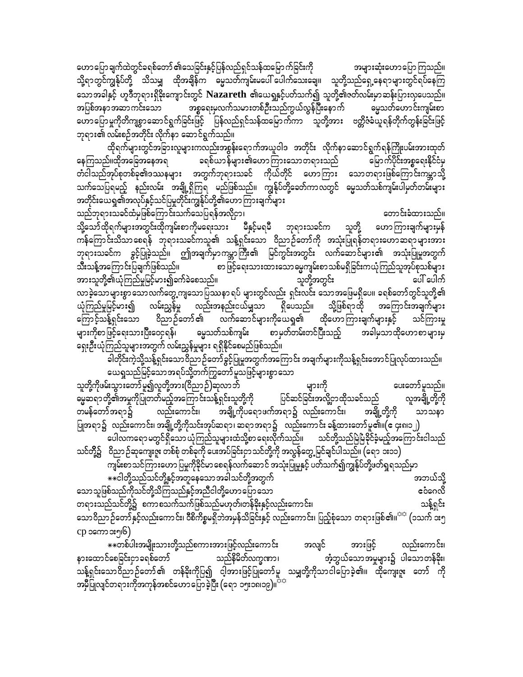ဟောပြောချက်ထဲတွင်ခရစ်တော် ၏သေခြင်းနှင့်ပြန်လည်ရှင်သန်ထမြောက်ခြင်းကို အများဆုံးဟောပြောကြသည်။ သို့ရာတွင်ကျွန်ုပ်တို့ သိသမျှ ထိုအချိန်က ဓမ္မသတ်ကျမ်းမပေါ် ပေါက်သေးချေ။ သူတို့သည်ရှေ့နေရာများတွင်ရပ်နေကြ သောအခါနှင့် ဟူဒီဘုရားရှိခိုးကျောင်းတွင် Nazareth ၏ယေရှနှင့်ပတ်သက်၍ သူတို့၏ဇတ်လမ်းမှာဆန်းပြားလှပေသည်။ အစ္စရေးမှလက်သမားတစ်ဦးသည်ကွယ်လွန်ပြီးနောက် အပြစ်အနာအဆာကင်းသော မွေသတ်ဟောင်းကျမ်းစာ ဟောပြောမှုကိုတိကျစွာဆောင်ရွက်ခြင်းဖြင့် ပြန်လည်ရှင်သန်ထမြောက်ကာ သူတို့အား ဗတ္တိဇံခံယူရန်တိုက်တွန်းခြင်းဖြင့် ဘုရား၏ လမ်းစဉ်အတိုင်း လိုက်နာ ဆောင်ရွက်သည်။

ထိုရက်များတွင်အခြားလူများကလည်းအစွန်းရောက်အယူဝါဒ အတိုင်း လိုက်နာဆောင်ရွက်ရန်ကြိုးပမ်းအားထုတ် ခရစ်ယာန်များ၏ဟောကြားသောတရားသည် မြောက်ပိုင်းအစ္စရေးနိုင်ငံမှ နေကြသည်။ထိုအခြေအနေအရ တံငါသည်အုပ်စုတစ်ခု၏ဒဿနများ အတွက်ဘုရားသခင် ကိုယ်တိုင် ဟောကြား သောတရားဖြစ်ကြောင်းကမ္ဘာသို့ သက်သေပြရမည့် နည်းလမ်း အချို့ရှိကြရ မည်ဖြစ်သည်။ ကျွန်ုပ်တို့ခေတ်ကာလတွင် ဓမ္မသတ်သစ်ကျမ်းပါမှတ်တမ်းများ အတိုင်းယေရှု၏အလုပ်နှင့်သင်ပြမှုတိုင်းကျွန်ုပ်တို့၏ဟောကြားချက်များ

သည်ဘုရားသခင်ထံမှဖြစ်ကြောင်းသက်သေပြရန်အလိုငှာ၊ တောင်းခံထားသည်။ သို့သော်ထိုရက်များအတွင်းထိုကျမ်းစာကိုမရေးသား မီနှင့်မရမီ ဘုရားသခင်က သူတို့ ဟောကြားချက်များမှန် .<br>ကန်ကြောင်းသိသာစေရန် ဘုရားသခင်ကသူ၏ သန့်ရှင်းသော ဝိညာဉ်တော်ကို အသုံးပြုရန်တရားဟောဆရာများအား ဘုရားသခင်က ခွင့်ပြုခဲ့သည်။ ဤအချက်မှာကမ္ဘာကြီး၏ မြင်ကွင်းအတွင်း လက်ဆောင်များ၏ အသုံးပြုမှုအတွက် သီးသန့်အကြောင်းပြချက်ဖြစ်သည်။ စာ ဖြင့်ရေးသားထားသောဓမ္မကျမ်းစာ သစ်မရှိခြင်းကယုံကြည်သူအုပ်စုသစ်များ အားသူတို့၏ယုံကြည်မှုမြင့်မား၍ခက်ခဲစေသည်။ သူတို့အတွင်း ပေါ် ပေါက် လာခဲ့သောများစွာသောလက်တွေ့ကျသောပြဿနာရပ် များတွင်လည်း ရှင်းလင်း သောအဖြေမရှိပေ။ ခရစ်တော်တွင်သူတို့၏ ယုံကြည်မှုမြင့်မား၍ လမ်းညွှန်မှု လည်းအနည်းငယ်မျှသာ ရှိပေသည်။ သို့ဖြစ်ရာထို အကြောင်းအချက်များ ကြောင့်သန့်ရှင်းသော ဝိညာဉ်တော်၏ လက်ဆောင်များကိုယေရှု၏ ထိုဟောကြားချက်များနှင့် သင်ကြားမှု စာမှတ်တမ်းတင်ပြီးသည့် မွေသတ်သစ်ကျမ်း များကိုစာဖြင့်ရေးသားပြီးဝေငုရန်၊ အခါမှသာထိုဟောစာများမှ ရှေးဦးယုံကြည်သူများအတွက် လမ်းညွှန်မှုများ ရရှိနိုင်စေမည်ဖြစ်သည်။

ခါတိုင်းကဲ့သို့သန့်ရှင်းသောဝိညာဉ်တော်ခွင့်ပြုမှုအတွက်အကြောင်း အချက်များကိုသန့်ရှင်းအောင်ပြုလုပ်ထားသည်။ ယေရှုသည်မြင့်သောအရပ်သို့တက်ကြွတော်မူသဖြင့်များစွာသော

များကို ပေးတော်မူသည်။ သူတို့ကိုဖမ်းသွားတော်မူ၍လူတို့အား(ဝိညာဉ်)ဆုလာဘ် ပြင်ဆင်ခြင်းအလို့ငှာထိုသခင်သည် ဓမ္မဆရာတို့၏အမှုကိုပြုတတ်မည့်အကြောင်းသန့်ရှင်းသူတို့ကို လူအချို့တို့ကို တမန်တော်အရာ၌ လည်းကောင်း၊ အချို့ကိုပရောဖက်အရာ၌ လည်းကောင်း၊ အချို့တို့ကို သာသနာ ပြုအရာ၌ လည်းကောင်း၊ အချို့တို့ကိုသင်းအုပ်ဆရာ၊ ဆရာအရာ၌ လည်းကောင်း ခန့်ထားတော်မူ၏။(ဧ ၄း၈၊၁၂) ပေါလကရော မတွင်ရှိသော ယုံကြည်သူများထံသို့စာ ရေးလိုက်သည်။ သင်တို့သည်မြဲမြံခိုင်ခံ့မည့်အကြော င်းငါသည်

သင်တို့၌ ဝိညာ ဉ်ဆုကျေးဇူး တစ်စုံ တစ်ခုကို ပေးအပ်ခြင်းငှာ သင်တို့ကို အလွန်တွေ့ မြင်ချင်ပါသည်။ (ရော အ၁၁) ကျမ်းစာ သင်ကြားဟော ပြမှုကိုခိုင်မာ စေရန်လက်ဆောင် အသုံးပြုမှုနှင့် ပတ်သက်၍ကျွန်ုပ်တို့ဖတ်ရှုရသည်မှာ

\*\*ငါတို့သည်သင်တို့နှင့်အတူနေသောအခါသင်တို့အတွက် အဘယ်သို့ သောသူဖြစ်သည်ကိုသင်တို့သိကြသည်နှင့်အညီငါတို့ဟောပြောသော ငံဝေလိ တရားသည်သင်တို့၌ စကာစသက်သက်ဖြစ်သည်မဟုတ်၊တန်ခိုးနှင့်လည်းကောင်း၊ သန့်ရှင်း သောဝိညာဉ်တော်နှင့်လည်းကောင်း၊ ဝီစိကိစ္စမရှိဘဲအမှန်သိခြင်းနှင့် လည်းကောင်း၊ ပြည့်စုံသော တရားဖြစ်၏။<sup>ာာ</sup> (၁သက် ၁း၅ cp ၁ကော ၁း၅၊၆)

\*\*တစ်ပါးအမျိုးသားတို့သည်စကားအားဖြင့်လည်းကောင်း အားဖြင့် လည်းကောင်း၊ အလျင် သည်နိမိတ်လက္ခဏာ၊ နားထောင်စေခြင်းငှာခရစ်တော် အံ့ဘွယ်သောအမှုများ၌ ပါသောတန်ခိုး၊ သန့်ရှင်းသောဝိညာဉ်တော်၏ တန်ခိုးကိုပြ၍ ငါ့အားဖြင့်ပြုတော်မူ သမျှတို့ကိုသာငါပြောခဲ့၏။ ထိုကျေးဇူး တော် ကို အမှီပြုလျင်တရားကိုအကုန်အစင်ဟောပြောခဲ့ပြီး (ရော ၁၅း၁၈၊၁၉)။ <sup>ဒီအ</sup>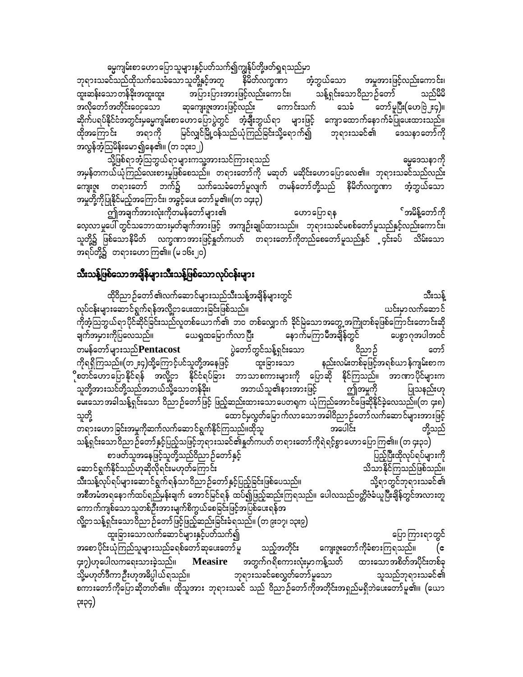ဓမ္မကျမ်းစာဟောပြောသူများနှင့်ပတ်သက်၍ကျွန်ုပ်တို့ဖတ်ရှုရသည်မှာ

ဘုရားသခင်သည်ထိုသက်သေခံသောသူတို့နှင့်အတူ နိမိတ်လက္ခဏာ အံ့ဘွယ်သော အမှုအားဖြင့်လည်းကောင်း၊ သန့်ရှင်းသောဝိညာဉ်တော် မြန်မာ ထူးဆန်းသောတန်ခိုးအထူးထူး အပြားပြားအားဖြင့်လည်းကောင်း၊ သည်မိမိ ဆုကျေးဇူးအားဖြင့်လည်း ကောင်းသက် အလိုတော်အတိုင်းဝေငုသော သေခံ တော်မူပြီး(ဟေဗြဲ၂း၄)။ ဆိုက်ပရပ်နိုင်ငံအတွင်းမှမွေကျမ်းစာဟောပြောပွဲတွင် အံ့ချီးဘွယ်ရာ များဖြင့် ကျောထောက်နောက်ခံပြုပေးထားသည်။ မြင်လျှင်မြို့ဝန်သည်ယုံကြည်ခြင်းသို့ရောက်၍ ဘုရားသခင်၏ ထိုအကြောင်း အရာကို ဒေသနာတော်ကို အလွန်အံ့ဩမိန်းမော၍နေ၏။ (တ ၁၃း၁၂)

သို့ဖြစ်ရာအံ့သြဘွယ်ရာများကသူ့အားသင်ကြားရသည် ဓမ္မဒေသနာကို အမှန်တကယ်ယုံကြည်လေးစားမှုဖြစ်စေသည်။ တရားတော်ကို မဆုတ် မဆိုင်းဟောပြောလေ၏။ ဘုရားသခင်သည်လည်း သက်သေခံတော်မူလျက် တမန်တော်တို့သည် နိမိတ်လက္ခဏာ ကျေးဇူး တရားတော် ဘက်၌ အံ့ဘွယ်သော အမှုတို့ကိုပြုနိုင်မည့်အကြောင်း၊ အခွင့်ပေး တော်မူ၏။(တ ၁၄း၃)

ဤအချက်အားလုံးကိုတမန်တော်များ၏ ်အမိန့်တော်ကို ဟောပြောရန လေ့လာမှုပေါ် တွင်သဘောထားမှတ်ချက်အားဖြင့် အကျဉ်းချုပ်ထားသည်။ ဘုရားသခင်မစစ်တော်မူသည်နှင့်လည်းကောင်း၊ သူတို့၌ ဖြစ်သောနိမိတ် လက္ခဏာအားဖြင့်နှတ်ကပတ် တရားတော်ကိုတည်စေတော်မူသည်နှင် ၄င်းခပ် သိမ်းသော အရပ်တို့၌ တရားဟောကြ၏။ (မ ၁၆း၂၀)

### သီးသန့်ဖြစ်သောအချိန်များသီးသန့်ဖြစ်သောလုပ်ငန်းများ

ထိုဝိညာဉ်တော် ၏လက်ဆောင်များသည်သီးသန့်အချိန်များတွင် သီးသန့် လုပ်ငန်းများဆောင်ရွက်ရန်အလို့ငှာပေးထားခြင်းဖြစ်သည်။ ယင်းမှာလက်ဆောင် ကိုအံ့သြဘွယ်ရာပိုင်ဆိုင်ခြင်းသည်လူတစ်ယောက်၏ ဘ၀ တစ်လျှောက် ခိုင်မြဲသောအတွေ့အကြုံတစ်ခုဖြစ်ကြောင်းတောင်းဆို ယေရှုထမြောက်လာပြီး နောက်မကြာမီအချိန်တွင် ပေစွာ ဂုအပါအဝင် ချက်အမှားကိုပြလေသည်။ ပွဲတော်တွင်သန့်ရှင်းသော တမန်တော်များသည်Pentacost တော် ဝိညာဉ် ကိုရရှိကြသည်။(တ၂း၄)ထို့ကြောင့်ပင်သူတို့အနေဖြင့် -<br>ထူးခြားသော နည်းလမ်းတစ်ခုဖြင့်အရစ်ယာန်ကျမ်းစာက ိုစတင်ဟောပြောနိုင်ရန် အလို့ငှာ နိုင်ငံရပ်ခြား ဘာသာစကားများကို ပြောဆို နိုင်ကြသည်။ အာဏာပိုင်များက သူတို့အားသင်တို့သည်အဘယ်သို့သောတန်ခိုး၊ အဘယ်သူ၏နားအားဖြင့် ဤအမှုကို ပြုသနည်းဟု သူတို့ ထောင်မှလွတ်မြောက်လာသောအခါဝိညာဉ်တော်လက်ဆောင်များအားဖြင့် တရားဟောခြင်းအမှုကိုဆက်လက်ဆောင်ရွက်နိုင်ကြသည်။ထိုသူ အပေါင်း တို့သည် သန့်ရှင်းသောဝိညာဉ်တော်နှင့်ပြည့်သဖြင့်ဘုရားသခင်၏နှုတ်ကပတ် တရားတော်ကိုရဲရင့်စွာဟောပြောကြ၏။ (တ ၄း၃၁) စာဖတ်သူအနေဖြင့်သူတို့သည်ဝိညာဉ်တော်နှင့် ပြည့်ပြီးထိုလုပ်ရပ်များကို ဆောင်ရွက်နိုင်သည်ဟုဆိုလိုရင်းမဟုတ်ကြောင်း သိသာနိုင်ကြသည်ဖြစ်သည်။ သီးသန့်လုပ်ရပ်များဆောင်ရွက်ရန်သာဝိညာဉ်တော်နှင့်ပြည့်ခြင်းဖြစ်ပေသည်။ သို့ရာတွင်ဘုရားသခင်၏ အစီအမံအရနောက်ထပ်ရည်မှန်းချက် အောင်မြင်ရန် ထပ်၍ဖြည့်ဆည်းကြရသည်။ ပေါလသည်ဗတ္တိဇံခံယူပြီးချိန်တွင်အလားတူ ကောက်ကျစ်သောသူတစ်ဦးအားမျက်စိကွယ်စေခြင်းဖြင့်အပြစ်ပေးရန်အ လို့ငှာသန့်ရှင်းသောဝိညာဉ်တော်ဖြင့်ဖြည့်ဆည်းခြင်းခံရသည်။ (တ၉း၁၇၊ ၁၃း၉) -<br>ထူးခြားသောလက်ဆောင်များနှင့်ပတ်သက်၍ ပြောကြားရာတွင် အစောပိုင်းယုံကြည်သူများသည်ခရစ်တော်ဆုပေးတော်မူ သည့်အတိုင်း ကျေးဇူးတော်ကိုခံစားကြရသည်။ ၄း၇)ဟုပေါလကရေးသားခဲ့သည်။ **Measire** အတွက်ဂရိစကားလုံးမှာကန့်သတ် ထားသောအစိတ်အပိုင်းတစ်ခု သို့မဟုတ်ဒီကာ ဦးဟုအဓိပ္ပါယ်ရသည်။ ဘုရားသခင်စေလွှတ်တော်မူသော သူသည်ဘုရားသခင်၏ စကားတော်ကိုပြောဆိုတတ်၏။ ထိုသူအား ဘုရားသခင် သည် ဝိညာဉ်တော်ကိုအတိုင်းအရှည်မရှိဘဲပေးတော်မူ၏။ (ယော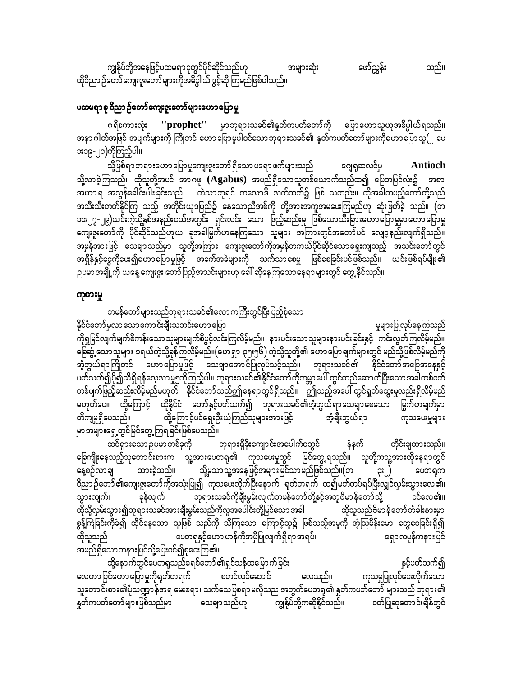ကျွန်ုပ်တို့အနေဖြင့်ပထမရာစုတွင်ပိုင်ဆိုင်သည်ဟု ဖော်ညွှန်း သည်။ အများဆုံး ထိုဝိညာ ဉ်တော် ကျေးဇူးတော် များကိုအဓိပ္ပါယ် ဖွင့်ဆို ကြမည်ဖြစ်ပါသည်။

#### ပထမရာစု ဝိညာ ဉ်တော်ကျေးဇူးတော်များဟောပြောမှု

ဂရိစကားလုံး ''prophet'' မှာဘုရားသခင်၏နှုတ်ကပတ်တော်ကို ပြောဟောသူဟုအဓိပ္ပါယ်ရသည်။ အနာဂါတ်အဖြစ် အပျက်များကို ကြိုတင် ဟောပြောမှုပါဝင်သောဘုရားသခင်၏ နှုတ်ကပတ်တော်များကိုဟောပြောသူ(၂ ပေ **း**၁၉-၂၁)ကိုကြည့်ပါ။

သို့ဖြစ်ရာတရားဟောပြောမှုကျေးဇူးတော်ရှိသောပရောဖက်များသည် ဂျေရုဆလင်မှ Antioch သို့လာခဲ့ကြသည်။ ထိုသူတို့အပင် အာဂဖု (Agabus) အမည်ရှိသောသူတစ်ယောက်သည်ထ၍ မြေတပြင်လုံး၌ အစာ ာ<br>ဟာ အလွန်ခေါင်းပါးခြင်းသည် ကဲသာဘုရင် ကလောဒိ လက်ထက်၌ ဖြစ် သတည်း။ ထိုအခါတယှဉ်တော်တို့သည် အသီးသီးတတ်နိုင်ကြ သည့် အတိုင်းယုဒပြည်၌ နေသောညီအစ်ကို တို့အားအကူအမပေးကြမည်ဟု ဆုံးဖြတ်ခဲ့ သည်။ (တ ၁၁း၂၇-၂၉)ယင်းကဲ့သို့နှစ်အနည်းငယ်အတွင်း ရှင်းလင်း သော ဖြည့်ဆည်းမှု ဖြစ်သောသီးခြားဟောပြောမှုမှာဟောပြောမှု ကျေးဇူးတော်ကို ပိုင်ဆိုင်သည်ဟုယ ခုအခါမြွက်ဟနေကြသော သူများ အကြားတွင်အတော်ပင် လျော့နည်းလျက်ရှိသည်။ အရှိန်နှင့်ငွေကိုပေး၍ဟောပြောမှုဖြင့် အခက်အခဲများကို သက်သာစေမှု ဖြစ်စေခြင်းပင်ဖြစ်သည်။ ယင်းဖြစ်ရပ်မျိုး၏ ဥပမာအချို့ကို ယနေ့ ကျေးဇူး တော်ပြည့်အသင်းများဟု ခေါ် ဆိုနေကြသောနေရာများတွင် တွေ့ နိုင်သည်။

#### ကုစားမှု

တမန်တော်များသည်ဘုရားသခင်၏လောကကြီးတွင်ပြီးပြည့်စုံသော

မှုများပြုလုပ်နေကြသည် နိုင်ငံတော်မှလာသောကောင်းချီးသတင်းဟော ပြော ကိုရှုမြင်လျက်မျက်စိကန်းသောသူများမျက်စိပွင့်လင်းကြလိမ့်မည်။ နားပင်းသောသူများနားပင်းခြင်းနှင့် ကင်းလွတ်ကြလိမ့်မည်။ ြေဆွံ့သောသူများ ဒရယ်ကဲ့သို့ခုန်ကြလိမ့်မည်။(ဟေရှာ ၃၅း၅၆) ကဲ့သို့သူတို့၏ ဟောပြောချက်များတွင် မည်သို့ဖြစ်လိမ့်မည်ကို အံ့ဘွယ်ရာကြိုတင် ဟောပြောမှုဖြင့် သေချာအောင်ပြုလုပ်သင့်သည်။ ဘုရားသခင်၏ နိုင်ငံတော်အခြေအနေနှင့် ပတ်သက်၍ပို၍သိရှိရန်လေ့လာမှု၅ကိုကြည့်ပါ။ ဘုရားသခင်၏နိုင်ငံတော်ကိုကမ္ဘာပေါ် တွင်တည်ဆောက်ပြီးသောအခါတစ်ဝက် တစ်ပျက်ဖြည့်ဆည်းလိမ့်မည်မဟုတ် နိုင်ငံတော်သည်ဤနေရာတွင်ရှိသည်။ ဤသည့်အပေါ် တွင်ရှုတ်ထွေးမှုလည်းရှိလိမ့်မည် မဟုတ်ပေ။ ထို့ကြောင့် ထိုနိုင်ငံ တော်နှင့်ပတ်သက်၍ ဘုရားသခင်၏အံ့ဘွယ်ရာသေချာစေသော မြွက်ဟချက်မှာ တိကျမှုရှိပေသည်။ ထို့ကြောင့်ပင်ရှေးဦးယုံကြည်သူများအားဖြင့် **ာံ့ချီး**ဘွယ်ရာ ကုသပေးမှုများ ...<br>ယင်္ကလေးမရှိ အင်မင်တွေ့ ကြရခြင်းဖြစ်ပေသည်။

ထင်ရှားသောဉပမာတစ်ခုကို ဘုရားရှိခိုးကျောင်းအပေါက်ဝတွင် နံနက် တိုင်းချထားသည်။ ခြေကျိုးနေသည့်သူတောင်းစားက သူ့အားပေတရု၏ ကုသပေးမှုတွင် မြင်တွေ့ရသည်။ သူတို့ကသူ့အားထိုနေရာတွင် ္<br>နေ့စဉ်လာချ ထားခဲ့သည်။ သို့မသာသူ့အနေဖြင့်အများမြင်သာမည်ဖြစ်သည်။(တ ၃း၂) ပေတရက ဝိညာဉ်တော် ၏ကျေးဇူးတော်ကိုအသုံးပြု၍ ကုသပေးလိုက်ပြီးနောက် ရုတ်တရက် ထ၍မတ်တပ်ရပ်ပြီးလျှင်လှမ်းသွားလေ၏၊ -<br>- ဘုရားသခင်ကိုချီးမွမ်းလျက်တမန်တော်တို့နှင့်အတူဗိမာ န်တော်သို့ ခုန်လျက် ဝင်လေ၏။ သွားလျက်၊ ထိုသို့လှမ်းသွား၍ဘုရားသခင်အားချီးမွမ်းသည်ကိုလူအပေါင်းတို့မြင်သောအခါ ထိုသူသည်ဗိမာန်တော်တံခါးနားမှာ စွန့်ကြဲခြင်းကိုခံ၍ ထိုင်နေသော သူဖြစ် သည်ကို သိကြသော ကြောင့်သူ၌ ဖြစ်သည့်အမှုကို အံ့သြမိန်းမော တွေဝေခြင်းရှိ၍ ပေတရုနှင့်ဟော ဟန်ကိုအမှီပြုလျက်ရှိရာ အရပ်၊ ရှောလမှန်ကနားပြင် ထိုသူသည် အမည်ရှိသောကနားပြင်သို့ပြေးဝင်၍စုဝေးကြ၏။

ထို့နောက်တွင်ပေတရသည်ခရစ်တော် ၏ရှင်သန်ထမြောက်ခြင်း နှင့်ပတ်သက်၍ ကုသမှုပြုလုပ်ပေးလိုက်သော လေဟာပြင်ဟောပြောမှုကိုရုတ်တရက် စတင်လုပ်ဆောင် လေသည်။ သူတောင်းစား၏ပုံသဏ္ဍာန်အရ မေးစရာ၊ သက်သေပြစရာမလိုသည အတွက်ပေတရု၏ နှုတ်ကပတ်တော် များသည် ဘုရား၏ ကျွန်ုပ်တို့ကဆိုနိုင်သည်။ နှုတ်ကပတ်တော် များဖြစ်သည်မှာ ဝတ်ပြုဆုတောင်းချိန်တွင် သေချာသည်ဟု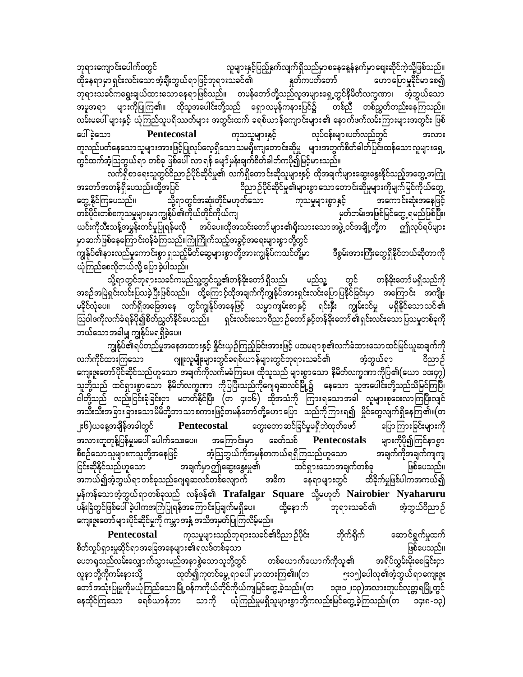ဘုရားကျောင်းပေါက်၀တွင် လူများနှင့်ပြည့်နှက်လျက်ရှိသည်မှာစနေနေ့နံနက်မှာဈေးဆိုင်ကဲ့သို့ဖြစ်သည်။ ထိုနေရာမှာရှင်းလင်းသောအံ့<mark>ချီး</mark>ဘွယ်ရာဖြင့်ဘုရားသခင်၏ နူတ်ကပတ်တော် ဟောပြောမူခိုင်မာစေ၍ ဘုရားသခင်ကရွေးချယ်ထားသောနေရာဖြစ်သည်။ တမန်တော်တို့သည်လူအများရှေ့တွင်နိမိတ်လက္ခဏာ၊ အဲ့ဘွယ်သော အမူအရာ များကိုပြုကြ၏။ ထိုသူအပေါင်းတို့သည် ရှောလမုန်ကနားပြင်၌ တစ်ညီ တစ်ညွှတ်တည်းနေကြသည်။ လမ်းမပေါ် များနှင့် ယုံကြည်သူပရိဿတ်များ အတွင်းထက် ခရစ်ယာန်ကျောင်းများ၏ နောက်ဖက်လမ်းကြားများအတွင်း ဖြစ် လုပ်ငန်းများပတ်လည်တွင် ပေါ်ခဲ့သော ကုသသူများနှင့် Pentecostal တူလည်ပတ်နေသောသူများအားဖြင့်ပြုလုပ်လေ့ရှိသောသမရိုးကျတောင်းဆိုမှု များအတွက်စိတ်ဓါတ်ပြင်းထန်သောလူများရှေ့ တွင်ထက်အံ့သြဘွယ်ရာ တစ်ခု ဖြစ်ပေါ် လာ ရန် မျော်မှန်းချက်စိတ်ခါတ်ကပို၍မြင့်မားသည်။

လက်ရှိစာရေးသူတွင်ဝိညာဉ်ပိုင်ဆိုင်မှု၏ လက်ရှိတောင်းဆိုသူများနှင့် ထိုအချက်များဆွေးနွေးနိုင်သည့်အတွေ့အကြုံ -<br>အတော်အတန်ရှိပေသည်။ထို့အပြင် ဝိညာဉ်ပိုင်ဆိုင်မှု၏များစွာသောတောင်းဆိုမှုများကိုမျက်မြင်ကိုယ်တွေ့ တွေ့ နိုင်ကြပေသည်။ သို့ရာတွင်အဆုံးတိုင်မဟုတ်သော အကောင်းဆုံးအနေဖြင့် ကုသမှုများစွာ နှင့် တစ်ပိုင်းတစ်စကုသမှုများမှာကျွန်ုပ်၏ကိုယ်တိုင်ကိုယ်ကျ မှတ်တမ်းအဖြစ်မြင်တွေ့ ရမည်ဖြစ်ပြီး၊ ယင်းကိုသီးသန့်အပွှန်းတင်မှုပြုရန်မလို အပ်ပေ။ထိုအသင်းတော်များ၏ရိုးသားသောအဖွဲ့ ဝင်အချို့တို့က ဤလုပ်ရပ်များ မှာဆက်ဖြစ်နေကြောင်းဝန်ခံကြသည်။ကြိုကြိုက်သည့်အခွင့်အရေးများစွာတို့တွင် -<br>ကျွန်ုပ်၏နားလည်မှုကောင်းစွာ ရှသည့်မိတ်ဆွေများစွာတို့အားကျွန်ုပ်ကသင်တို့မှာ ဒီစွမ်းအားကြီးတွေရှိနိုင်တယ်ဆိုတာကို ယုံကြည်စေလိုတယ်လို့ ပြောခဲ့ပါသည်။

သို့ရာတွင်ဘုရားသခင်ကမည်သူ့တွင်သူ့၏တန်ခိုးတော် ရှိသည်၊ မည်သူ့ တွင် တန်ခိုးတော်မရှိသည်ကို အစဉ်အမြဲရှင်းလင်းပြသခဲ့ပြီးဖြစ်သည်။ ထို့ကြောင့်ထိုအချက်ကိုကျွန်ုပ်အားရှင်းလင်းပြောပြနိုင်ခြင်းမှာ အကြောင်း အကျိုး မခိုင်လုံပေ။ လက်ရှိအခြေအနေ တွင်ကျွန်ုပ်အနေဖြင့် သမ္မာကျမ်းစာနှင့် ရင်းနှီး ကျွမ်းဝင်မှု မရှိနိုင်သောသင်၏ သြဝါဒကိုလက်ခံရန်ပို၍စိတ်ညွှတ်နိုင်ပေသည်။ ရှင်းလင်းသော ဝိညာ ဉ်တော် နှင့်တန်ခိုးတော် ၏ရှင်းလင်းသော ပြသမှုတစ်ခုကို ဘယ်သောအခါမျှ ကျွန်ုပ်မရရှိခဲ့ပေ။

ကျွန်ုပ်၏ရပ်တည်မှုအနေအထားနှင့် နိူင်းယှဉ်ကြည့်ခြင်းအားဖြင့် ပထမရာစု၏လက်ခံထားသောထင်မြင်ယူဆချက်ကို ဂျူးလူမျိုးများတွင်ခရစ်ယာန်များတွင်ဘုရားသခင်၏ လက်ကိုင်ထားကြသော အံ့ဘွယ်ရာ ဝိညာဉ် ကျေးဇူးတော်ပိုင်ဆိုင်သည်ဟူသော အချက်ကိုလက်မခံကြပေ။ ထိုသူသည် များစွာသော နိမိတ်လက္ခဏာကိုပြ၏(ယော ၁၁း၄၇) သူတို့သည် ထင်ရှားစွာသော နိမိတ်လက္ခဏာ ကိုပြပြီးသည်ကိုဂျေရဆလင်မြို့၌ နေသော သူအပေါင်းတို့သည်သိမြင်ကြပြီ၊ ငါတို့သည် လည်းငြင်းခုံခြင်းငှာ မတတ်နိုင်ပြီး (တ ၄း၁၆) ထိုအသံကို ကြားရသောအခါ လူများစုထေလာကြပြီးလျင် အသီးသီးအခြားခြားသောမိမိတို့ဘာသာစကားဖြင့်တမန်တော်တို့ဟောပြော သည်ကိုကြားရ၍ မှိုင်တွေလျက်ရှိနေကြ၏။(တ ၂း၆)ယနေ့အချိန်အခါတွင် Pentecostal တွေးတောဆင်ခြင်မှုမရှိဘဲထုတ်ဖော် ပြောကြားခြင်းများကို အလားတူတုန့်ပြန်မှုမပေါ် ပေါက်သေးပေ။ များကိုပို၍ကြင်နာစွာ အကြောင်းမှာ ခေတ်သစ် Pentecostals အံ့ဩဘွယ်ကိုအမှန်တကယ်ရရှိကြသည်ဟူသော စီစဉ်သောသူများကသူတို့အနေဖြင့် အချက်ကိုအချက်ကျကျ ငြင်းဆိုနိုင်သည်ဟူသော အချက်မှာဤဆွေးနွေးမှု၏ ထင်ရှားသောအချက်တစ်ခု ဖြစ်ပေသည်။ အကယ်၍အံ့ဘွယ်ရာတစ်ခုသည်ဂျေရုဆလင်တစ်လျောက် အဓိက နေရာများတွင် ထိခိုက်မှုဖြစ်ပါကအကယ်၍ မှန်ကန်သောအံ့ဘွယ်ရာတစ်ခုသည် လန်ဒန်၏ Trafalgar Square သို့မဟုတ် Nairobier Nyaharuru ပန်းခြံတွင်ဖြစ်ပေါ် ခဲ့ပါကအကြံပြုရန်အကြောင်းပြချက်မရှိပေ။ ထို့နောက် ဘုရားသခင်၏ အံ့ဘွယ်ဝိညာဉ် ကျေးဇူးတော်များပိုင်ဆိုင်မှုကို ကမ္ဘာအနှံ့ အသိအမှတ်ပြုကြလိမ့်မည်။

ကုသမှုများသည်ဘုရားသခင်၏ဝိညာဉ်ပိုင်း ဆောင်ရွက်မှုထက် Pentecostal တိုက်ရိုက် စိတ်လှုပ်ရှားမှုဆိုင်ရာအခြေအနေများ၏ရလဒ်တစ်ခုသာ ဖြစ်ပေသည်။ ပေတရုသည်လမ်းလျှောက်သွားမည်အနာစွဲသောသူတို့တွင် တစ်ယောက်ယောက်ကိုသူ၏ အရိပ်လွှမ်းမိုးစေခြင်းငှာ လူနာတို့ကိုကမ်းနားသို့ ထုတ်၍ကုတင်မွေ့ ရာပေါ် မှာထားကြ၏။(တ ၅း၁၅)ပေါလု၏အံ့ဘွယ်ရာကျေးဇူး တော်အသုံးပြုမှုကိုမယုံကြည်သောမြို့ဝန်ကကိုယ်တိုင်ကိုယ်ကျမြင်တွေ့ခဲ့သည်။(တ ၁၃း၁၂၊၁၃)အလားတူပင်လုတ္တရမြို့တွင် သာကို ယုံကြည်မှုမရှိသူများစွာတို့ကလည်းမြင်တွေ့ခဲ့ကြသည်။(တ နေထိုင်ကြသော ခရစ်ယာန်ဘာ ၁၄း၈-၁၃)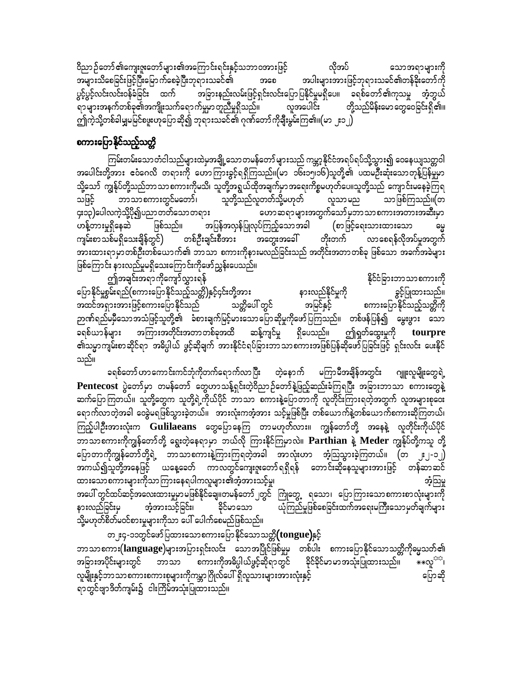ဝိညာဉ်တော်၏ကျေးဇူးတော်များ၏အကြောင်းရင်းနှင့်သဘာဝအားဖြင့် လိုအပ် သောအရာများကို အများသိစေခြင်းဖြင့်ပြီးမြောက်စေခဲ့ပြီးဘုရားသခင်၏ အပါးများအားဖြင့်ဘုရားသခင်၏တန်ခိုးတော်ကို ဘဝေ အခြားနည်းလမ်းဖြင့်ရှင်းလင်းပြောပြနိုင်မှုမရှိပေ။ ခရစ်တော်၏ကုသမှု အံ့ဘွယ် ပွင့်ပွင့်လင်းလင်းဝန်ခံခြင်း ထက် -<br>ရာများအနက်တစ်ခု၏အကျိုးသက်ရောက်မှုမှာတူညီမှုရှိသည်။ လူအပေါင်း တို့သည်မိန်းမော တွေဝေခြင်းရှိ၏။ ဤကဲ့သို့တစ်ခါမျှမမြင်စဖူးဟုပြောဆို၍ ဘုရားသခင်၏ ဂုဏ်တော်ကိုချီးမွမ်းကြ၏။(မာ ၂း၁၂)

### စကားပြောနိုင်သည့်သတ္တိ

ကြမ်းတမ်းသော တံငါသည်များထဲမှအချို့သော တမန်တော် များသည် ကမ္ဘာ့နိုင်ငံအရပ်ရပ်သို့သွား၍ ဝေနေယျသတ္တဝါ အပေါင်းတို့အား ဧဝံဂေလိ တရားကို ဟောကြားခွင့်ရရှိကြသည်။(မာ ၁၆း၁၅၁၆)သူတို့၏ ပထမဦးဆုံးသောတုန့်ပြန်မှုမှာ သို့သော် ကျွန်ုပ်တို့သည်ဘာသာစကားကိုမသိ၊ သူတို့အရွယ်ထိုအချက်မှာအရေးကိစ္စမဟုတ်ပေ။သူတို့သည် ကျောင်းမနေခဲ့ကြရ ဘာသာစကားတွင်မတော်၊ သူတို့သည်လူတတ်သို့မဟုတ် သဖြင့် လူသာမည သာဖြစ်ကြသည်။(တ ၄း၁၃)ပေါလကဲ့သို့ပို၍ပညာတတ်သောတရား ဟောဆရာများအတွက်သော်မူဘာသာစကားအတားအဆီးမှာ .<br>|အပြန်အလှန်ပြုလုပ်ကြည့်သောအခါ (စာဖြင့်ရေးသားထားသော ပာန့်တားမှုရှိနေဆဲ ဖြစ်သည်။ ကျမ်းစာသစ်မရှိသေးချိန်တွင်) တစ်ဦးချင်းစီအား လာစေရန်လိုအပ်မှုအတွက် အားထားရာမှာတစ်ဦးတစ်ယောက်၏ ဘာသာ စကားကိုနားမလည်ခြင်းသည် အတိုင်းအတာတစ်ခု ဖြစ်သော အခက်အခဲများ ဖြစ်ကြောင်း နားလည်မှုမရှိသေးကြောင်းကိုဖော်ညွှန်းပေသည်။

ဤအချင်းအရာကိုကျော်လွှားရန် နိုင်ငံခြားဘာသာစကားကို ပြောနိုင်မှုစွမ်းရည်(စကားပြောနိုင်သည့်သတ္တိ)နှင့်၄င်းတို့အား နားလည်နိုင်မှုကို ခွင့်ပြုထားသည်။ အထင်အရှားအားဖြင့်စကားပြောနိုင်သည် အမြင်နှင့် သတ္တိပေါ် တွင် စကားပြောနိုင်သည့်သတ္တိကို ဉာဏ်ရည်မမှီသောအသံဖြင့်သူတို့၏ ခံစားချက်မြင့်မားသောပြောဆိုမှုကိုဖော်ပြကြသည်။ တစ်ဖန်ပြန်၍ မွေးဖွား သော ခရစ်ယာန်များ အကြားအတိုင်းအတာတစ်ခုအထိ ဆန့်ကျင်မှု ရှိပေသည်။ ဤရှတ်ထွေးမှုကို tourpre ၏သမ္မာကျမ်းစာဆိုင်ရာ အဓိပ္ပါယ် ဖွင့်ဆိုချက် အားနိုင်ငံရပ်ခြားဘာသာစကားအဖြစ်ပြန်ဆိုဖော်ပြခြင်းဖြင့် ရှင်းလင်း ပေးနိုင် သည်။

ခရစ်တော် ဟာကောင်းကင်ဘုံကိုတက်ရောက်လာပြီး တဲ့နောက် မကြာမီအချိန်အတွင်း ဂျူးလူမျိုးတွေရဲ့ Pentecost ပွဲတော်မှာ တမန်တော် တွေဟာသန့်ရှင်းတဲ့ဝိညာဉ်တော်နဲ့ဖြည့်ဆည်းခံကြရပြီး အခြားဘာသာ စကားတွေနဲ့ ဆက်ပြောကြတယ်။ သူတို့တွေက သူတို့ရဲ့ကိုယ်ပိုင် ဘာသာ စကားနဲ့ပြောတာကို လူတိုင်းကြားရတဲ့အတွက် လူအများစုဝေး ရောက်လာတဲ့အခါ ဝေခွဲမရဖြစ်သွားခဲ့တယ်။ အားလုံးကအံ့အား သင့်မှုဖြစ်ပြီး တစ်ယောက်နဲ့တစ်ယောက်စကားဆိုကြတယ်၊ ကြည့်ပါဦးအားလုံးက Gulilaeans တွေပြောနေကြ တာမဟုတ်လား။ ကျွန်တော်တို့ အနေနဲ့ လူတိုင်းကိုယ်ပိုင် ဘာသာစကားကိုကျွန်တော်တို့ ရွေးတဲ့နေရာမှာ ဘယ်လို ကြားနိုင်ကြမှာလဲ။ Parthian နဲ့ Meder ကျွန်ုပ်တို့ကသူ တို့ ပြောတာကိုကျွန်တော်တို့ရဲ့ ဘာသာစကားနဲ့ကြားကြရတဲ့အခါ အာလုံးဟာ အံ့သြသွားခဲ့ကြတယ်။ (တ ၂း၂-၁၂) အကယ်၍သူတို့အနေဖြင့် ယနေ့ခေတ် ကာလတွင်ကျေးဇူးတော်ရရှိရန် တောင်းဆိုနေသူများအားဖြင့် တန်ဆာဆင် ထားသောစကားများကိုသာကြားနေရပါကလူများ၏အံ့အားသင့်မှု၊ အံ့သြမ္မ အပေါ် တွင်ထပ်ဆင့်အလေးထားမှုမာမဖြစ်နိုင်ချေ။တမန်တော် ၂တွင် ကြုံတွေ့ ရသော၊ ပြောကြားသောစကားစာလုံးများကို ယုံကြည်မှုဖြစ်စေခြင်းထက်အရေးမကြီးသောမှတ်ချက်များ နားလည်ခြင်းမှ အံ့အားသင့်ခြင်း၊ ခိုင်မာသော သို့မဟုတ်စိတ်မဝင်စားမှုများကိုသာ ပေါ် ပေါက်စေမည်ဖြစ်သည်။

တ၂း၄-၁၁တွင်ဖော်ပြထားသောစကားပြောနိုင်သောသတ္တိ $\pmb{(}$ tongue)နှင့် ဘာသာစကား $(\text{language})$ များအပြားရှင်းလင်း သောအပြိုင်ဖြစ်မှုမှ တစ်ပါး စကားပြောနိုင်သောသတ္တိကိုဓမ္မသတ်၏ **⋇⋇**လူ<sup>≎భ</sup>≀ အခြားအပိုင်းများတွင် ဘာသာ စကားကိုအဓိပ္ပါယ်ဖွင့်ဆိုရာတွင် ခိုင်ခိုင်မာမာအသုံးပြုထားသည်။ လူမျိုးနှင့်ဘာသာစကားစကားစုများကိုကမ္ဘာဂြိုလ်ပေါ်ရှိလူသားများအားလုံးနှင့် ပြောဆို ရာတွင်ဗျာဒိတ်ကျမ်း၌ ငါးကြိမ်အသုံးပြုထားသည်။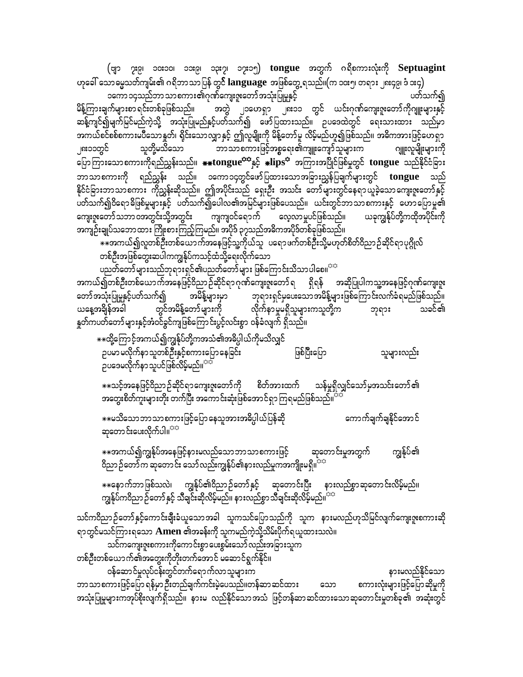(ဗျာ ၇း၉၊ ၁၀း၁၀၊ ၁၁း၉၊ ၁၃း၇၊ ၁၇း၁၅) tongue အတွက် ဂရိစကားလုံးကို Septuagint ဟုခေါ် သောမွေ့သတ်ကျမ်း၏ ဂရိဘာသာပြန် တွ**င် languag**e အဖြစ်တွေ့ ရသည်။(က ၁၀း၅၊ တရား ၂၈း၄၉၊ ဒံ ၁း၄) ၁ကော ၁၄သည်ဘာ သာစကား၏ဂုဏ်ကျေးဇူးတော် အသုံးပြုမှုနှင့် ပတ်သက်၍ မိန့်ကြားချက်များစာ ရင်းတစ်ခုဖြစ်သည်။ အတွဲ ၂၁ဟေရှာ ၂၈း၁၁ တွင် ယင်းဂုဏ်ကျေးဇူးတော်ကိုဂျူးများနှင့် ဆန့်ကျင်၍မျက်မြင်မည်ကဲ့သို့ အသုံးပြုမည်နှင့်ပတ်သက်၍ ဖော်ပြထားသည်။ ဉပဒေထဲတွင် ရေးသားထား သည်မှာ အကယ်စင်စစ်စကားမပ်ိဳသောနူတ်၊ ရိုင်းသောလျှာနှင့် ဤလူမျိုးကို မိန့်တော်မူ လိမ့်မည်ဟူ၍ဖြစ်သည်။ အဓိကအားဖြင့်ဟေရှာ သူတို့မသိသော ဘာသာစကားဖြင့်အစ္စရေး၏ကျူးကျော်သူများက ဂျူးလူမျိုးများကို ၂၈း၁၁တွင် ပြောကြားသောစကားကိုရည်ညွှန်းသည်။ <del>\*\*</del>tongue<sup>ဘာ</sup>နှင့် \*lips<sup>ဘဲ</sup> အကြားအပြိုင်ဖြစ်မှုတွင် tongue သည်နိုင်ငံခြား ဘာသာစကားကို ရည်ညွှန်း သည်။ ၁ကော၁၄တွင်ဖော်ပြထားသောအခြားညွှန်ပြချက်များတွင် **tongue** သည် နိုင်ငံခြားဘာသာစကား ကိုညွှန်းဆိုသည်။ ဤအပိုင်းသည် ရှေးဦး အသင်း တော်များတွင်နေရာယူခဲ့သောကျေးဇူးတော်နှင့် .<br>ပတ်သက်၍ဝိရောဓိဖြစ်မှုများနှင့် ပတ်သက်၍ပေါလ၏အမြင်များဖြစ်ပေသည်။ ယင်းတွင်ဘာသာစကားနှင့် ဟောပြောမှု၏ ကျေးဇူးတော်သဘာဝအတွင်းသို့အတွင်း ကျကျဝင်ရောက် လေ့လာမှုပင်ဖြစ်သည်။ ယခုကျွန်ုပ်တို့ကထိုအပိုင်းကို အကျဉ်းချုပ်သဘောထား ကြိုးစားကြည့်ကြမည်။ အပိုဒ် ၃၇သည်အဓိကအပိုဒ်တစ်ခုဖြစ်သည်။ …<br>\*\*အကယ်၍လူတစ်ဦးတစ်ယောက်အနေဖြင့်သူ့ကိုယ်သူ ပရောဖက်တစ်ဦးသို့မဟုတ်စိတ်ဝိညာဉ်ဆိုင်ရာပုဂ္ဂိုလ် တစ်ဦးအဖြစ်တွေးဆပါကကျွန်ုပ်ကသင့်ထံသို့ရေးလိုက်သော ပညတ်တော်များသည်ဘုရားရှင်၏ပညတ်တော်များ ဖြစ်ကြောင်းသိသာပါစေ။<sup>သေ</sup> အကယ်၍တစ်ဦးတစ်ယောက်အနေဖြင့်ဝိညာဉ်ဆိုင်ရာဂုဏ်ကျေးဇူးတော်ရ ရှိရန် အဆိုပြုပါကသူ့အနေဖြင့်ဂုဏ်ကျေးဇူး တော်အသုံးပြုမှုနှင့်ပတ်သက်၍ အမိန့်များမှာ ဘုရားရှင်မှပေးသောအမိန့်များဖြစ်ကြောင်းလက်ခံရမည်ဖြစ်သည်။ ယနေ့အချိန်အခါ တွင်အမိန့်တော်များကို လိုက်နာမှုမရှိသူများကသူတို့က သခင်၏ ဘုရား နှုတ်ကပတ်တော်များနှင့်အံဝင်ခွင်ကျဖြစ်ကြောင်းပွင့်လင်းစွာ ဝန်ခံလျက် ရှိသည်။ \*\*ထို့ကြောင့်အကယ်၍ကျွန်ုပ်တို့ကအသံ၏အဓိပ္ပါယ်ကိုမသိလျှင် ဉပမာမလိုက်နာသူတစ်ဦးနှင့်စကားပြောနေခြင်း ပြစ်ပြီးပြော သူများလည်း ဉပဒေမလိုက်နာသူပင်ဖြစ်လိမ့်မည်။<sup>အအိ</sup> ☀☀သင့်အနေဖြင့်ဝိညာဉ်ဆိုင်ရာကျေးဇူးတော်ကို စိတ်အားထက် သန်မှုရှိလျှင်သော်မှအသင်းတော်၏ ကောက်ချက်ချနိုင်အောင် ☀☀မသိသော ဘာ သာ စကားဖြင့်ပြော နေသူအားအဓိပ္ပါယ်ပြန်ဆို ဆုတောင်းပေးလိုက်ပါ။<sup>အဒ</sup> ⋇⋇အကယ်၍ကျွန်ုပ်အနေဖြင့်နားမလည်သောဘာသာစကားဖြင့် ဆုတောင်းမှုအတွက် ကျွန်ုပ်၏ ဝိညာဉ်တော်က ဆုတောင်း သော်လည်းကျွန်ုပ်၏နားလည်မှုကအကျိုးမရှိ။<sup>အအ</sup> ☀☀ခောက်ဘာဖြစ်သလဲ၊ ကျွန်ုပ်၏ဝိညာဉ်တော်နှင့် ဆုတောင်းပြီး နားလည်စွာဆုတောင်းလိမ့်မည်။<br>ကျွန်ုပ်ကဝိညာဉ်တော်နှင့် သီချင်းဆိုလိမ့်မည်။ နားလည်စွာသီချင်းဆိုလိမ့်မည်။<sup>ာာ</sup> သင်ကဝိညာဉ်တော်နှင့်ကောင်းချီးခံယူသောအခါ သူကသင်ပြောသည်ကို သူက နားမလည်ဟုသိမြင်လျက်ကျေးဇူးစကားဆို ရာတွင်မသင်ကြားရသော **Amen ၏အခန်း**ကို သူကမည်ကဲ့သို့သိမ်းပိုက်ရယူထားသလဲ။

သင်ကကျေးဇူးစကားကိုကောင်းစွာပေးစွမ်းသော် လည်းအခြားသူက တစ်ဦးတစ်ယောက်၏အတွေးကိုတိုးတက်အောင် မဆောင်ရွက်နိုင်။

ဝန်ဆောင်မှုလုပ်ငန်းတွင်တက်ရောက်လာသူများက နားမလည်နိုင်သော ဘာသာစကားဖြင့်ပြော ရန်မှာဦးတည်ချက်ကင်းမဲ့ပေသည်။တန်ဆာဆင်ထား သော စကားလုံးများဖြင့်ပြောဆိုမှုကို အသုံးပြုမူများကအုပ်စိုးလျက်ရှိသည်။ နားမ လည်နိုင်သောအသံ ဖြင့်တန်ဆာဆင်ထားသောဆုတောင်းမှုတစ်ခု၏ အဆုံးတွင်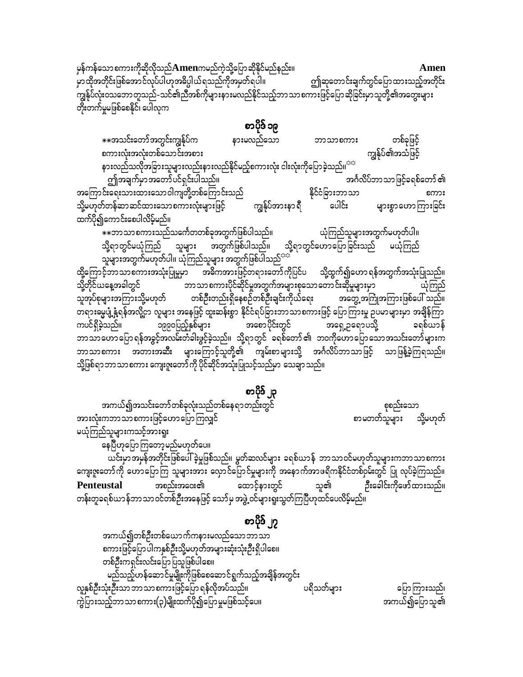မှန်ကန်သော စကားကိုဆိုလိုသည် ${\bf A}$ menကမည်ကဲ့သို့ပြောဆိုနိုင်မည်နည်း။ Amen .<br>မှာထိုအတိုင်းဖြစ်အောင်လုပ်ပါဟုအဓိပ္ပါယ်ရသည်ကိုအမှတ်ရပါ။ ဤဆုတောင်းချက်တွင်ပြောထားသည့်အတိုင်း ကျွန်ုပ်လုံးဝသဘောတူသည်-သင်၏ညီအစ်ကိုများနားမလည်နိုင်သည့်ဘာသာစကားဖြင့်ပြောဆိုခြင်းမှာသူတို့၏အတွေးများ .<br>တိုးတက်မှုမဖြစ်စေနိုင်၊ ပေါလုက

စာပိုဒ် ၁၉

\*\*အသင်းတော်အတွင်းကျွန်ုပ်က နားမလည်သော တစ်ခုဖြင့် ဘာသာစကား ကျွန်ုပ်၏အသံဖြင့် စကားလုံးအလုံးတစ်သောင်းအစား နားလည်သလိုအခြားသူများလည်းနားလည်နိုင်မည့်စကားလုံး ငါးလုံးကိုပြောခဲ့သည်။<sup>ာင်</sup> ဤအချက်မှာအတော်ပင်ရှင်းပါသည်။ အင်္ဂလိပ်ဘာသာဖြင့်ခရစ်တော် ၏ အကြောင်းရေးသားထားသောဝါကျတို့တစ်ကြောင်းသည် နိုင်ငံခြားဘာသာ သို့မဟုတ်တန်ဆာဆင်ထားသောစကားလုံးများဖြင့် ကျွန်ုပ်အားနာ ရီ ပေါင်း များစွာဟောကြားခြင်း ထက်ပို၍ကောင်းစေပါလိမ့်မည်။

ာ<br>☀☀ဘာသာစကားသည်သင်္ကေတတစ်ခုအတွက်ဖြစ်ပါသည်။ ယုံကြည်သူများအတွက်မဟုတ်ပါ။ သို့ရာတွင်မယုံကြည် သူများ အတွက်ဖြစ်ပါသည်။ သို့ရာတွင်ဟောပြောခြင်းသည် မယုံကြည်<br>သူများအတွက်မဟုတ်ပါ။ ယုံကြည်သူများ အတွက်ဖြစ်ပါသည်<sup>သာ</sup>

ထို့ကြောင့်ဘာသာစကားအသုံးပြုမှုမာ အဓိကအားဖြင့်တရားတော်ကိုပြင်ပ သို့ထွက်၍ဟောရန်အတွက်အသုံးပြုသည်။ ။။<br>- ဘာသာစကားပိုင်ဆိုင်မှုအတွက်အများစုသောတောင်းဆိုမှုများမှာ သို့တိုင်ယနေ့အခါတွင် သူအုပ်စုများအကြားသို့မဟုတ် တစ်ဦးတည်းရှိနေစဉ်တစ်ဦးချင်းကိုယ်ရေး အတွေ့ အကြုံအကြားဖြစ်ပေါ် သည်။ ာ<br>- တရားဓမ္မပျံ့နှံ့ရန်အလို့ငှာ လူများ အနေဖြင့် ထူးဆန်းစွာ နိုင်ငံရပ်ခြားဘာသာစကားဖြင့် ပြောကြားမှု ဉပမာများမှာ အချိန်ကြာ အရှေ့ဥရောပသို့ ကပင်ရှိခဲ့သည်။ ခရစ်ယာန် --- --- ---<br>ဘာသာဟောပြောရန်အခွင့်အလမ်းတံခါးဖွင့်ခဲ့သည်။ သို့ရာတွင် ခရစ်တော်၏ ဘ၀ကိုဟောပြောသောအသင်းတော်များက ဘာသာစကား အတားအဆီး များကြောင့်သူတို့၏ ကျမ်းစာများသို့ အင်္ဂလိပ်ဘာသာဖြင့် သာဖြန့်ခဲ့ကြရသည်။ သို့ဖြစ်ရာဘာသာစကား ကျေးဇူးတော်ကို ပိုင်ဆိုင်အသုံးပြုသင့်သည်မှာ သေချာသည်။

စာပိုဒ် ၂၃ အကယ်၍အသင်းတော်တစ်ခုလုံးသည်တစ်နေရာတည်းတွင် စုစည်းသော အားလုံးကဘာသာစကားဖြင့်ဟောပြောကြလျှင် စာမတတ်သူများ သို့မဟုတ် မယုံကြည်သူများကသင့်အားရူး ယင်းမှာအမှန်အတိုင်းဖြစ်ပေါ် ခဲ့မှုဖြစ်သည်။ မွတ်ဆလင်များ ခရစ်ယာန် ဘာသာဝင်မဟုတ်သူများကဘာသာစကား ကျေးဇူးတော်ကို ဟောပြောကြ သူများအား လှောင်ပြောင်မှုများကို အနောက်အာဖရိကနိုင်ငံတစ်ဝှမ်းတွင် ပြု လုပ်ခဲ့ကြသည်။ ဦးခေါင်းကိုဖော်ထားသည်။ အစည်းအဝေး၏ ထောင့်နားတွင် သူ၏ Penteustal တန်းတူခရစ်ယာန်ဘာသာဝင်တစ်ဦးအနေဖြင့် သော်မှ အဖွဲ့ ဝင်များရူးသွတ်ကြပြီဟုထင်ပေလိမ့်မည်။

စာပိုဒ် ၂၇

အကယ်၍တစ်ဦးတစ်ယောက်ကနားမလည်သောဘာသာ စကားဖြင့်ပြောပါကနှစ်ဦးသို့မဟုတ်အများဆုံးသုံးဦးရှိပါစေ။ တစ်ဦးကရှင်းလင်းပြော ပြသူဖြစ်ပါစေ။ မည်သည့်ဟန်ဆောင်မှုမျိုးကိုဖြစ်စေဆောင်ရွက်သည့်အချိန်အတွင်း လူနှစ်ဦးသုံးဦးသာ ဘာသာစကားဖြင့်ပြော ရန်လိုအပ်သည်။ ပရိသတ်များ ပြောကြားသည်၊ ျား<br>ကွဲပြားသည့်ဘာသာစကား(၃)မျိုးထက်ပို၍ပြောမှုမဖြစ်သင့်ပေ။ အကယ်၍ပြောသူ၏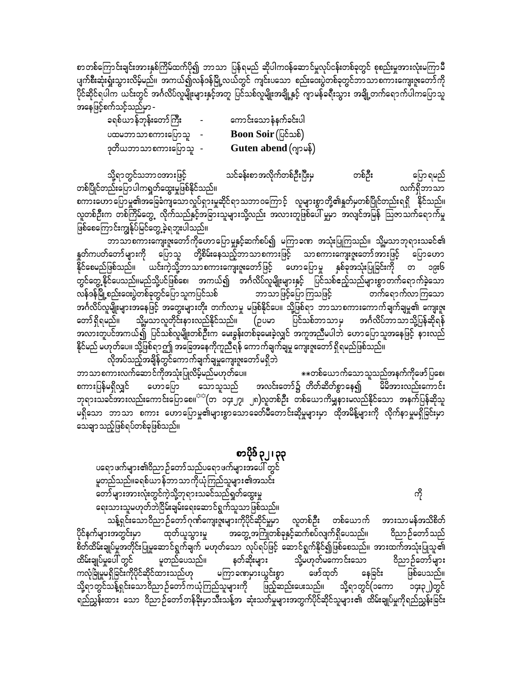စာတစ်ကြောင်းချင်းအားနှစ်ကြိမ်ထက်ပို၍ ဘာသာ ပြန်ရမည် ဆိုပါကဝန်ဆောင်မှုလုပ်ငန်းတစ်ခုတွင် စုစည်းမှုအားလုံးမကြာမီ ပျက်စီးဆုံးရှုံးသွားလိမ့်မည်။ အကယ်၍လန်ဒန်မြို့လယ်တွင် ကျင်းပသော စည်းဒေးပွဲတစ်ခုတွင်ဘာသာစကားကျေးဇူးတော်ကို ပိုင်ဆိုင်ရပါက ယင်းတွင် အင်္ဂလိပ်လူမျိုးများနှင့်အတူ ပြင်သစ်လူမျိုးအချို့နှင့် ဂျာမန်ခရီးသွား အချို့တက်ရောက်ပါကပြောသူ အနေဖြင့်စက်သင့်သည်မှာ -

| ခရစ်ယာန်ဘုန်းတော်ကြီး | $\sim$ | ကောင်းသောနံနက်ခင်းပါ        |
|-----------------------|--------|-----------------------------|
| ပထမဘာသာစကားပြောသူ     |        | <b>Boon Soir</b> (ပြင်သစ်)  |
| ဒုတိယဘာသာစကားပြောသူ - |        | <b>Guten abend</b> (ဂျာမန်) |

သို့ရာတွင်သဘာဝအားဖြင့် သင်ခန်းစာအလိုက်တစ်ဦးပြီးမှ တစ်ဦး ပြော ရမည် လက်ရှိဘာသာ တစ်ပြိုင်တည်းပြောပါကရှုတ်ထွေးမှုဖြစ်နိုင်သည်။ စကားဟောပြောမှု၏အခြေခံကျသောလှုပ်ရှားမှုဆိုင်ရာသဘာဝကြောင့် လူများစွာတို့၏နှုတ်မှတစ်ပြိုင်တည်းရရှိ နိုင်သည်။ လူတစ်ဦးက တစ်ကြိမ်တွေ့ လိုက်သည်နှင့်အခြားသူများသို့လည်း အလားတူဖြစ်ပေါ် မှုမှာ အလျင်အမြန် ဩဇာသက်ရောက်မှု ဖြစ်စေကြောင်းကျွန်ုပ်မြင်တွေ့ ခဲ့ရဘူးပါသည်။

ဘာသာစကားကျေးဇူးတော်ကိုဟောပြောမှုနှင့်ဆက်စပ်၍ မကြာခဏ အသုံးပြုကြသည်။ သို့မှသာဘုရားသခင်၏ နူတ်ကပတ်တော်များကို ပြောသူ တို့စိမ်းနေသည့်ဘာသာစကားဖြင့် သာစကားကျေးဇူးတော်အားဖြင့် ပြောဟော နိုင်စေမည်ဖြစ်သည်။ ယင်းကဲ့သို့ဘာသာစကားကျေးဇူးတော်ဖြင့် ဟောပြောမှု နှစ်ခုအသုံးပြုခြင်းကို တ ၁၉း၆ -<br>တွင်တွေ့ နိုင်ပေသည်။မည်သို့ပင်ဖြစ်စေ၊ အကယ်၍ အင်္ဂလိပ်လူမျိုးများနှင့် ပြင်သစ်ဧည့်သည်များစွာတက်ရောက်ခဲ့သော .<br>ပြစ်ရောက်လာကြသော လန်ဒန်မြို့စည်းဝေးပွဲတစ်ခုတွင်ပြော သူကပြင်သစ် ဘာသာဖြင့်ပြောကြသဖြင့် အင်္ဂလိပ်လူမျိုးများအနေဖြင့် အတွေးများတိုး တက်လာမှု မဖြစ်နိုင်ပေ။ သို့ဖြစ်ရာ ဘာသာစကားကောက်ချက်ချမှု၏ ကျေးဇူး သို့မှသာလူတိုင်းနားလည်နိုင်သည်။ (ဥပမာ ပြင်သစ်ဘာသာမှ အင်္ဂလိပ်ဘာသာသို့ပြန်ဆိုရန် တော် ရှိရမည်။ အလားတူပင်အကယ်၍ ပြင်သစ်လူမျိုးတစ်ဦးက မေးခွန်းတစ်ခုမေးခဲ့လျှင် အကူအညီမပါဘဲ ဟောပြောသူအနေဖြင့် နားလည် နိုင်မည် မဟုတ်ပေ။ သို့ဖြစ်ရာဤ အခြေအနေကိုကူညီရန် ကောက်ချက်ချမှု ကျေးဇူးတော် ရှိရမည်ဖြစ်သည်။

လိုအပ်သည့်အချိန်တွင်ကောက်ချက်ချမှုကျေးဇူးတော်မရှိဘဲ ဘာသာစကားလက်ဆောင်ကိုအသုံးပြုလိမ့်မည်မဟုတ်ပေ။ \*\*တစ်ယောက်သောသူသည်အနက်ကိုဖော်ပြစေ၊ အလင်းတော်၌ တိတ်ဆိတ်စွာနေ၍ <sup>"</sup> မိမိအားလည်းကောင်း စကားပြန်မရှိလျှင် ဟောပြော သောသူသည် ဘုရားသခင်အားလည်းကောင်းပြော စေ။<sup>ာင</sup>(တ ၁၄း၂၇၊ ၂၈)လူတစ်ဦး တစ်ယောကိမ္ဘုနားမလည်နိုင်သော အနက်ပြန်ဆိုသူ .<br>မရှိသော ဘာသာ စကား ဟောပြောမှု၏များစွာသောခေတ်မီတောင်းဆိုမှုများမှာ ထိုအမိန့်များကို လိုက်နာမှုမရှိခြင်းမှာ သေချာ သည့်ဖြစ်ရပ်တစ်ခုဖြစ်သည်။

စာပိုဒ် ၃၂၊ ၃၃

ပရောဖက်များ၏ဝိညာဉ်တော်သည်ပရောဖက်များအပေါ် တွင် မူတည်သည်။ခရစ်ယာန်ဘာသာကိုယုံကြည်သူများ၏အသင်း တော်များအားလုံးတွင်ကဲ့သို့ဘုရားသခင်သည်ရှုတ်ထွေးမှု ရေးသားသူမဟုတ်ဘဲငြိမ်းချမ်းရေးဆောင်ရွက်သူသာဖြစ်သည်။

ကို

သန့်ရှင်းသောဝိညာဉ်တော်ဂုဏ်ကျေးဇူးများကိုပိုင်ဆိုင်မှုမှာ လူတစ်ဦး တစ်ယောက် အားသာမန်အသိစိတ် ပိုင်နက်များအတွင်းမှာ အတွေ့အကြုံတစ်ခုနှင့်ဆက်စပ်လျက်ရှိပေသည်။ ဝိညာဉ်တော်သည် ထုတ်ယူသွားမှု စိတ်ထိမ်းချုပ်မှုအတိုင်းပြုမူဆောင်ရွက်ချက် မဟုတ်သော လုပ်ရပ်ဖြင့် ဆောင်ရွက်နိုင်၍ဖြစ်စေသည်။ အားထက်အသုံးပြုသူ၏ ထိမ်းချုပ်မှုပေါ် တွင် မူတည်ပေသည်။ သို့မဟုတ်မကောင်းသော ဝိညာဉ်တော်များ နတ်ဆိုးများ .<br>ကလုံခြုံမှုမရှိခြင်းကိုပိုင်ဆိုင်ထားသည်ဟု မကြာခဏမှားယွင်းစွာ ဖြစ်ပေသည်။ ဖော်ထုတ် နေခြင်း သို့ရာတွင်သန့်ရှင်းသောဝိညာဉ်တော်ကယုံကြည်သူများကို ဖြည့်ဆည်းပေးသည်။ သို့ရာတွင်(၁ကော ၁၄း၃၂)တွင် ရည်ညွှန်းထား သော ဝိညာဉ်တော်တန်ခိုးမှာသီးသန့်အ ဆုံးသတ်မှုများအတွက်ပိုင်ဆိုင်သူများ၏ ထိမ်းချုပ်မှုကိုရည်ညွှန်းခြင်း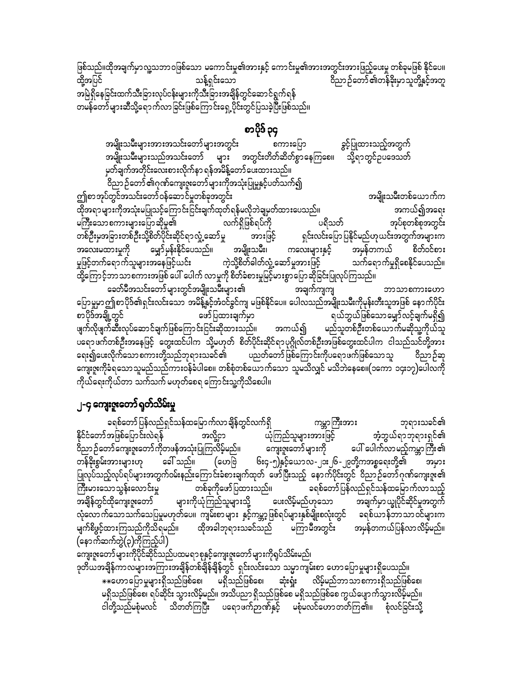ဖြစ်သည်။ထိုအချက်မှာလူ့သဘာဝဖြစ်သော မကောင်းမှု၏အားနှင့် ကောင်းမှု၏အားအတွင်းအားဖြည့်ပေးမှု တစ်ခုမဖြစ် နိုင်ပေ။ ထို့အပြင် သန့်ရှင်းသော အမြဲရှိနေခြင်းထက်သီးခြားလုပ်ငန်းများကိုသီးခြားအချိန်တွင်ဆောင်ရွက်ရန် တမန်တော်များဆီသို့ရောက်လာခြင်းဖြစ်ကြောင်းရှေ့ပိုင်းတွင်ပြသခဲ့ပြီးဖြစ်သည်။

### စာပိုဒ် ၃၄

အမျိုးသမီးများအားအသင်းတော်များအတွင်း ခွင့်ပြုထားသည့်အတွက် စကားပြော အမျိုးသမီးများသည်အသင်းတော် များ အတွင်းတိတ်ဆိတ်စွာနေကြစေ။ သို့ရာတွင်ဥပဒေသတ် မှတ်ချက်အတိုင်းလေးစားလိုက်နာ ရန်အမိန့်တော် ပေးထားသည်။ ဝိညာဉ်တော်၏ဂုဏ်ကျေးဇူးတော်များကိုအသုံးပြုမှုနှင့်ပတ်သက်၍

ဤစာအုပ်တွင်အသင်းတော်ဝန်ဆောင်မှုတစ်ခုအတွင်း အမျိုးသမီးတစ်ယောက်က ထိုအရာများကိုအသုံးမပြုသင့်ကြောင်းငြင်းချက်ထုတ်ရန်မလိုဘဲချမှတ်ထားပေသည်။ အကယ်၍အရေး မကြီးသောစကားများပြောဆိုမှု၏ လက်ရှိဖြစ်ရပ်ကို ပရိသတ် အုပ်စုတစ်စုအတွင်း တစ်ဦးမှအခြားတစ်ဦးသို့စိတ်ပိုင်းဆိုင်ရာလှုံ့ဆော်မှု ရှင်းလင်းပြောပြနိုင်မည်ဟုယင်းအတွက်အများက အားဖြင့် ကလေးများနှင့် အမှန်တကယ် စိတ်ဝင်စား သက်ရောက်မှုရှိစေနိုင်ပေသည်။ မှုဖြင့်တက်ရောက်သူများအနေဖြင့်ယင်း ကဲ့သို့စိတ်ဓါတ်လှုံ့ဆော်မူအားဖြင့် ္များ<br>ထို့ကြောင့်ဘာသာစကားအဖြစ် ပေါ် ပေါက် လာမှုကို စိတ်ခံစားမှုမြင့်မားစွာပြောဆိုခြင်းပြုလုပ်ကြသည်။

ခေတ်မီအသင်းတော် များတွင်အမျိုးသမီးများ၏ အချက်ကျကျ ဘာသာစကားဟော ပြောမှုမာဤစာပိုဒ်၏ရှင်းလင်းသော အမိန့်နှင့်အံဝင်ခွင်ကျ မဖြစ်နိုင်ပေ။ ပေါလသည်အမျိုးသမီးကိုမုန်းတီးသူအဖြစ် နောက်ပိုင်း ရယ်ဘွယ်ဖြစ်သော မျှော်လင့်ချက်မရှိ၍ စာပိုဒ်အချို့တွင် ဖော်ပြထားချက်မှာ ဖျက်လိုဖျက်ဆီးလုပ်ဆောင်ချက်ဖြစ်ကြောင်းငြင်းဆိုထားသည်၊၊ အကယ်၍ မည်သူတစ်ဦးတစ်ယောက်မဆိုသူ့ကိုယ်သူ ပရောဖက်တစ်ဦးအနေဖြင့် တွေးထင်ပါက သို့မဟုတ် စိတ်ပိုင်းဆိုင်ရာပုဂ္ဂိုလ်တစ်ဦးအဖြစ်တွေးထင်ပါက ငါသည်သင်တို့အား ရေး၍ပေးလိုက်သော စကားတို့သည်ဘုရားသခင်၏ ပညတ်တော်ဖြစ်ကြောင်းကိုပရောဖက်ဖြစ်သော သူ ဝိညာဉ်ဆု ကျေးဇူးကိုခံရသောသူမည်သည်ကားဝန်ခံပါစေ။ တစ်စုံတစ်ယောက်သော သူမသိလျှင် မသိဘဲနေစေ။(၁ကော ၁၄း၁၇)ပေါလကို ကိုယ်ရေးကိုယ်တာ သက်သက် မဟုတ်စေရ ကြောင်းသူ့ကိုသိစေပါ။

### ၂-၄ ကျေးဇူးတော် ရုတ်သိမ်းမှု

ကမ္ဘာကြီးအား ခရစ်တော်ပြန်လည်ရှင်သန်ထမြောက်လာချိန်တွင်လက်ရှိ ဘုရားသခင်၏ အံ့ဘွယ်ရာဘုရားရှင်၏ နိုင်ငံတော်အဖြစ်ပြောင်းလဲရန် ယုံကြည်သူများအားဖြင့် အလို့ငှာ .<br>ဝိညာဉ်တော်ကျေးဇူးတော်ကိုတဖန်အသုံးပြုကြလိမ့်မည်။ ကျေးဇူးတော်များကို ပေါ် ပေါက်လာမည့်ကမ္ဘာကြီး၏ တန်ိနိုးစွမ်းအားများဟု ခေါ် သည်။ (ဟေဗြဲ ၆း၄-၅)နှင့်ယောလ-၂၁း၂၆-၂၉တို့ကအစ္စရေးတို့၏ အမှား ပြုလုပ်သည့်လုပ်ရပ်များအတွက်ဝမ်းနည်းကြောင်းခံစားချက်ထုတ် ဖော်ပြီးသည့် နောက်ပိုင်းတွင် ဝိညာဉ်တော်ဂုဏ်ကျေးဇူး၏ ခရစ်တော် ပြန်လည်ရှင်သန်ထမြောက်လာသည့် တစ်ခုကိုဖော်ပြထားသည်။ ကြီးမားသောသွန်းလောင်းမှု .<br>အချိန်တွင်ထိုကျေးဇူးတော် များကိုယုံကြည်သူများသို့ ဖေးလိမ့်မည်ဟုသော အချက်မှာယျွပိုင်ဆိုင်မှုအတွက် လုံလောက်သောသက်သေပြမှုမဟုတ်ပေ။ ကျမ်းစာများ နှင့်ကမ္ဘာ့ဖြစ်ရပ်များနှစ်မျိုးစလုံးတွင် ရစ်ယာန်ဘာသာဝင်များက မျက်စိဖွင့်ထားကြသည်ကိုသိရမည်။ ထိုအခါဘုရားသခင်သည် မကြာမီအတွင်း အမှန်တကယ်ပြန်လာလိမ့်မည်။  $\overline{\left(\textsf{sp} \textsf{c} \textsf{h} \textsf{z} \textsf{c} \textsf{b} \textsf{c} \textsf{b}}(\textsf{c}) \textsf{c} \textsf{c} \textsf{b} \textsf{c} \textsf{b}} \textsf{b} \textsf{b}}$ 

ကျေးဇူးတော်များကိုပိုင်ဆိုင်သည်ပထမရာစုနှင့်ကျေးဇူးတော်များကိုရုပ်သိမ်းမည်၊ ဒုတိယအချိန်ကာလများအကြားအချိန်တစ်ချိန်ချိန်တွင် ရှင်းလင်းသော သမ္မာကျမ်းစာ ဟောပြောမှုများရှိပေသည်။ ⋇⋇૯ဟာဪမှုများရှိသည်ဖြစ်စေ၊ မရှိသည်ဖြစ်စေ၊ ဆုံးရှုံး လိမ့်မည်ဘာသာစကားရှိသည်ဖြစ်စေ၊ မရှိသည်ဖြစ်စေ၊ ရပ်ဆိုင်း သွားလိမ့်မည်။ အသိပညာ ရှိသည်ဖြစ်စေ မရှိသည်ဖြစ်စေ ကွယ်ပျောက်သွားလိမ့်မည်။ ငါတို့သည်မစုံမလင် သိတတ်ကြပြီး ပရောဖက်ဉာဏ်နှင့် မစုံမလင်ဟောတတ်ကြ၏။ စုံလင်ခြင်းသို့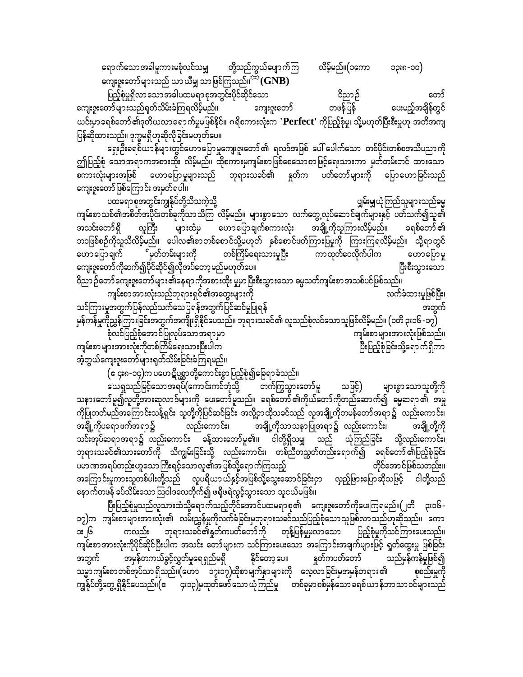ရောက်သောအခါမူကားမစုံလင်သမျှ လိမ့်မည်။(၁ကော တို့သည်ကွယ်ပျောက်ကြ ၁၃း၈-၁၀) ကျေးဇူးတော်များသည် ယာယီမျှ သာဖြစ်ကြသည်။ $^{\text{tra}}(\mathbf{GNB})$ 

ပြည့်စုံမှုရှိလာသောအခါပထမရာစုအတွင်းပိုင်ဆိုင်သော ဝိညာဉ် တော် တဖန်ပြန် ကျေးဇူးတော်များသည်ရှတ်သိမ်းခံကြရလိမ့်မည်။ ပေးမည့်အချိန်တွင် ကျေးဇူးတော် ယင်းမှာခရစ်တော် ၏ဒုတိယလာရောက်မှုမဖြစ်နိုင်။ ဂရိစကားလုံးက **'Perfect' ကိုပြည့်စုံ**မှု၊ သို့မဟုတ်ပြီးစီးမှုဟု အတိအကျ ပြန်ဆိုထားသည်။ ဒုက္ခမရှိဟုဆိုလိုခြင်းမဟုတ်ပေ။

ရှေးဦးခရစ်ယာန်များတွင်ဟောပြောမှုကျေးဇူးတော်၏ ရလဒ်အဖြစ် ပေါ် ပေါက်သော တစ်ပိုင်းတစ်စအသိပညာကို ဤပြည့်စုံ သောအရာကအစားထိုး လိမ့်မည်။ ထိုစကားမှကျမ်းစာဖြစ်စေသောစာဖြင့်ရေးသားကာ မှတ်တမ်းတင် ထားသော စကားလုံးများအဖြစ် ဟောပြောမှုများသည် ဘုရားသခင်၏ နှတ်က ပတ်တော်များကို ပြောဟောခြင်းသည် ကျေးဇူးတော်ဖြစ်ကြောင်း အမှတ်ရပါ။

ပထမရာစုအတွင်းကျွန်ုပ်တို့သိသကဲ့သို့ ပျှမ်းမျှယုံကြည်သူများသည်ဓမ္မ ကျမ်းစာသစ်၏အစိတ်အပိုင်းတစ်ခုကိုသာသိကြ<sup>ဲ</sup>လိမ့်မည်။ များစွာသော လက်တွေ့လုပ်ဆောင်ချက်များနှင့် ပတ်သက်၍သူ၏ လူကြီး များထံမှ ဟောပြောချက်စကားလုံး အချို့ကိုသူကြားလိမ့်မည်။ အသင်းတော် ရှိ ခရစ်တော် ၏ ဘဝဖြစ်စဉ်ကိုသူသိလိမ့်မည်။ ပေါလ၏စာတစ်စောင်သို့မဟုတ် နှစ်စောင်ဖတ်ကြားပြမှုကို ကြားကြရလိမ့်မည်။ သို့ရာတွင် ဟောပြောချက် ်မှတ်တမ်းများကို တစ်ကြိမ်ရေးသားမှုပြီး ကာထုတ်ဝေလိုက်ပါက ဟောပြောမှု ကျေးဇူးတော်ကိုဆက်၍ပိုင်ဆိုင်၍လိုအပ်တော့မည်မဟုတ်ပေ။ ပြီးစီးသွားသော ကျမ်းစာအားလုံးသည်ဘုရားရှင်၏အတွေးများကို လက်ခံထားမှုဖြစ်ပြီး၊ သင်ကြားမှုအတွက်ပြန်လည်သက်သေပြရန်အတွက်ပြင်ဆင်မှုပြုရန် အတွက်

မှန်ကန်မှုကိုညွှန်ကြားခြင်းအတွက်အကျိုးရှိနိုင်ပေသည်။ ဘုရားသခင်၏ လူသည်စုံလင်သောသူဖြစ်လိမ့်မည်။ (၁တိ ၃း၁၆ -၁၇) စုံလင်ပြည့်စုံအောင်ပြုလုပ်သောအရာမှာ ကျမ်းစာများအားလုံးဖြစ်သည်။ ကျမ်းစာများအားလုံးကိုတစ်ကြိမ်ရေးသားပြီးပါက ပြီးပြည့်စုံခြင်းသို့ရော က်ရှိကာ

အံ့ဘွယ်ကျေးဇူးတော်များရတ်သိမ်းခြင်းခံကြရမည်။

(ဧ ၄း၈-၁၄)က ပဟေဋိပုစ္ဆာတို့ကောင်းစွာပြည့်စုံ၍ခြေရာ ခံသည်။

ုင္း<br>- တက်ကြွသွားတော် မူ ယေရှုသည်မြင့်သောအရပ်(ကောင်းကင်ဘုံသို့ သဖြင့်) များစွာသောသူတို့ကို သနားတော်မူ၍လူတို့အားဆုလာဒ်များကို ပေးတော်မူသည်။ ခရစ်တော်၏ကိုယ်တော်ကိုတည်ဆောက်၍ မွေဆရာ၏ အမှု .<br>ကိုပြုတတ်မည်အကြောင်းသန့်ရှင်း သူတို့ကိုပြင်ဆင်ခြင်း အလို့ဌာထိုသခင်သည် လူအချို့ကိုတမန်တော်အရာ၌ လည်းကောင်း၊ လည်းကောင်း၊ အချို့ကိုသာသနာပြုအရာ၌ လည်းကောင်း၊ အချို့ကိုပရော ဖက်အရာ၌ အချို့တို့ကို သင်းအုပ်ဆရာအရာ၌ လည်းကောင်း ခန့်ထားတော်မူ၏။ ငါတို့ရှိသမျှ သည် ယုံကြည်ခြင်း သို့လည်းကောင်း၊ ဘုရားသခင်၏သားတော်ကို သိကျွမ်းခြင်းသို့ လည်းကောင်း၊ တစ်ညီတညွှတ်တည်းရောက်၍ ခရစ်တော်၏ပြည့်စုံခြင်း ပမာဏအရပ်တည်းဟူသောကြီးရင့်သောလူ၏အပြစ်သို့ရောက်ကြသည့် တိုင်အောင်ဖြစ်သတည်း။ လှည့်ဖြားပြောဆိုသဖြင့် ငါတို့သည် အကြောင်းမူကားသူတစ်ပါးတို့သည် လူပရိယာယ်နှင့်အပြစ်သို့သွေးဆောင်ခြင်းငှာ နောက်တဖန် ခပ်သိမ်းသောဩဝါဒလေတိုက်၍ ဖရိဖရဲလွင့်သွားသော သူငယ်မဖြစ်။

.<br>ပြီးပြည့်စုံမှုသည်လူသားထံသို့ရောက်သည့်တိုင်အောင်ပထမရာစု၏ ကျေးဇူးတော်ကိုပေးကြရမည်။(၂တိ ၃း၁၆ -၁၇)က ကျမ်းစာများအားလုံး၏ လမ်းညွှန်မှုကိုလက်ခံခြင်းမှဘုရားသခင်သည်ပြည့်စုံသောသူဖြစ်လာသည်ဟုဆိုသည်။ ကော တုန့်ပြန်မှုမလာသော ပြည့်စုံမှုကိုသင်ကြားပေးသည်။ ကလည်း ဘုရားသခင်၏နူတ်ကပတ်တော်ကို ား၂၆ ကျမ်းစာအားလုံးကိုပိုင်ဆိုင်ပြီးပါက အသင်း တော်များက သင်ကြားပေးသော အကြောင်းအချက်များဖြင့် ရှတ်ထွေးမှု ဖြစ်ခြင်း နတ်ကပတ်တော် အမှန်တကယ်ခွင့်လွှတ်မှုရေရှည်မရှိ နိုင်တော့ပေ။ သည်မှန်ကန်မှုဖြစ်၍ အတွက် သမ္မာကျမ်းစာတစ်အုပ်သာရှိသည်။(ဟော ၁၇း၁၇)ထိုစာမျက်နှာများကို လေ့လာခြင်းမှအမှန်တရား၏ စုစည်းမှုကို ကျွန်ုပ်တို့တွေ့ ရှိနိုင်ပေသည်။(ဧ ၄း၁၃)မထုတ်ဖော်သော ယုံကြည်မှု တစ်ခုမှာ စစ်မှန်သော ခရစ်ယာ န်ဘာ သာ ဝင်များသည်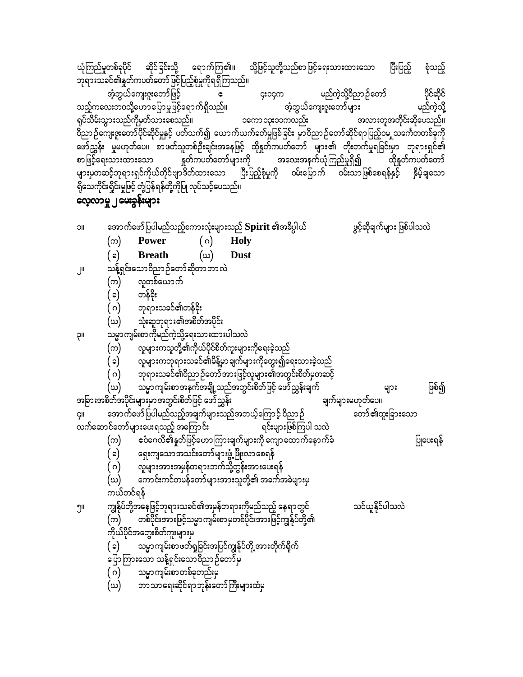အောက်ဖော်ပြပါမည်သည့်စကားလုံးများသည်  ${\bf Spirit}$  ၏အဓိပ္ပါယ် ဖွင့်ဆိုချက်များ ဖြစ်ပါသလဲ **IIC** Power **Holy**  $(\infty)$ ( ဂ) (ဃ)  $(\circ)$ **Breath Dust** .<br>သန့်ရှင်းသောဝိညာဉ်တော်ဆိုတာဘာလဲ  $\mathbb{I}$ လူတစ်ယောက် (က) တန်ဒိုး (၁) ( ဂ) ဘုရားသခင်၏တန်ခိုး (ဃ) သုံးဆူဘုရား၏အစိတ်အပိုင်း သမ္မာကျမ်းစာကိုမည်ကဲ့သို့ရေးသားထားပါသလဲ **II**Ç လူများကသူတို့၏ကိုယ်ပိုင်စိတ်ကူးများကိုရေးခဲ့သည် (က)  $(\circ)$ ာ<br>ကျေးသခင်၏ဝိညာဉ်တော်အားဖြင့်လူများ၏အတွင်းစိတ်မှတဆင့် ( ဂ) သမ္မာကျမ်းစာအနက်အချို့သည်အတွင်းစိတ်ဖြင့် ဖော်ညွှန်းချက် ဖြစ်၍ (ဃ) များ အခြားအစိတ်အပိုင်းများမှာအတွင်းစိတ်ဖြင့် ဖော်ညွှန်း ချက်များမဟုတ်ပေ။ တော်၏ထူးခြားသော အောက်ဖော်ပြပါမည်သည့်အချက်များသည်အဘယ့်ကြောင့် ဝိညာဉ် ÇII လက်ဆောင်တော်များပေးရသည့် အကြောင်း ရင်းများဖြစ်ကြပါ သလဲ ငံဝံဂေလိ၏နှုတ်ဖြင့်ဟောကြားချက်များကို ကျောထောက်နောက်ခံ  $(\infty)$ ပြုပေးရန် ( ခ) ေနေးကျသောအသင်းတော်များဖွံ့ဖြိုးလာစေရန် ဲ ( ဂ)<br>( ဂ) ဂပူများအားအမှန်တရားဘက်သို့တွန်းအားပေးရန် ကောင်းကင်တမန်တော်များအားသူတို့၏ အခက်အခဲများမှ (ဃ) ကယ်တင်ရန် ကျွန်ုပ်တို့အနေဖြင့်ဘုရားသခင်၏အမှန်တရားကိုမည်သည့် နေရာတွင်<br>(က) တစ်ပိုင်းအားဖြင့်သမ္မာကျမ်းစာမှတစ်ပိုင်းအားဖြင့်ကျွန်ုပ်တို့၏ သင်ယူနိုင်ပါသလဲ ၅။ .<br>ကိုယ်ပိုင်အတွေးစိတ်ကူးများမှ သမ္မာကျမ်းစာဖတ်ရှုခြင်းအပြင်ကျွန်ုပ်တို့ အားတိုက်ရိုက် ( ວ $)$ ပြောကြားသော သန့်ရှင်းသောဝိညာဉ်တော်မှ ( ဂ) သမ္မာကျမ်းစာတစ်ခုတည်းမှ -<br>ဘာသာရေးဆိုင်ရာဘုန်းတော်ကြီးများထံမှ (ဃ)

## လေ့လာမှု ၂ <mark>မေးခွန်း</mark>များ

ယုံကြည်မှုတစ်ခုပိုင် ဆိုင်ခြင်းသို့ ရောက်ကြ၏။ သို့ဖြင့်သူတို့သည်စာဖြင့်ရေးသားထားသော ပြီးပြည့် စုံသည့် ဘုရားသခင်၏နူတ်ကပတ်တော်ဖြင့်ပြည့်စုံမှုကိုရရှိကြသည်။ )<br>ဘဲ့ဘွယ်ကျေးဇူးတော်များ<br>ဘဲ့ဘွယ်ကျေးဇူးတော်များ ပိုင်ဆိုင်<br>မည်ကဲ့သို့ **အံ့**ဘွယ်ကျေးဇူးတော်ဖြင့် **င္း**၁၄က<br>-သည့်ကလေးဘဝသို့ဟောပြောမှုဖြင့်ရောက်ရှိသည်။ ရုပ်သိမ်းသွားသည်ကိုမှတ်သားစေသည်။ ၁ကော ၁၃း၁၁ကလည်း အလားတူအတိုင်းဆိုပေသည်။ ဝိညာဉ်ကျေးဇူးတော်ပိုင်ဆိုင်မှုနှင့် ပတ်သက်၍ ယောက်ယက်ခတ်မှုဖြစ်ခြင်း မှာဝိညာဉ်တော်ဆိုင်ရာပြည့်ဝမ**ှုသင်္ကေတတစ်ခု**ကို ့<br>ဖော်ညွှန်း မှုမဟုတ်ပေ။ စာဖတ်သူတစ်ဦးချင်းအနေဖြင့် ထိုနှတ်ကပတ်တော် များ၏ တိုးတက်မှုရခြင်းမှာ ဘုရားရှင်၏ ္း မြန္ပါတယ္။ အေမာက္ေတြကို အေမာက္ေတြကို အေပးအနက်တုံးစြာခ်က္လို႔ ေတြမွာေတြကို အေ<br>များမှတဆင့်ဘုရားရှင်ကိုယ်တိုင်ဗျာဒိတ်ထားသော ပြီးပြည့်စုံမှုကို ဝမ်းမြောက် ဝမ်းသာဖြစ်စေရန်နှင့် နှိမ့်ချသော ရှိသေကိုင်းရှိုင်းမှုဖြင့် တုံ့ပြန်ရန်တို့ကိုပြု လုပ်သင့်ပေသည်။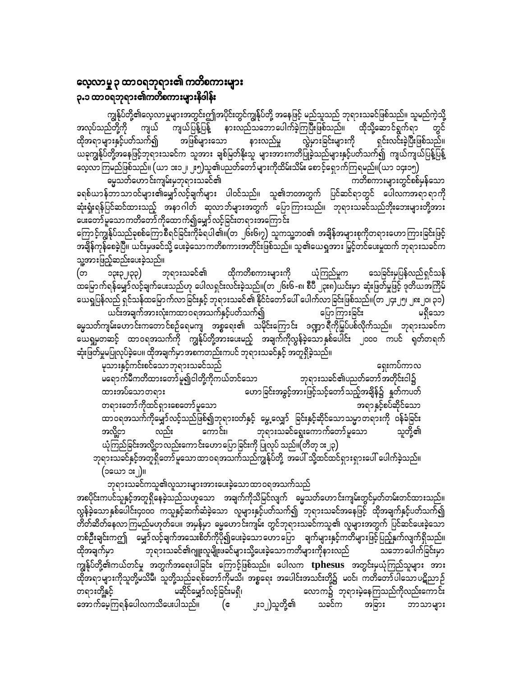### လေ့လာမှု ၃ ထာဝရဘုရား၏ ကတိစကားများ ၃**.**၁ ထာဝရဘုရား၏ကတိစကားများနိဒါန်း

ကျွန်ုပ်တို့၏လေ့လာမှုများအတွင်းဤအပိုင်းတွင်ကျွန်ုပ်တို့ အနေဖြင့် မည်သူသည် ဘုရားသခင်ဖြစ်သည်။ သူမည်ကဲ့သို့ ကျယ် ကျယ်ပြန့်ပြန့် နားလည်သဘောပေါက်ခဲ့ကြပြီးဖြစ်သည်။ ထိုသို့ဆောင်ရွက်ရာ အလုပ်သည်တို့ကို ထိုအရာများနှင့်ပတ်သက်၍ အဖြစ်များသော လွဲမှားခြင်းများကို ရှင်းလင်းခဲ့ပြီးဖြစ်သည်။ နားလည်မှု ယခုကျွန်ုပ်တို့အနေဖြင့်ဘုရားသခင်က သူအား ချစ်မြတ်နိုးသူ များအားကတိပြုခဲ့သည်များနှင့်ပတ်သက်၍ ကျယ်ကျယ်ပြန့်ပြန့် လေ့လာကြမည်ဖြစ်သည်။ (ယာ ၁း၁၂၊ ၂း၅)သူ၏ပညတ်တော်များကိုထိမ်းသိမ်း စောင့်ရှောက်ကြရမည်။(ယာ ၁၄း၁၅)

–<br>ဓမ္မသတ်ဟောင်းကျမ်းမှဘုရားသခင်၏ ကတိစကားများတွင်စစ်မှန်သော ခရစ်ယာန်ဘာသာဝင်များ၏မျှော်လင့်ချက်များ ပါဝင်သည်။ သူ၏ဘဝအတွက် ပြင်ဆင်ရာတွင် ပေါလကအရာရာကို ဆုံးရှုံးရန်ပြင်ဆင်ထားသည့် အနာဂါတ် ဆုလာဘ်များအတွက် ပြောကြားသည်။ ဘုရားသခင်သည်ဘိုးဘေးများတို့အား ပေးတော်မူသောကတိတော်ကိုထောက်၍မျှော်လင့်ခြင်းတရားအကြောင်း

ကြောင့်ကျွန်ုပ်သည်ခုစစ်ကြောစီရင်ခြင်းကိုခံရပါ၏။(တ ၂၆း၆၊၇) သူကသူ့ဘဝ၏ အချိန်အများစုကိုတရားဟောကြားခြင်းဖြင့် အချိန်ကုန်စေခဲ့ပြီ။ ယင်းမှဖခင်သို့ ပေးခဲ့သော ကတိစကားအတိုင်းဖြစ်သည်။ သူ၏ယေရှုအား မြှင့်တင်ပေးမှုထက် ဘုရားသခင်က သူ့အားဖြည့်ဆည်းပေးခဲ့သည်။

ဘုရားသခင်၏ ထိုကတိစကားများကို သေခြင်းမှပြန်လည်ရှင်သန် ယုံကြည်မှုက ၁၃း၃၂၂၃၃) (တ ထမြောက်ရန်မျှော်လင့်ချက်ပေးသည်ဟု ပေါလရှင်းလင်းခဲ့သည်။(တ ၂၆း၆-၈၊ စီပီ ၂၃း၈)ယင်းမှာ ဆုံးဖြတ်မှုဖြင့် ဒုတိယအကြိမ် ယေရှုပြန်လည် ရှင်သန်ထမြောက်လာခြင်းနှင့် ဘုရားသခင်၏ နိုင်ငံတော်ပေါ် ပေါက်လာခြင်းဖြစ်သည်။(တ ၂၄း၂၅၊ ၂၈း၂၀၊ ၃၁) ယင်းအချက်အားလုံးကထာဝရအသက်နှင့်ပတ်သက်၍ ပြောကြားခြင်း မရှိသော မ္မေသတ်ကျမ်းဟောင်းကတောင်စဉ်ရေမကျ အစ္စရေး၏ သမိုင်းကြောင်း ဒဏ္ဍာရီကိုမြှပ်ပစ်လိုက်သည်။ ဘုရားသခင်က ယေရှုမှတဆင့် ထာဝရအသက်ကို ကျွန်ုပ်တို့အားပေးမည့် အချက်ကိုလွန်ခဲ့သောနှစ်ပေါင်း ၂၀၀၀ ကပင် ရုတ်တရက်

ဆုံးဖြတ်မှုမပြုလုပ်ခဲ့ပေ။ ထိုအချက်မှာ အစကတည်းကပင် ဘုရားသခင်နှင့် အတူရှိခဲ့သည်။ မုသားနှင့်ကင်းစင်သောဘုရားသခင်သည် ရှေးကပ်ကာလ .<br>မရောက်မီကတိထားတော်မူ၍ငါတို့ကိုကယ်တင်သော ဘုရားသခင်၏ပညတ်တော်အတိုင်းငါ၌ ဟောခြင်းအခွင့်အားဖြင့်သင့်တော်သည့်အချိန်၌ နှုတ်ကပတ် ထားအပ်သောတရား တရားတော်ကိုထင်ရှားစေတော်မူသော အရာနှင့်စပ်ဆိုင်သော ထာဝရအသက်ကိုမျှော်လင့်သည်ဖြစ်၍ဘုရားဝတ်နှင့် မွေ့လျှော် ခြင်းနှင့်ဆိုင်သောသမ္မာတရားကို ဝန်ခံခြင်း ဘုရားသခင်ရွေးကောက်တော်မူသော အလို့ငှာ လည်း ကောင်း၊ သူတို့၏

ယုံကြည်ခြင်းအလို့ငှာလည်းကောင်းဟောပြောခြင်းကို ပြုလုပ် သည်။(တိတု ၁း၂၃) ဘုရားသခင်နှင့်အတူရှိတော် မူသောထာဝရအသက်သည်ကျွန်ုပ်တို့ အပေါ် သို့ထင်ထင်ရှားရှားပေါ် ပေါက်ခဲ့သည်။ (၁ယော ၁း၂)။

ဘုရားသခင်ကသူ၏လူသားများအားပေးခဲ့သောထာဝရအသက်သည်

အစပိုင်းကပင်သူနှင့်အတူရှိနေခဲ့သည်သဟူသော အချက်ကိုသိမြင်လျက် ဓမ္မသတ်ဟောင်းကျမ်းတွင်မှတ်တမ်းတင်ထားသည်။ လွန်ခဲ့သောနှစ်ပေါင်း၄၀၀၀ ကသူနှင့်ဆက်ဆံခဲ့သော လူများနှင့်ပတ်သက်၍ ဘုရားသခင်အနေဖြင့် ထိုအချက်နှင့်ပတ်သက်၍ တိတ်ဆိတ်နေလာကြမည်မဟုတ်ပေ။ အမှန်မှာ ဓမ္မဟောင်းကျမ်း တွင်ဘုရားသခင်ကသူ၏ လူများအတွက် ပြင်ဆင်ပေးခဲ့သော တစ်ဦးချင်းကဤ ဖြော်လင့်ချက်အသေးစိတ်ကိုပို၍ပေးခဲ့သော ဟောပြော ချက်များနှင့်ကတိများဖြင့်ပြည့်နှက်လျက်ရှိသည်။ ဘုရားသခင်၏ဂျူးလူမျိုးဖခင်များသို့ပေးခဲ့သောကတိများကိုနားလည် သဘောပေါက်ခြင်းမှာ ထိုအချက်မှာ ကျွန်ုပ်တို့၏ကယ်တင်မှု အတွက်အရေးပါခြင်း ကြောင့်ဖြစ်သည်။ ပေါလက tphesus အတွင်းမှယုံကြည်သူများ အား ထိုအရာများကိုသူတို့မသိမီ၊ သူတို့သည်ခရစ်တော်ကိုမသိ၊ အစ္စရေး အပေါင်းအသင်းတို့၌ မဝင်၊ ကတိတော်ပါသောပဋိညာဉ် မဆိုင်မျှော်လင့်ခြင်းမရှိ၊ တရားတို့နှင့် လောက၌ ဘုရားမဲ့နေကြသည်ကိုလည်းကောင်း အောက်မေ့ကြရန်ပေါလကသိပေးပါသည်။ (**ဧ** ၂း၁၂)သူတို့၏ အခြား သခင်က ဘာသာများ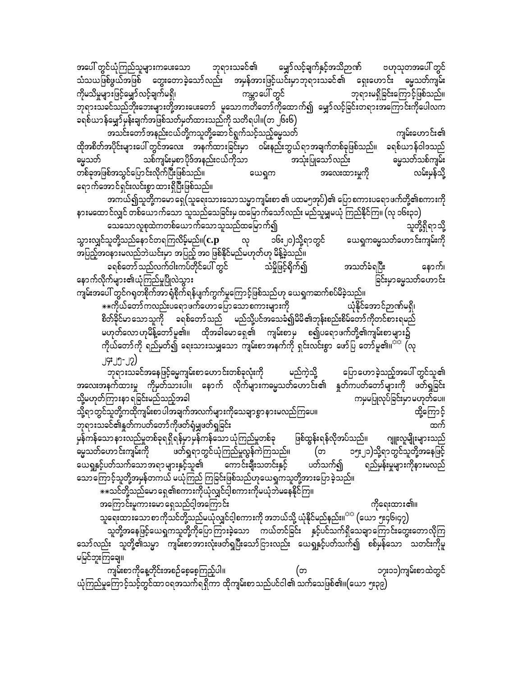အပေါ် တွင်ယုံကြည်သူများကပေးသော ဘုရားသခင်၏ မျှော်လင့်ချက်နှင့်အသိဉာဏ် ဗဟုသုတအပေါ် တွင် သံသယဖြစ်ဖွယ်အဖြစ် တွေးတောခဲ့သော်လည်း အမှန်အားဖြင့်ယင်းမှာဘုရားသခင်၏ ရှေးဟောင်း ဓမ္မသတ်ကျမ်း ကိုမသိမှုများဖြင့်မျှော်လင့်ချက်မရှိ၊ ကမ္ဘာပေါ် တွင် ဘုရားမရှိခြင်းကြောင့်ဖြစ်သည်။ ဘုရားသခင်သည်ဘိုးဘေးများတို့အားပေးတော် မူသောကတိတော်ကိုထောက်၍ မျှော်လင့်ခြင်းတရားအကြောင်းကိုပေါလက ခရစ်ယာန်မျှော်မှန်းချက်အဖြစ်သတ်မှတ်ထားသည်ကို သတိရပါ။(တ ၂၆း၆)

အသင်းတော်အနည်းငယ်တို့ကသူတို့ဆောင်ရွက်သင့်သည့်ဓမ္မသတ် ကျမ်းဟောင်း၏ ထိုအစိတ်အပိုင်းများပေါ် တွင်အလေး အနက်ထားခြင်းမှာ ဝမ်းနည်းဘွယ်ရာအချက်တစ်ခုဖြစ်သည်။ ခရစ်ယာန်ဝါဒသည် သစ်ကျမ်းမှစာပိုဒ်အနည်းငယ်ကိုသာ အသုံးပြုသော်လည်း မွေသတ်သစ်ကျမ်း ဓမ္မသတ် အလေးထားမှုကို တစ်ခုအဖြစ်အသွင်ပြောင်းလိုက်ပြီးဖြစ်သည်။ လမ်းမှန်သို့ ယေရှုက ရောက်အောင်ရှင်းလင်းစွာထားရှိပြီးဖြစ်သည်။

အကယ်၍သူတို့ကမော ရှေ(သူရေးသားသောသမ္မာကျမ်းစာ ၏ ပထမ၅အုပ်)၏ ပြော စကားပရောဖက်တို့၏စကားကို နားမထောင်လျှင် တစ်ယောက်သော သူသည်သေခြင်းမှ ထမြောက်သော်လည်း မည်သူမျှမယုံ ကြည်နိုင်ကြ။ (လု ၁၆း၃၁) သေသောလူစုထဲကတစ်ယောက်သောသူသည်ထမြောက်၍ သူတို့ရှိရာသို့

သွားလျှင်သူတို့သည်နောင်တရကြလိမ့်မည်။ $(\mathbf{c}.\mathbf{p})$ ၁၆း၂၀)သို့ရာတွင် ယေရှုကမ္ဗေသတ်ဟောင်းကျမ်းကို လု အပြည့်အဝနားမလည်ဘဲယင်းမှာ အပြည့် အဝ ဖြစ်နိုင်မည်မဟုတ်ဟု မိန့်ခဲ့သည်။ ခရစ်တော်သည်လက်ဝါးကပ်တိုင်ပေါ် တွင် သံမှိုဖြင့်ရိုက်၍ အသတ်ခံရပြီး နောက်၊ ခြင်းမှာဓမ္မသတ်ဟောင်း နောက်လိုက်များ၏ယုံကြည်မှုပြိုလဲသွား ကျမ်းအပေါ် တွင်ဂရုတစိုက်အာ ရုံစိုက်ရန်ပျက်ကွက်မှုကြောင့်ဖြစ်သည်ဟု ယေရှုကဆက်စပ်မိခဲ့သည်။

\*\*ကိုယ်တော်ကလည်းပရောဖက်ဟောပြောသောစကားများကို ယုံနိုင်အောင်ဉာဏ်မရှိ၊ စိတ်ခိုင်မာသောသူကို ခရစ်တော်သည် မည်သို့ပင်အသေခံ၍မိမိ၏ဘုန်းစည်းစိမ်တော်ကိုတင်စားရမည် မဟုတ်လောဟုမိန့်တော်မူ၏။ ထိုအခါမောရှေ၏ ကျမ်းစာမှ စ၍ပရောဖက်တို့၏ကျမ်းစာများ၌ ကိုယ်တော်ကို ရည်မှတ်၍ ရေးသားသမျှသော ကျမ်းစာအနက်ကို ရှင်းလင်းစွာ ဖော်ပြ တော်မူ၏။<sup>သာ</sup> (လု

J9: J9-J2) ဘုရားသခင်အနေဖြင့်မွေ့ကျမ်းစာဟောင်းတစ်ခုလုံးကို မည်ကဲ့သို့ ပြောဟောခဲ့သည့်အပေါ် တွင်သူ၏ အလေးအနက်ထားမှု ကိုမှတ်သားပါ။ နောက် လိုက်များကမ္မေသတ်ဟောင်း၏ နှုတ်ကပတ်တော်များကို ဖတ်ရှုခြင်း သို့မဟုတ်ကြားနာ ရခြင်းမည်သည့်အခါ ကမှမပြုလုပ်ခြင်းမှာမဟုတ်ပေ။ သို့ရာတွင်သူတို့ကထိုကျမ်းစာပါအချက်အလက်များကိုသေချာစွာနားမလည်ကြပေ။ ထို့ကြောင့် ဘုရားသခင်၏နှုတ်ကပတ်တော်ကိုဖတ်ရုံမျှဖတ်ရှခြင်း မှန်ကန်သော နားလည်မှုတစ်ခုရရှိရန်မှာမှန်ကန်သော ယုံကြည်မှုတစ်ခု ဖြစ်ထွန်းရန်လိုအပ်သည်။ ဂျူးလူမျိုးများသည် မ္မေသတ်ဟောင်းကျမ်းကို ဖတ်ရှုရာတွင်ယုံကြည်မှုလွန်ကဲကြသည်။ ၁၅း၂၁)သို့ရာတွင်သူတို့အနေဖြင့် (တ

ရည်မှန်းမှုများကိုနားမလည် ယေရှုနှင့်ပတ်သက်သော အရာ များနှင့်သူ၏ ကောင်းချီးသတင်းနှင့် ပတ်သက်၍ သောကြောင့်သူတို့အမှန်တကယ် မယုံကြည် ကြခြင်းဖြစ်သည်ဟုယေရှုကသူတို့အားပြောခဲ့သည်။ \*\*သင်တို့သည်မော ရှေ့၏စကားကိုယုံလျှင်ငါ့စကားကိုမယုံဘဲမနေနိုင်ကြ။

ထက်

အကြောင်းမူကားမော ရှေသည်ငါ့အကြောင်း

ကိုရေးထား၏။ သူရေးထားသောစာကိုသင်တို့သည်မယုံလျှင်ငါ့စကားကို အဘယ်သို့ ယုံနိုင်မည်နည်း။<sup>သာ</sup> (ယော ၅း၄၆၊၄၇)

သူတို့အနေဖြင့်ယေရှုကသူတို့ကိုပြောကြားခဲ့သော ကယ်တင်ခြင်း နှင့်ပင်သက်ရှိသေချာကြောင်းတွေးတောလိုကြ သော်လည်း သူတို့၏သမ္မာ ကျမ်းစာအားလုံးဖတ်ရှပြီးသော်ငြားလည်း ယေရှုနှင့်ပတ်သက်၍ စစ်မှန်သော သတင်းကိုမူ မမြင်ဘူးကြချေ။

ကျမ်းစာကိုနေ့တိုင်းအစဉ်စေ့စေ့ကြည့်ပါ။ (တ ၁၇း၁၁)ကျမ်းစာထဲတွင် ယုံကြည်မှုကြောင့်သင့်တွင်ထာဝရအသက်ရရှိကာ ထိုကျမ်းစာသည်ပင်ငါ၏ သက်သေဖြစ်၏။(ယော ၅း၃၉)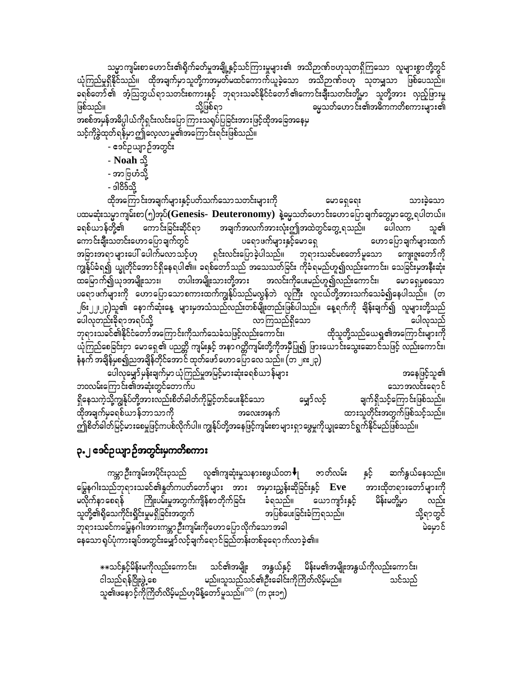သမ္မာကျမ်းစာဟောင်း၏ရိုက်ခတ်မှုအချို့နှင့်သင်ကြားမှုများ၏ အသိဉာဏ်ဗဟုသုတရှိကြသော လူများစွာတို့တွင် ယုံကြည်မှုရှိနိုင်သည်။ ထိုအချက်မှာသူတို့ကအမှတ်မထင်ကောက်ယူခဲ့သော အသိဉာဏ်ဗဟု သုတမျှသာ ဖြစ်ပေသည်။ ခရစ်တော်၏ အံ့သြဘွယ်ရာသတင်းစကားနှင့် ဘုရားသခင်နိုင်ငံတော်၏ကောင်းချီးသတင်းတို့မှာ သူတို့အား လှည့်ဖြားမှု ့<br>ဓမ္မသတ်ဟောင်း၏အဓိကကတိစကားများ၏ ဖြစ်သည်။ သို့ဖြစ်ရာ အစစ်အမှန်အဓိပ္ပါယ်ကိုရှင်းလင်းပြောကြားသရုပ်ပြခြင်းအားဖြင့်ထိုအခြေအနေမှ သင့်ကိုခွဲထုတ်ရန်မှာဤလေ့လာမှု၏အကြောင်းရင်းဖြစ်သည်။ - ဧဒင်ဥယျာဉ်အတွင်း - Noah သို့ - အာဗြဟံသို့ - ဒါ8်ဒသို့ ထိုအကြောင်းအချက်များနှင့်ပတ်သက်သောသတင်းများကို မောရှေရေး သားခဲ့သော ပထမဆုံးသမ္မာကျမ်းစာ(၅)အုပ်(Genesis- Deuteronomy) နဲ့မွေသတ်ဟောင်းဟောပြောချက်တွေမှာတွေ့ ရပါတယ်။ အချက်အလက်အားလုံးဤအထဲတွင်တွေ့ ရသည်။ ကောင်းခြင်းဆိုင်ရာ ခရစ်ယာန်တို့၏ ပေါလက သူ၏ ကောင်းချီးသတင်းဟောပြောချက်တွင် ပရောဖက်များနှင့်မောရှေ ဟောပြောချက်များထက် အခြားအရာများပေါ် ပေါက်မလာသင့်ဟု ရှင်းလင်းပြောခဲ့ပါသည်။ ဘုရားသခင်မစတော်မူသော ကျေးဇူးတော်ကို ကျွန်ုပ်ခံရ၍ ယျွတိုင်အောင်ရှိနေရပါ၏။ ခရစ်တော်သည် အသေသတ်ခြင်း ကိုခံရမည်ဟူ၍လည်းကောင်း၊ သေခြင်းမှအနီးဆုံး မောရှေမှစသော ပရောဖက်များကို ဟောပြောသောစကားထက်ကျွန်ုပ်သည်မလွန်ဘဲ လူကြီး လူငယ်တို့အားသက်သေခံ၍နေပါသည်။ (တ ၂၆း၂၂၊၂၃)သူ၏ နောက်ဆုံးနေ့ များမှအသံသည်လည်းတစ်မျိုးတည်းဖြစ်ပါသည်။ နေ့ရက်ကို ချိန်းချက်၍ လူများတို့သည် ပေါလုတည်းခိုရာအရပ်သို့ ပေါလှသည် လာကြသည်ရှိသော ထိုသူတို့သည်ယေရှု၏အကြောင်းများကို ဘုရားသခင်၏နိုင်ငံတော်အကြောင်းကိုသက်သေခံသဖြင့်လည်းကောင်း၊ ယုံကြည်စေခြင်းငှာ မောရှေ့၏ ပညတ္တိ ကျမ်းနှင့် အနာဂတ္တိကျမ်းတို့ကိုအမှီပြု၍ ဖြားယောင်းသွေးဆောင်သဖြင့် လည်းကောင်း၊ နံနက် အချိန်မှစ၍ညအချိန်တိုင်အောင် ထုတ်ဖော်ဟောပြောလေ သည်။ (တ ၂၈ ၂၃) .<br>ပေါလုမျှော်မှန်းချက်မှာ ယုံကြည်မှုအမြင့်မားဆုံးခရစ်ယာန်များ အနေဖြင့်သူ၏

ဘဝလမ်းကြောင်း၏အဆုံးတွင်တောက်ပ သောအလင်းရောင် မျှော်လင့် ရှိနေသကဲ့သို့ကျွန်ုပ်တို့အားလည်းစိတ်ဓါတ်ကိုမြှင့်တင်ပေးနိုင်သော ချက်ရှိသင့်ကြောင်းဖြစ်သည်။ ထားသူတိုင်းအတွက်ဖြစ်သင့်သည်။ ထိုအချက်မှခရစ်ယာန်ဘာသာကို အလေးအနက် ဤစိတ်ခါတ်မြင့်မားစေမှုဖြင့်ကပစ်လိုက်ပါ။ ကျွန်ုပ်တို့အနေဖြင့်ကျမ်းစာများရှာဖွေမှုကိုယ္ခုဆောင်ရွက်နိုင်မည်ဖြစ်သည်။

# **၃.၂ ဒေင်ဥယျာဉ်အတွင်းမှကတိစကား**

ကမ္ဘာဦးကျမ်းအပိုင်း၃သည် လူ၏ကျဆုံးမှုသနားစဖွယ်၀တ $\blacklozenge_1$  ဇာတ်လမ်း ဆက်နွယ်နေသည်။ နှင့် မြွေနဂါးသည်ဘုရားသခင်၏နှုတ်ကပတ်တော်များ အား အမှားညွှန်းဆိုခြင်းနှင့် Eve အားထိုတရားတော်များကို ကြိုးပမ်းမှုအတွက်ကျိန်စာ တိုက်ခြင်း ပိန်းမတို့မှာ မလိုက်နာစေရန် ခံရသည်။ ယောကျာ်းနှင့် လည်း သူတို့၏ရှိသေကိုင်းရှိုင်းမှုမရှိခြင်းအတွက် အပြစ်ပေးခြင်းခံကြရသည်။ သို့ရာတွင် ဘုရားသခင်ကမြွေနဂါးအားကမ္ဘာဉီးကျမ်းကိုဟောပြောလိုက်သောအခါ မဲမှောင် 

\*\*သင်နှင့်မိန်းမကိုလည်းကောင်း၊ သင်၏အမျိုး အနွယ်နှင့် မိန်းမ၏အမျိုးအနွယ်ကိုလည်းကောင်း၊ ငါသည်ရန်ငြိုးဖွဲ့စေ မည်။သူသည်သင်၏ဦးခေါင်းကိုကြိတ်လိမ့်မည်။ သင်သည် သူ၏ဖနောင့်ကိုကြိတ်လိမ့်မည်ဟုမိန့်တော်မူသည်။<sup>သာ</sup> (က ၃း၁၅)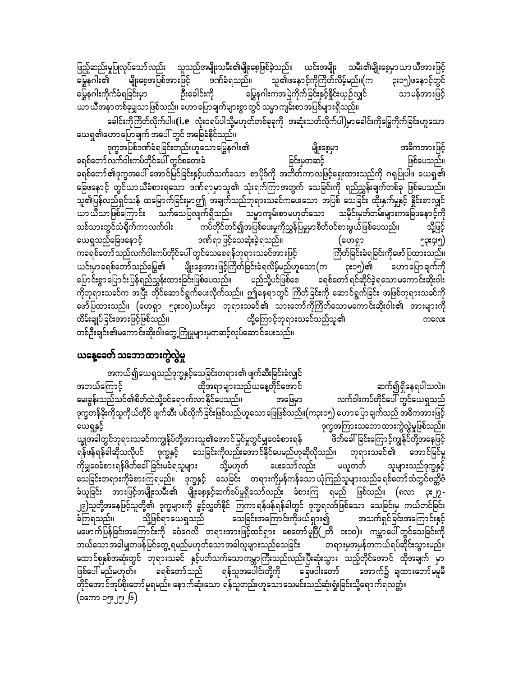ဖြည့်ဆည်းမှုပြုလုပ်သော် လည်း သူသည်အမျိုးသမီး၏မျိုးစေ့ဖြစ်ခဲ့သည်။ ယင်းအမျိုး သမီး၏မျိုးစေ့မှာ ယာယီအားဖြင့် မျိုးစေ့အပြစ်အားဖြင့် ဒဏ်ခံရသည်။ သူ၏ဖနောင့်ကိုကြိတ်လိမ့်မည်။(က ၃း၁၅)ဖနောင့်တွင် မြွေနဂါး၏ မြွေနဂါးကိုက်ခံရခြင်းမှာ ဉီးခေါင်းကို မြွေနဂါးကအမြဲကိုက်ခြင်းနှင့်နိူင်းယှဉ်လျှင် သာမန်အားဖြင့် ယာ ယီအနာ တစ်ခုမျှသာ ဖြစ်သည်။ ဟော ပြောချက်များစွာတွင် သမ္မာ ကျမ်းစာ အပြစ်များရှိသည်။

.<br>ခေါင်းကိုကြိတ်လိုက်ပါ။(**i.e** လုံးဝရပ်ပါသို့မဟုတ်တစ်ခုခုကို အဆုံးသတ်လိုက်ပါ)မှာခေါင်းကိုမြွေကိုက်ခြင်းဟူသော ယေရှု၏ဟောပြောချက် အပေါ် တွင် အခြေခံနိုင်သည်။

ဒုက္ခအပြစ်ဒဏ်ခံရခြင်းတည်းဟူသောမြွေနဂါး၏ မျိုးစေ့မှာ အဓိကအားဖြင့် ခြင်းမှတဆင့် ခရစ်တော်လက်ဝါးကပ်တိုင်ပေါ် တွင်စတေးခံ ဖြစ်ပေသည်။ ခရစ်တော်၏ဒုက္ခအပေါ် အောင်မြင်ခြင်းနှင့်ပတ်သက်သော စာပိုဒ်ကို အတိတ်ကာလဖြင့်ရှေးထားသည်ကို ဂရုပြုပါ။ ယေရှု၏ ခြေဖနောင့် တွင်ယာယီခံစားရသော ဒဏ်ရာမှာသူ၏ သုံးရက်ကြာအတွက် သေခြင်းကို ရည်ညွှန်းချက်တစ်ခု ဖြစ်ပေသည်။ သူ၏ပြန်လည်ရှင်သန် ထမြောက်ခြင်းမှာဤ အချက်သည်ဘုရားသခင်ကပေးသော အပြစ် သေခြင်း ထိုးနှက်မှုနှင့် နိုင်းစာလျှင် ျား သို့<br>ယာယီသာဖြစ်ကြောင်း သက်သေပြလျက်ရှိသည်။ သမ္မာကျမ်းစာမဟုတ်သော သမိုင်းမှတ်တမ်းများကခြေဖနောင့်ကို ကပ်တိုင်တင်၍အပြစ်ပေးမှုကိုညွှန်ပြမှုမှာစိတ်ဝင်စားဖွယ်ဖြစ်ပေသည်။ သစ်သားတွင်သံရိုက်ကာလက်ဝါး သို့ဖြင့် ယေရှုသည်ခြေဖနောင့် ဒဏ်ရာဖြင့်သေဆုံးခဲ့ရသည်။ ၅၃း၄၊၅) (ဟေရှာ ကခရစ်တော်သည်လက်ဝါးကပ်တိုင်ပေါ် တွင်သေစေရန်ဘုရားသခင်အားဖြင့် .<br>ကြိတ်ခြင်းခံရခြင်းကိုဖော်ပြထားသည်။ မျိုးစေ့အားဖြင့်ကြိတ်ခြင်းခံရလိမ့်မည်ဟူသော $\left($ က ယင်းမှာခရစ်တော်သည်မြွေ၏ ၃း၁၅)၏ ဟောပြောချက်ကို ပြောင်းစွာပြောင်းပြန်ရည်ညွှန်းထားခြင်းဖြစ်ပေသည်။ မည်သို့ပင်ဖြစ်စေ ခရစ်တော် ရင်ဆိုင်ခဲ့ရသော မကောင်းဆိုးဝါး ကိုဘုရားသခင်က အပြီး တိုင်ဆောင်ရွက်ပေးလိုက်သည်။ ဤနေရာတွင် ကြိတ်ခြင်းကို ဆောင်ရွက်ခြင်း အဖြစ်ဘုရားသခင်ကို ဖော်ပြထားသည်။ (ဟေရှာ ၅၃း၁၀)ယင်းမှာ ဘုရားသခင်၏ သားတော်ကိုကြိတ်သောမကောင်းဆိုးဝါး၏ အားများကို ထိမ်းချုပ်ခြင်းအားဖြင့်ဖြစ်သည်။ ထို့ကြောင့်ဘုရားသခင်သည်သူ၏ ကလေး တစ်ဦးချင်း၏မကောင်းဆိုးဝါးတွေ့ ကြုံမှုများမှတဆင့်လုပ်ဆောင်ပေးသည်။

### ယနေ့ခေတ် သဘောထားကွဲလွဲမှု

အကယ်၍ယေရှုသည်ဒုက္ခနှင့်သေခြင်းတရား၏ ဖျက်ဆီးခြင်းခံလျှင်<br>— ^ ထိုအရာများသည်ယနေ့တိုင်အောင် ဆက်၍ရှိနေရပါသလဲ။ အဘယ်ကြောင့် လက်ဝါးကပ်တိုင်ပေါ် တွင်ယေရှုသည် မေးခွန်းသည်သင်၏စိတ်ထဲသို့ဝင်ရောက်လာ နိုင်ပေသည်။ လုပ္ပါခဏ ဒုက္ခတန်ခိုးကိုသူကိုယ်တိုင် ဖျက်ဆီး ပစ်လိုက်ခြင်းဖြစ်သည်ဟူသောဖြေဖြစ်သည်။(က၃း၁၅) ဟောပြောချက်သည် အဓိကအားဖြင့် ယေရှုနှင့် ဒုက္ခအကြားသဘောထားကွဲလွဲမှုဖြစ်သည်။ ယ္ခုအခါတွင်ဘုရားသခင်ကကျွန်ုပ်တို့အားသူ၏အောင်မြင်မှုတွင်မျှဝေခံစားရန် ဖိတ်ခေါ်ခြင်းကြောင့်ကျွန်ုပ်တို့အနေဖြင့် ရန်ဖန်ရန်ခါဆိုသလိုပင် ဒုက္ခနှင့် သေခြင်းကိုလည်းအောင်နိုင်ပေမည်ဟုဆိုလိုသည်။ ဘုရားသခင်၏ အောင်မြင်မှု သို့မဟုတ် ပေးသော်လည်း ကိုမျှဝေခံစားရန်ဖိတ်ခေါ်ခြင်းမခံရသူများ မယူတတ် သူများသည်ဒုက္ခနှင့် သေခြင်းတရားကိုခံစားကြရမည်။ ဒုက္ခနှင့် သေခြင်း တရားကိုမှန်ကန်သောယုံကြည်သူများသည်ခရစ်တော်ထံတွင်ဗတ္ထိဇံ ခံယူခြင်း အားဖြင့်အမျိုးသမီး၏ မျိုးစေ့နှင့်ဆက်စပ်မှုရှိသော်လည်း ခံစားကြ ရမည် ဖြစ်သည်။ (၈လာ ၃း၂၇– ၂၉)သူတို့အနေဖြင့်သူတို့၏ ဒုက္ခများကို ခွင့်လွှတ်နိုင် ကြကာရန်ဖန်ရန်ခါတွင် ဒုက္ခရလဒ်ဖြစ်သော သေခြင်းမှ ကယ်တင်ခြင်း ခံကြရသည်။ ာိပ္ဖိဖြစ်ရာယေရှုသည် သေခြင်းအကြောင်းကိုဖယ်ရှား၍ အသက်ရှင်ခြင်းအကြောင်းနှင့် မဖောက်ပြန်ခြင်းအကြောင်းကို ဓဝံဂေလိ တရားအားဖြင့်ထင်ရှား စေတော်မူပြီ(၂တိ ၁း၁၀)။ ကမ္ဘာပေါ် တွင်သေခြင်းကို ဘယ်သောအခါမျှတဖန်မြင်တွေ့ ရမည်မဟုတ်သောအခါလူများသည်သေခြင်း တရားမှအမှန်တကယ်ရပ်ဆိုင်းသွားမည်။ ထောင်စုနှစ်အဆုံးတွင် ဘုရားသခင် နှင့်ပတ်သက်သောကမ္ဘာကြီးသည်လည်းပြီးဆုံးသွား သည့်တိုင်အောင် ထိုအချက် မှာ ရန်သူအပေါင်းတို့ကို ခြေဖဝါးတော် အောက်၌ ချထားတော်မမူမီ ခရစ်တော်သည် ဖြစ်ပေါ် မည်မဟုတ်။ တိုင်အောင်အုပ်စိုးတော် မူရမည်။ နောက်ဆုံးသော ရန်သူတည်းဟူသောသေမင်းသည်ဆုံးရှုံးခြင်းသို့ရောက်ရလတ္တံ။ (၁ကော ၁၅း၂၅၊၂၆)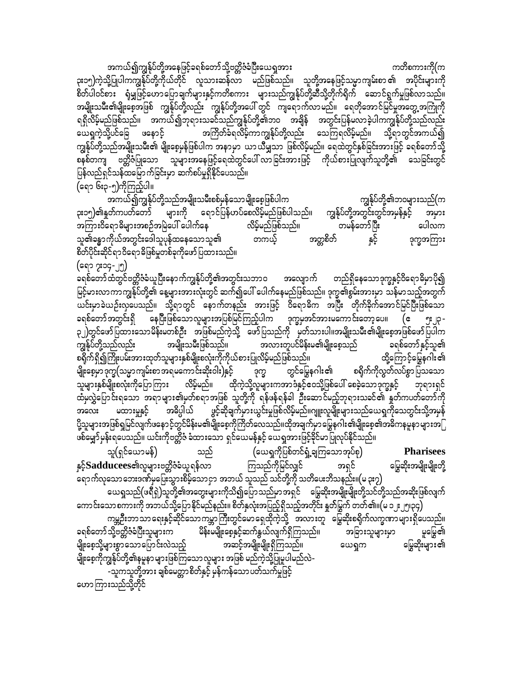အကယ်၍ကျွန်ုပ်တို့အနေဖြင့်ခရစ်တော်သို့ဗတ္တိဇံခံပြီးယေရှအား ကတိစကားကို(က ၃း၁၅)ကဲ့သို့ပြုပါကကျွန်ုပ်တို့ကိုယ်တိုင် လူသားဆန်လာ မည်ဖြစ်သည်။ သူတို့အနေဖြင့်သမ္မာကျမ်းစာ၏ အပိုင်းများကို စိတ်ပါဝင်စား ရုံမျှဖြင့်ဟောပြောချက်များနှင့်ကတိစကား များသည်ကျွန်ုပ်တို့ဆီသို့တိုက်ရိုက် ဆောင်ရွက်မှုဖြစ်လာသည်။ အမျိုးသမီး၏မျိုးစေ့အဖြစ် ကျွန်ုပ်တို့လည်း ကျွန်ုပ်တို့အပေါ် တွင် ကျရောက်လာမည်။ ရေတိုအောင်မြင်မှုအတွေ့အကြုံကို ရရှိလိမ့်မည်ဖြစ်သည်။ အကယ်၍ဘုရားသခင်သည်ကျွန်ုပ်တို့၏ဘဝ အချိန် အတွင်းပြန်မလာခဲ့ပါကကျွန်ုပ်တို့သည်လည်း ယေရှကဲ့သို့ပင်ခြေ ဖနောင့် အကြိတ်ခံရလိမ့်ကာကျွန်ုပ်တို့လည်း သေကြရလိမ့်မည်။ သို့ရာတွင်အကယ်၍ ကျွန်ုပ်တို့သည်အမျိုးသမီး၏ မျိုးစေ့မှန်ဖြစ်ပါက အနာမှာ ယာယီမျှသာ ဖြစ်လိမ့်မည်။ ရေထဲတွင်နှစ်ခြင်းအားဖြင့် ခရစ်တော်သို့ စနစ်တကျ ဗတ္တိဇံပြုသော သူများအနေဖြင့်ရေထဲတွင်ပေါ် လာခြင်းအားဖြင့် ကိုယ်စားပြုလျက်သူတို့၏ သေခြင်းတွင် ပြန်လည်ရှင်သန်ထမြောက်ခြင်းမှာ ဆက်စပ်မှုရှိနိုင်ပေသည်။ (ရော ၆း၃-၅)ကိုကြည့်ပါ။

အကယ်၍ကျွန်ုပ်တို့သည်အမျိုးသမီးစစ်မှန်သောမျိုးစေ့ဖြစ်ပါက ကျွန်ုပ်တို့၏ဘဝများသည်(က ၃း၁၅**)၏**နှုတ်ကပတ်တော် များကို ရောင်ပြန်ဟပ်စေလိမ့်မည်ဖြစ်ပါသည်။ ကျွန်ုပ်တို့အတွင်းတွင်အမှန်နှင့် အမှား အကြားဝိရောဓိများအစဉ်အမြဲပေါ် ပေါက်နေ လိမ့်မည်ဖြစ်သည်။ တမန်တော်ပြီး ပေါလက သူ၏ခန္ဓာကိုယ်အတွင်းဒေါသူပုန်ထနေသောသူ၏ နှင့် အတ္တစိတ် တကယ့် ဒုက္ခအကြား စိတ်ပိုင်းဆိုင်ရာဝိရောဓိဖြစ်မှုတစ်ခုကိုဖော်ပြထားသည်။

(ရော ၇း၁၄-၂၅) ခရစ်တော်ထံတွင်ဗတ္တိဇံခံယူပြီးနောက်ကျွန်ုပ်တို့၏အတွင်းသဘာဝ အလျောက် တည်ရှိနေသောဒုက္ခနှင့်ဝိရောဓိမှာပို၍ မြင့်မားလာကာကျွန်ုပ်တို့၏ နေ့များအားလုံးတွင် ဆက်၍ပေါ် ပေါက်နေမည်ဖြစ်သည်။ ဒုက္ခ၏စွမ်းအားမှာ သန်မာသည့်အတွက် ယင်းမှာခဲယဉ်းလှပေသည်။ သို့ရာတွင် နောက်တနည်း အားဖြင့် ဝိရောဓိက အပြီး တိုက်ခိုက်အောင်မြင်ပြီးဖြစ်သော နေပြီးဖြစ်သောလူများအပြစ်မြင်ကြည့်ပါက ဒုက္ခမုအင်အားမကောင်းတော့ပေ။ (ဧ ခရစ်တော်အတွင်းရှိ ၃၂)တွင်ဖော်ပြထားသောမိန်းမတစ်ဦး အဖြစ်မည်ကဲ့သို့ ဖော်ပြသည်ကို မှတ်သားပါ။အမျိုးသမီး၏မျိုးစေ့အဖြစ်ဖော်ပြပါက အမျိုးသမီးဖြစ်သည်။ အလားတူပင်မိန်းမ၏မျိုးစေ့သည် ကျွန်ုပ်တို့သည်လည်း ခရစ်တော်နှင့်သူ၏ စရိုက်ရှိ၍ကြိုးပမ်းအားထုတ်သူများနှစ်မျိုးစလုံးကိုကိုယ်စားပြုလိမ့်မည်ဖြစ်သည်။ ထို့ကြောင့်မြွေနဂါး၏ မျိုးစေ့မှာ ဒုက္ခ(သမ္မာ ကျမ်းစာ အရမကော င်းဆိုးဝါး)နှင့် တွင်မြွေနဂါး၏ စရိုက်ကိုလွတ်လပ်စွာပြသသော ဒုက္ခ ္ရွင္ ႏုိင္ငံ ႏုိင္ငံ ေရာက္ရွိသည္။ ေပၚမိုင္း ေရာက္ရွိသည္ အေျပာခ်ိန္ေတြေပါ့ အခ်ိဳင္မွာေတြ ေရာက္ရွိသည့္ ေ<br>ျများနှစ်မျိုးစလုံးကိုပြောကြား လိမ့်မည်။ ထိုကဲ့သို့လူများကအာဒံနှင့်ဝေသို့ဖြစ်ပေါ် စေခဲ့သောဒုက္ခနှင့် ဘုရားရှင် .<br>ထံမှလွှဲပြောင်းရသော အရာများ၏မှတ်စရာအဖြစ် သူတို့ကို ရန်ဖန်ရန်ခါ ဦးဆောင်မည့်ဘုရားသခင်၏ နှုတ်ကပတ်တော်ကို ၂<br>၂၉င့်ဆိုချက်မှားယွင်းမှုဖြစ်လိမ့်မည်။ဂျူးလူမျိုးများသည်ယေရှကိုသေတွင်းသို့အမှန် အဓိပ္ပါယ် မထားမှုနှင့် အလေး ပို့သူများအဖြစ်ရှုမြင်လျက်ဖနောင့်တွင်မိန်းမ၏မျိုးစေ့ကိုကြိတ်လေသည်။ထိုအချက်မှာမြွေနဂါး၏မျိုးစေ့၏အဓိကနမူနာများအြ

ဖစ်မျှော်မှန်းရပေသည်။ ယင်းကိုဗတ္တိဇံ ခံထားသော ရှင်ယေမန်နှင့် ယေရှုအားဖြင့်ခိုင်မာပြုလုပ်နိုင်သည်။ (ယေရှကိုပြစ်တင်ရှံ့ချကြသောအုပ်စု) သူ(ရှင်ယောမန်) ၂ **Pharisees** သည် နှင့် ${\bf S}$ adducees၏လူများဗတ္တိဇံခံယူရန်လာ ကြသည်ကိုမြင်လျှင် မြွေဆိုးအမျိုးမျိုးတို့ အရှင် -<br>ရောက်လှသောဘေးဒဏ်မှပြေးသွားစိမ့်သောငှာ အဘယ် သူသည် သင်တို့ကို သတိပေးဘိသနည်း။(မ ၃း၇) ယေရှုသည်(ဖရီရှဲ)သူတို့၏အတွေးများကိုသိ၍ပြောသည်မှာအရှင် မြွေဆိုးအမျိုးမျိုးတို့သင်တို့သည်အဆိုးဖြစ်လျက်

ကောင်းသောစကားကို အဘယ်သို့ပြောနိုင်မည်နည်း။ စိတ်နှလုံးအပြည့်ရှိသည့်အတိုင်း နူတ်မြွက် တတ်၏။(မ ၁၂ ၂၅၊၃၄) ကမ္ဘဦးဘာသာ ရေးနှင့်ဆိုင်သောကမ္ဘာ ကြီးတွင်မော ရှေထိုကဲ့သို့ အလားတူ ် မြွေဆိုးစရိုက်လက္ခဏာများရှိပေသည်။ မိန်းမမျိုးစေ့နှင့်ဆက်နွယ်လျက်ရှိကြသည်။ ခရစ်တော်သို့ဗတ္တိဇံခံပြီးသူများက အခြားသူများမှာ ပူမြွေ၏ အဆင့်အမျိုးမျိုးရှိကြသည်။ မြွေဆိုးများ၏ မျိုးစေ့သို့များစွာသောပြောင်းလဲသည့် ယေရှုက မျိုးစေ့ကိုကျွန်ုပ်တို့၏နမူနာ များဖြစ်ကြသော လူများ အဖြစ် မည်ကဲ့သို့ပြုမူပါမည်လဲ–

-သူကသူတို့အား ချစ်မေတ္တာစိတ်နှင့် မှန်ကန်သော ပတ်သက်မှုဖြင့် ဟောကြားသည်သို့တိုင်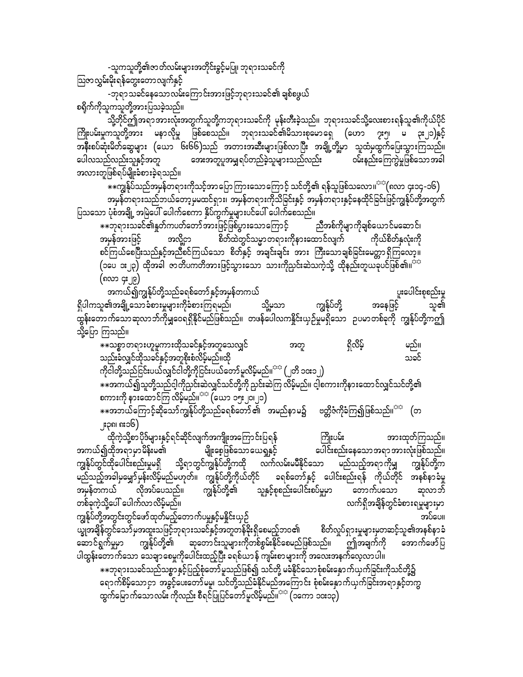-သူကသူတို့၏ဇာတ်လမ်းများအတိုင်းခွင့်မပြု၊ ဘုရားသခင်ကို

ဩဇာလွှမ်းမိုးရန်တွေးတောလျက်နှင့်

-ဘုရာသခင်နေသောလမ်းကြောင်းအားဖြင့်ဘုရားသခင်၏ ချစ်စဖွယ် $\,$ စရိုက်ကိုသူကသူတို့အားပြသခဲ့သည်။

သို့တိုင်ဤအရာအားလုံးအတွက်သူတို့ကဘုရားသခင်ကို မုန်းတီးခဲ့သည်။ ဘုရားသခင်သို့လေးစားရန်သူ၏ကိုယ်ပိုင် ကြိုးပမ်းမှုကသူတို့အား မနာလိုမှု ဖြစ်စေသည်။ ဘုရားသခင်၏မိသားစုမောရှေ (ဟော ၇း၅၊ မ ၃း၂၁)နှင့် အနီးစပ်ဆုံးမိတ်ဆွေများ (ယော ၆း၆၆)သည် အတားအဆီးများဖြစ်လာပြီး အချို့တို့မှာ သူထံမှထွက်ပြေးသွားကြသည်။ ပေါလသည်လည်းသူနှင့်အတူ အေးအတူပူအမျှရပ်တည်ခဲ့သူများသည်လည်း ဝမ်းနည်းကြေကွဲမှုဖြစ်သောအခါ .<br>အလားတူဖြစ်ရပ်မျိုးခံစားခဲ့ရသည်။

 $*$  $*$ ကျွန်ုပ်သည်အမှန်တရားကိုသင့်အာပြောကြားသောကြောင့် သင်တို့၏ ရန်သူဖြစ်သလော။ ${}^{\mathrm{cc}}$ (၈လာ ၄း၁၄-၁၆) $\,$ အမှန်တရားသည်ဘယ်တော့မှမထင်ရှား၊ အမှန်တရားကိုသိခြင်းနှင့် အမှန်တရားနှင့်နေထိုင်ခြင်းဖြင့်ကျွန်ုပ်တို့အတွက် gသသော ပုံစံအချို့ အမြဲပေါ် ပေါက်စေကာ နှိပ်ကွက်မှုများပင်ပေါ် ပေါက်စေသည်။<br>အားစောကိုများသေခင်၏နှုတ်ကပတ်တော်အားဖြင့်ဖြစ်ပွားသောကြောင့် ညီအစ်ကိုမျာကိုချစ်ယောင်မဆောင်၊

]]bk&m;ocif\EIwfuywfawmftm;jzifhjzpfyGm;aomaMumifh nDtpfudkrsmudkcspfa,mifraqmif? အမှန်အားဖြင့် အလို့ငှာ စိတ်ထဲတွင်သမ္မာတရားကိုနားထောင်လျက် ကိုယ်စိတ်နှလုံးကို စင်ကြယ်စေပြီးသည်နှင့်အညီစင်ကြယ်သော စိတ်နှင့် အချင်းချင်း အား ကြီးသောချစ်ခြင်းမေတ္တာရှိကြလော့။  $\left(\infty\right)$   $\left(\infty\right)$  ထိုအခါ ဇာတိပကတိအားဖြင့်သွားသော သားကိုညှင်းဆဲသကဲ့သို့ ထိုနည်းတူယခုပင်ဖြစ်၏။ $\frac{1}{2}$ (၈လာ ၄**:**၂၉)

အကယ်၍ကျွန်ုပ်တို့သည်ခရစ်တော်နှင့်အမှန်တကယ်<br>၏အချို့သောခံစားမှုများကိုခံစားကြရမည်၊ သို့မှသာ ကျွန်ုပ်တို့ အနေဖြင့် သူ၏ ရှိပါကသူ၏အချို့သောခံစားမှုများကိုခံစားကြရမည်၊ သို့မှသာ ကျွန်ုပ်တို့ အနေဖြင့် သူ၏ xGef;awmufaomqkvmbfudkrQa0&&SdEdkifrnfjzpfonf/ wzefaygvuEdIif;,SOfrIr&Sdaom Oyrmwpfckudk uREkfyfwdkYuþ သို့ပြော ကြသည်။

]]opömw&m;[lrlum;xdkocifESifhtwlaovQif twl &Sdvdrfh rnf/ သည်းခံလျှင်ထိုသခင်နှင့်အတူစိုးစံလိမ့်မည်။ထို တောင်းဆေးကာ အောက်အောက် အောက်အောက် သခင် ကိုငါတို့သည်ငြင်းပယ်လျှင်ငါတို့ကိုငြင်းပယ်တော်မူလိမ့်မည်။ $^{\text{p}\oplus\text{r}}$  (၂တိ ၁၀း၁၂)  $\ast\ast$ အကယ်၍သူတို့သည်ငါ့ကိုညှင်းဆဲလျှင်သင်တို့ကို ညှင်းဆဲကြ လိမ့်မည်။ ငါ့စကားကိုနားထောင်လျှင်သင်တို့၏  $p$ ကားကို နားထောင်ကြ လိမ့်မည်။ $p^{\text{max}}$  (ယော ၁၅ႏ၂၀ $p$ )  $\ast\ast$ အဘယ်ကြောင့်ဆိုသော်ကျွန်ုပ်တို့သည်ခရစ်တော် ၏  $^{'}\,$ အမည်နာမ၌ ဗတ္တိဇံကိုခံကြ၍ဖြစ်သည်။ $^{\circ\circ}\,$  (တ

၂း၃၈၊ ၈း၁၆)

ထိုကဲ့သို့စာပိုဒ်များနှင့်ရင်ဆိုင်လျက်အကျိုးအကြောင်းပြရန် ကြိုးပမ်း အားထုတ်ကြသည်။<br>အကယ်၍ထိုအရာမှာမိန်းမ၏ မျိုးစေ့ဖြစ်သောယေရှုနှင့် ပေါင်းစည်းနေသောအရာအားလုံးဖြစ်သည်။ ပေါင်းစည်းနေသောအရာအားလုံးဖြစ်သည်။ ကျွန်ုပ်တွင်ထိုပေါင်းစည်းမှုမရှိ သို့ရာတွင်ကျွန်ုပ်တို့ကထို လက်လမ်းမမီနိုင်သော မည်သည့်အရာကိုမျှ ကျွန်ုပ်တို့က ကြီးသည့်အခါမှမျှော်မှန်းလိမ့်မည်မဟုတ်။ ကျွန်ုပ်တို့ကိုယ်တိုင် ခရစ်တော်နှင့် ပေါင်းစည်းရန် ကိုယ်တိုင် အနစ်နာခံမှ အမှန်တကယ် လိုအပ်ပေသည်။ ကျွန်ုပ်တို့၏ သူနှင့်စုစည်းပေါင်းစပ်မှုမှာ တောက်ပသော ဆုလာဘ် wpfckuJhodkYay:aygufvmvdrfhrnf/ vuf&SdtcsdefwGifcHpm;&rIrsm;rSm ကျွန်ုပ်တို့အတွင်းတွင်ဖော်ထုတ်မည့်တောက်ပမှုနှင့်မနိုင်းယှဉ်<br>ယျွအချိန်တွင်သော်မှအထူးသဖြင့်ဘုရားသခင်နှင့်အတူတန်ခိုးရှိစေမည့်ဘဝ၏ စိတ်လှုပ်ရှားမှုများမှတဆင့်သူ၏အနှစ်နာ့ခံ ယ္ခုအချိန်တွင်သော်မှအထူးသဖြင့်ဘုရားသခင်နှင့်အတူတန်ခိုးရှိစေမည့်ဘဝ၏ ဆောင်ရွက်မှုမှာ ကျွန်ုပ်တို့၏ ဆုတောင်းသူများကိုတစ်စွမ်းနိုင်စေမည်ဖြစ်သည်။ ဤအချက်ကို အောက်ဖော်ပြ ပါထွန်းတောက်သော သေချာစေမှုကိုပေါင်းထည့်ပြီး ခရစ်ယာန် ကျမ်းစာများကို အလေးအနက်လေ့လာပါ။  $\ast\ast$ ဘုရားသခင်သည်သစ္စာနှင့်ပြည့်စုံတော်မူသည်ဖြစ်၍ သင်တို့ မခံနိုင်သောစုံစမ်းနှောက်ယှက်ခြင်းကိုသင်တို့၌ ရောက်စိမ့်သောငှာ အခွင့်ပေးတော်မမူ၊ သင်တို့သည်ခံနိုင်မည်အကြောင်း စုံစမ်းနှောက်ယှက်ခြင်းအရာနှင့်တကွ ထွက်မြောက်သောလမ်း ကိုလည်း စီရင်ပြုပြင်တော်မူလိမ့်မည်။<sup>အနှ</sup> (၁ကော ၁၀း၁၃)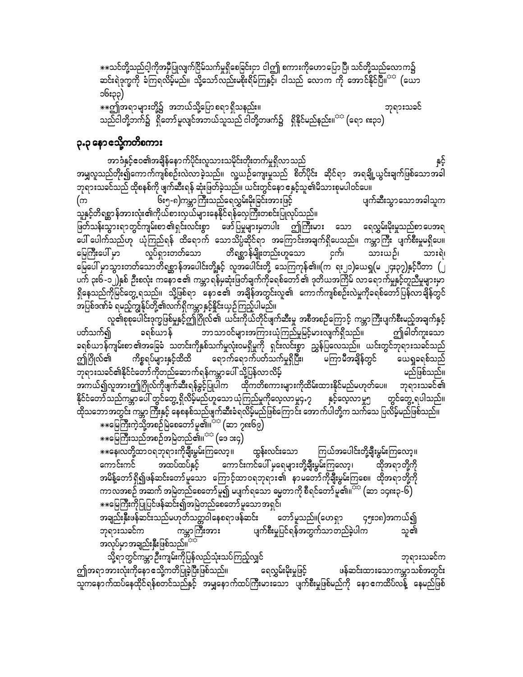\*\*သင်တို့သည်ငါ့ကိုအမှီပြုလျက်ငြိမ်သက်မှုရှိစေခြင်းငှာ ငါဤ စကားကိုဟောပြောပြီ၊ သင်တို့သည်လောက၌ ဆင်းရဲဒုက္ခကို ခံကြရလိမ့်မည်။ သို့သော်လည်းမစိုးရိမ်ကြနှင့်၊ ငါသည် လောက<sup>်</sup>ကို အောင်နိုင်ပြီ။<sup>သေ</sup> (ယော ၁၆း၃၃) ☀☀ဤအရာများတို့၌ အဘယ်သို့ပြောစရာ ရှိသနည်း။ ဘုရားသခင် သည်ငါတို့ဘက်၌ ရှိတော်မူလျင်အဘယ်သူသည် ငါတို့တဖက်၌ ရှိနိုင်မည်နည်း။<sup>သာ</sup> (ရော ၈း၃၁)

### **၃.၃ နော** သို့ကတိစကား

အာဒံနှင့်ဧဝ၏အချိန်နောက်ပိုင်းလူသားသမိုင်းတိုးတက်မှုရှိလာသည် နှင့် အမျှလူသည်တိုး၍ကောက်ကျစ်စဉ်းလဲလာခဲ့သည်။ လူ့ယဉ်ကျေးမှုသည် စိတ်ပိုင်း ဆိုင်ရာ အရချို့ယွင်းချက်ဖြစ်သောအခါ ဘုရားသခင်သည် ထိုစနစ်ကို ဖျက်ဆီးရန် ဆုံးဖြတ်ခဲ့သည်။ ယင်းတွင်နော ဧနှင့်သူ၏မိသားစုမပါဝင်ပေ။ ၆း၅-၈)ကမ္ဘာကြီးသည်ရေလွှမ်းမိုးခြင်းအားဖြင့် ပျက်ဆီးသွာသောအခါသူက (က .<br>သူနှင့်တိရစ္ဆာန်အားလုံး၏ကိုယ်စားလှယ်များနေနိုင်ရန်လှေကြီးတစင်းပြုလုပ်သည်။ ဖြတ်သန်းသွားရာတွင်ကျမ်းစာ ၏ရှင်းလင်းစွာ ဖော်ပြမှုများမှတပါး ဤကြီးမား သော ရေလွှမ်းမိုးမှုသည်စာပေအရ တိရစ္ဆာန်မျိုးတည်းဟူသော င်ယူ လှုပ်ရှားတတ်သော မြေကြီးပေါ် မှာ သားယဉ်၊ သားရဲ၊ မြေပေါ် မှာသွားတတ်သောတိရစ္ဆာန်အပေါင်းတို့နှင့် လူအပေါင်းတို့ သေကြကုန်၏။(က ရး၂၁)ယေရှ(မ ၂၄း၃၇)နှင့်ပီတာ (၂ ပက် ၃း၆-၁၂)နှစ် ဦးစလုံး ကနောင်၏ ကမ္ဘာရန်မှဆုံးဖြတ်ချက်ကိုခရစ်တော်၏ ဒုတိယအကြိမ် လာရောက်မှုနှင့်တူညီမှုများမှာ ရှိနေသည်ကိုမြင်တွေ့ ရသည်။ သို့ဖြစ်ရာ နောင်၏ အချိန်အတွင်းလူ၏ ကောက်ကျစ်စဉ်းလဲမှုကိုခရစ်တော်ပြန်လာချိန်တွင် အပြစ်ဒဏ်ခံ ရမည့်ကျွန်ုပ်တို့၏လက်ရှိကမ္ဘာနှင့်နိူင်းယှဉ်ကြည့်ပါမည်။

လူ၏စုစုပေါင်းဒုက္ခဖြစ်မှုနှင့်ဤဂြိုလ်၏ ယင်းကိုယ်တိုင်ဖျက်ဆီးမှု အစီအစဉ်ကြောင့် ကမ္ဘာကြီးပျက်စီးမည့်အချက်နှင့် ဘာသာဝင်များအကြားယုံကြည်မှုမြင့်မားလျက်ရှိသည်။ ဤခါတ်ကူးသော ပတ်သက်၍ ခရစ်ယာန် ခရစ်ယာန်ကျမ်းစာ၏အခြေခံ သတင်းကိုနှစ်သက်မှုလုံးဝမရှိမှုကို ရှင်းလင်းစွာ ညွှန်ပြလေသည်။ ယင်းတွင်ဘုရားသခင်သည် ရောက်ရောက်ပတ်သက်မှုရှိပြီး၊ မကြာမီအချိန်တွင် ဤဂြိုလ်၏ ကိစ္စရပ်များနှင့်ထိထိ ယေရှုခရစ်သည် ဘုရားသခင်၏နိုင်ငံတော်ကိုတည်ဆောက်ရန်ကမ္ဘာပေါ် သို့ပြန်လာလိမ့် မည်ဖြစ်သည်။ အကယ်၍လူအားဤဂြိုလ်ကိုဖျက်ဆီးရန်ခွင့်ပြုပါက ထိုကတိစကားများကိုထိမ်းထားနိုင်မည်မဟုတ်ပေ။ ဘုရားသခင်၏ <u>နိုင်ငံတော် သည်ကမ္ဘာပေါ် တွင်တွေ့ ရှိလိမ့်မည်ဟူသော ယုံကြည်မှု</u>ကိုလေ့လာမှု၄.၇ နှင့်လေ့လာမှု၅ တွင်တွေ့ ရပါသည်။ ု့<br>ထိုသဘော အတွင်း ကမ္ဘာ ကြီးနှင့် နေစနစ်သည်ဖျက်ဆီးခံရလိမ့်မည်ဖြစ်ကြောင်း အောက်ပါတို့က သက်သေ ပြလိမ့်မည်ဖြစ်သည်။

\*\*မြေကြီးကဲ့သို့အစဉ်မြဲစေတော်မူ၏။<sup>သေ</sup> (ဆာ ၇၈း၆၉) ⋇⋇ဪႝၘၭၣၣၟၣၜၟၣၜၟၣၣၣၣၜၣၣၣ<br>⋇⋇ဪ႞ၮၣၣၣၣၣၣၣၣၣၣၣၣၣၣၣၣၣၣၣၣ

\*\*နေ၊လတို့ထာဝရဘုရားကိုချီးမွမ်းကြလော့။ ထွန်းလင်းသော ကြယ်အပေါင်းတို့ချီးမွမ်းကြလော့။ အထပ်ထပ်နှင့် ကောင်းကင်ပေါ် မှရေများတို့ချီးမွမ်းကြလော့၊ ကောင်းကင် ထိုအရာတို့ကို အမိန့်တော်ရှိ၍ဖန်ဆင်းတော်မူသော ကြောင့်ထာဝရဘုရား၏ နာမတော်ကိုချီးမွမ်းကြစေ။ ထိုအရာတို့ကို ကာလအစဉ် အဆက် အမြဲတည်စေတော်မူ၍ မပျက်ရသော ဓမ္မတာကို စီရင်တော်မူ၏။<sup>တာ</sup> (ဆာ ၁၄၈း၃-၆) \*\*မြေကြီးကိုပြုပြင်ဖန်ဆင်း၍အမြဲတည်စေတော် မူသော အရှင်၊

အချည်းနှီးဖန်ဆင်းသည်မဟုတ်သတ္တဝါနေစရာဖန်ဆင်း တော်မူသည်။(ဟေရှာ ၄၅း၁၈)အကယ်၍ ကမ္ဘာကြီးအား ဘုရားသခင်က ပျက်စီးမှုပြင်ရန်အတွက်သာတည်ခဲ့ပါက သူ၏ အလုပ်မှာအချည်းနှီးဖြစ်သည်။<sup>အအ</sup>

သို့ရာတွင်ကမ္ဘာဉီးကျမ်းကိုပြန်လည်သုံးသပ်ကြည့်လျှင် ဘုရားသခင်က ဤအရာအားလုံးကိုနောၔသို့ကတိပြုခဲ့ပြီးဖြစ်သည်။ ရေလွှမ်းမိုးမှုဖြင့် ဖန်ဆင်းထားသောကမ္ဘာသစ်အတွင်း သူကနောက်ထပ်နေထိုင်ရန်စတင်သည်နှင့် အမျှနောက်ထပ်ကြီးမားသော ပျက်စီးမှုဖြစ်မည်ကို နောၔကထိပ်လန့် နေမည်ဖြစ်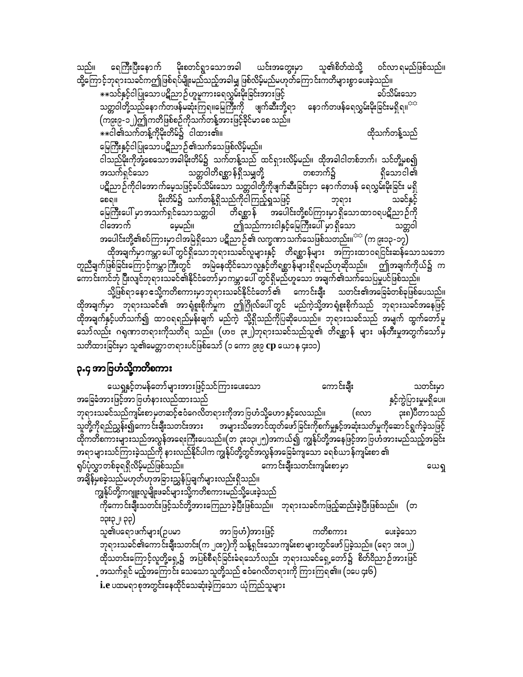ဝင်လာ ရမည်ဖြစ်သည်။ ရေကြီးပြီးနောက် မိုးစတင်ရွာသောအခါ ယင်းအတွေးမှာ သူ၏စိတ်ထဲသို့ သည်။ ထို့ကြောင့်ဘုရားသခင်ကဤဖြစ်ရပ်မျိုးမည်သည့်အခါမျှ ဖြစ်လိမ့်မည်မဟုတ်ကြောင်းကတိများစွာပေးခဲ့သည်။ ခပ်သိမ်းသော \*\*သင်နှင့်ငါပြုသော ပဋိညာဉ်ဟူမူကားရေလွှမ်းမိုးခြင်းအားဖြင့် သတ္တဝါတို့သည်နောက်တဖန်မဆုံးကြရ။မြေကြီးကို ဖျက်ဆီးဘို့ရာ နောက်တဖန်ရေလွှမ်းမိုးခြင်းမရှိရ။<sup>အာ</sup> (ကျွေး၉-၁၂)ဤကတိဖြစ်စဉ်ကိုသက်တန့်ဘားဖြင့်ခိုင်မာ စေ သည်။ \*\*ငါ၏သက်တန့်ကိုမိုးတိမ်၌ ငါထား၏။ ထိုသက်တန့်သည် မြေကြီးနှင့်ငါပြုသောပဋိညာဉ်၏သက်သေဖြစ်လိမ့်မည်။ ငါသည်မိုးကိုအုံ့စေသောအခါမိုးတိမ်၌ သက်တန့်သည် ထင်ရှားလိမ့်မည်။ ထိုအခါငါတစ်ဘက်၊ သင်တို့မှစ၍ အသက်ရှင်သော သတ္တဝါတိရစ္ဆာန်ရှိသမျှတို့ တစၥာက်၌ ရှိသောငါ၏ ပဋိညာဉ်ကိုငါအောက်မေ့သဖြင့်ခပ်သိမ်းသော သတ္တဝါတို့ကိုဖျက်ဆီးခြင်းငှာ နောက်တဖန် ရေလွှမ်းမိုးခြင်း မရှိ မိုးတိမ်၌ သက်တန့်ရှိသည်ကိုငါကြည့်ရှုသဖြင့် သခင်နှင့်  $GOQII$ ဘုရား မြေကြီးပေါ် မှာအသက်ရှင်သောသတ္တဝါ တိရစ္ဆာန် အပေါင်းတို့စပ်ကြားမှာ ရှိသောထာဝရပဋိညာဉ်ကို ဤသည်ကားငါနှင့်မြေကြီးပေါ် မှာရှိသော ငါအောက် မေ့မည်။ သတ္တဝါ အပေါင်းတို့၏စပ်ကြားမှာငါအမြဲရှိသော ပဋိညာဉ်၏ လက္ခဏာသက်သေဖြစ်သတည်း။<sup>သင</sup> (က ၉း၁၃-၁၇) ထိုအချက်မှာကမ္ဘာပေါ် တွင်ရှိသောဘုရားသခင်လူများနှင့် တိရစ္ဆာန်များ အကြားထာဝရငြင်းဆန်သောသဘော တူညီချက်ဖြစ်ခြင်းကြောင့်ကမ္ဘာကြီးတွင် အမြဲနေထိုင်သောလူနှင့်တိရစ္ဆာန်များရှိရမည်ဟုဆိုသည်။ ဤအချက်ကိုယ်၌ က ာကာ င်းကင်ဘုံ ပြီးလျင်ဘုရားသခင်၏နိုင်ငံတော်မှာ ကမ္ဘာပေါ် တွင်ရှိမည်ဟူသော အချက်၏သက်သေပြမှုပင်ဖြစ်သည်။ သို့ဖြစ်ရာနော ဧသို့ကတိစကားမှာဘုရားသခင်နိုင်ငံတော် ၏ ကောင်းချီး သတင်း၏အခြေခံတစ်ခုဖြစ်ပေသည်။

ထိုအချက်မှာ ဘုရားသခင်၏ အာရုံစူးစိုက်မှုက ဤဂြိုလ်ပေါ် တွင် မည်ကဲ့သို့အာရုံစူးစိုက်သည် ဘုရားသခင်အနေဖြင့် ထိုအချက်နှင့်ပတ်သက်၍ ထာဝရရည်မှန်းချက် မည်ကဲ့ သို့ရှိသည်ကိုပြဆိုပေသည်။ ဘုရားသခင်သည် အမျက် ထွက်တော်မူ သော်လည်း ဂရုဏာတရားကိုသတိရ သည်။ (ဟဗ ၃း၂)ဘုရားသခင်သည်သူ၏ တိရစ္ဆာန် များ ဖန်တီးမှုအတွက်သော်မှ သတိထားခြင်းမှာ သူ၏မေတ္တာတရားပင်ဖြစ်သော် (၁ ကော ၉း၉ **cp** ယောန ၄း၁၁)

### ၃.၄ အာဗြဟံသို့ကတိစကား

ယေရှုနှင့်တမန်တော်များအားဖြင့်သင်ကြားပေးသော ကောင်းချီး သတင်းမှာ နှင့်ကွဲပြားမှုမရှိပေ။ အခြေခံအားဖြင့်အာ ဗြဟံနားလည်ထားသည် ဘုရားသခင်သည်ကျမ်းစာမှတဆင့်ဧဝံဂေလိတရားကိုအာဗြဟံသို့ဟောနှင့်လေသည်။ (၈လာ ၃း၈)ပီတာသည် သူတို့ကိုရည်ညွှန်း၍ကောင်းချီးသတင်းအား အများသိအောင်ထုတ်ဖော်ခြင်းကိုစက်မှုနှင့်အဆုံးသတ်မှုကိုဆောင်ရွက်ခဲ့သဖြင့် ထိုကတိစကားများသည်အလွန်အရေးကြီးပေသည်။(တ ၃း၁၃၊၂၅)အကယ်၍ ကျွန်ုပ်တို့အနေဖြင့်အာဗြဟံအားမည်သည့်အခြင်း .<br>အရာများသင်ကြားခဲ့သည်ကို နားလည်နိုင်ပါက ကျွန်ုပ်တို့တွင်အလွန်အခြေခံကျသော ခရစ်ယာန်ကျမ်းစာ ၏ ကောင်းချီးသတင်းကျမ်းစာမှာ ရုပ်ပုံလွှာတစ်ခုရရှိလိမ့်မည်ဖြစ်သည်။ ယေရှ အချိန်မှစခဲ့သည်မဟုတ်ဟုအခြားညွှန်ပြချက်များလည်းရှိသည်။ ကျွန်ုပ်တို့ကဂျူးလူမျိုးဖခင်များသို့ကတိစကားမည်သို့ပေးခဲ့သည် -<br>ကိုကောင်းချီးသတင်းဖြင့်သင်တို့အားကြေညာခဲ့ပြီးဖြစ်သည်။ ဘုရားသခင်ကဖြည့်ဆည်းခဲ့ပြီးဖြစ်သည်။ (တ ၁၃း၃၂၊ ၃၃) ကတိစကား သူ၏ပရောဖက်များ(ဉပမာ အာဗြဟံ)အားဖြင့် ပေးခဲ့သော ဘုရားသခင်၏ကောင်းချီးသတင်း(က ၂၀း၇)ကို သန့်ရှင်းသောကျမ်းစာများတွင်ဖော်ပြခဲ့သည်။ (ရော ၁း၁၊၂) ထိုသတင်းကြောင့်လူတို့ရှေ့၌ အပြစ်စီရင်ခြင်းခံရသော်လည်း ဘုရားသခင်ရှေ့တော်၌ စိတ်ဝိညာဉ်အားဖြင် ့အသက်ရှင် မည့်အကြောင်း သေသော သူတို့သည် ဧဝံဂေလိတရားကို ကြားကြရ၏။ (၁ပေ ၄း၆) i.e ပထမရာစုအတွင်းနေထိုင်သေဆုံးခဲ့ကြသော ယုံကြည်သူများ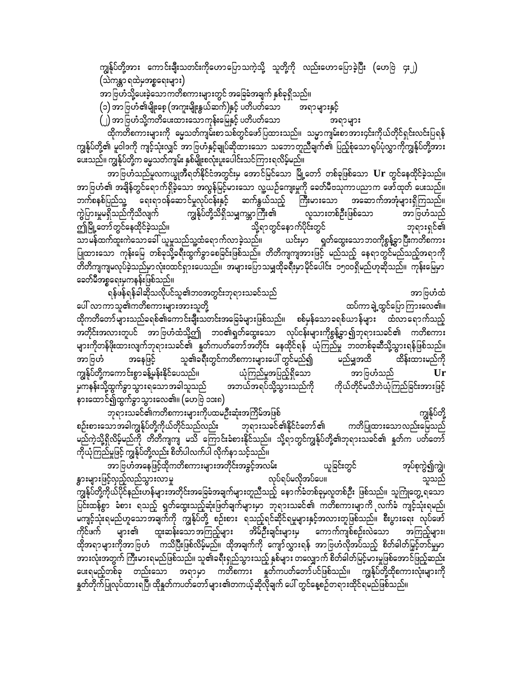ကျွန်ုပ်တို့အား ကောင်းချီးသတင်းကိုဟောပြောသကဲ့သို့ သူတို့ကို လည်းဟောပြောခဲ့ပြီး (ဟေဗြဲ ၄း၂) (သဲကန္တာ ရထဲမှအစ္စရေးများ)

အာဗြဟံသို့ပေးခဲ့သောကတိစကားများတွင် အခြေခံအချက် နှစ်ခုရှိသည်။

(၁) အာဗြဟံ၏မျိုးစေ့ (အကူးမျိုးနွယ်ဆက်)နှင့် ပတိပတ်သော အရာများနှင့်

(၂) အာဗြဟံသို့ကတိပေးထားသောကုန်းမြေနှင့် ပတိပတ်သော အရာများ

ထိုကတိစကားများကို ဓမ္မသတ်ကျမ်းစာသစ်တွင်ဖော်ပြထားသည်။ သမ္မာကျမ်းစာအား၄င်းကိုယ်တိုင်ရှင်းလင်းပြရန် ကျွန်ုပ်တို့၏ မူဝါဒကို ကျင့်သုံးလျှင် အာဗြဟံနှင့်ချုပ်ဆိုထားသော သဘောတူညီချက်၏ ပြည့်စုံသောရုပ်ပုံလွှာကိုကျွန်ုပ်တို့အား ပေးသည်။ ကျွန်ုပ်တို့က မွေသတ်ကျမ်း နှစ်မျိုးစလုံးပူးပေါင်းသင်ကြားရလိမ့်မည်။

အာဗြဟံသည်မူလကယ္ခုအီရတ်နိုင်ငံအတွင်းမှ အောင်မြင်သော မြို့တော် တစ်ခုဖြစ်သော  $\mathbf U$ r တွင်နေထိုင်ခဲ့သည်။ အာဗြဟံ၏ အချိန်တွင်ရောက်ရှိခဲ့သော အလွန်မြင့်မားသော လူ့ယဉ်ကျေးမှုကို ခေတ်မီဗသုကာပညာက ဖော်ထုတ် ပေးသည်။ ဘက်စနစ်ပြည်သူ့ ရေးရာဝန်ဆောင်မှုလုပ်ငန်းနှင့် ဆက်နွယ်သည့် ကြီးမားသော အဆောက်အအုံများရှိကြသည်။ ကွဲပြားမှုမရှိသည်ကိုသိလျက် ကျွန်ုပ်တို့သိရှိသမျှကမ္ဘာကြီး၏ လူသားတစ်ဦးဖြစ်သော အာဗြဟံသည် ကြံမြို့တော်တွင်နေထိုင်ခဲ့သည်။ .<br>သို့ရာတွင်နောက်ပိုင်းတွင် ဘုရားရှင်၏ ယင်းမှာ ရှတ်ထွေးသောဘဝကိုစွန့်ခွာပြီးကတိစကား ပြုထားသော ကုန်းမြေ တစ်ခုသို့ခရီးထွက်ခွာစေခြင်းဖြစ်သည်။ တိတိကျကျအားဖြင့် မည်သည့် နေရာတွင်မည်သည့်အရာကို တိတိကျကျမလုပ်ခဲ့သည်မှာလုံးဝထင်ရှားပေသည်။ အများပြောသမျှထိုခရီးမှာမိုင်ပေါင်း ၁၅၀၀ရှိမည်ဟုဆိုသည်။ ကုန်းမြေမှာ ခေတ်မီအစ္စရေးမှကနန်းဖြစ်သည်။

ရန်ဖန်ရန်ခါဆိုသလိုပင်သူ၏ဘဝအတွင်းဘုရားသခင်သည် အာဗြဟံထံ ပေါ် လာကာသူ၏ကတိစကားများအားသူတို့ ထပ်ကာချဲ့ထွင်ပြောကြားလေ၏။ ထိုကတိတော်များသည်ခရစ်၏ကောင်းချီးသတင်းအခြေခံများဖြစ်သည်။ စစ်မှန်သောခရစ်ယာန်များ ထံလာရောက်သည့် အတိုင်းအလားတူပင် အာဗြဟံထံသို့ဤ ဘဝ၏ရှတ်ထွေးသော လုပ်ငန်းများကိုစွန့်ခွာ၍ဘုရားသခင်၏ ကတိစကား များကိုတန်ဖိုးထားလျက်ဘုရားသခင်၏ နှတ်ကပတ်တော်အတိုင်း နေထိုင်ရန် ယုံကြည်မှု ဘဝတစ်ခုဆီသို့သွားရန်ဖြစ်သည်။ သူ၏ခရီးတွင်ကတိစကားများပေါ် တွင်မည်၍ အာဗြဟံ အနေဖြင့် မည်မျှအထိ ထိန်းထားမည်ကို ကျွန်ုပ်တို့ကကောင်းစွာ ခန့်မှန်းနိုင်ပေသည်။ ယုံကြည်မှုအပြည့်ရှိသော အာဗြဟံသည် Ur ကိုယ်တိုင်မသိဘဲယုံကြည်ခြင်းအားဖြင့် အဘယ်အရပ်သို့သွားသည်ကို နားထောင်၍ထွက်ခွာသွားလေ၏။ (ဟေဗြဲ ၁၁း၈)

ကျွန်ုပ်တို့ ဘုရားသခင်၏ကတိစကားများကိုပထမဦးဆုံးအကြိမ်အဖြစ် စဉ်းစားသော အခါကျွန်ုပ်တို့ကိုယ်တိုင်သည်လည်း ကတိပြုထားသောလည်းမြေသည် ဘုရားသခင်၏နိုင်ငံတော်၏ မည်ကဲ့သို့ရှိလိမ့်မည်ကို တိတိကျကျ မသိ ကြောင်းခံစားနိုင်သည်။ သို့ရာတွင်ကျွန်ုပ်တို့၏ဘုရားသခင်၏ နှုတ်က ပတ်တော် ကိုယုံကြည်မှုဖြင့် ကျွန်ုပ်တို့လည်း စိတ်ပါလက်ပါ လိုက်နာ သင့်သည်။

ားသို့<br>အာဗြဟႆအနေဖြင့်ထိုကတိစကားများအတိုင်းအခွင့်အလမ်း ယူခြင်းတွင် အုပ်စုကွဲ၍ကျွဲ၊ လုပ်ရပ်မလိုအပ်ပေ။ နွားများဖြင့်လှည့်လည်သွားလာမှု သူသည် .<br>ကျွန်ုပ်တို့ကိုယ်ပိုင်နည်းဟန်များအတိုင်းအခြေခံအချက်များတူညီသည့် နောက်ခံတစ်ခုမှလူတစ်ဦး ဖြစ်သည်။ သူကြုံတွေ့ရသော ပြင်းထန်စွာ ခံစား ရသည့် ရှတ်ထွေးသည့်ဆုံးဖြတ်ချက်များမှာ ဘုရားသခင်၏ ကတိစကားမျာကို လက်ခံ ကျင့်သုံးရမည်၊ မကျင့်သုံးရမည်ဟူသောအချက်ကို ကျွန်ုပ်တို့ စဉ်းစား ရသည့်ရင်ဆိုင်ရမှုများနှင့်အလားတူဖြစ်သည်။ စီးပွားရေး လုပ်ဖော် ာ<br>ထူးဆန်းသော အကြည့်များ များ၏ အိမ်ဦးချင်းများမှ ကောက်ကျစ်စဉ်းလဲသော ကိုင်ဖက် အကြည့်များ၊ ထိုအရာများကိုအာဗြဟံ ကသိပြီးဖြစ်လိမ့်မည်။ ထိုအချက်ကို ကျော်လွှားရန် အာဗြဟံလိုအပ်သည့် စိတ်ဓါတ်မြှင့်တင်မှုမှာ အားလုံးအတွက် ကြီးမားရမည်ဖြစ်သည်။ သူ၏ခရီးရှည်သွားသည့် နှစ်များ တလျှောက် စိတ်ခါတ်မြင့်မားမှုဖြစ်အောင်ဖြည့်ဆည်း ပေးရမည့်တစ်ခု တည်းသော အရာမှာ ကတိစကား နှတ်ကပတ်တော်ပင်ဖြစ်သည်။ ကျွန်ုပ်တို့ထိုစကားလုံးများကို နှတ်တိုက်ပြုလုပ်ထားရပြီ၊ ထိုနှတ်ကပတ်တော်များ၏တကယ့်ဆိုလိုချက် ပေါ် တွင်နေ့စဉ်တရားထိုင်ရမည်ဖြစ်သည်။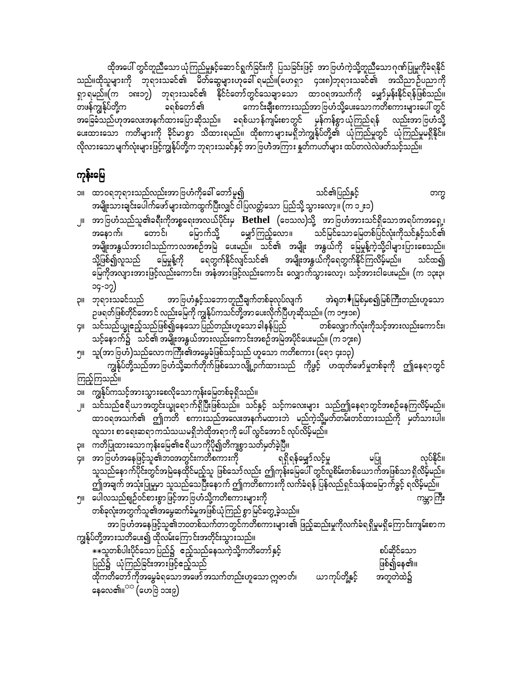ထိုအပေါ် တွင်တူညီသော ယုံကြည်မှုနှင့်ဆောင်ရွက်ခြင်းကို ပြသခြင်းဖြင့် အာဗြဟံကဲ့သို့တူညီသော ဂုဏ်ပြုမှုကိုခံရနိုင် သည်။ထိုသူများကို ဘုရားသခင်၏ မိတ်ဆွေများဟုခေါ် ရမည်။(ဟေရှာ ၄၁း၈)ဘုရားသခင်၏ အသိညာဉ်ပညာကို ရှာရမည်။(က ၁၈း၁၇) ဘုရားသခင်၏ နိုင်ငံတော်တွင်သေချာသော ထာဝရအသက်ကို မျှော်မှန်းနိုင်ရန်ဖြစ်သည်။ တဖန်ကျွန်ုပ်တို့က ခရစ်တော် ၏ ကောင်းချီးစကားသည်အာဗြဟံသို့ပေးသောကတိစကားများပေါ် တွင် အခြေခံသည်ဟုအလေးအနက်ထားပြောဆိုသည်။ ခရစ်ယာန်ကျမ်းစာတွင် မှန်ကန်စွာယုံကြည်ရန် လည်းအာဗြဟံသို့ ပေးထားသော ကတိများကို ခိုင်မာစွာ သိထားရမည်။ ထိုစကာများမရှိဘဲကျွန်ုပ်တို့၏ ယုံကြည်မှုတွင် ယုံကြည်မှုမရှိနိုင်။ လိုလားသော မျက်လုံးများဖြင့်ကျွန်ုပ်တို့က ဘုရားသခင်နှင့် အာဗြဟဲအကြား နှတ်ကပတ်များ ထပ်တလဲလဲဖတ်သင့်သည်။

### ကုန်းမြေ

- ၁။ ထာဝရဘုရားသည်လည်းအာဗြဟံကိုခေါ် တော်မူ၍ သင်၏ပြည်နှင့် တက္က အမျိုးသားချင်းပေါက်ဖော်များထဲကထွက်ပြီးလျှင် ငါပြလတ္တံသော ပြည်သို့ သွားလော့ ။ (က ၁၂း၁)
- ၂။ အာဗြဟံသည်သူ၏ခရီးကိုအစ္စရေးအလယ်ပိုင်းမှ  $\bf{Bethel}$  (ဗေသလ)သို့ အာဗြဟံအားသင်ရှိသောအရပ်ကအရှေ့၊ မျှော်ကြည့်လော။ သင်မြင်သောမြေတစ်ပြင်လုံးကိုသင်နှင့်သင်၏ မြောက်သို့ အနောက်၊ တောင်၊ အမျိုးအနွယ်အားငါသည်ကာလအစဉ်အမြဲ ပေးမည်။ သင်၏ အမျိုး အနွယ်ကို မြေမှုန့်ကဲ့သို့ငါများပြားစေသည်။ သို့ဖြစ်၍လူသည် မြေမှုန့်ကို ရေတွက်နိုင်လျင်သင်၏ အမျိုးအနွယ်ကိုရေတွက်နိုင်ကြလိမ့်မည်။ သင်ထ၍ မြေကိုအလျားအားဖြင့်လည်းကောင်း၊ အနံအားဖြင့်လည်းကောင်း လျှောက်သွားလော့၊ သင့်အားငါပေးမည်။ (က ၁၃း၃၊ ၁၄-၁၇)
- အာဗြဟံနှင့်သဘောတူညီချက်တစ်ခုလုပ်လျက် ၃။ ဘုရားသခင်သည် အဲရှတ♥ုမြစ်မှစ၍မြစ်ကြီးတည်းဟူသော ှာ<br>၁ဖရတ်ဖြစ်တိုင်အောင် လည်းမြေကို ကျွန်ုပ်ကသင်တို့အာပေးလိုက်ပြီဟုဆိုသည်။ (က ၁၅း၁၈)
- ၄။ သင်သည်ယျှဧည့်သည်ဖြစ်၍နေသောပြည်တည်းဟူသော ခါနန်ပြည် တစ်လျှောက်လုံးကိုသင့်အားလည်းကောင်း၊ သင့်နောက်၌ သင်၏ အမျိုးအနွယ်အားလည်းကောင်းအစဉ်အမြဲအပိုင်ပေးမည်။ (က ၁၇း၈)
- ၅။ သူ(အာ ဗြဟံ)သည်လောကကြီး၏အမွေခံဖြစ်သင့်သည် ဟူသော ကတိစကား (ရော ၄း၁၃) ကျွန်ုပ်တို့သည်အာဗြဟံသို့ဆက်တိုက်ဖြစ်သောလျို့ဝှက်ထားသည် ကိုဖွင့် ဟထုတ်ဖော်မှုတစ်ခုကို ဤနေရာတွင်
- ကြည့်ကြသည်။
- ၁။ ကျွန်ုပ်ကသင့်အားသွားစေလိုသောကုန်းမြေတစ်ခုရှိသည်။
- ၂။ သင်သည်ဧရိယာအတွင်းယျှရောက်ရှိပြီးဖြစ်သည်။ သင်နှင့် သင့်ကလေးများ သည်ဤနေရာတွင်အစဉ်နေကြလိမ့်မည်။ ထာဝရအသက်၏ ဤကတိ စကားသည်အလေးအနက်မထားဘဲ မည်ကဲ့သို့မတ်တမ်းတင်ထားသည်ကို မှတ်သားပါ။ လူသား စာရေးဆရာကသံသယမရှိဘဲထိုအရာကို ပေါ် လွင်အောင် လုပ်လိမ့်မည်။
- ၃။ ကတိပြုထားသောကုန်းမြေ၏ဧရိယာကိုပို၍တိကျစွာသတ်မှတ်ခဲ့ပြီ။
- ၄။ အာဗြဟႆအနေဖြင့်သူ၏ဘ၀အတွင်းကတိစကားကို လုပ်နိုင်။ ရရှိရန်မျှော်လင့်မှု မပြု သူသည်နောက်ပိုင်းတွင်အမြဲနေထိုင်မည့်သူ ဖြစ်သော်လည်း ဤကုန်းမြေပေါ် တွင်လူစိမ်းတစ်ယောက်အဖြစ်သာ ရှိလိမ့်မည်။<br>ဤအချက် အသုံးပြုမှုမှာ သူသည်သေပြီးနောက် ဤကတိစကားကို လက်ခံရန် ပြန်လည်ရှင်သန်ထမြောက်ခွင့် ရလိမ့်မည်။ ၅။ ပေါလသည်စျဉ်ဝင်စားစွာဖြင့်အာဗြဟံသို့ကတိစကားများကို ကမ္ဘာကြီး
- တစ်ခုလုံးအတွက်သူ၏အမွေဆက်ခံမှုအဖြစ်ယုံကြည် စွာမြင်တွေ့ခဲ့သည်။ အာဗြဟႆအနေဖြင့်သူ၏ဘဝတစ်သက်တာတွင်ကတိစကားများ၏ ဖြည့်ဆည်းမှုကိုလက်ခံရရှိမှုမရှိကြောင်းကျမ်းစာက
- ကျွန်ုပ်တို့အားသတိပေး၍ ထိုလမ်းကြောင်းအတိုင်းသွားသည်။ \*\*သူတစ်ပါးပိုင်သော ပြည်၌ ဧည့်သည်နေသကဲ့သို့ကတိတော်နှင့် စပ်ဆိုင်သော ပြည်၌ ယုံကြည်ခြင်းအားဖြင့်ဧည့်သည် ဖြစ်၍နေ၏။ အတူတဲထဲ၌ ္<br>နေလေ၏။<sup>သာ</sup> (ဟေဗြဲ ၁၁း၉)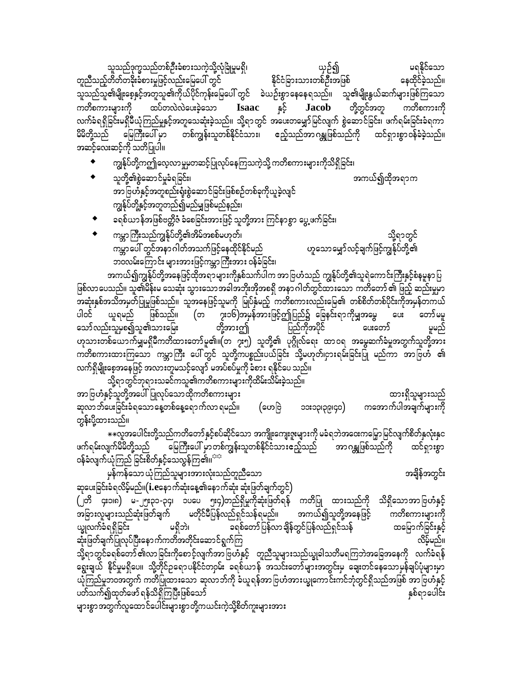မရနိုင်သော သူသည်ဒုက္ခသည်တစ်ဦးခံစားသကဲ့သို့လုံခြုံမှုမရှိ၊ ယှဉ်၍ နေထိုင်ခဲ့သည်။ နိုင်ငံခြားသားတစ်ဦးအဖြစ် တူညီသည့်တိတ်တခိုးခံစားမှုဖြင့်လည်းမြေပေါ် တွင် ားသြား<br>သူသည်သူ၏မျိုးစေ့နှင့်အတူသူ၏ကိုယ်ပိုင်ကုန်းမြေပေါ် တွင် ခဲယဉ်းစွာနေနေရသည်။ သူ၏မျိုးနွယ်ဆက်များဖြစ်ကြသော ကတိစကားများကို နှင့် တို့တွင်အတူ ထပ်တလဲလဲပေးခဲ့သော **Jacob** ကတိစကားကို **Isaac** လက်ခံရရှိခြင်းမရှိမီယုံကြည်မှုနှင့်အတူသေဆုံးခဲ့သည်။ သို့ရာတွင် အပေးတမျှော်မြင်လျက် စွဲဆောင်ခြင်း၊ ဖက်ရမ်းခြင်းခံရကာ တစ်ကျွန်းသူတစ်နိုင်ငံသား၊ ဧည့်သည်အာဂန္တုဖြစ်သည်ကို ထင်ရှားစွာဝန်ခံခဲ့သည်။ မိမိတို့သည် မြေကြီးပေါ် မှာ အဆင့်လေးဆင့်ကို သတိပြုပါ။

အကယ်၍ထိုအရာက

- ကျွန်ုပ်တို့ကဤလေ့လာမှုမှတဆင့်ပြုလုပ်နေကြသကဲ့သို့ ကတိစကားများကိုသိရှိခြင်း၊
- $\bullet$ သူတို့၏စွဲဆောင်မှုခံရခြင်း၊ အာဗြဟႆနှင့်အတူစည်းရုံးစွဲဆောင်ခြင်းဖြစ်စဉ်တစ်ခုကိုယူခဲ့လျင် ကျွန်ုပ်တို့နှင့်အတူတည်၍မည်မျှဖြစ်မည်နည်း၊
- ခရစ်ယာန်အဖြစ်ဗတ္တိဇံ ခံစေခြင်းအားဖြင့် သူတို့အား ကြင်နာစွာ ပွေ့ ဖက်ခြင်း၊
- သို့ရာတွင်<br>ဟူသောမျှော်လင့်ချက်ဖြင့်ကျွန်ုပ်တို့၏ ကမ္ဘာကြီးသည်ကျွန်ုပ်တို့၏အိမ်အစစ်မဟုတ်၊ ကမ္ဘာပေါ် တွင်အနာဂါတ်အသက်ဖြင့်နေထိုင်နိုင်မည် ဘဝလမ်းကြောင်း များအားဖြင့်ကမ္ဘာကြီးအား ဝန်ခံခြင်း၊

အကယ်၍ကျွန်ုပ်တို့အနေဖြင့်ထိုအရာများကိုနှစ်သက်ပါက အာဗြဟံသည် ကျွန်ုပ်တို့၏သူရဲကောင်းကြီးနှင့်စံနမူနာပြ ဖြစ်လာပေသည်။ သူ၏မိန်းမ သေဆုံး သွားသောအခါအဘိုးအိုအစရှိ အနာ ဂါတ်တွင်ထားသော ကတိတော် ၏ ဖြည့် ဆည်းမှုမှာ အဆုံးနှစ်အသိအမှတ်ပြုမှုဖြစ်သည်။ သူအနေဖြင့်သူမကို မြုပ်နှံမည့် ကတိစကားလည်းမြေ၏ တစ်စိတ်တစ်ပိုင်းကိုအမှန်တကယ် ယူရမည် .<br>တော်မမူ ပါဝင် သော်လည်းသူမှစ၍သူ၏သားမြေး တို့အားဤ ပြည်ကိုအပိုင် ပေးတော် မှုမည် ဟုသားတစ်ယောက်မျှမရှိမီကတိထားတော်မူ၏။(တ ၇း၅) သူတို့၏ ပုဂ္ဂိုလ်ရေး ထာဝရ အမွေဆက်ခံမှုအတွက်သူတို့အား ကတိစကားထားကြသော ကမ္ဘာကြီး ပေါ်တွင် သူတို့ကပစ္စည်းပယ်ခြင်း သို့မဟုတ်၊ငှားရမ်းခြင်းပြု မည်ကာ အာဗြဟႆ ၏ လက်ရှိမျိုးစေ့အနေဖြင့် အလားတူမသင့်လျော် မအပ်စပ်မှုကို ခံစား ရနိုင်ပေ သည်။

သို့ရာတွင်ဘုရားသခင်ကသူ၏ကတိစကားများကိုထိမ်းသိမ်းခဲ့သည်။ အာ ဗြဟံနှင့်သူတို့အပေါ်ပြုလုပ်သောထိုကတိစကားများ ထားရှိသူများသည် ကအောက်ပါအချက်များကို ဆုလာ ဘ်ပေးခြင်းခံရသော နေ့တစ်နေ့ရောက်လာ ရမည်။ (ဟေဗြဲ (obidàcicc တွန်းပို့ထားသည်။

\*\*လူအပေါင်းတို့သည်ကတိတော်နှင့်စပ်ဆိုင်သော အကျိုးကျေးဇူးများကို မခံရဘဲအဝေးကမြှောမြင်လျက်စိတ်နှလုံးနှင အာဂန္တုဖြစ်သည်ကို ့<br>မြကြီးပေါ် မှာ တစ်ကျွန်းသူတစ်နိုင်ငံသားဧည့်သည် ဖက်ရမ်းလျက်မိမိတို့သည် ထင်ရှားစွာ ဝန်ခံလျက်ယုံကြည် ခြင်းစိတ်နှင့်သေလွန်ကြ၏။<sup>သာ</sup>

မှန်ကန်သော ယုံကြည်သူများအားလုံးသည်တူညီသော အချိန်အတွင်း ဆုပေးခြင်းခံရလိမ့်မည်။( $i.e$ နောက်ဆုံးနေ့၏နောက်ဆုံး ဆုံးဖြတ်ချက်တွင်) (၂တိ ၄း၁၊၈) မ-၂၅း၃၁-၃၄၊ ၁ပပေ ၅း၄)တည်ရှိမှုကိုဆုံးဖြတ်ရန် ကတိပြု ထားသည်ကို သိရှိသောအာဗြဟံနှင့် မတိုင်မီပြန်လည်ရှင်သန်ရမည်။ အခြားလူများသည်ဆုံးဖြတ်ချက် အကယ်၍သူတို့အနေဖြင့် ကတိစကားများကို ယ္ခုလက်ခံရရှိခြင်း မရှိဘဲ၊ ခရစ်တော်ပြန်လာချိန်တွင်ပြန်လည်ရှင်သန် ထမြောက်ခြင်းနှင့် ဆုံးဖြတ်ချက်ပြုလုပ်ပြီးနောက်ကတိအတိုင်းဆောင်ရွက်ကြ လိမ့်မည်။ သို့ရာတွင်ခရစ်တော် ၏လာခြင်းကိုစောင့်လျက်အာဗြဟံနှင့် တူညီသူများသည်ယျွခါသတိမရကြဘဲအခြေအနေကို လက်ခံရန် ရွေးချယ် နိုင်မှုမရှိပေ။ သို့တိုင်ဥရောပနိုင်ငံတဝှမ်း ခရစ်ယာန် အသင်းတော်များအတွင်းမှ ချေးတင်နေသောမှန်ချပ်ပုံများမှာ ယိုကြည်မှုဘဝအတွက် ကတိပြုထားသော ဆုလာဘ်ကို ခံယူရန်အာဗြဟံအားယ္ခုကောင်းကင်ဘုံတွင်ရှိသည်အဖြစ် အာဗြဟံနှင့် ပတ်သက်၍ထုတ်ဖော် ရန်သိရှိကြပြီးဖြစ်သော် နှစ်ရာပေါင်း များစွာအတွက်လူထောင်ပေါင်းများစွာတို့ကယင်းကဲ့သို့စိတ်ကူးများအား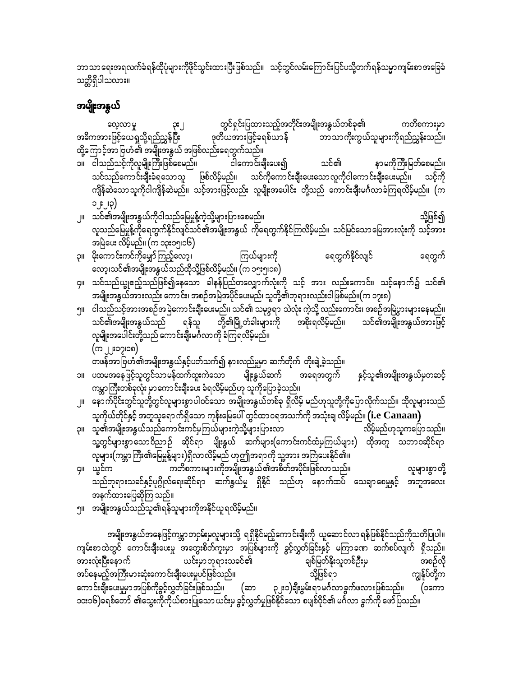ဘာသာရေးအရလက်ခံရန်ထိုပုံများကိုဖိုင်သွင်းထားပြီးဖြစ်သည်။ သင့်တွင်လမ်းကြောင်းပြင်ပသို့တက်ရန်သမ္မာကျမ်းစာအခြေခံ သတ္တိရှိပါသလား။

## အမျိုးအနွယ်

တွင်ရှင်းပြထားသည့်အတိုင်းအမျိုးအနွယ်တစ်ခု၏ ကတိစကားမှာ လေ့လာမှု ဒုတိယအားဖြင့်ခရစ်ယာန် -<br>-<br>ဘာသာကိုးကွယ်သူများကိုရည်ညွှန်းသည်။ အဓိကအားဖြင့်ယေရှုသို့ရည်ညွှန်ပြီး ထို့ကြောင့်အာဗြဟံ၏ အမျိုးအနွယ် အဖြစ်လည်းရေတွက်သည်။

- ၁။ ငါသည်သင့်ကိုလူမျိုးကြီးဖြစ်စေမည်။ ငါကောင်းချီးပေး၍ သင်၏ နာမကိုကြီးမြတ်စေမည်။ သင်သည်ကောင်းချီးခံရသောသူ ဖြစ်လိမ့်မည်။ သင်ကိုကောင်းချီးပေးသောလူကိုငါကောင်းချီးပေးမည်။ သင့်ကို ကျိန်ဆဲသော သူကိုငါကျိန်ဆဲမည်။ သင့်အားဖြင့်လည်း လူမျိုးအပေါင်း တို့သည် ကောင်းချီးမင်္ဂလာခံကြရလိမ့်မည်။ (က  $\left(\varphi_{\parallel,\parallel}^{\mathrm{s}}\right)$
- သို့ဖြစ်၍ ၂။ သင်၏အမျိုးအနွယ်ကိုငါသည်မြေမှုန့်ကဲ့သို့များပြားစေမည်။ လူသည်မြေမှုန့်ကိုရေတွက်နိုင်လျှင်သင်၏အမျိုးအနွယ် ကိုရေတွက်နိုင်ကြလိမ့်မည်။ သင်မြင်သောမြေအားလုံးကို သင့်အား အမြဲပေး လိမ့်မည်။ (က ၁၃း၁၅၊၁၆) -
- ရေတွက်နိုင်လျင် ၃။ မိုးကောင်းကင်ကိုမျှော်ကြည့်လော့၊ ကြယ်များကို ရေတွက် လော့၊သင်၏အမျိုးအနွယ်သည်ထိုသို့ဖြစ်လိမ့်မည်။ (က ၁၅း၅၊၁၈)
- ၄။ သင်သည်ယျွဧည့်သည်ဖြစ်၍နေသော ခါနန်ပြည်တလျှောက်လုံးကို သင့် အား လည်းကောင်း၊ သင့်နောက်၌ သင်၏ အမျိုးအနွယ်အားလည်း ကောင်း၊ အစဉ်အမြဲအပိုင်ပေးမည်၊ သူတို့၏ဘုရားလည်းငါဖြစ်မည်။(က ၁၇း၈)
- ၅။ ငါသည်သင့်အားအစဉ်အမြဲကောင်းချီးပေးမည်။ သင်၏ သမုဒ္ဒရာ သဲလုံး ကဲ့သို့ လည်းကောင်း၊ အစဉ်အမြဲပွားများနေမည်။ တို့၏မြို့တံခါးများကို -<br>အစိုးရလိမ့်မည်။ သင်၏အမျိုးအနွယ်သည် ရန်သူ သင်၏အမျိုးအနွယ်အားဖြင့် လူမျိုးအပေါင်းတို့သည် ကောင်းချီးမင်္ဂလာကို ခံကြရလိမ့်မည်။ (ယ ါ'း၁ပါ၁ၿ)

တဖန်အာဗြဟံ၏အမျိုးအနွယ်နှင့်ပတ်သက်၍ နားလည်မှုမှာ ဆက်တိုက် တိုးချဲ့ခဲ့သည်။

- ၁။ ပထမအနေဖြင့်သူတွင်သာမန်ထက်ထူးကဲသော မျိုးနွယ်ဆက် နှင့်သူ၏အမျိုးအနွယ်မှတဆင့် အရေအတွက် ကမ္ဘာကြီးတစ်ခုလုံး မှာကောင်းချီးပေး ခံရလိမ့်မည်ဟု သူကိုပြောခဲ့သည်။
- <sub>၂။ နော</sub>က်ပိုင်းတွင်သူတို့တွင်လူများစွာပါဝင်သော အမျိုးအနွယ်တစ်ခု ရှိလိမ့် မည်ဟုသူတို့ကိုပြောလိုက်သည်။ ထိုလူများသည် သူကိုယ်တိုင်နှင့် အတူသူရောက်ရှိသော ကုန်းမြေပေါ် တွင်ထာဝရအသက်ကို အသုံးချ လိမ့်မည်။  $\rm(i.e~Canaan)$
- ၃။ သူ၏အမျိုးအနွယ်သည်ကောင်းကင်မှကြယ်များကဲ့သို့များပြားလာ လိမ့်မည်ဟုသူကပြောသည်။ သူ့တွင်များစွာသောဝိညာဉ် ဆိုင်ရာ မျိုးနွယ် ဆက်များ(ကောင်းကင်ထံမှကြယ်များ) ထိုအတူ သဘာဝဆိုင်ရာ လူများ(ကမ္ဘာကြီး၏မြေမှုန့်များ)ရှိလာလိမ့်မည် ဟုဤအရာကို သူ့အား အကြံပေးနိုင်၏။
- ကတိစကားများကိုအမျိုးအနွယ်၏အစိတ်အပိုင်းဖြစ်လာသည်။ ၄။ ယွင်က လူများစွာတို့ သည်ဘုရားသခင်နှင့်ပုဂ္ဂိုလ်ရေးဆိုင်ရာ ဆက်နွယ်မှု ရှိနိုင် သည်ဟု နောက်ထပ် သေချာစေမှုနှင့် အတူအလေး အနက်ထားပြေဆိုကြ သည်။
- ၅။ အမျိုးအနွယ်သည်သူ၏ရန်သူများကိုအနိုင်ယူရလိမ့်မည်။

အမျိုးအနွယ်အနေဖြင့်ကမ္ဘာတဝှမ်းမှလူများသို့ ရရှိနိုင်မည့်ကောင်းချီးကို ယူဆောင်လာရန်ဖြစ်နိုင်သည်ကိုသတိပြုပါ။ ကျမ်းစာထဲတွင် ကောင်းချီးပေးမှု အတွေးစိတ်ကူးမှာ အပြစ်များကို ခွင့်လွှတ်ခြင်းနှင့် မကြာခဏ ဆက်စပ်လျက် ရှိသည်။ အားလုံးပြီးနောက် ယင်းမှာဘုရားသခင်၏ ချစ်မြတ်နိုးသူတစ်ဦးမှ အစဉ်လို အပ်နေမည့်အကြီးမားဆုံးကောင်းချီးပေးမှုပင်ဖြစ်သည်။ ကျွန်ုပ်တို့က သို့ဖြစ်ရာ ကောင်းချီးပေးမှုမှာအပြစ်ကိုခွင့်လွှတ်ခြင်းဖြစ်သည်။ (ဆာ ၃၂း၁)ချီးမွမ်းရာမင်္ဂလာခွက်ဖလားဖြစ်သည်။ (၁ကော ၁၀း၁၆)ခရစ်တော် ၏သွေးကိုကိုယ်စားပြုသောယင်းမှ ခွင့်လွှတ်မှုဖြစ်နိုင်သော စပျစ်ဝိုင်၏ မင်္ဂလာ ခွက်ကို ဖော်ပြသည်။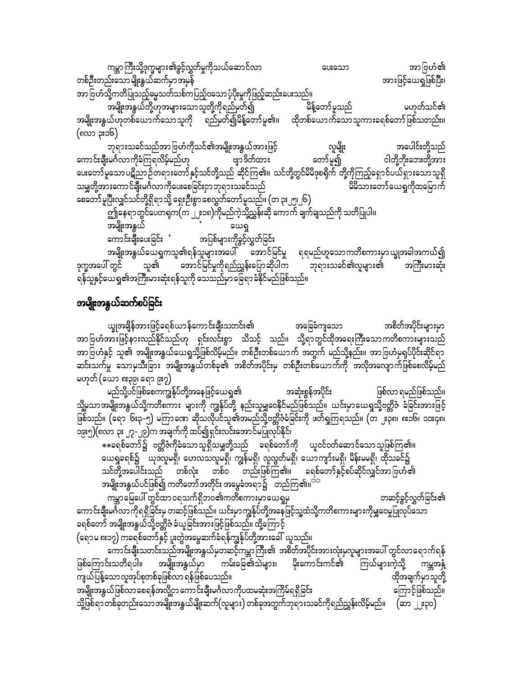ကမ္ဘာကြီးသို့ဒုက္ခများ၏ခွင့်လွှတ်မှုကိုသယ်ဆောင်လာ အာဗြဟံ၏ ပေးသော တစ်ဦးတည်းသောမျိုးနွယ်ဆက်မှာအမှန် အားဖြင့်ယေရှုဖြစ်ပြီး၊

အာဗြဟံသို့ကတိပြုသည့်ဓမ္မသတ်သစ်ကပြည့်ဝသော ပံ့ပိုးမှုကိုဖြည့်ဆည်းပေးသည်။

မဟုတ်သင်၏ အမျိုးအနွယ်တို့ဟုအများသောသူတို့ကိုရည်မှတ်၍ မိန့်တော်မူသည် အမျိုးအနွယ်ဟုတစ်ယောက်သောသူကို ရည်မှတ်၍မိန့်တော်မူ၏။ ထိုတစ်ယောက်သောသူကားခရစ်တော်ဖြစ်သတည်း။ (၈လာ ၃း၁၆)

လူမျိုး ဘုရားသခင်သည်အာဗြဟံကိုသင်၏အမျိုးအနွယ်အားဖြင့် အပေါင်းတို့သည် တော်မူ၍ ဗျာဒိတ်ထား ကောင်းချီးမင်္ဂလာကိုခံကြရလိမ့်မည်ဟု ငါတို့ဘိုးဘေးတို့အား း<br>ပေးတော်မူသော ပဋိညာ ဉ်တရားတော် နှင့်သင်တို့သည် ဆိုင်ကြ၏။ သင်တို့တွင်မိမိဒုစရိုက် တို့ကိုကြည့်ရှောင်ပယ်ရှားသောသူရှိ မိမိသားတော်ယေရှုကိုထမြောက် သမျှတို့အားကောင်ချီးမင်္ဂလာကိုပေးစေခြင်းငှာဘုရားသခင်သည် စေတော်မူပြီးလျှင်သင်တို့ရှိရာသို့ ရှေးဦးစွာ စေလွှတ်တော်မူသည်။ (တ ၃း၂၅၊၂၆)

အမျိုးအနွယ် ယေရှု

္ ။<br>ကောင်းချီးပေးခြင်း ' အပြစ်များကိုခွင့်လွှတ်ခြင်း

အမျိုးအနွယ်ယေရှုကသူ၏ရန်သူများအပေါ် အောင်မြင်မှု ရရမည်ဟူသောကတိစကားမှာယျွအခါအကယ်၍ ဒုက္ခအပေါ် တွင် သူ၏ အောင်မြင်မှုကိုရည်ညွှန်းပြောဆိုပါက ဘုရားသခင်၏လူများ၏ အကြီးမားဆုံး ရန်သူနှင့်ယေရှု၏အကြီးမားဆုံးရန်သူကို သေသည်မှာခြေရာခံနိုင်မည်ဖြစ်သည်။

## အမျိုးအနွယ်ဆက်စပ်ခြင်း

ယ္ခုအချိန်အားဖြင့်ခရစ်ယာန်ကောင်းချီးသတင်း၏ အခြေခံကျသော အစိတ်အပိုင်းများမှာ အာဗြဟံအားဖြင့်နားလည်နိုင်သည်ဟု ရှင်းလင်းစွာ သိသင့် သည်။ သို့ရာတွင်ထိုအရေးကြီးသောကတိစကားများသည် အာဗြဟံနှင့် သူ၏ အမျိုးအနွယ်ယေရှုသို့ဖြစ်လိမ့်မည်။ တစ်ဦးတစ်ယောက် အတွက် မည်သို့နည်း။ အာဗြဟံမှရုပ်ပိုင်းဆိုင်ရာ ဆင်းသက်မှု သောမှသီးခြား အမျိုးအနွယ်တစ်ခု၏ အစိတ်အပိုင်းမှ တစ်ဦးတစ်ယောက်ကို အလိုအလျောက်ဖြစ်စေလိမ့်မည် မဟုတ် (ယော ၈း၃၉၊ ရော ၉း၇)

မည်သို့ပင်ဖြစ်စေကကျွန်ုပ်တို့အနေဖြင့်ယေရှ<mark>ု</mark>၏ အဆုံးစွန်အပိုင်း ဖြစ်လာ ရမည်ဖြစ်သည်။ သို့မသာအမျိုးအနွယ်သို့ကတိစကား များကို ကျွန်ုပ်တို့ နည်းသူမျှဝေနိုင်မည်ဖြစ်သည်။ ယင်းမှာယေရှုသို့ဗတ္တိဇံ ခံခြင်းအားဖြင့် ဖြစ်သည်။ (ရော ၆း၃-၅) မကြာခဏ ဆိုသလိုပင်သူ၏အမည်သို့ဗတ္တိဇံခံခြင်းကို ဖတ်ရှုကြရသည်။ (တ ၂း၃၈၊ ၈း၁၆၊ ၁၀း၄၈၊ ၁၉း၅)(၈လာ ၃း ၂၇ -၂၉)က အချက်ကို ထပ်၍ရှင်းလင်းအောင်မပြုလုပ်နိုင်၊

\*\*ခရစ်တော်၌ ဗတ္တိဇံကိုခံသောသူရှိသမျှတို့သည် ခရစ်တော်ကို ယူငင်ဝတ်ဆောင်သောသူဖြစ်ကြ၏။ ယေရှုခရစ်၌ ပြည်သူမရှိ၊ ဟေလသလူမရှိ၊ ကျွန်မရှိ၊ လူလွတ်မရှိ၊ ယောကျာ်းမရှိ၊ မိန်းမမရှိ၊ ထိုသခင်၌ သင်တို့အပေါင်းသည် တစ်လုံး တစ်ဝ တည်းဖြစ်ကြ၏။ ခရစ်တော်နှင့်စပ်ဆိုင်လျှင်အာ ဗြဟံ၏ အမျိုးအနွယ်ပင်ဖြစ်၍ ကတိတော်အတိုင်း အမွေခံအရာ၌ - တည်ကြ၏။<sup>အာ</sup>

.<br>ကမ္ဘာမြေပေါ် တွင်ထာဝရသက်ရှိဘဝ၏ကတိစကားမှာယေရှုမှ တဆင့်ခွင့်လွှတ်ခြင်း၏ ကောင်းချီးမင်္ဂလာကိုရရှိခြင်းမှ တဆင့်ဖြစ်သည်။ ယင်းမှာကျွန်ုပ်တို့အနေဖြင့်သူ့ထံသို့ကတိစကားများကိုမျှဝေမှုပြုလုပ်သော ခရစ်တော် အမျိုးအနွယ်သို့ဗတ္တိဇံ ခံယူခြင်းအားဖြင့်ဖြစ်သည်။ ထို့ကြောင့် (ရောမ ၈း၁၇) ကခရစ်တော်နှင့် ပူးတွဲအမွေဆက်ခံရန်ကျွန်ုပ်တို့အားခေါ် ယူသည်။

ကောင်းချီးသတင်းသည်အမျိုးအနွယ်မှတဆင့်ကမ္ဘာကြီး၏ အစိတ်အပိုင်းအားလုံးမှလူများအပေါ် တွင်လာရောက်ရန် အမျိုးအနွယ်မှာ ကမ်းခြေ၏သဲများ၊ မိုးကောင်းကင်၏ ဖြစ်ကြောင်းသတိရပါ။ ကြယ်များကဲ့သို့ ကမ္ဘအန္ဒီ ကျယ်ပြန့်သောလူအုပ်စုတစ်ခုဖြစ်လာ ရန်ဖြစ်ပေသည်။ ထိုအချက်မှာသူတို့ အမျိုးအနွယ်ဖြစ်လာစေရန်အလို့ငှာကောင်းချီးမင်္ဂလာကိုပထမဆုံးအကြိမ်ရရှိခြင်း ကြောင့်ဖြစ်သည်။ သို့ဖြစ်ရာတစ်ခုတည်းသောအမျိုးအနွယ်မျိုးဆက်(လူများ) တစ်ခုအတွက်ဘုရားသခင်ကိုရည်ညွှန်းလိမ့်မည်။  $\,$  (ဆာ  $\,$ ၂း၃၀)  $\,$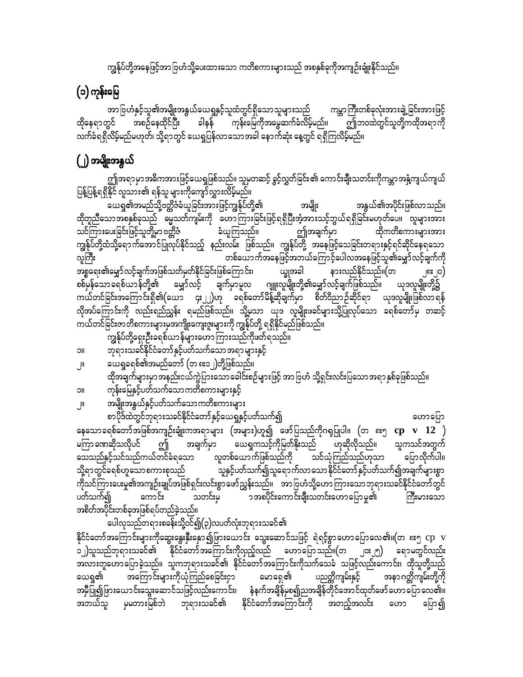ကျွန်ုပ်တို့အနေဖြင့်အာ ဗြဟံသို့ပေးထားသော ကတိစကားများသည် အစနှစ်ခုကိုအကျဉ်းချုံးနိုင်သည်။

# (၁) ကုန်းမြေ

အာဗြဟႆနှင့်သူ၏အမျိုးအနွယ်ယေရှုနှင့်သူထံတွင်ရှိသောသူများသည် ကမ္ဘာကြီးတစ်ခုလုံးအားချဲ့ခြင်းအားဖြင့် ထိုနေရာတွင် အစဉ်နေထိုင်ပြီး ခါနန် ကုန်းမြေကိုအမွေဆက်ခံလိမ့်မည်။ ဤဘ၀ထဲတွင်သူတို့ကထိုအရာကို လက်ခံရရှိလိမ့်မည်မဟုတ်၊ သို့ရာတွင် ယေရှုပြန်လာသောအခါ နောက်ဆုံး နေ့တွင် ရရှိကြလိမ့်မည်။

## (၂) အမျိုးအနွယ်

ဤအရာမှာအဓိကအားဖြင့်ယေရှုဖြစ်သည်။ သူမှတဆင့် ခွင့်လွှတ်ခြင်း၏ ကောင်းချီးသတင်းကိုကမ္ဘာအနှံ့ကျယ်ကျယ် ပြန့်ပြန့်ရရှိနိုင် လူသား၏ ရန်သူ များကိုကျော်လွှားလိမ့်မည်။

ယေရှု၏အမည်သို့ဗတ္တိဇံခံယူခြင်းအားဖြင့်ကျွန်ုပ်တို့၏ အမျိုး အနွယ်၏အပိုင်းဖြစ်လာသည်။ ထိုတူညီသောအစနှစ်ခုသည် မွေသတ်ကျမ်းကို ဟောကြားခြင်းဖြင့်ရရှိပြီးအံ့အားသင့်ဘွယ်ရရှိခြင်းမဟုတ်ပေ။ လူများအား သင်ကြားပေးခြင်းဖြင့်သူတို့မှာ ဗတ္တိဇံ ခံယူကြသည်။ ဤအချက်မှာ ထိုကတိစကားများအား ကျွန်ုပ်တို့ထံသို့ရော က်အောင်ပြုလုပ်နိုင်သည့် နည်းလမ်း ဖြစ်သည်။ ကျွန်ုပ်တို့ အနေဖြင့်သေခြင်းတရားနှင့်ရင်ဆိုင်နေရသော လူကြီး တစ်ယောက်အနေဖြင့်အဘယ်ကြောင့်ပေါလအနေဖြင့်သူ၏မျှော်လင့်ချက်ကို အစ္စရေး၏မျှော် လင့်ချက်အဖြစ်သတ်မှတ်နိုင်ခြင်းဖြစ်ကြောင်း၊ ယ္ခုအခါ နားလည်နိုင်သည်။(တ  $|0; 0)$ စစ်မှန်သောခရစ်ယာန်တို့၏ မျှော်လင့် ချက်မှာမူလ ဂျူးလူမျိုးတို့၏မျှော်လင့်ချက်ဖြစ်သည်။ ယုဒလူမျိုးတို့၌ ကယ်တင်ခြင်းအကြောင်းရှိ၏(ယော ၄း၂၂)ဟု ခရစ်တော်မိန့်ဆိုချက်မှာ စိတ်ဝိညာဉ်ဆိုင်ရာ ယုဒလူမျိုးဖြစ်လာရန် လိုအပ်ကြောင်းကို လည်းရည်ညွှန်း ရမည်ဖြစ်သည်။ သို့မှသာ ယုဒ လူမျိုးဖခင်များသို့ပြုလုပ်သော ခရစ်တော်မှ တဆင့် ကယ်တင်ခြင်းဇာတိစကားများမှအကျိုးကျေးဇူးများကို ကျွန်ုပ်တို့ ရရှိနိုင်မည်ဖြစ်သည်။

-<br>ကျွန်ုပ်တို့ရှေးဦးခရစ်ယာန်များဟောကြားသည်ကိုဖတ်ရသည်။

- ဘုရားသခင်နိုင်ငံတော်နှင့်ပတ်သက်သောအရာများနှင့် IIC
- ယေရှုခရစ်၏အမည်တော် (တ ၈း၁၂)တို့ဖြစ်သည်။ اال
- ထိုအချက်များမှာအနည်းငယ်ကွဲပြားသောခေါင်းစဉ်များဖြင့် အာဗြဟံ သို့ရှင်းလင်းပြသောအရာ နှစ်ခုဖြစ်သည်။ ကုန်းမြေနှင့်ပတ်သက်သောကတိစကားများနှင့် **IIC**
- အမျိုးအနွယ်နှင့်ပတ်သက်သောကတိစကားများ  $\mathbb{I}$

စာပိုဒ်ထဲတွင်ဘုရားသခင်နိုင်ငံတော်နှင့်ယေရှနှင့်ပတ်သက်၍ ဟောပြော နေသောခရစ်တော်အဖြစ်အကျဉ်းချုံးကအရာများ (အများ)ဟူ၍ ဖော်ပြသည်ကိုဂရုပြုပါ။ (တ ၈း၅  ${\rm cp}$   ${\rm v}$   $12$   ${\rm )}$ မကြာ ခဏဆိုသလိုပင် အချက်မှာ ယေရှုကသင့်ကိုမြတ်နိုးသည် ဟုဆိုလိုသည်။ သူကသင်အတွက် ဤ သေသည်နှင့်သင်သည်ကယ်တင်ခံရသော လူတစ်ယောက်ဖြစ်သည်ကို သင်ယုံကြည်သည်ဟုသာ ပြောလိုက်ပါ။ သူ့နှင့်ပတ်သက်၍သူရောက်လာသောနိုင်ငံတော်နှင့်ပတ်သက်၍အချက်များစွာ သို့ရာတွင်ခရစ်ဟူသောစကားစုသည် ကိုသင်ကြားပေးမှု၏အကျဉ်းချုပ်အဖြစ်ရှင်းလင်းစွာဖော်ညွှန်းသည်။ အာဗြဟံသို့ဟောကြားသောဘုရားသခင်နိုင်ငံတော်တွင် ှ<br>ာအစပိုင်းကောင်းချီးသတင်းဟောပြောမူ၏ သတင်းမှ ကောင်း ပတ်သက်၍ ကြီးမားသော အစိတ်အပိုင်းတစ်ခုအဖြစ်ရပ်တည်ခဲ့သည်။

ပေါလုသည်တရားစခန်းသို့ဝင်၍(၃)လပတ်လုံးဘုရားသခင်၏ နိုင်ငံတော်အကြောင်းများကိုဆွေးနွေးနှီးနှော၍ဖြားယောင်း သွေးဆောင်သဖြင့် ရဲရင့်စွာဟောပြောလေ၏။(တ ၈း၅ cp v ၁၂)သူသည်ဘုရားသခင်၏ နိုင်ငံတော်အကြောင်းကိုလှည့်လည် ဟောပြောသည်။(တ ၂၀း၂၅) ရောမတွင်လည်း အကြောင်းများကိုယုံကြည်စေခြင်းငှာ မောရှေ၏ ယေရှု၏ ပညတ္တိကျမ်းနှင့် အနာဂတ္တိကျမ်းတို့ကို အမှီပြု၍ဖြားယောင်းသွေးဆောင်သဖြင့်လည်းကောင်း၊ နံနက်အချိန်မှစ၍ညအချိန်တိုင်အောင်ထုတ်ဖော်ဟောပြောလေ၏။ မှမတားမြစ်ဘဲ ဘုရားသခင်၏ နိုင်ငံတော်အကြောင်းကို အတည့်အလင်း အဘယ်သူ ပြော၍ ဟော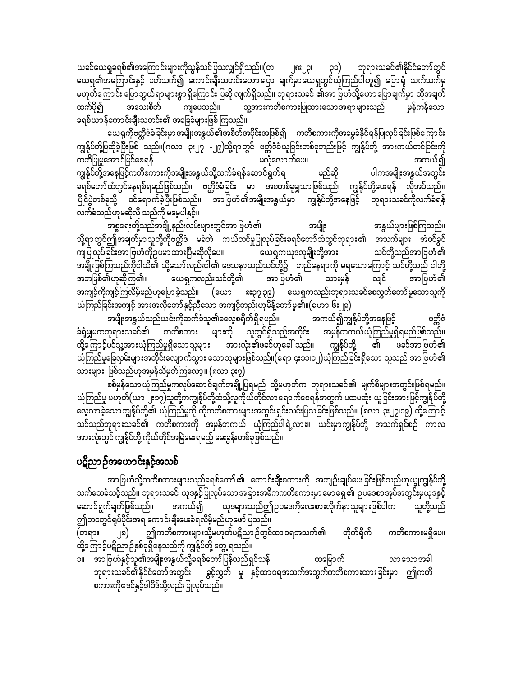ယခင်ယေရှုခရစ်၏အကြောင်းများကိုသွန်သင်ပြသလျှင်ရှိသည်။(တ ၂၈း၂၃၊ ၃၁) ဘုရားသခင်၏နိုင်ငံတော်တွင် ယေရှု၏အကြောင်းနှင့် ပတ်သက်၍ ကောင်းချီးသတင်းဟောပြော ချက်မှာယေရှုတွင်ယုံကြည်ပါဟူ၍ ပြောရံ သက်သက်မှ မဟုတ်ကြောင်း ပြောဘွယ်ရာများစွာ ရှိကြောင်း ပြဆို လျက်ရှိသည်။ ဘုရားသခင် ၏အာဗြဟံသို့ဟောပြောချက်မှာ ထိုအချက် သူ့အားကတိစကားပြုထားသောအရာများသည် မှန်ကန်သော အသေးစိတ် ကျပေသည်။ ထက်ပို၍ ခရစ်ယာန်ကောင်းချီးသတင်း၏ အခြေခံများဖြစ် ကြသည်။

ယေရှုကိုဗတ္တိဇံခံခြင်းမှာ အမျိုးအနွယ်၏အစိတ်အပိုင်းအဖြစ်၍ ကတိစကားကိုအမွေခံနိုင်ရန်ပြုလုပ်ခြင်းဖြစ်ကြောင်း ကျွန်ုပ်တို့ပြဆိုခဲ့ပြီးဖြစ် သည်။(ဂလာ ၃း၂၇ -၂၉)သို့ရာတွင် ဗတ္တိဇံခံယူခြင်းတစ်ခုတည်းဖြင့် ကျွန်ုပ်တို့ အားကယ်တင်ခြင်းကို အကယ်၍ ကတိပြုမှုအောင်မြင်စေရန် မလုံလောက်ပေ။ မည်ဆို ကျွန်ုပ်တို့အနေဖြင့်ကတိစကားကိုအမျိုးအနွယ်သို့လက်ခံရန်ဆောင်ရွက်ရ ပါကအမျိုးအနွယ်အတွင်း ခရစ်တော်ထံတွင်နေရစ်ရမည်ဖြစ်သည်။ ဗတ္တိဇံခံခြင်း မှာ အစတစ်ခုမျှသာဖြစ်သည်၊ ကျွန်ုပ်တို့ပေးရန် လိုအပ်သည်။ ပြိုင်ပွဲတစ်ခုသို့ ဝင်ရောက်ခဲ့ပြီးဖြစ်သည်။ အာဗြဟံ၏အမျိုးအနွယ်မှာ ကျွန်ုပ်တို့အနေဖြင့် ဘုရားသခင်ကိုလက်ခံရန် လက်ခံသည်ဟုမဆိုလို သည်ကို မမေ့ပါနှင့်။

အနွယ်များဖြစ်ကြသည်။ အမျိုး သို့ရာတွင်ဤအချက်မှာသူတို့ကိုဗတ္တိဇံ မခံဘဲ ကယ်တင်မှုပြုလုပ်ခြင်းခရစ်တော်ထံတွင်ဘုရား၏ အသက်များ အံဝင်ခွင် ကျပြုလုပ်ခြင်းအာ ဗြဟႆကိုဉပမာ ထားပြီမဆိုလိုပေ။ ယေရှကယုဒလူမျိုးတို့အား သင်တို့သည်အာ ဗြဟံ ၏ အမျိုးဖြစ်ကြသည်ကိုငါသိ၏ သို့သော်လည်းငါ၏ ဒေသနာသည်သင်တို့၌ တည်နေရာကို မရသောကြောင့် သင်တို့သည် ငါတို့ အဘဖြစ်၏ဟုဆိုကြ၏။ ယေရှုကလည်းသင်တို့၏ အာဗြဟံ၏ သားမှန် လျှင် အာ ဗြဟႆ်၏ အကျင့်ကိုကျင့်ကြလိမ့်မည်ဟုပြောခဲ့သည်။ (ယော ၈း၃၇၊၃၉) ယေရှကလည်းဘုရားသခင်စေလွှတ်တော်မူသောသူကို ယုံကြည်ခြင်းအကျင့် အားအလိုတော်နှင့်ညီသော အကျင့်တည်းဟုမိန့်တော်မူ၏။(ဟော ၆း၂၉)

အမျိုးအနွယ်သည်ယင်းကိုဆက်ခံသူ၏ဓလေ့စရိုက်ရှိရမည်။ အကယ်၍ကျွန်ုပ်တို့အနေဖြင့် ဗတ္ထိဇံ **ံရှံ**မျှမကဘုရားသခင်၏ ကတိစကား များကို သူတွင်ရှိသည့်အတိုင်း အမှန်တကယ်ယုံကြည်မှုရှိရမည်ဖြစ်သည်။ ထို့ကြောင့်ပင်သူ့အားယုံကြည်မှုရှိသောသူများ အားလုံး၏ဖခင်ဟုခေါ် သည်။ ကျွန်ုပ်တို့ ၏ ဖခင်အာဗြဟံ၏ ယုံကြည်မှုခြေလှမ်းများအတိုင်းလျောက်သွား သောသူများဖြစ်သည်။(ရော ၄း၁၁၊၁၂)ယုံကြည်ခြင်းရှိသော သူသည် အာဗြဟံ၏ သားများ ဖြစ်သည်ဟုအမှန်သိမှတ်ကြလော့။ (၈လာ ၃း၇)

ယုံကြည်မှု မဟုတ်(ယ၁ ၂-၁၁)သူတို့ကကျွန်ုပ်တို့ထံသို့လူကိုယ်တိုင်လာ ရောက်စေရန်အတွက် ပထမဆုံး ယူခြင်းအားဖြင့်ကျွန်ုပ်တို့ သင်သည်ဘုရားသခင်၏ ကတိစကားကို အမှန်တကယ် ယုံကြည်ပါရဲ့လား။ ယင်းမှာကျွန်ုပ်တို့ အသက်ရှင်စဉ် ကာလ အားလုံးတွင် ကျွန်ုပ်တို့ ကိုယ်တိုင်အမြဲမေးရမည့် မေးခွန်းတစ်ခုဖြစ်သည်။

## ပဋိညာဉ်အဟောင်းနှင့်အသစ်

အာ ဗြဟံသို့ကတိစကားများသည်ခရစ်တော် ၏ ကောင်းချီးစကားကို အကျဉ်းချုပ်ပေးခြင်းဖြစ်သည်ဟုယ္ခုကျွန်ုပ်တို့ သက်သေခံသင့်သည်။ ဘုရားသခင် ယုဒနှင့်ပြုလုပ်သောအခြားအဓိကကတိစကားမှာမောရှေ့၏ ဥပဒေစာအုပ်အတွင်းမှယုဒနှင့် ဆောင်ရွက်ချက်ဖြစ်သည်။ အကယ်၍ ယုဒများသည်ဤဉပဒေကိုလေးစားလိုက်နာသူများဖြစ်ပါက သူတို့သည် ဤဘဝတွင်ရုပ်ပိုင်းအရ ကောင်းချီးပေးခံရလိမ့်မည်ဟုဖော်ပြသည်။

၂၈) ဤကတိစကားများသို့မဟုတ်ပဋိညာဉ်တွင်ထာဝရအသက်၏ တိုက်ရိုက် (တရား ကတိစကားမရှိပေ။ ထို့ကြောင့်ပဋိညာဉ်နှစ်ခုရှိနေသည်ကို ကျွန်ုပ်တို့ တွေ့ ရသည်။

၁။ အာဗြဟံနှင့်သူ၏အမျိုးအနွယ်သို့ခရစ်တော်ပြန်လည်ရှင်သန် ထမြောက် လာသောအခါ ဘုရားသခင်၏နိုင်ငံတော်အတွင်း ခွင့်လွှတ် မှု နှင့်ထာဝရအသက်အတွက်ကတိစကားထားခြင်းမှာ ဤကတိ စကားကိုဧဒင်နှင့်ဒါဝိဒ်သို့လည်းပြုလုပ်သည်။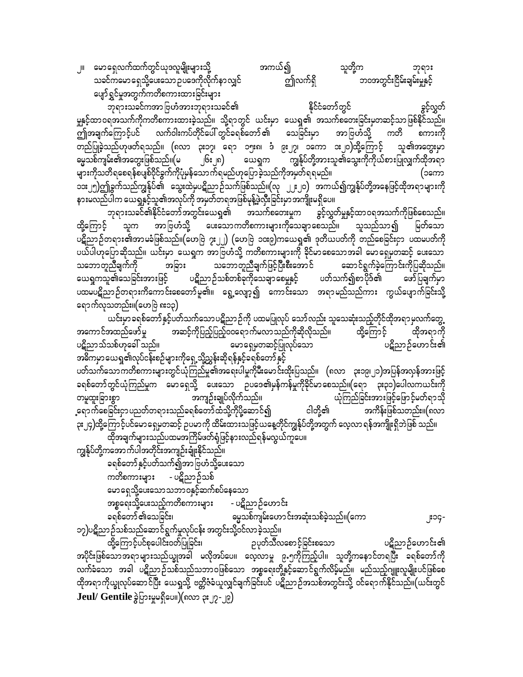အကယ်၍ ၂။ မောရှေလက်ထက်တွင်ယုဒလူမျိုးများသို့ သူတို့က ဘုရား သခင်ကမောရေသို့ပေးသော ဉပဒေကိုလိုက်နာလျှင် ဤလက်ရှိ ဘဝအတွင်းငြိမ်းချမ်းမှုနှင့် ပျော်ရွှင်မှုအတွက်ကတိစကားထားခြင်းများ

ဘုရားသခင်ကအာဗြဟံအားဘုရားသခင်၏ နိုင်ငံတော်တွင် ခွင့်လွှတ် မှုနှင့်ထာဝရအသက်ကိုကတိစကားထားခဲ့သည်။ သို့ရာတွင် ယင်းမှာ ယေရှု၏ အသက်စတေးခြင်းမှတဆင့်သာဖြစ်နိုင်သည်။ ကြုံအချက်ကြောင့်ပင် လက်ဝါးကပ်တိုင်ပေါ် တွင်ခရစ်တော် ၏ သေခြင်းမှာ အာဗြဟ်သို့ ကတိ စကားကို တည်ပြုခဲ့သည်ဟုဖတ်ရသည်။ (၈လာ ၃း၁၇၊ ရော ၁၅း၈၊ ဒံ ၉း၂၇၊ ၁ကော ၁း၂၀)ထို့ကြောင့် သူ၏အတွေးမှာ မ္မေသစ်ကျမ်း၏အတွေးဖြစ်သည်။(မ ၂၆း၂၈) ယေရှက ကျွန်ုပ်တို့အားသူ၏သွေးကိုကိုယ်စားပြုလျှက်ထိုအရာ များကိုသတိရစေရန်စပျစ်ဝိုင်ခွက်ကိုပုံမှန်သောက်ရမည်ဟုပြောခဲ့သည်ကိုအမှတ်ရရမည်။ (၁ကော ာ<br>အေး၂၅)ဤခွက်သည်ကျွန်ုပ်၏ သွေးထဲမှပဋိညာဉ်သက်ဖြစ်သည်။(လု ၂၂း၂၀) အကယ်၍ကျွန်ုပ်တို့အနေဖြင့်ထိုအရာများကို နားမလည်ပါက ယေရှုနှင့်သူ၏အလုပ်ကို အမှတ်တရအဖြစ်မုန့်ဖွဲလှီးခြင်းမှာ အကျိုးမရှိပေ။

ဘုရားသခင်၏နိုင်ငံတော်အတွင်းယေရှု၏ အသက်စတေးမှုက ခွင့်လွှတ်မှုနှင့်ထာဝရအသက်ကိုဖြစ်စေသည်။ ထို့ကြောင် အာဗြဟံသို့ ပေးသောကတိစကားများကိုသေချာစေသည်။ သူသည်သာ၍ မြတ်သော သူက ပဋိညာဉ်တရား၏အာမခံဖြစ်သည်။(ဟေဗြဲ ၇း၂၂) (ဟေဗြဲ ၁၀း၉)ကယေရှု၏ ဒုတိယပတ်ကို တည်စေခြင်းငှာ ပထမပတ်ကို ပယ်ပါဟုပြောဆိုသည်။ ယင်းမှာ ယေရှုက အာဗြဟံသို့ ကတိစကားများကို ခိုင်မာစေသောအခါ မောရှေမှတဆင့် ပေးသော သဘောတူညီချက်ဖြင့်ပြီးစီးအောင် ဆောင်ရွက်ခဲ့ကြောင်းကိုပြဆိုသည်။ သဘောတူညီချက်ကို အခြား ပဋိညာဉ်သစ်တစ်ခုကိုသေချာစေမှုနှင့် ပတ်သက်၍စာပိုဒ်၏ ယေရှကသူ၏သေခြင်းအားဖြင့် ဖော်ပြချက်မှာ ပထမပဋိညာဉ်တရားကိကောင်းစေတော်မူ၏။ ရွေ့လျော့၍ ကောင်းသော အရာမည်သည်ကား ကွယ်ပျောက်ခြင်းသို့ ရောက်လှသတည်း။(ဟေဗြဲ ၈း၁၃)

ယင်းမှာခရစ်တော်နှင့်ပတ်သက်သောပဋိညာဉ်ကို ပထမပြုလုပ် သော်လည်း သူသေဆုံးသည့်တိုင်ထိုအရာမှလက်တွေ့ အကောင်အထည်ဖော်မှု အဆင့်ကိုပြည့်ပြည့်ဝ၀ရောက်မလာသည်ကိုဆိုလိုသည်။ ထို့ကြောင့် ထိုအရာကို ပဋိညာသ်သစ်ဟုခေါ် သည်။ မောရှေ့မှတဆင့်ပြုလုပ်သော ပဋိညာဉ်ဟောင်း၏ အဓိကမှာယေရှု၏လုပ်ငန်းစဉ်များကိုရှေ့သို့ညွှန်းဆိုရန်နှင့်ခရစ်တော်နှင့် ပတ်သက်သောကတိစကားများတွင်ယုံကြည်မှု၏အရေးပါမှုကိုမီးမောင်းထိုးပြသည်။ (၈လာ ၃း၁၉၊၂၁)အပြန်အလှန်အားဖြင့် ခရစ်တော်တွင်ယုံကြည်မှုက မောရှေသို့ ပေးသော ဥပဒေ၏မှန်ကန်မှုကိုခိုင်မာစေသည်။(ရော ၃း၃၁)ပေါလကယင်းကို အကျဉ်းချုပ်လိုက်သည်။ တမူထူးခြားစွာ ယုံကြည်ခြင်းအားဖြင့်ဖြောင့်မတ်ရာသို ့ရောက်စေခြင်းငှာ ပညတ်တရားသည်ခရစ်တော် ထံသို့ကိုပို့ဆောင်၍ ငါတို့၏ အကိန်းဖြစ်သတည်း။(၈လာ ၃း၂၄)ထို့ကြောင့်ပင်မောရှေမှတဆင့် ဥပမာကို ထိမ်းထားသဖြင့်ယနေ့တိုင်ကျွန်ုပ်တို့အတွက် လေ့လာ ရန်အကျိုးရှိဘဲဖြစ် သည်။ ထိုအချက်များသည်ပထမအကြိမ်ဖတ်ရုံဖြင့်နားလည်ရန်မလွယ်ကူပေ။

ကျွန်ုပ်တို့ကအောက်ပါအတိုင်းအကျဉ်းချုံးနိုင်သည်။ ခရစ်တော်နှင့်ပတ်သက်၍အာဗြဟံသို့ပေးသော ကတိစကားများ - ပဋိညာဉ်သစ် မောရှေသို့ပေးသောသဘာဝနှင့်ဆက်စပ်နေသော အစ္စရေးသို့ပေးသည့်ကတိစကားများ - ပဋိညာဉ်ဟောင်း မွေသစ်ကျမ်းဟောင်းအဆုံးသစ်ခဲ့သည်။(ကော ခရစ်တော် ၏သေခြင်း၊ ၁၇)ပဋိညာဉ်သစ်သည်ဆောင်ရွက်မှုလုပ်ငန်း အတွင်းသို့ဝင်လာခဲ့သည်။

ထို့ကြောင့်ပင်စုပေါင်းဝတ်ပြုခြင်း၊ ဉပုတ်သီလစောင့်ခြင်းစသော ပဋိညာဉ်ဟောင်း၏ အပိုင်းဖြစ်သောအရာများသည်ယျွအခါ မလိုအပ်ပေ။ လေ့လာမှု ၉.၅ကိုကြည့်ပါ။ သူတို့ကနောင်တရပြီး ခရစ်တော်ကို လက်ခံသော အခါ ပဋိညာဉ်သစ်သည်သဘာဝဖြစ်သော အစ္စရေးတို့နှင့်ဆောင်ရွက်လိမ့်မည်။ မည်သည့်ဂျူးလူမျိုးပင်ဖြစ်စေ ထိုအရာကိုယ္ခုလုပ်ဆောင်ပြီး ယေရှုသို့ ဗတ္တိဇံခံယူလျှင်ချက်ခြင်းပင် ပဋိညာဉ်အသစ်အတွင်းသို့ ဝင်ရောက်နိုင်သည်။(ယင်းတွင် Jeul/ Gentile ခွဲပြားမှုမရှိပေ။)(၈လာ ၃း၂၇-၂၉)

ှုး၁၄-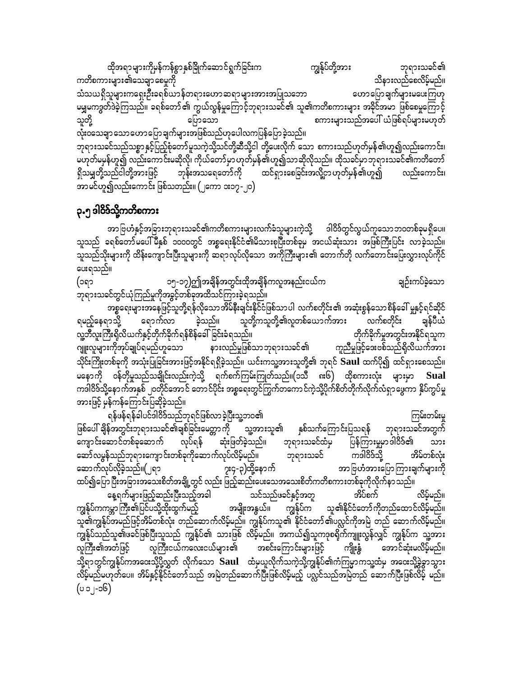ထိုအရာများကိုမှန်ကန်စွာနှစ်ခြိုက်ဆောင်ရွက်ခြင်းက ကျွန်ုပ်တို့အား ဘုရားသခင်၏ သိနားလည်စေလိမ့်မည်။ ကတိစကားများ၏သေချာစေမှုကို သံသယရှိသူများကရှေးဦးခရစ်ယာန်တရားဟောဆရာများအားအပြုသဘော ဟောပြောချက်များမပေးကြဟု မမျှမကဒွတ်ဒဲခဲ့ကြသည်။ ခရစ်တော်၏ ကွယ်လွန်မှုကြောင့်ဘုရားသခင်၏ သူ၏ကတိစကားများ အခိုင်အမာ ဖြစ်စေမှုကြောင့် သူတို့ စကားများသည်အပေါ် ယံဖြစ်ရပ်များမဟုတ် ပြောသော .<br>လုံးဝသေချာ သောဟောပြောချက်များအဖြစ်သည်ဟုပေါလကပြန်ပြောခဲ့သည်။ ဘုရားသခင်သည်သစ္စာ နှင့်ပြည့်စုံတော်မူသကဲ့သို့သင်တို့ဆီသို့ငါ တို့ပေးလိုက် သော စကားသည်ဟုတ်မှန်၏ဟူ၍လည်းကောင်း၊ မဟုတ်မမှန်ဟူ၍ လည်းကောင်းမဆိုလို၊ ကိုယ်တော်မှာ ဟုတ်မှန်၏ဟူ၍သာဆိုလိုသည်။ ထိုသင်မှာ ဘုရားသခင်၏ကတိတော် ရှိသမျှတို့သည်ငါတို့အားဖြင့် ဘုန်းအသရေတော်ကို ထင်ရှားစေခြင်းအလို့ငှာ ဟုတ်မှန်၏ဟူ၍ လည်းကောင်း၊ အာမင်ဟူ၍လည်းကောင်း ဖြစ်သတည်း။ (၂ကော ၁း၁၇-၂၀)

#### ၃.၅ ဒါဝိဒ်သို့ကတိစကား

အာ ဗြဟံနှင့်အခြားဘုရားသခင်၏ကတိစကားများလက်ခံသူများကဲ့သို့ ဒါဝိဒ်တွင်လွယ်ကူသောဘဝတစ်ခုမရှိပေ။ သူသည် ခရစ်တော်မပေါ်မီနှစ် ၁၀၀၀တွင် အစ္စရေးနိုင်ငံ၏မိသားစုပြီးတစ်ခုမှ အငယ်ဆုံးသား အဖြစ်ကြီးပြင်း လာခဲ့သည်။ သူသည်သိုးများကို ထိန်းကျောင်းပြီးသူများကို ဆရာလုပ်လိုသော အကိုကြီးများ၏ တောက်တို လက်တောင်းပြေးလွှားလုပ်ကိုင် ပေးရသည်။

ချဉ်းကပ်ခဲ့သော ၁၅-၁၇)ဤအချိန်အတွင်းထိုအချိန်ကလူအနည်းငယ်က (၁ရာ -<br>ဘုရားသခင်တွင်ယုံကြည်မှုကိုအခွင့်တစ်ခုအထိသင်ကြားခဲ့ရသည်။

အစ္စရေးများအနေဖြင့်သူတို့ရန်လိုသောအိမ်နီးချင်းနိုင်ငံဖြစ်သာပါ လက်စတိုင်း၏ အဆုံးစွန်သောစိန်ခေါ် မှုနှင့်ရင်ဆိုင် သူတို့ကသူတို့၏လူတစ်ယောက်အား ချွန်ပီယံ လက်စတိုင်း ရမည့်နေရာသို့ ခဲ့သည်။ ရောက်လာ တိုက်ခိုက်မှုအတွင်းအနိုင်ရသူက လူ့ဘီလူးကြီးရှိလိယက်နှင့်တိုက်ခိုက်ရန်စိန်ခေါ်ခြင်းခံရသည်။ ဂျူးလူများကိုအုပ်ချုပ်ရမည်ဟူသော နားလည်မှုဖြစ်သာဘုရားသခင်၏ ကူညီမှုဖြင့်ဒေးဗစ်သည်ရှိလိယက်အား သိုင်းကြိုးတစ်ခုကို အသုံးပြုခြင်းအားဖြင့်အနိုင်ရရှိခဲ့သည်။ ယင်းကသူ့အားသူတို့၏ ဘုရင် Saul ထက်ပို၍ ထင်ရှားစေသည်။ ကဒါဝိဒ်သို့နောက်အနှစ် ၂၀တိုင်အောင် တောင်ပိုင်း အစ္စရေးတွင်ကြွက်တကောင်ကဲ့သို့ပိုက်စိတ်တိုက်လိုက်လံရှာဖွေကာ နှိပ်ကွပ်မှု အားဖြင့် မှန်ကန်ကြောင်းပြဆိုခဲ့သည်။

ရန်ဖန်ရန်ခါပင်ဒါဝိဒ်သည်ဘုရင်ဖြစ်လာခဲ့ပြီးသူ့ဘဝ၏ ကြမ်းတမ်းမှု ဖြစ်ပေါ် ချိန်အတွင်းဘုရားသခင်၏ချစ်ခြင်းမေတ္တာကို သူ့အားသူ၏ ဘရားသခင်အတွက် နှစ်သက်ကြောင်းပြသရန် ကျောင်းဆောင်တစ်ခုဆောက် လုပ်ရန် <sup>ီ</sup> ဆုံးဖြတ်ခဲ့သည်။ ဘုရားသခင်ထံမှ ပြန်ကြားမှုမှာဒါဝိဒ်၏ သား ဘုရားသခင် ကဒါဝိဒ်သို့ ဆော်လမွန်သည်ဘုရားကျောင်းတစ်ခုကိုဆောက်လုပ်လိမ့်မည်။ အိမ်တစ်လုံး ဆောက်လုပ်လိုခဲ့သည်။(၂ရာ ၇း၄-၃)ထို့နောက် အာ ဗြဟႆအားပြောကြားချက်များကို ထပ်၍ပြောပြီးအခြားအသေးစိတ်အချို့တွင် လည်း ဖြည့်ဆည်းပေးသေအသေးစိတ်ကတိစကားတစ်ခုကိုလိုက်နာသည်။ နေ့ရက်များဖြည့်ဆည်းပြီးသည့်အခါ သင်သည်ဖခင်နှင့်အတူ အိပ်စက် လိမ့်မည်။ ကျွန်ုပ်ကကမ္ဘာကြီး၏ပြင်ပသို့ထိုးထွက်မည့် ကျွန်ုပ်က အမျိုးအနွယ်။ သူ၏နိုင်ငံတော်ကိုတည်ထောင်လိမ့်မည်။ သူ၏ကျွန်ုပ်အမည်ဖြင့်အိမ်တစ်လုံး တည်ဆောက်လိမ့်မည်။ ကျွန်ုပ်ကသူ၏ နိုင်ငံတော်၏ပလ္လင်ကိုအမြဲ တည် ဆောက်လိမ့်မည်။ .<br>ကျွန်ုပ်သည်သူ၏ဖခင်ဖြစ်ပြီးသူသည် ကျွန်ုပ်၏ သားဖြစ် လိမ့်မည်။ အကယ်၍သူကဒုစရိုက်ကျူးလွန်လျှင် ကျွန်ုပ်က သူ့အား လူကြီးငယ်ကလေးငယ်များ၏ အစင်းကြောင်းများဖြင့် အောင်ဆုံးမလိမ့်မည်။ ကျိုးနွံ လူကြီး၏အတံဖြင့် သို့ရာတွင်ကျွန်ုပ်ကအဒေးသို့ပို့လွှတ် လိုက်သော  $\bf{Saul}$  ထံမှယူလိုက်သကဲ့သို့ကျွန်ုပ်၏ကံကြမ္မာကသူ့ထံမှ အဒေးသို့ခွဲခွာသွား လိမ့်မည်မဟုတ်ပေ။ အိမ်နှင့်နိုင်ငံတော်သည် အမြဲတည်ဆောက်ပြီးဖြစ်လိမ့်မည့် ပလ္လင်သည်အမြဲတည် ဆောက်ပြီးဖြစ်လိမ့် မည်။  $(3c<sub>-1</sub> c<sub>0</sub>)$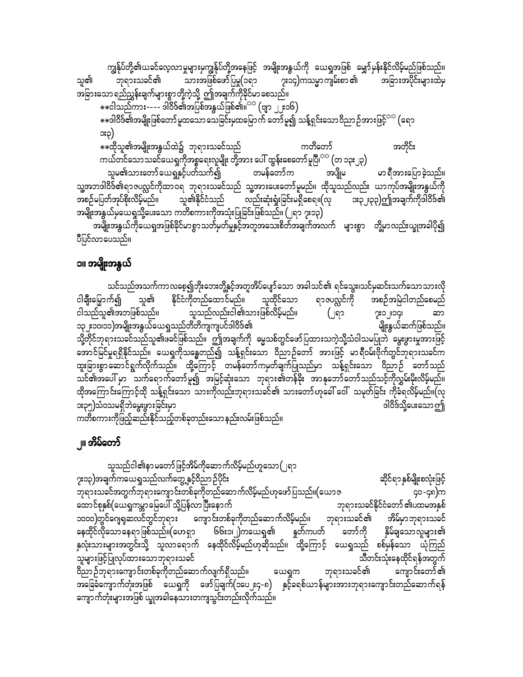ကျွန်ုပ်တို့၏ယခင်လေ့လာမှုများမှကျွန်ုပ်တို့အနေဖြင့် အမျိုးအနွယ်ကို ယေရှုအဖြစ် မျှော်မှန်းနိုင်လိမ့်မည်ဖြစ်သည်။ သူ၏ သားအဖြစ်ဖော်ပြမှု(၁ရာ ဘုရားသခင်၏ ၇း၁၄)ကသမ္မာကျမ်းစာ ၏ အခြားအပိုင်းများထဲမှ အခြားသော ရည်ညွှန်းချက်များစွာတို့ကဲ့သို့ ဤအချက်ကိုခိုင်မာ စေသည်။ း<br>\*\*ငါသည်ကား---- ဒါဝိဒ်၏အပြစ်အနွယ်ဖြစ်၏။<sup>ာာ</sup> (ဗျာ ၂၂း၁၆) \*\*ဒါဝိဒ်၏အမျိုးဖြစ်တော် မူထသော သေခြင်းမှထမြောက် တော်မူ၍ သန့်ရှင်းသောဝိညာဉ်အားဖြင့်<sup>သာ</sup> (ရော ား၃) ့<br>\*\*ထိုသူ၏အမျိုးအနွယ်ထဲ၌ ဘုရားသခင်သည် ကတိတော် အတိုင်း ကယ်တင်သောသခင်ယေရှုကိုအစ္စရေးလူမျိုး တို့အား ပေါ် ထွန်းစေတော်မူ<sup>ပြု<sup>းဝ</sup> (တ ၁၃း၂၃)</sup> သူမ၏သားတော်ယေရှုနှင့်ပတ်သက်၍ တမန်တော်က မာ ရီအားပြောခဲ့သည်။ အပျိုမ သူ့အဘဒါဝိဒ်၏ရာဇပလ္လင်ကိုထာဝရ ဘုရားသခင်သည် သူ့အားပေးတော်မူမည်။ ထိုသူသည်လည်း ယာကုပ်အမျိုးအနွယ်ကို အစဉ်မပြတ်အုပ်<mark>စိုးလိမ့်</mark>မည်။ သူ၏နိုင်ငံသည် လည်းဆုံးရှုံးခြင်းမရှိစေရ။(လု း၃၂၊၃၃)ဤအချက်ကိုဒါဝိဒ်၏ အမျိုးအနွယ်မှယေရှုသို့ပေးသော ကတိစကားကိုအသုံးပြုခြင်းဖြစ်သည်။ (၂ရာ ၇း၁၃) အမျိုးအနွယ်ကိုယေရှုအဖြစ်ခိုင်မာစွာသတ်မှတ်မှုနှင့်အတူအသေးစိတ်အချက်အလက် များစွာ တို့မှာလည်းယျွအခါပို၍ ပီပြင်လာပေသည်။

#### ၁။ အမျိုးအနွယ်

သင်သည်အသက်ကာလစေ့၍ဘိုးဘေးတို့နှင့်အတူအိပ်ပျော်သော အခါသင်၏ ရင်သွေး၊သင်မှဆင်းသက်သောသားလို ငါချီးမြှောက်၍ နိုင်ငံကိုတည်ထောင်မည်။ သူထိုင်သော ရာဇပလ္လင်ကို အစဉ်အမြဲငါတည်စေမည် သူ၏ ငါသည်သူ၏အဘဖြစ်သည်။ သူသည်လည်းငါ၏သားဖြစ်လိမ့်မည်။ (၂ရ၁ ၇း၁၂၊၁၄၊ ဆာ ၁၃၂း၁၀၊၁၁)အမျိုးအနွယ်ယေရှုသည်တိတိကျကျပင်ဒါဝိဒ်၏ မျိုးနွယ်ဆက်ဖြစ်သည်။ သို့တိုင်ဘုရားသခင်သည်သူ၏ဖခင်ဖြစ်သည်။ ဤအချက်ကို မွေသစ်တွင်ဖော်ပြထားသကဲ့သို့သံဝါသမပြုဘဲ မွေးဖွားမှုအားဖြင့် အောင်မြင်မှုရရှိနိုင်သည်။ ယေရှကိုသန္ဓေတည်၍ သန့်ရှင်းသော ဝိညာဉ်တော် အားဖြင့် မာရီဝမ်းဗိုက်တွင်ဘုရားသခင်က ထူးခြားစွာဆောင်ရွက်လိုက်သည်။ ထို့ကြောင့် တမန်တော်ကမှတ်ချက်ပြုသည်မှာ သန့်ရှင်းသော ဝိညာဉ် တော်သည် သင်၏အပေါ် မှာ ပြားကိုရောက်တော်မူ၍ အမြင့်ဆုံးသော ဘုရား၏တန်ခိုး အာနုဘော်တော်သည်သင့်ကိုလွှမ်းမိုးလိမ့်မည်။ ထိုအကြောင်းကြောင့်ထို သန့်ရှင်းသော သားကိုလည်းဘုရားသခင်၏ သားတော်ဟုခေါ် ဝေါ် သမုတ်ခြင်း ကိုခံရလိမ့်မည်။(လု ား၃၅)သံဝသမရှိဘဲမွေးဖွားခြင်းမှာ ဒါဝိဒ်သို့ပေးသော ဤ ကတိစကားကိုဖြည့်ဆည်းနိုင်သည့်တစ်ခုတည်းသော နည်းလမ်းဖြစ်သည်။

## ၂။ အိမ်တော်

သူသည်ငါ၏နာ မတော်ဖြင့်အိမ်ကိုဆောက်လိမ့်မည်ဟူသော (၂ရာ ၇း၁၃)အချက်ကယေရှုသည်လက်တွေ့ နှင့်ဝိညာဉ်ပိုင်း ဆိုင်ရာ နှစ်မျိုးစလုံးဖြင့် ဘုရားသခင်အတွက်ဘုရားကျောင်းတစ်ခုကိုတည်ဆောက်လိမ့်မည်ဟုဖော်ပြသည်။(ယောဇ ၄၀-၄၈)က ထောင်စုနှစ်(ယေရှုကမ္ဘာမြေပေါ် သို့ပြန်လာပြီးနောက် ဘုရားသခင်နိုင်ငံတော် ၏ပထမအနှစ် ၁၀၀၀)တွင်ဂျေရုဆလင်တွင်ဘုရား ကျောင်းတစ်ခုကိုတည်ဆောက်လိမ့်မည်။ ဘုရားသခင်၏ အိမ်မှာဘုရားသခင် နေထိုင်လိုသောနေရာဖြစ်သည်။(ဟေရှာ ၆၆း၁၊၂)ကယေရှ၏ နူတ်ကပတ် တော်ကို နိုမ်ချသောလူများ၏ နှလုံးသားများအတွင်းသို့ သူလာရောက် နေထိုင်လိမ့်မည်ဟုဆိုသည်။ ထို့ကြောင့် ယေရှုသည် စစ်မှန်သော ယုံကြည် သူများဖြင့်ပြုလုပ်ထားသောဘုရားသခင် သီတင်းသုံးနေထိုင်ရန်အတွက် ဝိညာဉ်ဘုရားကျောင်းတစ်ခုကိုတည်ဆောက်လျက်ရှိသည်။ ဘုရားသခင်၏ ကျောင်းတော် ၏ ယေရှက အခြေခံကျောက်တုံးအဖြစ် ယေရှုကို ဖော်ပြချက်(၁ပေ၂း၄-၈) နှင့်ခရစ်ယာန်များအားဘုရားကျောင်းတည်ဆောက်ရန် ကျောက်တုံးများအဖြစ် ယျွအခါနေသားတကျသွင်းတည်းလိုက်သည်။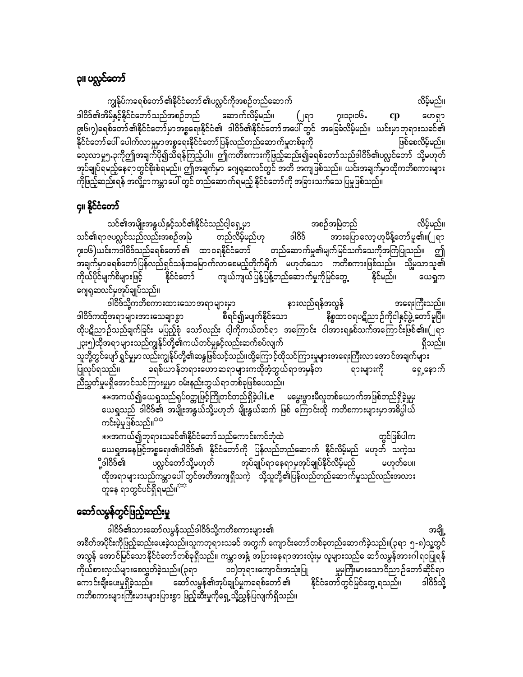# <mark>၃။ ပလ္လင်တော်</mark>

ကျွန်ုပ်ကခရစ်တော် ၏နိုင်ငံတော် ၏ပလ္လင်ကိုအစဉ်တည်ဆောက် လိမ့်မည်။ ဒါဝိဒ်၏အိမ်နှင့်နိုင်ငံတော်သည်အစဉ်တည် ဆောက်လိမ့်မည်။ (၂ရ၁ ၇း၁၃၊၁၆․ cp ဟေရှာ ၉း၆၊၇)ခရစ်တော် ၏နိုင်ငံတော် မှာအစ္စရေးနိုင်ငံ၏ ဒါဝိဒ်၏နိုင်ငံတော်အပေါ် တွင် အခြေခံလိမ့်မည်။ ယင်းမှာဘုရားသခင်၏ -<br>နိုင်ငံတော် ပေါ် ပေါက်လာမှုမှာအစ္စရေးနိုင်ငံတော်ပြန်လည်တည်ဆောက်မှုတစ်ခုကို ဖြစ်စေလိမ့်မည်။ ှ<br>လေ့လာမှု၅.၃ကိုဤအချက်ပို၍သိရန်ကြည့်ပါ။ ဤကတိစကားကိုဖြည့်ဆည်း၍ခရစ်တော်သည်ဒါဝိဒ်၏ပလ္လင်တော် သို့မဟုတ် အုပ်ချုပ်ရမည့်နေရာတွင်စိုးစံရမည်။ ဤအချက်မှာ ဂျေရုဆလင်တွင် အတိ အကျဖြစ်သည်။ ယင်းအချက်မှာထိုကတိစကားများ .<br>ကိုဖြည့်ဆည်းရန် အလို့ဌာကမ္ဘာပေါ် တွင် တည်ဆောက်ရမည့် နိုင်ငံတော်ကို အခြားသက်သေ ပြမှုဖြစ်သည်။

#### ၄။ နိုင်ငံတော်

သင်၏အမျိုးအနွယ်နှင့်သင်၏နိုင်ငံသည်ငါ့ရှေ့မှာ လိမ့်မည်။ အစဉ်အမြဲတည် တည်လိမ့်မည်ဟု သင်၏ရာဇပလ္လင်သည်လည်းအစဉ်အမြဲ ခါဝိခ် အားပြောလော့ဟုမိန့်တော်မူ၏။(၂ရာ <mark>၇း၁၆)ယင်းကဒါဝိဒ်သည်ခရစ်တော် ၏</mark> ထာ ဝရနိုင်ငံတော် တည်ဆောက်မှု၏မျက်မြင်သက်သေကိုအကြံပြုသည်။ ဤ ့<br>အချက်မှာခရစ်တော်ပြန်လည်ရှင်သန်ထမြောက်လာစေမည့်တိုက်ရိုက် မဟုတ်သော ကတိစကားဖြစ်သည်။ သို့မှသာသူ၏ ကျယ်ကျယ်ပြန့်ပြန့်တည်ဆောက်မှုကိုမြင်တွေ့ နိုင်မည်။ နိုင်ငံတော် ကိုယ်ပိုင်မျက်စိများဖြင့် ယေရှုက ဂျေရုဆလင်မှအုပ်ချုပ်သည်။

ဒါ်ဝိ§်သို့ကတိစကားထားသောအရာများမှာ နားလည်ရန်အလွန် အရေးကြီးသည်။ ဒါဝိဒ်ကထိုအရာများအားသေချာစွာ စီရင်၍မပျက်နိုင်သော နိစ္စထာဝရပဋိညာဉ်ကိုငါနှင့်ဖွဲ့ တော်မူပြီ။ ထိုပဋိညာဉ်သည်ချက်ခြင်း မပြည့်စုံ သော်လည်း ငါ့ကိုကယ်တင်ရာ အကြောင်း ငါအားရနှစ်သက်အကြောင်းဖြစ်၏။(၂ရာ ၂၃း၅)ထိုအရာများသည်ကျွန်ုပ်တို့၏ကယ်တင်မှုနှင့်လည်းဆက်စပ်လျက် ရှိသည်။ သူတို့တွင်ပျော် ရွှင်မှုမှာလည်းကျွန်ုပ်တို့၏ဆန္ဒဖြစ်သင့်သည်။ထို့ကြောင့်ထိုသင်ကြားမှုများအရေးကြီးလာအောင်အချက်များ ခရစ်ယာန်တရားဟောဆရာများကထိုအံ့ဘွယ်ရာအမှန်တ ရားများကို ရှေ့နောက် ပြုလုပ်ရသည်။ ညီညွှတ်မှုမရှိအောင်သင်ကြားမှုမှာ ဝမ်းနည်းဘွယ်ရာတစ်ခုဖြစ်ပေသည်။

- - - -<br>\*\*အကယ်၍ယေရှုသည်ရုပ်ဝတ္တုဖြင့်ကြိုတင်တည်ရှိခဲ့ပါ $\mathbf{i}.\mathbf{e}$  \_ \_ မမွေးဖွားမီလူတစ်ယောက်အဖြစ်တည်ရှိခဲ့မှုမှ ယေရှုသည် ဒါဝိဒ်၏ အမျိုးအနွယ်သို့မဟုတ် မျိုးနွယ်ဆက် ဖြစ် ကြောင်းထို ကတိစကားများမှာအဓိပ္ပါယ် ကင်းမဲ့မှုဖြစ်သည်။<sup>အအ</sup>

တွင်ဖြစ်ပါက ယေရှုအနေဖြင့်အစ္စရေး၏ဒါဝိဒ်၏ နိုင်ငံတော်ကို ပြန်လည်တည်ဆောက် နိုင်လိမ့်မည် မဟုတ် သကဲ့သ ပလ္လင်တော်သို့မဟုတ် အုပ်ချုပ်ရာနေရာမှအုပ်ချုပ်နိုင်လိမ့်မည် ို့ဒါဝိဒ်၏ မဟုတ်ပေ။ ထိုအရာများသည်ကမ္ဘာပေါ် တွင်အတိအကျရှိသကဲ့ သို့သူတို့၏ပြန်လည်တည်ဆောက်မှုသည်လည်းအလား တူနေ ရာတွင်ပင်ရှိရမည်။<sup>အအ</sup>

## ဆော်လမွန်တွင်ဖြည့်ဆည်းမှု

ဒါဝိဒ်၏သားဆော်လမွန်သည်ဒါဝိဒ်သို့ကတိစကားမျာ<mark>း၏</mark> အချို့ အစိတ်အပိုင်းကိုဖြည့်ဆည်းပေးခဲ့သည်။သူကဘုရားသခင် အတွက် ကျောင်းတော်တစ်ခုတည်ဆောက်ခဲ့သည်။(၃ရာ ၅-၈)သူ့တွင် .<br>အလွန် အောင်မြင်သောနိုင်ငံတော်တစ်ခုရှိသည်။ ကမ္ဘာအနှံ့ အပြားနေရာအားလုံးမှ လူများသည် ေဆာ်လမွန်အားဂါရဝပြုရန် ၁၀)ဘုရားကျောင်းအသုံးပြု .<br>မှုမကြီးမားသောဝိညာဉ်တော်ဆိုင်ရာ ဆော်လမွန်၏အုပ်ချုပ်မှုကခရစ်တော် ၏ နိုင်ငံတော်တွင်မြင်တွေ့ ရသည်။ ကောင်းချီးပေးမှုရှိခဲ့သည်။ ဒါဝိဒ်သို့ ကတိစကားများကြီးမားများပြားစွာ ဖြည့်ဆီးမှုကိုရှေ့သို့ညွှန်ပြလျက်ရှိသည်။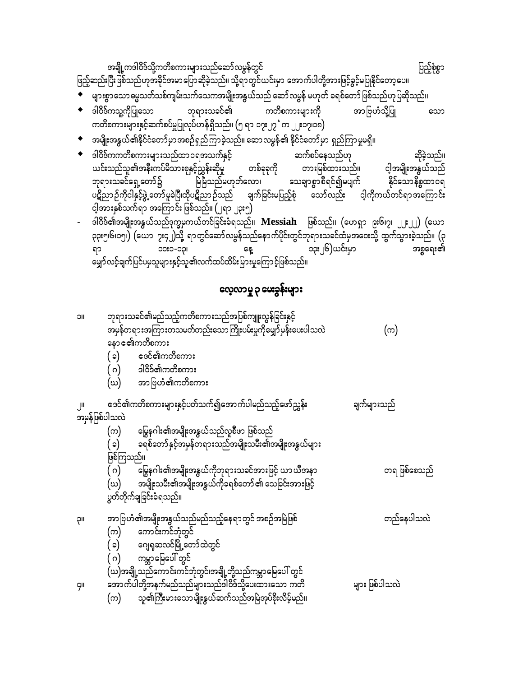အချို့ကဒါဝိဒ်သို့ကတိစကားများသည်ဆော်လမွန်တွင် ပြည့်စုံစွာ ဖြည့်ဆည်းပြီးဖြစ်သည်ဟုအခိုင်အမာပြောဆိုခဲ့သည်။ သို့ရာတွင်ယင်းမှာ အောက်ပါတို့အားဖြင့်ခွင့်မပြုနိုင်တော့ပေ။

– — — — –<br>◆ များစွာသောဓမ္မသတ်သစ်ကျမ်းသက်သေကအမျိုးအနွယ်သည် ဆော်လမွန် မဟုတ် ခရစ်တော် ဖြစ်သည်ဟုပြဆိုသည်။

- ◆ ဒါဝိဒ်ကသူ့ကိုပြုသော ဘုရားသခင်၏ ကတိစကားများကို အာဗြဟံသို့ပြု သော ကတိစကားများနှင့်ဆက်စပ်မှုပြုလုပ်ဟန်ရှိသည်။ (၅ ရာ ၁၇း၂၇ ်က ၂၂း၁၇၊၁၈)
- $\bullet$  အမျိုးအနွယ်၏နိုင်ငံတော်မှာအစဉ်ရှည်ကြာခဲ့သည်။ ဆောလမွန်၏ နိုင်ငံတော်မှာ ရှည်ကြာမှုမရှိ။
- $\bullet$  ဒါဝိဒ်ကကတိစကားများသည်ထာဝရအသက်နှင့် ဆက်စပ်နေသည်ဟု ဆိုခဲ့သည်။ ယင်းသည်သူ၏အနီးကပ်မိသားစုနှင့်ညွှန်းဆိုမှု တစ်ခုခုကို တားမြစ်ထားသည်။ ငါ့အမျိုးအနွယ်သည် ဘုရားသခင်ရှေ့တော်၌ မြဲမြံသည်မဟုတ်လော၊ သေချာစွာစီရင်၍မပျက် နိုင်သောနိစ္စထာဝရ ပဋိညာဉ်ကိုငါနှင့်ဖွဲ့ တော်မူခဲပြီ၊ထိုပဋိညာဉ်သည် ချက်ခြင်းမပြည့်စုံ စသော်လ<mark>ည်း ငါ့</mark>ကိုကယ်တင်ရာအကြောင်း <u>င္ပါ</u>အားနှစ်သက်ရာ အကြောင်း ဖြစ်သည်။ (၂ရာ ၂၃း၅)
- ဒါဝိဒ်၏အမျိုးအနွယ်သည်ဒုက္ခမှကယ်တင်ခြင်းခံရသည်။ **Messiah** ဖြစ်သည်။ (ဟေရှာ ၉း၆၊၇၊ ၂၂း၂၂) (ယော ၃၃း၅၊၆၊၁၅၊) (ယော ၇း၄၂)သို့ ရာတွင်ဆော်လမွန်သည်နောက်ပိုင်းတွင်ဘုရားသခင်ထံမှအဝေးသို့ ထွက်သွားခဲ့သည်။ (၃ ၁၃း၂၆)ယင်းမှာ ၁၁း၁-၁၃၊ အစ္စရေး၏ ရာ နေ့ ့<br>မျှော်လင့်ချက်ပြင်ပမသူများနှင့်သူ၏လက်ထပ်ထိမ်းမြားမှုကြောင့်ဖြစ်သည်။

## လေ့လာမှု ၃ မေးခွန်းများ

| <b>JIC</b>     | ဘုရားသခင်၏မည်သည့်ကတိစကားသည်အပြစ်ကျူးလွန်ခြင်းနှင့်           |                |
|----------------|--------------------------------------------------------------|----------------|
|                | အမှန်တရားအကြားတသမတ်တည်းသောကြိုးပမ်းမှုကိုမျှော်မှန်းပေးပါသလဲ | (က)            |
|                | နောၔ၏ကတိစကား                                                 |                |
|                | esင်၏ကတိစကား<br>(၁)                                          |                |
|                | ဒါဝိဒ်၏ကတိစကား<br>( ဂ)                                       |                |
|                | (ဃ) အာဗြဟံ၏ကတိစကား                                           |                |
| , JII          | ဒေင်၏ကတိစကားများနှင့်ပတ်သက်၍အောက်ပါမည်သည့်ဖော်ညွှန်း         | ချက်များသည်    |
| အမှန်ဖြစ်ပါသလဲ |                                                              |                |
|                | မြွေနဂါး၏အမျိုးအနွယ်သည်လူစီဖာ ဖြစ်သည်<br>(က)                 |                |
|                | ခရစ်တော် နှင့်အမှန်တရားသည်အမျိုးသမီး၏အမျိုးအနွယ်များ<br>(၁)  |                |
|                | ဖြစ်ကြသည်။                                                   |                |
|                | မြွေနဂါး၏အမျိုးအနွယ်ကိုဘုရားသခင်အားဖြင့် ယာယီအနာ<br>( ဂ)     | တရ ဖြစ်စေသည်   |
|                | အမျိုးသမီး၏အမျိုးအနွယ်ကိုခရစ်တော် ၏ သေခြင်းအားဖြင့်<br>(ဃ)   |                |
|                | ပွတ်တိုက်ချခြင်းခံရသည်။                                      |                |
| ρıι            | အာ ဗြဟႆံ၏အမျိုးအနွယ်သည်မည်သည့်နေရာတွင် အစဉ်အမြဲဖြစ်          | တည်နေပါသလဲ     |
|                | ကောင်းကင်ဘုံတွင်<br>(က)                                      |                |
|                | ( ခ) ဂေျရှဆလင်မြို့တော်ထဲတွင်                                |                |
|                | ( ဂ) ကမ္ဘာမြေပေါ် တွင်                                       |                |
|                | (ဃ)အချို့သည်ကောင်းကင်ဘုံတွင်၊အချို့တို့သည်ကမ္ဘာမြေပေါ် တွင်  |                |
| <b>GII</b>     | အောက်ပါတို့အနက်မည်သည်များသည်ဒါဝိဒ်သို့ပေးထားသော ကတိ          | များ ဖြစ်ပါသလဲ |
|                | သူ၏ကြီးမားသောမျိုးနွယ်ဆက်သည်အမြဲအုပ်စိုးလိမ့်မည်။<br>(က)     |                |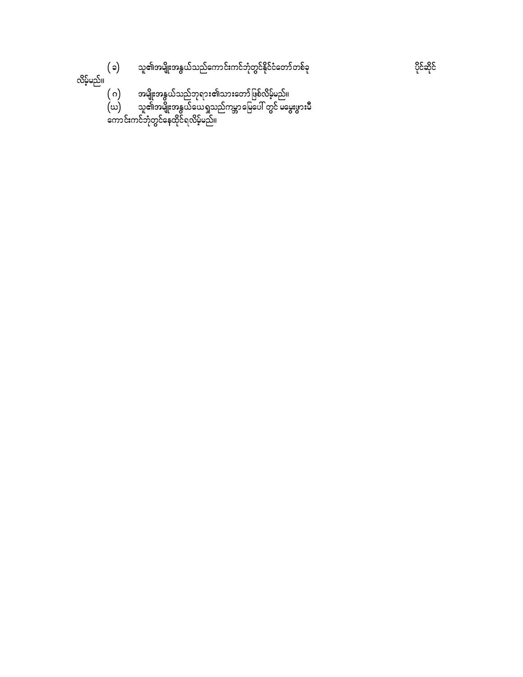သူ<mark>၏အမျိုးအ</mark>နွယ်သည်ကောင်းကင်ဘုံတွင်နိုင်ငံတော်တစ်ခု  $(\circ)$ 

လိမ့်မည်။

- 
- ( ဂ) အမျိုးအနွယ်သည်ဘုရား၏သားတော်ဖြစ်လိမ့်မည်။<br>(ဃ) သူ၏အမျိုးအနွယ်ယေရှုသည်ကမ္ဘာမြေပေါ် တွင် မမွေးဖွားမီ<br>ကောင်းကင်ဘုံတွင်နေထိုင်ရလိမ့်မည်။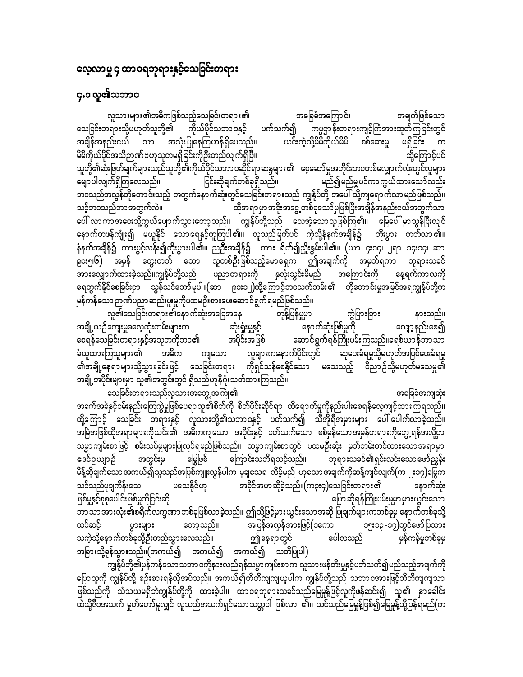## လေ့လာမှု ၄ ထာဝရဘုရားနှင့်သေခြင်းတရား

## **၄.၁ လူ၏သဘာဝ**

အချက်ဖြစ်သော လူသားများ၏အဓိကဖြစ်သည့်သေခြင်းတရား၏ အခြေခံအကြောင်း သေခြင်းတရားသို့မဟုတ်သူတို့၏ ကိုယ်ပိုင်သဘာဝနှင့် ပက်သက်၍ ကမ္မဌာန်းတရားကျင့်ကြံအားထုတ်ကြခြင်းတွင် ယင်းကဲ့သို့မိမိကိုယ်မိမိ အချိန်အနည်းငယ် သာ အသုံးပြုနေကြဟန်ရှိပေသည်။ မရှိခြင်း စစ်ဆေးမှု  $\, \mathfrak{m}$ မိမိကိုယ်ပိုင်အသိဉာဏ်ဗဟုသုတမရှိခြင်းကိုဦးတည်လျက်ရှိပြီ။ ထို့ကြောင့်ပင် သူတို့၏ဆုံးဖြတ်ချက်များသည်သူတို့၏ကိုယ်ပိုင်သဘာဝဆိုင်ရာဆန္ဒများ၏ စေ့ဆော်မှုအတိုင်းဘဝတစ်လျှောက်လုံးတွင်လူများ မျောပါလျက်ရှိကြလေသည်။ ငြင်းဆိုချက်တစ်ခုရှိသည်။ မည်၍မည်မျှပင်ကာကွယ်ထားသော်လည်း ဘဝသည်အလွန်တိုတောင်းသည့် အတွက်နောက်ဆုံးတွင်သေခြင်းတရားသည် ကျွန်ုပ်တို့ အပေါ် သို့ကျရောက်လာမည်ဖြစ်သည်။ သင့်ဘဝသည်ဘာအတွက်လဲ။ ထိုအရာမှာအ<mark>ခိုး</mark>အငွေ့ တစ်ခုသော်မှဖြစ်ပြီးအချိန်အနည်းငယ်အတွက်သာ ပေါ် လာကာအဒေးသို့ကွယ်ပျောက်သွားတော့သည်။ ကျွန်ုပ်တို့သည် သေအံ့သောသူဖြစ်ကြ၏။ မြေပေါ် မှာသွန်ပြီးလျင် နောက်တဖန်ကျုံး၍ မယူနိုင် သောရေနှင့်တူကြပါ၏။ လူသည်မြက်ပင် ကဲ့သို့နံနက်အချိန်၌ တိုးပွား တတ်လာ၏။ နံနက်အချိန်၌ ကားပွင့်လန်း၍တိုးပွားပါ၏။ ညဉီးအချိန်၌ ကား ရိတ်၍ညှိုးနွမ်းပါ၏။ (ယာ ၄း၁၄၊ ၂ရာ ၁၄း၁၄၊ ဆာ ှ<br>၉၀း၅၊၆) အမှန် တွေးတတ် သော လူတစ်ဦးဖြစ်သည့်မောရှေက ဤအချက်ကို အမှတ်ရကာ ဘုရားသခင် ပညာတရားကို နှလုံးသွင်းမိမည် အားလျှောက်ထားခဲ့သည်။ကျွန်ုပ်တို့သည် အကြောင်းကို နေ့ရက်ကာလကို ရေတွက်နိုင်စေခြင်းငှာ သွန်သင်တော်မူပါ။(ဆာ ၉၀း၁၂)ထို့ကြောင့်ဘဝသက်တမ်း၏ တိုတောင်းမှုအမြင်အရကျွန်ုပ်တို့က မှန်ကန်သော ဉာဏ်ပညာဆည်းပူးမှုကိုပထမဦးစားပေးဆောင်ရွက်ရမည်ဖြစ်သည်။

လူ၏သေခြင်းတရား၏နောက်ဆုံးအခြေအနေ ကွဲပြားခြား တုန့်ပြန်မှုမှာ နားသည်။ -<br>နောက်ဆုံးဖြစ်မှုကို အချို့ယဉ်ကျေးမှုဓလေ့ထုံးတမ်းများက ဆုံးရှုံးမှုနှင့် လျော့နည်းစေ၍ စေရန်သေခြင်းတရားနှင့်အသုဘကိုဘဝ၏ အပိုင်းအဖြစ် ဆောင်ရွက်ရန်ကြိုးပမ်းကြသည်။ခရစ်ယာန်ဘာသာ လူများကနောက်ပိုင်းတွင် ဆုပေးခံရမှုသို့မဟုတ်အပြစ်ပေးခံရမှု ခံယူထားကြသူများ၏ အဓိက ကျသော ၏အချို့နေရာများသို့သွားခြင်းဖြင့် သေခြင်းတရား ကိုရှင်သန်စေနိုင်သော မသေသည့် ဝိညာဉ်သို့မဟုတ်မသေမှု၏ .<br>အချို့အပိုင်းများမှာ သူ၏အတွင်းတွင် ရှိသည်ဟုနိဂုံးသတ်ထားကြသည်။

သေခြင်းတရားသည်လူသားအတွေ့အကြုံ၏ အခြေခံအကျဆုံး အခက်အခဲနှင့်ဝမ်းနည်းကြေကွဲမှုဖြစ်ပေရာ လူ၏စိတ်ကို စိတ်ပိုင်းဆိုင်ရာ ထိရောက်မှုကိုနည်းပါးစေရန်လေ့ကျင့်ထားကြရသည်။ ထို့ကြောင့် သေခြင်း တရားနှင့် လူသားတို့၏သဘာဝနှင့် ပတ်သက်၍ သီအိုရီအမှားများ ပေါ်ပေါက်လာခဲ့သည်။ အမြဲအဖြစ်ထိုအရာများကိုယင်း၏ အဓိကကျသော အပိုင်းနှင့် ပတ်သက်သော စစ်မှန်သောအမှန်တရားကိုတွေ့ရန်အလို့ငှာ သမ္မာကျမ်းစာဖြင့် စမ်းသပ်မှုများပြုလုပ်ရမည်ဖြစ်သည်။ သမ္မာကျမ်းစာတွင် ပထမဦးဆုံး မှတ်တမ်းတင်ထားသောအရာမှာ ကြောင်းသတိရသင့်သည်။ ဖြေဖြစ် ဒေင်ဉယျာဉ် အတွင်းမှ ဘုရားသခင်၏ရှင်းလင်းသောဖော်ညွှန်း မိန့်ဆိုချက်သောအကယ်၍သူသည်အပြစ်ကျူးလွန်ပါက မုချသေရ လိမ့်မည် ဟုသောအချက်ကိုဆန့်ကျင်လျက်(က ၂း၁၇)မြွေက အခိုင်အမာဆိုခဲ့သည်။(က၃း၄)သေခြင်းတရား၏ သင်သည်မုချကိန်းသေ မသေနိုင်ဟု နောက်ဆုံး ဖြစ်မှုနှင့်စုစုပေါင်းဖြစ်မှုကိုငြင်းဆို ပြော ဆိုရန်ကြိုးပမ်းမှုမှာ မှားယွင်းသော ာ အသံ လုံး၏စရိုက်လက္ခဏာတစ်ခုဖြစ်လာခဲ့သည်။ ဤသို့ဖြင့်မှားယွင်းသောအဆို ပြုချက်များကတစ်ခုမှ နောက်တစ်ခုသို့ အပြန်အလှန်အားဖြင့်(၁ကော ထပ်ဆင့် ၁၅း၁၃-၁၇)တွင်ဖော်ပြထား ပွားများ တော့သည်။ သကဲ့သို့နောက်တစ်ခုသို့ဦးတည်သွားလေသည်။ ပေါလသည် မှန်ကန်မှုတစ်ခုမှ ဤနေရာတွင် အခြားသို့ခုန်သွားသည်။(အကယ်၍ ---အကယ်၍---အကယ်၍---သတိပြုပါ)

-<br>ကျွန်ုပ်တို့၏မှန်ကန်သောသဘာဝကိုနားလည်ရန်သမ္မာကျမ်းစာက လူသားဖန်တီးမှုနှင့်ပတ်သက်၍မည်သည့်အချက်ကို ပြောသူကို ကျွန်ုပ်တို့ စဉ်းစားရန်လိုအပ်သည်။ အကယ်၍တိတိကျကျယူပါက ကျွန်ုပ်တို့သည် သဘာဝအားဖြင့်တိတိကျကျသာ ဖြစ်သည်ကို သံသယမရှိဘဲကျွန်ုပ်တို့ကို ထားခဲ့ပါ။ ထာဝရဘုရားသခင်သည်မြေမှုန့်ဖြင့်လူကိုဖန်ဆင်း၍ သူ၏ နှာခေါင်း ထဲသို့ဇီဝအသက် မှုတ်တော်မူလျှင် လူသည်အသက်ရှင်သောသတ္တဝါ ဖြစ်လာ ၏။ သင်သည်မြေမှုန့်ဖြစ်၍မြေမှုန့်သို့ပြန်ရမည်(က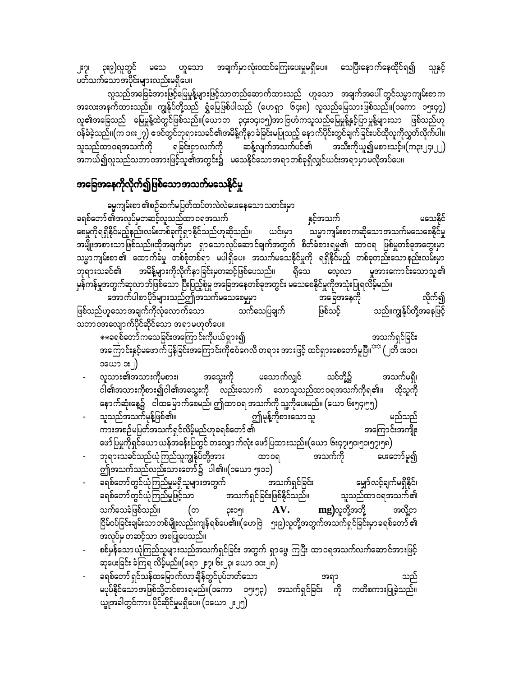၂း၇၊ ၃း၉)လူတွင် မသေ ဟူသော အချက်မှာလုံးဝထင်ကြေးပေးမှုမရှိပေ။ သေပြီးနောက်နေထိုင်ရ၍ သူနှင့် ပတ်သက်သော အပိုင်းများလည်းမရှိပေ။

လူသည်အခြေခံအားဖြင့်မြေမှုန့်များဖြင့်သာတည်ဆောက်ထားသည် ဟူသော အချက်အပေါ် တွင်သမ္မာကျမ်းစာက အလေးအနက်ထားသည်။ ကျွန်ုပ်တို့သည် ရွှံမြေဖြစ်ပါသည် (ဟေရှာ ၆၄း၈) လူသည်မြေသားဖြစ်သည်။(၁ကော ၁၅း၄၇) လူ၏အခြေသည် မြေမှုန့်ထဲတွင်ဖြစ်သည်။(ယောဘ ၃၄း၁၄၊၁၅)အာဗြဟံကသူသည်မြေမှုန့်နှင့်ပြာမှုန့်များသာ ဖြစ်သည်ဟု ဝန်ခံခဲ့သည်။(က ၁၈း၂၇) ဧဒင်တွင်ဘုရားသခင်၏အမိန့်ကိုနာခံခြင်းမပြုသည့် နောက်ပိုင်းတွင်ချက်ခြင်းပင်ထိုလူကိုလွှတ်လိုက်ပါ။ ဆန့်လျက်အသက်ပင်၏ အသီးကိုယူ၍မစားသင့်။(က၃း၂၄၊၂၂) သူသည်ထာဝရအသက်ကို ရခြင်းငှာလက်ကို အကယ်၍လူသည်သဘာဝအားဖြင့်သူ၏အတွင်း၌ မသေနိုင်သောအရာတစ်ခုရှိလျှင်ယင်းအရာမှာမလိုအပ်ပေ။

## <mark>အခြေအနေကိုလိုက်၍ဖြစ်</mark>သောအသက်မသေနိုင်မှု

ဓမ္မကျမ်းစာ ၏စဉ်ဆက်မပြတ်ထပ်တလဲလဲပေးနေသော သတင်းမှာ ခရစ်တော် ၏အလုပ်မှတဆင့်လူသည်ထာ ဝရအသက် နှင့်အသက် မသေနိုင် သမ္မာကျမ်းစာကဆိုသောအသက်မသေစေနိုင်မှု စေမှုကိုရရှိနိုင်မည့်နည်းလမ်းတစ်ခုကိုရှာနိုင်သည်ဟုဆိုသည်။ ယင်းမှာ အမျိုးအစားသာဖြစ်သည်။ထိုအချက်မှာ ရှာသောလုပ်ဆောင်ချက်အတွက် စိတ်ခံစားရမှု၏ ထာဝရ ဖြစ်မှုတစ်ခုအတွေးမှာ သမ္မာကျမ်းစာ ၏ ထောက်ခံမှု တစ်စုံတစ်ရာ မပါရှိပေ။ အသက်မသေနိုင်မှုကို ရရှိနိုင်မည့် တစ်ခုတည်းသောနည်းလမ်းမှာ ဘုရားသခင်၏ အမိန့်များကိုလိုက်နာခြင်းမှတဆင့်ဖြစ်ပေသည်။ ရိုသေ လေ့လာ မူအားကောင်းသောသူ၏ မှန်ကန်မှုအတွက်ဆုလာဘ်ဖြစ်သော ပြီးပြည့်စုံမှု အခြေအနေတစ်ခုအတွင်း မသေစေနိုင်မှုကိုအသုံးပြုရလိမ့်မည်။ အောက်ပါစာပိုဒ်များသည်ဤအသက်မသေစေမှုမှာ လိုက်၍ အခြေအနေကို သက်သေပြချက် ဖြစ်သည်ဟူသောအချက်ကိုလုံလောက်သော ဖြစ်သင့် သည်။ကျွန်ုပ်တို့အနေဖြင့် သဘာဝအလျောက်ပိုင်ဆိုင်သော အရာမဟုတ်ပေ။ \*\*ခရစ်တော်ကသေခြင်းအကြောင်းကိုပယ်ရှား၍ အသက်ရှင်ခြင်း အကြောင်းနှင့်မဖောက်ပြန်ခြင်းအကြောင်းကိုဝေံဂေလိ တရား အားဖြင့် ထင်ရှားစေတော်မူပြီ။<sup>အင</sup> (၂တိ ၁း၁၀၊ ၁ယော ၁း၂) လူသား၏အသားကိုမစား၊ အသွေးကို မသောက်လျှင် သင်တို့၌ အသက်မရှိ၊ ငါ၏အသားကိုစား၍ငါ၏အသွေးကို လည်းသောက် သောသူသည်ထာဝရအသက်ကိုရ၏။ ထိုသူကို နောက်ဆုံးနေ့၌ ငါထမြောက်စေမည်၊ ဤထာဝရ အသက်ကို သူ့ကိုပေးမည်။ (ယော ၆း၅၄၊၅၅) ဤမုန့်ကိုစားသောသူ သူသည်အသက်မှန့်ဖြစ်၏။ မည်သည် ကားအစဉ်မပြတ်အသက်ရှင်လိမ့်မည်ဟုခရစ်တော် ၏ အကြောင်းအကျိုး ဖော်ပြမှုကိုရှင်ယော ယန်အခန်းပြတွင် တလျှောက်လုံး ဖော်ပြထားသည်။(ယော ၆း၄၇၊၅၀၊၅၁၊၅၇၊၅၈) ဘုရားသခင်သည်ယုံကြည်သူကျွန်ုပ်တို့အား အသက်ကို ထာ၀ရ ပေးတော်မူ၍ ဤအသက်သည်လည်းသားတော်၌ ပါ၏။(၁ယော ၅း၁၁) ခရစ်တော်တွင်ယုံကြည်မှုမရှိသူများအတွက် အသက်ရှင်ခြင်း မျှော်လင့်ချက်မရှိနိုင်၊ အသက်ရှင်ခြင်းဖြစ်နိုင်သည်။ ခရစ်တော်တွင်ယုံကြည်မှုဖြင့်သာ သူသည်ထာဝရအသက်၏ သက်သေခံဖြစ်သည်။ mg)လူတို့အဘို့ AV. အလို့ငှာ (တ ဥး၁၅၊

- ငြိမ်ဝပ်ခြင်းချမ်းသာတစ်မျိုးလည်းကျန်ရစ်ပေ၏။(ဟေဗြဲ ၅း၉)လူတို့အတွက်အသက်ရှင်ခြင်းမှာခရစ်တော် ၏ အလုပ်မှ တဆင့်သာ အစပြုပေသည်။ စစ်မှန်သော ယုံကြည်သူများသည်အသက်ရှင်ခြင်း အတွက် ရှာဖွေ ကြပြီး ထာဝရအသက်လက်ဆောင်အားဖြင့်
- ဆုပေးခြင်း ခံကြရ လိမ့်မည်။(ရော ၂း၇၊ ၆း၂၃၊ ယော ၁၀း၂၈) ခရစ်တော် ရှင်သန်ထမြောက်လာချိန်တွင်ပုပ်တတ်သော အရာ
- သည် မပုပ်နိုင်သောအဖြစ်သို့တင်စားရမည်။(၁ကော ၁၅း၅၃) အသက်ရှင်ခြင်း ကို ကတိစကားပြုခဲ့သည်။ ယ္ခုအခါတွင်ကား ပိုင်ဆိုင်မှုမရှိပေ။ (၁ယော ၂၂၅)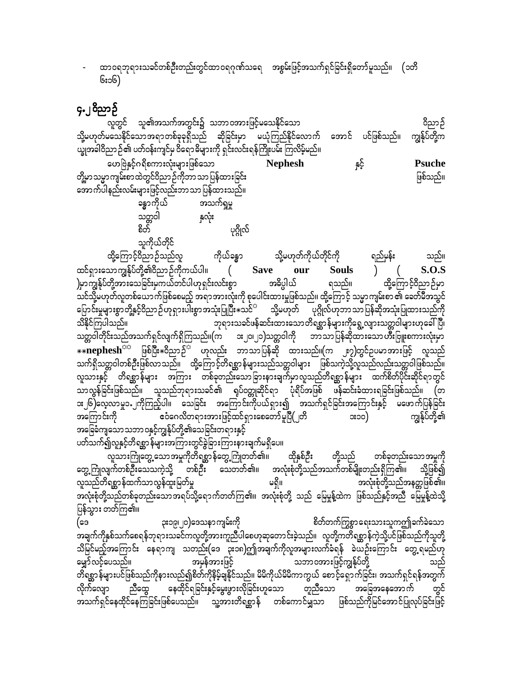ထာဝရဘုရားသခင်တစ်ဦးတည်းတွင်ထာဝရဂုဏ်သရေ အစွမ်းဖြင့်အသက်ရှင်ခြင်းရှိတော်မူသည်။ (၁တိ ၆း၁၆)

## ၄.၂၀ိညာဉ်

.<br>လူတွင် သူ၏အသက်အတွင်း၌ သဘာဝအားဖြင့်မသေနိုင်သော ဝိညာဉ် သို့မဟုတ်မသေနိုင်သောအရာတစ်ခုခုရှိသည် ဆိုခြင်းမှာ မယုံကြည်နိုင်လောက် အောင် ပင်ဖြစ်သည်။ ကျွန်ုပ်တို့က ယ္ခုအခါဝိညာ ဉ်၏ ပတ်ဝန်းကျင်မှ ဝိရောဓိများကို ရှင်းလင်းရန်ကြိုးပမ်း ကြလိမ့်မည်။ ဟေဗြဲနှင့်ဂရိစကားလုံးများဖြစ်သော နှင့် **Nephesh Psuche** တို့မှာသမ္မာကျမ်းစာထဲတွင်ဝိညာဉ်ကိုဘာသာပြန်ထားခြင်း ဖြစ်သည်။ ဆောက်ပါနည်းလမ်းများဖြင့်လည်းဘာသာ ပြန်ထားသည်။ ခန္ဓာကိုယ် အသက်ရှုမှု သတ္တဝါ နှလုံး စိတ် ပုဂ္ဂိုလ် သူကိုယ်တိုင် ထို့ကြောင့်ဝိညာဉ်သည်လူ ကိုယ်ခန္ဓာ သို့မဟုတ်ကိုယ်တိုင်ကို ရည်မှန်း သည်။ ထင်ရှားသောကျွန်ုပ်တို့၏ဝိညာဉ်ကိုကယ်ပါ။ **Save Souls**  $S.O.S$ our )မှာကျွန်ုပ်တို့အားသေခြင်းမှကယ်တင်ပါဟုရှင်းလင်းစွာ အဓိပ္ပါယ် ရသည်။ ထို့ကြောင့်ဝိညာဉ်မှာ .<br>သင်သို့မဟုတ်လူတစ်ယောက်ဖြစ်စေမည့် အရာအားလုံးကို စုပေါင်းထားမှုဖြစ်သည်။ ထို့ကြောင့် သမ္မာကျမ်းစာ ၏ ခေတ်မီအသွင် ပြောင်းမှုများစွာတို့နှင့်ဝိညာဉ်ဟုရှားပါးစွာအသုံးပြုပြီး $\ast$ သင် $^\circ$  သို့မဟုတ် ပုဂ္ဂိုလ်ဟုဘာသာပြန်ဆိုအသုံးပြုထားသည်ကို သိနိုင်ကြပါသည်။ ာ သို့<br>ဘုရားသခင်ဖန်ဆင်းထားသောတိရစ္ဆာန်များကိုရွေ့လျားသတ္တဝါများဟုခေါ်ပြီ၊ ဘာသာပြန်ဆိုထားသော*ဟိ*ဳးဗြူးစကားလုံးမှာ သတ္တဝါတိုင်းသည်အသက်ရှင်လျက်ရှိကြသည်။(က း၂၀၊၂၁)သတ္တဝါကို \*\*nephesh<sup>ထင</sup>် ဖြစ်ပြီး\*ဝိညာဉ်<sup>း</sup> ဟုလည်း ဘာသာပြန်ဆို ထားသည်။(က ၂း၇)တွင်ဥပမာအားဖြင့် လူသည် သက်ရှိသတ္တဝါတစ်ဦးဖြစ်လာသည်။ ထို့ကြောင့်တိရစ္ဆာန်များသည်သတ္တဝါများ ဖြစ်သကဲ့သို့လူသည်လည်းသတ္တဝါဖြစ်သည်။ လူသားနှင့် တိရစ္ဆာန်များ အကြား တစ်ခုတည်းသောခြားနားချက်မှာလူသည်တိရစ္ဆာန်များ ထက်စိတ်ပိုင်းဆိုင်ရာတွင် သာလွန်ခြင်းဖြစ်သည်။ သူသည်ဘုရားသခင်၏ ရုပ်ဝတ္တုဆိုင်ရာ ပုံရိပ်အဖြစ် ဖန်ဆင်းခံထားရခြင်းဖြစ်သည်။ (တ ား၂၆)လေ့လာမှု၁.၂ကိုကြည့်ပါ။ သေခြင်း အကြောင်းကိုပယ်ရှား၍ အသက်ရှင်ခြင်းအကြောင်းနှင့် မဖောက်ပြန်ခြင်း \_<br>|ဧဝံဂေလိတရားအားဖြင့်ထင်ရှားစေတော်မူပြီ(၂တိ အကြောင်းကို  $(x<sub>co</sub>)$ ကျွန်ုပ်တို့၏ အခြေခံကျသောသဘာဝနှင့်ကျွန်ုပ်တို့၏သေခြင်းတရားနှင့် ပတ်သက်၍လူနှင့်တိရစ္ဆာန်များအကြားတွင်ခွဲခြားကြားနားချက်မရှိပေ။ ာ ။<br>လူသားကြုတွေ့သောအမှုကိုတိရစ္ဆာန်တွေ့ကြုံတတ်၏။ ထိုနှစ်ဦး တို့သည် တစ်ခုတည်းသော အမှုကို တွေ့ကြုံလျက်တစ်ဦးသေသကဲ့သို့ တစ်ဦး သေတတ်၏။ အလုံးစုံတို့သည်အသက်တစ်မျိုးတည်းရှိကြ၏။ သို့ဖြစ်၍ လူသည်တိရစ္ဆာန်ထက်သာလွန်ထူးမြတ်မှု အလုံးစုံတို့သည်အနတ္တဖြစ်၏။ မရှိ။ ပြန်သွား တတ်ကြ၏။ စိတ်တက်ကြွစွာရေးသားသူကဤခက်ခဲသော ၃း၁၉၊၂၀)ဒေသနာကျမ်းကို (ဒေ အချက်ကိုနှစ်သက်စေရန်ဘုရားသခင်ကလူတို့အားကူညီပါစေဟုဆုတောင်းခဲ့သည်။ လူတို့ကတိရစ္ဆာန်ကဲ့သို့ပင်ဖြစ်သည်ကိုသူတို့ သိမြင်မည့်အကြောင်း နေရာကျ သတည်း(ဒေ ၃း၁၈)ဤအချက်ကိုလူအများလက်ခံရန် ခဲယဉ်းကြောင်း တွေ့ရမည်ဟု သဘာဝအားဖြင့်ကျွန်ုပ်တို့ အမှန်အားဖြင့် မျှော်လင့်ပေသည်။ သည် တိရစ္ဆာန်များပင်ဖြစ်သည်ကိုနားလည်၍စိတ်ကိုနိမ့်ချနိုင်သည်။ မိမိကိုယ်မိမိကာကွယ် စောင့်ရှောက်ခြင်း၊ အသက်ရှင်ရန်အတွက် နေထိုင်ရခြင်းနှင့်မွေးဖွားလိုခြင်းဟူသော တူညီသော ညီထွေ အခြေအနေအောက် လိုက်လျော အသက်ရှင်နေထိုင်နေကြခြင်းဖြစ်ပေသည်။ သူ့အားတိရစ္ဆာန် တစ်ကောင်မျှသာ ဖြစ်သည်ကိုမြင်အောင်ပြုလုပ်ခြင်းဖြင့်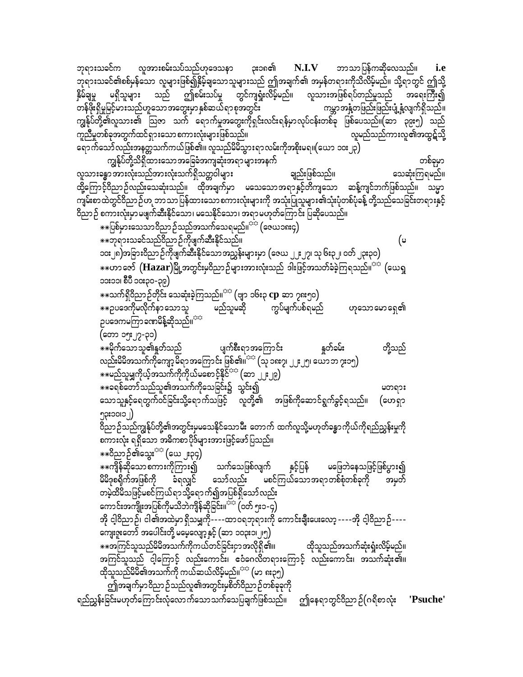ဘုရားသခင်က လူအားစမ်းသပ်သည်ဟုဒေသနာ ဘာသာပြန်ကဆိုလေသည်။  $N.I.V$ **ုး**၁၈၏ *i.e* ဘုရားသခင်၏စစ်မှန်သော လူများဖြစ်၍နှိမ့်ချသောသူများသည် ဤအချက်၏ အမှန်တရားကိုသိလိမ့်မည်။ သို့ရာတွင် ဤသို့ သည် ဤစမ်းသပ်မှု တွင်ကျရှုံးလိမ့်မည်။ လူသားအဖြစ်ရပ်တည်မှုသည် အရေးကြီး၍ နွိမ်ချမှု မရှိသူများ ကမ္ဘာအနှံ့တဖြည်းဖြည်းပျံ့နှံ့လျက်ရှိသည်။ တန်ဖိုးရှိမှုမြင့်မားသည်ဟူသောအတွေးမှာ နှစ်ဆယ်ရာစုအတွင်း ကျွန်ုပ်တို့၏လူသား၏ ဩဇာ သက် ရောက်မှုအတွေးကိုရှင်းလင်းရန်မှာလုပ်ငန်းတစ်ခု ဖြစ်ပေသည်။(ဆာ ၃၉း၅) သည် လူမည်သည်ကားလူ၏အထွဋ်သို့ ကူညီမှုတစ်ခုအတွက်ထင်ရှားသော စကားလုံးများဖြစ်သည်။ ရောက်သော်လည်းအနတ္တသက်ကယ်ဖြစ်၏။ လူသည်မိမိသွားရာလမ်းကိုအစိုးမရ။(ယော ၁၀း၂၃)

တစ်ခုမှာ ကျွန်ုပ်တို့သိရှိထားသောအခြေခံအကျဆုံးအရာများအနက် လူသားခန္ဓာ အားလုံးသည်အားလုံးသက်ရှိသတ္တဝါများ ချည်းဖြစ်သည်။ သေဆုံးကြရမည်။ ထို့ကြောင့်ဝိညာဉ်လည်းသေဆုံးသည်။ ထိုအချက်မှာ မသေသောအရာနှင့်တိကျသော ဆန့်ကျင်ဘက်ဖြစ်သည်။ သမ္မာ ကျမ်းစာထဲတွင်ဝိညာဉ်ဟု ဘာသာပြန်ထားသောစကားလုံးများကို အသုံးပြုသူများ၏သုံးပုံတစ်ပုံခန့် တို့သည်သေခြင်းတရားနှင့် 

☀☀ပြစ်မှားသေသာဝိညာဉ်သည်အသက်သေရမည်။<sup>ာာ</sup> (ဇေယ၁၈း၄) \*\*ဘုရားသခင်သည်ဝိညာဉ်ကိုဖျက်ဆီးနိုင်သည်။ (မ ၁၀း၂၈)အခြား၀ိညာဉ်ကိုဖျက်ဆီးနိုင်သောအညွှန်းများမှာ (ဇေယ ၂၂း၂၇၊ သု ၆း၃၂၊ ၀တ် ၂၃း၃၀) ☀☀ဟာ ဇော်  ${\rm (Hazar)}$ မြို့အတွင်းမှဝိညာဉ်များအားလုံးသည် ဒါးဖြင့်အသတ်ခံခဲ့ကြရသည်။ $^{\circ\circ}$  (ယေရှ ၁၁း၁၁၊ စီပီ ၁၀း၃၀-၃၉) \*\*သက်ရှိဝိညာဉ်တိုင်း သေဆုံးခဲ့ကြသည်။<sup>သင</sup>်္ဂ (ဗျာ ၁၆း၃  ${\rm cp}$  ဆာ ၇၈း၅၀)

\*\*ဉပဒေကိုမလိုက်နာ သောသူ မည်သူမဆို ကွပ်မျက်ပစ်ရမည် ဟုသောမောရေ၏ ဉပဒေကမကြာခဏမိန့်ဆိုသည်။<sup>သာ</sup>

(တော ၁၅း၂၇-၃၁) နူတ်ခမ်း \*\*မိုက်သောသူ၏နှတ်သည် ပျက်စီးရာအကြောင်း တို့သည် လည်းမိမိအသက်ကိုကျော့မိရာအကြောင်း ဖြစ်၏။<sup>သင</sup> (သု ၁၈း၇၊ ၂၂း၂၅၊ ယောဘ ၇း၁၅)  $\ast\ast$ မည်သူမျှကိုယ့်အသက်ကိုကိုယ်မစောင့်နိုင်<sup>းာ</sup> (ဆာ ၂၂း၂၉) ိ

\*\*ခရစ်တော်သည်သူ၏အသက်ကိုသေခြင်း၌ သွင်း၍ မတရား သောသူနှင့်ရေတွက်ဝင်ခြင်းသို့ရောက်သဖြင့် လူတို့၏ အဖြစ်ကိုဆောင်ရွက်ခွင့်ရသည်။ (ဟေရှာ  $j$ crocac $j$ 

ဝိညာဉ်သည်ကျွန်ုပ်တို့၏အတွင်းမှမသေနိုင်သောမီး တောက် ထက်လူသို့မဟုတ်ခန္ဓာကိုယ်ကိုရည်ညွှန်းမှုကို စကားလုံး ရရှိသော အဓိကစာပိုဒ်များအားဖြင့်ဖော်ပြသည်။

\*\*၀ိညာဉ်၏သွေး<sup>သာ</sup> (ယေ ၂း၃၄) ⋇⋇ကျွန်ဆိုသောစကားကိုကြား၍ သက်သေဖြစ်လျက် နှင့်ပြန် မဖြေဘဲနေသဖြင့်ဖြစ်ပွား၍ မိမိဒုစရိုက်အဖြစ်ကို ခံရလျှင် သော်လည်း မစင်ကြယ်သောအရာတစ်စုံတစ်ခုကို အမှတ် တမဲ့ထိမိသဖြင့်မစင်ကြယ်ရာသို့ရောက်၍အပြစ်ရှိသော်လည်း

ကောင်းအကျိုးအပြစ်ကိုမသိဘဲကျိန်ဆိုခြင်း။<sup>သိပ</sup> (ဝတ် ၅း၁-၄) အို ငါ့၀ိညာဉ်၊ ငါ၏အထဲမှာရှိသမျှကို----ထာ၀ရဘုရားကို ကောင်းချီးပေးလော့ ----အို ငါ့၀ိညာဉ်----ကျေးဇူးတော် အပေါင်းတို့ မမေ့လျော့နှင့် (ဆာ ၁၀၃း၁၊ ၂၅)

⋇⋇အကြင်သူသည်မိမိအသက်ကိုကယ်တင်ခြင်းငှာအလိုရှိ၏။ ထိုသူသည်အသက်ဆုံးရှုံးလိမ့်မည်။ အကြင်သူသည် ငါ့ကြောင့် လည်းကောင်း၊ ဧဝံဂေလိတရားကြောင့် လည်းကောင်း၊ အသက်ဆုံး၏။ ထိုသူသည်မိမိ၏အသက်ကို ကယ်ဆယ်လိမ့်မည်။<sup>ာာ</sup> (မာ ၈း၃၅)

ဤအချက်မှာဝိညာဉ်သည်လူ၏အတွင်းမှစိတ်ဝိညာဉ်တစ်ခုခုကို

ရည်ညွှန်းခြင်းမဟုတ်ကြောင်းလုံလောက်သောသက်သေပြချက်ဖြစ်သည်။ ဤနေရာတွင်ဝိညာဉ်(ဂရိစာလုံး **'Psuche'**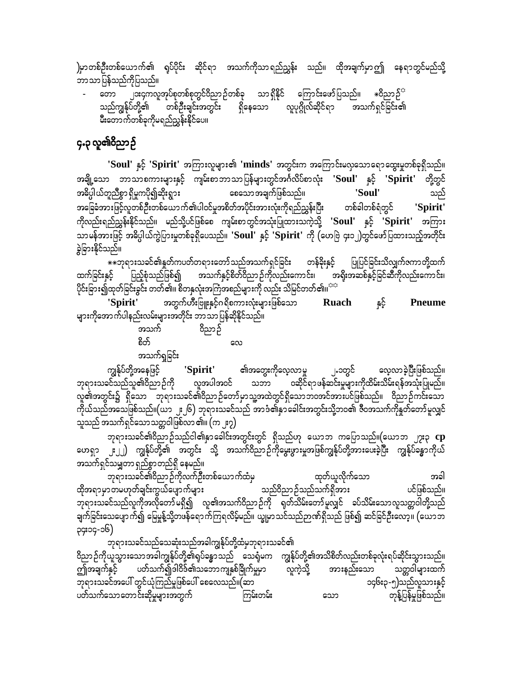)မှာတစ်ဦးတစ်ယောက်၏ ရုပ်ပိုင်း ဆိုင်ရာ အသက်ကိုသာရည်ညွှန်း သည်။ ထိုအချက်မှာဤ နေရာတွင်မည်သို့ ဘာသာပြန်သည်ကိုပြသည်။

၂၁း၄ကလူအုပ်စုတစ်စုတွင်ဝိညာဉ်တစ်ခု သာရှိနိုင် ကြောင်းဖော်ပြသည်။ <del>\*</del>ဝိညာဉ်<sup>ာ</sup> ကော သည်ကျွန်ုပ်တို့၏ -<br>- တစ်ဦးချင်းအတွင်း ရှိနေသော လူပုဂ္ဂိုလ်ဆိုင်ရာ အသက်ရှင်ခြင်း၏ မီးတောက်တစ်ခုကိုမရည်ညွှန်းနိုင်ပေ။

## ၄.၃ လူ၏ဝိညာဉ်

'Soul' နှင့် 'Spirit' အကြားလူများ၏ 'minds' အတွင်းက အကြောင်းမလှသောရောထွေးမှုတစ်ခုရှိသည်။ အချို့သော ဘာသာစကားများနှင့် ကျမ်းစာဘာသာပြန်များတွင်အင်္ဂလိပ်စာလုံး 'Soul' နှင့် 'Spirit' တို့တွင် စေသော အချက်ဖြစ်သည်။ အဓိပ္ပါယ်တူညီစွာ ရှိမှုကပို၍ဆိုးရွား 'Soul' သည် အခြေခံအားဖြင့်လူတစ်ဦးတစ်ယောက်၏ပါဝင်မှုအစိတ်အပိုင်းအားလုံးကိုရည်ညွှန်းပြီး တစ်ခါတစ်ရံတွင် 'Spirit' ကိုလည်းရည်ညွှန်းနိုင်သည်။ မည်သို့ပင်ဖြစ်စေ ကျမ်းစာတွင်အသုံးပြုထားသကဲ့သို့ 'Soul' နှင့် 'Spirit' အကြား သာမန်အားဖြင့် အဓိပ္ပါယ်ကွဲပြားမှုတစ်ခုရှိပေသည်။ 'Soul' နှင့် 'Spirit' ကို (ဟေဗြဲ ၄း၁၂)တွင်ဖော်ပြထားသည့်အတိုင်း ခွဲခြားနိုင်သည်။

ထက်ခြင်းနှင့် ပြည့်စုံသည်ဖြစ်၍ အသက်နှင့်စိတ်ဝိညာဉ်ကိုလည်းကောင်း၊ အရိုးအဆစ်နှင့်ခြင်ဆီကိုလည်းကောင်း၊ ပိုင်းခြား၍ထုတ်ခြင်းခွင်း တတ်၏။ စိတနှလုံးအကြံအစည်များကို လည်း သိမြင်တတ်၏။<sup>အဒ</sup>

'Spirit' နှင့် **Ruach Pneume** များကိုအောက်ပါနည်းလမ်းများအတိုင်း ဘာသာပြန်ဆိုနိုင်သည်။ အသက် ဝိညာဉ် စိတ်

 $\infty$ 

အသက်ရှုခြင်း

၏အတွေးကိုလေ့လာမှု လေ့လာခဲ့ပြီးဖြစ်သည်။ 'Spirit' ၂.၁တွင် ကျွန်ုပ်တို့အနေဖြင့် လူအပါအဝင် ဘုရားသခင်သည်သူ၏ဝိညာဉ်ကို သဘာ ဝဆိုင်ရာဖန်ဆင်းမှုများကိုထိမ်းသိမ်းရန်အသုံးပြုမည်။ လူ၏အတွင်း၌ ရှိသော ဘုရားသခင်၏ဝိညာဉ်တော်မှာသူ့အထဲတွင်ရှိသောဘ၀အင်အားပင်ဖြစ်သည်။ ဝိညာဉ်ကင်းသော .<br>ကိုယ်သည်အသေဖြစ်သည်။(ယာ ၂း၂၆) ဘုရားသခင်သည် အာဒံ၏နှာခေါင်းအတွင်းသို့ဘ၀၏ ဇီဝအသက်ကိုနှတ်တော်မူလျှင် သူသည် အသက်ရှင်သောသတ္တဝါဖြစ်လာ ၏။ (က ၂း၇)

ဘုရားသခင်၏၀ိညာဉ်သည်ငါ၏နှာခေါင်းအတွင်းတွင် ရှိသည်ဟု ယောဘ ကပြောသည်။(ယောဘ ၂၇း၃  ${\bf cp}$ ဟေရှာ ၂ ၂) ကျွန်ုပ်တို့၏ အတွင်း သို့ အသက်ဝိညာဉ်ကိုမွေးဖွားမှုအဖြစ်ကျွန်ုပ်တို့အားပေးခဲ့ပြီး ကျွန်ုပ်ခန္ဓာကိုယ် အသက်ရှင်သမျှတာ ရှည်စွာ တည်ရှိ နေမည်။

ဘုရားသခင်၏ဝိညာဉ်ကိုလက်ဦးတစ်ယောက်ထံမှ ထုတ်ယူလိုက်သော အခါ ထိုအရာမှာတမဟုတ်ချင်းကွယ်ပျောက်များ သည်ဝိညာဉ်သည်သက်ရှိအား ပင်ဖြစ်သည်။ ဘုရားသခင်သည်လူကိုအလိုတော်မရှိ၍ လူ၏အသက်ဝိညာဉ်ကို ရုတ်သိမ်းတော်မူလျှင် ခပ်သိမ်းသောလူသတ္တဝါတို့သည် ချက်ခြင်းသေပျောက်၍ မြေမှုန့်သို့တဖန်ရောက်ကြရလိမ့်မည်။ ယျှမှာသင်သည်ဉာဏ်ရှိသည် ဖြစ်၍ ဆင်ခြင်ဦးလော့။ (ယောဘ ၃၄း၁၄-၁၆)

ဘုရားသခင်သည်သေဆုံးသည်အခါကျွန်ုပ်တို့ထံမှဘုရားသခင်၏ ဝိညာဉ်ကိုယူသွားသောအခါကျွန်ုပ်တို့၏ရုပ်ခန္ဓာသည် သေရုံမက ကျွန်ုပ်တို့၏အသိစိတ်လည်းတစ်ခုလုံးရပ်ဆိုင်းသွားသည်။ ကျ်အချက်နှင့် ပတ်သက်၍ဒါဝိဒ်၏သဘောကျနှစ်ခြိုက်မှုမှာ လူကဲ့သို့ အားနည်းသော သတ္တဝါများထက် ဘုရားသခင်အပေါ် တွင်ယုံကြည်မှုဖြစ်ပေါ် စေလေသည်။(ဆာ ၁၄၆း၃-၅)သည်လူသားနှင့် ပတ်သက်သောတောင်းဆိုမှုများအတွက် တုန့်ပြန်မှုဖြစ်သည်။ ကြမ်းတမ်း သော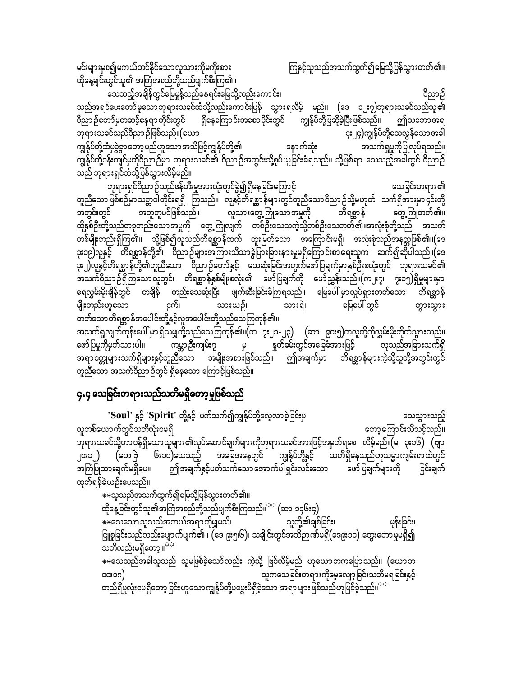မင်းများမှစ၍မကယ်တင်နိုင်သောလူသားကိုမကိုးစား ကြနင့်သူသည်အသက်ထွက်၍မြေသို့ပြန်သွားတတ်၏။ ထိုနေ့ချင်းတွင်သူ၏ အကြံအစည်တို့သည်ပျက်စီးကြ၏။ aoonfhtcsdefwGifajrrIefYonfae&if;ajrodkYvnf;aumif;? 0dnmOf

သည်အရင်ပေးတော်မူသောဘုရားသခင်ထံသို့လည်းကောင်းပြန် သွားရလိမ့် မည်။ (ဒေ ၁၂း၇)ဘုရားသခင်သည်သူ၏ ၀ိညာဉ်တော်မှတဆင့်နေရာတိုင်းတွင် ရှိနေကြောင်းအစောပိုင်းတွင် ကျွန်ုပ်တို့ပြဆိုခဲ့ပြီးဖြစ်သည်။ ဤသဘောအရ<br>ဘုရားသခင်သည်၀ိညာဉ်ဖြစ်သည်။(ယော ဘုရားသခင်သည်ဝိညာဉ်ဖြစ်သည်။(ယော<br>- ကျွန်ုပ်တို့ထံမှခွဲခွာတော့မည်ဟူသောအသိဖြင့်ကျွန်ုပ်တို့၏ - နောက်ဆုံး - အသက်ရှုမှုကိုပြုလုပ်ရသည်။ ကျွန်ုပ်တို့ထံမှခွဲခွာတော့မည်ဟူသောအသိဖြင့်ကျွန်ုပ်တို့၏ ကျွန်ုပ်တို့ဝန်းကျင်မှထိုဝိညာဉ်မှာ ဘုရားသခင်၏ ဝိညာဉ်အတွင်းသို့စုပ်ယူခြင်းခံရသည်။ သို့ဖြစ်ရာ သေသည့်အခါတွင် ဝိညာဉ် ာ<br>ထည် ဘုရားရှင်ထံသို့ပြန်သွားလိမ့်မည်။

ဘုရားရှင်ဝိညာဉ်သည်ဖန်တီးမှုအားလုံးတွင်ခွဲ၍ရှိနေခြင်းကြောင့် ကာကားသားလေသေခြင်းတရား၏ တူညီသောဖြစ်စဉ်မှာသတ္တဝါတိုင်းရရှိ ကြသည်။ လူနှင့်တိရစ္ဆာန်များတွင်တူညီသောဝိညာဉ်သို့မဟုတ် သက်ရှိအားမှာ၄င်းတို့<br>အတွင်းတွင် အတူတူပင်ဖြစ်သည်။ လူသားတွေ့ကြုံသောအမှုကို တိရစ္ဆာန် တွေ့ကြုံတတ်၏။ လူသားတွေ့ ကြုံသောအမှုကို ထိုနှစ်ဦးတို့သည်တခုတည်းသောအမှုကို တွေ့ကြုံလျက် တစ်ဦးသေသကဲ့သို့တစ်ဦးသေတတ်၏။အလုံးစုံတို့သည် အသက် တစ်မျိုးတည်းရှိကြ၏။ သို့ဖြစ်၍လူသည်တိရစ္ဆာန်ထက် ထူးမြတ်သော အကြောင်းမရှိ၊ အလုံးစုံသည်အနတ္တဖြစ်၏။(ဒေ ၃း၁၉)လူနှင့် တိရစ္ဆာန်တို့၏ ဝိညာဉ်များအကြားသိသာခွဲပြားခြားနားမှုမရှိကြောင်းစာရေးသူက ဆက်၍ဆိုပါသည်။(ဒေ ၃း၂)လူနှင့်တိရစ္ဆာန်တို့၏တူညီသော ဝိညာဉ်တော်နှင့် သေဆုံးခြင်းအတွက်ဖော်ပြချက်မှာနှစ်ဦးစလုံးတွင် ဘုရားသခင်၏ အသက်ဝိညာဉ်ရှိကြသောလူတွင်၊ တိရစ္ဆာန်နှစ်မျိုးစလုံး၏ ဖော်ပြချက်ကို ဖော်ညွှန်းသည်။(က၂း၇၊ ၇း၁၅)ရှိမှုများမှာ a&vTrf;rdk;csdefwGif wcsdef wnf;aoqHk;NyD; zsufqD;jcif;cHMu&onf/ ajray:rSmvIyf&Sm;wwfaom wd&pämef မျိုးတည်းဟူသော ငှက်၊ သားယဉ်၊ သားရဲ၊ မြေပေါ် တွားသွား တတ်သောတိရစ္ဆာန်အပေါင်းတို့နှင့်လူအပေါင်းတို့သည်သေကြကုန်၏။ အသက်ရှုလျက်ကုန်းပေါ် မှာရှိသမျှတို့သည်သေကြကုန်၏။(က ၇း၂၁-၂၃) (ဆာ ၉၀း၅)ကလူတို့ကိုလွှမ်းမိုးတိုက်သွားသည်။<br>ဖော်ပြမှုကိုမှတ်သားပါ။ ကမ္ဘာဉီးကျမ်း၇ မှ နွတ်ခမ်းတွင်အခြေခံအားဖြင့် လူသည်အခြားသက်ရှိ ကမ္ဘာဦးကျမ်း၇ မှ နုတ်ခမ်းတွင်အခြေခံအားဖြင့် လူသည်အခြားသက်ရှိ um ပါ။ ကာလ တွင် ရဲ့ အသင်း အမျိုးအစားဖြစ်သည်။ ဤအချက်မှာ တိရစ္ဆာန်များကဲ့သို့သူတို့အတွင်းတွင် ပြ တူညီသော အသက်ဝိညာဉ်တွင် ရှိနေသော ကြောင့်ဖြစ်သည်။

## ၄.၄ သေခြင်းတရားသည်သတိမရှိတော့မှုဖြစ်သည်

**'Soul'** ESifh **'Spirit'** wdkYESifh yufoufíuREkfyfwdkYavhvmcJhjcif;rS aooGm;onfh လူတစ်ယောက်တွင်သတိလုံးဝမရှိ မြန်မာနေသည်။ အမျိုးသမီးသည်။ အမျိုးသမီးသည်။ အမျိုးသမီးသည်။ အမျိုးသည်။ ဘုရားသခင်သို့တာဝန်ရှိသောသူများ၏လုပ်ဆောင်ချက်များကိုဘုရားသခင်အားဖြင့်အမှတ်ရစေ လိမ့်မည်။(မ ၃း၁၆) (ဗျာ<br>၂၀း၁၂) (ဟေဗြဲ ၆း၁၀)သေသည့် အခြေအနေတွင် ကျွန်ုပ်တို့နှင့် သတိရှိနေသည်ဟုသမ္မာကျမ်းစာထဲတွင် ၂၀း၁၂) (ဟေဗြဲ ၆း၁၀)သေသည့် အခြေအနေတွင်<br>အကြံပြုထားချက်မရှိပေ။ ဤအချက်နှင့်ပတ်သက်သောအောဂ  $\frac{1}{2}$ ရာမျက်နှင့်ပတ်သက်သော အောက်ပါရှင်းလင်းသော ထော်ပြချက်များကို ငြင်းချက် ထုတ်ရန်ခဲယဉ်းပေသည်။

 $\ast\ast$ သူသည်အသက်ထွက်၍မြေသို့ပြန်သွားတတ်၏။  $\alpha$ ရနေ့ခြင်းတွင်သူ၏အကြံအစည်တို့သည်ပျက်စီးကြသည်။ ${}^{\text{max}}$  (ဆာ ၁၄၆း၄)  $\ast\ast$ သေသော သူသည်အဘယ်အရာ ကိုမျှမသိ၊  $\quad$  သူတို့၏ချစ်ခြင်း၊ ကားကား မုန်းခြင်း၊ ငြူစူခြင်းသည်လည်းပျောက်ပျက်၏။ (ဒေ ၉း၅၊၆)၊ သချိုင်းတွင်အသိဉာဏ်မရှိ(ဒေ၉း၁၀) တွေးတောမှုမရှိ၍ သတိလည်းမရှိတော့။<sup>အား</sup>  $\ast\ast$ သေသည်အခါသူသည် သူမဖြစ်ခဲ့သော်လည်း ကဲ့သို့ ဖြစ်လိမ့်မည် ဟုယောဘကပြောသည်။ (ယောဘ ၁၀း၁၈) တာဝါပါတယ်။ သူကသေခြင်းတရားကိုမေ့လျော့ခြင်းသတိမရခြင်းနှင့် တည်ရှိမှုလုံး၀မရှိတော့ခြင်းဟူသောကျွန်ုပ်တို့မမွေးမီရှိခဲ့သော အရာများဖြစ်သည်ဟုမြင်ခဲ့သည်။<sup>အနာ</sup>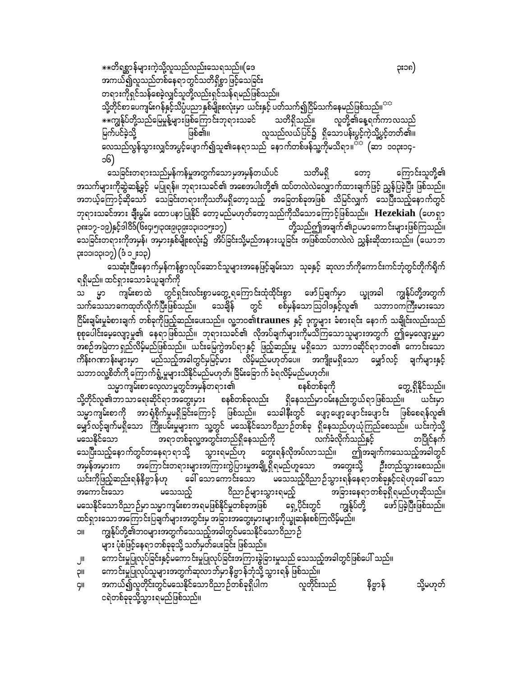\*\*တိရစ္ဆာန်များကဲ့သို့လူသည်လည်းသေရသည်။(ဒေ ၃း၁၈) အကယ်၍လူသည်တစ်နေရာတွင်သတိရှိစွာဖြင့်သေခြင်း တရားကိုရှင်သန်စေခဲ့လျှင်သူတို့လည်းရှင်သန်ရမည်ဖြစ်သည်။ သို့တိုင်စာ ပေကျမ်းဂန်နှင့်သိပ္ပံပညာနှစ်မျိုးစလုံးမှာ ယင်းနှင့် ပတ်သက်၍ငြိမ်သက်နေမည်ဖြစ်သည်။<sup>ာာ</sup> \*\*ကျွန်ုပ်တို့သည်မြေမှုန့်များဖြစ်ကြောင်းဘုရားသခင် သတိရှိသည်။ လူတို့၏နေ့ရက်ကာလသည် လူသည်လယ်ပြင်၌ ရှိသောပန်းပွင့်ကဲ့သို့ပွင့်တတ်၏။ မြက်ပင်ခဲ့သို့ ဖြစ်၏။ လေသည်လွန်သွားလျှင်အပွင့်ပျောက်၍သူ၏နေရာသည် နောက်တစ်ဖန်သူ့ကိုမသိရာ။<sup>ာာ</sup> (ဆာ ၁၀၃း၁၄-၁၆)

သေခြင်းတရားသည်မှန်ကန်မှုအတွက်သောမှအမှန်တယ်ပင် သတိမရှိ ကြောင်းသူတို့၏ ကော့ အသက်များကိုဆွဲဆန့်ခွင့် မပြုရန်။ ဘုရားသခင်၏ အစေအပါးတို့၏ ထပ်တလဲလဲလျှောက်ထားချက်ဖြင့် ညွှန်ပြခဲ့ပြီး ဖြစ်သည်။ အဘယ့်ကြောင့်ဆိုသော် သေခြင်းတရားကိုသတိမရှိတော့သည့် အခြေတစ်ခုအဖြစ် သိမြင်လျှက် သေပြီးသည့်နောက်တွင် ဘုရားသခင်အား ချီးမွမ်း ထောပနာပြုနိုင် တော့မည်မဟုတ်တော့သည်ကိုသိသောကြောင့်ဖြစ်သည်။ Hezekiah (ဟေရှာ ၃၈း၁၇-၁၉)နှင့်ဒါဝိဒ်(၆း၄၊၅၊၃၀း၉၊၃၉း၁၃၊၁၁၅း၁၇) တို့သည်ဤအချက်၏ဉပမာကောင်းများဖြစ်ကြသည်။ သေခြင်းတရားကိုအမှန်၊ အမှားနှစ်မျိုးစလုံး၌ အိပ်ခြင်းသို့မည်အနားယူခြင်း အဖြစ်ထပ်တလဲလဲ ညွှန်းဆိုထားသည်။ (ယောဘ ၃း၁၁၊၁၃၊၁၇) (ဒီ ၁၂း၁၃)

သေဆုံးပြီးနောက်မှန်ကန်စွာလုပ်ဆောင်သူများအနေဖြင့်ချမ်းသာ သုခနှင့် ဆုလာဘ်ကိုကောင်းကင်ဘုံတွင်တိုက်ရိုက် ရရှိမည်။ ထင်ရှားသောခံယူချက်ကို

ား ကြား ကျမ်းစာထဲ တွင်ရှင်းလင်းစွာမတွေ့ ရကြောင်းထုံထိုင်းစွာ ဖော်ပြချက်မှာ ယျွှအခါ ကျွန်ုပ်တို့အတွက်<br>သက်သေသာကေထုတ်လိုက်ပြီးဖြစ်သည်။ သေချိန် တွင် စစ်မှန်သောဩဝါဒနှင့်လူ၏ သဘာဝကကြီးမားသော ငြိမ်းချမ်းမှုခံစားချက် တစ်ခုကိုဖြည့်ဆည်းပေးသည်။ လူ့ဘဝ၏ ${\bf traunes}$  နှင့် ဒုက္ခများ ခံစားရင်း နောက် သချိုင်းလည်းသည် စုစုပေါင်းမေ့လျော့မှု၏ နေရာဖြစ်သည်။ ဘုရားသခင်၏ လိုအပ်ချက်များကိုမသိကြသောသူများအတွက် ဤမေ့လျော့မှုမှာ အစဉ်အမြဲတာရှည်လိမ့်မည်ဖြစ်သည်။ ယင်းမြေကွဲအပ်ရာနှင့် ဖြည့်ဆည်းမှု မရှိသော သဘာဝဆိုင်ရာဘဝ၏ ကောင်းသော ကိန်းဂဏာန်းများမှာ မည်သည့်အခါတွင်မှမြင့်မား လိမ့်မည်မဟုတ်ပေ။ အကျိုးမရှိသော မျှော်လင့် ချက်များနှင့် သဘာဝလူ့စိတ်ကို ကြောက်ရွံ့မှုများသိနိုင်မည်မဟုတ်၊ ခြိမ်းခြောက် ခံရလိမ့်မည်မဟုတ်။

တွေ့ ရှိနိုင်သည်။ သမ္မာကျမ်းစာလေ့လာမှုတွင်အမှန်တရား၏ စနစ်တစ်ခုကို သို့တိုင်လူ၏ဘာသာရေးဆိုင်ရာအတွေးမှား စနစ်တစ်ခုလည်း ရှိနေသည်မှာဝမ်းနည်းဘွယ်ရာဖြစ်သည်။ ယင်းမှာ သမ္မာကျမ်းစာကို အာရုံစိုက်မှုမရှိခြင်းကြောင့် ဖြစ်သည်။ သေခါနီးတွင် ပျော့ပျော့ပျောင်းပျောင်း ဖြစ်စေရန်လူ၏ မျှော်လင့်ချက်မရှိသော ကြိုးပမ်းမှုများက သူ့တွင် မသေနိုင်သောဝိညာဉ်တစ်ခု ရှိနေသည်ဟုယုံကြည်စေသည်။ ယင်းကဲ့သို့ အရာတစ်ခုလူ့အတွင်းတည်ရှိနေသည်ကို တပြိုင်နက် မသေနိုင်သော လက်ခံလိုက်သည်နှင့် သေပြီးသည့်နောက်တွင်တနေရာ ရာသို့ သွားရမည်ဟု တွေးရန်လိုအပ်လာသည်။ ဤအချက်ကသေသည့်အခါတွင် အကြောင်းတရားများအကြားကွဲပြားမှုအချို့ရှိရမည်ဟူသော အတွေးသို့ ဦးတည်သွားစေသည်။ သင်္ကသေးယ ယင်းကိုဖြည့်ဆည်းရန်နိဗ္ဗာန်ဟု ခေါ် သောကောင်းသော မသေသည့်ဝိညာဉ်သွားရန်နေရာတစ်ခုနှင့်ငရဲဟုခေါ် သော အကောင်းသော မသေသည့် ဝိညာဉ်များသွားရမည့် အခြားနေရာတစ်ခုရှိရမည်ဟုဆိုသည်။ မသေနိုင်သောဝိညာဉ်မှာသမ္မာကျမ်းစာအရမဖြစ်နိုင်မှုတစ်ခုအဖြစ် ရှေ့ပိုင်းတွင် ကျွန်ုပ်တို့ ဖော်ပြခဲ့ပြီးဖြစ်သည်။ ထင်ရှားသောအကြောင်းပြချက်များအတွင်းမှ အခြားအတွေးမှားများကိုယ္ခုဆန်းစစ်ကြလိမ့်မည်။

ကျွန်ုပ်တို့၏ဘဝများအတွက်သေသည့်အခါတွင်မသေနိုင်သောဝိညာဉ် **IIC** များ ပုံစံဖြင့်နေရာတစ်ခုခုသို့ သတ်မှတ်ပေးခြင်း ဖြစ်သည်။

ကောင်းမှုပြုလုပ်ခြင်းနှင့်မကောင်းမှုပြုလုပ်ခြင်းအကြားခွဲခြားမှုသည် သေသည့်အခါတွင်ဖြစ်ပေါ် သည်။ JIL

- ကောင်းမှုပြုလုပ်သူများအတွက်ဆုလာဘ်မှာနိဗ္ဗာန်ဘုံသို့ သွားရန် ဖြစ်သည်။ **II**Ç
- အကယ်၍လူတိုင်းတွင်မသေနိုင်သောဝိညာဉ်တစ်ခုရှိပါက<sup>်</sup> နိဗ္ဗာန် လူတိုင်းသည် သို့မဟုတ် ÇII ငရဲတစ်ခုခုသို့သွားရမည်ဖြစ်သည်။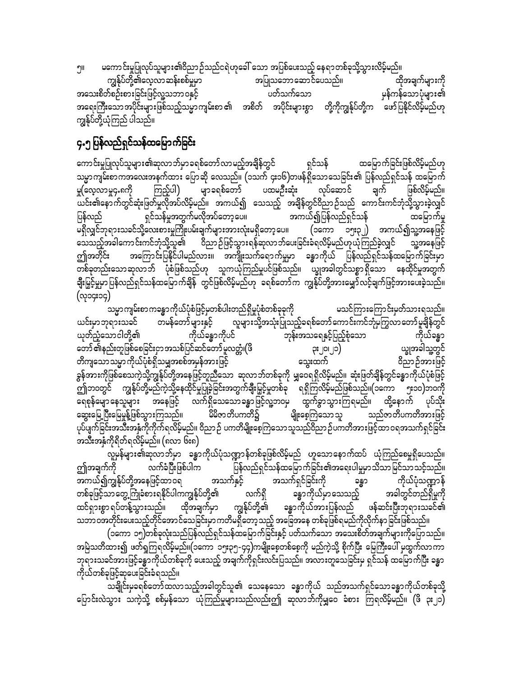မကောင်းမှုပြုလုပ်သူများ၏ဝိညာဉ်သည်ငရဲဟုခေါ် သော အပြစ်ပေးသည့် နေရာတစ်ခုသို့သွားလိမ့်မည်။ ווף

ကျွန်ုပ်တို့၏လေ့လာဆန်းစစ်မှုမှာ အပြုသဘောဆောင်ပေသည်။ ထိုအချက်များကို အသေးစိတ်စဉ်းစားခြင်းဖြင့်လူ့သဘာ ဝနှင့် ပတ်သက်သော ှမန်ကန်သောပုံများ၏ အရေးကြီးသောအပိုင်းများဖြစ်သည့်သမ္မာကျမ်းစာ ၏ အစိတ် အပိုင်းများစွာ တို့ကိုကျွန်ုပ်တို့က ဖော်ပြနိုင်လိမ့်မည်ဟု ကျွန်ုပ်တို့ယုံကြည် ပါသည်။

## ၄.၅ ပြန်လည်ရှင်သန်ထမြောက်ခြင်း

ကောင်းမှုပြုလုပ်သူများ၏ဆုလာဘ်မှာခရစ်တော်လာမည့်အချိန်တွင် ရှင်သန် ထမြောက်ခြင်းဖြစ်လိမ့်မည်ဟု သမ္မာကျမ်းစာကအလေးအနက်ထား ပြောဆို လေသည်။ (၁သက် ၄း၁၆)တဖန်ရှိသောသေခြင်း၏ ပြန်လည်ရှင်သန် ထမြောက် ကြည့်ပါ) မျာခရစ်တော် လုပ်ဆောင် မှု(လေ့လာမှု၄.၈ကို ပထမဦးဆုံး ချက် ဖြစ်လိမ့်မည်။ ယင်း၏နောက်တွင်ဆုံးဖြတ်မှုလိုအပ်လိမ့်မည်။ အကယ်၍ သေသည့် အချိန်တွင်ဝိညာဉ်သည် ကောင်းကင်ဘုံသို့သွားခဲ့လျှင် ရှင်သန်မှုအတွက်မလိုအပ်တော့ပေ။ အကယ်၍ပြန်လည်ရှင်သန် ပြန်လည် ထမြောက်မှု မရှိလျှင်ဘုရားသခင်သို့လေးစားမှုကြိုးပမ်းချက်များအားလုံးမရှိတော့ပေ။ (၁ကော ၁၅း၃၂) အကယ်၍သူ့အနေဖြင့် သူ့အနေဖြင့် ဤအတိုင်း အကြောင်းပြနိုင်ပါမည်လား။ အကျိုးသက်ရောက်မှုမှာ ခန္ဓာကိုယ် ပြန်လည်ရှင်သန်ထမြောက်ခြင်းမှာ တစ်ခုတည်းသောဆုလာဘ် ပုံစံဖြစ်သည်ဟု သူကယုံကြည်မှုပင်ဖြစ်သည်။ ယ္ခုအခါတွင်သစ္စာရှိသော နေထိုင်မှုအတွက် ချီးမြှင့်မှုမှာ ပြန်လည်ရှင်သန်ထမြောက်ချိန် တွင်ဖြစ်လိမ့်မည်ဟု ခရစ်တော်က ကျွန်ုပ်တို့အားမျှော်လင့်ချက်ဖြင့်အားပေးခဲ့သည်။ (လု၁၄း၁၄)-

သမ္မာကျမ်းစာကခန္ဓာကိုယ်ပုံစံဖြင့်မှတစ်ပါးတည်ရှိမှုပုံစံတစ်ခုခုကို မသင်ကြားကြောင်းမှတ်သားရသည်။ တမန်တော်များနှင့် လူများသို့အသုံးပြုသည့်ခရစ်တော်ကောင်းကင်ဘုံမကြွလာတော်မူချိန်တွင် ယင်းမှာဘုရားသခင် ဘုန်းအသရေနှင့်ပြည့်စုံသော ကိုယ်ခန္ဓာကိုပင် ယုတ်ညံ့သောငါတို့၏ ကိုယ်ခန္ဓာ တော် ၏နည်းတူဖြစ်စေခြင်းငှာ အသစ်ပြင်ဆင်တော် မူလတ္တံ၊(ဖိ ယ္ဗုအခါသူ့တွင်  $\mathcal{L}$ တိကျသောသမ္မာကိုယ်ပုံစံရှိသမျှအစစ်အမှန်အားဖြင့် သွေးထက် ဝိညာဉ်အားဖြင့် ခွန်အားကိုဖြစ်စေသကဲ့သို့ကျွန်ုပ်တို့အနေဖြင့်တူညီသော ဆုလာဘ်တစ်ခုကို မျှဝေရရှိလိမ့်မည်။ ဆုံးဖြတ်ချိန်တွင်ခန္ဓာကိုယ်ပုံစံဖြင့်<br>ဤဘဝတွင် ကျွန်ုပ်တို့မည်ကဲ့သို့နေထိုင်မှုပြုခဲ့ခြင်းအတွက်ချီးမြှင့်မှုတစ်ခု ရရှိကြလိမ့်မည်ဖြစ်သည်။ ရေစုန်မျောနေသူများ အနေဖြင့် လက်ရှိသေသောခန္ဓာဖြင့်လူ့ဘ၀မှ ထွက်ခွာသွားကြရမည်။ ထို့နောက် ပုပ်သိုး ာ<br>- မျိုးစေ့ကြသောသူ - သည်ဇာတိပကတိအားဖြင့် မိမိဇာတိပကတိ၌ ဆွေးမြေ့ပြီးမြေမှုန့်ဖြစ်သွားကြသည်။ ပုပ်ပျက်ခြင်းအသီးအနှံ့ကိုကိုက်ရလိမ့်မည်။ ဝိညာဉ် ပကတိမျိုးစေ့ကြသောသူသည်ဝိညာဉ်ပကတိအားဖြင့်ထာဝရအသက်ရှင်ခြင်း .<br>အသီးအနှံကိုရိတ်ရလိမ့်မည်။ (၈လာ ၆း၈)

လူမှန်များ၏ဆုလာဘ်မှာ ခန္ဓာကိုယ်ပုံသဏ္ဍာန်တစ်ခုဖြစ်လိမ့်မည် ဟူသောနောက်ထပ် ယုံကြည်စေမှုရှိပေသည်။ ပြန်လည်ရှင်သန်ထမြောက်ခြင်း၏အရေးပါမှုမှာသိသာမြင်သာသင့်သည်။ ဤအချက်ကို လက်ခံပြီးဖြစ်ပါက အသက်ရှင်ခြင်းကို အကယ်၍ကျွန်ုပ်တို့အနေဖြင့်ထာဝရ အသက်နှင့် ကိုယ်ပုံသဏ္ဍာန် ခန္တာ ခန္ဓာကိုယ်မှာသေသည့် တစ်ခုဖြင့်သာတွေ့ကြုံခံစားရနိုင်ပါကကျွန်ုပ်တို့၏ အခါတွင်တည်ရှိမှုကို လက်ရှိ ထင်ရှားစွာ ရပ်တန့်သွားသည်။ ထိုအချက်မှာ ကျွန်ုပ်တို့၏ ခန္ဓာကိုယ်အားပြန်လည် ဖန်ဆင်းပြီးဘုရားသခင်၏ သဘာဝအတိုင်းပေးသည့်တိုင်အောင်သေခြင်းမှာ ကတိမရှိတော့ သည့် အခြေအနေ တစ်ခုဖြစ်ရမည်ကိုလိုက်နာ ခြင်းဖြစ်သည်။

(၁ကော ၁၅)တစ်ခုလုံးသည်ပြန်လည်ရှင်သန်ထမြောက်ခြင်းနှင့် ပတ်သက်သော အသေးစိတ်အချက်များကိုပြောသည်။ အမြဲသတိထား၍ ဖတ်ရှုကြရလိမ့်မည်။(၁ကော ၁၅း၃၅-၄၄)ကမျိုးစေ့တစ်စေ့ကို မည်ကဲ့သို့ စိုက်ပြီး မြေကြီးပေါ် မှထွက်လာကာ ဘုရားသခင်အားဖြင့်ခန္ဓာကိုယ်တစ်ခုကို ပေးသည့် အချက်ကိုရှင်းလင်းပြသည်။ အလားတူသေခြင်းမှ ရှင်သန် ထမြောက်ပြီး ခန္ဓာ ကိုယ်တစ်ခုဖြင့်ဆုပေးခြင်းခံရသည်။

သချိုင်းမှခရစ်တော်ထလာသည့်အခါတွင်သူ၏ သေနေသော ခန္ဓာကိုယ် သည်အသက်ရှင်သောခန္ဓာကိုယ်တစ်ခုသို့ ပြောင်းလဲသွား သကဲ့သို့ စစ်မှန်သော ယုံကြည်မှုများသည်လည်းဤ ဆုလာဘ်ကိုမျှဝေ ခံစား ကြရလိမ့်မည်။ (ဖိ ၃း၂၁)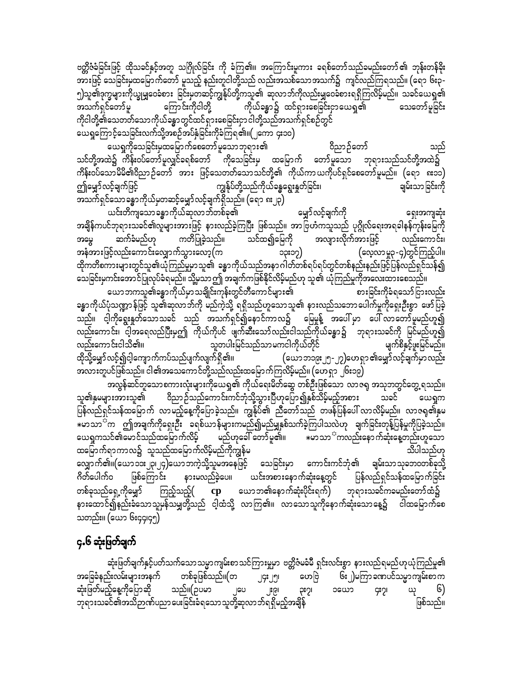ဗတ္ထိဇံခံခြင်းဖြင့် ထိုသခင်နှင့်အတူ သဂြိုလ်ခြင်း ကို ခံကြ၏။ အကြောင်းမူကား ခရစ်တော်သည်ခမည်းတော်၏ ဘုန်းတန်ခိုး အားဖြင့် သေခြင်းမှထမြောက်တော် မူသည့် နည်းတူငါတို့သည် လည်းအသစ်သောအသက်၌ ကျင်လည်ကြရသည်။ (ရော ၆း၃-၅)သူ၏ဒုက္ခများကိုယ္ခုမျှဝေခံစား ခြင်းမှတဆင့်ကျွန်ုပ်တို့ကသူ၏ ဆုလာဘ်ကိုလည်းမျှဝေခံစားရရှိကြလိမ့်မည်။ သခင်ယေရှု၏<br>အသက်ရှင်တော်မူ ကြောင်းကိုငါတို့ ကိုယ်ခန္ဓာ၌ ထင်ရှားစေခြင်းငှာယေရှု၏ သေတော်မူခြင်း ကိုယ်ခန္ဓာ၌ ထင်ရှားစေခြင်းငှာယေရှု၏ ကိုငါတို့၏သေတတ်သောကိုယ်ခန္ဓာတွင်ထင်ရှားစေခြင်းငှာငါတို့သည်အသက်ရှင်စဉ်တွင် ယေရှုကြောင့်သေခြင်းလက်သို့အစဉ်အပ်နှံခြင်းကိုခံကြရ၏။(၂ကော ၄း၁၀)

a,½Iudkaojcif;rSxajrmufapawmfrlaombk&m;\ 0dnmOfawmf onf သင်တို့အထဲ၌ ကိန်းဝပ်တော်မူလျှင်ခရစ်တော် ကိုသေခြင်းမှ ထမြောက် တော်မူသော ဘုရားသည်သင်တို့အထဲ၌ ကိန်းဝပ်သောမိမိ၏ဝိညာဉ်တော် အား ဖြင့်သေတတ်သောသင်တို့၏ ကိုယ်ကာယကိုပင်ရှင်စေတော်မူမည်။ (ရော ၈း၁၁) ဤမျှော်လင့်ချက်ဖြင့် ကျွန်ုပ်တို့သည်ကိုယ်ခန္ဓရွေးနှတ်ခြင်း၊ ချမ်းသာခြင်းကို အသက်ရှင်သောခန္ဓာကိုယ်မှတဆင့်မျှော်လင့်ချက်ရှိသည်။ (ရော ၈း၂၃)

ယင်းတိကျသောခန္ဓာကိုယ်ဆုလာဘ်တစ်ခု၏ မျှာ်လင့်ချက်ကို ရှေးအကျဆုံး အချိန်ကပင်ဘုရားသခင်၏လူများအားဖြင့် နားလည်ခဲ့ကြပြီး ဖြစ်သည်။ အာဗြဟံကသူသည် ပုဂ္ဂိုလ်ရေးအရခါနန်ကုန်းမြေကို<br>အမွေ ဆက်ခံမည်ဟု ကတိပြုခဲ့သည်။ သင်ထ၍မြေကို အလျားလိုက်အားဖြင့် လည်းကောင်း၊ tarG qufcHrnf[k uwdjyKcJhonf/ oifxíajrudk tvsm;vdkuftm;jzifh vnf;aumif;? အနံအားဖြင့်လည်းကောင်းလျှောက်သွားလော့ $(m^{2}+12^{2}m^{2}-13^{2})$ ထိုကတိစကားများတွင်သူ၏ယုံကြည်မှုမာသူ၏ ခန္ဓာကိုယ်သည်အနာဂါတ်တစ်ရပ်ရပ်တွင်တစ်နည်းနည်းဖြင့်ပြန်လည်ရှင်သန်၍ သေခြင်းမှကင်းအောင်ပြုလုပ်ခံရမည်။ သို့မှသာဤ အချက်ကဖြစ်နိုင်လိမ့်မည်ဟု သူ၏ ယုံကြည်မှုကိုအလေးထားစေသည်။<br>ယောဘကသူ၏ခန္ဓာကိုယ်မှာသချိုင်းကုန်းတွင်တီကောင်များ၏

ယောဘကသူ၏ခန္ဓာကိုယ်မှာသချိုင်းကုန်းတွင်တီကောင်များ၏ ခန္ဓာကိုယ်ပုံသဏ္ဍာန်ဖြင့် သူ၏ဆုလာဘ်ကို မည်ကဲ့သို့ ရရှိသည်ဟူသောသူ၏ နားလည်သဘောပေါက်မှုကိုရှေးဦးစွာ ဖော်ပြခဲ့ ာ<br>သည်။ ငါ့ကိုရွေးနှုတ်သောသခင် သည် အသက်ရှင်၍နောင်ကာလ၌ မြေမှုန့် အပေါ် မှာ ပေါ် လာတော်မူမည်ဟူ၍ လည်းကောင်း၊ ငါ့အရေလည်ပြီးမှဤ ကိုယ်ကိုပင် ဖျက်ဆီးသော်လည်းငါသည်ကိုယ်ခန္ဓာ၌ ဘုရားသခင်ကို မြင်မည်ဟူ၍<br>လည်းကောင်းငါသိ၏။ သူတပါးမြင်သည်သာမကငါကိုယ်တိုင် – မြောက်စိနှင့်ဖူးမြင်မည်။ ထိုသို့မျှော်လင့်၍ငါ့ကျောက်ကပ်သည်ပျက်လျက်ရှိ၏။ (ယောဘ၁၉း၂၅-၂၇)ဟေရှာ ၏မျှော်လင့်ချက်မှာလည်း အလားတူပင်ဖြစ်သည်။ ငါ၏အသေကောင်တို့သည်လည်းထမြောက်ကြလိမ့်မည်။ (ဟေရှာ ၂၆း၁၉)

အလွန်ဆင်တူသောစကားလုံးများကိုယေရှု၏ ကိုယ်ရေးမိတ်ဆွေ တစ်ဦးဖြစ်သော လာဇရု အသုဘတွင်တွေ့ရသည်။ သူ၏နှမများအားသူ၏ ဝိညာဉ်သည်ကောင်းကင်ဘုံသို့သွားပြီဟုပြော၍နှစ်သိမ့်မည့်အစား သခင် ယေရှုက ြေန်လည်ရှင်သန်ထမြောက် လာမည့်နေ့ကိုပြောခဲ့သည်။ ကျွန်ုပ်၏ ညီတော်သည် တဖန်ပြန်ပေါ် လာလိမ့်မည်။ လာဇရု၏နှမ  $*$ မာသာ<sup>င်</sup>က ဤအချက်ကိုရှေးဦး ခရစ်ယာန်များကမည်၍မည်မျှနှစ်သက်ခဲ့ကြပါသလဲဟု ချက်ခြင်းတုန့်ပြန်မှုကိုပြခဲ့သည်။<br>ယေရှကသင်၏မောင်သည်ထမြောက်လိမ့် မည်ဟုခေါ် တော်မူ၏။ \*မာသာ<sup>င်-</sup>ကလည်းနောက်ဆုံးနေ့တည်းဟူသော ယေရှကသင်၏မောင်သည်ထမြောက်လိမ့် မည်ဟုခေါ် တော်မူ၏။  $\quad$ မာသာ $^{\mathbb{C}}$ ကလည်းနောက်ဆုံးနေ့တည်းဟူသော ထမြောက်ရာကာလ၌ သူသည်ထမြောက်လိမ့်မည်ကိုကျွန်မ လျှောက်၏။(ယော၁၁း၂၃၊၂၄)ယောဘကဲ့သို့သူမအနေဖြင့် သေခြင်းမှာ ကောင်းကင်ဘုံ၏ ချမ်းသာသုခဘဝတစ်ခုသို့<br>ဂိတ်ပေါက်ဝ ဖြစ်ကြောင်း နားမလည်ခဲ့ပေ။ ယင်းအစားနောက်ဆုံးနေ့တွင် ပြန်လည်ရှင်သန်ထမြောက်ခြင်း ဖြစ်ကြောင်း နားမလည်ခဲ့ပေ။ ယင်းအစားနောက်ဆုံးနေ့တွင် တစ်ခုသည်ရှေ့ကိုမျှော် ကြည့်သည့် $($   ${\rm\bf cp}$  ယောဘ၏နောက်ဆုံးပိုင်းရက် $)$  ဘုရားသခင်ကခမည်းတော်ထံ၌ နားထောင်၍နည်းခံသောသူမှန်သမျှတို့သည် ငါ့ထံသို့ လာကြ၏။ လာသောသူကိုနောက်ဆုံးသောနေ့၌ ငါထမြောက်စေ သတည်း။ (ယော ၆း၄၄၊၄၅)

#### ၄.၆ ဆုံးဖြတ်ချက်

ဆုံးဖြတ်ချက်နှင့်ပတ်သက်သောသမ္မာကျမ်းစာသင်ကြားမှုမှာ ဗတ္တိဇံမခံမီ ရှင်းလင်းစွာ နားလည်ရမည်ဟုယုံကြည်မှု၏ အခြေခံနည်းလမ်းများအနက် တစ်ခုဖြစ်သည်။(တ ၂၄း၂၅၊ ဟေဗြဲ ၆း၂)မကြာခဏပင်သမ္မာကျမ်းစာက ဆုံးဖြတ်မည့်နေ့ကိုပြောဆို သည်။(ဉပမာ ၂ပေ ၂း၉၊ ၃း၇၊ ၁ယော ၄း၇၊ ယု ၆) ဘုရားသခင်၏အသိဉာဏ်ပညာပေးခြင်းခံရသောသူတို့ဆုလာဘ်ရရှိမည့်အချိန်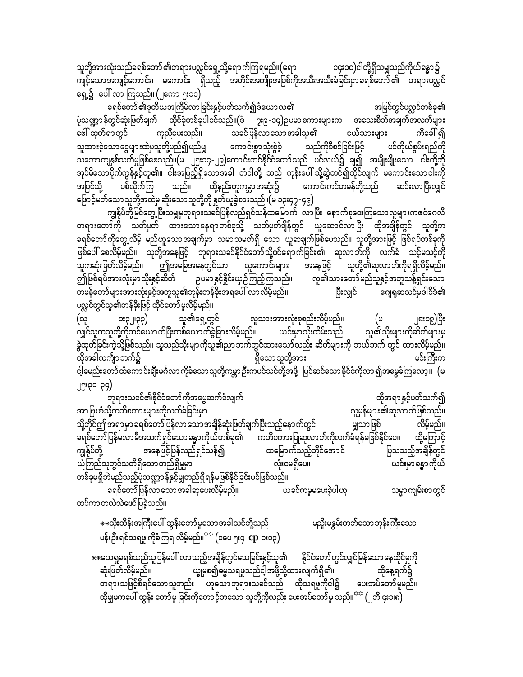သူတို့အားလုံးသည်ခရစ်တော် ၏တရားပလ္လင်ရှေ့သို့ရောက်ကြရမည်။(ရော ၁၄း၁၀)ငါတို့ရှိသမျှသည်ကိုယ်ခန္ဓာ၌ ကျင့်သောအကျင့်ကောင်း၊ မကောင်း ရှိသည့် အတိုင်းအကျိုးအပြစ်ကိုအသီးအသီးခံခြင်းငှာခရစ်တော်၏ တရားပလ္လင် ရှေ့၌ ပေါ် လာ ကြသည်။ (၂ကော ၅း၁၀)

ခရစ်တော် ၏ဒုတိယအကြိမ်လာခြင်းနှင့်ပတ်သက်၍ဒံယောလ၏ အမြင်တွင်ပလ္လင်တစ်ခု၏ ပုံသဏ္ဍာန်တွင်ဆုံးဖြတ်ချက် ထိုင်ခုံတစ်ခုပါဝင်သည်။(ဒံ ၇း၉-၁၄)ဥပမာစကားများက အသေးစိတ်အချက်အလက်များ –<br>-<br>သခင်ပြန်လာသောအခါသူ၏ ဖေါ် ထုတ်ရာတွင် ကိုခေါ် ၍ ကူညီပေးသည်။ ငယ်သားများ သူထားခဲ့သောငွေများထဲမှသူတို့မည်၍မည်မျှ ကောင်းစွာသုံးစွဲခဲ့ ပင်ကိုယ်စွမ်းရည်ကို သည်ကိုစီစစ်ခြင်းဖြင့် သဘောကျနှစ်သက်မှုဖြစ်စေသည်။(မ ၂၅း၁၄-၂၉)ကောင်းကင်နိုင်ငံတော်သည် ပင်လယ်၌ ချ၍ အမျိုးမျိုးသော ငါးတို့ကို အုပ်မိသောပိုက်ကွန်နှင့်တူ၏။ ငါးအပြည့်ရှိသောအခါ တံငါတို့ သည် ကုန်းပေါ် သို့ဆွဲတင်၍ထိုင်လျက် မကောင်းသောငါးကို သည်။ ထို့နည်းတူကမ္ဘာအဆုံး၌ - - -ပစ်လိုက်ကြ ကောင်းကင်တမန်တို့သည် အပြင်သို့ ဆင်းလာပြီးလျှင် ဖြောင့်မတ်သောသူတို့အထဲမှ ဆိုးသောသူတို့ကို နှုတ်ယူခွဲစားသည်။(မ ၁၃း၄၇ -၄၉)

ကျွန်ုပ်တို့မြင်တွေ့ပြီးသမျှမှဘုရားသခင်ပြန်လည်ရှင်သန်ထမြောက် လာပြီး နောက်စုဝေးကြသောလူများက**ေံ**ဂေလိ တရားတော်ကို သတ်မှတ် ထားသောနေရာတစ်ခုသို့ သတ်မှတ်ချိန်တွင် ယူဆောင်လာပြီး ထိုအချိန်တွင် သူတို့က ခရစ်တော်ကိုတွေ့လိမ့် မည်ဟူသောအချက်မှာ သမာဿမတ်ရှိ သော ယူဆချက်ဖြစ်ပေသည်။ သူတို့အားဖြင့် ဖြစ်ရပ်တစ်ခုကို ဖြစ်ပေါ် စေလိမ့်မည်။ သူတို့အနေဖြင့် ဘုရားသခင်နိုင်ငံတော်သို့ဝင်ရောက်ခြင်း၏ ဆုလာဘ်ကို လက်ခံ သင့်မသင့်ကို သူကဆုံးဖြတ်လိမ့်မည်။ ဤအခြေအနေတွင်သာ လူကောင်းများ သူတို့၏ဆုလာ ဘ်ကိုရရှိလိမ့်မည်။ အနေဖြင့် ဤဖြစ်ရပ်အားလုံးမှာသိုးနှင့်ဆိတ် ဉပမာနှင့်နိူင်းယှဉ်ကြည့်ကြသည်။ လူ၏သားတော်မည်သူနှင့်အတူသန့်ရှင်းသော ဂျေရှဆလင်မှဒါဝိဒ်၏ တမန်တော်များအားလုံးနှင့်အတူသူ၏ဘုန်းတန်ခိုးအရပေါ် လာလိမ့်မည်။ ပြီးလျှင် ပလ္လင်တွင်သူ၏တန်ခိုးဖြင့် ထိုင်တော် မူလိမ့်မည်။

(လု လူသားအားလုံးစုစည်းလိမ့်မည်။ သူ၏ရှေ့တွင် း၃၂၊၃၃) (అ ၂၈း၁၉)ပြီး သူ၏သိုးများကိုဆိတ်များမှ ယင်းမှာသိုးထိမ်းသည် လျှင်သူကသူတို့ကိုတစ်ယောက်ပြီးတစ်ယောက်ခွဲခြားလိမ့်မည်။ ခွဲထုတ်ခြင်းကဲ့သို့ဖြစ်သည်။ သူသည်သိုးမျာကိုသူ၏ညာဘက်တွင်ထားသော်လည်း ဆိတ်များကို ဘယ်ဘက် တွင် ထားလိမ့်မည်။ ရှိသောသူတို့အား ထိုအခါလင်္ကျာ ဘက်၌ မင်းကြီးက ငါ့ခမည်းတော်ထံကောင်းချီးမင်္ဂလာ ကိုခံသောသူတို့ကမ္ဘာ ဦးက<sup>ီပင်</sup>သင်တို့အဖို့ ပြင်ဆင်သောနိုင်ငံကိုလာ၍အမွေခံကြလော့။ (မ ၂၅း၃၁-၃၄)

ထိုအရာနှင့်ပတ်သက်၍ ဘုရားသခင်၏နိုင်ငံတော်ကိုအမွေဆက်ခံလျက် အာဗြဟံသို့ကတိစကားများကိုလက်ခံခြင်းမှာ လူမှန်များ၏ဆုလာဘ်ဖြစ်သည်။ သို့တိုင်ဤအရာမှာ ခရစ်တော်ပြန်လာသောအချိန်ဆုံးဖြတ်ချက်ပြီးသည့်နောက်တွင် လိမ့်မည်။ မျှသာဖြစ် ခရစ်တော်ပြန်မလာမီအသက်ရှင်သောခန္ဓာကိုယ်တစ်ခု၏ ကတိစကားပြုဆုလာဘ်ကိုလက်ခံရန်မဖြစ်နိုင်ပေ။ ထို့ကြောင့် ထမြောက်သည့်တိုင်အောင် ကျွန်ုပ်တို့ အနေဖြင့်ပြန်လည်ရှင်သန်၍ ပြသသည့်အချိန်တွင် -<br>ယင်းမှာခန္ဓာကိုယ် ယုံကြည်သူတွင်သတိရှိသောတည်ရှိမှုမှာ လုံးဝမရှိပေ။ တစ်ခုမရှိဘဲမည်သည့်ပုံသဏ္ဍာ န်နှင့်မျှတည်ရှိရန်မဖြစ်နိုင်ခြင်းပင်ဖြစ်သည်။ ခရစ်တော် ပြန်လာ သော အခါဆုပေးလိမ့်မည်။ ယခင်ကမူမပေးခဲ့ပါဟု သမ္မာကျမ်းစာတွင် ထပ်ကာတလဲလဲဖော်ပြခဲ့သည်။

\*\*သိုးထိန်းအကြီးပေါ် ထွန်းတော်မူသော အခါသင်တို့သည် မညှိုးမနွမ်းတတ်သောဘုန်းကြီးသော ပန်းဦးရစ်သရဖူ ကိုခံကြရ လိမ့်မည်။<sup>ဘဝ</sup> (၁ပေ ၅း၄ **cp** ၁း၁၃)

\*\*ယေရှုခရစ်သည်သူပြန်ပေါ် လာသည့်အချိန်တွင်သေခြင်းနှင့်သူ<mark>၏ နို</mark>င်ငံတော်တွင်လျှင်မြန်သော နေထိုင်မှုကို ယ္ခုမစ၍မွေသရဖူသည်ငါ့အဖို့သို့ထားလျက်ရှိ၏။ ဆုံးဖြတ်လိမ့်မည်။ ထိုနေ့ရက်၌ တရားသဖြင့်စီရင်သောသူတည်း ဟူသောဘုရားသခင်သည် ထိုသရဖူကိုငါ၌ ပေးအပ်တော်မူမည်။ ထိုမျှမကပေါ် ထွန်း တော်မူ ခြင်းကိုတောင့်တသော သူတို့ကိုလည်း ပေးအပ်တော်မူ သည်။<sup>သာ</sup> (၂တိ ၄း၁၊၈)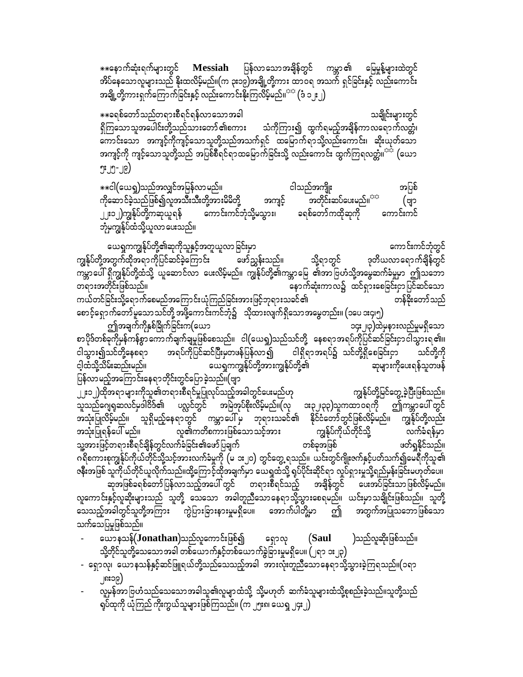$\ast$ းနောက်ဆုံးရက်များတွင်  $\operatorname{\mathbf{M}}$ essiah ပြန်လာသောအချိန်တွင် ကမ္ဘာ၏ မြေမှုန့်များထဲတွင် အိပ်နေသောလူများသည် နိုးထလိမ့်မည်။(က ၃း၁၉)အချို့တို့ကား ထာဝရ အသက် ရှင်ခြင်းနှင့် လည်းကောင်း အချို့တို့ကားရှက်ကြောက်ခြင်းနှင့် လည်းကောင်းနိုးကြလိမ့်မည်။<sup>သင</sup> (ဒံ ၁၂း၂)

သချိုင်းများတွင် \*\*ခရစ်တော်သည်တရားစီရင်ရန်လာသောအခါ ရှိကြသောသူအပေါင်းတို့သည်သားတော် ၏စကား သံကိုကြား၍ ထွက်ရမည့်အချိန်ကာလရောက်လတ္တံ၊ ကောင်းသော အကျင့်ကိုကျင့်သောသူတို့သည်အသက်ရှင် ထမြောက်ရာသို့လည်းကောင်း၊ ဆိုးယုတ်သော အကျင့်ကို ကျင့်သောသူတို့သည် အပြစ်စီရင်ရာထမြောက်ခြင်းသို့ လည်းကောင်း ထွက်ကြရလတ္တံ။<sup>သင်္</sup> (ယော  $J^{\circ}$ ປີ $-J$  $\in$ )

\*\*ငါ(ယေရှု)သည်အလျှင်အမြန်လာ မည်။ ငါသည်အကျိုး အပြစ် အတိုင်းဆပ်ပေးမည်။<sup>သာ</sup> ကိုဆောင်ခဲ့သည်ဖြစ်၍လူအသီးသီးတို့အားမိမိတို့ အကျင့် (ဗျာ ခရစ်တော်ကထိုဆုကို ၂၂း၁၂)ကျွန်ုပ်တို့ကဆုယူရန် ကောင်းကင်ဘုံသို့မသွား၊ ကောင်းကင် ဘုံမကျွန်ုပ်ထံသို့ယူလာ ပေးသည်။

ကောင်းကင်ဘုံတွင် ယေရှုကကျွန်ုပ်တို့၏ဆုကိုသူနှင့်အတူယူလာ ခြင်းမှာ ကျွန်ုပ်တို့အတွက်ထိုအရာကိုပြင်ဆင်ခဲ့ကြောင်း ဒုတိယလာရောက်ချိန်တွင် ဖော်ညွှန်းသည်။ သို့ရာတွင် ကမ္ဘာပေါ် ရှိကျွန်ုပ်တို့ထံသို့ ယူဆောင်လာ ပေးလိမ့်မည်။ ကျွန်ုပ်တို့၏ကမ္ဘာမြေ ၏အာဗြဟံသို့အမွေဆက်ခံမှုမှာ ဤသဘော တရားအတိုင်းဖြစ်သည်။ နောက်ဆုံးကာလ၌ ထင်ရှားစေခြင်းငှာပြင်ဆင်သော ကယ်တင်ခြင်းသို့ရောက်စေမည်အကြောင်းယုံကြည်ခြင်းအားဖြင့်ဘုရားသခင်၏ တန်ခိုးတော်သည် စောင့်ရှောက်တော်မူသောသင်တို့ အဖို့ကောင်းကင်ဘုံ၌ သို့ထားလျက်ရှိသောအမွေတည်း။ (၁ပေ ၁း၄၊၅)

ဤအချက်ကိုနှစ်ခြိုက်ခြင်းက(ယော ၁၄း၂၊၃)ထဲမှနားလည်မှုမရှိသော စာပိုဒ်တစ်ခုကိုမှန်ကန်စွာ ကောက်ချက်ချမှုဖြစ်စေသည်။ ငါ(ယေရှု)သည်သင်တို့ နေစရာအရပ်ကိုပြင်ဆင်ခြင်းငှာငါသွားရ၏။ အရပ်ကိုပြင်ဆင်ပြီးမှတဖန်ပြန်လာ၍ စြေရှိရာအရပ်၌ သင်တို့ရှိစေခြင်းငှာ ငါသွား၍သင်တို့နေစရာ သင်တို့ကို ယေရှုကကျွန်ုပ်တို့အားကျွန်ုပ်တို့၏ င့ါထံသို့သိမ်းဆည်းမည်။ ဆုများကိုပေးရန်သူတဖန် ပြန်လာမည့်အကြောင်းနေရာတိုင်းတွင်ပြောခဲ့သည်။(ဗျာ ၂၂း၁၂)ထိုအရာများကိုသူ၏တရားစီရင်မှုပြုလုပ်သည့်အခါတွင်ပေးမည်ဟု ကျွန်ုပ်တို့မြင်တွေ့ ခဲ့ပြီးဖြစ်သည်။

သူသည်ဂျေရုဆလင်မှဒါဝိဒ်၏ ပလ္လင်တွင် အမြဲအုပ်စိုးလိမ့်မည်။(လု အ၃၂၊၃၃)သူကထာဝရကို ဤကမ္ဘာပေါ် တွင် အသုံးပြုလိမ့်မည်။ သူရှိမည့်နေရာတွင် ကမ္ဘာပေါ် မှ ဘုရားသခင်၏ နိုင်ငံတော်တွင်ဖြစ်လိမ့်မည်။ ကျွန်ုပ်တို့လည်း လူ၏ကတိစကားဖြစ်သောသင့်အား ကျွန်ုပ်ကိုယ်တိုင်သို့ လက်ခံရန်မှာ အသုံးပြုရန်ပေါ် မည်။ သူ့အားဖြင့်တရားစီရင်ချိန်တွင်လက်ခံခြင်း၏ဖော်ပြချက် ဖတ်ရှုနိုင်သည်။ တစ်ခုအဖြစ် ဂရိစကားစုကျွန်ုပ်ကိုယ်တိုင်သို့သင့်အားလက်ခံမှုကို (မ ၁း၂၀) တွင်တွေ့ ရသည်။ ယင်းတွင်ဂျိုးဇက်နှင့်ပတ်သက်၍မေရီကိုသူ၏ ဇနီးအဖြစ် သူကိုယ်တိုင်ယူလိုက်သည်။ထို့ကြောင့်ထိုအချက်မှာ ယေရှထံသို့ ရုပ်ပိုင်းဆိုင်ရာ လှုပ်ရှားမှုသို့ရည်မှန်းခြင်းမဟုတ်ပေ။ ဆုအဖြစ်ခရစ်တော်ပြန်လာသည့်အပေါ် တွင် တရားစီရင်သည့် အချိန်တွင် ပေးအပ်ခြင်းသာဖြစ်လိမ့်မည်။ လူကောင်းနှင့်လူဆိုးများသည် သူတို့ သေသော အခါတူညီသောနေရာသို့သွားစေရမည်။ ယင်းမှာသချိုင်းဖြစ်သည်။ သူတို့ သေသည့်အခါတွင်သူတို့အကြား ကွဲပြားခြားနားမှုမရှိပေ။ အောက်ပါတို့မှာ ဤ အတွက်အပြုသဘောဖြစ်သော သက်သေပြမှုဖြစ်သည်။

- ယောနသန်(Jonathan)သည်လူကောင်းဖြစ်၍ )သည်လူဆိုးဖြစ်သည်။ (Saul ရှောလု သို့တိုင်သူတို့သေသောအခါ တစ်ယောက်နှင့်တစ်ယောက်ခွဲခြားမှုမရှိပေ။ (၂ရာ ၁း၂၃)
- ရှောလု၊ ယောနသန်နှင့်ဆင်ဖြူရယ်တို့သည်သေသည့်အခါ အားလုံးတူညီသောနေရာသို့သွားခဲ့ကြရသည်။(၁ရာ ၂၈း၁၉)
- လူမှန်အာဗြဟံသည်သေသောအခါသူ၏လူမျာထံသို့ သို့မဟုတ် ဆက်ခံသူများထံသို့စုစည်းခဲ့သည်။သူတို့သည် ရုပ်ထုကို ယုံကြည် ကိုးကွယ်သူများဖြစ်ကြသည်။ (က ၂၅း၈၊ ယေရှ ၂၄း၂)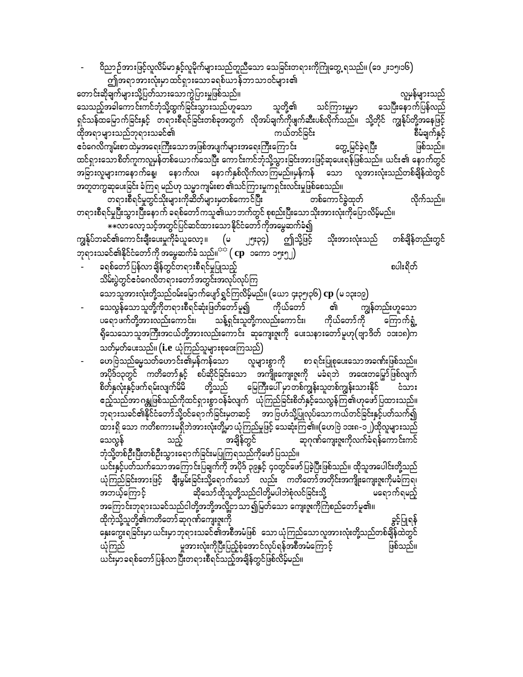ဝိညာဉ်အားဖြင့်လူလိမ်မာနှင့်လူမိုက်များသည်တူညီသော သေခြင်းတရားကိုကြုံတွေ့ ရသည်။ (ဒေ ၂း၁၅၊၁၆) ဤအရာအားလုံးမှာထင်ရှားသောခရစ်ယာန်ဘာသာဝင်များ၏

တောင်းဆိုချက်များသို့ပြတ်သားသောကွဲပြားမှုဖြစ်သည်။ လူမှန်များသည် သေသည့်အခါကောင်းကင်ဘုံသို့ထွက်ခြင်းသွားသည်ဟူသော သေပြီးနောက်ပြန်လည် သူတို့၏ သင်ကြားမှုမှာ ရှင်သန်ထမြောက်ခြင်းနှင့် တရားစီရင်ခြင်းတစ်ခုအတွက် လိုအပ်ချက်ကိုဖျက်ဆီးပစ်လိုက်သည်။ သို့တိုင် ကျွန်ုပ်တို့အနေဖြင့် ထိုအရာများသည်ဘုရားသခင်၏ ကယ်တင်ခြင်း စီမံချက်နှင့် ငံဝဲဂေလိကျမ်းစာထဲမှအရေးကြီးသောအဖြစ်အပျက်များအရေးကြီးကြောင်း တွေ့ မြင်ခဲ့ရပြီး ဖြစ်သည်။ ထင်ရှားသောစိတ်ကူကလူမှန်တစ်ယောက်သေပြီး ကောင်းကင်ဘုံသို့သွားခြင်းအားဖြင့်ဆုဖေးရန်ဖြစ်သည်။ ယင်း၏ နောက်တွင် အခြားလူများကနောက်နေ့၊ နောက်လ၊ နောက်နှစ်လိုက်လာကြမည်။မှန်ကန် သော လူအားလုံးသည်တစ်ချိန်ထဲတွင် အတူတက္မဆုပေးခြင်း ခံကြရ မည်ဟု သမ္မာကျမ်းစာ ၏သင်ကြားမူကရှင်းလင်းမှုဖြစ်စေသည်။

တရားစီရင်မှုတွင်သိုးများကိုဆိတ်များမှတစ်ကောင်ပြီး လိုက်သည်။ တစ်ကောင်ခွဲထုတ် တရားစီရင်မှုပြီးသွားပြီးနောက် ခရစ်တော်ကသူ၏ယာဘက်တွင် စုစည်းပြီးသောသိုးအားလုံးကိုပြောလိမ့်မည်။ \*\*လာလော့သင့်အတွင်ပြင်ဆင်ထားသော နိုင်ငံတော် ကိုအမွေဆက်ခံ၍

ကျွန်ုပ်ဘခင်၏ကောင်းချီးပေးမှုကိုခံယူလော့။ (မ ဤသို့ဖြင့် ၂၅း၃၄) သိုးအားလုံးသည် တစ်ချိန်တည်းတွင် ဘုရားသခင်၏နိုင်ငံတော်ကို အမွေဆက်ခံ သည်။ $^{\text{reg}}\big(\, \text{cp} \,\,$  ၁ကော ၁၅း၅၂)

စပါးရိတ်

- ခရစ်တော် ပြန်လာချိန်တွင်တရားစီရင်မှုပြုသည့် သိမ်းပွဲတွင်ဧဝံဂေလိတရားတော်အတွင်းအလုပ်လုပ်ကြ သောသူအားလုံးတို့သည်ဝမ်းမြောက်ပျော်ရွှင်ကြလိမ့်မည်။ (ယော ၄း၃၅၊၃၆)  ${\rm cp}\left($ မ ၁၃း၁၉)
- သေလွန်သောသူတို့ကိုတရားစီရင်ဆုံးဖြတ်တော်မူ၍ ကျွန်တည်းဟူသော ကိုယ်တော် ର୍ଗା ပရောဖက်တို့အားလည်းကောင်း၊ သန့်ရှင်းသူတို့ကလည်းကောင်း၊ ကိုယ်တော်ကို ကြောက်ရွံ့ ရိုသေသောသူအကြီးအငယ်တို့အားလည်းကောင်း ဆုကျေးဇူးကို ပေးသနားတော်မူဟု(ဗျာဒိတ် ၁၁း၁၈)က သတ်မှတ်ပေးသည်။ (i.e ယုံကြည်သူများစုဝေးကြသည်)
- ဟေဗြဲသည်မွေသတ်ဟောင်း၏မှန်ကန်သော လူများစွာကို စာရင်းပြုစုပေးသောအခဏ်းဖြစ်သည်။ အပိုဒ်၁၃တွင် ကတိတော်နှင့် စပ်ဆိုင်ခြင်းသော အကျိုးကျေးဇူးကို မခံရဘဲ အဝေးတမြှော်ဖြစ်လျက် စိတ်နှလုံးနှင့်ဖက်ရမ်းလျက်မိမိ တို့သည် မြေကြီးပေါ် မှာတစ်ကျွန်းသူတစ်ကျွန်းသားနိုင် ငံသား ဧည့်သည်အာ ဂန္တုဖြစ်သည်ကိုထင်ရှားစွာဝန်ခံလျက် ပြောကြည်ခြင်းစိတ်နှင့်သေလွန်ကြ၏ဟုဖော်ပြထားသည်။ ဘုရားသခင်၏နိုင်ငံတော်သို့ဝင်ရောက်ခြင်းမှတဆင့် အာဗြဟံသို့ပြုလုပ်သောကယ်တင်ခြင်းနှင့်ပတ်သက်၍ ထားရှိ သော ကတိစကားမရှိဘဲအားလုံးတို့မှာ ယုံကြည်မှုဖြင့် သေဆုံးကြ၏။(ဟေဗြဲ ၁၁း၈-၁၂)ထိုလူများသည် ဆုဂုဏ်ကျေးဇူးကိုလက်ခံရန်ကောင်းကင် အချိန်တွင် သေလွန် သည့် ဘုံသို့တစ်ဦးပြီးတစ်ဦးသွားရောက်ခြင်းမပြုကြရသည်ကိုဖော်ပြသည်။ ယင်းနှင့်ပတ်သက်သော အကြောင်းပြချက်ကို အပိုဒ် ၃၉နှင့် ၄၀တွင်ဖော်ပြခဲ့ပြီးဖြစ်သည်။ ထိုသူအပေါင်းတို့သည် ယုံကြည်ခြင်းအားဖြင့် ချီးမွမ်းခြင်းသို့ရောက်သော် လည်း ကတိတော်အတိုင်းအကျိုးကျေးဇူးကိုမခံကြရ၊ ဆိုသော်ထိုသူတို့သည်ငါတို့မပါဘဲစုံလင်ခြင်းသို့ အဘယ့်ကြောင့် မရောက်ရမည့် အကြောင်းဘုရားသခင်သည်ငါတို့အဘို့အလို့ငှာသာ၍မြတ်သော ကျေးဇူးကိုကြံစည်တော်မူ၏။

ထိုကဲ့သို့သူတို့၏ကတိတော် ဆုဂုဏ်ကျေးဇူးကို ခွင့်ပြုရန် နှေးကွေးရခြင်းမှာ ယင်းမှာ ဘုရားသခင်၏အစီအမံဖြစ် သော ယုံကြည်သော လူအားလုံးတို့သည်တစ်ချိန်ထဲတွင် ယံ့ကြည် မူအားလုံးကိုပြီးပြည့်စုံအောင်လုပ်ရန်အစီအမံကြောင့် ဖြစ်သည်။ ယင်းမှာခရစ်တော်ပြန်လာပြီးတရားစီရင်သည့်အချိန်တွင်ဖြစ်လိမ့်မည်။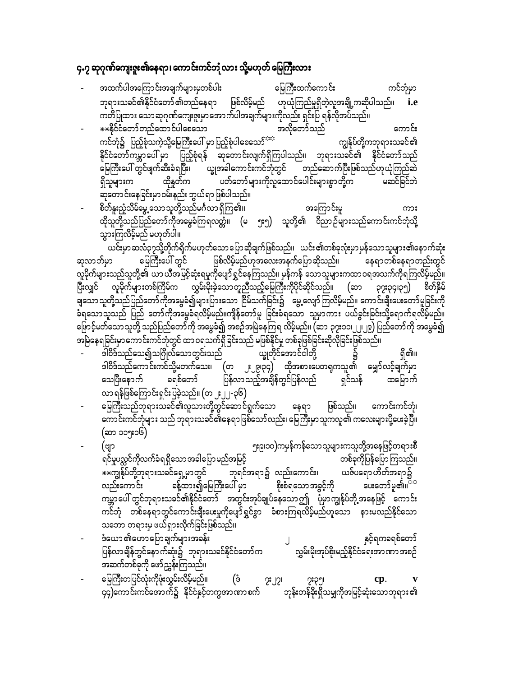## ၄.၇ ဆုဂုဏ်ကျေးဇူး၏နေရာ၊ ကောင်းကင်ဘုံလား သို့မဟုတ် မြေကြီးလား

- txufygtaMumif;tcsufrsm;rSwpfyg; ajrBuD;xufaumif; uifbHkrSm  $\frac{1}{2}$ ရားသခင်၏နိုင်ငံတော်၏တည်နေရာ ဖြစ်လိမ့်မည် ဟုယုံကြည်မှုရှိတဲ့လူအချို့ကဆိုပါသည်။ **i.e** ကတိပြုထား သောဆုဂုဏ်ကျေးဇူးမှာအောက်ပါအချက်များကိုလည်း ရှင်းပြ ရန်လိုအပ်သည်။  $**$ နိုင်ငံတော်တည်ထောင်ပါစေသော မြည့်စုံပါစေသော အလိုတော်သည်<br>ကင်ဘုံ၌ ပြည့်စုံသကဲ့သို့မြေကြီးပေါ် မှာပြည့်စုံပါစေသော်<sup>သင်္ဘ</sup> ကျွန်ပ်တို့ကဘုရားသခင်၏ ကင်ဘုံ၌ ပြည့်စုံသကဲ့သို့မြေကြီးပေါ် မှာပြည့်စုံပါစေသော်<sup>သင</sup> နိုင်ငံတော်ကမ္ဘာပေါ် မှာ ပြည့်စုံရန် ဆုတောင်းလျက်ရှိကြပါသည်။ ဘုရားသခင်၏ နိုင်ငံတော်သည်  $\frac{1}{2}$ မြေကြီးပေါ်တွင်ဖျက်ဆီးခံရပြီး၊ ပြပ္စုအခါကောင်းကင်ဘုံတွင် တည်ဆောက်ပြီးဖြစ်သည်ဟုယုံကြည်ဆဲ &Sdolrsm;u xdkEIwfu ywfawmfrsm;udkvlaxmifaygif;rsm;pGmwdkYu rqifjcifbJ qkawmif;aejcif;rSm0rf;enf; bG,f&mjzpfygonf/ - pdwfEl;nHhodrfarGUaomolwdkYonfr\*Fvm&SdMu\/ taMumif;rl um;
- ထိုသူတို့သည်ပြည်တော်ကိုအမွေခံကြရလတ္တံ။ (မ ၅း၅) သူတို့၏ ဝိညာဉ်များသည်ကောင်းကင်ဘုံသို့ သွားကြလိမ့်မည် မဟုတ်ပါ။

ယင်းမှာဆလံ၃၇သို့တိုက်ရိုက်မဟုတ်သောပြောဆိုချက်ဖြစ်သည်။ ယင်း၏တစ်ခုလုံးမှာမှန်သောသူများ၏နောက်ဆုံး<br>ဟ မြေကြီးပေါ် တွင် ဖြစ်လိမ့်မည်ဟုအလေးအနက်ပြောဆိုသည်။ နေရာတစ်နေရာတည်းတွင် ဆုလာဘ်မာ နြေကြီးပေါ် တွင် ဖြစ်လိမ့်မည်ဟုအလေးအနက်ပြောဆိုသည်။ နေရာတစ်နေရာတည်းတွင် လူမိုက်များသည်သူတို့၏ ယာယီအမြင့်ဆုံးရမှုကိုပျော်ရွှင်နေကြသည်။ မှန်ကန် သောသူများကထာဝရအသက်ကိုရကြလိမ့်မည်။ ား<br>ပြီးလျှင် လူမိုက်များတစ်ကြိမ်က လွှမ်းမိုးခဲ့သောတူညီသည့်မြေကြီးကိုပိုင်ဆိုင်သည်။ (ဆာ ၃၇း၃၄၊၃၅) စိတ်နှိမ် csamolwakiya configured Milling in Televisions (Supervisions of Televisions Paragonia)<br>- Televisions of Televisions in Augustini, and the Supervisions of the Supervisions of the Supervisions of the ခံရသောသူသည် ပြည် တော်ကိုအမွေခံရလိမ့်မည်။ကျိန်တော်မူ ခြင်းခံရသော သူမှာကား ပယ်ခွင်းခြင်းသို့ရောက်ရလိမ့်မည်။ ကြောင့်မတ်သောသူတို့ သည်ပြည်တော်ကို အမွေခံ၍ အစဉ်အမြဲနေကြရ လိမ့်မည်။ (ဆာ ၃၇း၁၁၊၂၂၊၂၉) ပြည်တော်ကို အမွေခံ၍ အမြဲနေရခြင်းမှာကောင်းကင်ဘုံတွင် ထာဝရသက်ရှိခြင်းသည် မဖြစ်နိုင်မှု တစ်ခုဖြစ်ခြင်းဆိုလိုခြင်းဖြစ်သည်။<br>- ခါဝိဒ်သည်သေ၍သဂြိုလ်သောတွင်းသည် ယ္ခုတိုင်အောင်ငါတို့

- 'g0d'fonfaoíoN\*dKvfaomwGif;onf ,©KwdkifatmifigwdkY ü &Sd\/ 'ဒါဝိဒ်သည်ကောင်းကင်သို့မတက်သေး၊ (တ ၂း၂၉၊၃၄) ထိုအစားပေတရကသူ၏ မျှော်လင့်ချက်မှာ<br>သေပြီးနောက် ခရစ်တော် ပြန်လာသည့်အချိန်တွင်ပြန်လည် ရှင်သန် ထမြောက် သေပြီးနောက် ခရစ်တော် ပြန်လာသည့်အချိန်တွင်ပြန်လည် ရှင်သန် ထမြောက် လာ ရန်ဖြစ်ကြောင်းရှင်းပြခဲ့သည်။ (တ ၂း၂၂-၃၆)
- မြေကြီးသည်ဘုရားသခင်၏လူသားတို့တွင်ဆောင်ရွက်သော နေရာ ဖြစ်သည်။ ကောင်းကင်ဘုံ၊ ကောင်းကင်ဘုံများ သည် ဘုရားသခင်၏နေရာဖြစ်သော်လည်း၊ မြေကြီးမှာသူကလူ၏ ကလေးများပို့ပေးခဲ့ပြီ။  $(\infty$ ာ ၁၁၅း၁၆)
- (Asm 5;9?10)urSefuefaomolrsm;uolwdkYtaejzifhw&m;pD &ifrIyv'ifudkvufcH&&Sdaomtcgajymrnftjrifh wpfckukdjyefajymMuonf/ ]]uREkfyfwdkYbk&m;ocifa&SUrSmwGif bk&ift&müvnf;aumif;? ,Zfya&m[dwft&mü လည်းကောင်း ခန့်ထား၍မြေကြီးပေါ် မှာ စိုးစံရသောအခွင့်ကို ပေးတော်မူ၏။<sup>ကမ</sup> ကမ္ဘာပေါ် တွင်ဘုရားသခင်၏နိုင်ငံတော် အတွင်းအုပ်ချုပ်နေသောဤ ပုံမှာကျွန်ုပ်တို့အနေဖြင့် ကောင်း ကင်ဘုံ တစ်နေရာတွင်ကောင်းချီးပေးမှုကိုပျော်ရွှင်စွာ ခံစားကြရလိမ့်မည်ဟူသော နားမလည်နိုင်သော သဘော တရားမှ ဖယ်ရှားလိုက်ခြင်းဖြစ်သည်။
- ီယော ၏ဟောပြောချက်များအခန်း<br>- ''<br>ပြန်လာချိန်တွင်နောက်ဆုံး၌ 'ဘုရားသခင်နိုင်ငံတော်က ''' လွှမ်းမိုးအုပ်စိုးမည့်နိုင်ငံရေးအာဏာအစဉ် ပြန်လာချိန်တွင်နောက်ဆုံး၌ ဘုရားသခင်နိုင်ငံတော်က အဆက်တစ်ခုကို ဖော်ညွှန်းကြသည်။
- မြေကြီးတပြင်လုံးကိုဖုံးလွှမ်းလိမ့်မည်။ (ဒံ ၇း၂၇၊ ၇း၃၅၊ **cp**. **v** ၄၄)ကောင်းကင်အောက်၌ နိုင်ငံနှင့်တကွအာဏာစက် ဘုန်းတန်ခိုးရှိသမျှကိုအမြင့်ဆုံးသောဘုရား၏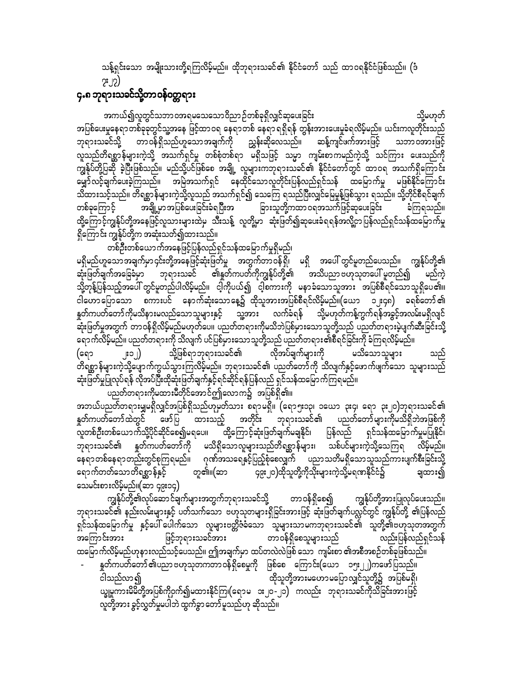သန့်ရှင်းသော အမျိုးသားတို့ရကြလိမ့်မည်။ ထိုဘုရားသခင်၏ နိုင်ငံတော် သည် ထာဝရနိုင်ငံဖြစ်သည်။ (ဒံ  $2.15)$ 

#### ၄.၈ ဘုရားသခင်သို့တာဝန်ဝတ္တရား

အကယ်၍လူတွင်သဘာဝအရမသေသောဝိညာဉ်တစ်ခုရှိလျှင်ဆုပေးခြင်း သို့မဟုတ် အပြစ်ပေးမှုနေရာတစ်ခုခုတွင်သူ့အနေ ဖြင့်ထာဝရ နေရာတစ် နေရာရရှိရန် တွန်းအားပေးမှုခံရလိမ့်မည်။ ယင်းကလူတိုင်းသည် ဘုရားသခင်သို့ တာဝန်ရှိသည်ဟူသောအချက်ကို ညွှန်းဆိုလေသည်။ ဆန့်ကျင်ဖက်အားဖြင့် သဘာဝအားဖြင့် လူသည်တိရစ္ဆာန်များကဲ့သို့ အသက်ရှင်မူ တစ်စုံတစ်ရာ မရှိသဖြင့် သမ္မာ ကျမ်းစာကမည်ကဲ့သို့ သင်ကြား ပေးသည်ကို ကျွန်ုပ်တို့ပြဆို ခဲ့ပြီးဖြစ်သည်။ မည်သို့ပင်ဖြစ်စေ အချို့ လူများကဘုရားသခင်၏ နိုင်ငံတော်တွင် ထာဝရ အသက်ရှိကြောင်း မျှော်လင့်ချက်ပေးခဲ့ကြသည်။ အမြဲအသက်ရှင် နေထိုင်သောလူတိုင်းပြန်လည်ရှင်သန် ထမြောက်မှု မဖြစ်နိုင်ကြောင်း ား<br>သိထားသင့်သည်။ တိရစ္ဆာန်များကဲ့သို့လူသည် အသက်ရှင်၍ သေကြေ ရသည်ပြီးလျှင်မြေမှုန့်ဖြစ်သွား ရသည်။ သို့တိုင်စီရင်ချက် ာ<br>အချို့မှာအပြစ်ပေးခြင်းခံရပြီးအ ခြားသူတို့ကထာဝရအသက်ဖြင့်ဆုပေးခြင်း တစ်ခုကြောင့် ခံကြရသည်။ ထို့ကြောင့်ကျွန်ုပ်တို့အနေဖြင့်လူသားများထဲမှ သီးသန့် လူတို့မှာ ဆုံးဖြတ်၍ဆုပေးခံရရန်အလို့ငှာပြန်လည်ရှင်သန်ထမြောက်မှု ရှိကြောင်း ကျွန်ုပ်တို့က အဆုံးသတ်၍ထားသည်။

တစ်ဦးတစ်ယောက်အနေဖြင့်ပြန်လည်ရှင်သန်ထမြောက်မှုရှိမည်၊ မရှိမည်ဟူသော အချက်မှာ ၄င်းတို့အနေဖြင့်ဆုံးဖြတ်မှု အတွက်တာဝန်ရှိ၊ မရှိ အပေါ် တွင်မူတည်ပေသည်။ ကျွန်ုပ်တို့၏ ဆုံးဖြတ်ချက်အခြေခံမှာ ဘုရားသခင် ၏နူတ်ကပတ်ကိုကျွန်ုပ်တို့၏ အသိပညာဗဟုသုတပေါ် မူတည်၍ မည်ကဲ သို့တုန့်ပြန်သည့်အပေါ် တွင်မူတည်ပါလိမ့်မည်။ ငါ့ကိုပယ်၍ ငါ့စကားကို မနာခံသောသူအား အပြစ်စီရင်သောသူရှိပေ၏။ ငါဟောပြောသော စကားပင် နောက်ဆုံးသောနေ့၌ ထိုသူအားအပြစ်စီရင်လိမ့်မည်။(ယော ၁၂း၄၈) ခရစ်တော်၏ နှတ်ကပတ်တော်ကိုမသိနားမလည်သောသူများနှင့် သူ့အား လက်ခံရန် သို့မဟုတ်ကန့်ကွက်ရန်အခွင့်အလမ်းမရှိလျင် --<br>ဆုံးဖြတ်မှုအတွက် တာဝန်ရှိလိမ့်မည်မဟုတ်ပေ။ ပညတ်တရားကိုမသိဘဲပြစ်မှားသောသူတို့သည် ပညတ်တရားမဲ့ပျက်ဆီးခြင်းသို့ ရောက်လိမ့်မည်။ ပညတ်တရားကို သိလျက် ပင်ပြစ်မှားသောသူတို့သည် ပညတ်တရား၏စီရင်ခြင်းကို ခံကြရလိမ့်မည်။ လိုအပ်ချက်များကို သို့ဖြစ်ရာဘုရားသခင်၏ မသိသောသူများ း၁၂)  $\mid$ (ຊຊາ .<br>တိရစ္ဆာန်များကဲ့သို့ပျောက်ကွယ်သွားကြလိမ့်မည်။ ဘုရားသခင်၏ ပညတ်တော်ကို သိလျက်နှင့်ဖောက်ဖျက်သော သူများသည် ဆုံးဖြတ်မှုပြုလုပ်ရန် လိုအပ်ပြီးထိုဆုံးဖြတ်ချက်နှင့်ရင်ဆိုင်ရန်ပြန်လည် ရှင်သန်ထမြောက်ကြရမည်။ \_\_<br>ပညတ်တရားကိုမထားမီတိုင်အောင်ဤလောက၌ အပြစ်ရှိ၏။

အဘယ်ပညတ်တရားမျှမရှိလျှင်အပြစ်ရှိသည်ဟုမှတ်သား စရာမရှိ။ (ရော၅း၁၃၊ ၁ယော ၃း၄၊ ရော ၃း၂၀)ဘုရားသခင်၏ နှုတ်ကပတ်တော်ထဲတွင် ဖော်ပြ ထားသည့် အတိုင်း ဘုရားသခင်၏ ပညတ်တော်များကိုမသိရှိဘဲအဖြစ်ကို လူတစ်ဦးတစ်ယောက်သို့ပိုင်ဆိုင်စေ၍မရပေ။ ထို့ကြောင့်ဆုံးဖြတ်ချက်မချနိုင်၊ ပြန်လည် ရှင်သန်ထမြောက်မှုမပြုနိုင်၊ ဘုရားသခင်၏ နူတ်ကပတ်တော်ကို မသိရှိသောလူများသည်တိရစ္ဆာန်များ၊ သစ်ပင်များကဲ့သို့သေကြရ လိမ့်မည်။ နေရာတစ်နေရာတည်းတွင်စုကြရမည်။ ဂုဏ်အသရေနှင့်ပြည့်စုံစေလျှက် ပညာသတိမရှိသောသူသည်ကားပျက်စီးခြင်းသို့ တူ၏။(ဆာ ငြေး၂၀)ထိုသူတို့ကိုသိုးများကဲ့သို့မရဏနိုင်ငံ၌ ရောက်တတ်သောတိရစ္ဆာန်နှင့် ချထား၍ သေမင်းစားလိမ့်မည်။(ဆာ ၄၉း၁၄)

ကျွန်ုပ်တို့၏လုပ်ဆောင်ချက်များအတွက်ဘုရားသခင်သို့ တာဝန်ရှိစေ၍ ကျွန်ုပ်တို့အားပြုလုပ်ပေးသည်။ ဘုရားသခင်၏ နည်းလမ်းများနှင့် ပတ်သက်သော ဗဟုသုတများရှိခြင်းအားဖြင့် ဆုံးဖြတ်ချက်ပလ္လင်တွင် ကျွန်ုပ်တို့ ၏ပြန်လည် ရှင်သန်ထမြောက်မှု နှင့်ပေါ် ပေါက်သော လူများဗတ္တိဇံခံသော သူများသာမကဘုရားသခင်၏ သူတို့၏ဗဟုသုတအတွက် တာဝန်ရှိစေသူများသည် ဖြင့်ဘုရားသခင်အား အကြောင်းအား လည်းပြန်လည်ရှင်သန် ထမြောက်လိမ့်မည်ဟုနားလည်သင့်ပေသည်။ ဤအချက်မှာ ထပ်တလဲလဲဖြစ် သော ကျမ်းစာ ၏အစီအစဉ်တစ်ခုဖြစ်သည်။

နှုတ်ကပတ်တော်၏ပညာ ဗဟုသုတကတာ ဝန်ရှိစေမှုကို ဖြစ်စေ ကြောင်း(ယော ၁၅း၂၂)ကဖော်ပြသည်။ ထိုသူတို့အားမဟောမပြောလျှင်သူတို့၌ အပြစ်မရှိ၊ ငါသည်လာ၍ ယ္ခုမူကားမိမိတို့အပြစ်ကိုဝှက်၍မထားနိုင်ကြ၊(ရောမ ၁း၂၀-၂၁) ကလည်း ဘုရားသခင်ကိုသိခြင်းအားဖြင့် လူတို့အား ခွင့်လွှတ်မှုမပါဘဲ ထွက်ခွာ တော်မူသည်ဟု ဆိုသည်။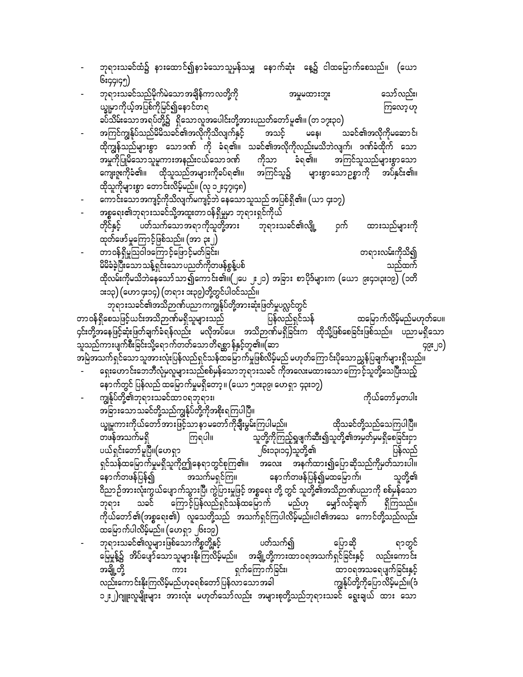| ဘုရားသခင်သည်မိုက်မဲသော အချိန်ကာ လတို့ကို<br>သော်လည်း၊<br>အမှုမထားဘူး<br>ယ္ခုုမာကိုယ့်အပြစ်ကိုမြင်၍နောင်တရ<br>ကြလော့ဟု<br>ခပ်သိမ်းသောအရပ်တို့၌   ရှိသောလူအပေါင်းတို့အားပညတ်တော်မူ၏။ (တ ၁၇း၃၀)<br>အကြင်ကျွန်ုပ်သည်မိမိသခင်၏အလိုကိုသိလျက်နှင့် အသင့် မနေ၊ သခင်၏အလိုကိုမဆောင်၊<br>ထိုကျွန်သည်များစွာ သောဒဏ် ကို ခံရ၏။ သခင်၏အလိုကိုလည်းမသိဘဲလျက်၊ ဒဏ်ခံထိုက် သော<br>အမှုကိုပြုမိသောသူမူကားအနည်းငယ်သောဒဏ် ကိုသာ ခံရ၏။ အကြင်သူသည်များစွာသော<br>ကျေးဇူးကိုခံ၏။ ထိုသူသည်အများကိုခပ်ရ၏။ အကြင်သူ၌ များစွာသောဉစ္စာကို အပ်နှင်း၏။<br>ထိုသူကိုများစွာ တောင်းလိမ့်မည်။ (လု ၁၂း၄၇၊၄၈)<br>ကောင်းသောအကျင့်ကိုသိလျက်မကျင့်ဘဲ နေသောသူသည် အပြစ်ရှိ၏။ (ယာ ၄း၁၇)<br>အစ္စရေး၏ဘုရားသခင်သို့အထူးတာဝန်ရှိမှုမှာ ဘုရားရှင်ကိုယ်<br>တိုင်နှင့် ပတ်သက်သောအရာကိုသူတို့အား ဘုရားသခင်၏လျို့ ဝှက်<br>ထားသည်များကို<br>ထုတ်ဖော်မှုကြောင့်ဖြစ်သည်။ (အာ ၃း၂)<br>တာဝန်ရှိမှုသြဝါဒကြောင့်ဖြောင့်မတ်ခြင်း၊<br>တရားလမ်းကိုသိ၍<br>မိမိခံခဲ့ပြီးသောသန့်ရှင်းသောပညတ်ကိုတဖန်စွန့်ပစ်<br>သည်ထက်<br>ထိုလမ်းကိုမသိဘဲနေသော်သာ၍ကောင်း၏။(၂ပေ ၂း၂၁) အခြား စာပိုဒ်များက (ယော ၉း၄၁၊၃း၁၉) (၁တိ<br>ား၁၃) (ဟော ၄း၁၄) (တရား ၁း၃၉)တို့တွင်ပါဝင်သည်။<br>ဘုရားသခင်၏အသိဉာဏ်ပညာကကျွန်ုပ်တို့အားဆုံးဖြတ်မှုပလ္လင်တွင်<br>တာဝန်ရှိစေသဖြင့်ယင်းအသိဉာဏ်မရှိသူများသည် ပြန်လည်ရှင်သန်<br>ထမြောက်လိမ့်မည်မဟုတ်ပေ။<br>၄င်းတို့အနေဖြင့်ဆုံးဖြတ်ချက်ခံရန်လည်း မလိုအပ်ပေ၊ အသိဉာဏ်မရှိခြင်းက ထိုသို့ဖြစ်စေခြင်းဖြစ်သည်။ ပညာမရှိသော<br>သူသည်ကားပျက်စီးခြင်းသို့ရောက်တတ်သောတိရစ္ဆာန်နှင့်တူ၏။(ဆာ<br>၄၉း၂၀)<br>အမြဲအသက်ရှင်သော သူအားလုံးပြန်လည်ရှင်သန်ထမြောက်မှုဖြစ်လိမ့်မည် မဟုတ်ကြောင်းပိုသောညွှန်ပြချက်များရှိသည်။<br>ရှေးဟောင်းဘေဘီလုံမှလူများသည်စစ်မှန်သောဘုရားသခင် ကိုအလေးမထားသောကြောင့်သူတို့သေပြီးသည့်<br>နောက်တွင် ပြန်လည် ထမြောက်မှုမရှိတော့ ။ (ယော ၅၁း၃၉၊ ဟေရှာ ၄၃း၁၇)<br>ကျွန်ုပ်တို့၏ဘုရားသခင်ထာဝရဘုရား၊<br>ကိုယ်တော်မှတပါး<br>အခြားသောသခင်တို့သည်ကျွန်ုပ်တို့ကိုအစိုးရကြပါပြီ။<br>ယ္ခုမူကားကိုယ်တော်အားဖြင့်သာနာမတော်ကိုချီးမွမ်းကြပါမည်။<br>ထိုသခင်တို့သည်သေကြပါပြီ။<br>ကြရပါ။ သူတို့ကိုကြည့်ရှုဖျက်ဆီး၍သူတို့၏အမှတ်မှမရှိစေခြင်းငှာ<br>တဖန်အသက်မရှိ<br>ပယ်ရှင်းတော်မူပြီ။(ဟေရှာ<br>၂၆း၁၃၊၁၄)သူတို့၏<br>ပြန်လည်<br>ရှင်သန်ထမြောက်မှုမရှိသူကိုဤနေရာတွင်စုကြ၏။ အလေး အနက်ထား၍ပြောဆိုသည်ကိုမှတ်သားပါ။<br>-<br>ဝိညာဉ်အားလုံးကွယ်ပျောက်သွားပြီ၊ ကွဲပြားမှုဖြင့် အစ္စရေး တို့ တွင် သူတို့၏အသိဉာဏ်ပညာကို စစ်မှန်သော<br>ဘုရား သခင် ကြောင့်ပြန်လည်ရှင်သန်ထမြောက် မည်ဟု မျှော်လင့်ချက် ရှိကြသည်။<br>ကိုယ်တော်၏(အစ္စရေး၏) လူသေတို့သည် အသက်ရှင်ကြပါလိမ့်မည်။ငါ၏အသေ ကောင်တို့သည်လည်း<br>ထမြောက်ပါလိမ့်မည်။ (ဟေရှာ ၂၆း၁၉)<br>ဘုရားသခင်၏လူများဖြစ်သောကိစ္စတို့နှင့်     ပတ်သက်၍<br>ပြောဆို<br>ရာတွင်<br>မြေမှုန့်၌ အိပ်ပျော်သောသူများနိုးကြလိမ့်မည်။ အချို့တို့ကားထာဝရအသက်ရှင်ခြင်းနှင့် လည်းကောင်း<br>ာချို့တို့<br>အချို့တို့ ကား ရက်ကြောက်ခြင်း၊ ထာဝရအသရေပျက်ခြင်းနှင့်<br>လည်းကောင်းနိုးကြလိမ့်မည်ဟုခရစ်တော်ပြန်လာသောအခါ ကျွန်ုပ်တို့ကိုပြောလိမ့်မည်။(ဒံ<br>၁၂း၂)ဂျူးလူမျိုးများ အားလုံး မဟုတ်သော်လည်း အများစုတို့သည်ဘုရားသခင် ရွေးချယ် ထား သော | ဘုရားသခင်ထံ၌ နားထောင်၍နာခံသောသူမှန်သမျှ နောက်ဆုံး နေ့၌ ငါထမြောက်စေသည်။ (ယော |
|----------------------------------------------------------------------------------------------------------------------------------------------------------------------------------------------------------------------------------------------------------------------------------------------------------------------------------------------------------------------------------------------------------------------------------------------------------------------------------------------------------------------------------------------------------------------------------------------------------------------------------------------------------------------------------------------------------------------------------------------------------------------------------------------------------------------------------------------------------------------------------------------------------------------------------------------------------------------------------------------------------------------------------------------------------------------------------------------------------------------------------------------------------------------------------------------------------------------------------------------------------------------------------------------------------------------------------------------------------------------------------------------------------------------------------------------------------------------------------------------------------------------------------------------------------------------------------------------------------------------------------------------------------------------------------------------------------------------------------------------------------------------------------------------------------------------------------------------------------------------------------------------------------------------------------------------------------------------------------------------------------------------------------------------------------------------------------------------------------------------------------------------------------------------------------------------------------------------------------------------------------------------------------------------------------------------------------------------------------------------------------------------------------------------------------------------------------------------------------------------------------------------------------------------------------------------------------------------------------------------------------------------------------------------------------------------------------------------------------------------------------------------------------------------------------------------------------------------------------------------|-----------------------------------------------------------------------------|
|                                                                                                                                                                                                                                                                                                                                                                                                                                                                                                                                                                                                                                                                                                                                                                                                                                                                                                                                                                                                                                                                                                                                                                                                                                                                                                                                                                                                                                                                                                                                                                                                                                                                                                                                                                                                                                                                                                                                                                                                                                                                                                                                                                                                                                                                                                                                                                                                                                                                                                                                                                                                                                                                                                                                                                                                                                                                      | ၆း၄၄၊၄၅)                                                                    |
|                                                                                                                                                                                                                                                                                                                                                                                                                                                                                                                                                                                                                                                                                                                                                                                                                                                                                                                                                                                                                                                                                                                                                                                                                                                                                                                                                                                                                                                                                                                                                                                                                                                                                                                                                                                                                                                                                                                                                                                                                                                                                                                                                                                                                                                                                                                                                                                                                                                                                                                                                                                                                                                                                                                                                                                                                                                                      |                                                                             |
|                                                                                                                                                                                                                                                                                                                                                                                                                                                                                                                                                                                                                                                                                                                                                                                                                                                                                                                                                                                                                                                                                                                                                                                                                                                                                                                                                                                                                                                                                                                                                                                                                                                                                                                                                                                                                                                                                                                                                                                                                                                                                                                                                                                                                                                                                                                                                                                                                                                                                                                                                                                                                                                                                                                                                                                                                                                                      |                                                                             |
|                                                                                                                                                                                                                                                                                                                                                                                                                                                                                                                                                                                                                                                                                                                                                                                                                                                                                                                                                                                                                                                                                                                                                                                                                                                                                                                                                                                                                                                                                                                                                                                                                                                                                                                                                                                                                                                                                                                                                                                                                                                                                                                                                                                                                                                                                                                                                                                                                                                                                                                                                                                                                                                                                                                                                                                                                                                                      |                                                                             |
|                                                                                                                                                                                                                                                                                                                                                                                                                                                                                                                                                                                                                                                                                                                                                                                                                                                                                                                                                                                                                                                                                                                                                                                                                                                                                                                                                                                                                                                                                                                                                                                                                                                                                                                                                                                                                                                                                                                                                                                                                                                                                                                                                                                                                                                                                                                                                                                                                                                                                                                                                                                                                                                                                                                                                                                                                                                                      |                                                                             |
|                                                                                                                                                                                                                                                                                                                                                                                                                                                                                                                                                                                                                                                                                                                                                                                                                                                                                                                                                                                                                                                                                                                                                                                                                                                                                                                                                                                                                                                                                                                                                                                                                                                                                                                                                                                                                                                                                                                                                                                                                                                                                                                                                                                                                                                                                                                                                                                                                                                                                                                                                                                                                                                                                                                                                                                                                                                                      |                                                                             |
|                                                                                                                                                                                                                                                                                                                                                                                                                                                                                                                                                                                                                                                                                                                                                                                                                                                                                                                                                                                                                                                                                                                                                                                                                                                                                                                                                                                                                                                                                                                                                                                                                                                                                                                                                                                                                                                                                                                                                                                                                                                                                                                                                                                                                                                                                                                                                                                                                                                                                                                                                                                                                                                                                                                                                                                                                                                                      |                                                                             |
|                                                                                                                                                                                                                                                                                                                                                                                                                                                                                                                                                                                                                                                                                                                                                                                                                                                                                                                                                                                                                                                                                                                                                                                                                                                                                                                                                                                                                                                                                                                                                                                                                                                                                                                                                                                                                                                                                                                                                                                                                                                                                                                                                                                                                                                                                                                                                                                                                                                                                                                                                                                                                                                                                                                                                                                                                                                                      |                                                                             |
|                                                                                                                                                                                                                                                                                                                                                                                                                                                                                                                                                                                                                                                                                                                                                                                                                                                                                                                                                                                                                                                                                                                                                                                                                                                                                                                                                                                                                                                                                                                                                                                                                                                                                                                                                                                                                                                                                                                                                                                                                                                                                                                                                                                                                                                                                                                                                                                                                                                                                                                                                                                                                                                                                                                                                                                                                                                                      |                                                                             |
|                                                                                                                                                                                                                                                                                                                                                                                                                                                                                                                                                                                                                                                                                                                                                                                                                                                                                                                                                                                                                                                                                                                                                                                                                                                                                                                                                                                                                                                                                                                                                                                                                                                                                                                                                                                                                                                                                                                                                                                                                                                                                                                                                                                                                                                                                                                                                                                                                                                                                                                                                                                                                                                                                                                                                                                                                                                                      |                                                                             |
|                                                                                                                                                                                                                                                                                                                                                                                                                                                                                                                                                                                                                                                                                                                                                                                                                                                                                                                                                                                                                                                                                                                                                                                                                                                                                                                                                                                                                                                                                                                                                                                                                                                                                                                                                                                                                                                                                                                                                                                                                                                                                                                                                                                                                                                                                                                                                                                                                                                                                                                                                                                                                                                                                                                                                                                                                                                                      |                                                                             |
|                                                                                                                                                                                                                                                                                                                                                                                                                                                                                                                                                                                                                                                                                                                                                                                                                                                                                                                                                                                                                                                                                                                                                                                                                                                                                                                                                                                                                                                                                                                                                                                                                                                                                                                                                                                                                                                                                                                                                                                                                                                                                                                                                                                                                                                                                                                                                                                                                                                                                                                                                                                                                                                                                                                                                                                                                                                                      |                                                                             |
|                                                                                                                                                                                                                                                                                                                                                                                                                                                                                                                                                                                                                                                                                                                                                                                                                                                                                                                                                                                                                                                                                                                                                                                                                                                                                                                                                                                                                                                                                                                                                                                                                                                                                                                                                                                                                                                                                                                                                                                                                                                                                                                                                                                                                                                                                                                                                                                                                                                                                                                                                                                                                                                                                                                                                                                                                                                                      |                                                                             |
|                                                                                                                                                                                                                                                                                                                                                                                                                                                                                                                                                                                                                                                                                                                                                                                                                                                                                                                                                                                                                                                                                                                                                                                                                                                                                                                                                                                                                                                                                                                                                                                                                                                                                                                                                                                                                                                                                                                                                                                                                                                                                                                                                                                                                                                                                                                                                                                                                                                                                                                                                                                                                                                                                                                                                                                                                                                                      |                                                                             |
|                                                                                                                                                                                                                                                                                                                                                                                                                                                                                                                                                                                                                                                                                                                                                                                                                                                                                                                                                                                                                                                                                                                                                                                                                                                                                                                                                                                                                                                                                                                                                                                                                                                                                                                                                                                                                                                                                                                                                                                                                                                                                                                                                                                                                                                                                                                                                                                                                                                                                                                                                                                                                                                                                                                                                                                                                                                                      |                                                                             |
|                                                                                                                                                                                                                                                                                                                                                                                                                                                                                                                                                                                                                                                                                                                                                                                                                                                                                                                                                                                                                                                                                                                                                                                                                                                                                                                                                                                                                                                                                                                                                                                                                                                                                                                                                                                                                                                                                                                                                                                                                                                                                                                                                                                                                                                                                                                                                                                                                                                                                                                                                                                                                                                                                                                                                                                                                                                                      |                                                                             |
|                                                                                                                                                                                                                                                                                                                                                                                                                                                                                                                                                                                                                                                                                                                                                                                                                                                                                                                                                                                                                                                                                                                                                                                                                                                                                                                                                                                                                                                                                                                                                                                                                                                                                                                                                                                                                                                                                                                                                                                                                                                                                                                                                                                                                                                                                                                                                                                                                                                                                                                                                                                                                                                                                                                                                                                                                                                                      |                                                                             |
|                                                                                                                                                                                                                                                                                                                                                                                                                                                                                                                                                                                                                                                                                                                                                                                                                                                                                                                                                                                                                                                                                                                                                                                                                                                                                                                                                                                                                                                                                                                                                                                                                                                                                                                                                                                                                                                                                                                                                                                                                                                                                                                                                                                                                                                                                                                                                                                                                                                                                                                                                                                                                                                                                                                                                                                                                                                                      |                                                                             |
|                                                                                                                                                                                                                                                                                                                                                                                                                                                                                                                                                                                                                                                                                                                                                                                                                                                                                                                                                                                                                                                                                                                                                                                                                                                                                                                                                                                                                                                                                                                                                                                                                                                                                                                                                                                                                                                                                                                                                                                                                                                                                                                                                                                                                                                                                                                                                                                                                                                                                                                                                                                                                                                                                                                                                                                                                                                                      |                                                                             |
|                                                                                                                                                                                                                                                                                                                                                                                                                                                                                                                                                                                                                                                                                                                                                                                                                                                                                                                                                                                                                                                                                                                                                                                                                                                                                                                                                                                                                                                                                                                                                                                                                                                                                                                                                                                                                                                                                                                                                                                                                                                                                                                                                                                                                                                                                                                                                                                                                                                                                                                                                                                                                                                                                                                                                                                                                                                                      |                                                                             |
|                                                                                                                                                                                                                                                                                                                                                                                                                                                                                                                                                                                                                                                                                                                                                                                                                                                                                                                                                                                                                                                                                                                                                                                                                                                                                                                                                                                                                                                                                                                                                                                                                                                                                                                                                                                                                                                                                                                                                                                                                                                                                                                                                                                                                                                                                                                                                                                                                                                                                                                                                                                                                                                                                                                                                                                                                                                                      |                                                                             |
|                                                                                                                                                                                                                                                                                                                                                                                                                                                                                                                                                                                                                                                                                                                                                                                                                                                                                                                                                                                                                                                                                                                                                                                                                                                                                                                                                                                                                                                                                                                                                                                                                                                                                                                                                                                                                                                                                                                                                                                                                                                                                                                                                                                                                                                                                                                                                                                                                                                                                                                                                                                                                                                                                                                                                                                                                                                                      |                                                                             |
|                                                                                                                                                                                                                                                                                                                                                                                                                                                                                                                                                                                                                                                                                                                                                                                                                                                                                                                                                                                                                                                                                                                                                                                                                                                                                                                                                                                                                                                                                                                                                                                                                                                                                                                                                                                                                                                                                                                                                                                                                                                                                                                                                                                                                                                                                                                                                                                                                                                                                                                                                                                                                                                                                                                                                                                                                                                                      |                                                                             |
|                                                                                                                                                                                                                                                                                                                                                                                                                                                                                                                                                                                                                                                                                                                                                                                                                                                                                                                                                                                                                                                                                                                                                                                                                                                                                                                                                                                                                                                                                                                                                                                                                                                                                                                                                                                                                                                                                                                                                                                                                                                                                                                                                                                                                                                                                                                                                                                                                                                                                                                                                                                                                                                                                                                                                                                                                                                                      |                                                                             |
|                                                                                                                                                                                                                                                                                                                                                                                                                                                                                                                                                                                                                                                                                                                                                                                                                                                                                                                                                                                                                                                                                                                                                                                                                                                                                                                                                                                                                                                                                                                                                                                                                                                                                                                                                                                                                                                                                                                                                                                                                                                                                                                                                                                                                                                                                                                                                                                                                                                                                                                                                                                                                                                                                                                                                                                                                                                                      |                                                                             |
|                                                                                                                                                                                                                                                                                                                                                                                                                                                                                                                                                                                                                                                                                                                                                                                                                                                                                                                                                                                                                                                                                                                                                                                                                                                                                                                                                                                                                                                                                                                                                                                                                                                                                                                                                                                                                                                                                                                                                                                                                                                                                                                                                                                                                                                                                                                                                                                                                                                                                                                                                                                                                                                                                                                                                                                                                                                                      |                                                                             |
|                                                                                                                                                                                                                                                                                                                                                                                                                                                                                                                                                                                                                                                                                                                                                                                                                                                                                                                                                                                                                                                                                                                                                                                                                                                                                                                                                                                                                                                                                                                                                                                                                                                                                                                                                                                                                                                                                                                                                                                                                                                                                                                                                                                                                                                                                                                                                                                                                                                                                                                                                                                                                                                                                                                                                                                                                                                                      |                                                                             |
|                                                                                                                                                                                                                                                                                                                                                                                                                                                                                                                                                                                                                                                                                                                                                                                                                                                                                                                                                                                                                                                                                                                                                                                                                                                                                                                                                                                                                                                                                                                                                                                                                                                                                                                                                                                                                                                                                                                                                                                                                                                                                                                                                                                                                                                                                                                                                                                                                                                                                                                                                                                                                                                                                                                                                                                                                                                                      |                                                                             |
|                                                                                                                                                                                                                                                                                                                                                                                                                                                                                                                                                                                                                                                                                                                                                                                                                                                                                                                                                                                                                                                                                                                                                                                                                                                                                                                                                                                                                                                                                                                                                                                                                                                                                                                                                                                                                                                                                                                                                                                                                                                                                                                                                                                                                                                                                                                                                                                                                                                                                                                                                                                                                                                                                                                                                                                                                                                                      |                                                                             |
|                                                                                                                                                                                                                                                                                                                                                                                                                                                                                                                                                                                                                                                                                                                                                                                                                                                                                                                                                                                                                                                                                                                                                                                                                                                                                                                                                                                                                                                                                                                                                                                                                                                                                                                                                                                                                                                                                                                                                                                                                                                                                                                                                                                                                                                                                                                                                                                                                                                                                                                                                                                                                                                                                                                                                                                                                                                                      |                                                                             |
|                                                                                                                                                                                                                                                                                                                                                                                                                                                                                                                                                                                                                                                                                                                                                                                                                                                                                                                                                                                                                                                                                                                                                                                                                                                                                                                                                                                                                                                                                                                                                                                                                                                                                                                                                                                                                                                                                                                                                                                                                                                                                                                                                                                                                                                                                                                                                                                                                                                                                                                                                                                                                                                                                                                                                                                                                                                                      |                                                                             |
|                                                                                                                                                                                                                                                                                                                                                                                                                                                                                                                                                                                                                                                                                                                                                                                                                                                                                                                                                                                                                                                                                                                                                                                                                                                                                                                                                                                                                                                                                                                                                                                                                                                                                                                                                                                                                                                                                                                                                                                                                                                                                                                                                                                                                                                                                                                                                                                                                                                                                                                                                                                                                                                                                                                                                                                                                                                                      |                                                                             |
|                                                                                                                                                                                                                                                                                                                                                                                                                                                                                                                                                                                                                                                                                                                                                                                                                                                                                                                                                                                                                                                                                                                                                                                                                                                                                                                                                                                                                                                                                                                                                                                                                                                                                                                                                                                                                                                                                                                                                                                                                                                                                                                                                                                                                                                                                                                                                                                                                                                                                                                                                                                                                                                                                                                                                                                                                                                                      |                                                                             |
|                                                                                                                                                                                                                                                                                                                                                                                                                                                                                                                                                                                                                                                                                                                                                                                                                                                                                                                                                                                                                                                                                                                                                                                                                                                                                                                                                                                                                                                                                                                                                                                                                                                                                                                                                                                                                                                                                                                                                                                                                                                                                                                                                                                                                                                                                                                                                                                                                                                                                                                                                                                                                                                                                                                                                                                                                                                                      |                                                                             |
|                                                                                                                                                                                                                                                                                                                                                                                                                                                                                                                                                                                                                                                                                                                                                                                                                                                                                                                                                                                                                                                                                                                                                                                                                                                                                                                                                                                                                                                                                                                                                                                                                                                                                                                                                                                                                                                                                                                                                                                                                                                                                                                                                                                                                                                                                                                                                                                                                                                                                                                                                                                                                                                                                                                                                                                                                                                                      |                                                                             |
|                                                                                                                                                                                                                                                                                                                                                                                                                                                                                                                                                                                                                                                                                                                                                                                                                                                                                                                                                                                                                                                                                                                                                                                                                                                                                                                                                                                                                                                                                                                                                                                                                                                                                                                                                                                                                                                                                                                                                                                                                                                                                                                                                                                                                                                                                                                                                                                                                                                                                                                                                                                                                                                                                                                                                                                                                                                                      |                                                                             |
|                                                                                                                                                                                                                                                                                                                                                                                                                                                                                                                                                                                                                                                                                                                                                                                                                                                                                                                                                                                                                                                                                                                                                                                                                                                                                                                                                                                                                                                                                                                                                                                                                                                                                                                                                                                                                                                                                                                                                                                                                                                                                                                                                                                                                                                                                                                                                                                                                                                                                                                                                                                                                                                                                                                                                                                                                                                                      |                                                                             |
|                                                                                                                                                                                                                                                                                                                                                                                                                                                                                                                                                                                                                                                                                                                                                                                                                                                                                                                                                                                                                                                                                                                                                                                                                                                                                                                                                                                                                                                                                                                                                                                                                                                                                                                                                                                                                                                                                                                                                                                                                                                                                                                                                                                                                                                                                                                                                                                                                                                                                                                                                                                                                                                                                                                                                                                                                                                                      |                                                                             |
|                                                                                                                                                                                                                                                                                                                                                                                                                                                                                                                                                                                                                                                                                                                                                                                                                                                                                                                                                                                                                                                                                                                                                                                                                                                                                                                                                                                                                                                                                                                                                                                                                                                                                                                                                                                                                                                                                                                                                                                                                                                                                                                                                                                                                                                                                                                                                                                                                                                                                                                                                                                                                                                                                                                                                                                                                                                                      |                                                                             |
|                                                                                                                                                                                                                                                                                                                                                                                                                                                                                                                                                                                                                                                                                                                                                                                                                                                                                                                                                                                                                                                                                                                                                                                                                                                                                                                                                                                                                                                                                                                                                                                                                                                                                                                                                                                                                                                                                                                                                                                                                                                                                                                                                                                                                                                                                                                                                                                                                                                                                                                                                                                                                                                                                                                                                                                                                                                                      |                                                                             |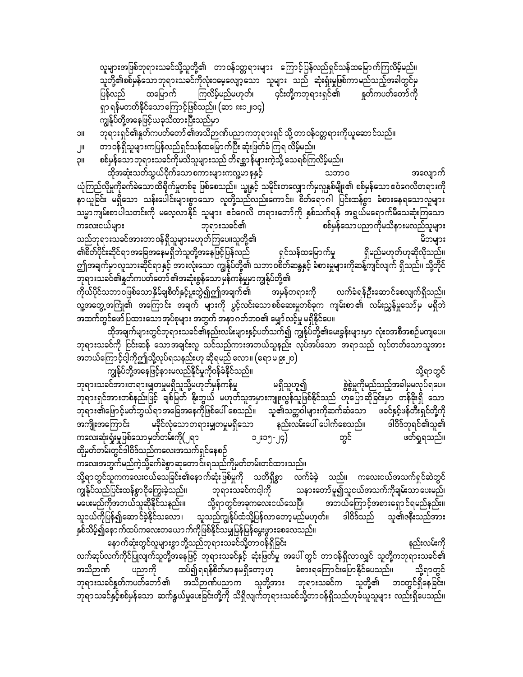လူများအဖြစ်ဘုရားသခင်သို့သူတို့၏ တာဝန်ဝတ္တရားများ ကြောင့်ပြန်လည်ရှင်သန်ထမြောက်ကြလိမ့်မည်။ သူတို့၏စစ်မှန်သောဘုရားသခင်ကိုလုံးဝမေ့လျော့သော သူများ သည် ဆုံးရှုံးမှုဖြစ်ကာမည်သည့်အခါတွင်မှ ပြန်လည် ထမြောက် ကြလိမ့်မည်မဟုတ်၊ ၄င်းတို့ကဘုရားရှင်၏ နှတ်ကပတ်တော်ကို ရှာ ရန်မတတ်နိုင်သောကြောင့်ဖြစ်သည်။ (ဆာ ၈း၁၂၊၁၄) ကျွန်ုပ်တို့အနေဖြင့်ယခုသိထားပြီးသည်မှာ

ဘုရားရှင်၏နှုတ်ကပတ်တော် ၏အသိဉာဏ်ပညာကဘုရားရှင် သို့ တာဝန်ဝတ္တရားကိုယူဆောင်သည်။ ၁။

- တာဝန်ရှိသူများကပြန်လည်ရှင်သန်ထမြောက်ပြီး ဆုံးဖြတ်ခံ ကြရ လိမ့်မည်။ J۱L
- စစ်မှန်သော ဘုရားသခင်ကိုမသိသူများသည် တိရစ္ဆာန်များကဲ့သို့ သေရစ်ကြလိမ့်မည်။ IIÇ

.<br>ထိုအဆုံးသတ်သွယ်ဝိုက်သော စကားများကလူ့မာ နနှင့် သဘာဝ အလျောက် ယုံကြည်လိုမှုကိုခက်ခဲသောထိရိုက်မှုတစ်ခု ဖြစ်စေသည်။ ယျွနှင့် သမိုင်းတလျှောက်မှလူနှစ်မျိုး၏ စစ်မှန်သော ဧဝံဂေလိတရားကို နာယူခြင်း မရှိသော သန်းပေါင်းများစွာသော လူတို့သည်လည်းကောင်း၊ စိတ်ရောဂါ ပြင်းထန်စွာ ခံစားနေရသောလူများ သမ္မာကျမ်းစာပါသတင်းကို မလေ့လာနိုင် သူများ ဧငံဂေလိ တရားတော်ကို နှစ်သက်ရန် အရွယ်မရောက်မီသေဆုံးကြသော စစ်မှန်သော ပညာကိုမသိနားမလည်သူများ ကလေးငယ်များ ဘုရားသခင်၏ သည်ဘုရားသခင်အားတာဝန်ရှိသူများမဟုတ်ကြပေ။သူတို့၏ မိဘများ ၏စိတ်ပိုင်းဆိုင်ရာ အခြေအနေမရှိဘဲသူတို့အနေဖြင့်ပြန်လည် ရှင်သန်ထမြောက်မှု ရှိမည်မဟုတ်ဟုဆိုလိုသည်။ ဤအချက်မှာလူသားဆိုင်ရာနှင့် အားလုံးသော ကျွန်ုပ်တို့၏ သဘာဝစိတ်ဆန္ဒနှင့် ခံစားမှုများကိုဆန့်ကျင်လျက် ရှိသည်။ သို့တိုင် ဘုရားသခင်၏နူတ်ကပတ်တော် ၏အဆုံးစွန်သော မှန်ကန်မှုမှာ ကျွန်ုပ်တို့၏ .<br>ကိုယ်ပိုင်သဘာဝဖြစ်သောနှိမ်ချစိတ်နှင့်ပူးတွဲ၍ဤအချက်၏ အမှန်တရားကို လက်ခံရန်ဦးဆောင်စေလျက်ရှိသည်။ လူ့အတွေ့ အကြုံ၏ အကြောင်း အချက် များကို ပွင့်လင်းသော စစ်ဆေးမှုတစ်ခုက ကျမ်းစာ ၏ လမ်းညွှန်မှုသော် မှ မရှိဘဲ အထက်တွင်ဖော်ပြထားသောအုပ်စုများ အတွက် အနာ ဂတ်ဘဝ၏ မျှော်လင့်မှု မရှိနိုင်ပေ။

ထိုအချက်များတွင်ဘုရားသခင်၏နည်းလမ်းများနှင့်ပတ်သက်၍ ကျွန်ုပ်တို့၏မေးခွန်းများမှာ လုံးဝအစီအစဉ်မကျပေ။ ဘုရားသခင်ကို ငြင်းဆန် သောအချင်းလူ သင်သည်ကားအဘယ်သူနည်း လုပ်အပ်သော အရာသည် လုပ်တတ်သောသူအား အဘယ်ကြောင့်ငါ့ကိုဤသို့လုပ်ရသနည်းဟု ဆိုရမည် လော။ (ရောမ ၉း၂၀)

ကျွန်ုပ်တို့အနေဖြင့်နားမလည်နိုင်မှုကိုဝန်ခံနိုင်သည်။ သို့ရာတွင် စွဲစွဲမှုကိုမည်သည့်အခါမှမလုပ်ရပေ။ ဘုရားသခင်အားတရားမျှတမှုမရှိသူသို့မဟုတ်မှန်ကန်မှု မရှိသူဟူ၍ ဘုရားရှင်အားတစ်နည်းဖြင့် ချစ်မြတ် နိုးဘွယ် မဟုတ်သူအမှားကျူးလွန်သူဖြစ်နိုင်သည် ဟုပြောဆိုခြင်းမှာ တန်ခိုးရှိ သော ဘုရား၏ဖြောင့်မတ်ဘွယ်ရာအခြေအနေကိုဖြစ်ပေါ် စေသည်။ သူ၏သတ္တဝါများကိုဆက်ဆံသော ဖခင်နှင့်ဖန်တီးရှင်တို့ကို မခိုင်လုံသောတရားမျှတမှုမရှိသော နည်းလမ်းပေါ် ပေါက်စေသည်။ ဒါဝိဒ်ဘုရင်၏သူ၏ အကျိုးအကြောင်း ကလေးဆုံးရှုံးမှုဖြစ်သောမှတ်တမ်းကို(၂ရ၁ တွင် ဖတ်ရှုရသည်။ ၁၂း၁၅-၂၄) ထိုမှတ်တမ်းတွင်ဒါဝိဒ်သည်ကလေးအသက်ရှင်နေစဉ်

ကလေးအတွက်မည်ကဲ့သို့ခက်ခဲစွာဆုတောင်းရသည်ကိုမှတ်တမ်းတင်ထားသည်။ သို့ရာတွင်သူကကလေးငယ်သေခြင်း၏နောက်ဆုံးဖြစ်မှုကို သတိရှိစွာ လက်ခံခဲ့ သည်။ ကလေးငယ်အသက်ရှင်ဆဲတွင် ကျွန်ုပ်သည်ပြင်းထန်စွာငိုကြွေးခဲ့သည်။ ဘုရားသခင်ကင့ါကို သနားတော်မူ၍သူငယ်အသက်ကိုချမ်းသာပေးမည်၊ မပေးမည်ကိုအဘယ်သူဆိုနိုင်သနည်း။ သို့ရာတွင်အခုကလေးငယ်သေပြီ၊ အဘယ်ကြောင့်အစားရှောင်ရမည်နည်း။ သူငယ်ကိုပြန်၍ဆောင်ခဲ့နိုင်သလော၊ သူသည်ကျွန်ုပ်ထံသို့ပြန်လာတော့မည်မဟုတ်။ ဒါဝိဒ်သည် သူ၏ဇနီးသည်အား နှစ်သိမ့်၍နောက်ထပ်ကလေးတယောက်ကိုဖြစ်နိုင်သမျှမြန်မြန်မွေးဖွားစေလေသည်။

နောက်ဆုံးတွင်လူများစွာတို့သည်ဘုရားသခင်သို့တာဝန်ရှိခြင်း နည်းလမ်းကို လက်ဆုပ်လက်ကိုင်ပြုလျက်သူတို့အနေဖြင့် ဘုရားသခင်နှင့် ဆုံးဖြတ်မှု အပေါ် တွင် တာဝန်ရှိလာလျှင် သူတို့ကဘုရားသခင်၏ အသိဉာဏ် ပညာကို ထပ်၍ရရန်စိတ်မာနမရှိတော့ ဟု ခံစားရကြောင်းပြောနိုင်ပေသည်။ သို့ရာတွင် ဘုရားသခင်နှုတ်ကပတ်တော် ၏ အသိဉာဏ်ပညာက သူတို့အား ဘုရားသခင်က သူတို့၏ ဘဝတွင်ရှိနေခြင်း၊ ဘုရာသခင်နှင့်စစ်မှန်သော ဆက်နွယ်မှုပေးခြင်းတို့ကို သိရှိလျက်ဘုရားသခင်သို့တာဝန်ရှိသည်ဟုခံယူသူများ လည်းရှိပေသည်။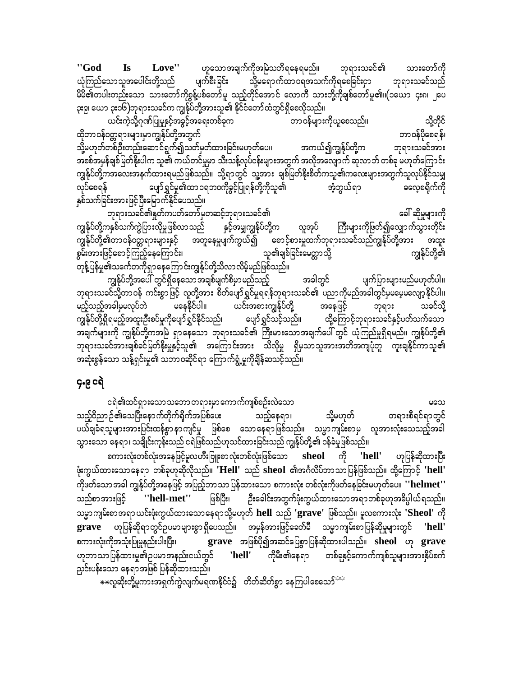"God Love" ဟူသောအချက်ကိုအမြဲသတိရနေရမည်။ ဘုရားသခင်၏ **Is** သားတော်ကို ယုံကြည်သောသူအပေါင်းတို့သည် သို့မရောက်ထာဝရအသက်ကိုရစေခြင်းငှာ ပျက်စီးခြင်း ဘုရားသခင်သည် မိမိ၏တပါးတည်းသော သားတော်ကိုစွန့်ပစ်တော်မူ သည့်တိုင်အောင် လောကီ သားတို့ကိုချစ်တော်မူ၏။(၁ယော ၄း၈၊ ၂ပေ ၃း၉၊ ယော ၃း၁၆)ဘုရားသခင်က ကျွန်ုပ်တို့အားသူ၏ နိုင်ငံတော်ထံတွင်ရှိစေလိုသည်။

ယင်းကဲ့သို့ဂုဏ်ပြုမှုနှင့်အခွင့်အရေးတစ်ခုက သို့တိုင် တာ ဝန်များကိုယူစေသည်။ တာဝန်ပိုစေရန်၊ ထိုတာဝန်ဝတ္တရားများမှာကျွန်ုပ်တို့အတွက် သို့မဟုတ်တစ်ဦးတည်းဆောင်ရွက်၍သတ်မှတ်ထားခြင်းမဟုတ်ပေ။ ဘုရားသခင်အား အကယ်၍ကျွန်ုပ်တို့က အစစ်အမှန်ချစ်မြတ်နိုးပါက သူ၏ ကယ်တင်မှုမှာ သီးသန့်လုပ်ငန်းများအတွက် အလိုအလျောက် ဆုလာဘ် တစ်ခု မဟုတ်ကြောင်း ကျွန်ုပ်တို့ကအလေးအနက်ထားရမည်ဖြစ်သည်။ သို့ရာတွင် သူ့အား ချစ်မြတ်နိုးစိတ်ကသူ၏ကလေးများအတွက်သူလုပ်နိုင်သမျှ ပျော်ရွှင်မှု၏ထာဝရဘဝကိုခွင့်ပြုရန်တို့ကိုသူ၏ လုပ်စေရန် အံ့ဘွယ်ရာ ဓလေ့စရိုက်ကို နှစ်သက်ခြင်းအားဖြင့်ပြီးမြောက်နိုင်ပေသည်။

ဘုရားသခင်၏နှုတ်ကပတ်တော်မှတဆင့်ဘုရားသခင်၏ ခေါ် ဆိုမှုများကို ကျွန်ုပ်တို့ကနှစ်သက်ကွဲပြားလိုမှုဖြစ်လာသည် နှင့်အမျှကျွန်ုပ်တို့က လူအုပ် ကြီးများကိုဖြတ်၍လျှောက်သွားတိုင်း ကျွန်ုပ်တို့၏တာဝန်ဝတ္တရားများနှင့် အတူနေမှုပျက်ကွယ်၍ စောင့်စားမှုထက်ဘုရားသခင်သည်ကျွန်ုပ်တို့အား အထူး ကျွန်ုပ်တို့၏ စွမ်းအားဖြင့်စောင့်ကြည့်နေကြောင်း၊ သူ၏ချစ်ခြင်းမေတ္တာသို့ တုန့်ပြန်မှု၏သင်္ကေတကိုရှာနေကြောင်းကျွန်ုပ်တို့သိလာလိမ့်မည်ဖြစ်သည်။

ကျွန်ုပ်တို့အပေါ် တွင်ရှိနေသောအချစ်မျက်စိမှာမည်သည့် အခါတွင် ပျက်ပြားများမည်မဟုတ်ပါ။ ဘုရားသခင်သို့တာဝန် ကင်းစွာဖြင့် လူတို့အား စိတ်ပျော်ရွှင်မှုရရန်ဘုရားသခင်၏ ပညာကိုမည်အခါတွင်မှမမေ့မလျော့နိုင်ပါ။ မည့်သည့်အခါမှမလုပ်ဘဲ မနေနိုင်ပါ။ ယင်းအစားကျွန်ုပ်တို့ အနေဖြင့် သခင်သို့ ဘုရား ကျွန်ုပ်တို့ရှိရမည့်အထူးဦးစပ်မှုကိုပျော်ရွှင်နိုင်သည်၊ ပျော် ရွှင်သင့်သည်။ ထို့ကြောင့်ဘုရားသခင်နှင့်ပတ်သက်သော ဘုရားသခင်အားချစ်ခင်မြတ်နိုးမှုနှင့်သူ၏ အကြောင်းအား သိလိုမှု ရှိမှသာသူအားအတိအကျပုံတူ ကူးချနိုင်ကာသူ၏ အဆုံးစွန်သော သန့်ရှင်းမှု၏ သဘာဝဆိုင်ရာ ကြောက်ရွံ့မှုကိုချိန်ဆသင့်သည်။

၄.၉ ငရဲ

ငရဲ၏ထင်ရှားသော သဘော တရားမှာကောက်ကျစ်စဉ်းလဲသော မသေ သည့်ဝိညာဉ်၏သေပြီးနောက်တိုက်ရိုက်အပြစ်ပေး သည့်နေရာ၊ သို့မဟုတ် တရားစီရင်ရာတွင် ပယ်ချခံရသူများအားပြင်းထန်စွာနာကျင်မှု ဖြစ်စေ သောနေရာဖြစ်သည်။ သမ္မာကျမ်းစာမှ လူအားလုံးသေသည့်အခါ သွားသော နေရာ၊ သချိုင်းကုန်းသည် ငရဲဖြစ်သည်ဟုသင်ထားခြင်းသည် ကျွန်ုပ်တို့၏ ဝန်ခံမှုဖြစ်သည်။

စကားလုံးတစ်လုံးအနေဖြင့်မူလဟီးဗြူးစာလုံးတစ်လုံးဖြစ်သော sheol ကို 'hell' ဟုပြန်ဆိုထားပြီး ဖုံးကွယ်ထားသောနေရာ တစ်ခုဟုဆိုလိုသည်။ 'Hell' သည် sheol ၏အင်္ဂလိပ်ဘာသာပြန်ဖြစ်သည်။ ထို့ကြောင့် 'hell' ကိုဖတ်သောအခါ ကျွန်ုပ်တို့အနေဖြင့် အပြည့်ဘာသာပြန်ထားသော စကားလုံး တစ်လုံးကိုဖတ်နေခြင်းမဟုတ်ပေ။ ''helmet'' ဦးခေါင်းအတွက်ဖုံးကွယ်ထားသောအရာတစ်ခုဟုအဓိပ္ပါယ်ရသည်။ သည်စာအားဖြင့် "hell-met" ဖြစ်ပြီး၊ သမ္မာကျမ်းစာအရာယင်းဖုံးကွယ်ထားသောနေရာသို့မဟုတ် hell သည် 'grave' ဖြစ်သည်။ မူလစကားလုံး 'Sheol' ကို grave ဟုပြန်ဆိုရာတွင်ဥပမာများစွာရှိပေသည်။ အမှန်အားဖြင့်ခေတ်မီ သမ္မာကျမ်းစာပြန်ဆိုမှုများတွင် 'hell' စကားလုံးကိုအသုံးပြုမှုနည်းပါးပြီး၊ grave အဖြစ်ပို၍အဆင်ပြေစွာပြန်ဆိုထားပါသည်။ sheol ဟု grave ဟုဘာသာပြန်ထားမှု၏ဉပမာအနည်းငယ်တွင် ကိုမီး၏နေရာ တစ်ခုနှင့်ကောက်ကျစ်သူများအားနှိပ်စက် 'hell' ညှင်းပန်းသော နေရာအဖြစ် ပြန်ဆိုထားသည်။

 $\ast$ းလူဆိုးတို့မူကားအရှက်ကွဲလျက်မရဏနိုင်ငံ၌ တိတ်ဆိတ်စွာ နေကြပါစေသော်<sup>သင့</sup>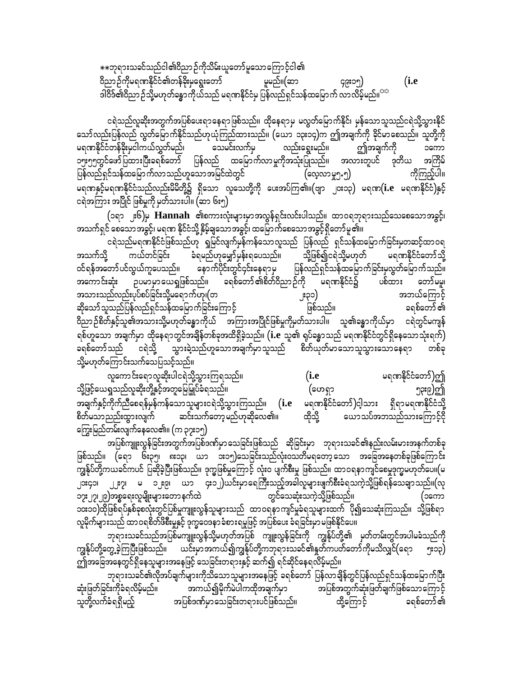$\ast\ast$ ဘုရားသခင်သည်ငါ၏ဝိညာဉ်ကိုသိမ်းယူတော်မူသောကြောင့်ငါ၏ 0dnmOfudkr&PEdkifiH\wefcdk;rSa&G;awmf rlrnf/(qm 49;15) (**i.e**  ဒါဝိဒ်၏ဝိညာဉ်သို့မဟုတ်ခန္ဓာကိုယ်သည် မရဏနိုင်ငံမှ ပြန်လည်ရှင်သန်ထမြောက် လာလိမ့်မည်။ $^{\text{eq}}$ 

ငရဲသည်လူဆိုးအတွက်အပြစ်ပေးရာနေရာဖြစ်သည်။ ထိုနေရာမှ မလွတ်မြောက်နိုင်၊ မှန်သောသူသည်ငရဲသို့သွားနိုင် သော်လည်းပြန်လည် လွတ်မြောက်နိုင်သည်ဟုယုံကြည်ထားသည်။ (ယော ၁၃း၁၄)က ဤအချက်ကို ခိုင်မာစေသည်။ သူတို့ကို မရဏနိုင်ငံတန်ခိုးမှငါကယ်လွှတ်မည်၊ သေမင်းလက်မှ လည်းရွေးမည်။ ဤအချက်ကို ၁ကော<br>၁၅း၅၅တွင်ဖော် ပြထားပြီးခရစ်တော် ပြန်လည် ထမြောက်လာမှုကိုအသုံးပြုသည်။ အလားတူပင် ဒုတိယ အကြိမ် ၁၅း၅၅တွင်ဖော်ပြထားပြီးခရစ်တော် ပြန်လည် ထမြောက်လာမှုကိုအသုံးပြုသည်။ အလားတူပင် ဒုတိယ ပြန်လည်ရှင်သန်ထမြောက်လာသည်ဟူသောအမြင်ထဲတွင် (လေ့လာမှု၅.၅) ကိုကြည့်ပါ။ မရဏနှင့်မရဏနိုင်ငံသည်လည်းမိမိတို့၌ ရှိသော လူသေတို့ကို ပေးအပ်ကြ၏။(ဗျာ ၂၀း၁၃) မရဏ $(i.e$  မရဏနိုင်ငံ)နှင့် ငရဲအကြား အပြိုင် ဖြစ်မှုကို မှတ်သားပါ။ (ဆာ ၆း၅)

(၁ရာ <sub>၂</sub>း၆)မှ **Hannah ၏စကားလုံး**များမှာအလွန်ရှင်းလင်းပါသည်။ ထာဝရဘုရားသည်သေစေသောအခွင့်၊ အသက်ရှင် စေသောအခွင့်၊ မရဏ နိုင်ငံသို့ နှိမ့်ချသောအခွင့်၊ ထမြောက်စေသောအခွင့်ရှိတော်မူ၏။

ငရဲသည်မရဏနိုင်ငံဖြစ်သည်ဟု ရှုမြင်လျက်မှန်ကန်သောလူသည် ပြန်လည် ရှင်သန်ထမြောက်ခြင်းမှတဆင့်ထာဝရ အသက်သို့ ကယ်တင်ခြင်း ခံရမည်ဟုမျှော်မှန်းရပေသည်။ သို့ဖြစ်၍ငရဲသို့မဟုတ် မရဏနိုင်ငံတော်သို့<br>ဝင်ရန်အတော်ပင်လွယ်ကူပေသည်။ နောက်ပိုင်းတွင်၄င်းနေရာမှ ပြန်လည်ရှင်သန်ထမြောက်ခြင်းမှလွတ်မြောက်သည်။ ပြန်လည်ရှင်သန်ထမြောက်ခြင်းမှလွတ်မြောက်သည်။<br>ဉ်ကို မရဏနိုင်ငံ၌ ပစ်ထား တော်မမူ၊ အကောင်းဆုံး ဉပမာမှာယေရှုဖြစ်သည်။ ခရစ်တော်၏စိတ်ဝိညာဉ်ကို မရဏနိုင်ငံ၌ ပစ်ထား တော်မမူ၊ tom;onfvnf;ykyfpyfjcif;odkYra&muf[k?(w 2;31) tb,faMumifh ဆိုသော်သူသည်ပြန်လည်ရှင်သန်ထမြောက်ခြင်းကြောင့် ကာတာကား ဖြစ်သည်။ ကာတာကား ခရစ်တော် ၏ ဝိညာဉ်စိတ်နှင့်သူ၏အသားသို့မဟုတ်ခန္ဓာကိုယ် အကြားအပြိုင်ဖြစ်မှုကိုမတ်သားပါ။ သူ၏ခန္ဓာကိုယ်မှာ ငရဲတွင်မကျန် ရစ်ဟူသော အချက်မှာ ထိုနေရာတွင်အချိန်တစ်ခုအထိရှိခဲ့သည်။ (**i.**e သူ၏ ရုပ်ခန္ဓာသည် မရဏနိုင်ငံတွင်ရှိနေသောသုံးရက်) ာရစ်တော်သည် ငရဲသို့ သွားခဲ့သည်ဟူသောအချက်မှာသူသည် စိတ်ယုတ်မာသောသူသွားသောနေရာ တစ်ခု သို့မဟုတ်ကြောင်းသက်သေပြသင့်သည်။

လူကောင်းရောလူဆိုးပါငရဲသို့သွားကြရသည်။ (**i.e** မရဏနိုင်ငံတော်)ဤ သို့ဖြင့်ယေရှုသည်လူဆိုးတို့နှင့်အတူမြေမြှုပ်ခံရသည်။ (ဟေရှာ ာချက်နှင့်ကိုက်ညီစေရန်မှန်ကန်သောသူများငရဲသို့သွားကြသည်။ (**i.e** မရဏနိုင်ငံတော်)ဝါ့သား ရှိရာမရဏနိုင်ငံသို့<br>စိတ်မသာညည်းထွားလျက် ဆင်းသက်တော့မည်ဟုဆိုလေ၏။ ထိုသို့ ယောသပ်အဘသည်သားကြောင့်ငို စိတ်မသာညည်းထွားလျက် $\,$  ဆင်းသက်တော့မည်ဟုဆိုလေ၏။ ထိုသို့ ယောသပ်အဘသည်သားကြောင့်ငို $\,$ ကြွေးမြည်တမ်းလျက်နေလေ၏။  $(m \rho$ ှား၁၅)

အပြစ်ကျူးလွန်ခြင်းအတွက်အပြစ်ဒဏ်မှာ သေခြင်းဖြစ်သည် ဆိုခြင်းမှာ ဘုရားသခင်၏နည်းလမ်းမားအနက်တစ်ခု ဖြစ်သည်။ (ရော ၆း၃၅၊ ၈း၁၃၊ ယာ ၁း၁၅)သေခြင်းသည်လုံးဝသတိမရတော့သော အခြေအနေတစ်ခုဖြစ်ကြောင်း ကျွန်ုပ်တို့ကယခင်ကပင် ပြဆိုခဲ့ပြီးဖြစ်သည်။ ဒုက္ခဖြစ်မှုကြောင့် လုံးဝ ပျက်စီးမှု ဖြစ်သည်။ ထာဝရနာကျင်စေမှုဒုက္ခမဟုတ်ပေ။(မ ၂၁း၄၁၊ ၂၂း၇၊ မ ၁၂း၉၊ ယာ ၄း၁၂)ယင်းမှာရေကြီးသည့်အခါလူများဖျက်စီးခံရသကဲ့သို့ဖြစ်ရန်သေချာသည်။(လု<br>၁၇း၂၇၊၂၉)အစ္စရေးလူမျိုးများတောနက်ထဲ ၁၇း၂၇၊၂၉)အစ္စရေးလူမျိုးများတောနက်ထဲ ကာလာသည့်သေဆုံးသကဲ့သို့ဖြစ်သည်။ ကာလာသော (၁ကော ၁၀း၁၀)ထိုဖြစ်ရပ်နှစ်ခုစလုံးတွင်ပြစ်မှုကျူးလွန်သူများသည် ထာဝရနာကျင်မှုခံရသူများထက် ပို၍သေဆုံးကြသည်။ သို့ဖြစ်ရာ လူမိုက်များသည် ထာဝရစိတ်ဖိစီးမှုနှင့် ဒုက္ခဝေဒနာခံစားရမှုဖြင့် အပြစ်ပေး ခံရခြင်းမှာ မဖြစ်နိုင်ပေ။

ဘုရားသခင်သည်အပြစ်မကျူးလွန်သို့မဟုတ်အပြစ် ကျူးလွန်ခြင်းကို ကျွန်ုပ်တို့၏ မှတ်တမ်းတွင်အပါမခံသည်ကို ကျွန်ုပ်တို့တွေ့ခဲ့ကြပြီးဖြစ်သည်။ ယင်းမှာအကယ်၍ကျွန်ုပ်တို့ကဘုရားသခင်၏နှတ်ကပတ်တော်ကိုမသိလျှင်(ရော ၅း၁၃) ကျ်အခြေအနေတွင်ရှိနေသူများအနေဖြင့် သေခြင်းတရားနှင့် ဆက်၍ ရင်ဆိုင်နေရလိမ့်မည်။

ဘုရားသခင်၏လိုအပ်ချက်များကိုသိသောသူများအနေဖြင့် ခရစ်တော် ပြန်လာချိန်တွင်ပြန်လည်ရှင်သန်ထမြောက်ပြီး<br>ဒှီးဖြတ်ခြင်းကိုခံရလိမ့်မည်။ အကယ်၍မိုက်မဲပါကထိုအချက်မှာ အပြစ်အတွက်ဆုံးဖြတ်ချက်ဖြစ်သောကြောင့် qHk;jzwfjcif;udkcH&vdrfhrnf/ tu,fírdkufrJyguxdktcsufrSm tjypftwGufqHk;jzwfcsufjzpfaomaMumifh ာာပြစ်ဒဏ်မှာသေခြင်းတရားပင်ဖြစ်သည်။ ထို့ကြောင့် ခရစ်တော် ၏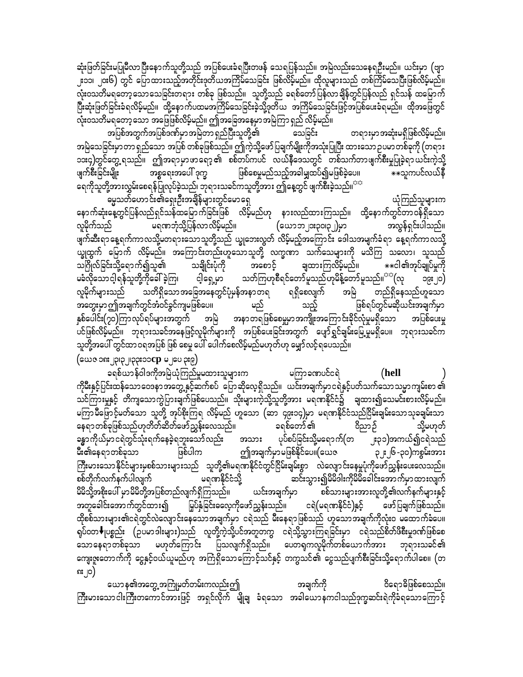ဆုံးဖြတ်ခြင်းမပြုမီလာပြီးနောက်သူတို့သည် အပြစ်ပေးခံရပြီးတဖန် သေရပြန်သည်။ အမြဲလည်းသေနေရဦးမည်။ ယင်းမှာ (ဗျာ ၂း၁၁၊ ၂၀း၆) တွင် ပြောထားသည့်အတိုင်းဒုတိယအကြိမ်သေခြင်း ဖြစ်လိမ့်မည်။ ထိုလူများသည် တစ်ကြိမ်သေပြီးဖြစ်လိမ့်မည်။ လုံးဝသတိမရတော့သောသေခြင်းတရား တစ်ခု ဖြစ်သည်။ သူတို့သည် ခရစ်တော်ပြန်လာချိန်တွင်ပြန်လည် ရှင်သန် ထမြောက် လုံးဝသတိမရတော့သော အဖြေဖြစ်လိမ့်မည်။ ဤအခြေအနေမှာအမြဲကြာရှည် လိမ့်မည်။

အပြစ်အတွက်အပြစ်ဒဏ်မှာအမြဲတာ ရှည်ပြီးသူတို့၏ သေခြင်း တရားမှာအဆုံးမရှိဖြစ်လိမ့်မည်။ အမြဲသေခြင်းမှာတာရှည်သော အပြစ် တစ်ခုဖြစ်သည်။ ဤကဲ့သို့ဖော်ပြချက်မျိုးကိုအသုံးပြုပြီး ထားသောဥပမာတစ်ခုကို (တရား ၁၁း၄)တွင်တွေ့ ရသည်။ ဤအရာမှာဖာရော့၏ စစ်တပ်ကပင် လယ်နီဒေသတွင် တစ်သက်တာဖျက်စီးမှုပြုခဲ့ရာယင်းကဲ့သို့ ဖြစ်စေမှုမည်သည့်အခါမျှထပ်၍မဖြစ်ခဲ့ပေ။ အစ္စရေးအပေါ် ဒုက္ခ ဖျက်စီးခြင်းမျိုး \*\*သူကပင်လယ်နီ ရေကိုသူတို့အားလွှမ်းစေရန်ပြုလုပ်ခဲ့သည်၊ ဘုရားသခင်ကသူတို့အား ဤနေ့တွင် ဖျက်စီးခဲ့သည်။<sup>ာက</sup>

ယုံကြည်သူများက -<br>ဓမ္မသတ်ဟောင်း၏ရှေးဦးအချိန်များတွင်မောရှေ နောက်ဆုံးနေ့တွင်ပြန်လည်ရှင်သန်ထမြောက်ခြင်းဖြစ် လိမ့်မည်ဟု နားလည်ထားကြသည်။ ထို့နောက်တွင်တာဝန်ရှိသော လူမိုက်သည် မရဏဘုံသို့ပြန်လာလိမ့်မည်။ အလွန်ရှင်းပါသည်။ (ယောဘ၂ား၃၀၊၃၂)မှာ ယ္ခုထွက် မြောက် လိမ့်မည်။ အကြောင်းတည်းဟူသောသူတို့ လက္ခဏာ သက်သေများကို မသိကြ သလော၊ သူသည် သဂြိုလ်ခြင်းသို့ရောက်၍သူ၏ သချိုင်းပုံကို ချထားကြလိမ့်မည်။ အစောင့် \*\*ငါ၏အုပ်ချုပ်မှုကို မခံလိုသောင့ါရန်သူတို့ကိုခေါ် ခဲ့ကြ၊ သတ်ကြဟုစီရင်တော်မူသည်ဟုမိန့်တော်မူသည်။<sup>ာာ</sup>(လု ငါ့ရှေ့မှာ  $O(s^2)$ လူမိုက်များသည် သတိရှိသောအခြေအနေတွင်ပုံမှန်အနာတရ ရရှိစေလျက် တည်ရှိနေသည်ဟူသော အမြဲ အတွေးမှာ ဤအချက်တွင်အံဝင်ခွင်ကျမဖြစ်ပေ။ မည် ဖြစ်ရပ်တွင်မဆိုယင်းအချက်မှာ သည့် နှစ်ပေါင်း(၇၀)ကြာလုပ်ရပ်များအတွက် အမြဲ အနာတရဖြစ်စေမှုမှာအကျိုးအကြောင်းခိုင်လုံမှုမရှိသော အပြစ်ပေးမှု ပင်ဖြစ်လိမ့်မည်။ ဘုရားသခင်အနေဖြင့်လူမိုက်များကို အပြစ်ပေးခြင်းအတွက် ပျော်ရွှင်ချမ်းမြေ့မှုမရှိပေ။ ဘုရားသခင်က သူတို့အပေါ် တွင်ထာ ဝရအပြစ် ဖြစ် စေမှု ပေါ် ပေါက်စေလိမ့်မည်မဟုတ်ဟု မျှော်လင့်ရပေသည်။

(ဧက ${\mathbf c}$  out Tolocade in  ${\mathbf c}$  and  ${\mathbf c}$  is  ${\mathbf c}$ 

ခရစ်ယာန်ဝါဒကိုအမြဲယုံကြည်မှုမထားသူများက မကြာခဏပင်ငရဲ (hell ကိုမီးနှင့်ပြင်းထန်သောဝေဒနာအတွေ့ နှင့်ဆက်စပ် ပြောဆိုလေ့ရှိသည်။ ယင်းအချက်မှာငရဲနှင့်ပတ်သက်သောသမ္မာကျမ်းစာ ၏ သင်ကြားမှုနှင့် တိကျသောကွဲပြားချက်ဖြစ်ပေသည်။ သိုးများကဲ့သို့သူတို့အား မရဏနိုင်ငံ၌ ချထား၍သေမင်းစားလိမ့်မည်။ မကြာမီဖြောင့်မတ်သော သူတို့ အုပ်စိုးကြရ လိမ့်မည် ဟူသော (ဆာ ၄၉း၁၄)မှာ မရဏနိုင်ငံသည်ငြိမ်းချမ်းသောသုခချမ်းသာ နေရာတစ်ခုဖြစ်သည်ဟုတိတ်ဆိတ်ဖော်ညွှန်းလေသည်။ ခရစ်တော် ၏ ဝိညာဉ် သို့မဟုတ် ခန္ဓာကိုယ်မှာငရဲတွင်သုံးရက်နေခဲ့ရဘူးသော်လည်း အသား ပုပ်စပ်ခြင်းသို့မရောက်(တ ၂း၃၁)အကယ်၍ငရဲသည် ဤအချက်မှာမဖြစ်နိုင်ပေ။(ယေဇ ဖြစ်ပါက ၃၂း၂၆ -၃၀)ကစ္ဂမ်းအား မီး၏နေရာတစ်ခုသာ ကြီးမားသော နိုင်ငံများမှစစ်သားများသည် သူတို့၏မရဏနိုင်ငံတွင်ငြိမ်းချမ်းစွာ လဲလျောင်းနေမှုပုံကိုဖော်ညွှန်းပေးလေသည်။ စစ်တိုက်လက်နက်ပါလျက် မရဏနိုင်ငံသို့ ဆင်းသွား၍မိမိဒါးကိုမိမိခေါင်းအောက်မှာထားလျက် မိမိသို့အစိုးပေါ် မှာမိမိတို့အပြစ်တည်လျက်ရှိကြသည်။ ယင်းအချက်မှာ စစ်သားများအားလူတို့၏လက်နက်များနှင့် အတူခေါင်းအောက်တွင်ထား၍ မြှပ်နှံခြင်းဓလေ့ကိုဖော်ညွှန်းသည်။ ငရဲ(မရဏနိုင်ငံ)နှင့် ဖော်ပြချက်ဖြစ်သည်။ ထိုစစ်သားများ၏ငရဲတွင်လဲလျှောင်းနေသောအချက်မှာ ငရဲသည် မီးနေရာဖြစ်သည် ဟူသောအချက်ကိုလုံးဝ မထောက်ခံပေ။ ရုပ်၀တ ♥ုပစ္စည်း (ဉပမာဒါးများ)သည် လူတို့ကဲ့သို့ပင်အတူတကွ ငရဲသို့သွားကြရခြင်းမှာ ငရဲသည်စိတ်ဖိစီးမှုဒဏ်ဖြစ်စေ သောနေရာတစ်ခုသာ မဟုတ်ကြောင်း ပြသလျက်ရှိသည်။ ပေတရကလူမိုက်တစ်ယောက်အား ဘုရားသခင်၏ ကျေးဇူးတောက်ကို ငွေနှင့်ဝယ်ယူမည်ဟု အကြံရှိသောကြောင့်သင်နှင့် တကွသင်၏ ငွေသည်ပျက်စီးခြင်းသို့ရောက်ပါစေ။ (တ ၈း၂၀)

ယောန၏အတွေ့အကြုံမှတ်တမ်းကလည်းဤ အချက်ကို ဝိရောဓိဖြစ်စေသည်။ ကြီးမားသောငါးကြီးတကောင်အားဖြင့် အရှင်လိုက် မျိုချ ခံရသော အခါယောနကငါသည်ဒုက္ခဆင်းရဲကိုခံရသောကြောင့်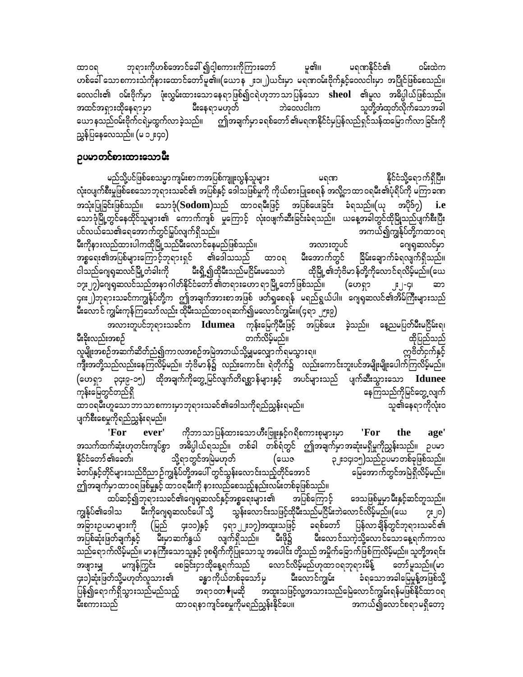ဘုရားကိုဟစ်အောင်ခေါ် ၍ငါ့စကားကိုကြားတော် မူ၏။ မရဏနိုင်ငံ၏ ပြီးထဲက ထာဝရ ဟစ်ခေါ် သောစကားသံကိုနားထောင်တော်မူ၏။(ယောန ၂း၁၊၂)ယင်းမှာ မရဏဝမ်းဗိုက်နှင့်ဝေလငါးမှာ အပြိုင်ဖြစ်စေသည်။ ဝေလငါး၏ ဝမ်းဗိုက်မှာ ဖုံးလွှမ်းထားသောနေရာဖြစ်၍ငရဲဟုဘာသာပြန်သော sheol ၏မူလ အဓိပ္ပါယ်ဖြစ်သည်။ မီးနေရာမဟုတ် အထင်အရှားထိုနေရာမှာ ဘဲဝေလငါးက သူတို့အံထုတ်လိုက်သောအခါ ယောနသည်ဝမ်းဗိုက်ငရဲမထွက်လာခဲ့သည်။ ဤအချက်မှာခရစ်တော် ၏မရဏနိုင်ငံမှပြန်လည်ရှင်သန်ထမြောက်လာခြင်းကို ညွှန်ပြနေလေသည်။ (မ ၁၂း၄၀)

## ဉပမာတင်စားထားသောမီး

မည်သို့ပင်ဖြစ်စေသမ္မာကျမ်းစာကအပြစ်ကျူးလွန်သူများ နိုင်ငံသို့ရောက်ရှိပြီး၊ မရဏ လုံးဝပျက်စီးမှုဖြစ်စေသောဘုရားသခင်၏ အပြစ်နှင့် ဒေါသဖြစ်မှုကို ကိုယ်စားပြုစေရန် အလို့ငှာထာဝရမ်း၏ပုံရိပ်ကို မကြာခဏ အသုံးပြုခြင်းဖြစ်သည်။ သောဒုံ $(Sodom)$ သည် ထာဝရမီးဖြင့် အပြစ်ပေးခြင်း ခံရသည်။(ယု အပိုဒ်၇) i.e သောဒုံမြို့တွင်နေထိုင်သူများ၏ ကောက်ကျစ် မှုကြောင့် လုံးဝဖျက်ဆီးခြင်းခံရသည်။ ယနေ့အခါတွင်ထိုမြို့သည်ပျက်စီးပြီး ပင်လယ်သေ၏ရေအောက်တွင်မြှပ်လျက်ရှိသည်။ အကယ်၍ကျွန်ုပ်တို့ကထာဝရ မီးကိုနားလည်ထားပါကထိုမြို့သည်မီးလောင်နေမည်ဖြစ်သည်။ အလားတူပင် ဂျေရှဆလင်မှာ အစ္စရေး၏အပြစ်များကြောင့်ဘုရားရှင် ၏ဒေါသသည် ထာဝရ မီးအောက်တွင် ခြိမ်းချောက်ခံရလျက်ရှိသည်။ ငါသည်ဂျေရုဆလင်မြို့တံခါးကို မီးရှို့၍ထိုမီးသည်မငြိမ်းမသေဘဲ ထိုမြို့၏ဘုံဗိမာန်တို့ကိုလောင်ရလိမ့်မည်။(ယေ ၁၇း၂၇)ဂျေရှဆလင်သည်အနာဂါတ်နိုင်ငံတော် ၏တရားဟော ရာမြို့တော်ဖြစ်သည်။ (ဟေရှာ  $\lfloor \cdot \rfloor$ -GI ၄၈း၂)ဘုရားသခင်ကကျွန်ုပ်တို့က ဤအချက်အားစာအဖြစ် ဖတ်ရှစေရန် မရည်ရွယ်ပါ။ ဂျေရုဆလင်၏အိမ်ကြီးများသည် မီးလောင် ကျွမ်းကုန်ကြသော်လည်း ထိုမီးသည်ထာဝရဆက်၍မလောင်ကျွမ်း။(၄ရာ ၂၅း၉)

အလားတူပင်ဘုရားသခင်က **Idumea** ကုန်းမြေကိုမီးဖြင့် အပြစ်ပေး ခဲ့သည်။ နေ့ညမပြတ်မီးမငြိမ်းရ၊ မီးခိုးလည်းအစဉ် တက်လိမ့်မည်။ ထိုပြည်သည် က္ကဗိတ်ငှက်နှင့် လူမျိုးအစဉ်အဆက်ဆိတ်ညံ၍ကာလအစဉ်အမြဲအဘယ်သို့မျှမလျှောက်ရမသွားရ။ ကျီးအတို့သည်လည်းနေကြလိမ့်မည်။ ဘုံဗိမာန်၌ လည်းကောင်း၊ ရဲတိုက်၌ လည်းကောင်းဘူးပင်အမျိုးမျိုးပေါက်ကြလိမ့်မည်။ (ဟေရှာ ၃၄း၉-၁၅) ထိုအချက်ကိုတွေ့မြင်လျက်တိရစ္ဆာန်များနှင့် အပင်များသည် ပျက်ဆီးသွားသော **Idunee** ကုန်းမြေတွင်တည်ရှိ နေကြသည်ကိုမြင်တွေ့ လျက် ထာဝရမ်ိဳးဟူသောဘာသာစကားမှာဘုရားသခင်၏ဒေါသကိုရည်ညွှန်းရမည်။ သူ၏နေရာကိုလုံးဝ

ပျက်စီးစေမှုကိုရည်ညွှန်းရမည်။

ကိုဘာသာပြန်ထားသောဟီးဗြူးနှင့်ဂရိစကားစုများမှာ ' ${\rm For}$ 'For ever' the age' အသက်ထက်ဆုံးဟုတင်းကျပ်စွာ အဓိပ္ပါယ်ရသည်။ တစ်ခါ တစ်ရံတွင် ဤအချက်မှာအဆုံးမရှိမှုကိုညွှန်းသည်။ ဉပမာ <u>နိုင်ငံတော် ၏ခေတ်၊</u> သို့ရာတွင်အမြဲမဟုတ် (ယေဇ ၃၂း၁၄၊၁၅)သည်ဥပမာတစ်ခုဖြစ်သည်။ .<br>ခံတပ်နှင့်တိုင်များသည်ဝိညာဉ်ကျွန်ုပ်တို့အပေါ် တွင်သွန်းလောင်းသည့်တိုင်အောင် မြေအောက်တွင်အမြဲရှိလိမ့်မည်။ ဤအချက်မှာထာဝရဖြစ်မှုနှင့် ထာဝရမ်းကို နားလည်စေသည့်နည်းလမ်းတစ်ခုဖြစ်သည်။

ထပ်ဆင့်၍ဘုရားသခင်၏ဂျေရှဆလင်နှင့်အစ္စရေးများ၏ အပြစ်ကြောင့် ဒေသဖြစ်မှုမှာမီးနှင့်ဆင်တူသည်။ မီးကိုဂျေရှဆလင်ပေါ် သို့ သွန်းလောင်းသဖြင့်ထိုမီးသည်မငြိမ်းဘဲလောင်လိမ့်မည်။(ယေ ကျွန်ုပ်၏ဒေါသ ၇း၂၀) အခြားဥပမာများကို ၄း၁၁)နှင့် ၄ရာ၂၂း၁၇)အထူးသဖြင့် ခရစ်တော် ပြန်လာချိန်တွင်ဘုရားသခင်၏ (မြည် အပြစ်ဆုံးဖြတ်ချက်နှင့် မီးမှာဆက်နွယ် လျက်ရှိသည်။ မီးဖို၌ မီးလောင်သကဲ့သို့လောင်သောနေ့ရက်ကာလ သည်ရောက်လိမ့်မည်။ မာနကြီးသောသူနှင့် ဒုစရိုက်ကိုပြုသောသူ အပေါင်း တို့သည် အမှိုက်ခြောက်ဖြစ်ကြလိမ့်မည်။ သူတို့အရင်း မကျန်ကြွင်း စေခြင်းငှာထိုနေ့ရက်သည် လောင်လိမ့်မည်ဟုထာဝရဘုရားမိန့် တော်မူသည်။(မာ အဖျားမျှ ၄း၁)ဆုံးဖြတ်သို့မဟုတ်လူသား၏ ခန္ဓာကိုယ်တစ်ခုသော်မှ မီးလောင်ကျွမ်း ခံရသောအခါမြေမှုန့်အဖြစ်သို့ ာသည်။<br>ပြန်၍ရောက်ရှိသွားသည်မည်သည့် အရာဝတ�ုမဆို အထူးသဖြင့်လူ့အသားသည်မြေဲလောင်ကျွမ်းရန်မဖြစ်နိုင်ထာဝရ အကယ်၍လောင်စရာမရှိတော့ မီးစကားသည်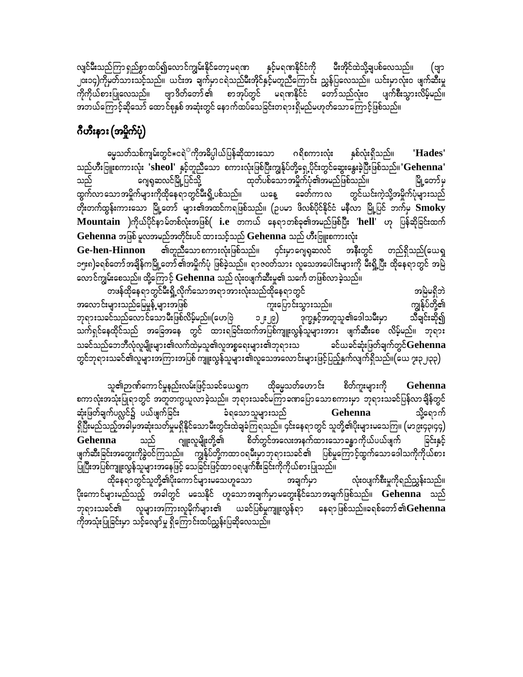လျင်မီးသည်ကြာ ရှည်စွာထပ်၍လောင်ကျွမ်းနိုင်တော့မရဏ နှင့်မရဏနိုင်ငံကို မီးအိုင်ထဲသို့ချပစ်လေသည်။ (ဗျာ ၂၀း၁၄)ကိုမတ်သားသင့်သည်။ ယင်းအ ချက်မှာငရဲသည်မီးအိုင်နှင့်မတူညီကြောင်း ညွှန်ပြလေသည်။ ယင်းမှာလုံးဝ ဖျက်ဆီးမှု ကိုကိုယ်စားပြုလေသည်။ ဗျာဒိတ်တော်၏ စာအုပ်တွင် မရဏနိုင်ငံ တော်သည်လုံးဝ ပျက်စီးသွားလိမ့်မည်။ အဘယ်ကြောင့်ဆိုသော် ထောင်စုနှစ် အဆုံးတွင် နောက်ထပ်သေခြင်းတရားရှိမည်မဟုတ်သောကြောင့်ဖြစ်သည်။

## ဂီဟီးနား (အမှိုက်ပုံ)

ဓမ္မသတ်သစ်ကျမ်းတွင် $\ast$ ငရဲ $^\circ$ ကိုအဓိပ္ပါယ်ပြန်ဆိုထားသော ဂရိစကားလုံး နှစ်လုံးရှိသည်။ 'Hades' သည်ဟီးဗြူးစကားလုံး 'sheol' နှင့်တူညီသော စကားလုံးဖြစ်ပြီးကျွန်ုပ်တို့ရှေ့ပိုင်းတွင်ဆွေးနွေးခဲ့ပြီးဖြစ်သည်။'Gehenna' ာ – ကို – ကို – ကို – ကို – ကို မော် – ကို – ကို – ကို – ကို – ကို – ကို – ကို – ကို – ကို – ကို – ကို – ကို –<br>ကို – ကို မော် – ကို – ကို မော် – ကို – ကို မော် – ကို – ကို – ကို – ကို – ကို – ကို – ကို – ကို – ကို – ကို – ဂျေရုဆလင်မြို့ပြင်သို့ သည် မြို့တော်မှ ထွက်လာသောအမှိုက်များကိုထိုနေရာတွင်မီးရှို့ပစ်သည်။ ယနေ့ ခေတ်ကာလ တွင်ယင်းကဲ့သို့အမှိုက်ပုံများသည် တိုးတက်ထွန်းကားသော မြို့တော် များ၏အထင်ကရဖြစ်သည်။ (ဉပမာ ဖိလစ်ပိုင်နိုင်ငံ မနီလာ မြို့ပြင် ဘက်မှ  $\bf Smoky$ Mountain )ကိုယ်ပိုင်နာမ်တစ်လုံးအဖြစ်( i.e တကယ် နေရာတစ်ခု၏အမည်ဖြစ်ပြီး 'hell' ဟု ပြန်ဆိုခြင်းထက် Gehenna အဖြစ် မူလအမည်အတိုင်းပင် ထားသင့်သည် Gehenna သည် ဟီးဗြူးစကားလုံး

အနီးတွင် တည်ရှိသည်(ယေရှ **Ge-hen-Hinnon** ၁၅း၈)ခရစ်တော်အချိန်ကမြို့တော်၏အမှိုက်ပုံ ဖြစ်ခဲ့သည်။ ရာဇဝတ်သား လူသေအပေါင်းများကို မီးရို့ပြီး ထိုနေရာတွင် အမြဲ လောင်ကျွမ်းစေသည်။ ထို့ကြောင့် Gehenna သည် လုံးဝဖျက်ဆီးမှု၏ သင်္ကေ တဖြစ်လာခဲ့သည်။

တဖန်ထိုနေရာတွင်မီးရှို့လိုက်သောအရာအားလုံးသည်ထိုနေရာတွင် အမြဲမရှိဘဲ အလောင်းများသည်မြေမှုန့် များအဖြစ် ကျွန်ုပ်တို့၏ ကူးပြောင်းသွားသည်။ ဘုရားသခင်သည်လောင်သောမီးဖြစ်လိမ့်မည်။(ဟေဗြဲ ၁၂း၂၉) ဒုက္ခနှင့်အတူသူ၏ဒေါသမီးမှာ သီချင်းဆို၍ သက်ရှင်နေထိုင်သည် အခြေအနေ တွင် ထားရခြင်းထက်အပြစ်ကျူးလွန်သူများအား ဖျက်ဆီးစေ လိမ့်မည်။ ဘုရား သခင်သည်ဘေဘီလုံလူမျိုးများ၏လက်ထဲမှသူ၏လူအစ္စရေးများ၏ဘုရားသ ခင်ယခင်ဆုံးဖြတ်ချက်တွင် ${\bf G}$ ehenn ${\bf a}$ တွင်ဘုရားသခင်၏လူများအကြားအပြစ် ကျူးလွန်သူများ ၏လူသေအလောင်းများဖြင့်ပြည့်နှက်လျက်ရှိသည်။(ယေ ၇း၃၂၊၃၃)

သူ၏ဉာဏ်ကောင်မှုနည်းလမ်းဖြင့်သခင်ယေရှက ထိုမွေသတ်ဟောင်း စိတ်ကူးများကို Gehenna စကာလုံးအသုံးပြုရာတွင် အတူတကွယူလာခဲ့သည်။ ဘုရားသခင်မကြာခဏပြောသောစကားမှာ ဘုရားသခင်ပြန်လာချိန်တွင် ဆုံးဖြတ်ချက်ပလ္လင်၌ ပယ်ဖျက်ခြင်း ခံရသောသူများသည် Gehenna သို့ရောက် ရှိပြီးမည်သည့်အခါမှအဆုံးသတ်မှုမရှိနိုင်သောမီးတွင်းထဲချခံကြရသည်။ ၄င်းနေရာတွင် သူတို့၏ပိုးများမသေကြ။ (မာ၉း၄၃၊၄၄) ဂျူးလူမျိုးတို့၏ စိတ်တွင်အလေးအနက်ထားသောခန္ဓာကိုယ်ပယ်ဖျက် သည် ခြင်းနှင့် Gehenna ဖျက်ဆီးခြင်းအတွေးကိုခွဲဝင်ကြသည်။ ကျွန်ုပ်တို့ကထာဝရမ်းမှာဘုရားသခင်၏ ပြစ်မှုကြောင့်ထွက်သောဒေါသကိုကိုယ်စား ပြုပြီးအပြစ်ကျူးလွန်သူများအနေဖြင့် သေခြင်းဖြင့်ထာဝရပျက်စီးခြင်းကိုကိုယ်စားပြုသည်။

ထိုနေရာတွင်သူတို့၏ပိုးကောင်များမသေဟူသော လုံးဝပျက်စီးမှုကိုရည်ညွှန်းသည်။ အချက်မှာ ပိုးကောင်များမည်သည့် အခါတွင် မသေနိုင် ဟူသောအချက်မှာမတွေးနိုင်သောအချက်ဖြစ်သည်။ **Gehenna** သည် -<br>ဘုရားသခင်၏ လူများအကြားလူမိုက်များ၏ ယခင်ပြစ်မှုကျူးလွန်ရာ နေရာဖြစ်သည်။ခရစ်တော်၏Gehenna ကိုအသုံးပြုခြင်းမှာ သင့်လျော်မူ ရှိကြောင်းထပ်ညွှန်းပြဆိုလေသည်။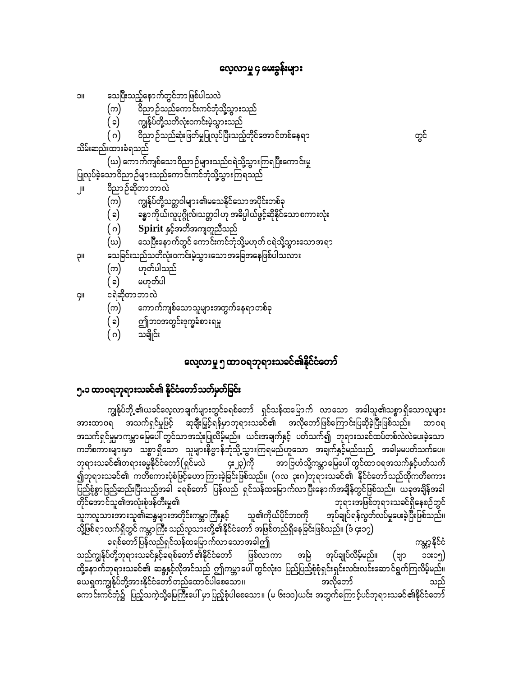#### လေ့လာမှု ၄ မေးခွန်းများ

ပြုလုပ်ခဲ့သောဝိညာဉ်များသည်ကောင်းကင်ဘုံသို့သွားကြရသည်

ဟုတ်ပါသည်

မဟုတ်ပါ

သချိုင်း

၅.၁ ထာဝရဘုရားသခင်၏ နိုင်ငံတော်သတ်မှတ်ခြင်း

ဘုရားသခင်၏တရားဓမ္မနိုင်ငံတော်(ရှင်မသဲ

သူကလူသားအားသူ၏ဆန္ဒများအတိုင်းကမ္ဘာကြီးနှင့်

သည်ကျွန်ုပ်တို့ဘုရားသခင်နှင့်ခရစ်တော် ၏နိုင်ငံတော်

ယေရှုကကျွန်ုပ်တို့အားနိုင်ငံတော်တည်ထောင်ပါစေသော။

ခရစ်တော်ပြန်လည်ရှင်သန်ထမြောက်လာသောအခါဤ

တိုင်အောင်သူ၏အလုံးစုံဖန်တီးမှု၏

သေပြီးသည့်နောက်တွင်ဘာဖြစ်ပါသလဲ **IIC** ဝိညာဉ်သည်ကောင်းကင်ဘုံသို့သွားသည်

ဝိညာဉ်ဆိုတာဘာလဲ

(က)

( ၁)

( ဂ) သိမ်းဆည်းထားခံရသည်

(က)

( ၁)

(ဃ)

(က)

 $(\circ)$ 

(က)

 $(\circ)$ 

( ဂ)

ငရဲဆိုတာဘာလဲ

 $( \circ )$ 

اال

llÇ

ÇII

ကျွန်ုပ်တို့သတိလုံးဝကင်းမဲ့သွားသည်

Spirit နှင့်အတိအကျတူညီသည်

ဤဘ၀အတွင်းဒုက္ခခံစားရမှု

ာ<br>ဝိညာ ဉ်သည်ဆုံးဖြတ်မှုပြုလုပ်ပြီးသည့်တိုင်အော င်တစ်နေရာ

(ဃ) ကောက်ကျစ်သောဝိညာဉ်များသည်ငရဲသို့သွားကြရပြီးကောင်းမှု

ကျွန်ုပ်တို့သတ္တဝါများ၏မသေနိုင်သောအပိုင်းတစ်ခု

သေခြင်းသည်သတိလုံးဝကင်းမဲ့သွားသော အခြေအနေဖြစ်ပါသလား

ကောက်ကျစ်သောသူများအတွက်နေရာတစ်ခု

ခန္ဓာကိုယ်၊လူပုဂ္ဂိုလ်၊သတ္တဝါဟု အဓိပ္ပါယ်ဖွင့်ဆိုနိုင်သော စကားလုံး

သေပြီးနောက်တွင် ကောင်းကင်ဘုံသို့မဟုတ် ငရဲသို့သွားသောအရာ

လေ့လာမှု ၅ ထာဝရဘုရားသခင်၏နိုင်ငံတော်

အားထာဝရ အသက်ရှင်မှုဖြင့် ဆုချီးမြှင့်ရန်မှာဘုရားသခင်၏ အလိုတော်ဖြစ်ကြောင်းပြဆိုခဲ့ပြီးဖြစ်သည်။ ထာဝရ အသက်ရှင်မှုမှာကမ္ဘာမြေပေါ် တွင်သာအသုံးပြုလိမ့်မည်။ ယင်းအချက်နှင့် ပတ်သက်၍ ဘုရားသခင်ထပ်တစ်လဲလဲပေးခဲ့သော ကတိစကားများမှာ သစ္စာရှိသော သူများနိဗ္ဗာန်ဘုံသို့သွားကြရမည်ဟူသော အချက်နှင့်မည်သည် အခါမှမပတ်သက်ပေ။

၍ဘုရားသခင်၏ ကတိစကားပုံစံဖြင့်ဟောကြားခဲ့ခြင်းဖြစ်သည်။ (ဂလ ၃းဂ)ဘုရားသခင်၏ နိုင်ငံတော်သည်ထိုကတိစကား ပြည့်စုံစွာဖြည့်ဆည်းပြီးသည့်အခါ ခရစ်တော် ပြန်လည် ရှင်သန်ထမြောက်လာပြီးနောက်အချိန်တွင်ဖြစ်သည်။ ယခုအချိန်အခါ

၄း၂၃)ကို

သို့ဖြစ်ရာလက်ရှိတွင် ကမ္ဘာကြီး သည်လူသားတို့၏နိုင်ငံတော် အဖြစ်တည်ရှိနေခြင်းဖြစ်သည်။ (ဒံ ၄း၁၇)

ကျွန်ုပ်တို့ ၏ယခင်လေ့လာချက်များတွင်ခရစ်တော် ရှင်သန်ထမြောက် လာသော အခါသူ၏သစ္စာရှိသောလူများ

သူ၏ကိုယ်ပိုင်ဘဝကို

အမြဲ

ဖြစ်လာကာ

ထို့နောက်ဘုရားသခင်၏ ဆန္ဒနှင့်လိုအင်သည် ဤကမ္ဘာပေါ် တွင်လုံးဝ ပြည်ပြည့်စုံစုံရှင်းရှင်းလင်းလင်းဆောင်ရွက်ကြလိမ့်မည်။

ကောင်းကင်ဘုံ၌ ပြည့်သကဲ့သို့မြေကြီးပေါ် မှာပြည့်စုံပါစေသော။ (မ ၆း၁၀)ယင်း အတွက်ကြောင့်ပင်ဘုရားသခင်၏နိုင်ငံတော်

အာ ဗြဟံသို့ကမ္ဘာမြေပေါ် တွင်ထာ ဝရအသက်နှင့်ပတ်သက်

အုပ်ချုပ်လိမ့်မည်။

အလိုတော်

ဘုရားအဖြစ်ဘုရားသခင်ရှိနေစဉ်တွင်

(ဗျာ

ကမ္ဘာ့နိုင်ငံ

၁၁း၁၅)

အုပ်ချုပ်ရန်လွတ်လပ်မှုပေးခဲ့ပြီးဖြစ်သည်။

တွင်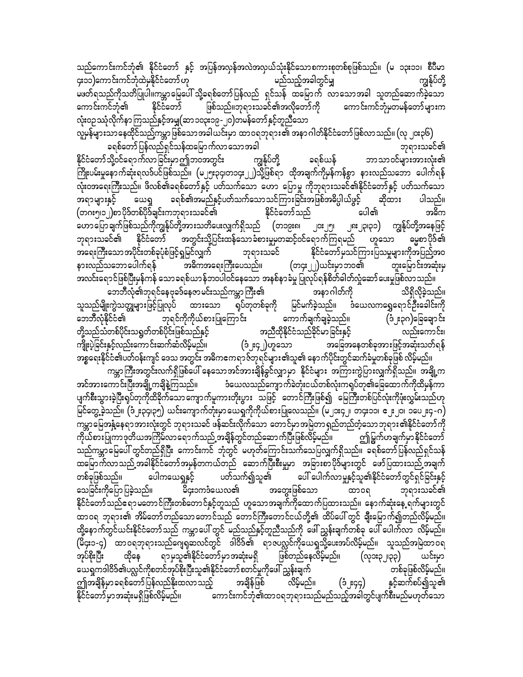သည်ကောင်းကင်ဘုံ၏ နိုင်ငံတော် နှင့် အပြန်အလှန်အလဲအလှယ်သုံးနိုင်သောစကားစုတစ်စုဖြစ်သည်။ (မ ၁၃း၁၁၊ စီပီမာ ၄း၁၁)ကောင်းကင်ဘုံထဲမနိုင်ငံတော် ဟု မည်သည့်အခါတွင်မျ ကျွန်ုပ်တို့ မဖတ်ရသည်ကိုသတိပြုပါ။ကမ္ဘာမြေပေါ် သို့ခရစ်တော်ပြန်လည် ရှင်သန် ထမြောက် လာသောအခါ သူတည်ဆောက်ခဲ့သော ဖြစ်သည်။ဘုရားသခင်၏အလိုတော်ကို နိုင်ငံတော် ကောင်းကင်ဘုံမှတမန်တော်များက ကောင်းကင်ဘုံ၏ လုံးဝဉဿုံလိုက်နာကြသည်နှင့်အမျှ(ဆာ၁၀၃း၁၉-၂၀)တမန်တော်နှင့်တူညီသော

လူမှန်များသာနေထိုင်သည့်ကမ္ဘာဖြစ်သောအခါယင်းမှာ ထာဝရဘုရား၏ အနာဂါတ်နိုင်ငံတော်ဖြစ်လာသည်။ (လု ၂၀း၃၆) ခရစ်တော်ပြန်လည်ရှင်သန်ထမြောက်လာသောအခါ ဘုရားသခင်၏ နိုင်ငံတော်သို့ဝင်ရောက်လာခြင်းမှာဤဘဝအတွင်း ကျွန်ုပ်တို့ ဘာသာဝင်များအားလုံး၏ ခရစ်ယန် ကြိုးပမ်းမှုနောက်ဆုံးရလဒ်ပင်ဖြစ်သည်။ (မ၂၅း၃၄၊တ၁၄း၂၂)သို့ဖြစ်ရာ ထိုအချက်ကိုမှန်ကန်စွာ နားလည်သဘော ပေါက်ရန် လုံးဝအရေးကြီးသည်။ ဖိလစ်၏ခရစ်တော်နှင့် ပတ်သက်သော ဟော ပြောမူ ကိုဘုရားသခင်၏နိုင်ငံတော်နှင့် ပတ်သက်သော ခရစ်၏အမည်နှင့်ပတ်သက်သောသင်ကြားခြင်းအဖြစ်အဓိပ္ပါယ်ဖွင့် ယေရှ ပါသည်။ အရာများနှင့် ဆိုထား (တဂး၅၊၁၂)စာပိုဒ်တစ်ပိုဒ်ချင်းကဘုရားသခင်၏ ပေါ၏ နိုင်ငံတော်သည် အဓိက ဟောပြောချက်ဖြစ်သည်ကိုကျွန်ုပ်တို့အားသတိပေးလျှက်ရှိသည် (တ၁၉း၈၊ ၂၈း၂၃၊၃၁) ကျွန်ုပ်တို့အနေဖြင့် ျငး ျ၅၊ အတွင်းသို့ပြင်းထန်သော ခံစားမှုမှတဆင့်ဝင်ရောက်ကြရမည် မွေ့စာပိုဒ်၏ ဘုရားသခင်၏ နိုင်ငံတော် ဟူသော အရေးကြီးသောအပိုင်းတစ်ခုပုံစံဖြင့်ရှုမြင်လျှက် ဘုရားသခင် နိုင်ငံတော်မှသင်ကြားပြသမှုများကိုအပြည့်အဝ (တ၄း၂၂)ယင်းမှာဘဝ၏ နားလည်သဘောပေါက်ရန် အဓိကအရေးကြီးပေသည်။ တူးမြောင်းအဆုံးမှ အလင်းရောင်ဖြစ်ပြီးမှန်ကန် သောခရစ်ယာန်ဘ၀ပါဝင်နေသော အနစ်နာခံမှု ပြုလုပ်ရန်စိတ်ခါတ်လှုံဆော်ပေးမှုဖြစ်လာသည်။ အနာဂါတ်ကို ဘေဘီလုံ၏ဘုရင်နေဗုခဒ်နေဇာမင်းသည်ကမ္ဘာ ကြီး၏ သိရှိလိုခဲ့သည်။

မြင်မက်ခဲ့သည်။ သူသည်မျိုးကွဲသတ္တုများဖြင့်ပြုလုပ် ထားသော ရုပ်တုတစ်ခုကို ဒံယေလကရွှေရောင်ဦးခေါင်းကို ဘုရင်ကိုကိုယ်စားပြုကြောင်း ဘေဘီလုံနိုင်ငံ၏ ကောက်ချက်ချခဲ့သည်။ (ဒံ ့ႏ၃ဂ)ခြေချောင်း တို့သည်သံတစ်ပိုင်းသရွတ်တစ်ပိုင်းဖြစ်သည်နှင့် အညီထိုနိုင်ငံသည်ခိုင်မာခြင်းနှင့် လည်းကောင်း၊ အခြေအနေတစ်ခုအားဖြင့်အဆုံးသတ်ရန် ကျိုးပွဲခြင်းနှင့်လည်းကောင်းဆက်ဆံလိမ့်မည်။ (ဒံ း၄၂)ဟူသော အစ္စရေးနိုင်ငံ၏ပတ်ဝန်းကျင် ဒေသ အတွင်း အဓိကဧကရာဇ်ဘုရင်များ၏သူ၏ နောက်ပိုင်းတွင်ဆက်ခံမှုတစ်ခုဖြစ် လိမ့်မည်။

ကမ္ဘာကြီးအတွင်းလက်ရှိဖြစ်ပေါ် နေသောအင်အားချိန်ခွင်လျှာမှာ နိုင်ငံများ အကြားကွဲပြားလျှက်ရှိသည်။ အချို့က ဒံယေလသည်ကျော က်ခဲတုံးငယ်တစ်လုံးကရုပ်တု၏ခြေထော က်ကိုထိမှန်ကာ အင်အားကောင်းပြီးအချို့ကချိနဲ့ကြသည်။ ပျက်စီးသွားခဲ့ပြီးရပ်တုကိုထိခိုက်သောကျောက်မူကားတိုးပွား သဖြင့် တောင်ကြီးဖြစ်၍ မြေကြီးတစ်ပြင်လုံးကိုဖုံးလွှမ်းသည်ဟု .<br>မြင်တွေ့ခဲ့သည်။ (ဒံ၂း၃၄၊၃၅) ယင်းကျောက်တုံးမှာယေရှုကိုကိုယ်စားပြုလေသည်။ (မ၂၁း၄၂၊ တ၄း၁၁၊ ၂၂၁၊ ၁၀ေ၂း၄-ဂ) ကမ္ဘာမြေအနွံ့နေရာအားလုံးတွင် ဘုရားသခင် ဖန်ဆင်းလိုက်သော တောင်မှာအမြဲတာရှည်တည်တံ့သောဘုရား၏နိုင်ငံတော်ကို ဤမြွက်ဟချက်မှာနိုင်ငံတော် ကိုယ်စားပြုကာဒုတိယအကြိမ်လာရောက်သည် အချိန်တွင်တည်ဆောက်ပြီးဖြစ်လိမ့်မည်။ သည်ကမ္ဘာမြေပေါ် တွင်တည်ရှိပြီး ကောင်းကင် ဘုံတွင် မဟုတ်ကြောင်းသက်သေပြလျှက်ရှိသည်။ ခရစ်တော်ပြန်လည်ရှင်သန် ထမြောက်လာသည် အခါနိုင်ငံတော်အမှန်တကယ်တည် ဆောက်ပြီးစီးမှုမှာ အခြားစာပိုဒ်များတွင် ဖော်ပြထားသည် အချက် ပေါ် ပေါက်လာမှုနှင့်သူ၏နိုင်ငံတော်တွင်ရှင်ခြင်းနှင့် တစ်ခုဖြစ်သည်။ ပတ်သက်၍သူ၏ ပေါကယေရှုနှင့် အတွေးဖြစ်သော သေခြင်းကိုပြော ပြခဲ့သည်။ မိ၄း၁ကဒံယေလ၏ ထာဝရ ဘုရားသခင်၏ နိုင်ငံတော်သည်ဧရာမတောင်ကြီးတစ်တောင်နှင့်တူသည် ဟူသောအချက်ကိုထောက်ပြထားသည်။ နောက်ဆုံးနေ့ ရက်များတွင် ထာဝရ ဘုရား၏ အိမ်တော်တည်သောတောင်သည် တောင်ကြီးတောင်ငယ်တို့၏ ထိပ်ပေါ် တွင် ချီးမြောက်၍တည်လိမ့်မည်။ ထို့နောက်တွင်ယင်းနိုင်ငံတော်သည် ကမ္ဘာပေါ် တွင် မည်သည်နှင့်တူညီသည်ကို ဖေါ်ညွှန်းချက်တစ်ခု ပေါ် ပေါက်လာ လိမ့်မည်။ .<br>(မိ၄း၁-၄) ထာဝရဘုရားသည်ဂျေရှဆလင်တွင် ဒါဝိဒ်၏ ရာဇပလ္လင်ကိုယေရှုသို့ပေးအပ်လိမ့်မည်။ သူသည်အမြဲထာဝရ ရာမှသူ၏နိုင်ငံတော်မှာအဆုံးမရှိ ဖြစ်တည်နေလိမ့်မည်။ အုပ်စိုးပြီး ထိုနေ (လုဒ္မႏုျာသု) ယင်းမှာ ယေရှုကဒါဝိဒ်၏ပလ္လင်ကိုစတင်အုပ်စိုးပြီးသူ၏နိုင်ငံတော် စတင်မှုကိုဖေါ် ညွှန်းချက် တစ်ခုဖြစ်လိမ့်မည်။ ဤအချိန်မှာ ခရစ်တော်ပြန်လည်နိုးထလာသည့် အချိန်ဖြစ် နှင့်ဆက်စပ်၍သူ၏ လိမ့်မည်။ (၁၂း၄၄) ကောင်းကင်ဘုံ၏ထာဝရဘုရားသည်မည်သည့်အခါတွင်ပျက်စီးမည်မဟုတ်သော နိုင်ငံတော် မှာ အဆုံးမရှိဖြစ်လိမ့်မည်။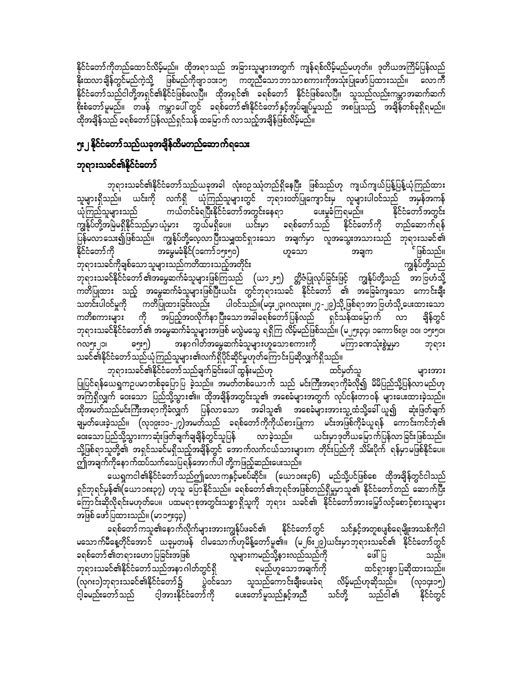နိုင်ငံတော်ကိုတည်ထောင်လိမ့်မည်။ ထိုအရာသည် အခြားသူများအတွက် ကျန်ရစ်လိမ့်မည်မဟုတ်။ ဒုတိယအကြိမ်ပြန်လည် နိုးထလာချိန်တွင်မည်ကဲ့သို့ ဖြစ်မည်ကိုဗျာ ၁၁း၁၅ ကတ္ပညီသော ဘာသာစကားကိုအသုံးပြုဖော် ပြထားသည်။ လောကီ နိုင်ငံတော်သည်ငါတို့အရှင်၏နိုင်ငံဖြစ်လေပြီ။ ထိုအရှင်၏ ခရစ်တော် နိုင်ငံဖြစ်လေပြီ။ သူသည်လည်းကမ္ဘာအဆက်ဆက် စိုးစံတော်မူမည်။ တဖန် ကမ္ဘာပေါ် တွင် ခရစ်တော်၏နိုင်ငံတော်နှင့်အုပ်ချုပ်မှုသည် အစပြုသည့် အချိန်တစ်ခုရှိရမည်။ ထိုအချိန်သည် ခရစ်တော်ပြန်လည်ရှင်သန် ထမြောက် လာသည့်အချိန်ဖြစ်လိမ့်မည်။

#### ၅း၂ နိုင်ငံတော်သည်ယခုအချိန်ထိမတည်ဆောက်ရသေး

#### ဘုရားသခင်၏နိုင်ငံတော်

ဘုရားသခင်၏နိုင်ငံတော်သည်ယခုအခါ လုံးဝဉဿုံတည်ရှိနေပြီး ဖြစ်သည်ဟု ကျယ်ကျယ်ပြန့်ပြန့်ယုံကြည်ထား သူများရှိသည်။ ယင်းကို လက်ရှိ ယုံကြည်သူများတွင် ဘုရားဝတ်ပြုကျောင်းမှ လူများပါဝင်သည် အမှန်အကန် ကယ်တင်ခံရပြီးနိုင်ငံတော်အတွင်းနေရာ ပေးမှုခံကြရမည်။ နိုင်ငံတော်အတွင်း ယုံကြည်သူများသည် ကျွန်ုပ်တို့အမြဲမရှိနိုင်သည်မှာ ယုံမှား ဘွယ်မရှိပေ။ ယင်းမှာ ခရစ်တော်သည် နိုင်ငံတော်ကို တည်ဆောက်ရန် ပြန်မလာသေး၍ဖြစ်သည်။ ကျွန်ုပ်တို့လေ့လာပြီးသမျှထင်ရှားသော အချက်မှာ လူအသွေးအသားသည် ဘုရားသခင်၏ နိုင်ငံတော်ကို အမွေမခံနိုင်(၁ကော်၁၅း၅၀) <sup>်</sup>ဖြစ်သည်။ ဟူသော အချက ဘုရားသခင်ကိုချစ်သောသူများသည်ကတိထားသည့်အတိုင်း ကျွန်ုပ်တို့သည် ဘုရားသခင်နိုင်ငံတော် ၏အမွေဆက်ခံသူများဖြစ်ကြသည် (ယာ၂း၅) တ္တိဇံပြုလုပ်ခြင်းဖြင့် ကျွန်ုပ်တို့သည် အာဗြဟံသို့ ကတိပြုထား သည့် အမွေဆက်ခံသူများဖြစ်ပြီးယင်း တွင်ဘုရားသခင် နိုင်ငံတော် ၏ အခြေခံကျသော ကောင်းချီး သတင်းပါဝင်မှုကို ကတိပြုထားခြင်းလည်း ပါဝင်သည်။(မ၄း၂၃၊ဂလ၃း၈၊၂၇-၂၉)သို့ ဖြစ်ရာအာဗြဟံသို့ ပေးထားသော ကတိစကားများ ကို အပြည့်အဝလိုက်နာပြီးသောအခါခရစ်တော်ပြန်လည် ရှင်သန်ထမြောက် လာ ချိန်တွင် ဘုရားသခင်နိုင်ငံတော် ၏ အမွေဆက်ခံသူများအဖြစ် မလွဲမသွေ ရရှိကြ လိမ့်မည်ဖြစ်သည်။ (မ၂၅း၃၄၊ ၁ကော၆း၉၊ ၁၀၊ ၁၅း၅၀၊ အနာဂါတ်အမွေဆက်ခံသူများဟူသောစကားကို မကြာခဏသုံးစွဲမှုမှာ ໑ໆະໆ) ဂလ၅း၂၁၊ ဘုရား သခင်၏နိုင်ငံတော်သည်ယုံကြည်သူများ၏လက်ရှိပိုင်ဆိုင်မှုဟုတ်ကြောင်းပြဆိုလျှက်ရှိသည်။

ဘုရားသခင်၏နိုင်ငံတော်သည်ချက်ခြင်းပေါ် ထွန်းမည်ဟု ထင်မှတ်သူ များအား ပြုပြင်ရန်ယေရှုကဉပမာတစ်ခုပြောပြ ခဲ့သည်။ အမတ်တစ်ယောက် သည် မင်းကြီးအရာကိုခံလို၍ မိမိပြည်သို့ပြန်လာမည်ဟု အကြံရှိလျှက် ဝေးသော ပြည်သို့သွား၏။ ထိုအချိန်အတွင်းသူ၏ အစေခံများအတွက် လုပ်ငန်းတာဝန် များပေးထားခဲ့သည်။ ထိုအမတ်သည်မင်းကြီးအရာကိုခံလျှက် ပြန်လာသော အခါသူ၏ အစေခံများအားသူ့ထံသို့ခေါ် ယူ၍ ဆုံးဖြတ်ချက် ချမှတ်ပေးခဲ့သည်။ (လု၁၉း၁၁-၂၇)အမတ်သည် ခရစ်တော်ကိုကိုယ်စားပြုကာ မင်းအဖြစ်ကိုခံယူရန် ကောင်းကင်ဘုံ၏ ဝေးသော ပြည်သို့သွားကာ ဆုံးဖြတ်ချက်ချချိန်တွင်သူပြန် လာခဲ့သည်။ ယင်းမှာဒုတိယမြောက်ပြန်လာခြင်းဖြစ်သည်။ သို့ဖြစ်ရာသူတို့၏ အရှင်သခင်မရှိသည့်အချိန်တွင် အောက်လက်ငယ်သားများက တိုင်းပြည်ကို သိမ်းပိုက် ရန်မှာမဖြစ်နိုင်ပေ။ ဤအချက်ကိုနောက်ထပ်သက်သေပြရန်အောက်ပါ တို့ကဖြည့်ဆည်းပေးသည်။

ယေရှကငါ၏နိုင်ငံတော်သည်ဤလောကနှင့်မစပ်ဆိုင်။ (ယော၁၈း၃၆) မည်သို့ပင်ဖြစ်စေ ထိုအချိန်တွင်ငါသည် ရှင်ဘုရင်မှန်၏(ယော၁၈း၃၇) ဟုသူ ပြောနိုင်သည်။ ခရစ်တော်၏ဘုရင်အဖြစ်တည်ရှိမှုမှာသူ၏ နိုင်ငံတော်တည် ဆောက်ပြီး ာကြာ င်းဆိုလိုရင်းမဟုတ်ပေ။ ပထမရာစုအတွင်းသစ္စာ ရှိသူကို ဘုရား သခင်၏ နိုင်ငံတော်အားမြှော်လင့်စောင့်စားသူများ အဖြစ် ဖော်ပြထားသည်။ (မာ၁၅း၄၃)

ခရစ်တော်ကသူ၏နောက်လိုက်များအားကျွန်ုပ်ဖခင်၏ နိုင်ငံတော်တွင် သင်နှင့်အတူစပျစ်ရေမျိုးအသစ်ကိုငါ မသောက်မီနေ့တိုင်အောင် ယခုမှတဖန် ငါမသောက်ဟုမိန့်တော်မူ၏။ (မ၂၆း၂၉)ယင်းမှာဘုရားသခင်၏ နိုင်ငံတော်တွင် ပေါ်ပြ ခရစ်တော် ၏တရားဟောပြခြင်းအဖြစ် လူများကမည်သို့နားလည်သည်ကို သည်။ ရမည်ဟူသောအချက်ကို ဘုရားသခင်၏နိုင်ငံတော်သည်အနာ ဂါတ်တွင်ရှိ ထင်ရှားစွာပြဆိုထားသည်။ (လုဂး၁)ဘုရားသခင်၏နိုင်ငံတော်၌ ပွဲဝင်သော သူသည်ကောင်းချီးပေးခံရ လိမ့်မည်ဟုဆိုသည်။ (လု၁၄း၁၅) ငါ့ခမည်းတော်သည် ငါ့အားနိုင်ငံတော်ကို ပေးတော်မူသည်နှင့်အညီ သင်တို့ သည်ငါ၏ နိုင်ငံတွင်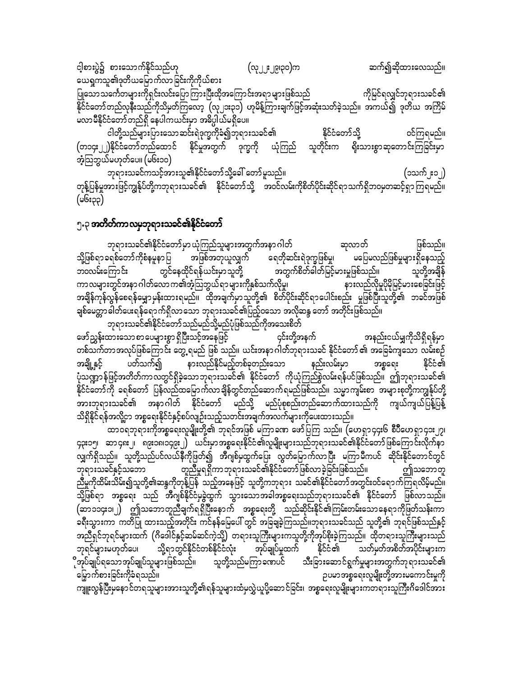ငါ့စားပွဲ၌ စားသောက်နိုင်သည်ဟု (လု၂၂း၂၉၊၃၀)က ဆက်၍ဆိုထားလေသည်။ ယေရှကသူ၏ဒုတိယမြောက်လာခြင်းကိုကိုယ်စား ပြုသောသင်္ကေတများကိုရှင်းလင်းပြောကြားပြီးထိုအကြောင်းအရာများဖြစ်သည် ကိုမြင်ရလျှင်ဘုရားသခင်၏ .<br>နိုင်ငံတော်တည်လုနီးသည်ကိုသိမှတ်ကြလော့ (လု၂၁း၃၁) ဟုမိန့်ကြားချက်ဖြင့်အဆုံးသတ်ခဲ့သည်။ အကယ်၍ ဒုတိယ အကြိမ် မလာမီနိုင်ငံတော်တည်ရှိ နေပါကယင်းမှာ အဓိပ္ပါယ်မရှိပေ။

ငါတို့သည်များပြားသောဆင်းရဲဒုက္ခကိုခံ၍ဘုရားသခင်၏ နိုင်ငံတော်သို့ စင်ကြရမည်။<br>ကြွေး (တ၁၄း၂၂)နိုင်ငံတော်တည်ထောင် နိုင်မှုအတွက် ဒုက္ခကို ယုံကြည် သူတိုင်းက ရိုးသားစွာဆုတောင်းကြခြင်းမှာ အံ့သြဘွယ်မဟုတ်ပေ။ (မ၆း၁၀)

bk&m;ocifuoifhtm;ol\EdkifiHawmfodkYac:awmfrlonf/ (1ouf2;12) တုန့်ပြန်မှုအားဖြင့်ကျွန်ုပ်တို့ကဘုရားသခင်၏ နိုင်ငံတော်သို့ အဝင်လမ်းကိုစိတ်ပိုင်းဆိုင်ရာသက်ရှိဘဝမှတဆင့်ရှာကြရမည်။  $($ u၆ $:$ ၃၃ $)$ 

#### ၅.၃ **အတိတ်ကာလမှဘုရားသခင်၏နိုင်ငံတော်**

ဘုရားသခင်၏နိုင်ငံတော်မှာယုံကြည်သူများအတွက်အနာဂါတ် ဖြစ်သည်။ သို့ဖြစ်ရာခရစ်တော်ကိုစံနမူနာပြ အဖြစ်အတုယူလျှက် ရေတိုဆင်းရဲဒုက္ခဖြစ်မှု၊ မပြေမလည်ဖြစ်မှုများရှိနေသည့်<br>ဘဝလမ်းကြောင်း တွင်နေထိုင်ရန်ယင်းမှာသူတို့ အတွက်စိတ်ဓါတ်မြင့်မားမှုဖြစ်သည်။ သူတို့အချိန် ဘဝလမ်းကြောင်း တွင်နေထိုင်ရန်ယင်းမှာသူတို့ အတွက်စိတ်ခါတ်မြင့်မားမှုဖြစ်သည်။ သူတို့အချိန<br>ကာလများတွင်အနာ ဂါတ်လော က၏အံ့သြဘွယ်ရာ များကိုနှစ်သက်လိုမှု၊ နားလည်လိုမှုပိုမိုမြင့်မားစေခ ကာလများတွင်အနာဂါတ်လောက၏အံ့သြဘွယ်ရာများကိုနှစ်သက်လိုမှု၊ အချိန်ကုန်လွန်စေရန်မျှောမှန်းထားရမည်။ ထိုအချက်မှာသူတို့၏ စိတ်ပိုင်းဆိုင်ရာပေါင်းစည်း မှုဖြစ်ပြီးသူတို့၏ ဘခင်အဖြစ် ချစ်မေတ္တာဓါတ်ပေးရန်ရောက်ရှိလာသော ဘုရားသခင်၏ပြည့်၀သော အလိုဆန္ဒ တော် အတိုင်းဖြစ်သည်။ ဘုရားသခင်၏နိုင်ငံတော်သည်မည်သို့မည်ပုံဖြစ်သည်ကိုအသေးစိတ်

azmfñTef;xm;aompmayrsm;pGm&SdNyD;oifhtaejzifh 4if;wdkYteuf tenf;i,frQudkod&Sd&efrSm တစ်သက်တာအလုပ်ဖြစ်ကြောင်း တွေ့ ရမည် ဖြစ် သည်။ ယင်းအနာဂါတ်ဘုရားသခင် နိုင်ငံတော် ၏ အခြေခံကျသော လမ်းစဉ် အချို့နှင့် ပတ်သက်၍ နားလည်နိုင်မည့်တစ်ခုတည်းသော နည်းလမ်းမှာ အစ္စရေး နိုင်ငံ၏ ပုံသဏ္ဍာန်ဖြင့်အတိတ်ကာလတွင်ရှိခဲ့သောဘုရားသခင်၏ နိုင်ငံတော် ကိုယုံကြည်စွဲလမ်းရန်ပင်ဖြစ်သည်။ ဤဘုရားသခင်၏ နိုင်ငံတော်ကို ခရစ်တော် ပြန်လည်ထမြောက်လာချိန်တွင်တည်ဆောက်ရမည်ဖြစ်သည်။ သမ္မာကျမ်းစာ အများစုတို့ကကျွန်ုပ်တို့ အားဘုရားသခင်၏ အနာဂါတ် နိုင်ငံတော် မည်သို့ မည်ပုံစုစည်းတည်ဆောက်ထားသည်ကို ကျယ်ကျယ်ပြန့်ပြန့် သိရှိနိုင်ရန်အလို့ငှာ အစ္စရေးနိုင်ငံနှင့်စပ်လျဉ်းသည့်သတင်းအချက်အလက်များကိုပေးထားသည်။

 $\infty$ ၀၀ရဘုရားကိုအစ္စရေးလူမျိုးတို့၏ ဘုရင်အဖြစ် မကြာခဏ ဖော်ပြကြ သည်။ (ဟေရှာ၄၄း၆ စီပီဟေရှာ၄၁း၂၇၊ ၄၃း၁၅၊ ဆာ၄၈း၂၊ ၈၉း၁၈၊၁၄၉း၂) ယင်းမှာအစ္စရေးနိုင်ငံ၏လူမျိုးများသည်ဘုရားသခင်၏နိုင်ငံတော်ဖြစ်ကြောင်းလိုက်နာ လျှက်ရှိသည်။ သူတို့သည်ပင်လယ်နီကိုဖြတ်၍ အီဂျစ်မထွက်ပြေး လွတ်မြောက်လာပြီး မကြာမီကပင် ဆိုင်းနိုင်တောင်တွင် ဘုရားသခင်နှင့်သဘော တူညီမှုရရှိကာဘုရားသခင်၏နိုင်ငံတော်ဖြစ်လာခဲ့ခြင်းဖြစ်သည်။ ဤသဘောတူ ညီမှုကိုထိမ်းသိမ်း၍သူတို့၏ဆန္ဒကိုတုန့်ပြန် သည့်အနေဖြင့် သူတို့ကဘုရား သခင်၏နိုင်ငံတော်အတွင်းဝင်ရောက်ကြရလိမ့်မည်။ ာကြော်ရာ အစ္စရေး သည် အီဂျစ်နိုင်ငံမှခွဲထွက် သွားသောအခါအစ္စရေးသည်ဘုရားသခင်၏ နိုင်ငံတော် ဖြစ်လာသည်။  $\left($ ဆာ၁၁၄း၁၊၂) ဤသဘောတူညီချက်ရရှိပြီးနောက် အစ္စရေးတို့ သည်ဆိုင်းနိုင်၏ကြမ်းတမ်းသောနေရာကိုဖြတ်သန်းကာ ခရီးသွားကာ ကတိပြု ထားသည့်အတိုင်း ကင်နန်မြေပေါ် တွင် အခြချခဲ့ကြသည်။ဘုရားသခင်သည် သူတို့၏ ဘုရင်ဖြစ်သည်နှင့် ာညီရှင်ဘုရင်များထက် (ဂိဒေါင်နှင့်ဆမ်ဆင်ကဲ့သို့) တရားသူကြီးများကသူတို့ကိုအုပ်စိုးခဲ့ကြသည်။ ထိုတရားသူကြီးများသည်<br>ဘုရင်များမဟုတ်ပေ၊ သို့ရာတွင်နိုင်ငံတစ်နိုင်ငံလုံး အုပ်ချုပ်မှုထက် နိုင်ငံ၏ သတ်မှတ်အစိတ်အပိုင်းများက ာာုရင်များမဟုတ်ပေ၊ သို့ရာတွင်နိုင်ငံတစ်နိုင်ငံလုံး အုပ်ချုပ်မှုထက် နိုင်ငံ၏ သတ်မှတ်အစိတ်အပိုင်းများက<br>ိုအုပ်ချုပ်ရသောအုပ်ချုပ်သူများဖြစ်သည်။ သူတို့သည်မကြာခဏပင် သီးခြားဆောင်ရွက်မှုများအတွက်ဘုရားသခင်၏ ?အုပ်ချုပ်ရသောအုပ်ချုပ်သူများဖြစ်သည်၊၊ သူတို့သည်မကြာခဏပင် သီးခြားဆောင်ရွက်မှုများအတွက်ဘုရားသခင်၏<br>မြှောက်စားခြင်းကိုခံရသည်၊၊ ဉပမာအစ္စရေးလူမျိုးတို့အားမကောင်းမှုကို

.<br>ကျူးလွန်ပြီးမှနောင်တရသူများအားသူတို့၏ရန်သူများထံမှလွှဲယူပို့ဆောင်ခြင်း၊ အစ္စရေးလူမျိုးများကတရားသူကြီးဂိဒေါင်အား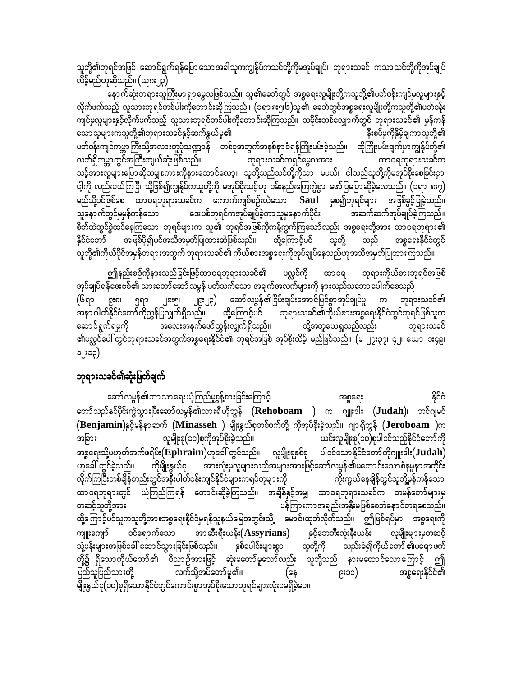သူတို့၏ဘုရင်အဖြစ် ဆောင်ရွက်ရန်ပြောသောအခါသူကကျွန်ုပ်ကသင်တို့ကိုမအုပ်ချုပ်၊ ဘုရားသခင် ကသာသင်တို့ကိုအုပ်ချုပ် လိမ့်မည်ဟုဆိုသည်။ (ယု၈း၂၃)

နောက်ဆုံးတရားသူကြီးမှာရှာမွေလဖြစ်သည်။ သူ၏ခေတ်တွင် အစ္စရေးလူမျိုးတို့ကသူတို့၏ပတ်ဝန်းကျင်မှလူများနှင့် လိုက်ဖက်သည့် လူသားဘုရင်တစ်ပါးကိုတောင်းဆိုကြသည်။ (၁ရာ၈း၅၆)သူ၏ ခေတ်တွင်အစ္စရေးလူမျိုးတို့ကသူတို့၏ပတ်ဝန်း ကျင်မှလူများနှင့်လိုက်ဖက်သည့် လူသားဘုရင်တစ်ပါးကိုတောင်းဆိုကြသည်။ သမိုင်းတစ်လျှောက်တွင် ဘုရားသခင်၏ မှန်ကန်<br>သောသူများကသူတို့၏ဘုရားသခင်နှင့်ဆက်နွယ်မှု၏ သောသူများကသူတို့၏ဘုရားသခင်နှင့်ဆက်နွယ်မှု၏ ပတ်ဝန်းကျင်ကမ္ဘာကြီးသို့အလားတူပုံသဏ္ဍာန် တစ်ခုအတွက်အနစ်နာခံရန်ကြိုးပမ်းခဲ့သည်။ ထိုကြိုးပမ်းချက်မှာကျွန်ုပ်တို့၏ လက်ရှိကမ္ဘာတွင်အကြီးကျယ်ဆုံးဖြစ်သည်။ ဘုရားသခင်ကရှင်မွေလအား ထာဝရဘုရားသခင်က သင့်အားလူများပြောဆိုသမျှစကားကိုနားထောင်လော့၊ သူတို့သည်သင်တို့ကိုသာ မပယ်၊ ငါသည်သူတို့ကိုမအုပ်စိုးစေခြင်းငှာ ငါ့ကို လည်းပယ်ကြပြီ၊ သို့ဖြစ်၍ကျွန်ုပ်ကသူတို့ကို မအုပ်စိုးသင့်ဟု ဝမ်းနည်းကြေကွဲစွာ ဖော်ပြပြောဆိုခဲ့လေသည်။ (၁ရာ ၈း၇) မည်သို့ပင်ဖြစ်စေ ထာဝရဘုရားသခင်က ကောက်ကျစ်စဉ်းလဲသော  $\mathbf{Saul}$  မှစ၍ဘုရင်များ အဖြစ်ခွင့်ပြုခဲ့သည်။ သူနောက်တွင်မှမှန်ကန်သော အေးဗစ်ဘုရင်ကအုပ်ချုပ်ခဲ့ကာသူမှနောက်ပိုင်း အဆက်ဆက်အုပ်ချုပ်ခဲ့ကြသည်။ စိတ်ထဲတွင်စွဲထင်နေကြသော ဘုရင်များက သူ၏ ဘုရင်အဖြစ်ကိုကန့်ကွက်ကြသော်လည်း အစ္စရေးတို့အား ထာဝရဘုရား၏<br>နိုင်ငံတော် အဖြစ်ပို၍ပင်အသိအမှတ်ပြုထားဆဲဖြစ်သည်။ ထို့ကြောင့်ပင် သူတို့ သည် အစ္စရေးနိုင်ငံတွင် နိုင်ငံတော် အဖြစ်ပို၍ပင်အသိအမှတ်ပြုထားဆဲဖြစ်သည်။ ထို့ကြောင့်ပင် vlwdkY\udk,fydkiftrSefw&m;twGuf bk&m;ocif\ udk,fpm;tpöa&;udktkyfcsKyfaeonf[ktodtrSwfjyKxm;Muonf/

ဤနည်းစဉ်ကိုနားလည်ခြင်းဖြင့်ထာဝရဘုရားသခင်၏ ပလ္လင်ကို ထာဝရ ဘုရားကိုယ်စားဘုရင်အဖြစ် းကိုမျှပ်ရန်ဒေးဗစ်၏ သားတော်ဆော်လမွန် ပတ်သက်သော အချက်အလက်များကို နားလည်သဘောပေါက်စေသည် (၆ရာ ၉း၈၊ ၅ရာ ၂၈း၅၊ ၂၉း၂၃) ဆော်လမွန်၏ငြိမ်းချမ်းအောင်မြင်စွာအုပ်ချုပ်မှု က ဘုရားသခင်၏<br>အနာဂါတ်နိုင်ငံတော်ကိုညွှန်ပြလျှက်ရှိသည်။ ထို့ကြောင့်ပင် ဘုရားသခင်၏ကိုယ်စားအစ္စရေးနိုင်ငံတွင်ဘုရင်ဖြစ်သူက ထို့ကြောင့်ပင် <sup>–</sup> ဘုရားသခင်၏ကိုယ်စားအစ္စရေးနိုင်ငံတွင်ဘုရင်ဖြစ်သူက aqmif&Guf&rIudk tav;teufazmfñTef;vQuf&Sdonf/ xdkYtwla,½Ionfvnf; bk&m;ocif ၏ပလ္လင်ပေါ် တွင်ဘုရားသခင်အတွက်အစ္စရေးနိုင်ငံ၏ ဘုရင်အဖြစ် အုပ်စိုးလိမ့် မည်ဖြစ်သည်။ (မ ၂၇း၃၇၊ ၄၂၊ ယော ၁း၄၉၊ ၁၂း၁၃)

#### ဘုရားသခင်၏ဆုံးဖြတ်ချက်

ဆော်လမွန်၏ဘာသာရေးယုံကြည်မှုစွန့်စားခြင်းကြောင့် အစ္စရေး ကော်သည်နှစ်ပိုင်းကွဲသွားပြီးဆော်လမွန်၏သားရီဟိုဘွန် (Rehoboam ) က ဂျူးဒါး (Judah)၊ ဘင်ဂျမင် (**Benjamin**)နှင့်မန်နာဆက် (Minasseh ) မျိုးနွယ်စုတစ်ဝက်တို့ ကိုအုပ်စိုးခဲ့သည်။ ဂျာရိုဘွန် (Jeroboam )က<br>အခြား လူမျိုးစု(၁၀)စုကိုအုပ်စိုးခဲ့သည်။ ယင်းလူမျိုးစု(၁၀)စုပါဝင်သည့်နိုင်ငံတော်ကို ယင်းလူမျိုးစု(၁၀)စုပါဝင်သည့်နိုင်ငံတော်ကို အစ္စရေးသို့မဟုတ်အက်ဖရိ**မ်း** $(Ephrain)$ ဟုခေါ် တွင်သည်။ လူမျိုးစုနှစ်စု ပါဝင်သောနိုင်ငံတော်ကိုဂျူးဒါး $(Judah)$ [kac:wGifcJhonf/ xdkrsdK;EG,fpk tm;vHk;rSvlrsm;onftrsm;tm;jzifhaqmfvrGef\raumif;aompHerlemtwdkif; လိုက်ကြပြီးတစ်ချိန်တည်းတွင်အနီးပါတ်ဝန်းကျင်နိုင်ငံများကရုပ်တုများကို ကားကွယ်နေချိန်တွင်သူတို့မှန်ကန်သော ထာဝရဘုရားတွင် ယုံကြည်ကြရန် တောင်းဆိုခဲ့ကြသည်။ အချိန်နှင့်အမျှ ထာဝရဘုရားသခင်က တမန်တော်များမှ<br>တဆင့်သူတို့အား ပန်ကြားကာအချည်းအနှီးမဖြစ်စေဘဲနောင်တရစေသည်။ ထို့ကြောင့်ပင်သူကသူတို့အားအစ္စရေးနိုင်ငံမရန်သူနယ်မြေအတွင်းသို့ မောင်းထုတ်လိုက်သည်။ ဤဖြစ်ရပ်မှာ အစ္စရေးကို ကျူးကျော် ဝင်ရောက်သော အာဆီးရီးယန်း( $\bf{A}$ ss**yrian**s) နှင့်ဘေဘီးလုံးနီးယန်း လူမျိုးများမှတဆင့်<br>သုံ့ပန်းများအဖြစ်ခေါ် ဆောင်သွားခြင်းဖြစ်သည်။ နှစ်ပေါင်းများစွာ သူတို့ကို သည်းခံ၍ကိုယ်တော် ၏ပရောဖက် သုံ့ပန်းများအဖြစ်ခေါ် ဆောင်သွားခြင်းဖြစ်သည်။ နှစ်ပေါင်းများစွာ တို့၌ ရှိသောကိုယ်တော်၏ ဝိညာဉ်အားဖြင့် ဆုံးမတော်မူသော်လည်း သူတို့သည် နားမထောင်သောကြောင့် ဤ jynfoljynfom;wdkY vufodkYtyfawmfrl\/ (ae 9;10) tpöa&;EdkifiH\ မျိုးနွယ်စု(၁၀)စုရှိသောနိုင်ငံတွင်ကောင်းစွာအုပ်စိုးသောဘုရင်များလုံးဝမရှိခဲ့ပေ။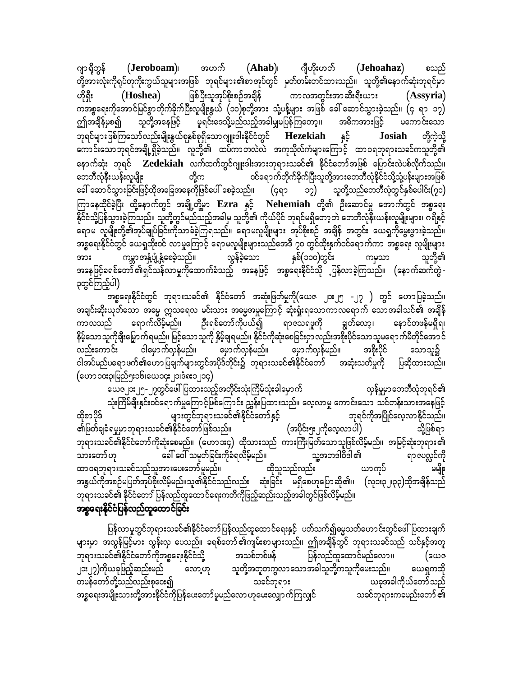$(Ieroboam)$ ၊ အဟက်  $(Ahab)$ ၊ ဂျီဟိုးဟတ် ဂျာရှိဘွန် (Jehoahaz) စသည် တို့အားလုံးကိုရပ်တုကိုးကွယ်သူများအဖြစ် ဘုရင်များ၏စာအုပ်တွင် မှတ်တမ်းတင်ထားသည်။ သူတို့၏နောက်ဆုံးဘုရင်မှာ ဖြစ်ပြီးသူအုပ်စိုးစဉ်အချိန် ကာလအတွင်းအာဆီးရီးယား ဟိုရှီး (Hoshea) (Assyria) ကအစ္စရေးကိုအောင်မြင်စွာတိုက်ခိုက်ပြီးလူမျိုးနွယ် (၁၀)စုတို့အား သုံ့ပန့်များ အဖြစ် ခေါ် ဆောင်သွားခဲ့သည်။ (၄ ရာ ၁၇) ဤအချိန်မှစ၍ မှုရင်းဒေသို့မည်သည့်အခါမျှမပြန်ကြတော့။ သူတို့အနေဖြင့် အဓိကအားဖြင့် မကောင်းသော ဘုရင်များဖြစ်ကြသော်လည်းမျိုးနွယ်စုနှစ်စုရှိသော ဂျူးဒါးနိုင်ငံတွင် Hezekiah နှင့် Josiah တို့ကဲ့သို့ ကောင်းသောဘုရင်အချို့ရှိခဲ့သည်။ လူတို့၏ ထပ်ကာတလဲလဲ အကုသိုလ်ကံများကြောင့် ထာဝရဘုရားသခင်ကသူတို့၏ နောက်ဆုံး ဘုရင် Zedekiah လက်ထက်တွင်ဂျူးဒါးအားဘုရားသခင်၏ နိုင်ငံတော်အဖြစ် ပြောင်းလဲပစ်လိုက်သည်။ ဝင်ရောက်တိုက်ခိုက်ပြီးသူတို့အားဘော်ာီလုံနိုင်ငံသို့သုံ့ပန်းများအဖြစ် ဘေဘီလုံနီးယန်းလူမျိုး တို့က ၁၇) သူတို့သည်ဘေဘီလုံတွင်နှစ်ပေါင်း(၇၀) ကြာနေထိုင်ခဲ့ပြီး ထို့နောက်တွင် အချို့တို့မှာ **Ezra နှင့် Nehemiah တို့၏ ဦး**ဆောင်မှု အောက်တွင် အစ္စရေး နိုင်ငံသို့ပြန်သွားခဲ့ကြသည်။ သူတို့တွင်မည်သည့်အခါမှ သူတို့၏ ကိုယ်ပိုင် ဘုရင်မရှိတော့ဘဲ ဘေဘီလုံနီးယန်းလူမျိုးများ၊ ဂရိနှင့် ် "မြို့ ၁ နို့ မြို့ မြို့ ။<br>ရောမ လူမျိုးတို့၏အုပ်ချုပ်ခြင်းကိုသာခံခဲ့ကြရသည်။ ရောမလူမျိုးများ အုပ်စိုးစဉ် အချိန် အတွင်း ယေရှုကိုမွေးဖွားခဲ့သည်။ အစ္စရေးနိုင်ငံတွင် ယေရှထိုးဝင် လာမှုကြောင့် ရောမလူမျိုးများသည်အေဒီ ၇၀ တွင်ထိုးနှက်ဝင်ရောက်ကာ အစ္စရေး လူမျိုးများ အား ကမ္ဘာအနှံ့ပျံ့နှံ့စေခဲ့သည်။ လွန်ခဲ့သော နှစ်(၁၀၀)တွင်း ကမှသာ သူတို့၏<br>အနေဖြင့်ခရစ်တော် ၏ရှင်သန်လာမှုကိုထောက်ခံသည့် အနေဖြင့် အစ္စရေးနိုင်ငံသို ပြန်လာခဲ့ကြသည်။ (နောက်ဆက်တွဲ -နှစ်(၁၀၀)တွင်း ၃တွင်ကြည့်ပါ)

အစ္စရေးနိုင်ငံတွင် ဘုရားသခင်၏ နိုင်ငံတော် အဆုံးဖြတ်မှုကို(ယေဇ ၂၁း၂၅ -၂၇ ) တွင် ဟောပြခဲ့သည်။ အချင်းဆိုးယုတ်သော အဓမ္မ ဣသရေလ မင်းသား အဓမ္မအမှုကြောင့် ဆုံးရှုံးရသောကာလရောက် သောအခါသင်၏ အချိန် ဦးရစ်တော်ကိုပယ်၍ ရာဇသရဖူကို ရောက်လိမ့်မည်။ ကာလသည် ချွတ်လော့၊ နောင်တဖန်မရှိရ၊ နိမ့်သောသူကိုချီးမြှောက်ရမည်။ မြင့်သောသူကို နှိမ့်ချရမည်။ နိုင်ငံကိုဆုံးစေခြင်းငှာလည်းအစိုးပိုင်သောသူမရောက်မီတိုင်အောင် ငါမှောက်လှန်မည်။ မှောက်လှန်မည်။ မှောက်လှန်မည်။ အစိုးပိုင် လည်းကောင်း သောသူ၌ ငါအပ်မည်ပရောဖက်၏ဟောပြချက်များတွင်အပိုဒ်တိုင်း၌ ဘုရားသခင်၏နိုင်ငံတော် မြာဆုံးသတ်မှုကို ပြဆိုထားသည်။ (ဟော၁၀း၃၊မြည်၅း၁၆၊ယေ၁၄း၂၁၊ဒံ၈း၁၂၁၄)

ယေဇ၂၁း၂၅-၂၇တွင်ဖေါ်ပြထားသည့်အတိုင်းသုံးကြိမ်သုံးခါမှောက် လှန်မှုမှာဘေဘီလုံဘုရင်၏ သုံးကြိမ်ချီးနှင်းဝင်ရောက်မှုကြောင့်ဖြစ်ကြောင်း ညွှန်းပြထားသည်။ လေ့လာမှု ကောင်းသော သင်တန်းသားအနေဖြင့် များတွင်ဘုရားသခင်၏နိုင်ငံတော်နှင့် ထိုစာပိုဒ် ဘုရင်ကိုအပြိုင်လေ့လာနိုင်သည်။ ၏ဖြတ်ချခံရမှုမှာဘုရားသခင်၏နိုင်ငံတော်ဖြစ်သည်။ (အပိုင်း၅း၂ကိုလေ့လာပါ) သို့ဖြစ်ရာ ဘုရားသခင်၏နိုင်ငံတော်ကိုဆုံးစေမည်။ (ဟောၥး၄) ထိုသားသည် ကားကြီးမြတ်သောသူဖြစ်လိမ့်မည်။ အမြင့်ဆုံးဘုရား၏ သူ့အဘဒါဝိဒါ၏ ခေါ် ဝေါ် သမုတ်ခြင်းကိုခံရလိမ့်မည်။ သားတော်ဟု ရာဇပလ္လင်ကို ထာဝရဘုရားသခင်သည်သူအားပေးတော်မူမည်။ ထိုသူသည်လည်း ယာကုပ် မမျိုး အနွယ်ကိုအစဉ်မပြတ်အုပ်စိုးလိမ့်မည်။သူ၏နိုင်ငံသည်လည်း ဆုံးခြင်း မရှိစေဟုပြောဆို၏။ (လုဒး၃၂၊၃၃)ထိုအချိန်သည် ဘုရားသခင်၏ နိုင်ငံတော် ပြန်လည်ထူထောင်ရေးကတိကိုဖြည့်ဆည်းသည့်အခါတွင်ဖြစ်လိမ့်မည်။

### အစ္စရေးနိုင်ငံပြန်လည်ထူထောင်ခြင်း

ပြန်လာမှုတွင်ဘုရားသခင်၏နိုင်ငံတော်ပြန်လည်ထူထောင်ရေးနှင့် ပတ်သက်၍ဓမ္မသတ်ဟောင်းတွင်ဖေါ်ပြထားချက် များမှာ အလွန်မြင့်မား လွန်းလှ ပေသည်။ ခရစ်တော်၏ကျမ်းစာများသည်။ ဤအချိန်တွင် ဘုရားသခင်သည် သင်နှင့်အတူ ဘုရားသခင်၏နိုင်ငံတော်ကိုအစ္စရေးနိုင်ငံသို့ အသစ်တစ်ဖန် ပြန်လည်ထူထောင်မည်လော ။ (ယေဇ ၂**ား**၂၇)ကိုယခုဖြည့်ဆည်းမည် သူတို့အတူတကွလာသောအခါသူတို့ကသူကိုမေးသည်။ လော့ဟု ယေရှုကထို တမန်တော်တို့သည်လည်းစုဝေး၍ သခင်ဘုရား ယခုအခါကိုယ်တော်သည် အစ္စရေးအမျိုးသားတို့အားနိုင်ငံကိုပြန်ပေးတော်မူမည်လောဟုမေးလျှောက်ကြလျှင် သခင်ဘုရားကခမည်းတော် ၏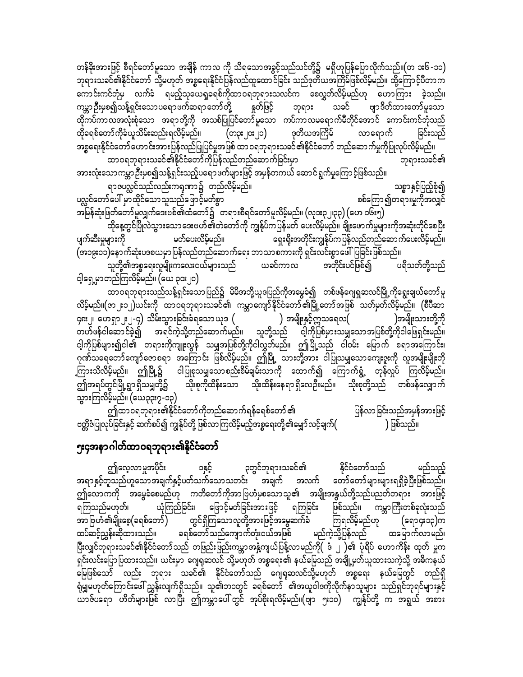တန်ခိုးအားဖြင့် စီရင်တော်မူသော အချိန် ကာလ ကို သိရသောအခွင့်သည်သင်တို့၌ မရှိဟုပြန်ပြောလိုက်သည်။(တ ဒး၆-၁၁) ဘုရားသခင်၏နိုင်ငံတော် သို့မဟုတ် အစ္စရေးနိုင်ငံပြန်လည်ထူထောင်ခြင်း သည်ဒုတိယအကြိမ်ဖြစ်လိမ့်မည်။ ထို့ကြောင့်ပီတာက ကောင်းကင်ဘုံမှ လက်ခံ ရမည့်သုယေရှုခရစ်ကိုထာဝရဘုရားသလင်က စေလွှတ်လိမ့်မည်ဟု ဟောကြား ခဲ့သည်။ ကမ္ဘာဦးမှစ၍သန့်ရှင်းသောပရောဖက်ဆရာတော်တို့ နှတ်ဖြင့် ဘုရား သခင် ဗျာဒိတ်ထားတော်မူသော ထိုကပ်ကာလအလုံးစုံသော အရာတို့ကို အသစ်ပြုပြင်တော်မူသော ကပ်ကာလမရောက်မီတိုင်အောင် ကောင်းကင်ဘုံသည် ထိုခရစ်တော်ကိုခံယူသိမ်းဆည်းရလိမ့်မည်။ (တ၃း၂၀း၂၁) ဒုတိယအကြိမ် လာရောက် ခြင်းသည် အစ္စရေးနိုင်ငံတော်ဟောင်းအားပြန်လည်ပြုပြင်မှုအဖြစ် ထာဝရဘုရားသခင်၏နိုင်ငံတော် တည်ဆောက်မှုကိုပြုလုပ်လိမ့်မည်။ ထာဝရဘုရားသခင်၏နိုင်ငံတော်ကိုပြန်လည်တည်ဆောက်ခြင်းမှာ ဘုရားသခင်၏

အားလုံးသောကမ္ဘာဉီးမှစ၍သန့်ရှင်းသည့်ပရောဖက်များဖြင့် အမှန်တကယ် ဆောင်ရွက်မှုကြောင့်ဖြစ်သည်။ ရာဇပလ္လင်သည်လည်းကရုဏာ၌ တည်လိမ့်မည်။ သစ္စာနှင့်ပြည့်စုံ၍ ပလ္လင်တော်ပေါ် မှာထိုင်သော သူသည်ဖြောင့်မတ်စွာ စစ်ကြော၍တရားမှုကိုအလျှင် အမြန်ဆုံးဖြတ်တော်မူလျှက်ဒေးဗစ်၏ထံတော်၌ တရားစီရင်တော်မူလိမ့်မည်။ (လုဒး၃၂၊၃၃) (ဟေ ၁၆း၅) ထိုနေ့တွင်ပြိုလဲသွားသော ဒေးဗဟ်၏တဲတော်ကို ကျွန်ုပ်ကပြန်မတ် ပေးလိမ့်မည်။ ချိုးဖောက်မှုများကိုအဆုံးတိုင်စေပြီး

ပျက်ဆီးမှုများကို မတ်ပေးလိမ့်မည်။ ရှေးရိုးအတိုင်းကျွန်ုပ်ကပြန်လည်တည်ဆောက်ပေးလိမ့်မည်။ (အ၁၉း၁၁)နောက်ဆုံးပဒစယမှာပြန်လည်တည်ဆောက်ရေး ဘာသာစကားကို ရှင်းလင်းစွာဖေါ်ပြခြင်းဖြစ်သည်။ သူတို့၏အစ္စရေးလူမျိုးကလေးငယ်များသည် ပရိသတ်တို့သည် အတိုင်းပင်ဖြစ်၍ ယခင်ကာလ င့ါရှေ့မှာတည်ကြလိမ့်မည်။ (ယေ ၃၀း၂၀)

ထာဝရဘုရားသည်သန့်ရှင်းသောပြည်၌ မိမိအဘို့ယူဒပြည်ကိုအမွေခံ၍ တစ်ဖန်ဂျေရှုဆလင်မြို့ကိုရွေးချယ်တော်မူ လိမ့်မည်။(ဇာ၂း၁၂)ယင်းကို ထာဝရဘုရားသခင်၏ ကမ္ဘာကျော်နိုင်ငံတော်၏မြို့တော်အဖြစ် သတ်မှတ်လိမ့်မည်။ (စီပီဆာ ၄၈း၂၊ ဟေရှာ၂း၂-၄) သိမ်းသွားခြင်းခံရသောယုဒ ( ) အမျိုးနှင့်ဣသရေလ( )အမျိုးသားတို့ကို တဟ်ဖန်ငါဆောင်ခဲ့၍ အရင်ကဲ့သို့တည်ဆောက်မည်။ သူတို့သည် ငါ့ကိုပြစ်မှားသမျှသောအပြစ်တို့ကိုငါဖြေရှင်းမည်။ ငါ့ကိုပြစ်များ၍ငါ၏ တရားကိုကျူးလွန် သမျှအပြစ်တို့ကိုငါလွှတ်မည်။ ဤမြို့သည် ငါဝမ်း မြောက် စရာအကြောင်း၊ ု<br>ဂုဏ်သရေတော်ကျော်ဇောစရာ အကြောင်း ဖြစ်လိမ့်မည်။ ဤမြို့ သားတို့အား ငါပြုသမျှသောကျေးဇူးကို လူအမျိုးမျိုးတို ့ကြားသိလိမ့်မည်။ ဤမြို့၌ ငါပြုစုသမျှသောစည်းစိမ်ချမ်းသာကို ထောက်၍ ကြောက်ရွံ့ တုန်လှုပ် ကြလိမ့်မည်။ ဤအရပ်တွင်မြို့ရွာရှိသမျှတို့၌ သိုးစုကိုထိန်းသော သိုးထိန်းနေရာရှိလေဦးမည်။ သိုးစုတို့သည် တစ်ဖန်လျှောက် သွားကြလိမ့်မည်။ (ယေ၃၃း၇-၁၃)

ဤထာဝရဘုရား၏နိုင်ငံတော်ကိုတည်ဆောက်ရန်ခရစ်တော် ၏ ပြန်လာခြင်းသည်အမှန်အားဖြင့် ဗတ္တိဇံပြုလုပ်ခြင်းနှင့် ဆက်စပ်၍ ကျွန်ုပ်တို့ ဖြစ်လာကြလိမ့်မည့်အစ္စရေးတို့၏မျှော်လင့်ချက်( ) ဖြစ်သည်။

### ၅း၄အနာဂါတ်ထာဝရဘုရား၏နိုင်ငံတော်

ဤလေ့လာမှုအပိုင်း ၁နှင့် ၃တွင်ဘုရားသခင်၏ နိုင်ငံတော်သည် မည်သည့် အရာနှင့်တူသည်ဟူသောအချက်နှင့်ပတ်သက်သောသတင်း အချက် အလက် တော်တော်များများရရှိခဲ့ပြီးဖြစ်သည်။ ဤလောကကို အမွေခံစေမည်ဟု ကတိတော်ကိုအာဗြဟံမှစသောသူ၏ အမျိုးအနွယ်တို့သည်ပညတ်တရား အားဖြင့် ရကြခြင်း ရကြသည်မဟုတ်၊ ယုံကြည်ခြင်း၊ ဖြောင့်မတ်ခြင်းအားဖြင့် ဖြစ်သည်။ ကမ္ဘာကြီးတစ်ခုလုံးသည် အာ ဗြဟႆ၏မျိုးစေ့(ခရစ်တော်) တွင်ရှိကြသောလူတို့အားဖြင့်အမွေဆက်ခံ (ရော၄း၁၃)က ထပ်ဆင့်ညွှန်းဆိုထားသည်။ ခရစ်တော်သည်ကျောက်တုံးငယ်အဖြစ် မည်ကဲ့သို့ပြန်လည် ထမြောက်လာမည်၊ ပြီးလျှင်ဘုရားသခင်၏နိုင်ငံတော်သည် တဖြည်းဖြည်းကမ္ဘာအနှံ့ကျယ်ပြန့်လာမည်ကို( ဒံ ၂ )၏ ပုံရိပ် ဟောကိန်း ထုတ် မှုက ရှင်းလင်းပြောပြထားသည်။ ယင်းမှာ ဂျေရုဆလင် သို့မဟုတ် အစ္စရေး၏ နယ်မြေသည် အချို့မှတ်ယူထားသကဲ့သို့ အဓိကနယ် မြေဖြစ်သော် လည်း ဘုရား သခင်၏ နိုင်ငံတော်သည် ဂျေရှဆလင်သို့မဟုတ် အစ္စရေး နယ်မြေတွင် တည်ရှိ ရုံမျှမဟုတ်ကြောင်းဖေါ် ညွှန်းလျက်ရှိသည်။ သူ၏ဘဝတွင် ခရစ်တော် ၏အယူဝါဒကိုလိုက်နာသူများ သည်ရှင်ဘုရင်များနှင့် ယာဇ်ပရော ဟိတ်များဖြစ် လာပြီး ဤကမ္ဘာပေါ်တွင် အုပ်စိုးရလိမ့်မည်။(ဗျာ ၅း၁၀) ကျွန်ုပ်တို့ က အရွယ် အစား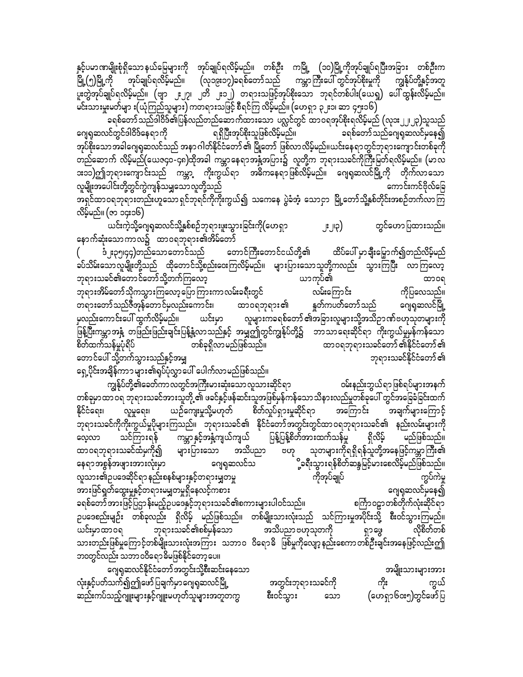နှင့်ပမာဏမျိုးစုံရှိသောနယ်မြေများကို အုပ်ချုပ်ရလိမ့်မည်။ တစ်ဦး ကမြို့ (၁၀)မြို့ကိုအုပ်ချုပ်ရပြီးအခြား တစ်ဦးက မြို့(၅)မြို့ကို အုပ်ချုပ်ရလိမ့်မည်။ (လှ၁၉း၁၇)ခရစ်တော်သည် ကမ္ဘာကြီးပေါ် တွင်အုပ်စိုးမှုကို ကျွန်ုပ်တို့နှင့်အတူ ပူးတွဲအုပ်ချုပ်ရလိမ့်မည်။ (ဗျာ ၂း၂၇၊ ၂တိ ၂း၁၂) တရားသဖြင့်အုပ်စိုးသော ဘုရင်တစ်ပါး(ယေရှု) ပေါ်ထွန်းလိမ့်မည်။ မင်းသားမှူးမတ်မျာ း(ယုံကြည်သူများ) ကတရားသဖြင့် စီရင်ကြ လိမ့်မည်။ (ဟေရှာ ၃၂း၁၊ ဆာ ၄၅း၁၆)

ခရစ်တော်သည်ဒါဝိဒ်၏ပြန်လည်တည်ဆောက်ထားသော ပလ္လင်တွင် ထာဝရအုပ်စိုးရလိမ့်မည် (လုဒး၂၂၊၂၃)သူသည် ဂျေရုဆလင်တွင်ဒါဝိဒ်နေရာကို —<br>ရရှိပြီးအုပ်စိုးသူဖြစ်လိမ့်မည်။ ခရစ်တော်သည်ဂျေရုဆလင်မှနေ၍ အုပ်စိုးသောအခါဂျေရုဆလင်သည် အနာဂါတ်နိုင်ငံတော် ၏ မြို့တော် ဖြစ်လာလိမ့်မည်။ယင်းနေရာတွင်ဘုရားကျောင်းတစ်ခုကို တည်ဆောက် လိမ့်မည်(ယေဇ၄၀-၄၈)ထိုအခါ ကမ္ဘာနေရာအနံ့အပြား၌ လူတို့က ဘုရားသခင်ကိုကြီးမြတ်ရလိမ့်မည်။ (မာလ **း**၁၁)ဤဘုရားကျောင်းသည် ကမ္ဘာ့ ကိုးကွယ်ရာ အဓိကနေရာဖြစ်လိမ့်မည်။ ဂျေရုဆလင်မြို့ကို တိုက်လာသော လူမျိုးအပေါင်းတို့တွင်ကွဲကျန်သမျှသောလူတို့သည် ကောင်းကင်ဗိုလ်ခြေ အရှင်ထာဝရဘုရားတည်းဟူသောရှင်ဘုရင်ကိုကိုးကွယ်၍ သကေနေ ပွဲခံအံ့ သောငှာ မြို့တော်သို့နှစ်တိုင်းအစဉ်တက်လာကြ လိမ့်မည်။ (ဇာ ၁၄း၁၆)

.<br>ယင်းကဲ့သို့ဂျေရဆလင်သို့နှစ်စဉ်ဘုရားဖူးသွားခြင်းကို(ဟေရှာ တွင်ဟောပြထားသည်။ ၂:၂၀) နောက်ဆုံးသောကာလ၌ ထာဝရဘုရား၏အိမ်တော်

ဒံ ့ႈ၃၅၊၄၄)တည်သောတောင်သည် တောင်ကြီးတောင်ငယ်တို့၏ ထိပ်ပေါ် မှာချီးမြှောက်၍တည်လိမ့်မည် ခပ်သိမ်းသောလူမျိုးတို့သည် ထိုတောင်သို့စည်းဝေးကြလိမ့်မည်။ များပြားသောသူတို့ကလည်း သွားကြပြီး လာကြလော့ ဘုရားသခင်၏တောင်တော်သို့တက်ကြလော့ ယာကုပ်၏ ထာ၀ရ လမ်းကြောင်း ဘုရားအိမ်တော်သိုကသွားကြလော့ပြောကြားကာလမ်းခရီးတွင် ကိုပြလေသည်။ တရားတော်သည်ဇီအုန်တောင်မှလည်းကောင်း၊ ထာဝရဘုရား၏ နူတ်ကပတ်တော်သည် ဂျေရှဆလင်မြို့ မှလည်းကောင်းပေါ် ထွက်လိမ့်မည်။ ယင်းမှာ လူများကခရစ်တော် ၏အခြားလူများသို့အသိဉာဏ်ဗဟုသုတများကို ဖြန့်ပြီးကမ္ဘာအနှံ့ တဖြည်းဖြည်းချင်းပြန့်နှံ့လာသည်နှင့် အမျှဤတွင်ကျွန်ုပ်တို့၌ ဘာသာရေးဆိုင်ရာ ကိုးကွယ်မှုမှန်ကန်သော စိတ်ထက်သန်မူပုံရိပ် တစ်ခုရှိလာမည်ဖြစ်သည်။ ထာဝရဘုရားသခင်တော် ၏နိုင်ငံတော် ၏ တောင်ပေါ် သို့တက်သွားသည်နှင့်အမျှ ဘုရားသခင်နိုင်ငံတော် ၏

ရှေ့ပိုင်းအချိန်ကာ၁များ၏ရုပ်ပုံလွှာပေါ် ပေါက်လာမည်ဖြစ်သည်။

ကျွန်ုပ်တို့၏ခေတ်ကာလတွင်အကြီးမားဆုံးသောလူသားဆိုင်ရာ ဝမ်းနည်းဘွယ်ရာဖြစ်ရပ်များအနက် တစ်ခုမှာထာ ဝရ ဘုရားသခင်အားသူတို့ ၏ ဖခင်နှင့်ဖန်ဆင်းသူအဖြစ်မှန်ကန်သောသိနားလည်မှုတစ်ခုပေါ် တွင်အခြေခံခြင်းထက် ယဉ်ကျေးမှုသို့မဟုတ် စိတ်လှုပ်ရှားမှုဆိုင်ရာ အကြောင်း SCCေရး၊ လူမှုရေး၊ အချက်များကြောင့် ဘုရားသခင်ကိုကိုးကွယ်မှုပိုများကြသည်။ ဘုရားသခင်၏ နိုင်ငံတော်အတွင်းတွင်ထာဝရဘုရားသခင်၏ နည်းလမ်းများကို ပြန့်ပြန့်စိတ်အားထက်သန်မှု သင်ကြားရန် ကမ္ဘာနှင့်အနှံ့ကျယ်ကျယ် ရှိလိမ့် မည်ဖြစ်သည်။ လေ့လာ အသိပညာ သုတများကိုရရှိရန်သူတို့အနေဖြင့်ကမ္ဘာကြီး၏ ထာ၀ရဘုရားသခင်ထံမှကို၍ များပြားသော ဗဟု ို့ခရီးသွားရန်စိတ်ဆန္ဒမြင့်မားစေလိမ့်မည်ဖြစ်သည်။<br>" ဂျေရှဆလင်သ နေရာအစွန်အဖျားအားလုံးမှာ -<br>ကွပ်ကဲမှု လူသား၏ဥပဒေဆိုင်ရာ နည်းစနစ်များနှင့်တရားမျှတမှု ကိုအုပ်ချုပ် အားဖြင်ရှတ်ထွေးမှုနှင့်တရားမမျှတမှုရှိနေလင့်ကစား ဂျေရုဆလင်မှနေ၍ ခရစ်တော် အားဖြင့်ပြဌာ န်းမည့်ဥပဒေနှင့်ဘုရားသခင်၏စကားများပါဝင်သည်။ စင်္ကြာဝဠာတစ်တိုက်လုံးဆိုင်ရာ ဉပဒေစည်းမျဉ်း တစ်ခုလည်း ရှိလိမ့် မည်ဖြစ်သည်။ တစ်မျိုးသားလုံးသည် သင်ကြားမှုအပိုင်းသို့ စီးဝင်သွားကြမည်။ ယင်းမှာထာဝရ ဘုရားသခင်၏စစ်မှန်သော အသိပညာ ဗဟုသုတကို လိုစိတ်တစ် ရှာဖွေ သားတည်းဖြစ်မှုကြောင့်တစ်မျိုးသားလုံးအကြား သဘာဝ ဝိရောဓိ ဖြစ်မှုကိုလျော့နည်းစေကာတစ်ဦးချင်းအနေဖြင့်လည်းဤ ဘဝတွင်လည်း သဘာဝဝိရောဓိမဖြစ်နိုင်တော့ပေ။

ဂျေရုဆလင်နိုင်ငံတော်အတွင်းသို့စီးဆင်းနေသော အမျိုးသားများအား လုံးနှင့်ပတ်သက်၍ဤဖော်ပြချက်မှာဂျေရုဆလင်မြို့ အတွင်းဘုရားသခင်ကို ကိုး ကွယ် ဆည်းကပ်သည့်ဂျူးများနှင့်ဂျူးမဟုတ်သူများအတူတကွ စီးဝင်သွား (ဟေရှာ၆၀း၅)တွင်ဖော်ပြ သော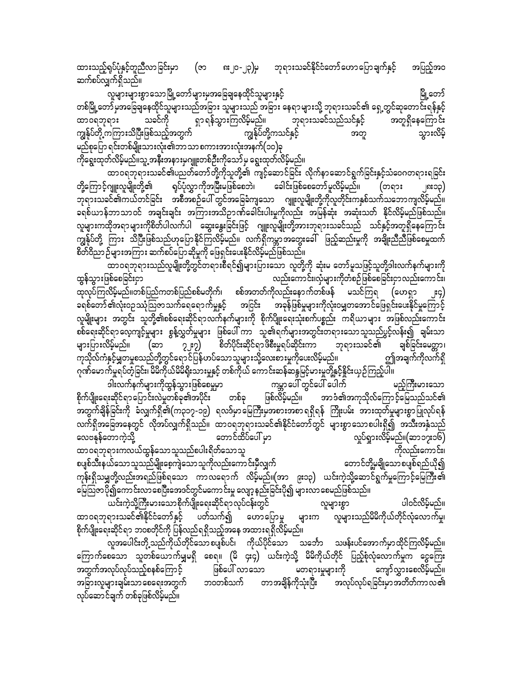၈း၂၀-၂၃)မှ ဘုရားသခင်နိုင်ငံတော်ဟောပြောချက်နှင့် ထားသည့်ရုပ်ပုံနှင့်တူညီလာခြင်းမှာ (ဇာ အပြည့်အဝ ဆက်စပ်လျှက်ရှိသည်။

လူများများစွာသောမြို့တော်များမှအခြေချနေထိုင်သူများနှင့် မြို့တော် တစ်မြို့တော် မှအခြေချနေထိုင်သူများသည်အခြား သူများသည် အခြား နေရာများသို့ ဘုရားသခင်၏ ရှေ့တွင်ဆုတောင်းရန်နှင့် ရှာ ရန်သွားကြလိမ့်မည်။ ဘုရားသခင်သည်သင်နှင့် သခင်ကို အတူရှိနေကြောင်း ထာဝရဘုရား ကျွန်ုပ်တို့ ကကြားသိပြီးဖြစ်သည့်အတွက် ကျွန်ုပ်တို့ကသင်နှင့် သွားလိမ့် အတူ မည်စုပြော ရင်းတစ်မျိုးသားလုံး၏ဘာသာ စကားအားလုံးအနက်(၁၀)ခု ကိုရွေးထုတ်လိမ့်မည်။သူ့ အနီးအနားမှဂျူးတစ်ဦးကိုသော်မှ ရွေးထုတ်လိမ့်မည်။

ထာဝရဘုရားသခင်၏ပညတ်တော်တို့ကိုသူတို့၏ ကျင့်ဆောင်ခြင်း လိုက်နာဆောင်ရွက်ခြင်းနှင့်သံဝေဂတရားရခြင်း တို့ကြောင့်ဂျူးလူမျိုးတို့၏ ရုပ်ပုံလွှာကိုအမြီးမဖြစ်စေဘဲ၊ ခေါင်းဖြစ်စေတော်မူလိမ့်မည်။ (တရား ုင္းကု ဘုရားသခင်၏ကယ်တင်ခြင်း အစီအစဉ်ပေါ် တွင်အခြေခံကျသော ဂျူးလူမျိုးတို့ကိုလူတိုင်းကနှစ်သက်သဘောကျလိမ့်မည်။ ခရစ်ယာန်ဘာသာဝင် အချင်းချင်း အကြားအသိဉာဏ်ခေါင်းပါးမှုကိုလည်း အမြန်ဆုံး အဆုံးသတ် နိုင်လိမ့်မည်ဖြစ်သည်။ လူများကထိုအရာများကိုစိတ်ပါလက်ပါ ဆွေးနွေးခြင်းဖြင့် ဂျူးလူမျိုးတို့အားဘုရားသခင်သည် သင်နှင့်အတူရှိနေကြောင်း ကျွန်ုပ်တို့ ကြား သိပြီးဖြစ်သည်ဟုပြောနိုင်ကြလိမ့်မည်။ လက်ရှိကမ္ဘာအတွေးခေါ် ဖြည့်ဆည်းမှုကို အချိုးညီညီဖြစ်စေမှုထက် စိတ်ဝိညာဉ်များအကြား ဆက်စပ်ပြောဆိုမှုကို ဖြေရှင်းပေးနိုင်လိမ့်မည်ဖြစ်သည်။

ထာဝရဘုရားသည်လူမျိုးတို့တွင်တရားစီရင်၍များပြားသော လူတို့ကို ဆုံးမ တော်မူသဖြင့်သူတို့ဒါးလက်နက်များကို ထွန်သွားဖြစ်စေခြင်းငှာ လည်းကောင်း၊လုံများကိုတံစဉ်ဖြစ်စေခြင်းငှာလည်းကောင်း၊ ထုလုပ်ကြလိမ့်မည်။တစ်ပြည်ကတစ်ပြည်စစ်မတိုက်၊ စစ်အတတ်ကိုလည်းနောက်တစ်ဖန် မသင်ကြရ (ဟေရှာ အငြင်း အခြန်ဖြစ်မှုများကိုလုံးဝမျှတအောင်ဖြေရှင်းပေးနိုင်မှုကြောင့် ခရစ်တော် ၏လုံးဝဉဿုံသြဇာသက်ရေရောက်မှုနှင့် လူမျိုးများ အတွင်း သူတို့၏စစ်ရေးဆိုင်ရာလက်နက်များကို စိုက်ပျိုးရေးသုံးစက်ပစ္စည်း ကရိယာများ အဖြစ်လည်းကောင်း စစ်ရေးဆိုင်ရာလေ့ကျင့်မှုများ စွန့်လွှတ်မှုများ ဖြစ်ပေါ် ကာ သူ၏ရက်များအတွင်းတရားသောသူသည်ပွင့်လန်း၍ ချမ်းသာ စိတ်ပိုင်းဆိုင်ရာဖိစီးမှုရပ်ဆိုင်းကာ များပြားလိမ့်မည်။  $2.32)$ ဘုရားသခင်၏ ချစ်ခြင်းမေတ္တာ၊ (ဆာ ကုသိုလ်ကံနှင့်မျှတမှုစသည်တို့တွင်ရောင်ပြန်ဟပ်သောသူများသို့လေးစားမှုကိုပေးလိမ့်မည်။ ဤအချက်ကိုလက်ရှိ ု<br>ဂုဏ်မောက်မှုရပ်တဲ့ခြင်း၊ မိမိကိုယ်မိမိရိုးသားမှုနှင့် တစ်ကိုယ် ကောင်းဆန်ဆန္ဒမြင့်မားမှုတို့နှင့်နိုင်းယှဉ်ကြည့်ပါ။

း<br>ဒါးလက်နက်များကိုထွန်သွားဖြစ်စေမှုမှာ ကမ္ဘာပေါ် တွင်ပေါ် ပေါက် မည့်ကြီးမားသော -<br>အာဒံ၏အကုသိုလ်ကြောင့်မြေသည်သင်၏ စိုက်ပျိုးရေးဆိုင်ရာပြောင်းလဲမှုတစ်ခု၏အပိုင်း တစ်ခု ဖြစ်လိမ့်မည်။ အတွက်ချိန်ခြင်းကို ခံလျှက်ရှိ၏(က၃၁၇-၁၉) ရလဒ်မှာမြေကြီးမှအစားအစာရရှိရန် ကြိုးပမ်း အားထုတ်မှုများစွာပြုလုပ်ရန် လက်ရှိအခြေအနေတွင် လိုအပ်လျှက်ရှိသည်။ ထာဝရဘုရားသခင်၏နိုင်ငံတော်တွင် များစွာသောစပါးရှိ၍ အသီးအနှံသည် လေဗနုန်တောကဲ့သို့ တောင်ထိပ်ပေါ် မှာ လှုပ်ရှားလိမ့်မည်။(ဆာ၁၇း၁၆) ထာဝရဘုရားကလယ်ထွန်သောသူသည်စပါးရိတ်သောသူ ကိုလည်းကောင်း၊ စပျစ်သီးနယ်သောသူသည်မျိုးစေ့ကျဲသောသူကိုလည်းကောင်းမှီလျှက် တောင်တို့မှချိုသောစပျစ်ရည်ယို၍ ကုန်းရှိသမျှတို့လည်းအရည်ဖြစ်ရသော ကာလရောက် လိမ့်မည်။(အာ ၉း၁၃) ယင်းကဲ့သို့ဆောင်ရွက်မှုကြောင့်မြေကြီး၏ မြေသြဇာပို၍ကောင်းလာစေပြီးအေဒင်တွင်မကောင်းမှု လျော့နည်းခြင်းပို၍ များလာစေမည်ဖြစ်သည်။

ယင်းကဲ့သို့ကြီးမားသောစိုက်ပျိုးရေးဆိုင်ရာလုပ်ငန်းတွင် ပါဝင်လိမ့်မည်။ လူများစွာ .<br>လူများသည်မိမိကိုယ်တိုင်လုံလောက်မှု၊ ထာဝရဘုရားသခင်၏နိုင်ငံတော်နှင့် ပတ်သက်၍ ဟောပြောမှု များက စိုက်ပျိုးရေးဆိုင်ရာ ဘ၀စတိုင်ကို ပြန်လည်ရရှိသည့်အနေ အထားရရှိလိမ့်မည်။

.<br>လူအပေါင်းတို့ သည်ကိုယ်တိုင်သော စပျစ်ပင်၊ ကိုယ်ပိုင်သော သင်္ဘော သဖန်းပင်အောက်မှာထိုင်ကြလိမ့်မည်။ ကြောက်စေသော သူတစ်ယောက်မျှမရှိ စေရ။ (မိ ၄း၄) ယင်းကဲ့သို့ မိမိကိုယ်တိုင် ပြည့်စုံလုံလောက်မှုက ငွေကြေး အတွက်အလုပ်လုပ်သည့်စနစ်ကြောင့် ဖြစ်ပေါ် လာသော မတရားမှုများကို ကျော်လွှားစေလိမ့်မည်။ ဘဝတစ်သက် တာအချိန်ကိုသုံးပြီး အလုပ်လုပ်ရခြင်းမှာအတိတ်ကာလ၏ အခြားလူများချမ်းသာ စေရေးအတွက် လုပ်ဆောင်ချက် တစ်ခုဖြစ်လိမ့်မည်။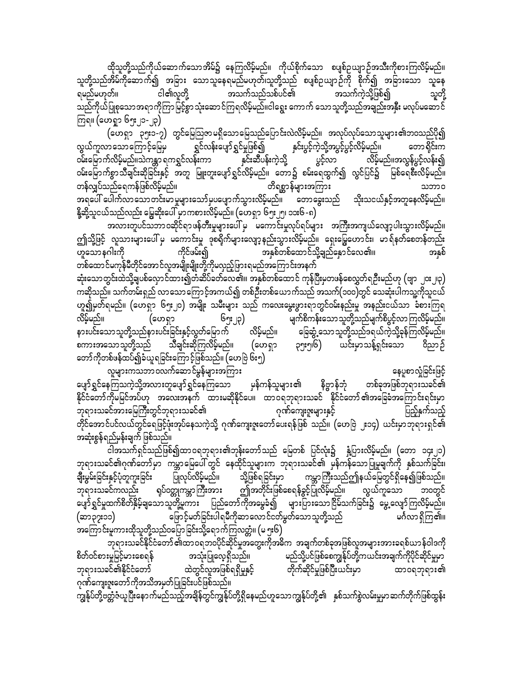ထိုသူတို့သည်ကိုယ်ဆောက်သောအိမ်၌ နေကြလိမ့်မည်။ ကိုယ်စိုက်သော စပျစ်ဉယျာဉ်အသီးကိုစားကြလိမ့်မည်။ သူတို့သည်အိမ်ကိုဆောက်၍ အခြား သောသူနေရမည်မဟုတ်၊သူတို့သည် စပျစ်ဉယျာဉ်ကို စိုက်၍ အခြားသော သူနေ<br>ရမည်မဟုတ်။ ငါ၏လူတို့ အသက်သည်သစ်ပင်၏ အသက်ကဲ့သို့ဖြစ်၍ သူတို့ &rnfr[kwf/ ig\vlwdkY toufonfopfyif\ toufuJhodkYjzpfí olwdkY သည်ကိုယ်ပြုစုသောအရာကိုကြာမြင့်စွာသုံးဆောင်ကြရလိမ့်မည်။ငါရွေး ကောက် သောသူတို့သည်အချည်းအနှီး မလုပ်မဆောင် ကြရ။ (ဟေရှုာ ၆၅း၂၁-၂၃)

(ဟေရှာ ၃၅း၁-၇) တွင်မြေသြဇာမရှိသောမြေသည်ပြောင်းလဲလိမ့်မည်။ အလုပ်လုပ်သောသူများ၏ဘဝသည်ပို၍<br>ဘသောကြောင့်မြေမှ ရွှင်လန်းပျော်ရွှင်မှုဖြစ်၍ နှင်းပွင့်ကဲ့သို့အပွင့်ပွင့်လိမ့်မည်။ တောရိုင်းက လွယ်ကူလာသောကြောင့်မြေမှ ရွှင်လန်းပျော်ရွှင်မှုဖြစ်၍ နှင်းပွင့်ကဲ့သို့အပွင့်ပွင့်လိမ့်မည်။ တောရိုင်းက<br>ဝမ်းမြောက်လိမ့်မည်။သဲကန္တာရကရွင်လန်းကာ နှင်းဆီပန်းကဲ့သို့ ပွင့်လာ လိမ့်မည်။အလွန်ပွင့်လန်း၍ ၀မ်းမြောက်လိမ့်မည်။သဲကန္တာရကရွှင်လန်းကာ နှင်းဆီပန်းကဲ့သို့ ပွင့်လာ လိမ့်မည်။အလွန်ပွင့်လန်း၍ ၀မ်းမြောက်စွာသီချင်းဆိုခြင်းနှင့် အတူ မြူးတူးပျော်ရွှင်လိမ့်မည်။ တော၌ စမ်းရေထွက်၍ လွင်ပြင်၌ မြစ်ရေစီးလိမ့်မည်။ တန်လျှပ်သည်ရေကန်ဖြစ်လိမ့်မည်။ တိရစ္ဆာန်များအကြား သဘာဝ အရပေါ် ပေါက်လာသောတင်းမာမှုများသော်မှပပျောက်သွားလိမ့်မည်။ တောခွေးသည် သိုးသငယ်နှင့်အတူနေလိမ့်မည်။ နို့ဆို့သူငယ်သည်လည်း မြွေဆိုးပေါ် မှာ ကစားလိမ့်မည်။ (ဟေရှာ ၆၅ႏ၂၅၊ ၁၁း၆ -၈) $\overline{\phantom{a}}$ 

အလားတူပင်သဘာဝဆိုင်ရာဖန်တီးမှုများပေါ် မှ မကောင်းမှုလုပ်ရပ်များ အကြီးအကျယ်လျော့ပါးသွားလိမ့်မည်။ ဤသို့ဖြင့် လူသားများပေါ်မှ မကောင်းမှု ဒုစရိုက်များလျော့နည်းသွားလိမ့်မည်။ ရှေးမြွေဟောင်း၊ မာရ်နတ်စေတန်တည်း<br>ဟူသောနဂါးကို ကိုင်ဖမ်း၍ အနစ်၊ အနစ်တစ်ထောင်သို့ချည်နောင်လေ၏။ ဟူသောနဂါးကို ကိုင်ဖမ်း၍ အနှစ်တစ်ထောင်သို့ချည်နှောင်လေ၏။ အနှစ် တစ်ထောင်မကုန်မီတိုင်အောင်လူအမျိုးမျိုးတို့ကိုမလှည့်ဖြားရမည်အကြောင်းအနက် ဆုံးသောတွင်းထဲသို့ချပစ်လှောင်ထား၍တံဆိပ်ခတ်လေ၏။ အနှစ်တစ်ထောင် ကုန်ပြီးမှတဖန်စေလွှတ်ရဉ်းမည်ဟု (ဗျာ ၂၀း၂၊၃) ကဆိုသည်။ သက်တမ်းရှည် လာသောကြောင့်အကယ်၍ တစ်ဦးတစ်ယောက်သည် အသက်(၁၀၀)တွင် သေဆုံးပါကသူ့ကိုသူငယ် ဟူ၍မှတ်ရမည်။ (ဟေရှာ ၆၅း၂၀) အမျိုး သမီးများ သည် ကလေးမွေးဖွားရာတွင်ဝမ်းနည်းမှု အနည်းငယ်သာ ခံစားကြရ vdrfhrnf/ (a[&Sm 65;23) rsufpduef;aomolwdkYonfrsufpdyGifhvmMuvdrfhrnf/ နားပင်းသောသူတို့သည်နားပင်းခြင်းနှင့်လွတ်မြောက် လိမ့်မည်။ ခြေဆွံ့သောသူတို့သည်ဒရယ်ကဲ့သို့ခုန်ကြင<br>စကားအသောသူတို့သည် သီချင်းဆိုကြလိမ့်မည်။ (ဟေရှာ ၃၅း၅၊၆) ယင်းမှာသန့်ရှင်းသော စကားအသောသူတို့သည် သီချင်းဆိုကြလိမ့်မည်။ (ဟေရှာ ၃၅း၅၊၆) ယင်းမှာသန့်ရှင်းသော ဝိညာဉ် ကော်ကိုတစ်ဖန်ထပ်၍ခံယူရခြင်းကြောင့်ဖြစ်သည်။ (ဟေဗြဲ ၆း၅)

လူများကသဘာဝလက်ဆောင်မွန်များအကြား<br>နကြသကဲ့သို့အလားတူပျော်ရွှင်နေကြသော မှန်ကန်သူများ၏ နိဗ္ဗာန်ဘုံ တစ်ခုအဖြစ်ဘုရားသခင်၏ ပျော်ရွှင်နေကြသကဲ့သို့အလားတူပျော်ရွှင်နေကြသော မှန်ကန်သူများ၏ နိဗ္ဗာန်ဘုံ တစ်ခုအဖြစ်ဘုရားသခင်၏ နိုင်ငံတော်ကိုမမြင်အပ်ဟု အလေးအနက် ထားမဆိုနိုင်ပေ။ ထာဝရဘုရားသခင် နိုင်ငံတော်၏အခြေခံအကြောင်းရင်းမှာ<br>ဘုရားသခင်အားမြေကြီးတွင်ဘုရားသခင်၏ စ္မွာရားသခင်အားမြေကြီးတွင်ဘုရားသခင်၏ ကြားသား ကြွေးထားပြီး အခြား အခြားရှိသည့် အခြားရွားများ မြည့်နှက်သည့် တိုင်အောင်ပင်လယ်တွင်ရေဖြင့်ဖုံးအုပ်နေသကဲ့သို့ ဂုဏ်ကျေးဇူးတော်ပေးရန်ဖြစ် သည်။ (ဟေဗြဲ ၂း၁၄) ယင်းမှာဘုရားရှင်၏ အဆုံးစွန်ရည်မှန်းချက် ဖြစ်သည်။

ငါအသက်ရှင်သည်ဖြစ်၍ထာဝရဘုရား၏ဘုန်းတော်သည် မြေတစ် ပြင်လုံး၌ နှံ့ပြားလိမ့်မည်။ (တော ၁၄း၂၁) ဘုရားသခင်၏ဂုဏ်တော်မှာ ကမ္ဘာမြေပေါ်တွင် နေထိုင်သူများက ဘုရားသခင်၏ မှန်ကန်သောပြုမူချက်ကို နှစ်သက်ခြင်း၊<br>ချီးမွမ်းခြင်းနှင့်ပုံတူကူးခြင်း ပြုလုပ်လိမ့်မည်။ သို့ဖြစ်ရခြင်းမှာ ကမ္ဘာကြီးသည်ဤနယ်မြေတွင်ရှိနေ၍ဖြစ်သည်။ ကမ္ဘာကြီးသည်ဤနယ်မြေတွင်ရှိနေ၍ဖြစ်သည်။ ဘုရားသခင်ကလည်း ရုပ်ဝတ္တုကမ္ဘာကြီးအား ဤအတိုင်းဖြစ်စေရန်ခွင့်ပြုလိမ့်မည်။ လွယ်ကူသော ဘဝတွင် rေျာ်ရွှင်မှုထက်စိတ်နှိမ့်ချသောသူတို့မူကား ပြည်တော်ကိုအမွေခံ၍ များပြားသောငြိမ်သက်ခြင်း၌ မွေ့လျော်ကြလိမ့်မည်။ (ဆာ၃၇း၁၁) မြောင့်မတ်ခြင်းပါရမီကိုဆာလောင်ငတ်မွတ်သောသူတို့သည် မင်္ဂလာ ရှိကြ၏။ အကြောင်းမူကားထိုသူတို့သည်ဝပြောခြင်းသို့ရောက်ကြလတ္တံ။ (မ ၅း၆)

bk&m;ocifEdkifiHawmf\xm0&b0ydkifqdkifrItawG;udkt"du tcsufwpfcktjzpfvltrsm;tm;c&pf,mef0g'udk pdwf0ifpm;rIjrifhrm;ap&ef toHk;jyKavh&Sdonf/ rnfodkYyifjzpfapuREkfyfwdkYu,if;tcsufudkydkifqdkifrIrSm ဘုရားသခင်၏နိုင်ငံတော် ထဲတွင်လူအဖြစ်ရရှိမှုနှင့် တိုက်ဆိုင်မှုဖြစ်ပြီးယင်းမှာ ထာဝရဘုရား၏ ဂုဏ်ကျေးဇူးတော်ကိုအသိအမှတ်ပြုခြင်းပင်ဖြစ်သည်။

ကျွန်ုပ်တို့ဗတ္တံဇံယူပြီးနောက်မည်သည့်အချိန်တွင်ကျွန်ုပ်တို့ရှိနေမည်ဟူသောကျွန်ုပ်တို့၏ နှစ်သက်စွဲလမ်းမှုမှာဆက်တိုက်ဖြစ်ထွန်း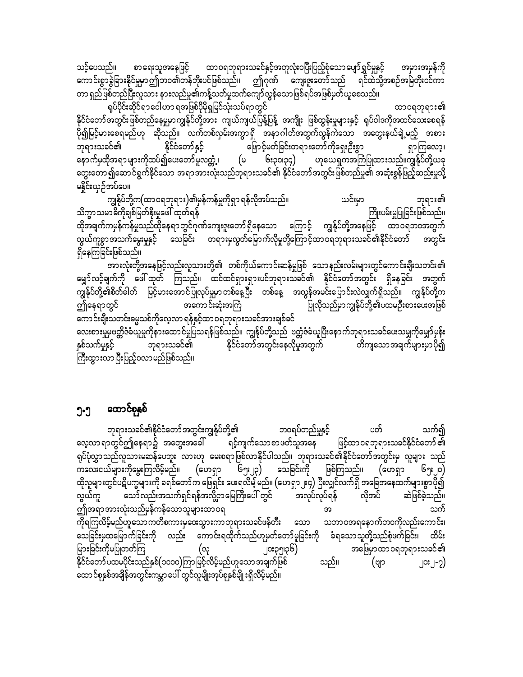စာရေးသူအနေဖြင့် ထာဝရဘုရားသခင်နှင့်အတူလုံးဝပြီးပြည့်စုံသောပျော်ရွှင်မှုနှင့် သင့်ပေသည်။ အမှားအမှန်ကို ကောင်းစွာခွဲခြားနိုင်မှုမှာဤဘဝ၏တန်ဘိုးပင်ဖြစ်သည်။ ဤဂုဏ် ကျေးဇူးတော်သည် ရင်ထဲသို့အစဉ်အမြဲတိုးဝင်ကာ တာ ရှည်ဖြစ်တည်ပြီးလူသား နားလည်မှု၏ကန့်သတ်မှုထက်ကျော်လွန်သောဖြစ်ရပ်အဖြစ်မှတ်ယူစေသည်။

ရုပ်ပိုင်းဆိုင်ရာဝေါဟာ ရအဖြစ်ပိုမိုရှုမြင်သုံးသပ်ရာတွင် ထာ၀ရဘုရား၏ နိုင်ငံတော်အတွင်းဖြစ်တည်နေမှုမှာကျွန်ုပ်တို့အား ကျယ်ကျယ်ပြန့်ပြန့် အကျိုး ဖြစ်ထွန်းမှုများနှင့် ရုပ်ဝါဒကိုအထင်သေးစေရန် ပို၍မြင့်မားစေရမည်ဟု ဆိုသည်။ လက်တစ်လှမ်းအကွာရှိ အနာဂါတ်အတွက်လွန်ကဲသော အတွေးနယ်ချဲ့မည့် အစား ဘုရားသခင်၏ ဖြောင့်မတ်ခြင်းတရားတော်ကိုရှေးဦးစွာ နိုင်ငံတော်နှင့် ရှာကြလော့၊ နောက်မှထိုအရာများကိုထပ်၍ပေးတော်မူလတ္တံ့၊ ၆း၃၀၊၃၄) ဟုယေရှုကအကြံပြုထားသည်။ကျွန်ုပ်တို့ယခု (မ တွေးတော့၍ဆောင်ရွက်နိုင်သော အရာအားလုံးသည်ဘုရားသခင်၏ နိုင်ငံတော်အတွင်းဖြစ်တည်မှု၏ အဆုံးစွန်ဖြည့်ဆည်းမှုသို့ မနိူင်းယှဉ်အပ်ပေ။

လုံးခဲ့ပ ကျွန်ုပ်တို့က(ထာဝရဘုရား)၏မှန်ကန်မှုကိုရှာ ရန်လိုအပ်သည်။ ဘုရား၏ သိက္ခာသမာဓိကိုချစ်မြတ်နိုးမှုဖေါ် ထုတ်ရန် ကြိုးပမ်းမှုပြုခြင်းဖြစ်သည်။ ထိုအချက်ကမှန်ကန်မှုသည်ထိုနေရာတွင်ဂုဏ်ကျေးဇူးတော်ရှိနေသော ကြောင့် ကျွန်ုပ်တို့အနေဖြင့် ထာဝရဘဝအတွက် လွယ်ကူစွာအသက်မွေးမှုနှင့် သေခြင်း တရားမှလွတ်မြောက်လိုမှုတို့ကြောင့်ထာဝရဘုရားသခင်၏နိုင်ငံတော် အတွင်း ရှိနေကြခြင်းဖြစ်သည်။

အားလုံးတို့အနေဖြင့်လည်းလူသားတို့၏ တစ်ကိုယ်ကောင်းဆန်မှုဖြစ် သောနည်းလမ်းများတွင်ကောင်းချီးသတင်း၏ မျှော်လင့်ချက်ကို ဖေါ်ထုတ် ကြသည်။ ထင်ထင်ရှားရှားပင်ဘုရားသခင်၏ နိုင်ငံတော်အတွင်း ရှိနေခြင်း အတွက် ကျွန်ုပ်တို့၏စိတ်ခါတ် မြင့်မားအောင်ပြုလုပ်မှုမှာတစ်နေ့ပြီး တစ်နေ့ အလွန်အမင်းပြောင်းလဲလျှက်ရှိသည်။ ကျွန်ုပ်တို့က .<br>ပြုလိုသည်မှာကျွန်ုပ်တို့၏ပထမဦးစားပေးအဖြစ် ဤနေရာတွင် အကောင်းဆုံးအကြံ ကောင်းချီးသတင်းမွေသစ်ကိုလေ့လာ ရန်နှင့်ထာဝရဘုရားသခင်အားချစ်ခင် လေးစားမှုမဗတ္တိဇံခံယူမှုကိုနားထောင်မှုပြသရန်ဖြစ်သည်။ ကျွန်ုပ်တို့သည် ဗတ္တံဇံခံယူပြီးနောက်ဘုရားသခင်ပေးသမျှကိုမျှော်မှန်း နှစ်သက်မှုနှင့် နိုင်ငံတော်အတွင်းနေလိုမှုအတွက် တိကျသောအချက်များမှာပို၍ ဘုရားသခင်၏

ကြီးထွားလာပြီးပြည့်ဝလာမည်ဖြစ်သည်။

#### ထောင်စုနှစ် ຶງ•ຶງ

ဘုရားသခင်၏နိုင်ငံတော်အတွင်းကျွန်ုပ်တို့၏ ဘဝရပ်တည်မှုနှင့် ပတ် သက်၍ ရင့်ကျက်သောစာဖတ်သူအနေ လေ့လာ ရာတွင်ဤနေရာ၌ အတွေးအခေါ် ဖြင့်ထာ ဝရဘုရားသခင်နိုင်ငံတော် ၏ ရုပ်ပုံလွှာသည်လူသားမဆန်ပေဘူး လားဟု မေးစရာဖြစ်လာနိုင်ပါသည်။ ဘုရားသခင်၏နိုင်ငံတော်အတွင်းမှ လူများ သည် ကလေးငယ်များကိုမွေးကြလိမ့်မည်။ (ဟေရှာ ၆၅း၂၃) သေခြင်းကို ဖြစ်ကြသည်။ (ဟေရှာ ၆၅း၂၀) ထိုလူများတွင်ပဋိပက္ခများကို ခရစ်တော်က ဖြေရှင်း ပေးရလိမ့် မည်။ (ဟေရှာ ၂း၄) ပြီးလျှင်လက်ရှိ အခြေအနေထက်များစွာပို၍ သော်လည်းအသက်ရှင်ရန်အလို့ငှာမြေကြီးပေါ် တွင် အလုပ်လုပ်ရန် လွယ်ကူ ဆဲဖြစ်ခဲ့သည်။ လိုအပ် ဤအရာအားလုံးသည်မှန်ကန်သောသူများထာဝရ သက် ကိုရကြလိမ့်မည်ဟူသောကတိစကားမှဝေးသွားကာဘုရားသခင်ဖန်တီး သော သဘာဝအရနောက်ဘဝကိုလည်းကောင်း၊ သေခြင်းမှထမြောက်ခြင်းကို လည်း ကောင်းရထိုက်သည်ဟုမှတ်တော်မူခြင်းကို ခံရသောသူတို့သည်စုံဖက်ခြင်း၊ ထိမ်း မြားခြင်းကိုမပြုတတ်ကြ (လု ၂၀း၃၅၊၃၆) အဖြေမှာထာဝရဘုရားသခင်၏ နိုင်ငံတော် ပထမပိုင်းသည်နှစ်(၁၀၀၀)ကြာ မြင့်လိမ့်မည်ဟူသော အချက်ဖြစ် (ဗျာ သည်။ ၂၀း၂-၇) ထောင်စုနှစ်အချိန်အတွင်းကမ္ဘာပေါ် တွင်လူမျိုးအုပ်စုနှစ်မျိုးရှိလိမ့်မည်။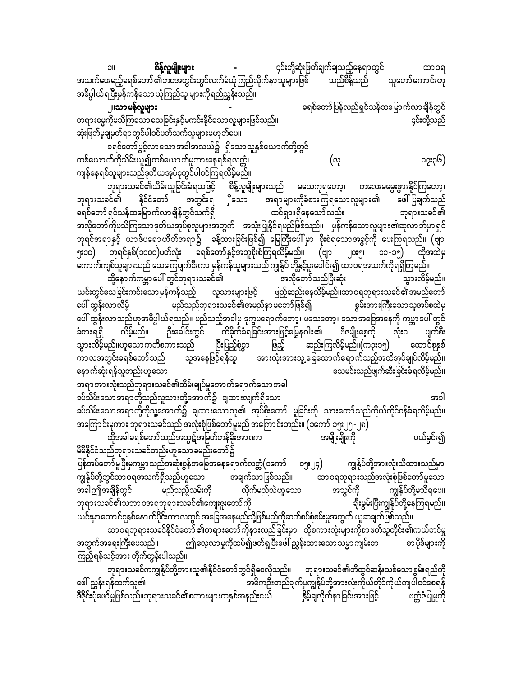စိန့်လူမျိုးများ ၄င်းတို့ဆုံးဖြတ်ချက်ချသည့်နေရာတွင် ထာ၀ရ အသက်ပေးမည့်ခရစ်တော် ၏ဘဝအတွင်းတွင်လက်ခံယုံကြည်လိုက်နာ သူများဖြစ် သည်စိန့်သည် သူတော်ကောင်းဟု အဓိပ္ပါယ်ရပြီးမှန်ကန်သော ယုံကြည်သူ များကိုရည်ညွှန်းသည်။

ခရစ်တော်ပြန်လည်ရှင်သန်ထမြောက်လာချိန်တွင် <sub>၂</sub>။သာ မ**န်**လူများ တရားမွေကိုမသိကြသော သေခြင်းနှင့်မကင်းနိုင်သောလူများဖြစ်သည်။ ၄င်းတို့သည် ဆုံးဖြတ်မှုချမှတ်ရာတွင်ပါဝင်ပတ်သက်သူများမဟုတ်ပေ။

•<br>ဓရစ်တော်ပွင့်လာသောအခါအလယ်၌ ရှိသောသူနှစ်ယောက်တို့တွင် တစ်ယောက်ကိုသိမ်းယူ၍တစ်ယောက်မှုကားနေရစ်ရလတ္တံ၊ ၁၇း၃၆) (လု ကျန်နေရစ်သူများသည်ဒုတိယအုပ်စုတွင်ပါဝင်ကြရလိမ့်မည်။

ဘုရားသခင်၏သိမ်းယူခြင်းခံရသဖြင့် စိန့်လူမျိုးများသည် မသေကုရတော့၊ ကလေးမမွေးဖွားနိုင်ကြတော့၊ အတွင်းရ ှိသော ဘုရားသခင်၏ နိုင်ငံတော် အရာများကိုခံစားကြရသောလူများ၏ ဖေါ်ပြချက်သည် ခရစ်တော် ရှင်သန်ထမြောက်လာချိန်တွင်သက်ရှိ ထင်ရှားရှိနေသော်လည်း ဘုရားသခင်၏ အလိုတော်ကိုမသိကြသောဒုတိယအုပ်စုလူများအတွက် အသုံးပြုနိုင်ရမည်ဖြစ်သည်။ မှန်ကန်သောလူများ၏ဆုလာဘ်မှာရှင် ဘုရင်အရာနှင့် ယာဇ်ပရောဟိတ်အရာ၌ ခန့်ထားခြင်းဖြစ်၍ မြေကြီးပေါ် မှာ စိုးစံရသောအခွင့်ကို ပေးကြရသည်။ (ဗျာ ၅း၁၀) ဘုရင်နှစ်(၁၀၀၀)ပတ်လုံး ခရစ်တော်နှင့်အတူစိုးစံကြရလိမ့်မည်။ (ဗျာ ၂၀း၅၊ ၁၁-၁၅) ထိုအထဲမှ ကောက်ကျစ်သူများသည် သေကြေပျက်စီးကာ မှန်ကန်သူများသည် ကျွန်ုပ် တို့နှင့်ပူးပေါင်း၍ ထာဝရအသက်ကိုရရှိကြမည်။ •<br>ထို့နောက်ကမ္ဘာပေါ် တွင်ဘုရားသခင်၏ အလိုတော်သည်ပြီးဆုံး သွားလိမ့်မည်။ ယင်းတွင်သေခြင်းကင်းသောမှန်ကန်သည့် လူသားများဖြင့် ဖြည့်ဆည်းနေလိမ့်မည်။ထာဝရဘုရားသခင်၏အမည်တော် မည်သည်ဘုရားသခင်၏အမည်နာ မတော်ဖြစ်၍ ပေါ် ထွန်းလာလိမ့် စွမ်းအားကြီးသောသူအုပ်စုထဲမှ ပေါ် ထွန်းလာသည်ဟုအဓိပ္ပါယ်ရသည်။ မည်သည့်အခါမှ ဒုက္ခမရောက်တော့၊ မသေတော့၊ သောအခြေအနေကို ကမ္ဘာပေါ် တွင် လိမ့်မည်။ ဦးခေါင်းတွင် ထိခိုက်ခံရခြင်းအားဖြင့်မြွေနဂါး၏ ဗီဇမျိုးစေ့ကို လုံးဝ ပျက်စီး ခံစားရရှိ သွားလိမ့်မည်။ဟူသောကတိစကားသည် ပြီးပြည့်စုံစွာ ဆည်းကြလိမ့်မည်။(က၃း၁၅) ထောင်စုနှစ် ဖြည့် ကာလအတွင်းခရစ်တော်သည် သူအနေဖြင့်ရန်သူ အားလုံးအားသူ့ခြေထောက်ရောက်သည့်အထိအုပ်ချုပ်လိမ့်မည်။ နောက်ဆုံးရန်သူတည်းဟူသော သေမင်းသည်ဖျက်ဆီးခြင်းခံရလိမ့်မည်။

အရာအားလုံးသည်ဘုရားသခင်၏ထိမ်းချုပ်မှုအောက်ရောက်သောအခါ ခပ်သိမ်းသောအရာတို့သည်လူသားတို့အောက်၌ ချထားလျက်ရှိသော အခါ ခပ်သိမ်းသောအရာတို့ကိုသူ့အောက်၌ ချထားသောသူ၏ အုပ်စိုးတော် မူခြင်းကို သားတော်သည်ကိုယ်တိုင်ဝန်ခံရလိမ့်မည်။ အကြောင်းမူကား ဘုရားသခင်သည် အလုံးစုံဖြစ်တော် မူမည် အကြောင်းတည်း။ (၁ကော် ၁၅း၂၅ -၂၈ $\overline{)}$ 

ထိုအခါခရစ်တော်သည်အထွဋ်အမြတ်တန်ခိုးအာဏာ အမျိုးမျိုးကို ပယ်ခွင်း၍ မိမိနိုင်ငံသည်ဘုရားသခင်တည်းဟူသောခမည်းတော်၌ ပြန်အပ်တော်မူပြီးမှကမ္ဘာသည်အဆုံးစွန်အခြေအနေရောက်လတ္တံ(၁ကော် ၁၅း၂၄) ကျွန်ုပ်တို့အားလုံးသိထားသည်မှာ ာ<br>ချေက်သာဖြစ်သည်။ ကျွန်ုပ်တို့တွင်ထာဝရအသက်ရှိသည်ဟူသော ထာ ဝရဘုရားသည်အလုံးစုံဖြစ်တော်မူသော အခါဤအချိန်တွင် မည်သည့်လမ်းကို လိုက်မည်လဲဟူသော အသွင်ကို ကျွန်ုပ်တို့မသိရပေ။

ဘုရားသခင်၏သဘာဝအရဘုရားသခင်၏ကျေးဇူးတော်ကို ချီးမွမ်းပြီးကျွန်ုပ်တို့နေကြရမည်။ ယင်းမှာထောင်စုနှစ်နောက်ပိုင်းကာလတွင် အခြေအနေမည်သို့ဖြစ်မည်ကိုဆက်စပ်စုံစမ်းမှုအတွက် ယူဆချက်ဖြစ်သည်။ ထာဝရဘုရားသခင်နိုင်ငံတော် ၏တရားတော်ကိုနားလည်ခြင်းမှာ ထိုစကားလုံးများကိုစာဖတ်သူတိုင်း၏ကယ်တင်မှု

ဤလေ့လာမှုကိုထပ်၍ဖတ်ရှပြီးဖေါ် ညွှန်းထားသောသမ္မာကျမ်းစာ " စာ ပိုဒ်များကို အတွက်အရေးကြီးပေသည်။ ကြည့်ရန်သင့်အား တိုက်တွန်းပါသည်။

ဘုရားသခင်ကကျွန်ုပ်တို့အားသူ၏နိုင်ငံတော်တွင်ရှိစေလိုသည်။ ဘုရားသခင်၏တီထွင်ဆန်းသစ်သောစွမ်းရည်ကို ဖေါ် ညွှန်းရန်ထက်သူ၏ အဓိကဦးတည်ချက်မှကျွန်ုပ်တို့အားလုံးကိုယ်တိုင်ကိုယ်ကျပါဝင်စေရန် ဒီဇိုင်းပုံဖော်မှုဖြစ်သည်။ဘုရားသခင်၏စကားများကနှစ်အနည်းငယ် မြန်မိုချီလိုက်နာခြင်းအားဖြင့် ဗတ္ထီဇံပြုမှုကို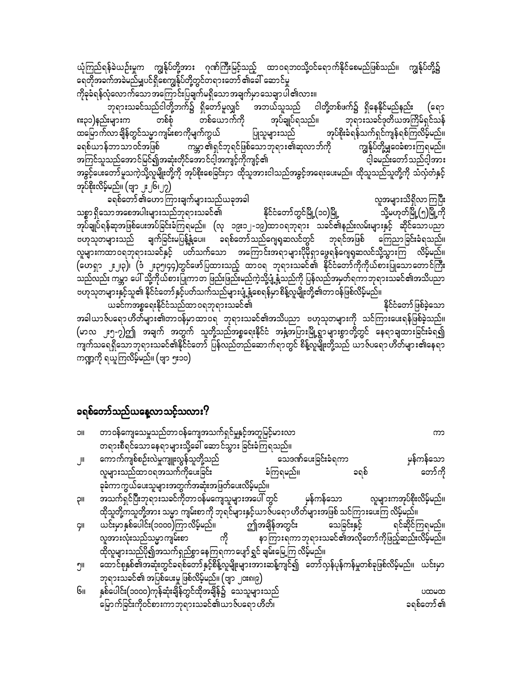ယုံကြည်ရန်ခဲယဉ်းမှုက ကျွန်ုပ်တို့အား ဂုဏ်ကြီးမြင့်သည့် ထာဝရဘဝသို့ဝင်ရောက်နိုင်စေမည်ဖြစ်သည်။ ကျွန်ုပ်တို့၌ ရေတိုအခက်အခဲမည်မျှပင်ရှိစေကျွန်ုပ်တို့တွင်တရားတော် ၏ခေါ် ဆောင်မှု ကိုခုခံရန်လုံလောက်သောအကြောင်းပြချက်မရှိသောအချက်မှာသေချာပါ၏လား။

-<br>ဘုရားသခင်သည်ငါတို့ဘက်၌ ရှိတော်မူလျှင် အဘယ်သူသည် ငါတို့တစ်ဖက်၌ ရှိနေနိုင်မည်နည်း (ຊຖ အုပ်ချုပ်ရသည်။ ၈း၃၁)နည်းများက တစ်ယောက်ကို တစ်စံ ဘုရားသခင်ဒုတိယအကြိမ်ရှင်သန် ထမြောက်လာချိန်တွင်သမ္မာကျမ်းစာကိုမျက်ကွယ် အုပ်စိုးခံရန်သက်ရှင်ကျန်ရစ်ကြလိမ့်မည်။ ပြုသူများသည် ကမ္ဘာ ၏ရှင်ဘုရင်ဖြစ်သောဘုရား၏ဆုလာဘ်ကို ကျွန်ုပ်တို့မျှဝေခံစားကြရမည်။ ခရစ်ယာန်ဘာသာဝင်အဖြစ် အကြင်သူသည်အောင်မြင်၍အဆုံးတိုင်အောင်ငါ့အကျင့်ကိုကျင့်၏ ငါ့ခမည်းတော်သည်ငါ့အား အခွင့်ပေးတော်မူသကဲ့သို့လူမျိုးတို့ကို အုပ်စိုးစေခြင်းငှာ ထိုသူအားငါသည်အခွင့်အရေးပေးမည်။ ထိုသူသည်သူတို့ကို သံလှံတံနှင့် အုပ်စိုးလိမ့်မည်။ (ဗျာ ၂း၂၆၊၂၇)

ခရစ်တော် ၏ဟောကြားချက်များသည်ယခုအခါ လူအများသိရှိလာကြပြီး သစ္စာ ရှိသောအစေအပါးများသည်ဘုရားသခင်၏ နိုင်ငံတော်တွင်မြို့(၁၀)မြို့ သို့မဟုတ်မြို့(၅)မြို့ကို အုပ်ချုပ်ရန်ဆုအဖြစ်ပေးအပ်ခြင်းခံကြရမည်။ (လု ၁၉း၁၂-၁၉)ထာဝရဘုရား သခင်၏နည်းလမ်းများနှင့် ဆိုင်သောပညာ ဗဟုသုတများသည် ချက်ခြင်းမပြန့်နို့ပေ။ ခရစ်တော်သည်ဂျေရှဆလင်တွင် ဘုရင်အဖြစ် ကြေညာခြင်းခံရသည်။ လူများကထာဝရဘုရားသခင်နှင့် ပတ်သက်သော အကြောင်းအရာများပိုမိုရှာဖွေရန်ဂျေရှဆလင်သို့သွားကြ လိမ့်မည်။ (ဟေရှာ ၂း၂၃)၊ (ဒံ ၂း၃၅၊၄၄)တွင်ဖော်ပြထားသည့် ထာဝရ ဘုရားသခင်၏ နိုင်ငံတော်ကိုကိုယ်စားပြုသောတောင်ကြီး ဲ<br>သည်လည်း ကမ္ဘာ ပေါ် သို့ကိုယ်စားပြုကာတ<sup>ို့</sup>ဖြည်းဖြည်းမည်ကဲ့သို့ပျံ့နှံ့သည်ကို ပြန်လည်အမှတ်ရကာဘုရားသခင်၏အသိပညာ ဗဟုသုတများနှင့်သူ၏ နိုင်ငံတော်နှင့်ပတ်သက်သည်များပျံ့နှံ့စေရန်မှာ စိန့်လူမျိုးတို့၏တာ ဝန်ဖြစ်လိမ့်မည်။

နိုင်ငံတော်ဖြစ်ခဲ့သော ယခင်ကအစ္စရေးနိုင်ငံသည်ထာဝရဘုရားသခင်၏ အခါယာဇ်ပရော ဟိတ်များ၏တာဝန်မှာထာဝရ<sup>ံ</sup> ဘုရားသခင်၏အသိပညာ ဗဟုသုတများကို သင်ကြားပေးရန်ဖြစ်ခဲ့သည်။ (မာလ ၂း၅-၇)ဤ အချက် အတွက် သူတို့သည်အစ္စရေးနိုင်ငံ အနံ့အပြားမြို့ရွာများစွာတို့တွင် နေရာချထားခြင်းခံရ၍ ကျက်သရေရှိသောဘုရားသခင်၏နိုင်ငံတော် ပြန်လည်တည်ဆောက်ရာတွင် စိန့်လူမျိုးတို့သည် ယာဇ်ပရော ဟိတ်များ၏နေရာ ကဏ္ဍကို ရယူကြလိမ့်မည်။ (ဗျာ ၅း၁၀)

#### ခရစ်တော်သည်ယနေ့လာသင့်သလား?

| IIC | တာဝန်ကျေသေမှုသည်တာဝန်ကျေအသက်ရှင်မှုနှင့်အတူမြင့်မားလာ                                               |            |
|-----|-----------------------------------------------------------------------------------------------------|------------|
|     | တရားစီရင်သောနေရာများသို့ခေါ် ဆောင်သွား ခြင်းခံကြရသည်။                                               |            |
| اال | ကောက်ကျစ်စဉ်းလဲမှုကျူးလွန်သူတို့သည်                         သေဒဏ်ပေးခြင်းခံရကာ                      | ှုန်ကန်သော |
|     | လူများသည်ထာဝရအသက်ကိုပေးခြင်း<br>ခံကြရမည်။<br>ခရစ်                                                   | တော်ကို    |
|     | ခုခံကာကွယ်ပေးသူများအတွက်အဆုံးအဖြတ်ပေးလိမ့်မည်။                                                      |            |
| μç  | အသက်ရှင်ပြီးဘုရားသခင်ကိုတာဝန်မကျေသူများအပေါ် တွင် မှန်ကန်သော လူများကအုပ်စိုးလိမ့်မည်။               |            |
|     | ထိုသူတို့ကသူတို့အား သမ္မာ ကျမ်းစာကို ဘုရင်များနှင့်ယာဇ်ပရော ဟိတ်များအဖြစ် သင်ကြားပေးကြ လိမ့်မည်။    |            |
| ÇII | ယင်းမှာနှစ်ပေါင်း(၁၀၀၀)ကြာလိမ့်မည်။ ဤအချိန်အတွင်း သေခြင်းနှင့် ရင်ဆိုင်ကြရမည်။                      |            |
|     | လူအားလုံးသည်သမ္မာကျမ်းစာ ကို နာကြားရကာဘုရားသခင်၏အလိုတော်ကိုဖြည့်ဆည်းလိမ့်မည်။                       |            |
|     | ထိုလူများသည်ပို၍အသက်ရှည်စွာ နေကြရကာပျော်ရွှင် ချမ်းမြေ့ကြ လိမ့်မည်။                                 |            |
| ၅။  | ထောင်စုနှစ်၏အဆုံးတွင်ခရစ်တော်နှင့်စိန့်လူမျိုးများအားဆန့်ကျင်၍ တော်လှန်ပုန်ကန်မှုတစ်ခုဖြစ်လိမ့်မည်။ | ယင်းမှာ    |
|     | ဘုရားသခင်၏ အပြစ်ပေးမှု ဖြစ်လိမ့်မည်။ (ဗျာ ၂၀း၈၊၉)                                                   |            |
| Gıı | နှစ်ပေါင်း(၁၀၀၀)ကုန်ဆုံးချိန်တွင်ထိုအချိန်၌ သေသူများသည်                                             | 00000      |
|     | မြောက်ခြင်းကိုဝင်စားကာဘုရားသခင်၏ယာဇ်ပရော ဟိတ်၊                                                      | ခရစ်တော် ၏ |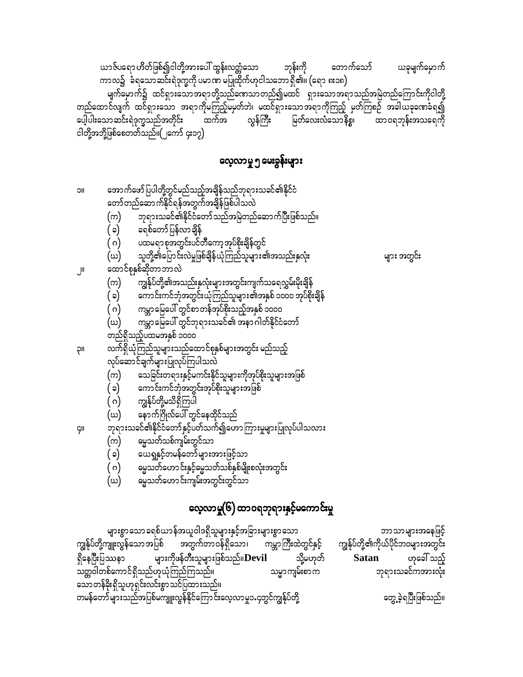တွေ့ခဲ့ရပြီးဖြစ်သည်။

များစွာသောခရစ်ယာန်အယူဝါဒရှိသူများနှင့်အခြားများစွာသော ဘာသာများအနေဖြင့် ကမ္ဘာကြီးထဲတွင်နှင့် ကျွန်ုပ်တို့ကျူးလွန်သောအပြစ် အတွက်တာဝန်ရှိသော၊ ကျွန်ုပ်တို့၏ကိုယ်ပိုင်ဘဝများအတွင်း များကိုဖန်တီးသူများဖြစ်သည်။ $\bf Devil$ ဟုခေါ် သည့် ရှိနေပြီးပြဿနာ သို့မဟုတ် Satan သတ္တဝါတစ်ကောင်ရှိသည်ဟုယုံကြည်ကြသည်။ ဘုရားသခင်ကအားလုံး သမ္မာကျမ်းစာက သော တန်ခိုးရှိသူဟုရှင်းလင်းစွာ သင်ပြထားသည်။ တမန်တော်များသည်အပြစ်မကျူးလွန်နိုင်ကြောင်းလေ့လာမှု၁.၄တွင်ကျွန်ုပ်တို့

### လေ့လာမှု(၆) ထာဝရဘုရားနှင့်မကောင်းမှု

- ဓမ္မသတ်ဟောင်းကျမ်းအတွင်းတွင်သာ (ဃ)
- မ္မေသတ်ဟောင်းနှင့်မ္မေသတ်သစ်နှစ်မျိုးစလုံးအတွင်း ( ဂ)
- ယေရှုနှင့်တမန်တော်များအားဖြင့်သာ  $(\circ)$
- ဓမ္မသတ်သစ်ကျမ်းတွင်သာ (က)
- ဘုရားသခင်၏နိုင်ငံတော်နှင့်ပတ်သက်၍ဟောကြားမှုများပြုလုပ်ပါသလား ÇII
- နောက်ဂြိုလ်ပေါ် တွင်နေထိုင်သည် (ဃ)
- ( ဂ) ကျွန်ုပ်တို့မသိရှိကြပါ
- ကောင်းကင်ဘုံအတွင်းအုပ်စိုးသူများအဖြစ် ( ၁)
- သေခြင်းတရားနှင့်မကင်းနိုင်သူများကိုအုပ်စိုးသူများအဖြစ် (က)
- လုပ်ဆောင်ချက်များပြုလုပ်ကြပါသလဲ
- လက်ရှိယုံကြည်သူများသည်ထောင်စုနှစ်များအတွင်း မည်သည့် **II**Ç
- တည်ရှိသည့်ပထမအနှစ် ၁၀၀၀
- ကမ္ဘာမြေပေါ် တွင်ဘုရားသခင်၏ အနာဂါတ်နိုင်ငံတော် (ဃ)
- ကမ္ဘာမြေပေါ် တွင်စာတန်အုပ်စိုးသည့်အနှစ် ၁၀၀၀ ( ဂ)
- $(\circ)$ ကောင်းကင်ဘုံအတွင်းယုံကြည်သူများ၏အနှစ် ၁၀၀၀ အုပ်စိုးချိန်
- ကျွန်ုပ်တို့၏အသည်းနှလုံးများအတွင်းကျက်သရေလွှမ်းမိုးချိန် (က)
- ထောင်စုနှစ်ဆိုတာဘာလဲ
- သူတို့၏ပြောင်းလဲမှုဖြစ်ချိန်ယုံကြည်သူများ၏အသည်းနှလုံး
- 

များ အတွင်း

JII.

**IIC** 

- ( ဂ) (ဃ)
- ပထမရာစုအတွင်းပင်တီကော့အုပ်<mark>စိုး</mark>ချိန်တွင်
- ခရစ်တော်ပြန်လာချိန်  $(c)$
- ဘုရားသခင်၏နိုင်ငံတော်သည်အမြဲတည်ဆောက်ပြီးဖြစ်သည်။ (က)
- အောက်ဖော်ပြပါတို့တွင်မည်သည့်<mark>အချိန်</mark>သည်ဘုရားသခင်၏နိုင်ငံ တော်တည်ဆောက်နိုင်ရန်အတွက်အချိန်ဖြစ်ပါသလဲ

### လေ့လာမှု ၅ မေးခွန်းများ

ယာဇ်ပရော ဟိတ်ဖြစ်၍ငါတို့အားပေါ် ထွန်းလတ္တံသော ဘုန်းကို တောက်သော် ယခုမျက်မှောက် ကာလ၌ `ခံရသောဆင်းရဲဒုက္ခကို ပမာဏ မပြုထိုက်ဟုငါသဘော ရှိ၏။ (ရော ၈း၁၈) မျက်မှောက်၌ ထင်ရှားသောအရာတို့သည်ရောသာတည်၍မထင် ရှားသောအရာသည်အမြဲတည်ကြောင်းကိုငါတို့ တည်ထောင်လျက် ထင်ရှားသော အရာကိုမကြည့်မမှတ်ဘဲ၊ မထင်ရှားသောအရာကိုကြည့် မှတ်ကြစဉ် အခါယခုရောခံရ၍ ပေါ့ပါးသောဆင်းရဲဒုက္ခသည်အတိုင်း မြတ်လေးလံသောနိစ္စ၊ ထာဝရဘုန်းအသရေကို လွန်ကြီး ထက်အ ငါတို့အဘို့ဖြစ်စေတတ်သည်။(၂ကော် ၄း၁၇)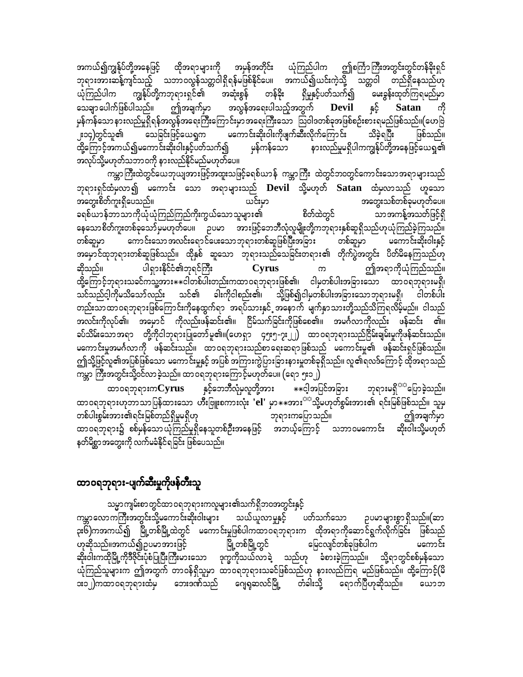အကယ်၍ကျွန်ုပ်တို့အနေဖြင့် ထိုအရာများကို အမှန်အတိုင်း ယုံကြည်ပါက ဤစင်္ကြာကြီးအတွင်းတွင်တန်ခိုးရှင် ဘုရားအားဆန့်ကျင်သည့် သဘာဝလွန်သတ္တဝါရှိရန်မဖြစ်နိုင်ပေ။ အကယ်၍ယင်းကဲ့သို့ သတ္တဝါ တည်ရှိနေသည်ဟု ကျွန်ုပ်တို့ကဘုရားရှင်၏ အဆုံးစွန် တန်ခိုး ယုံကြည်ပါက ရှိမှုနှင့်ပတ်သက်၍ မေးခွန်းထုတ်ကြရမည်မှာ  $s^{\xi}$  Satan ဤအချက်မှာ အလွန်အရေးပါသည့်အတွက် သေချာ ပေါက်ဖြစ်ပါသည်။ Devil ကို မှန်ကန်သော နားလည်မှုရှိရန်အလွန်အရေးကြီးကြောင်းမှာ အရေးကြီးသော ဩဝါဒတစ်ခုအဖြစ်စဉ်းစားရမည်ဖြစ်သည်။(ဟေဗြဲ သေခြင်းဖြင့်ယေရှုက မကောင်းဆိုးဝါးကိုဖျက်ဆီးလိုက်ကြောင်း သိခဲ့ရပြီး ူး၁၄)တွင်သူ၏ ဖြစ်သည်။ ထို့ကြောင့်အကယ်၍မကောင်းဆိုးဝါးနှင့်ပတ်သက်၍ မှန်ကန်သော နားလည်မှုမရှိပါကကျွန်ုပ်တို့အနေဖြင့်ယေရှု၏ အလုပ်သို့မဟုတ်သဘာဝကို နားလည်နိုင်မည်မဟုတ်ပေ။

ကမ္ဘာကြီးထဲတွင်ယေဘုယျအားဖြင့်အထူးသဖြင့်ခရစ်ယာန် ကမ္ဘာကြီး ထဲတွင်ဘ၀တွင်ကောင်းသောအရာများသည် ဘုရားရှင်ထံမှလာ၍ မကောင်း သော အရာများသည် Devil သို့မဟုတ် Satan ထံမှလာသည် ဟူသော အတွေးစိတ်ကူးရှိပေသည်။ ယင်းမှာ အတွေးသစ်တစ်ခုမဟုတ်ပေ။ ခရစ်ယာန်ဘာသာကိုယိုယုံကြည်ကြည်ကိုးကွယ်သောသူများ၏ စိတ်ထဲတွင် သာအကန့်အသတ်ဖြင့်ရှိ နေသောစိတ်ကူးတစ်ခုသော်မှမဟုတ်ပေ။ ဉပမာ အားဖြင့်ဘေဘီလုံလူမျိုးတို့ကဘုရားနှစ်ဆူရှိသည်ဟုယုံကြည်ခဲ့ကြသည်။ ကောင်းသောအလင်းရောင်ပေးသောဘုရားတစ်ဆူဖြစ်ပြီးအခြား တစ်ဆူမှာ တစ်ဆူမှာ မကောင်းဆိုးဝါးနှင့် အမှောင်ထုဘုရားတစ်ဆူဖြစ်သည်။ ထိုနှစ် ဆူသော ဘုရားသည်သေခြင်းတရား၏ တိုက်ပွဲအတွင်း ပိတ်မိနေကြသည်ဟု ပါရှားနိုင်ငံ၏ဘုရင်ကြီး ဆိုသည်။ Cyrus ဤအရာကိုယုံကြည်သည်။  $\infty$ ထို့ကြောင့်ဘုရားသခင်ကသူ့အား $\ast\ast$ ငါတစ်ပါးတည်းကထာဝရဘုရားဖြစ်၏၊ ငါမှတစ်ပါးအခြားသော ထာဝရဘုရားမရှိ၊ သင်သည်ငါ့ကိုမသိသော်လည်း သင်၏ ခါးကိုငါစည်း၏၊ သို့ဖြစ်၍ငါမှတစ်ပါးအခြားသောဘုရားမရှိ၊ ငါတစ်ပါး တည်းသာထာဝရဘုရားဖြစ်ကြောင်းကိုနေထွက်ရာ အရပ်သားနှင်္ အနောက် မျက်နှာသားတို့သည်သိကြရလိမ့်မည်။ ငါသည် အလင်းကိုလုပ်၏၊ အမှောင် ကိုလည်းဖန်ဆင်း၏။ ငြိမ်သက်ခြင်းကိုဖြစ်စေ၏။ အမင်္ဂလာကိုလည်း ဖန်ဆင်း ၏။ ခပ်သိမ်းသောအရာ တို့ကိုငါဘုရားပြုတော်မူ၏။(ဟေရှာ ၄၅း၅-၇း၂၂) ထာဝရဘုရားသည်ငြိမ်းချမ်းမှုကိုဖန်ဆင်းသည်။ မကောင်းမှုအမင်္ဂလာကို ဖန်ဆင်းသည်။ ထာဝရဘုရားသည်စာရေးဆရာဖြစ်သည် မကောင်းမှု၏ ဖန်ဆင်းရှင်ဖြစ်သည်။ ဤသို့ဖြင့်လူ၏အပြစ်ဖြစ်သော မကောင်းမှုနှင့် အပြစ် အကြားကွဲပြားခြားနားမှုတစ်ခုရှိသည်။ လူ၏ရလဒ်ကြောင့် ထိုအရာသည် ကမ္ဘာ ကြီးအတွင်းသို့ဝင်လာခဲ့သည်။ ထာဝရဘုရားကြောင့်မဟုတ်ပေ။ (ရော ၅း၁၂)

ဘုရားမရှိ<sup>သာ</sup>ပြောခဲ့သည်။ ထာဝရဘုရားက ${\bf Cyrus}$  နှင့်ဘေဘီလုံမှလူတို့အား  $\ast\ast$ င့ါအပြင်အခြား ထာဝရဘုရားဟုဘာသာပြန်ထားသော ဟီးဗြူးစကားလုံး 'el' မှာ $\ast\ast$ အား $^{\text{cc}}$ သို့မဟုတ်စွမ်းအား၏ ရင်းမြစ်ဖြစ်သည်။ သူမှ တစ်ပါးစွမ်းအား၏ရင်းမြစ်တည်ရှိမှုမရှိဟု ဘုရားကပြောသည်။ ဤအချက်မှာ ထာဝရဘုရား၌ စစ်မှန်သောယုံကြည်မှုရှိနေသူတစ်ဦးအနေဖြင့် အဘယ့်ကြောင့် သဘာဝမကောင်း ဆိုးဝါးသို့မဟုတ် နတ်မိစ္ဆာအတွေးကို လက်မခံနိုင်ရခြင်း ဖြစ်ပေသည်။

#### ထာဝရဘုရား-ပျက်ဆီးမှုကိုဖန်တီးသူ

သမ္မာကျမ်းစာတွင်ထာဝရဘုရားကလူများ၏သက်ရှိဘဝအတွင်းနှင့် ကမ္ဘာလောကကြီးအတွင်းသို့မကောင်းဆိုးဝါးများ သယ်ယူလာမှုနှင့် ပတ်သက်သော ဉပမာများစွာရှိသည်။(ဆာ ၃း၆်)ကအကယ်၍ မြို့တစ်မြို့ထဲတွင် မကောင်းမှုဖြစ်ပါကထာဝရဘုရားက ထိုအရာကိုဆောင်ရွက်လိုက်ခြင်း ဖြစ်သည် ဟုဆိုသည်။အကယ်၍ဥပမာအားဖြင့် မြို့တစ်မြို့တွင် မြေငလျင်တစ်ခုဖြစ်ပါက မကောင်း ဆိုးဝါးကထိုမြို့ကိုဒီဇိုင်းပုံစံပြုပြီးကြီးမားသော ဒုက္ခကိုသယ်လာခဲ့ သည်ဟု ခံစားခဲ့ကြသည်။ သို့ရာတွင်စစ်မှန်သော ယုံကြည်သူများက ဤအတွက် တာဝန်ရှိသူမှာ ထာဝရဘုရားသခင်ဖြစ်သည်ဟု နားလည်ကြရ မည်ဖြစ်သည်။ ထို့ကြောင့်(မိ း၁၂)ကထာဝရဘုရားထံမှ ဘေးဒဏ်သည် ဂျေရှဆလင်မြို့ တံခါးသို့ ရောက်ပြီဟုဆိုသည်။ ယောဘ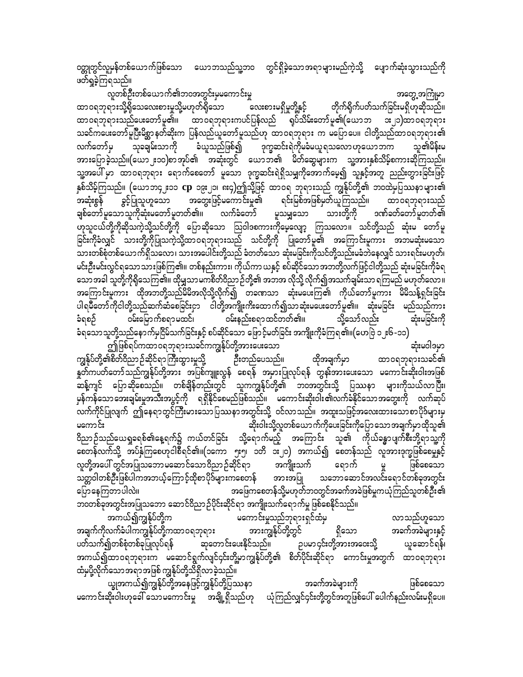ဝတ္ထုတွင်လူမှန်တစ်ယောက်ဖြစ်သော ယောဘသည်သူ့ဘ၀ တွင်ရှိခဲ့သောအရာများမည်ကဲ့သို့ ပျောက်ဆုံးသွားသည်ကို ဖတ်ရှုခဲ့ကြရသည်။

လူတစ်ဦးတစ်ယောက်၏ဘဝအတွင်းမှမကောင်းမှု အတွေ့အကြုံမှာ လေးစားမရှိမှုတို့နှင့် ထာ၀ရဘုရားသို့ရှိသေလေးစားမှုသို့မဟုတ်ရှိသော တိုက်ရိုက်ပတ်သက်ခြင်းမရှိဟုဆိုသည်။ ထာဝရဘုရားသည်ပေးတော်မူ၏။ ထာဝရဘုရားကပင်ပြန်လည် ရုပ်သိမ်းတော်မူ၏(ယောဘ ဒး၂၁)ထာဝရဘုရား သခင်ကပေးတော်မူပြီးမိစ္ဆာနတ်ဆိုးက ပြန်လည်ယူတော်မူသည်ဟု ထာဝရဘုရား က မပြောပေ။ ငါတို့သည်ထာဝရဘုရား၏ ခံယူသည်ဖြစ်၍ ဒုက္ခဆင်းရဲကိုမခံမယူ ရသလော ဟုယော ဘက သုခချမ်းသာကို လက်တော်မှ သူ၏မိန်းမ အားပြောခဲ့သည်။(ယော၂း၁၀)စာအုပ်၏ အဆုံးတွင် ယောဘ၏ မိတ်ဆွေများက သူ့အားနှစ်သိမ့်စကားဆိုကြသည်။ သူ့အပေါ် မှာ ထာဝရဘုရား ရောက်စေတော် မူသော ဒုက္ခဆင်းရဲရှိသမျှကိုအောက်မေ့၍ သူနှင့်အတူ ညည်းတွားခြင်းဖြင့် နှစ်သိမ့်ကြသည်။ (ယောဘ၄၂း၁၁ **cp** ၁၉း၂၁၊ ၈း၄)ဤသို့ဖြင့် ထာဝရ ဘုရားသည် ကျွန်ုပ်တို့၏ ဘဝထဲမှပြဿနာများ၏ ားသို့ ပြင့်မကောင်းမှု၏ ခွင့်ပြုသူဟူသော ရင်းမြစ်အဖြစ်မှတ်ယူကြသည်။ ထာဝရဘုရားသည် အဆုံးစွန် ချစ်တော် မူသောသူကိုဆုံးမတော် မူတတ်၏။ လက်ခံတော် သားတို့ကို ဒဏ်ခတ်တော်မူတတ်၏ မူသမျှသော ္<br>ဟုသူငယ်တို့ကိုဆိုသကဲ့သို့သင်တို့ကို ပြောဆိုသော ဩဝါဒစကားကိုမေ့လျော့ ကြသလော။ သင်တို့သည် ဆုံးမ တော်မူ ု ။<br>ခြင်းကိုခံလျှင် သားတို့ကိုပြုသကဲ့သို့ထာဝရဘုရားသည် သင်တို့ကို ပြုတော်မူ၏ အကြောင်းမူကား အဘမဆုံးမသော မင်းဦးမင်းလွင်ရသောသားဖြစ်ကြ၏။ တစ်နည်းကား၊ ကိုယ်ကာယနှင့် စပ်ဆိုင်သော အဘတို့လက်ဖြင့်ငါတို့သည် ဆုံးမခြင်းကိုခံရ သောအခါ သူတို့ကိုရှိသေကြ၏။ ထိုမျှသာမကစိတ်ဝိညာဉ်တို့၏ အဘအ လိုသို့ လိုက်၍အသက်ချမ်းသာ ရကြမည် မဟုတ်လော။ အကြောင်းမူကား ထိုအဘတို့သည်မိမိအလိုသို့လိုက်၍ တခဏသာ ဆုံးမပေးကြ၏ ကိုယ်တော်မူကား မိမိသန့်ရှင်းခြင်း ပါရမိတော်ကိုငါတို့သည်ဆက်ဆံစေခြင်းငှာ ငါတို့အကျိုးကိုးထောက်၍သာဆုံးမပေးတော်မူ၏။ ဆုံးမခြင်း မည်သည်ကား ဝမ်းနည်းစရာထင်တတ်၏။ ဝမ်းမြောက်စရာမထင်၊ ခံရစဉ် သို့သော်လည်း ဆုံးမခြင်းကို ခံရသောသူတို့သည်နောက်မှငြိမ်သက်ခြင်းနှင့် စပ်ဆိုင်သော ဖြောင့်မတ်ခြင်း အကျိုးကိုခံကြရ၏။(ဟေဗြဲ ၁၂း၆-၁၁)

ဤဖြစ်ရပ်ကထာဝရဘုရားသခင်ကကျွန်ုပ်တို့အားပေးသော<sup>်</sup> ဆုံးမဝါဒမှာ ကျွန်ုပ်တို့၏စိတ်ဝိညာဉ်ဆိုင်ရာကြီးထွားမှုသို့ ဦးတည်ပေသည်။ ထိုအချက်မှာ ထာ၀ရဘုရားသခင်၏ နှတ်ကပတ်တော်သည်ကျွန်ုပ်တို့အား အပြစ်ကျူးလွန် စေရန် အမှားပြုလုပ်ရန် တွန်းအားပေးသော မကောင်းဆိုးဝါးအဖြစ် ဆန့်ကျင် ပြောဆိုစေသည်။ တစ်ချိန်တည်းတွင် သူကကျွန်ုပ်တို့၏ ဘဝအတွင်းသို့ ပြဿနာ များကိုသယ်လာပြီး၊ မှန်ကန်သော အေးချမ်းမှုအသီးအပွင့်ကို ရရှိနိုင်စေမည်ဖြစ်သည်။ မကောင်းဆိုးဝါး၏လက်ခံနိုင်သော အတွေးကို လက်ဆုပ် ္<br>လက်ကိုင်ပြုလျက် `ဤနေရာတွင်ကြီးမားသောပြဿနာအတွင်းသို့ ဝင်လာသည်။ ့အထူးသဖြင့်အလေးထားသောစာပိုဒ်များမှ ဆိုးဝါးသို့လူတစ်ယောက်ကိုပေးခြင်းကိုပြော သောအချက်မှာထိုသူ၏ မကောင်း ဝိညာဉ်သည်ယေရှုခရစ်၏နေ့ရက်၌ ကယ်တင်ခြင်း သို့ရောက်မည့် အကြောင်း သူ၏ ကိုယ်ခန္ဓာပျက်စီးဘို့ရာသူ့ကို စေတန်လက်သို့ အပ်နှံကြစေဟုငါစီရင်၏။(၁ကော ၅း၅၊ ၁တိ ၁း၂၀) အကယ်၍ စေတန်သည် လူအားဒုက္ခဖြစ်စေမှုနှင့် လူတို့အပေါ် တွင်အပြုသဘောမဆောင်သောဝိညာဉ်ဆိုင်ရာ အကျိုးသက် ရောက် ဖြစ်စေသော အားအပြု သတ္တဝါတစ်ဦးဖြစ်ပါကအဘယ့်ကြောင့်ထိုစာပိုဒ်များကစေတန် သဘောဆောင်အလင်းရောင်တစ်ခုအတွင်း အဖြေကစေတန်သို့မဟုတ်ဘဝတွင်အခက်အခဲဖြစ်မှုကယုံကြည်သူတစ်ဦး၏ ပြောနေကြတာပါလဲ။ ဘဝတစ်ခုအတွင်းအပြုသဘော ဆောင်ဝိညာဉ်ပိုင်းဆိုင်ရာ အကျိုးသက်ရောက်မှု ဖြစ်စေနိုင်သည်။

အကယ်၍ကျွန်ုပ်တို့က မကောင်းမှုသည်ဘုရားရှင်ထံမှ လာသည်ဟူသော အချက်ကိုလက်ခံပါကကျွန်ုပ်တို့ကထာဝရဘုရား အားကျွန်ုပ်တို့တွင် ရှိသော အခက်အခဲများနှင့် ာ *ဥပ*မာ ၄င်းတို့အားအဝေးသို့ ပတ်သက်၍တစ်စုံတစ်ခုပြုလုပ်ရန် ဆုတောင်းပေးနိုင်သည်။ ယူဆောင်ရန်၊ အကယ်၍ထာဝရဘုရားက မဆောင်ရွက်လျင်၄င်းတို့မှာကျွန်ုပ်တို့၏ စိတ်ပိုင်းဆိုင်ရာ ကောင်းမှုအတွက် ထာဝရဘုရား ထံမှပို့လိုက်သောအရာအဖြစ် ကျွန်ုပ်တို့သိရှိလာခဲ့သည်။

ယ္ခုအကယ်၍ကျွန်ုပ်တို့အနေဖြင့်ကျွန်ုပ်တို့ပြဿနာ အခက်အခဲများကို ဖြစ်စေသော ယုံကြည်လျှင်၄င်းတို့တွင်အတူဖြစ်ပေါ် ပေါက်နည်းလမ်းမရှိပေ။ မကောင်းဆိုးဝါးဟုခေါ် သောမကောင်းမှု အချို့ရှိသည်ဟု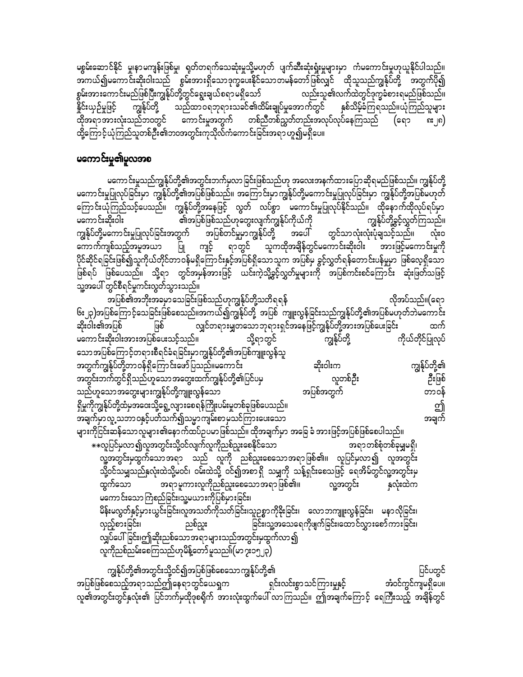မစွမ်းဆောင်နိုင် မှု၊နာမကျန်းဖြစ်မှု၊ ရုတ်တရက်သေဆုံးမှုသို့မဟုတ် ပျက်ဆီးဆုံးရှုံးမှုများမှာ ကံမကောင်းမှုဟုယူနိုင်ပါသည်။ .<br>အကယ်၍မကောင်းဆိုးဝါးသည် စွမ်းအားရှိသောဒုက္ခပေးနိုင်သောတမန်တော်ဖြစ်လျှင် ထိုသူသည်ကျွန်ုပ်တို့ အတွက်ပို၍ စွမ်းအားကောင်းမည်ဖြစ်ပြီးကျွန်ုပ်တို့တွင်ရွေးချယ်စရာမရှိသော် လည်းသူ၏လက်ထဲတွင်ဒုက္ခခံစားရမည်ဖြစ်သည်။ နိုင်းယှဉ်မှုဖြင့် နှစ်သိမ့်ခံကြရသည်။ယုံကြည်သူများ ထိုအရာအားလုံးသည်ဘ၀တွင် ကောင်းမှုအတွက် တစ်ညီတစ်ညွှတ်တည်းအလုပ်လုပ်နေကြသည် (ຣရว <u>ດະ</u>၂ຄ) ထို့ကြောင့်ယုံကြည်သူတစ်ဦး၏ဘဝအတွင်းကုသိုလ်ကံကောင်းခြင်းအရာ ဟူ၍မရှိပေ။

### မကောင်းမှု၏မူလအစ

မကောင်းမှုသည်ကျွန်ုပ်တို့၏အတွင်းဘက်မှလာခြင်းဖြစ်သည်ဟု အလေးအနက်ထားပြောဆိုရမည်ဖြစ်သည်။ ကျွန်ုပ်တို့ မကောင်းမှုပြုလုပ်ခြင်းမှာ ကျွန်ုပ်တို့၏အပြစ်ဖြစ်သည်။ အကြောင်းမှာကျွန်ုပ်တို့မကောင်းမှုပြုလုပ်ခြင်းမှာ ကျွန်ုပ်တို့အပြစ်မဟုတ် ကြောင်းယုံကြည်သင့်ပေသည်။ ကျွန်ုပ်တို့အနေဖြင့် လွတ် လပ်စွာ မကောင်းမှုပြုလုပ်နိုင်သည်။ ထိုနောက်ထိုလုပ်ရပ်မှာ ၏အပြစ်ဖြစ်သည်ဟုတွေးလျက်ကျွန်ုပ်ကိုယ်ကို ကျွန်ုပ်တို့ခွင့်လွှတ်ကြသည်။ မကောင်းဆိုးဝါး ကျွန်ုပ်တို့မကောင်းမှုပြုလုပ်ခြင်းအတွက် အပြစ်တင်မှုမှာကျွန်ုပ်တို့ အပေါ် တွင်သာလုံးလုံးပုံချသင့်သည်။ လုံးဝ ကျင့် ရာတွင် သူကထိုအချိန်တွင်မကောင်းဆိုးဝါး အားဖြင့်မကောင်းမှုကို ကောက်ကျစ်သည့်အမူအယာ ပြု ပိုင်ဆိုင်ရခြင်းဖြစ်၍သူကိုယ်တိုင်တာဝန်မရှိကြောင်းနှင့်အပြစ်ရှိသောသူက အပြစ်မှ ခွင့်လွှတ်ရန်တောင်းပန်မှုမှာ ဖြစ်လေ့ရှိသော ဖြစ်ရပ် ဖြစ်ပေသည်။ သို့ရာ တွင်အမှန်အားဖြင့် ယင်းကဲ့သို့ခွင့်လွှတ်မှုများကို အပြစ်ကင်းစင်ကြောင်း ဆုံးဖြတ်သဖြင့် သူ့အပေါ် တွင်စီရင်မှုကင်းလွတ်သွားသည်။

အပြစ်၏အဘိုးအခမှာ သေခြင်းဖြစ်သည်ဟုကျွန်ုပ်တို့သတိရရန် လိုအပ်သည်။(ရော ၆း၂၃)အပြစ်ကြောင့်သေခြင်းဖြစ်စေသည်။အကယ်၍ကျွန်ုပ်တို့ အပြစ် ကျူးလွန်ခြင်းသည်ကျွန်ုပ်တို့၏အပြစ်မဟုတ်ဘဲမကောင်း လျှင်တရားမျှတသောဘုရားရှင်အနေဖြင့်ကျွန်ုပ်တို့အားအပြစ်ပေးခြင်း ဆိုးဝါး၏အပြစ် ဖြစ် ထက် ကျွန်ုပ်တို့ မကောင်းဆိုးဝါးအားအပြစ်ပေးသင့်သည်။ ကိုယ်တိုင်ပြုလုပ် သို့ရာတွင် သောအပြစ်ကြောင့်တရားစီရင်ခံရခြင်းမှာကျွန်ုပ်တို့၏အပြစ်ကျူးလွန်သူ အတွက်ကျွန်ုပ်တို့တာဝန်ရှိကြောင်းဖော်ပြသည်။မကောင်း ကျွန်ုပ်တို့၏ ဆိုးဝါးက ဦးဖြစ် အတွင်းဘက်တွင်ရှိသည်ဟူသောအတွေးထက်ကျွန်ုပ်တို့၏ပြင်ပမှ လူတစ်ဦး သည်ဟူသော အတွေးများကျွန်ုပ်တို့ကျူးလွန်သော အပြစ်အတွက် တာဝန် ရှိမှုကိုကျွန်ုပ်တို့ထံမှအဝေးသို့ရွေ့လျားစေရန်ကြိုးပမ်းမှုတစ်ခုဖြစ်ပေသည်။ ฮิ အချက်မှာလူ့သဘာဝနှင့်ပတ်သက်၍သမ္မာကျမ်းစာမှသင်ကြားပေးသော အချက် များကိုငြင်းဆန်သောလူများ၏နောက်ထပ်ဥပမာဖြစ်သည်။ ထိုအချက်မှာ အခြေ ခံ အားဖြင့်အပြစ်ဖြစ်စေပါသည်။ \*\*လူပြင်မှလာ၍လူအတွင်းသို့ဝင်လျက်လူကိုညစ်ညူးစေနိုင်သော အရာတစ်စုံတစ်ခုမျှမရှိ၊ ျာသြင်းမထွက်သောအရာ သည် လူကို ညစ်ညူးစေသောအရာဖြစ်၏။ လူပြင်မှလာ၍ လူအတွင်း သို့ဝင်သမျှသည်နှလုံးထဲသို့မဝင်၊ ဝမ်းထဲသို့ ဝင်၍အစာရှိ သမျှကို သန့်ရှင်းစေသဖြင့် ရေအိမ်တွင်လူ့အတွင်းမှ အရာမူကားလူကိုညစ်ညူးစေသောအရာဖြစ်၏။ ထွက်သော လူ့အတွင်း နှလုံးထဲက မကောင်းသော ကြံစည်ခြင်း၊သူ့မယားကိုပြစ်မှားခြင်း၊ မိန်းမလွတ်နှင့်မှားယွင်းခြင်း၊လူအသတ်ကိုသတ်ခြင်း၊သူဉစ္စာကိုခိုးခြင်း၊ လောဘကျူးလွန်ခြင်း၊ မနာလိုခြင်း၊ <u>ခြင်း၊သူ့အသေရေကိုဖျက်ခြင်း၊ထောင်လွှားစော်ကားခြင်း၊</u> လှည့်စားခြင်း၊ ညစ်ညူး လျှပ်ပေါ်ခြင်း၊ဤဆိုးညစ်သောအရာများသည်အတွင်းမှထွက်လာ၍ လူကိုညစ်ညမ်းစေကြသည်ဟုမိန့်တော် မူသည။်(မာ၇း၁၅၂၃) ကျွန်ုပ်တို့၏အတွင်းသို့ဝင်၍အပြစ်ဖြစ်စေသောကျွန်ုပ်တို့၏ ပြင်ပတွင် အပြစ်ဖြစ်စေသည့်အရာသည်ဤနေရာတွင်ယေရှုက ရှင်းလင်းစွာသင်ကြားမှုနှင့် အံဝင်ကွင်ကျမရှိပေ။

လူ၏အတွင်းတွင်နှလုံး၏ ပြင်ဘက်မှထိုဒုစရိုက် အားလုံးထွက်ပေါ် လာကြသည်။ ဤအချက်ကြောင့် ရေကြီးသည့် အချိန်တွင်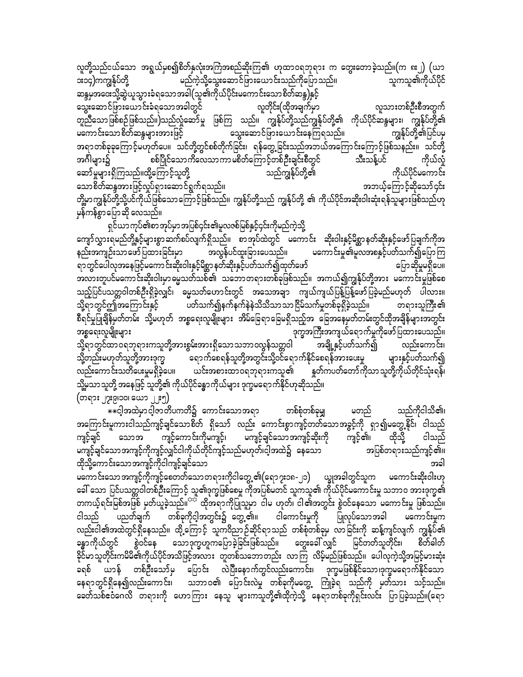လူတို့သည်ငယ်သော အရွယ်မှစ၍စိတ်နှလုံးအကြံအစည်ဆိုးကြ၏ ဟုထာဝရဘုရား က တွေးတောခဲ့သည်။(က ၈း၂) (ယာ မည်ကဲ့သို့သွေးဆောင်ဖြားယောင်းသည်ကိုပြောသည်။ **း**၁၄)ကကျွန်ုပ်တို့ သူကသူ၏ကိုယ်ပိုင် ဆန္ဒမှအဝေးသို့ဆွဲယူသွားခံရသောအခါ(သူ၏ကိုယ်ပိုင်းမကောင်းသောစိတ်ဆန္ဒ)နှင့် လူတိုင်း(ထိုအချက်မှာ လူသားတစ်ဦးစီအတွက် သွေးဆောင်ဖြားယောင်းခံရသောအခါတွင် တူညီသောဖြစ်စဉ်ဖြစ်သည်။)သည်လှုံဆော်မှု ဖြစ်ကြ သည်။ ကျွန်ုပ်တို့သည်ကျွန်ုပ်တို့၏ ကိုယ်ပိုင်ဆန္ဒများ၊ ကျွန်ုပ်တို့၏ သွေးဆောင်ဖြားယောင်းနေကြရသည်။ မကောင်းသောစိတ်ဆန္ဒများအားဖြင့် ကျွန်ုပ်တို့၏ပြင်ပမ အရာတစ်ခုခုကြောင့်မဟုတ်ပေ။ သင်တို့တွင်စစ်တိုက်ခြင်း၊ ရန်တွေ့ခြင်းသည်အဘယ်အကြောင်းကြောင့်ဖြစ်သနည်း။ သင်တို့ ကိုယ်လှုံ စစ်ပြိုင်သော ကိလေသာ ကာ မစိတ်ကြော င့်တစ်ဦးချင်းစီတွင် အဂ်ိဳါများ၌ သီးသန့်ပင် သည်ကျွန်ုပ်တို့၏ ကိုယ်ပိုင်မကောင်း ဆော်မှုများရှိကြသည်။ထို့ကြောင့်သူတို့ သောစိတ်ဆန္ဒအားဖြင့်လှုပ်ရှားဆောင်ရွက်ရသည်။ အဘယ့်ကြောင့်ဆိုသော်၄င်း တို့မှာကျွန်ုပ်တို့သို့ပင်ကိုယ်ဖြစ်သောကြောင့်ဖြစ်သည်။ ကျွန်ုပ်တို့သည် ကျွန်ုပ်တို့ ၏ ကိုယ်ပိုင်အဆိုးဝါးဆုံးရန်သူများဖြစ်သည်ဟု မှန်ကန်စွာပြောဆို လေသည်။

ရှင်ယာကုပ်၏စာအုပ်မှာအပြစ်၄င်း၏မူလဇစ်မြစ်နှင့်၄င်းကိုမည်ကဲ့သို့ ကျော်လွှားရမည်တို့နှင့်များစွာ ဆက်စပ်လျက်ရှိသည်။ စာအုပ်ထဲတွင် မကောင်း ဆိုးဝါးနှင့်မိစ္ဆာနတ်ဆိုးနှင့်ဖော်ပြချက်ကိုအ အလွန်ပင်ထူးခြားပေသည်။ မကောင်းမှု၏မူလအစနှင့်ပတ်သက်၍ပြောကြ နည်းအကျဉ်းသာဖော်ပြထားခြင်းမှာ ရာတွင်ပေါလုအနေဖြင့်မကောင်းဆိုးဝါးနှင့်မိစ္ဆာနတ်ဆိုးနှင့်ပတ်သက်၍ထုတ်ဖော် ပြောဆိုမှုမရှိပေ။ အလားတူပင်မကောင်းဆိုးဝါးမှာ မွေသတ်သစ်၏ သဘောတရားတစ်ခုဖြစ်သည်။ အကယ်၍ကျွန်ုပ်တို့အား မကောင်းမှုဖြစ်စေ သည့်ပြင်ပသတ္တဝါတစ်ဦးရှိခဲ့လျှင်၊ ဓမ္မသတ်ဟောင်းတွင် အသေအချာ ကျယ်ကျယ်ပြန့်ပြန့်ဖော်ပြခဲ့မည်မဟုတ် ပါလား။ ပတ်သက်၍နက်နက်နဲနဲသိသိသာသာငြိမ်သက်မှုတစ်ခုရှိခဲ့သည်။ သို့ရာတွင်ဤအကြောင်းနှင့် တရားသူကြီး၏ စီရင်မှုပြုချိန်မှတ်တမ်း သို့မဟုတ် အစ္စရေးလူမျိုးများ အိမ်ခြေရာခြေမရှိသည့်အ ခြေအနေမှတ်တမ်းတွင်ထိုအချိန်များအတွင်း -<br>ဒုက္ခအကြီးအကျယ်ရောက်မှုကိုဖော်ပြထားပေသည်။ အစ္စရေးလူမျိုးများ သို့ရာတွင်ထာဝရဘုရားကသူတို့အားစွမ်းအားရှိသောသဘာဝလွန်သတ္တဝါ<sup>်</sup> အချို့နှင့်ပတ်သက်၍ လည်းကောင်း၊

သို့တည်းမဟုတ်သူတို့အားဒုက္ခ ရောက်စေရန်သူတို့အတွင်းသို့ဝင်ရောက်နိုင်စေရန်အားပေးမှု များနှင့်ပတ်သက်၍ ယင်းအစားထာဝရဘုရားကသူ၏ နှတ်ကပတ်တော်ကိုသာသူတို့ကိုယ်တိုင်သုံးရန်၊ လည်းကောင်းသတိပေးမှုမရှိခဲ့ပေ။ သို့မှသာသူတို့ အနေဖြင့် သူတို့၏ ကိုယ်ပိုင်ခန္ဓာကိုယ်များ ဒုက္ခမရောက်နိုင်ဟုဆိုသည်။ (တရား ၂၇း၉၊၁၀၊ ယော ၂၂း၅)

\*\*ငါ့အထဲမှာငါ့ဇာတိပကတိ၌ ကောင်းသောအရာ တစ်စုံတစ်ခုမျှ သည်ကိုငါသိ၏၊ မတည် အကြောင်းမူကားငါသည်ကျင့်ချင်သောစိတ် ရှိသော် လည်း ကောင်းစွာကျင့်တတ်သောအခွင့်ကို ရှာ၍မတွေ့နိုင်၊ ငါသည် ကျင့်ကောင်းကိုမကျင့်၊ မကျင့်ချင်သောအကျင့်ဆိုးကို ထိုသို့ ကျင့်ချင် ကျင့်၏၊ ငါသည် သောအ မကျင့်ချင်သောအကျင့်ကိုကျင့်လျှင်ငါကိုယ်တိုင်ကျင့်သည်မဟုတ်၊ငါ့အထဲ၌ နေသော အပြစ်တရားသည်ကျင့်၏။ ထိုသို့ကောင်းသောအကျင့်ကိုငါကျင့်ချင်သော အခါ

မကောင်းသော အကျင့်ကိုကျင့်စေတတ်သော တရားကိုငါတွေ့ ၏(ရော ၇း၁၈-၂၁) ယျွအခါတွင်သူက မကောင်းဆိုးဝါးဟု ခေါ် သော ပြင်ပသတ္တဝါတစ်ဦးကြောင့် သူ၏ဒုက္ခဖြစ်စေမှု ကိုအပြစ်မတင် သူကသူ၏ ကိုယ်ပိုင်မကောင်းမှု သဘာဝ အားဒုက္ခ၏ တကယ့်ရင်းမြစ်အဖြစ် မှတ်ယူခဲ့သည်။<sup>သင်္</sup> ထိုအရာကိုပြုသူမှာ ငါမ ဟုတ်၊ ငါ၏အတွင်း စွဲဝင်နေသော မကောင်းမှု ဖြစ်သည်။ ငါသည် ပညတ်ချက် မကောင်းမှုက လည်းငါ၏အထဲတွင်ရှိနေသည်။ ထို့ကြောင့် သူကဝိညာဉ်ဆိုင်ရာသည် တစ်စုံတစ်ခုမှ လာခြင်းကို ဆန့်ကျင်လျက် ကျွန်ုပ်၏ ခန္ဓာကိုယ်တွင် <sup>ဲ</sup> စွဲဝင်နေ သောဒုက္ခဟူကပြောခဲ့ခြင်းဖြစ်သည်။ တွေးခေါ် လျှင် မြင်တတ်သူတိုင်း၊ စိတ်ခါတ် ခိုင်မာသူတိုင်းကမိမိ၏ကိုယ်ပိုင်အသိဖြင့်အလား တူတစ်သဘောတည်း လာကြ လိမ့်မည်ဖြစ်သည်။ ပေါလုကဲ့သို့အမြင့်မားဆုံး ခရစ် ယာန် တစ်ဦးသော်မှ ပြောင်း လဲပြီးနောက်တွင်လည်းကောင်း၊ ဒုက္ခမဖြစ်နိုင်သော၊ဒုက္ခမရောက်နိုင်သော နေရာတွင်ရှိနေ၍လည်းကောင်း၊ သဘာဝ၏ ပြောင်းလဲမှု တစ်ခုကိုမတွေ့ ကြုံခဲ့ရ သည်ကို မှတ်သား သင့်သည်။ ခေတ်သစ်ဧဝံဂေလိ တရားကို ဟောကြား နေသူ များကသူတို့၏ထိုကဲ့သို့ နေရာတစ်ခုကိုရှင်းလင်း ပြာပြခဲ့သည်။(ရော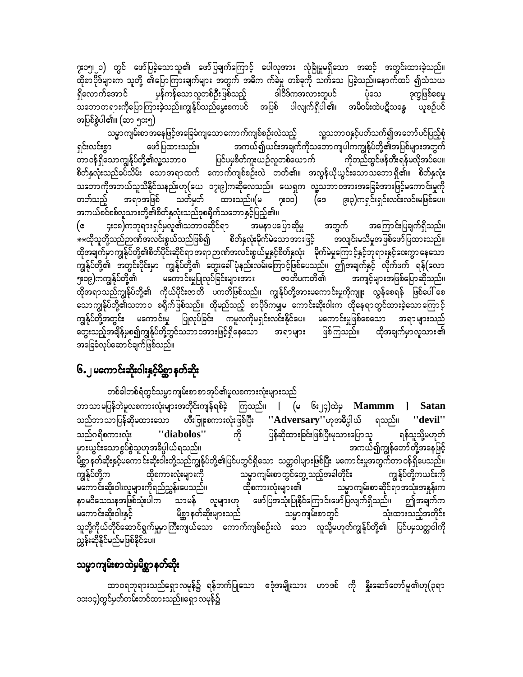၇း၁၅၊၂၁) တွင် ဖော်ပြခဲ့သောသူ၏ ဖော်ပြချက်ကြောင့် ပေါလှအား လုံခြုံမှုမရှိသော အဆင့် အတွင်းထားခဲ့သည်။ ထိုစာပိုဒ်များက သူတို့ ၏ပြောကြားချက်များ အတွက် အဓိက က်ခဲမှု တစ်ခုကို သက်သေ ပြခဲ့သည်။နောက်ထပ် ၍သံသယ ရှိလောက်အောင် ဒါဝိဒ်ကအလားတူပင် မှန်ကန်သောလူတစ်ဦးဖြစ်သည့် ပုံသေ ဒုက္ခဖြစ်စေမှု သဘောတရားကိုပြောကြားခဲ့သည်။ကျွန်ုပ်သည်မွေးစကပင် အပြစ် ပါလျက်ရှိပါ၏၊ အမိဝမ်းထဲပဋိသန္ဓေ ယူစဉ်ပင် အပြစ်စွဲပါ၏။ (ဆာ ၅၁း၅)

သမ္မာကျမ်းစာအနေဖြင့်အခြေခံကျသောကောက်ကျစ်စဉ်းလဲသည့် လူ့သဘာဝနှင့်ပတ်သက်၍အတော်ပင်ပြည့်စုံ အကယ်၍ယင်းအချက်ကိုသဘောကျပါကကျွန်ုပ်တို့၏အပြစ်များအတွက် ရှင်းလင်းစွာ ဖော်ပြထားသည်။ ၊<br>တာဝန်ရှိသောကျွန်ုပ်တို့၏လူ့သဘာဝ ပြင်ပမှစိတ်ကူးယဉ်လူတစ်ယောက် ကိုတည်ထွင်ဖန်တီးရန်မလိုအပ်ပေ။ စိတ်နှလုံးသည်ခပ်သိမ်း သောအရာထက် ကောက်ကျစ်စဉ်းလဲ တတ်၏။ အလွန်ယိုယွင်းသောသဘောရှိ၏။ စိတ်နှလုံး သဘောကိုအဘယ်သူသိနိုင်သနည်းဟု(ယေ ၁၇း၉)ကဆိုလေသည်။ ယေရှုက လူ့သဘာဝအားအခြေခံအားဖြင့်မကောင်းမှုကို အရာအဖြစ် သတ်မှတ် ထားသည်။(မ ၇း၁၁) (ဒေ ၉း၃)ကရှင်းရှင်းလင်းလင်းမဖြစ်ပေ။ တတ်သည့် အကယ်စင်စစ်လူသားတို့၏စိတ်နှလုံးသည်ဒုစရိုက်သဘောနှင့်ပြည့်၏။

၄း၁၈)ကဘုရားရှင်မှလူ၏သဘာဝဆိုင်ရာ အမနာ ပပြော ဆိုမှု အတွက် အကြောင်းပြချက်ရှိသည်။ (င \*\*ထိုသူတို့သည်ဉာဏ်အလင်းစွယ်သည်ဖြစ်၍ စိတ်နှလုံးမိုက်မဲသောအားဖြင့် အလျင်းမသိမှုအဖြစ်ဖော်ပြထားသည်။ ထိုအချက်မှာကျွန်ုပ်တို့၏စိတ်ပိုင်းဆိုင်ရာအရာ ဉာဏ်အလင်းစွယ်မှုနှင့်စိတ်နှလုံး မိုက်မဲမှုကြောင့်နှင့်ဘုရားနှင့်ဝေးကွာ နေသော ကျွန်ုပ်တို့၏ ဘတွင်းပိုင်းမှာ ကျွန်ုပ်တို့၏ တွေးခေါ်ပုံနည်းလမ်းကြောင့်ဖြစ်ပေသည်။ ဤအချက်နှင့် လိုက်ဖက် ရန်(လော ား၁၉)ကကျွန်ုပ်တို့၏ မကောင်းမှုပြုလုပ်ခြင်းများအား ဇာတိပကတိ၏ အကျင့်များအဖြစ်ပြောဆိုသည်။ ထိုအရာသည်ကျွန်ုပ်တို့၏ ကိုယ်ပိုင်းဇာတိ ပကတိဖြစ်သည်။ ကျွန်ုပ်တို့အားမကောင်းမှုကိုကျူး လွန်စေရန် ဖြစ်ပေါ် စေ သောကျွန်ုပ်တို့၏သဘာဝ စရိုက်ဖြစ်သည်။ ထိုမည်သည့် စာပိုဒ်ကမျှမ ကောင်းဆိုးဝါးက ထိုနေရာတွင်ထားခဲ့သောကြောင့် ကျွန်ုပ်တို့အတွင်း မကောင်းမှု ပြုလုပ်ခြင်း ကမူလကိုမရှင်းလင်းနိုင်ပေ။ မကောင်းမှုဖြစ်စေသော အရာများသည် တွေးသည့်အချိန်မှစ၍ကျွန်ုပ်တို့တွင်သဘာဝအားဖြင့်ရှိနေသော အရာများ ဖြစ်ကြသည်။ ထိုအချက်မှာလူသား၏ အခြေခံလုပ်ဆောင်ချက်ဖြစ်သည်။

### ၆.၂ မကောင်းဆိုးဝါးနှင့်မိစ္ဆာနတ်ဆိုး

တစ်ခါတစ်ရံတွင်သမ္မာကျမ်းစာစာအုပ်၏မူလစကားလုံးများသည် ဘာသာမပြန်ဘဲမူလစကားလုံးများအတိုင်းကျန်ရစ်ခဲ့ ကြသည်။ [ (မ ၆း၂၄)ထဲမှ Mammm ] Satan သည်ဘာသာပြန်ဆိုမထားသော ဟီးဗြူးစကားလုံးဖြစ်ပြီး ''Adversary''ဟုအဓိပ္ပါယ် ရသည်။ ''devil'' ကို ပြန်ဆိုထားခြင်းဖြစ်ပြီးမုသားပြောသူ သည်ဂရိစကားလုံး ''diabolos'' ရန်သူသို့မဟုတ် မှားယွင်းသောစွပ်စွဲသူဟုအဓိပ္ပါယ်ရသည်။ အကယ်၍ကျွန်တော်တို့အနေဖြင့် .<br>မိစ္ဆာ နတ်ဆိုးနှင့်မကောင်းဆိုးဝါးတို့သည်ကျွန်ုပ်တို့၏ပြင်ပတွင်ရှိသော သတ္တဝါများဖြစ်ပြီး မကောင်းမှုအတွက်တာဝန်ရှိပေသည်။ ကျွန်ုပ်တို့က ထိုစကားလုံးများကို သမ္မာကျမ်းစာတွင်တွေ့သည့်အခါတိုင်း ကျွန်ုပ်တို့ကယင်းကို မကောင်းဆိုးဝါးလူများကိုရည်ညွှန်းပေသည်။ ထိုစကားလုံးများ၏ သမ္မာကျမ်းစာဆိုင်ရာအသုံးအနှုန်းက ဖော်ပြအသုံးပြုနိုင်ကြောင်းဖော်ပြလျက်ရှိသည်။ ဤအချက်က နာမ၀ိသေသနအဖြစ်သုံးပါက သာမန် လူများဟု မိစ္ဆာနတ်ဆိုးများသည် သမ္မာကျမ်းစာတွင် မကော င်းဆိုးဝါးနှင့် သုံးထားသည့်အတိုင်း သူတို့ကိုယ်တိုင်ဆောင်ရွက်မှုမာကြီးကျယ်သော ကောက်ကျစ်စဉ်းလဲ သော လူသို့မဟုတ်ကျွန်ုပ်တို့၏ ပြင်ပမှသတ္တဝါကို ညွှန်းဆိုနိုင်မည်မဖြစ်နိုင်ပေ။

## သမ္မာကျမ်းစာထဲမှမိစ္ဆာနတ်ဆိုး

ထာဝရဘုရားသည်ရှောလမုန်၌ ရန်ဘက်ပြုသော ဧဒုံအမျိုးသား ဟာဒစ် ကို နှိုးဆော်တော်မူ၏ဟု(၃ရာ ၁၁း၁၄)တွင်မှတ်တမ်းတင်ထားသည်။ရှော လမုန့်၌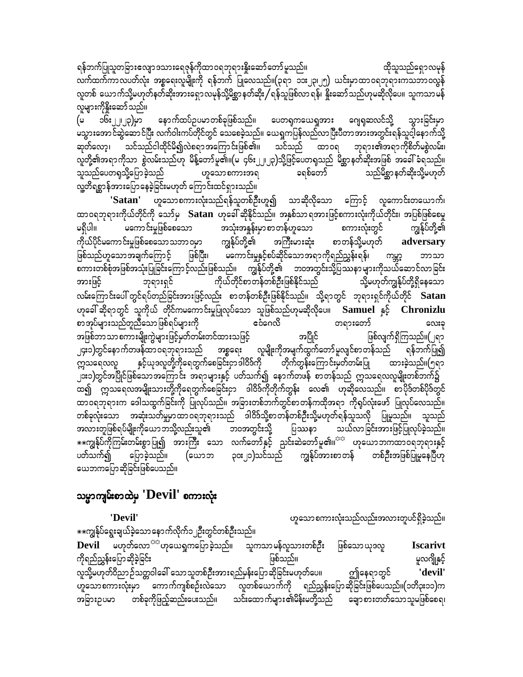ရန်ဘက်ပြုသူတခြားဧလျှာဒသားရေဇုန်ကိုထာဝရဘုရားနိူးဆော်တော်မူသည်။ ထိုသူသည်ရှောလမှန် လက်ထက်ကာလပတ်လုံး အစ္စရေးလူမျိုးကို ရန်ဘက် ပြုလေသည်။(၃ရာ ၁၁း၂၃၊၂၅) ယင်းမှာထာဝရဘုရားကသဘာဝလွန် လူတစ် ယောက်သို့မဟုတ်နတ်ဆိုးအားရှောလမုန်သို့မိစ္ဆာနတ်ဆိုး/ရန်သူဖြစ်လာရန်၊ နိူးဆော်သည်ဟုမဆိုလိုပေ။ သူကသာမန် လူများကိုနိုးဆော်သည်။

ငမ္(၄ု၂၂၂၃)<br>လုပ် နောက်ထပ်ဉပမာတစ်ခုဖြစ်သည်။ ပေတရုကယေရှုအား ဂျေရုဆလင်သို့ သွားခြင်းမှာ (မ မသွားအောင်ဆွဲဆောင်ပြီး လက်ဝါးကပ်တိုင်တွင် သေစေခဲ့သည်။ ယေရှကပြန်လည်လာပြီးပီတာအားအတွင်းရန်သူငါ့နောက်သို့ ဆုတ်လော့၊ သင်သည်ငါထိုင်မိ၍လဲစရာအကြောင်းဖြစ်၏။ သင်သည် ထာဝရ ဘုရား၏အရာကိုစိတ်မစွဲလမ်း၊ လူတို့၏အရာကိုသာ စွဲလမ်းသည်ဟု မိန့်တော်မူ၏။(မ<sup>ှ</sup>၄၆း၂၂၊၂၃)သို့ဖြင့်ပေတရသည် မိစ္ဆာနတ်ဆိုးအဖြစ် အခေါ်ခံရသည်။ သူသည်ပေတရုသို့ပြောခဲ့သည် ဟူသောစကားအရ ခရစ်တော် သည်မိစ္ဆာနတ်ဆိုးသို့မဟုတ် လူ့တိရစ္ဆာန်အားပြောနေခဲ့ခြင်းမဟုတ် ကြောင်းထင်ရှားသည်။

'Satan' ဟူသောစကားလုံးသည်ရန်သူတစ်ဦးဟူ၍ သာဆိုလိုသော ကြောင့် လူကောင်းတယောက်၊ ထာဝရဘုရားကိုယ်တိုင်ကို သော်မှ **Satan** ဟုခေါ် ဆိုနိုင်သည်။ အနှစ်သာရအားဖြင့်စကားလုံးကိုယ်တိုင်း၊ အပြစ်ဖြစ်စေမှု မကောင်းမှုဖြစ်စေသော အသုံးအနှုန်းမှာစာတန်ဟူသော စကားလုံးတွင် မရှိပါ။ ကျွန်ုပ်တို့၏ ကိုယ်ပိုင်မကောင်းမှုဖြစ်စေသောသဘာဝမှာ ကျွန်ုပ်တို့၏ အကြီးမားဆုံး စာတန်သို့မဟုတ်  $\operatorname{adversary}$ ဖြစ်သည်ဟူသောအချက်ကြောင့် ဖြစ်ပြီး၊ မကောင်းမှုနှင့်စပ်ဆိုင်သောအရာကိုရည်ညွှန်းရန်၊ ကမ္ဘာ့ ဘာသာ စကားတစ်စုံအဖြစ်အသုံးပြုခြင်းကြောင့်လည်းဖြစ်သည်။ ကျွန်ုပ်တို့၏ ဘဝအတွင်းသို့ပြဿနာများကိုသယ်ဆောင်လာခြင်း ကိုယ်တိုင်စာတန်တစ်ဦးဖြစ်နိုင်သည် အားဖြင့် သို့မဟုတ်ကျွန်ုပ်တို့ရှိနေသော ဘုရားရှင် လမ်းကြောင်းပေါ် တွင်ရပ်တည်ခြင်းအားဖြင့်လည်း စာတန်တစ်ဦးဖြစ်နိုင်သည်။ သို့ရာတွင် ဘုရားရှင်ကိုယ်တိုင် Satan ဟုခေါ် ဆိုရာတွင် သူကိုယ် တိုင်ကမကောင်းမှုပြုလုပ်သော သူဖြစ်သည်ဟုမဆိုလိုပေ။ Samuel နှင့် Chronizlu ငံဂေလိ စာအုပ်များသည်တူညီသောဖြစ်ရပ်များကို တရားတော် လေးခု အဖြစ်ဘာသာစကားမျိုးကွဲများဖြင့်မှတ်တမ်းတင်ထားသဖြင့် ဖြစ်လျက်ရှိကြသည်။(၂ရ၁ အပြိုင် ၂၄း၁)တွင်နောက်တဖန်ထာဝရဘုရားသည် အစ္စရေး လူမျိုးကိုအမျက်ထွက်တော်မူလျင်စာတန်သည် " ရန်ဘက်ပြု၍ နှင့်ယုဒလူတို့ကိုရေတွက်စေခြင်းငှာ ဒါဝိဒ်ကို မြတိုက်တွန်းကြောင်းမှတ်တမ်းပြု ထားခဲ့သည်။(၅ရာ က္ကသရေလလူ ၂၁း၁)တွင်အပြိုင်ဖြစ်သောအကြောင်း အရာများနှင့် ပတ်သက်၍ နောက်တဖန် စာတန်သည် ဣသရေလလူမျိုးတစ်ဘက်၌ ထ၍ ဣဿရေလအမျိုးသားတို့ကိုရေတွက်စေခြင်းငှာ ဒါဝိဒ်ကိုတိုက်တွန်း လေ၏ ဟုဆိုလေသည်။ စာပိုဒ်တစ်ပိုဒ်တွင် ထာဝရဘုရားက ဒေါသထွက်ခြင်းကို ပြုလုပ်သည်။ အခြားတစ်ဘက်တွင်စာတန်ကထိုအရာ ကိုရုပ်လုံးဖော် ပြုလုပ်လေသည်။ တစ်ခုလုံးသော အဆုံးသတ်မှုမှာထာဝရဘုရားသည် ခါဝိဒ်သို့စာတန်တစ်ဦးသို့မဟုတ်ရန်သူသလို ပြုမူသည်။ သူသည် အလားတူဖြစ်ရပ်မျိုးကိုယောဘသို့လည်းသူ၏ ဘဝအတွင်းသို့ ပြဿနာ သယ်လာခြင်းအားဖြင့်ပြုလုပ်ခဲ့သည်။ \*\*ကျွန်ုပ်ကိုကြမ်းတမ်းစွာပြု၍ အားကြီး သော လက်တော်နှင့် ညင်းဆဲတော်မူ၏။<sup>သေ</sup> ဟုယောဘကထာဝရဘုရားနှင့် ပတ်သက်၍ ပြောခဲ့သည်။ (ယောဘ ၃၀း၂၁)သင်သည် ကျွန်ုပ်အားစာတန် တစ်ဦးအဖြစ်ပြုမှုနေပြီဟု ယေဘကပြောဆိုခြင်းဖြစ်ပေသည်။

#### သမ္မာကျမ်းစာထဲမှ 'Devil' စကားလုံး

ဟူသောစကားလုံးသည်လည်းအလားတူပင်ရှိခဲ့သည်။ 'Devil' ⋇⋇ကျွန်ုပ်ရွေးချယ်ခဲ့သော နောက်လိုက်၁၂ဦးတွင်တစ်ဦးသည်။ **Devil** မဟုတ်လော<sup>င်းင</sup>ံဟုယေရှကပြောခဲ့သည်။ သူကသာမန်လူသားတစ်ဦး ဖြစ်သော ယုဒလူ **Iscarivt** ကိုရည်ညွှန်းပြောဆိုခဲ့ခြင်း ဖြစ်သည်။ မူလဂျိုနှင့် လူသို့မဟုတ်ဝိညာ ဉ်သတ္တဝါခေါ် သောသူတစ်ဦးအားရည်မှန်းပြောဆိုခြင်းမဟုတ်ပေ။ ဤနေရာတွင် 'devil' ဟူသောစကားလုံးမှာ ကောက်ကျစ်စဉ်းလဲသော လူတစ်ယောက်ကို ရည်ညွှန်းပြောဆိုခြင်းဖြစ်ပေသည်။(၁တိ၃း၁၁)က အခြားဥပမာ တစ်ခုကိုဖြည့်ဆည်းပေးသည်။ သင်းထောက်များ၏မိန်းမတို့သည် ချောစားတတ်သောသူမဖြစ်စေရ၊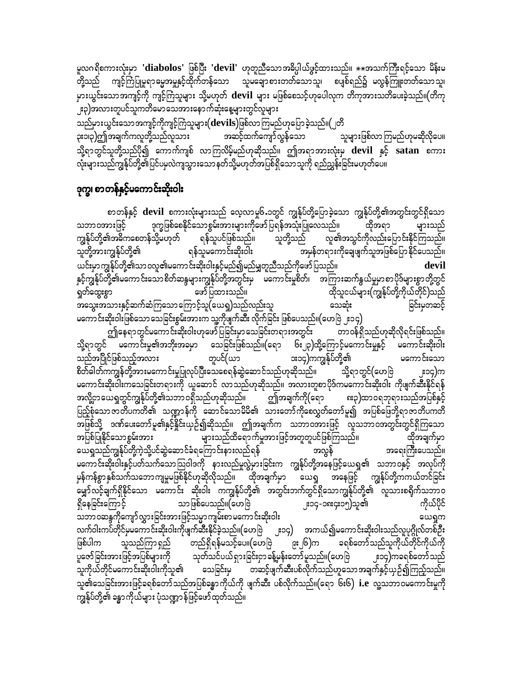တို့သည် ကျင့်ကြံပြုမူရာဓမ္မအမှုနှင့်ထိုက်တန်သော သူမချောစားတတ်သောသူ၊ စပျစ်ရည်၌ မလွန်ကြူးတတ်သောသူ၊ မှားယွင်းသောအကျင့်ကို ကျင့်ကြံသူများ သို့မဟုတ် devil များ မဖြစ်စေသင့်ဟုပေါလုက တိကုအားသတိပေးခဲ့သည်။(တိကု ှုး၃)အလားတူပင်သူကတိမော သေအားနောက်ဆုံးနေ့များတွင်လူများ

သည်မှားယွင်းသောအကျင့်ကိုကျင့်ကြံသူများ $(\hbox{devils})$ ဖြစ်လာကြမည်ဟုပြောခဲ့သည်။ $(\,\,$ တိ အဆင့်ထက်ကျော်လွန်သော ၃း၁၊၃)ဤအချက်ကလူတို့သည်လူသား သူများဖြစ်လာကြမည်ဟုမဆိုလိုပေ။ သို့ရာတွင်သူတို့သည်ပို၍ ကောက်ကျစ် လာကြလိမ့်မည်ဟုဆိုသည်။ ဤအရာအားလုံးမှ devil နှင့် satan စကား လုံးများသည်ကျွန်ုပ်တို့၏ပြင်ပမှလဲကျသွားသော နတ်သို့မဟုတ်အပြစ်ရှိသောသူကို ရည်ညွှန်းခြင်းမဟုတ်ပေ။

### ဒုက္ခ၊ စာတန်နှင့်မကောင်းဆိုးဝါး

စာတန်နှင့် devil စကားလုံးများသည် လေ့လာမှု၆<sub>•</sub>၁တွင် ကျွန်ုပ်တို့ပြောခဲ့သော ကျွန်ုပ်တို့၏အတွင်းတွင်ရှိသော သဘာဝအားဖြင့် ဒုက္ခဖြစ်စေနိုင်သောစွမ်းအားများကိုဖော်ပြရန်အသုံးပြုလေသည်။ ထိုအရာ များသည် လူ၏အသွင်ကိုလည်းပြောင်းနိုင်ကြသည်။ ကျွန်ုပ်တို့၏အဓိကစေတန်သို့မဟုတ် ရန်သူပင်ဖြစ်သည်။ သူတို့သည် သူတို့အားကျွန်ုပ်တို့၏ ရန်သူမကောင်းဆိုးဝါး အမှန်တရားကိုချေဖျက်သူအဖြစ်ပြောနိုင်ပေသည်။ ယင်းမှာကျွန်ုပ်တို့၏သာဝလူ၏မကောင်းဆိုးဝါးနှင့်မည်၍မည်မျှတူညီသည်ကိုဖော်ပြသည်။ devil နှင့်ကျွန်ုပ်တို့၏မကောင်းသောစိတ်ဆန္ဒများကျွန်ုပ်တို့အတွင်းမှ မကောင်းမှုစိတ်၊ အကြားဆက်နွယ်မှုမှာစာပိုဒ်များစွာတို့တွင် ထိုသူငယ်များ(ကျွန်ုပ်တို့ကိုယ်တိုင်)သည် ရှတ်ထွေးစွာ ဖော်ပြထားသည်။ အသွေးအသားနှင့်ဆက်ဆံကြသောကြောင့်သူ(ယေရှ)သည်လည်းသူ ခြင်းမှတဆင့် သေဆုံး မကောင်းဆိုးဝါးဖြစ်သော သေခြင်းစွမ်းအားက သူ့ကိုဖျက်ဆီး လိုက်ခြင်း ဖြစ်ပေသည်။(ဟေဗြဲ ၂း၁၄)

ဤနေရာတွင်မကောင်းဆိုးဝါးဟုဖော်ပြခြင်းမှာ သေခြင်းတရားအတွင်း တာဝန်ရှိသည်ဟုဆိုလိုရင်းဖြစ်သည်။ သို့ရာတွင် မကောင်းမှု၏အဘိုးအခမှာ သေခြင်းဖြစ်သည်။(ရော ၆း၂၃)ထို့ကြောင့်မကောင်းမှုနှင့် မကောင်းဆိုးဝါး ား၁၄)ကကျွန်ုပ်တို့၏ သည်အပြိုင်ဖြစ်သည့်အလား တူပင်(ယာ မကောင်းသော စိတ်ဓါတ်ကကျွန်တို့အားမကောင်းမှုပြုလုပ်ပြီးသေစေရန်ဆွဲဆောင်သည်ဟုဆိုသည်။ သို့ရာတွင်(ဟေဗြဲ ူး၁၄)က မကောင်းဆိုးဝါးကသေခြင်းတရားကို ယူဆောင် လာသည်ဟုဆိုသည်။ အလားတူစာပိုဒ်ကမကောင်းဆိုးဝါး ကိုဖျက်ဆီးနိုင်ရန် ဤအချက်ကို(ရော အလို့ဌာယေရှတွင်ကျွန်ုပ်တို့၏သဘာဝရှိသည်ဟုဆိုသည်။ ၈း၃)ထာဝရဘုရားသည်အပြစ်နှင့် <u>ပြည့်</u>စုံသော ဇာတိပကတိ၏ သဏ္ဍာန်ကို ဆောင်သောမိမိ၏ သားတော်ကိုစေလွှတ်တော်မူ၍ အပြစ်ဖြေဘို့ရာဇာတိပကတိ အဖြစ်သို့ ဒဏ်ပေးတော်မူ၏နှင့်နိုင်းယှဉ်၍ဆိုသည်။ ဤအချက်က သဘာဝအားဖြင့် လူသဘာဝအတွင်းတွင်ရှိကြသော အပြစ်ပြုနိုင်သောစွမ်းအား များသည်ထိရောက်မှုအားဖြင့်အတူတူပင်ဖြစ်ကြသည်။ ထိုအချက်မှာ ယေရှုသည်ကျွန်ုပ်တို့ကဲ့သို့ပင်ဆွဲဆောင်ခံရကြောင်းနားလည်ရန် အလွန် အရေးကြီးပေသည်။ မကောင်းဆိုးဝါးနှင့်ပတ်သက်သောဩဝါဒကို နားလည်မှုလွဲမှားခြင်းက ကျွန်ုပ်တို့အနေဖြင့်ယေရှု၏ သဘာဝနှင့် အလုပ်ကို မှန်ကန်စွာနှစ်သက်သဘောကျမှုမဖြစ်နိုင်ဟုဆိုလိုသည်။ ထိုအချက်မှာ ယေရှု အနေဖြင့် ကျွန်ုပ်တို့ကကယ်တင်ခြင်း -<br>မျှော်လင့်ချက်ရှိနိုင်သော မကောင်း ဆိုးဝါး ကကျွန်ုပ်တို့၏ အတွင်းဘက်တွင်ရှိသောကျွန်ုပ်တို့၏ လူသားစရိုက်သဘာဝ သာဖြစ်ပေသည်။(ဟေဗြဲ ကိုယ်ပိုင် ရှိနေခြင်းကြောင့် ၂း၁၄-၁၈း၄း၁၅)သူ၏ သဘာဝဆန္ဒကိုကျော်လွှားခြင်းအားဖြင့်သမ္မာကျမ်းစာမကောင်းဆိုးဝါး ယေရှက လက်ဝါးကပ်တိုင်မှမကောင်းဆိုးဝါးကိုဖျက်ဆီးနိုင်ခဲ့သည်။(ဟေဗြ ၂း၁၄) အကယ်၍မကောင်းဆိုးဝါးသည်လူပုဂ္ဂိုလ်တစ်ဦး ဖြစ်ပါက သူသည်ကြာ ရှည် တည်ရှိရန်မသင့်ပေ။(ဟေဗြဲ ခရစ်တော်သည်သူကိုယ်တိုင်ကိုယ်ကို ၉း၂၆)က ပူဇော်ခြင်းအားဖြင့်အပြစ်များကို သုတ်သင်ပယ်ရှားခြင်းငှာ ခန့်မှန်းတော်မူသည်။(ဟေဗြဲ ၂း၁၄)ကခရစ်တော်သည် သူကိုယ်တိုင်မကောင်းဆိုးဝါးကိုသူ၏ သေခြင်းမှ တဆင့်ဖျက်ဆီးပစ်လိုက်သည်ဟူသောအချက်နှင့်ယှဉ်၍ကြည့်သည်။ သူ၏သေခြင်းအားဖြင့်ခရစ်တော်သည်အပြစ်ခန္ဓာကိုယ်ကို ဖျက်ဆီး ပစ်လိုက်သည်။(ရော ၆း၆) i.e လူ့သဘာဝမကောင်းမှုကို ကျွန်ုပ်တို့၏ ခန္ဓာကိုယ်များ ပုံသဏ္ဍာန်ဖြင့်ဖော်ထုတ်သည်။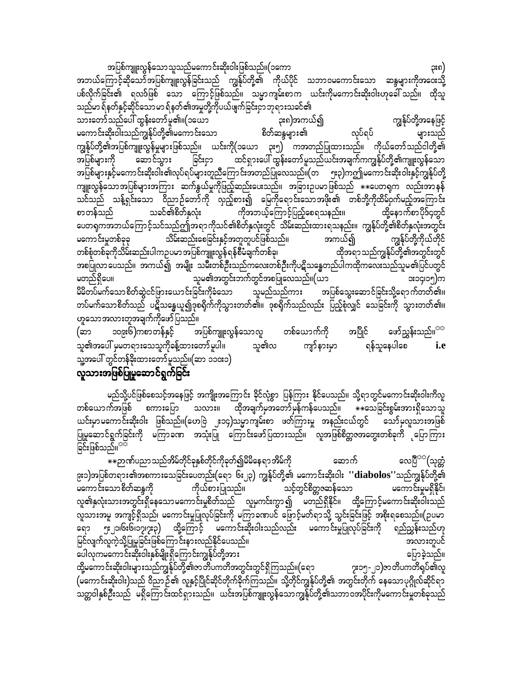အပြစ်ကျူးလွန်သောသူသည်မကောင်းဆိုးဝါးဖြစ်သည်။(၁ကော ၃း၈) အဘယ်ကြောင့်ဆိုသော်အပြစ်ကျူးလွန်ခြင်းသည် ကျွန်ုပ်တို့၏ ကိုယ်ပိုင် သဘာဝမကောင်းသော ဆန္ဒများကိုအဝေးသို့ ပစ်လိုက်ခြင်း၏ ရလဒ်ဖြစ် သော ကြောင့်ဖြစ်သည်။ သမ္မာကျမ်းစာက ယင်းကိုမကောင်းဆိုးဝါးဟုခေါ် သည်။ ထိုသူ သည်မာ ရ်နတ်နှင့်ဆိုင်သော မာ ရ်နတ်၏အမှုတို့ကိုပယ်ဖျက်ခြင်းငှာ ဘုရားသခင်၏ သားတော်သည်ပေါ် ထွန်းတော်မူ၏။(၁ယော ကျွန်ုပ်တို့အနေဖြင့် ၃း၈)အကယ်၍ ဘာလာတစ် အတွင်းသား အမွန်တော် မူစားများသော အသင်းများ မွန်းကွားလာ<br>မကောင်းဆိုးဝါးသည်ကျွန်ုပ်တို့၏မကောင်းသော စိတ်ဆန္ဒများ၏ လုပ်ရပ် များသည်

ကျွန်ုပ်တို့၏အပြစ်ကျူးလွန်မှုများဖြစ်သည်။ ယင်းကို(၁ယော ၃း၅) ကအတည်ပြုထားသည်။ ကိုယ်တော်သည်ငါတို့၏ ခြင်းငှာ ထင်ရှားပေါ် ထွန်းတော်မူသည်ယင်းအချက်ကကျွန်ုပ်တို့၏ကျူးလွန်သော အပြစ်များကို ဆောင်သွား ာပြစ်များနှင့်မကောင်းဆိုးဝါး၏လုပ်ရပ်များတူညီကြောင်းအတည်ပြုလေသည်။(တ ၅း၃)ကဤမကောင်းဆိုးဝါးနှင့်ကျွန်ုပ်တို့ ကျူးလွန်သောအပြစ်များအကြား ဆက်နွယ်မှုကိုဖြည့်ဆည်းပေးသည်။ အခြားဥပမာဖြစ်သည် \*\*ပေတရုက လည်းအာနန် သင်သည် သန့်ရှင်းသော ဝိညာဉ်တော်ကို လှည့်စား၍ မြေကိုရောင်းသောအဖိုး၏ တစ်ဘို့ကိုထိမ်ဝှက်မည့်အကြောင်း သခင်၏စိတ်နှလုံး ကိုအဘယ့်ကြောင့်ပြည့်စေရသနည်း။ စာတန်သည် ထို့နောက်စာပိုဒ်၄တွင် ပေတရကအဘယ်ကြောင့်သင်သည်ဤအရာကိုသင်၏စိတ်နှလုံးတွင် သိမ်းဆည်းထားရသနည်း။ ကျွန်ုပ်တို့၏စိတ်နှလုံးအတွင်း မကောင်းမှုတစ်ခုခု —<br>သိမ်းဆည်းစေခြင်းနှင့်အတူတူပင်ဖြစ်သည်။ အကယ်၍ ကျွန်ုပ်တို့ကိုယ်တိုင် တစ်စုံတစ်ခုကိုသိမ်းဆည်းပါကဉပမာ အပြစ်ကျူးလွန်ရန်စီမံချက်တစ်ခု၊ ထိုအရာသည်ကျွန်ုပ်တို့၏အတွင်းတွင် အစပြုလာပေသည်။ အကယ်၍ အမျိုး သမီးတစ်ဦးသည်ကလေးတစ်ဦးကိုပဋိသန္ဓေတည်ပါကထိုကလေးသည်သူမ၏ပြင်ပတွင် မတည်ရှိပေ။ သူမ၏အတွင်းဘက်တွင်အစပြုလေသည်။(ယာ **း**၁၄၊၁၅)က မိမိတပ်မက်သော စိတ်ဆွဲငင်ဖြားယောင်းခြင်းကိုခံသော သူမည်သည်ကား အပြစ်သွေးဆောင်ခြင်းသို့ရောက်တတ်၏။ တပ်မက်သောစိတ်သည် ပဋိသန္ဓေယူ၍ဒုစရိုက်ကိုသွားတတ်၏။ ဒုစရိုက်သည်လည်း ပြည့်စုံလျှင် သေခြင်းကို သွားတတ်၏။ ဟူသောအလားတူအချက်ကိုဖော်ပြသည်။

၁၀၉း၆)ကစာတန်နှင့် အပြစ်ကျူးလွန်သောလူ တစ်ယောက်ကို အပြိုင် ဖော်ညွှန်းသည်။<sup>ာာ</sup> (ဆာ သူ၏လ သူ၏အပေါ် မှမတရားသေသူကိုခန့်ထားတော်မူပါ။ ကျာ်နားမှာ ရန်သူနေပါစေ *i.e* သူ့အပေါ် တွင်တန်ခိုးထားတော်မူသည်။(ဆာ ၁၁၀း၁)

### လူသားအဖြစ်ပြုမှုဆောင်ရွက်ခြင်း

မည်သို့ပင်ဖြစ်စေသင့်အနေဖြင့် အကျိုးအကြောင်း ခိုင်လုံစွာ ပြန်ကြား နိုင်ပေသည်။ သို့ရာတွင်မကောင်းဆိုးဝါးကိလူ ယင်းမှာမကောင်းဆိုးဝါး ဖြစ်သည်။(ဟေဗြဲ ၂း၁၄)သမ္မာကျမ်းစာ ဖတ်ကြားမှု အနည်းငယ်တွင် သော်မှလူသားအဖြစ် ပြုမူဆောင်ရွက်ခြင်းကို မကြာခဏ အသုံးပြု ကြောင်းဖော်ပြထားသည်။ လူအဖြစ်စိတ္တဇအတွေးတစ်ခုကိ မြောကြား ခြင်းဖြစ်သည်။<sup>အဒိ</sup>

လေပြီ<sup>အအ</sup>(သုတ္တံ ဆောက် ၉း၁)အပြစ်တရား၏အစကားသေခြင်းပေတည်း(ရော ၆း၂၃) ကျွန်ုပ်တို့၏ မကောင်းဆိုးဝါး '**'diabolos''**သည်ကျွန်ုပ်တို့၏ ကိုယ်စားပြုသည်။ သင့်တွင်စိတ္တဇဆန်သော မကောင်းသောစိတ်ဆန္ဒကို မကောင်းမှုမရှိနိုင်၊ လူ၏နှလုံးသားအတွင်းရှိနေသောမကောင်းမှုစိတ်သည် လူမှကင်းကွာ၍ မတည်ရှိနိုင်။ ထို့ကြောင့်မကောင်းဆိုးဝါးသည် .<br>လူသားအမူ အကျင့်ရှိသည်၊ မကောင်းမှုပြုလုပ်ခြင်းကို မကြာခဏပင် ဖြောင့်မတ်ရာသို့ သွင်းခြင်းဖြင့် အစိုးရစေသည်။(ဥပမာ ရော ၅း၂၁၊၆း၆၊၁၇၊၇း၃) ထို့ကြောင့် မကောင်းဆိုးဝါးသည်လည်း မကောင်းမှုပြုလုပ်ခြင်းကို ရည်ညွှန်းသည်ဟု မြင်လျက်လူကဲ့သို့ပြုမူခြင်းဖြစ်ကြောင်းနားလည်နိုင်ပေသည်။ အလားတူပင် ပေါလုကမကောင်းဆိုးဝါးနှစ်မျိုးရှိကြောင်းကျွန်ုပ်တို့အား ပြောခဲ့သည်။ ထို့မကောင်းဆိုးဝါးများသည်ကျွန်ုပ်တို့၏ဇာတိပကတိအတွင်းတွင်ရှိကြသည်။(ရော ၇း၁၅-၂၁)ဇာတိပကတိရုပ်၏လူ (မကောင်းဆိုးဝါး)သည် ဝိညာဉ်၏ လူနှင့်ပြိုင်ဆိုင်တိုက်ခိုက်ကြသည်။ သို့တိုင်ကျွန်ုပ်တို့၏ အတွင်းတိုက် နေသောပုဂ္ဂိုလ်ဆိုင်ရာ သတ္တဝါနှစ်ဦးသည် မရှိကြောင်းထင်ရှားသည်။ ယင်းအပြစ်ကျူးလွန်သောကျွန်ုပ်တို့၏သဘာဝအပိုင်းကိုမကောင်းမှုတစ်ခုသည်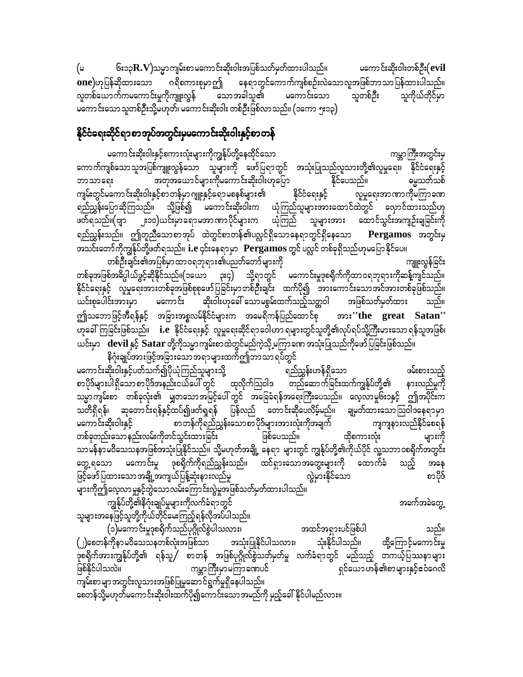၆း၁၃ $\mathbf{R}.\mathbf{V}$ )သမ္မာကျမ်းစာမကောင်းဆိုးဝါးအပြစ်သတ်မှတ်ထားပါသည်။ မကောင်းဆိုးဝါးတစ်ဦး(evil (မ ဂရိစကားစုမှာဤ နေရာတွင်ကောက်ကျစ်စဉ်းလဲသောလူအဖြစ်ဘာသာပြန်ထားပါသည်။ **one)**ဟုပြန်ဆိုထားသော လူတစ်ယောက်ကမကောင်းမှုကိုကျူးလွန် မကောင်းသော သူကိုယ်တိုင်မှာ သောအခါသူ၏ သူတစ်ဦး မကောင်းသော သူတစ်ဦးသို့မဟုတ်၊ မကောင်းဆိုးဝါး တစ်ဦးဖြစ်လာ သည်။ (၁ကော ၅း၁၃)

### နိုင်ငံရေးဆိုင်ရာစာအုပ်အတွင်းမှမကောင်းဆိုးဝါးနှင့်စာတန်

မကောင်းဆိုးဝါးနှင့်စကားလုံးများကိုကျွန်ုပ်တို့နေထိုင်သော ကမ္ဘာကြီးအတွင်း<u>မှ</u> ကောက်ကျစ်သောသူအပြစ်ကျူးလွန်သော သူများကို ဖော်ပြရာတွင် အသုံးပြုသည်လူသားတို့၏လူမှုရေး၊ နိုင်ငံရေးနှင့် အတုအယောင်များကိုမကောင်းဆိုးဝါးဟုပြော နိုင်ပေသည်။ မွေ့သတ်သစ် ဘာသာရေး နိုင်ငံရေးနှင့် ကျမ်းတွင်မကောင်းဆိုးဝါးနှင့်စာတန်မှာ ဂျူးနှင့်ရောမစနစ်များ၏ လူမှုရေးအာဏာကိုမကြာခဏ ရည်ညွှန်းပြောဆိုကြသည်။ သို့ဖြစ်၍ မကောင်းဆိုးဝါးက ယုံကြည်သူများအားထောင်ထဲတွင် လှောင်ထားသည်ဟု ဖတ်ရသည်။(ဗျာ ၂း၁၀)ယင်းမှာရောမအာဏာပိုင်များက ယုံကြည် သူများအား ထောင်သွင်းအကျဉ်းချခြင်းကို ရည်ညွှန်းသည်။ ဤတူညီသောစာအုပ် ထဲတွင်စာတန်၏ပလ္လင်ရှိသောနေရာတွင်ရှိနေသော Pergamos အတွင်းမှ အသင်းတော်ကိုကျွန်ုပ်တို့ဖတ်ရသည်။ i.e ၄င်းနေရာမှာ Pergamos တွင် ပလ္လင် တစ်ခုရှိသည်ဟုမပြောနိုင်ပေ။

တစ်ဦးချင်း၏အပြစ်မှာထာဝရဘုရား၏ပညတ်တော်များကို ကျူးလွန်ခြင်း တစ်ခုအဖြစ်အဓိပ္ပါယ်ဖွင့်ဆိုနိုင်သည်။(၁ယော ၃း၄) သို့ရာတွင် မကောင်းမှုဒုစရိုက်ကိုထာဝရဘုရားကိုဆန့်ကျင်သည်။ နိုင်ငံရေးနှင့် လူမှုရေးအားတစ်ခုအဖြစ်စုစုဖော်ပြခြင်းမှာတစ်ဦးချင်း ထက်ပို၍ အားကောင်းသောအင်အားတစ်ခုဖြစ်သည်။ မကောင်း ဆိုးဝါးဟုခေါ် သောမစွမ်းထက်သည့်သတ္တဝါ အဖြစ်သတ်မှတ်ထား ယင်းစုပေါင်းအားမှာ ဤသဘောဖြင့်အီရန်နှင့် အခြားအစ္စလမ်နိုင်ငံများက အမေရိကန်ပြည်ထောင်စု အား''the great Satan'' ယင်းမှာ devil နှင့် Satar တို့ကိုသမ္မာကျမ်းစာထဲတွင်မည်ကဲ့သို့ မကြာခဏ အသုံးပြုသည်ကိုဖော်ပြခြင်းဖြစ်သည်။

့<br>နိဂုံးချုပ်အားဖြင့်အခြားသောအရာများထက်ဤဘာသာ ရပ်တွင် မကောင်းဆိုးဝါးနှင့်ပတ်သက်၍ပိုယုံကြည်သူများသို့ ရည်ညွှန်းဟန်ရှိသော ဖမ်းစားသည့် စာပိုဒ်များပါရှိသောစာပိုဒ်အနည်းငယ်ပေါ် တွင် ထုလိုက်သြဝါဒ တည်ဆောက်ခြင်းထက်ကျွန်ုပ်တို့၏ နားလည်မှုကို သမ္မာကျမ်းစာ တစ်ခုလုံး၏ မျှတသောအမြင့်ပေါ် တွင် အခြေခံရန်အရေးကြီးပေသည်။ လေ့လာမှု၆း၁နှင့် ဤအပိုင်းက သတိရှိရန်၊ ဆုတောင်းရန်နှင့်ထပ်၍ဖတ်ရှရန် ပြန်လည် တောင်းဆိုပေလိမ့်မည်။ ချမှတ်ထားသောဩဝါဒနေရာမှာ .<br>မကောင်းဆိုးဝါးနှင့် စာတန်ကိုရည်ညွှန်းသောစာပိုဒ်များအားလုံးကိုအချက် ကျကျနားလည်နိုင်စေရန် တစ်ခုတည်းသော နည်းလမ်းကိုတင်သွင်းထားခြင်း ဖြစ်ပေသည်။ ထိုစကားလုံး များကို သာမန်နာမဝိသေသနအဖြစ်အသုံးပြုနိုင်သည်။ သို့မဟုတ်အချို့ နေရာ များတွင် ကျွန်ုပ်တို့၏ကိုယ်ပိုင် လူ့သဘာဝစရိုက်အတွင်း တွေ့ ရသော မကောင်းမှု ဒုစရိုက်ကိုရည်ညွှန်းသည်။ ထင်ရှားသောအတွေးများကို ထောက်ခံ သည့် အနေ က္လွဲမှားနိုင်သော ဖြင့်ဖော်ပြထားသော အချို့အကျယ်ပြန့်ဆုံးနားလည်မှု စာပိုဒ် များကိုဤလေ့လာမှုနှင့်တွဲသောလမ်းကြောင်းလွဲမှုအဖြစ်သတ်မှတ်ထားပါသည်။

အခက်အခဲတွေ့

ကျွန်ုပ်တို့၏နိဂုံးချုပ်မှုများကိုလက်ခံရာတွင် သူများအနေဖြင့်သူတို့ကိုယ်တိုင်မေးကြည့်ရန်လိုအပ်ပါသည်။

(၁)မကောင်းမှုဒုစရိုက်သည်ပုဂ္ဂိုလ်စွဲပါသလား၊ အထင်အရှားပင်ဖြစ်ပါ သည်။ (၂)စေတန်ကိုနာမဝိသေသနတစ်လုံးအဖြစ်သာ အသုံးပြုနိုင်ပါသလား၊ သုံးနိုင်ပါသည်။ ထို့ကြောင့်မကောင်းမှု .<br>ဒုစရိုက်အားကျွန်ုပ်တို့၏ ရန်သူ/ စာတန် အဖြစ်ပုဂ္ဂိုလ်စွဲသတ်မှတ်မှု လက်ခံရာတွင် မည်သည့် တကယ့်ပြဿနာများ ္း...<br>ကမ္ဘာကြီးမှာမကြာခဏပင် ရှင်ယောဟန်၏စာများနှင့်ဧငံဂေလိ ဖြစ်နိုင်ပါသလဲ။ .<br>ကျမ်းစွာ မျာအတွင်းလူသားအဖြစ်ပြုမူဆောင်ရွက်မှုရှိနေပါသည်။ စေတန်သို့မဟုတ်မကောင်းဆိုးဝါးထက်ပို၍ကောင်းသောအမည်ကို မှည့်ခေါ် နိုင်ပါမည်လား။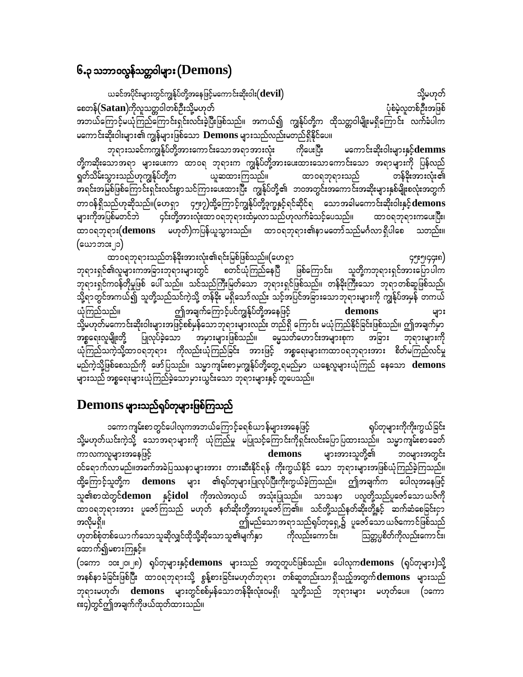## ၆.၃ သဘာဝလွန်သတ္တဝါများ $(\mathbf{Demos})$

ယခင်အပိုင်းများတွင်ကျွန်ုပ်တို့အနေဖြင့်မကောင်းဆိုးဝါး $(\operatorname{\mathbf{devil}})$ သို့မဟုတ် စေတန် $(Satan)$ ကိုလူသတ္တဝါတစ်ဦးသို့မဟုတ် ပုံစံမဲ့လူတစ်ဦးအဖြစ် အဘယ်ကြောင့်မယုံကြည်ကြောင်းရှင်းလင်းခဲ့ပြီးဖြစ်သည်။ အကယ်၍ ကျွန်ုပ်တို့က ထိုသတ္တဝါမျိုးမရှိကြောင်း လက်ခံပါက မကောင်းဆိုးဝါးများ၏ ကျွန်များဖြစ်သော  $\bf{Demos}$  များသည်လည်းမတည်ရှိနိုင်ပေ။

ဘုရားသခင်ကကျွန်ုပ်တို့အားကောင်းသောအရာအားလုံး ကိုပေးပြီး မကောင်းဆိုးဝါးများနှင့်**demms** တို့ကဆိုးသောအရာ များပေးကာ ထာ၀ရ ဘုရားက ကျွန်ုပ်တို့အားပေးထားသောကောင်းသော အရာများကို ပြန်လည် ရှတ်သိမ်းသွားသည်ဟုကျွန်ုပ်တို့က ယူဆထားကြသည်။ ထာဝရဘုရားသည် တန်ခိုးအားလုံး၏ အရင်းအမြစ်ဖြစ်ကြောင်းရှင်းလင်းစွာသင်ကြားပေးထားပြီး ကျွန်ုပ်တို့၏ ဘဝအတွင်းအကောင်းအဆိုးများနှစ်မျိုးစလုံးအတွက် တာဝန်ရှိသည်ဟုဆိုသည်။(ဟေရှာ ၄၅း၇)ထို့ကြောင့်ကျွန်ုပ်တို့ဒုက္ခနှင့်ရင်ဆိုင်ရ သောအခါမကောင်းဆိုးဝါးနှင့် ${\bf demons}$ ၄င်းတို့အားလုံးထာဝရဘုရားထံမှလာသည်ဟုလက်ခံသင့်ပေသည်။ ထာဝရဘုရားကပေးပြီး၊ များကိုအပြစ်မတင်ဘဲ ထာဝရဘုရား $(\text{demons}-$ မဟုတ်)ကပြန်ယူသွားသည်။ ထာဝရဘုရား၏နာမတော်သည်မင်္ဂလာရှိပါစေ သတည်း။ (ယောဘ**း** ျာ)

ထာဝရဘုရားသည်တန်ခိုးအားလုံး၏ရင်းမြစ်ဖြစ်သည်။(ဟေရှာ ၄၅း၅၊၄၄း၈) ဘုရားရှင်၏လူများကအခြားဘုရားများတွင် စတင်ယုံကြည်နေပြီ ဖြစ်ကြောင်း၊ သူတို့ကဘုရားရှင်အားပြောပါက ာရားရှင်ကဝန်တိုမှုဖြစ် ပေါ် သည်။ သင်သည်ကြီးမြတ်သော ဘုရားရှင်ဖြစ်သည်။ တန်ခိုးကြီးသော ဘုရာတစ်ဆူဖြစ်သည်၊ သို့ရာတွင်အကယ်၍ သူတို့သည်သင်ကဲ့သို့ တန်ခိုး မရှိသော်လည်း သင့်အပြင်အခြားသောဘုရားများကို ကျွန်ုပ်အမှန် တကယ် ဤအချက်ကြောင့်ပင်ကျွန်ုပ်တို့အနေဖြင့် ယုံကြည်သည်။ demons များ သို့မဟုတ်မကောင်းဆိုးဝါးများအဖြင့်စစ်မှန်သောဘုရားများလည်း တည်ရှိ ကြောင်း မယုံကြည်နိုင်ခြင်းဖြစ်သည်။ ဤအချက်မှာ ပြုလုပ်ခဲ့သော အမှားများဖြစ်သည်။ ဓမ္မသတ်ဟောင်းအများစုက အခြား ဘုရားများကို အစ္စရေးလူမျိုးတို့ ယုံကြည်သကဲ့သို့ထာဝရဘုရား ကိုလည်းယုံကြည်ခြင်း အားဖြင့် အစ္စရေးများကထာဝရဘုရားအား စိတ်မကြည်လင်မှု မည်ကဲ့သို့ဖြစ်စေသည်ကို ဖော်ပြသည်။ သမ္မာကျမ်းစာမှကျွန်ုပ်တို့တွေ့ရမည်မှာ ယနေ့လူများယုံကြည် နေသော demons များသည် အစ္စရေးများယုံကြည်ခဲ့သောမှားယွင်းသော ဘုရားများနှင့် တူပေသည်။

## ${\bf Demos}$  များသည်ရုပ်တုများဖြစ်ကြသည်

၁ကော ကျမ်းစာ တွင်ပေါလုကအဘယ်ကြောင့်ခရစ်ယာ န်များအနေဖြင့် ရုပ်တုများကိုကိုးကွယ်ခြင်း သို့မဟုတ်ယင်းကဲ့သို့ သောအရာများကို ယုံကြည်မှု မပြုသင့်ကြောင်းကိုရှင်းလင်းပြောပြထားသည်။ သမ္မာကျမ်းစာခေတ် ကာလကလူများအနေဖြင့် demons များအားသူတို့၏ သဝများအတွင်း ဝင်ရောက်လာမည်။အခက်အခဲပြဿနာများအား တားဆီးနိုင်ရန် ကိုးကွယ်နိုင် သော ဘုရားများအဖြစ်ယုံကြည်ခဲ့ကြသည်။ ထို့ကြောင့်သူတို့က demons များ ၏ရုပ်တုများပြုလုပ်ပြီးကိုးကွယ်ခဲ့ကြသည်။ ဤအချက်က ပေါလုအနေဖြင့် သူ၏စာထဲတွင်**demon နှင့်idol** ကိုအလဲအလုယ် အသုံးပြုသည်။ သာသနာ ပလူတို့သည်ပူဇော်သောယဇ်ကို ထာဝရဘုရားအား ပူဇော်ကြသည် မဟုတ် နတ်ဆိုးတို့အားပူဇော်ကြ၏။ သင်တို့သည်နတ်ဆိုးတို့နှင့် ဆက်ဆံစေခြင်းငှာ ဤမည်သော အရာသည်ရုပ်တုရှေ့၌ ပူဇော်သော ယဇ်ကောင်ဖြစ်သည် အလိုမရှိ။ ကိုလည်းကောင်း၊ ဟုတစ်စုံတစ်ယောက်သောသူဆိုလျှင်ထိုသို့ဆိုသောသူ၏မျက်နှာ သြတ္တပ္ပစိတ်ကိုလည်းကောင်း၊ ထောက်၍မစားကြနှင့်။

(၁ကော ၁၀း၂၀၊၂၈) ရုပ်တုများနှင့်demons များသည် အတူတူပင်ဖြစ်သည်။ ပေါလုကdemons (ရုပ်တုများ)သို့ အနစ်နာခံခြင်းဖြစ်ပြီး ထာဝရဘုရားသို့ စွန့်စားခြင်းမဟုတ်ဘုရား တစ်ဆူတည်းသာရှိသည့်အတွက် $\mathbf d$ emons များသည် ဘုရားမဟုတ်၊ **demons** များတွင်စစ်မှန်သောတန်ခိုးလုံးဝမရှိ၊ သူတို့သည် ဘုရားများ မဟုတ်ပေ။ (၁ကော ၈း၄)တွင်ဤအချက်ကိုဖယ်ထုတ်ထားသည်။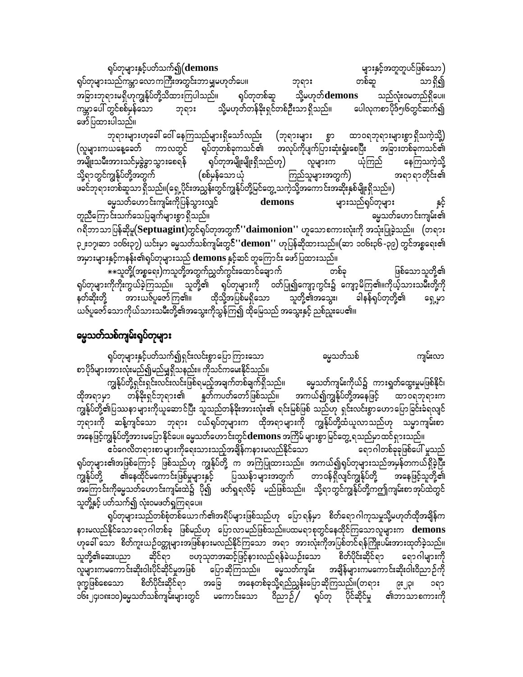ရုပ်တုများနှင့်ပတ်သက်၍(demons များနှင့်အတူတူပင်ဖြစ်သော) ရုပ်တုများသည်ကမ္ဘာ လောကကြီးအတွင်းဘာမျှမဟုတ်ပေ။ တစ်ဆူ သာရှိ၍ ဘုရား အခြားဘုရားမရှိဟုကျွန်ုပ်တို့သိထားကြပါသည်။ ရုပ်တုတစ်ဆူ သို့မဟုတ်**demons** သည်လုံးဝမတည်ရှိပေ။ ဘုရား မြို့မဟုတ်တန်ခိုးရှင်တစ်ဦးသာ ရှိသည်။ ကမ္ဘာပေါ် တွင်စစ်မှန်သော ပေါလုကစာပိုဒ်၅၊၆တွင်ဆက်၍ ဖော်ပြထားပါသည်။

ဘုရားများဟုခေါ် ဝေါ် နေကြသည်များရှိသော်လည်း (ဘုရားများ စွာ ထာဝရဘုရားများစွာရှိသကဲ့သို့) (လူများကယနေ့ခေတ် ကာလတွင် ရုပ်တုတစ်ခုကသင်၏ အလုပ်ကိုပျက်ပြားဆုံးရုံးစေပြီး အခြားတစ်ခုကသင်၏ အမျိုးသမီးအားသင်မှခွဲခွာသွားစေရန် ရုပ်တုအမျိုးမျိုးရှိသည်ဟု) လူများက ယုံကြည် နေကြသကဲ့သို့ သို့ရာတွင်ကျွန်ုပ်တို့အတွက် အရာ ရာတိုင်း၏ (စစ်မှန်သော ယုံ ကြည်သူများအတွက်) ဖခင်ဘုရားတစ်ဆူသာ ရှိသည်။(ရှေ့ပိုင်းအညွှန်းတွင်ကျွန်ုပ်တို့မြင်တွေ့သကဲ့သို့အကောင်းအဆိုးနှစ်မျိုးရှိသည်။) ဓမ္မသတ်ဟောင်းကျမ်းကိုပြန်သွားလျှင် demons များသည်ရုပ်တုများ တူညီကြောင်းသက်သေပြချက်များစွာ ရှိသည်။ မွေသတ်ဟောင်းကျမ်း၏

ားသြား<br>ဂရိဘာသာပြန်ဆိုမူ(Septuagint)တွင်ရပ်တုအတွက်''daimonion'' ဟူသောစကားလုံးကို အသုံးပြုခဲ့သည်။ (တရား ၃ ႏ၁၇၊ဆာ ၁၀၆း၃၇) ယင်းမှာ ဓမ္မသတ်သစ်ကျမ်းတွင်''demon'' ဟုပြန်ဆိုထားသည်။(ဆာ ၁၀၆း၃၆-၃၉) တွင်အစ္စရေး၏ အမှားများနှင့်ကနန်း၏ရုပ်တုများသည် demons နှင့်ဆင် တူကြောင်း ဖော်ပြထားသည်။

\*\*သူတို့(အစ္စရေး)ကသူတို့အတွက်ညွှတ်ကွင်းထောင်ချောက် တစ်ခု ဖြစ်သောသူတို့၏ ရုပ်တုများကိုကိုးကွယ်ခဲ့ကြသည်။ သူတို့၏ ရုပ်တုများကို ဝတ်ပြု၍ကျော့ကွင်း၌ ကျော့မိကြ၏။ကိုယ့်သားသမီးတို့ကို နတ်ဆိုးတို့ အားယဇ်ပူဇော်ကြ၏။ ထိုသို့အပြစ်မရှိသော သူတို့၏အသွေး၊ ခါနန်ရှပ်တုတို့၏ ရှေ့မှာ ယဇ်ပူဇော်သောကိုယ်သားသမီးတို့၏အသွေးကိုသွန်ကြ၍ ထိုမြေသည် အသွေးနှင့် ညစ်ညူးပေ၏။

#### မွေသတ်သစ်ကျမ်းရုပ်တုများ

ရုပ်တုများနှင့်ပတ်သက်၍ရှင်းလင်းစွာပြောကြားသော ကျမ်းလာ ဓမ္မသတ်သစ် စာပိုဒ်များအားလုံးမည်၍မည်မျှရှိသနည်း။ ကိုသင်ကမေးနိုင်သည်။

ကျွန်ုပ်တို့ရှင်းရှင်းလင်းလင်းဖြစ်ရမည့်အချက်တစ်ချက်ရှိသည်။ မ္မေသတ်ကျမ်းကိုယ်၌ ကားရှတ်ထွေးမှုမဖြစ်နိုင်၊ ထိုအရာမှာ တန်ခိုးရှင်ဘုရား၏ နူတ်ကပတ်တော်ဖြစ်သည်။ အကယ်၍ကျွန်ုပ်တို့အနေဖြင့် ထာဝရဘုရားက ကျွန်ုပ်တို့၏ပြဿနာများကိုယူဆောင်ပြီး သူသည်တန်ခိုးအားလုံး၏ ရင်းမြစ်ဖြစ် သည်ဟု ရှင်းလင်းစွာဟောပြောခြင်းခံရလျင် ဘုရားကို ဆန့်ကျင်သော ဘုရား ငယ်ရှပ်တုများက ထိုအရာများကို ကျွန်ုပ်တို့ထံယူလာသည်ဟု သမ္မာကျမ်းစာ အနေဖြင့်ကျွန်ုပ်တို့အားမပြောနိုင်ပေ။ မွေသတ်ဟောင်းတွင်**demons** အကြိမ် များစွာ မြင်တွေ့ ရသည်မှာထင်ရှားသည်။

ရပ်တုများ၏အဖြစ်ကြောင့် ဖြစ်သည်ဟု ကျွန်ုပ်တို့ က အကြံပြုထားသည်။ အကယ်၍ရုပ်တုများသည်အမှန်တကယ်ရှိခဲ့ပြီး ၏နေထိုင်မကောင်းဖြစ်မှုများနှင့် ပြဿန်ာများအတွက် တာဝန်ရှိလျင်ကျွန်ုပ်တို့ အနေဖြင့်သူတို့၏ ကျွန်ုပ်တို့ အကြောင်းကိုမ္မေသတ်ဟောင်းကျမ်းထဲ၌ ပို၍ ဖတ်ရှုရလိမ့် မည်ဖြစ်သည်။ သို့ရာတွင်ကျွန်ုပ်တို့ကဤကျမ်းစာအုပ်ထဲတွင် သူတို့နှင့် ပတ်သက်၍ လုံးဝမဖတ်ရှကြရပေ။

ရုပ်တုများသည်တစ်စုံတစ်ယောက်၏အရိပ်များဖြစ်သည်ဟု ပြောရန်မှာ စိတ်ရောဂါကုသမှုသို့မဟုတ်ထိုအချိန်က နားမလည်နိုင်သောရောဂါတစ်ခု ဖြစ်မည်ဟု ပြောလာမည်ဖြစ်သည်။ပထမရာစုတွင်နေထိုင်ကြသောလူများက demons ဟုခေါ် သော စိတ်ကူးယဉ်ဝတ္တုများအဖြစ်နားမလည်နိုင်ကြသော အရာ အားလုံးကိုအပြစ်တင်ရန်ကြိုးပမ်းအားထုတ်ခဲ့သည်။ ဆိုင်ရာ ဗဟုသုတအဆင့်ဖြင့်နားလည်ရန်ခဲယဉ်းသော စိတ်ပိုင်းဆိုင်ရာ သူတို့၏ဆေးပညာ ရောဂါများကို ္ကာ<br>လူများကမကောင်းဆိုးဝါးပိုင်ဆိုင်မှုအဖြစ် ပြောဆိုကြသည်။ ဓမ္မသတ်ကျမ်း အချိန်များကမကောင်းဆိုးဝါးဝိညာဉ်ကို<br>ဒုက္ခဖြစ်စေသော စိတ်ပိုင်းဆိုင်ရာ အခြေ အနေတစ်ခုသို့ရည်ညွှန်းပြောဆိုကြသည်။(တရား ၉း၂၃၊ ၁ရာ ာ၆း၂၄၊၁၈း၁၀)မွေသတ်သစ်ကျမ်းများတွင် မကောင်းသော ဝိညာဉ် ှရုပ်တု ပိုင်ဆိုင်မှု ၏ဘာသာစကားကို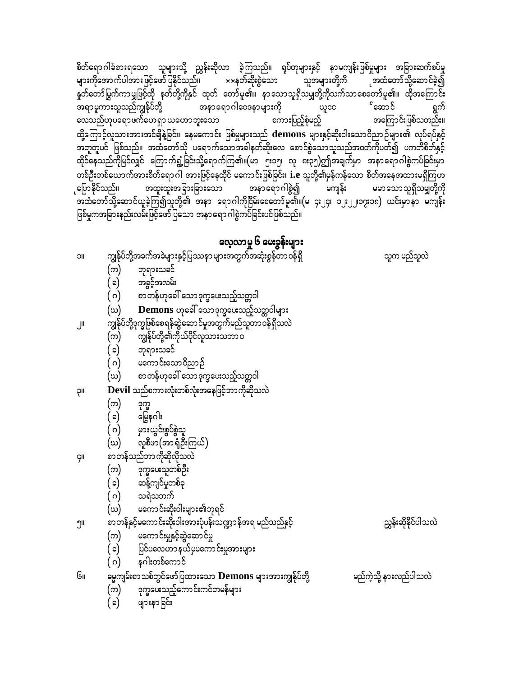စိတ်ရောဂါခံစားရသော သူများသို့ ညွှန်းဆိုလာ ခဲ့ကြသည်။ ရုပ်တုများနှင့် နာမကျန်းဖြစ်မှုများ အခြားဆက်စပ်မှု များကိုအောက်ပါအားဖြင့်ဖော်ပြနိုင်သည်။ \*\*နတ်ဆိုးစွဲသော သူအများတို့ကိ ုအထံတော်သို့ဆောင်ခဲ့၍ နှုတ်တော်မြွက်ကာမျှဖြင့်ထို နတ်တို့ကိုနှင် ထုတ် တော်မူ၏။ နာသောသူရှိသမျှတို့ကိုသက်သာစေတော်မူ၏။ ထိုအကြောင်း အနာရောဂါဝေဒနာများကို ်ဆောင် အရာမူကားသူသည်ကျွန်ုပ်တို့ ရွက် ယူငင စကားပြည့်စုံမည့် အကြောင်းဖြစ်သတည်း။ လေသည်ဟုပရောဖက်ဟေရှာ ယဟောဘူးသော ထို့ကြောင့်လူသားအားအင်ချိနဲ့ခြင်း၊ နေမကောင်း ဖြစ်မှုများသည်  $\,$  demons များနှင့်ဆိုးဝါးသောဝိညာဉ်များ၏ လုပ်ရပ်နှင့် အတူတူပင် ဖြစ်သည်။ အထံတော်သို ပရောက်သောအခါနတ်ဆိုးလေ စောင်စွဲသောသူသည်အဝတ်ကိုပတ်၍ ပကတိစိတ်နှင့် .<br>ထိုင်နေသည်ကိုမြင်လျှင် ကြောက်ရွံ့ခြင်းသို့ရောက်ကြ၏။(မာ ၅း၁၅၊ လု ၈း၃၅)ဤအချက်မှာ အနာရောဂါစွဲကပ်ခြင်းမှာ တစ်ဦးတစ်ယောက်အားစိတ်ရောဂါ အားဖြင့်နေထိုင် မကောင်းဖြစ်ခြင်း၊ **i.**e သူတို့၏မှန်ကန်သော စိတ်အနေအထားမရှိကြဟ ုပြောနိုင်သည်။ အနာရောဂါစွဲ၍ အထူးထူးအခြားခြားသော မကျန်း ့ မမာသောသူရှိသမျှတို့ကို .<br>အထံတော်သို့ဆောင်ယူခဲ့ကြ၍သူတို့၏ အနာ ရောဂါကိုငြိမ်းစေတော်မူ၏။(မ ၄း၂၄၊ ၁၂း၂၂၊၁၇း၁၈) ယင်းမှာနာ မကျန်း .<br>ဖြစ်မှုကအခြားနည်းလမ်းဖြင့်ဖော်ပြသော အနာရောဂါစွဲကပ်ခြင်းပင်ဖြစ်သည်။

#### လေ့လာမှု ၆ မေးခွန်းများ

ကျွန်ုပ်တို့အခက်အခဲများနှင့်ပြဿနာများအတွက်အဆုံးစွန်တာဝန်ရှိ သူက မည်သူလဲ **IIC** ဘုရားသခင် (က) အခွင့်အလမ်း ( ၁) စာတန်ဟုခေါ် သောဒုက္ခပေးသည့်သတ္တဝါ ( ဂ) Demons ဟုခေါ် သောဒုက္ခပေးသည့်သတ္တဝါများ (ဃ) ကျွန်ုပ်တို့ဒုက္ခဖြစ်စေရန်ဆွဲဆောင်မှုအတွက်မည်သူတာဝန်ရှိသလဲ اال ကျွန်ုပ်တို့၏ကိုယ်ပိုင်လူသားသဘာဝ (က) (၁) ဘုရားသခင် မကောင်းသောဝိညာဉ် ( ဂ) စာတန်ဟုခေါ် သောဒုက္ခပေးသည့်သတ္တဝါ (ယ)  $\bf{Devil}$  သည်စကားလုံးတစ်လုံးအနေဖြင့်ဘာကိုဆိုသလဲ **II**Ç (က) ဒုက္ခ ( ၁) မြွေနဂါး ( ဂ) မှားယွင်းစွပ်စွဲသူ လူစီဖာ(အာရံုဦးကြယ်) (ဃ) စာတန်သည်ဘာကိုဆိုလိုသလဲ ÇII ဒုက္ခပေးသူတစ်ဦး (က) ဆန့်ကျင်မှုတစ်ခု  $(\circ)$ ( ဂ) သရဲသဘကဲ မကောင်းဆိုးဝါးများ၏ဘုရင် (ယ) .<br>စာတန်နှင့်မကောင်းဆိုးဝါးအားပုံပန်းသဏ္ဍာန်အရ မည်သည်နှင့် ညွှန်းဆိုနိုင်ပါသလဲ ၅။ မကောင်းမှုနှင့်ဆွဲဆောင်မှု (က) ပြင်ပလေဟာ နယ်မှမကောင်းမှုအားများ (၁) နဂါးတစ်ကောင် ( ဂ) မ္မေကျမ်းစာသစ်တွင်ဖော်ပြထားသော **Demons** များအားကျွန်ုပ်တို့ မည်ကဲ့သို့ နားလည်ပါသလဲ Gıı ဒုက္ခပေးသည့်ကောင်းကင်တမန်များ (က) ဖျားနာခြင်း  $(c)$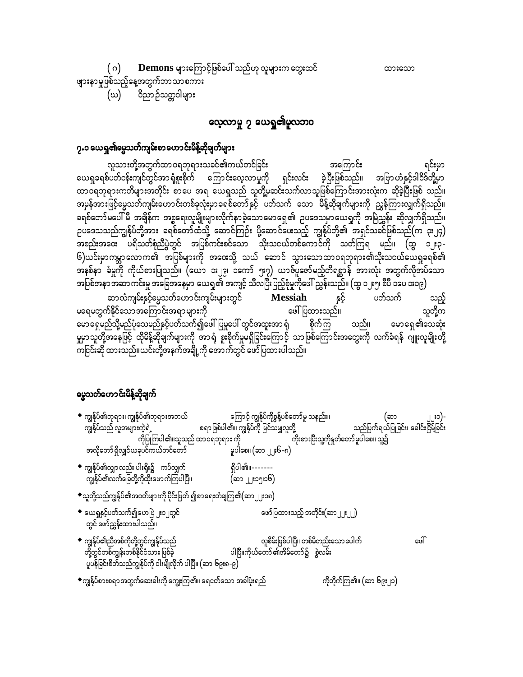$max: 200$ 

Demons များကြောင့်ဖြစ်ပေါ် သည်ဟု လူများက တွေးထင် ( ဂ)

ဖျားနာမှုဖြစ်သည့်နေ့အတွက်ဘာသာစကား (ဃ) ဝိညာဉ်သတ္တဝါများ

#### လေ့လာမှု ၇ ယေရှု၏မူလဘဝ

#### ၇.၁ ယေရှု၏မ္ဗေသတ်ကျမ်းစာဟောင်းမိန့်ဆိုချက်များ

လူသားတို့အတွက်ထာဝရဘုရားသခင်၏ကယ်တင်ခြင်း အကြောင်း ရင်းမှာ ယေရှုခရစ်ပတ်ဝန်းကျင်တွင်အာရုံစူးစိုက် ကြောင်းလေ့လာမှုကို ရှင်းလင်း ခဲ့ပြီးဖြစ်သည်။ အဗြာ*ပ*ာံနှင့်ဒါဝိဒ်တို့မှာ အမှန်အားဖြင့်မွေ့သတ်ကျမ်းဟောင်းတစ်ခုလုံးမှာခရစ်တော်နှင့် ပတ်သက် သော မိန့်ဆိုချက်များကို ညွှန်ကြားလျှက်ရှိသည်။ ခရစ်တော်မပေါ် မီ အချိန်က အစ္စရေးလူမျိုးများလိုက်နာခဲ့သောမောရှေ၏ ဥပဒေသမှာယေရှကို အမြဲညွှန်း ဆိုလျှက်ရှိသည်။ ဉပဒေသသည်ကျွန်ုပ်တို့ဘား ခရစ်တော်ထံသို့ ဆောင်ကြဉ်း ပို့ဆောင်ပေးသည့် ကျွန်ုပ်တို့၏ အရှင်သခင်ဖြစ်သည်(က ၃း၂၄) အစည်းအဝေး ပရိသတ်စုံညီပွဲတွင် အပြစ်ကင်းစင်သော သိုးသငယ်တစ်ကောင်ကို သတ်ကြရ မည်။ (ထွ ၁၂း၃-၆)ယင်းမှာကမ္ဘာလောက၏ အပြစ်များကို အ၀ေးသို့ သယ် ဆောင် သွားသောထာ၀ရဘုရား၏သိုးသငယ်ယေရှုခရစ်၏ .<br>အနစ်နာ ခံမှုကို ကိုယ်စားပြုသည်။ (ယော ၁း၂၉၊ ၁ကော် ၅း၇) ယာဇ်ပူဇော်မည့်တိရစ္ဆာန် အားလုံး အတွက်လိုအပ်သော အပြစ်အနာအဆာကင်းမှု အခြေအနေမှာ ယေရှု၏ အကျင့် သီလပြီးပြည့်စုံမှုကိုဖေါ် ညွှန်းသည်။ (ထွ ၁၂း၅၊ စီပီ ၁ပေ ၁း၁၉)

ဆာလံကျမ်းနှင့်မွေသတ်ဟောင်းကျမ်းများတွင် **Messiah** ပတ်သက် နှင့် သည့် သူတို့က မရေမတွက်နိုင်သော အကြောင်းအရာ များကို ဖေါ်ပြထားသည်။ မောရှေမည်သို့မည်ပုံသေမည်နှင့်ပတ်သက်၍ဖေါ်ပြမှုပေါ် တွင်အထူးအာ ရုံ မောရှေ၏သေဆုံး စိုက်ကြ သည်။ မှုမှာသူတို့အနေဖြင့် ထိုမိန့်ဆိုချက်များကို အာရံု စူးစိုက်မှုမရှိခြင်းကြောင့် သာဖြစ်ကြောင်းအတွေးကို လက်ခံရန် ဂျူးလူမျိုးတို့ ာ<br>ကြင်င်းဆို ထားသည်။ယင်းတို့အနက်အချို့ကို အောက်တွင် ဖော်ပြထားပါသည်။

#### မွေသတ်ဟောင်းမိန့်ဆိုချက်

- ကြောင့် ကျွန်ုပ်ကိုစွန့်ပစ်တော်မူ သနည်း။  $\bullet$  ကျွန်ုပ်၏ဘုရား၊ ကျွန်ုပ်၏ဘုရားအဘယ် (ဆာ ၂၂း၁)-စရာဖြစ်ပါ၏။ ကျွန်ုပ်ကို မြင်သမျှလူတို့ သည်ပြက်ရယ်ပြုခြင်း၊ ခေါင်းငြိမ့်ခြင်း ကျွန်ုပ်သည် လူအများကဲ့ရဲ့ ကိုပြုကြပါ၏။သူသည် ထာဝရဘုရား ကို ကိုးစားပြီးသူ့ကိုနှတ်တော်မူပါစေ။ သူ့၌ အလိုတော်ရှိလျှင်ယခုပင်ကယ်တင်တော် မူပါစေ။ (ဆာ ၂၂း၆-၈)
- $\bullet$  ကျွန်ုပ်၏လျှာလည်း ပါးရိုး၌ ကပ်လျှက် ရှိပါ၏။-------ကျွန်ုပ်၏လက်ခြေတို့ကိုထိုးဖောက်ကြပါပြီ။ (ဆာ ၂၂း၁၅၊၁၆)
- $\bullet$ သူတို့သည်ကျွန်ုပ်၏အဝတ်များကို ပိုင်းဖြတ် ၍စာရေးတံချကြ၏ $(\texttt{\small anj.}|\texttt{son})$
- $\bullet$  ယေရှုနှင့်ပတ်သက်၍ဟေဗြဲ ၂း၁၂တွင် ဖော်ပြထားသည့် အတိုင်း(ဆာ၂၂း၂၂) တွင် ဖော်ညွှန်းထားပါသည်။
- $\bullet$  ကျွန်ုပ်၏ညီအစ်ကိုတို့တွင်ကျွန်ုပ်သည် လူစိမ်းဖြစ်ပါပြီ။ တစ်မိတည်းသော ပေါက် cuT ပါပြီ။ကိုယ်တော်၏အိမ်တော်၌ စွဲလမ်း တို့တွင်တစ်ကျွန်းတစ်နိုင်ငံသား ဖြစ်ခဲ့ ပူပန်ခြင်းစိတ်သည်ကျွန်ုပ်ကို ဝါးမျိုလိုက် ပါပြီ။ (ဆာ ၆၉း၈-၉)

 $\bullet$ ကျွန်ုပ်စားစရာအတွက်ဆေးခါးကို ကျွေးကြ၏။ ရေငတ်သော အခါပုံးရည် ကိုတိုက်ကြ၏။ (ဆာ ၆၉း၂၁)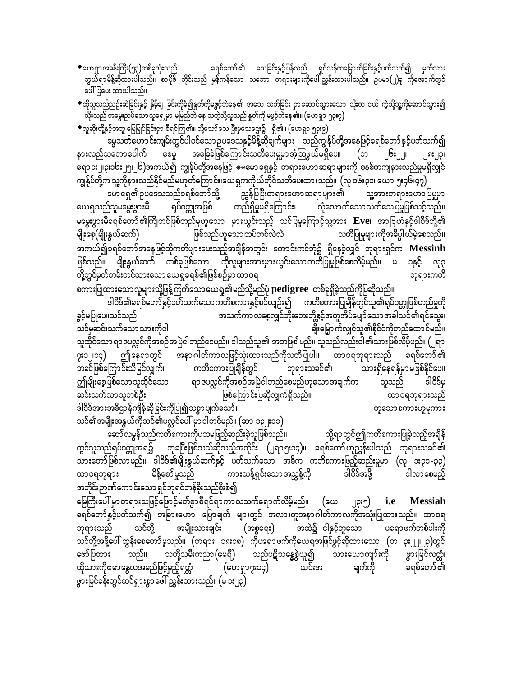◆ဟေရှာအခန်းကြီး(၅၃)တစ်ခုလုံးသည် ခရစ်တော် ၏ သေခြင်းနှင့်ပြန်လည် ရှင်သန်ထမြောက်ခြင်းနှင့်ပတ်သက်၍ မှတ်သား ဘွယ်ရာမိန့်ဆိုထားပါသည်။ စာပိုဒ် တိုင်းသည် မှန်ကန်သော သဘော တရားများကိုဖေါ်ညွှန်းထားပါသည်။ ဥပမာ(၂)ခု ကိုအောက်တွင် ဖေါ်ပြပေး ထားပါသည်။

 $\bullet$ ထိုသူသည်ညဉ်းဆဲခြင်းနှင့် နှိမ့်ချ ခြင်းကိုခံ၍နူတ်ကိုမဖွင့်ဘဲနေ၏ အသေ သတ်ခြင်း ငှာဆောင်သွားသော သိုးလ ငယ် ကဲ့သို့သူ့ကိုဆောင်သွား၍ သိုးသည် အမွေးညှပ်သောသူရှေ့မှာ မမြည်ဘဲ နေ သကဲ့သို့သူသည် နှုတ်ကို မဖွင့်ဘဲနေ၏။ (ဟေရှာ ၅၃း၇)

 $\bullet$ လူဆိုးတို့နှင့်အတူ မြေမြုပ်ခြင်းငှာ စီရင်ကြ၏။ သို့သော်သေ ပြီးမှသေဌေး၌  $\,$  ရှိ၏။ (ဟေရှာ ၅၃း၉)

ဓမ္မသတ်ဟောင်းကျမ်းတွင်ပါဝင်သော ဉပဒေသနှင့်မိန့်ဆိုချက်များ သည်ကျွန်ုပ်တို့အနေဖြင့်ခရစ်တော် နှင့်ပတ်သက်၍ အခြေခံဖြစ်ကြောင်းသတိပေးမှုမှာအံ့သြဖွယ်မရှိပေ။ (တ နားလည်သဘောပေါက် င္ဝပ္မ ၂၆: ၂၂ ⊥ ျပး ပြ၊ ရောၥး၂၂၃၊၁၆း၂၅၊၂၆)အကယ်၍ ကျွန်ုပ်တို့အနေဖြင့်  $\ast\ast$ မောရှေနှင့် တရားဟောဆရာများကို စနစ်တကျနားလည်မှုမရှိလျှင် ကျွန်ုပ်တို့က သူ့ကိုနားလည်နိုင်မည်မဟုတ်ကြောင်း၊ယေရှုကကိုယ်တိုင်သတိပေးထားသည်။ (လု ၁၆း၃၁၊ ယော ၅း၄၆၊၄၇)

မောရှေ၏ဉပဒေသသည်ခရစ်တော်သို့ ညွှန်ပြပြီးတရားဟောဆရာများ၏ သူ့အားတရားဟောပြမှုမှာ ယေရှသည်သူမမွေးဖွားမီ တည်ရှိမှုမရှိကြောင်း၊ ရုပ်ဝတ္ထုအဖြစ် လုံလောက်သောသက်သေပြမှုဖြစ်သင့်သည်။ မမွေးဖွားမီခရစ်တော် ၏ကြိုတင်ဖြစ်တည်မှုဟူသော မှားယွင်းသည့် သင်ပြမှုကြောင့်သူ့အား Eve၊ အာဗြဟံနှင့်ဒါဝိဒ်တို့၏ ဖြစ်သည်ဟူသောထပ်တစ်လဲလဲ မျိုးစေ့(မျိုးနွယ်ဆက်) သတိပြုမှုများကိုအဓိပ္ပါယ်မဲ့စေသည်။ အကယ်၍ခရစ်တော်အနေဖြင့်ထိုကတိများပေးသည့်အချိန်အတွင်း ကောင်းကင်ဘုံ၌ ရှိနေခဲ့လျှင် ဘုရားရှင်က  $\bf{M}$ essin $\bf{h}$ ဖြစ်သည်။ မျိုးနွယ်ဆက် တစ်ခုဖြစ်သော ထိုလူများအားမှားယွင်းသောကတိပြုမှုဖြစ်စေလိမ့်မည်။ မ ၁နှင့် လု၃ တို့တွင်မှတ်တမ်းတင်ထားသော ယေရှုခရစ်၏ဖြစ်စဉ်မှာ ထာဝရ ဘုရားကတိ

စကားပြုထားသောလူများသို့ဖြန့်ကြက်သောယေရှု၏မည်သို့မည်ပုံ  $\mathbf p$ edigree တစ်ခုရှိခဲ့သည်ကိုပြဆိုသည်။ ခွင့်မပြုပေ။သင်သည် အသက်ကာလစေ့လျှင်ဘိုးဘေးတို့နှင့်အတူအိပ်ပျော်သောအခါသင်၏ရင်သွေး၊ ချီးမြှောက်လျှင်သူ၏နိုင်ငံကိုတည်ထောင်မည်။ သင်မှဆင်းသက်သောသားကိုငါ သူထိုင်သော ရာဇပလ္လင်ကိုအစဉ်အမြဲငါတည်စေမည်။ ငါသည်သူ၏ အဘဖြစ် မည်။ သူသည်လည်းငါ၏သားဖြစ်လိမ့်မည်။ (၂ရာ အနာဂါတ်ကာလဖြင့်သုံးထားသည်ကိုသတိပြုပါ။ ထာဝရဘုရားသည် ခရစ်တော်၏ ၇း၁၂၊၁၄) ဤနေရာတွင် ဘုရားသခင်၏ ဘခင်ဖြစ်ကြောင်းသိမြင်လျှက်၊ ကတိစကားပြုချိန်တွင် သားရှိနေရန်မှာမဖြစ်နိုင်ပေ။ ဤမျိုးစေ့ဖြစ်သောသူထိုင်သော ရာ ဇပလ္လင်ကိုအစဉ်အမြဲငါတည်စေမည်ဟုသော အချက်က ၁၂၀၉၈ သူသည် ဆင်းသက်လာသူတစ်ဦး ဖြစ်ကြောင်းပြဆိုလျှက်ရှိသည်။ ထာဝရဘုရားသည် ဒါဝိဒ်အားအဓိဌာန်ကျိန်ဆိုခြင်းကိုပြု၍သစ္စာပျက်သော်၊ တူသောစကားဟူမူကား

သင်၏အမျိုးအနွယ်ကိုသင်၏ပလ္လင်ပေါ် မှာငါတင်မည်။ (ဆာ ၁၃၂း၁၁) ဆော်လမွန်သည်ကတိစကားကိုပထမဖြည့်ဆည်းခဲ့သူဖြစ်သည်။

သို့ရာတွင်ဤကတိစကားပြုခဲ့သည့်အချိန် တွင်သူသည်ရုပ်ဝတ္တုအရ၌ ကုခပြီးဖြစ်သည်ဆိုသည့်အတိုင်း (၂ရာ၅း၁၄)။ ခရစ်တော်ဟုညွှန်းပါသည် ဘုရားသခင်၏ သားတော်ဖြစ်လာမည်။ ဒါဝိဒ်၏မျိုးနွယ်ဆက်နှင့် ပတ်သက်သော အဓိက ကတိစကားဖြည့်ဆည်းမှုမှာ (လု ၁း၃၁-၃၃) ၁၂၀ွဥသဖို့ မိန့်စော်မူသည် ငါလာစေမည့် ကားသန့်ရှင်းသောအညွန့်ကို ထာဝရဘုရား အတိုင်းဉာဏ်ကောင်းသော ရှင်ဘုရင်တန်ခိုးသည်စိုးစံ၍

မြေကြီးပေါ် မှာတရားသဖြင့်ဖြောင့်မတ်စွာစီရင်ရာကာလသက်ရောက်လိမ့်မည်။ (ယေ  $\left[\mathfrak{P}^{\mathfrak{s}}\right]$  i.e Messiah ခရစ်တော်နှင့်ပတ်သက်၍ အခြားဟော ပြောချက် များတွင် အလားတူအနာဂါတ်ကာလကိုအသုံးပြုထားသည်။ ထာဝရ သင်တို့ ဘုရားသည် အမျိုးသားချင်း (အစ္စရေး) အထဲ၌ ငါနှင့်တူသော ပရောဖက်တစ်ပါးကို သင်တို့အဖို့ပေါ် ထွန်းစေတော်မူသည်။ (တရား ၁၈း၁၈) ကိုပရောဖက်ကိုယေရှုအဖြစ်ဖွင့်ဆိုထားသော (တ ၃း၂၂၊၂၃)တွင် သည်ပဋိသန္ဓေစွဲယူ၍ သည်။ သတို့သမီးကညာ(မေရီ) ဖော်ပြထား သားယောကျာ်းကို ဖွားမြင်လတ္တံ၊ ထိုသားကိုဧမာနွေလအမည်ဖြင့်မှည့်ရတ္တံ ချက်ကို ခရစ်တော် ၏ (ဟေရှာ၇း၁၄) ယင်းအ ဖွားမြင်ခန်းတွင်ထင်ရှားစွာဖေါ်ညွှန်းထားသည်။ (မ ၁း၂၃)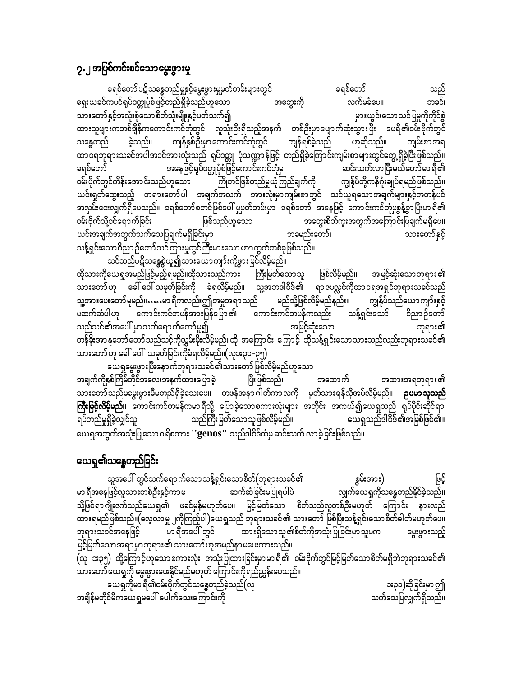### ၇.၂အပြစ်ကင်းစင်သောမွေးဖွားမှု

ခရစ်တော်ပဋိသန္ဓေတည်မှုနှင့်မွေးဖွားမှုမတ်တမ်းများတွင် ခရစ်တော် သည် ရေးယခင်ကပင်ရပ်ဝတ္တုပုံစံဖြင့်တည်ရှိခဲ့သည်ဟူသော အတွေးကို လက်မခံပေ။ ဘခင်၊ သားတော်နှင့်အလုံးစုံသောစိတ်သုံးမျိုးနှင့်ပတ်သက်၍ မှားယွင်းသောသင်ပြမှုကိုကိုင်စွဲ ထားသူများကတစ်ချိန်ကကောင်းကင်ဘုံတွင် လူသုံးဦးရှိသည့်အနက် တစ်ဦးမှာပျောက်ဆုံးသွားပြီး မေရီ၏ဝမ်းဗိုက်တွင် ကျန်နှစ်ဦးမှာကောင်းကင်ဘုံတွင် ကျန်ရစ်ခဲ့သည် ဟုဆိုသည်။ ခဲ့သည်။ ကျမ်းစာအရ သန္ဓေတည် ထာဝရဘုရားသခင်အပါအဝင်အားလုံးသည် ရုပ်ဝတ္တု ပုံသဏ္ဍာန်ဖြင့် တည်ရှိခဲ့ကြောင်းကျမ်းစာများတွင်တွေ့ရှိခဲ့ပြီးဖြစ်သည်။ အနေဖြင့်ရပ််ဝတ္တုပုံစံဖြင့်ကောင်းကင်ဘုံမှ ဆင်းသက်လာပြီးမယ်တော်မာ ရီ၏ ခရစ်တော် ကျွန်ုပ်တို့ကနိဂုံးချုပ်ရမည်ဖြစ်သည်။ ဝမ်းဗိုက်တွင်ကိန်းအောင်းသည်ဟူသော ယင်းရှတ်ထွေးသည့် တရားတော်ပါ အချက်အလက် အားလုံးမှာကျမ်းစာတွင် သင်ယူရသောအချက်များနှင့်အတန်ပင် အလှမ်းဝေးလျှက်ရှိပေသည်။ ခရစ်တော်စတင်ဖြစ်ပေါ် မှုမှတ်တမ်းမှာ ခရစ်တော် အနေဖြင့် ကောင်းကင်ဘုံမှစွန့်ခွာပြီးမာရီ၏ -<br>အတွေးစိတ်ကူးအတွက်အကြောင်းပြချက်မရှိပေ။ ဝမ်းဗိုက်သို့ဝင်ရောက်ခြင်း ဖြစ်သည်ဟူသော ယင်းအချက်အတွက်သက်သေပြချက်မရှိခြင်းမှာ ဘခမည်းတော်၊ သားတော်နှင့် သန့်ရှင်းသောဝိညာဉ်တော်သင်ကြားမှုတွင်ကြီးမားသောဟာကွက်တစ်ခုဖြစ်သည်။

သင်သည်ပဋိသန္ဓေစွဲယူ၍သားယောကျာ်းကိုဖွားမြင်လိမ့်မည်။ ထိုသားကိုယေရှုအမည်ဖြင့်မှည့်ရမည်။ထိုသားသည်ကား ကြီးမြတ်သောသူ ဖြစ်လိမ့်မည်။ အမြင့်ဆုံးသောဘုရား၏ သားတော်ဟု ခေါ် ဝေါ် သမုတ်ခြင်းကို ခံရလိမ့်မည်။ သူ့အဘဒါဝိဒ်၏ ရာဇပလ္လင်ကိုထာဝရအရှင်ဘုရားသခင်သည် မည်သို့ဖြစ်လိမ့်မည်နည်း။ ကျွန်ုပ်သည်ယောကျာ်းနှင့် သူ့အားပေးတော်မူမည်။……မာ ရီကလည်းဤအမူအရာသည် မဆက်ဆံပါဟု ကောင်းကင်တမန်အားပြန်ပြော၏ ကောင်းကင်တမန်ကလည်း သန့်ရှင်းသော် ဝိညာဉ်တော် သည်သင်၏အပေါ် မှာသက်ရောက်တော်မူ၍ အမြင့်ဆုံးသော ဘုရား၏ တန်ခိုးအာနုဘော်တော်သည်သင့်ကိုလွှမ်းမိုးလိမ့်မည်။ထို အကြောင်း ကြောင့် ထိုသန့်ရှင်းသောသားသည်လည်းဘုရားသခင်၏ သားတော်ဟု ခေါ် ဝေါ် သမုတ်ခြင်းကိုခံရလိမ့်မည်။(လုဒး၃၁-၃၅)

ယေရှုမွေးဖွားပြီးနောက်ဘုရားသခင်၏သားတော်ဖြစ်လိမ့်မည်ဟူသော အချက်ကိုနှစ်ကြိမ်တိုင်အလေးအနက်ထားပြောခဲ့ ပြီးဖြစ်သည်။ အထောက် အထားအရဘုရား၏ သားတော်သည်မမွေးဖွားမီမတည်ရှိခဲ့သေးပေ။ တဖန်အနာဂါတ်ကာလကို မှတ်သားရန်လိုအပ်လိမ့်မည်။ **ဥပမာသူသည် ကြီးမြင့်လိမ့်မည်။** ကောင်းကင်တမန်ကမာရီသို့ ပြောခဲ့သောစကားလုံးများ အတိုင်း အကယ်၍ယေရှုသည် ရုပ်ပိုင်းဆိုင်ရာ ယေရှုသည်ဒါဝိဒ်၏အမြစ်ဖြစ်၏။ ရပ်တည်မှုရှိခဲ့လျှင်သူ သည်ကြီးမြတ်သောသူဖြစ်လိမ့်မည်။ ယေရှအတွက်အသုံးပြုသော ဂ ရိစကား ''genos'' သည်ဒါဝိဒ်ထံမှ ဆင်းသက် လာခဲ့ခြင်းဖြစ်သည်။

#### ယေရှု၏သန္တေတည်ခြင်း

သူအပေါ် တွင်သက်ရောက်သောသန့်ရှင်းသောစိတ်(ဘုရားသခင်၏ စွမ်းအား) မာ ရီအနေဖြင့်လူသားတစ်ဦးနှင့်ကာမ ကော်ဆောက်ဆံခြင်းမပြုရပါပဲ လျှက်ယေရှုကိုသန္ဓေတည်နိုင်ခဲ့သည်။ သို့ဖြစ်ရာဂျိုးဇက်သည်ယေရှင်္၏ ဖခင်မှန်မဟုတ်ပေ။ မြင့်မြတ်သော စိတ်သည်လူတစ်ဦးမဟုတ် ကြောင်း နားလည် ထားရမည်ဖြစ်သည်။(လေ့လာမှု ၂ကိုကြည့်ပါ)ယေရှုသည် ဘုရားသခင်၏ သားတော် ဖြစ်ပြီးသန့်ရှင်းသောစိတ်ဓါတ်မဟုတ်ပေ။ ဘုရားသခင်အနေဖြင့် မွေးဖွားသည့် မြင့်မြတ်သော အရာ မှာ ဘုရား၏ သားတော် ဟုအမည်နာ မပေးထားသည်။ (လု ၁း၃၅) ထို့ကြောင့်ဟူသောစကားလုံး အသုံးပြုထားခြင်းမှာမာရီ၏ ဝမ်းဗိုက်တွင်မြင့်မြတ်သောစိတ်မရှိဘဲဘုရားသခင်၏ သားတော်ယေရှုကို မွေးဖွားပေးနိုင်မည်မဟုတ် ကြောင်းကိုရည်ညွှန်းပေသည်။ ယေရှုကိုမာ ရီ၏ဝမ်းဗိုက်တွင်သန္ဓေတည်ခဲ့သည်(လု

အချိန်မတိုင်မီကယေရှုမပေါ် ပေါက်သေးကြောင်းကို

ား၃၁)ဆိုခြင်းမှာဤ သက်သေပြလျှက်ရှိသည်။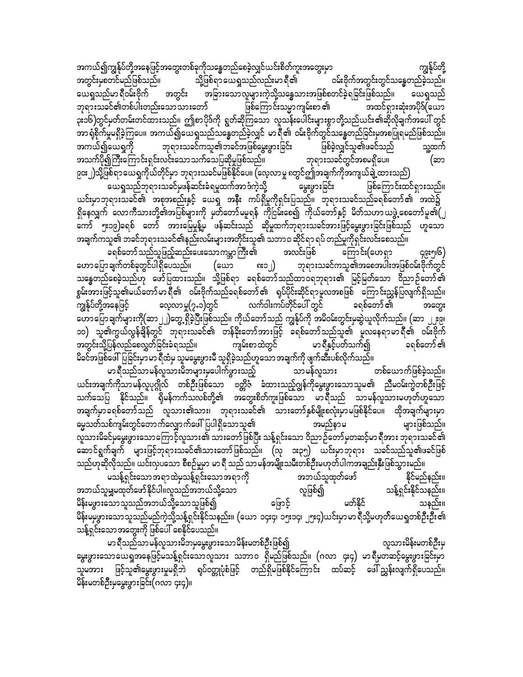အကယ်၍ကျွန်ုပ်တို့အနေဖြင့်အတွေးတစ်ခုကိုသန္ဓေတည်စေခဲ့လျှင်ယင်းစိတ်ကူးအတွေးမှာ<br>အတွင်းမှစတင်မည်ဖြစ်သည်။ သို့ဖြစ်ရာ ယေရှုသည်လည်းမာ ရီ၏ ဝမ်းဗိုက်အတွင်းတွင်သန္ဓေတည်ခဲ့သည်။ အတွင်းမှစတင်မည်ဖြစ်သည်။ သို့ဖြစ်ရာ ယေရှုသည်လည်းမာ ရီ၏ ဝမ်းဗိုက်အတွင်းတွင်သန္ဓေတည်ခဲ့သည်။ ယေရှုသည်မာ ရီဝမ်းဗိုက် အတွင်း အခြားသော လူများကဲ့သို့သန္ဓေသားအဖြစ်စတင်ခဲ့ရခြင်းဖြစ်သည်။<br>ဘုရားသခင်၏တစ်ပါးတည်းသောသားတော် ဖြစ်ကြောင်းသမ္မာ ကျမ်းစာ ၏ အထင်ရှားဆုံးအပိုဒ်( ဘုရားသခင်၏တစ်ပါးတည်းသောသားတော် ဖြစ်ကြောင်းသမ္မာကျမ်းစာ ၏ အထင်ရှားဆုံးအပိုဒ်(ယော ၃း၁၆)တွင်မှတ်တမ်းတင်ထားသည်။ ဤစာပိုဒ်ကို ရွတ်ဆိုကြသော လူသန်းပေါင်းများစွာတို့သည်ယင်း၏ဆိုလိုချက်အပေါ် တွင် အာ ရုံစိုက်မှုမရှိခဲ့ကြပေ။ အကယ်၍ယေရှုသည်သန္ဓေတည်ခဲ့လျှင် မာရီ၏ ဝမ်းဗိုက်တွင်သန္ဓေတည်ခြင်းမှအစပြုရမည်ဖြစ်သည်။<br>အကယ်၍ယေရှကို ဘုရားသခင်ကသူ၏ဘခင်အဖြစ်မွေးဖွားခြင်း ဖြစ်ခဲ့လျှင်သူ၏ဖခင်သည် သူ့ထက် အကယ်၍ယေရှုကို ဘုရားသခင်ကသူ၏ဘခင်အဖြစ်မွေးဖွားခြင်း ဖြစ်ခဲ့လျှင်သူ၏ဖခင်သည် သူ့ထက်<br>အသက်ပို၍ကြီးကြောင်းရှင်းလင်းသောသက်သေပြဆိုမှုဖြစ်သည်။ ဘုရားသခင်တွင်အစမရှိပေ။ (ဆာ အသက်ပို၍ကြီးကြောင်းရှင်းလင်းသောသက်သေပြဆိုမှုဖြစ်သည်။ ဘုရားသခင်တွင်အစမရှိပေ။ (ဆာ

၉၀း၂)သို့ဖြစ်ရာယေရှုကိုယ်တိုင်မှာ ဘုရားသခင်မဖြစ်နိုင်ပေ။ (လေ့လာမှု ၈တွင်ဤအချက်ကိုအကျယ်ချဲ့ထားသည်)<br>မေယရှုသည်ဘုရားသခင်မှဖန်ဆင်းခံရမှုထက်အာဒံကဲ့သို့ မွေးဖွားခြင်း ယေရှုသည်ဘုရားသခင်မှဖန်ဆင်းခံရမှုထက်အာဒံကဲ့သို့ ဖြစ်ကြောင်းထင်ရှားသည်။ ,<br>ယင်းမှာဘုရားသခင်၏ အစုအစည်းနှင့် ယေရှ အနီး ကပ်ရှိမှုကိုရှင်းပြသည်။ ဘုရားသခင်သည်ခရစ်တော်၏ အထဲ၌ ရှိနေလျှက် လောကီသားတို့၏အပြစ်များကို မှတ်တော်မမူရန် ကိုငြမ်းစေ၍ ကိုယ်တော်နှင့် မိတ်သဟာယဖွဲ့စေတော်မူ၏ $(\; \; )$ ကော် ၅း၁၉)ခရစ် တော် အားမြေမှုန့်မှ ဖန်ဆင်းသည် ဆိုမှုထက်ဘုရားသခင်အားဖြင့်မွေးဖွားခြင်းဖြစ်သည် ဟူသော အချက်ကသူ၏ ဘခင်ဘုရားသခင်၏နည်းလမ်းများအတိုင်းသူ၏ သဘာဝ ဆိုင်ရာ ရပ် တည်မှုကိုရှင်းလင်းစေသည်။

ခရစ်တော်သည်သူဖြည့်ဆည်းပေးသောကမ္ဘာကြီး၏ အလင်းဖြစ် ကြောင်း(ဟေရှာ ၄၉း၅၊၆)<br>တောကြောချက်တစ်ခုတွင်ပါရှိပေသည်။ (ယော ၈း၁၂) ဘုရားသခင်ကသူ၏အစေအပါးအဖြစ်ဝမ်းဗိုက်တွင်  $\begin{pmatrix} \mathrm{e}\omega\mathrm{0} & \mathrm{e}\mathrm{0}\mathrm{e}\omega\mathrm{0} \end{pmatrix}$  တုရားသခင်ကသူ၏အစေအပါးအဖြစ်ဝမ်းဗိုက်တွင် သန္ဓေတည်စေခဲ့သည်ဟု ဖော်ပြထားသည်။ သို့ဖြစ်ရာ ခရစ်တော်သည်ထာဝရဘုရား၏ မြင့်မြတ်သော ဝိညာဉ်တော်၏ စွမ်းအားဖြင့်သူ၏မယ်တော်မာရီ၏ ဝမ်းဗိုက်သည်ခရစ်တော်၏ ရုပ်ပိုင်းဆိုင်ရာမူလအစဖြစ် ကြောင်းညွှန်ပြလျက်ရှိသည်။<br>ကျွန်ုပ်တို့အနေဖြင့် လေ့လာမှု(၇.၁)တွင် လက်ဝါးကပ်တိုင်ပေါ် တွင် ခရစ်တော်၏ အတွေး ာ<br>ကျွန်ုပ်တို့အနေဖြင့် လေ့လာမှု(၇.၁)တွင် လက်ဝါးကပ်တိုင်ပေါ် တွင် ခရစ်တော် ၏ အတွေး ကောပြောချက်များကို(ဆာ ၂၂)တွေ့ ရှိခဲ့ပြီးဖြစ်သည်။ ကိုယ်တော်သည် ကျွန်ုပ်ကို အမိဝမ်းတွင်းမှဆွဲယူလိုက်သည်။ (ဆာ ၂၂း၉၊ ၁၀) သူ၏ကွယ်လွန်ချိန်တွင် ဘုရားသခင်၏ တန်ခိုးတော်အားဖြင့် ခရစ်တော်သည်သူ၏ မူလနေရာမာရီ၏ ဝမ်းဗိုက်<br>အတွင်းသို့ပြန်လည်စေလွှတ်ခြင်းခံရသည်။ ကျမ်းစာထဲတွင် မာရီနှင့်ပတ်သက်၍ ခရစ်တော်၏ အတွင်းသို့ပြန်လည်စေလွှတ်ခြင်းခံရသည်။ ကျမ်းစာထဲတွင် မာရီနှင့်ပတ်သက်၍ ခရစ်တော် ၏ မိခင်အဖြစ်ဖေါ်ပြခြင်းမှာမာရီထံမှ သူမမွေးဖွားမီ သူရှိခဲ့သည်ဟူသောအချက်ကို ဖျက်ဆီးပစ်လိုက်သည်။

မာ ရီသည်သာမန်လူသားမိဘများမှပေါက်ဖွားသည့် သာမန်လူသား တစ်ယောက်ဖြစ်ခဲ့သည်။ ,<br>ယင်းအချက်ကိုသာမန်လူပုဂ္ဂိုလ် တစ်ဦးဖြစ်သော ဗတ္တိဇံ ခံထားသည့်ဂျွန်ကိုမွေးဖွားသောသူမ၏ ညီမဝမ်းကွဲတစ်ဦးဖြင့် သက်သေပြ နိုင်သည်။ ရိုမန်ကက်သလစ်တို့၏ အတွေးစိတ်ကူးဖြစ်သော မာရီသည် သာမန်လူသားမဟုတ်ဟူသော tcsufrSmc&pfawmfonf vlom;\om;? bk&m;ocif\ om;awmfESpfrsdK;pvHk;rSmrjzpfEdkifay/ xdktcsufrsm;rSm ဓမ္မသတ်သစ်ကျမ်းတွင်တောက်လျှောက်ဖေါ်ပြပါရှိသောသူ၏ များဖြစ်သည်။ လူသားမိခင်မမွေးဖွားသောကြောင့်လူသား၏ သားတော်ဖြစ်ပြီး သန့်ရှင်းသော ဝိညာဉ်တော်မှတဆင့်မာ ရီအား ဘုရားသခင်၏ ဆောင်ရွက်ချက် များဖြင့်ဘုရားသခင်၏သားတော်ဖြစ်သည်။ (လု ၁း၃၅) ယင်းမှာဘုရား သခင်သည်သူ၏ဖခင်ဖြစ် သည်ဟုဆိုလိုသည်။ ယင်းလှပသော စီစဉ်မှုမှာ မာရီ သည် သာမန်အမျိုးသမီးတစ်ဦးမဟုတ်ပါကအချည်းနှီးဖြစ်သွားမည်။

roefY&Sif;aomt&mxJrSoefY&Sif;aomt&mudk tb,folxkwfazmf Edkifrnfenf;/ အဘယ်သူမျှမထုတ်ဖော်နိုင်ပါ။လူသည်အဘယ်သို့သော လူဖြစ်၍<br>မိန်းမဖွားသောသူသည်အဘယ်သို့သောသူဖြစ်၍ မြောင့် မတ်နိုင် မိန်းမဖွားသောသူသည်အဘယ်သို့သောသူဖြစ်၍ မြောင့် သနည်း။ မိန်းမမှဖွားသောသူသည်မည်ကဲ့သို့သန့်ရှင်းနိုင်သနည်း။ (ယော ၁၄း၄၊ ၁၅း၁၄၊ ၂၅း၄)ယင်းမှာမာ ရီသို့မဟုတ်ယေရှတစ်ဦးဦး ၏ သန့်ရှင်းသောအတွေးကို ဖြစ်ပေါ် စေနိုင်ပေသည်။

မာ ရီသည်သာမန်လူသားမိဘမှမွေးဖွားသောမိန်းမတစ်ဦးဖြစ်၍ လူသားမိန်းမတစ်ဦးမှ မွေးဖွားသောယေရှအနေဖြင့်မသန့်ရှင်းသောလူသား သဘာဝ ရှိမည်ဖြစ်သည်။ (ဂလာ ၄း၄) မာရီမှတဆင့်မွေးဖွားခြင်းမှာ သူမအား ဖြင့်သူ၏မွေးဖွားမှုမရှိဘဲ ရုပ်ဝတ္တုပုံစံဖြင့် တည်ရှိမဖြစ်နိုင်ကြောင်း ထပ်ဆင့် ဖေါ်ညွှန်းလျက်ရှိပေသည်။ မိန်းမတစ်ဦးမှမွေးဖွားခြင်း(ဂလာ ၄း၄)။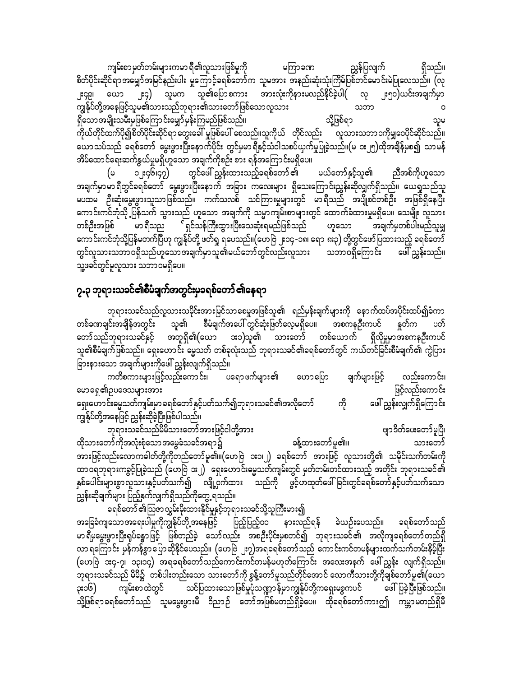ကျမ်းစာ မှတ်တမ်းများကမာ ရီ၏လူသားဖြစ်မှုကို မကြာခဏ ညွှန်ပြလျက် ရှိသည်။ စိတ်ပိုင်းဆိုင်ရာအမျှော်အမြင်နည်းပါး မှုကြောင့်ခရစ်တော်က သူမအား အနည်းဆုံးသုံးကြိမ်ပြစ်တင်မောင်းမဲပြုလေသည်။ (လု ၂း၄၉၊ ယော ၂း၄) သူမက သူ၏ပြောစကား အားလုံးကိုနားမလည်နိုင်ခဲ့ပါ( လု ၂း၅၀)ယင်းအချက်မှာ ကျွန်ုပ်တို့အနေဖြင့်သူမ၏သားသည်ဘုရား၏သားတော်ဖြစ်သောလူသား သဘာ ရှိသောအမျိုးသမီးမဖြစ်ကြောင်းမျှော်မှန်းကြမည်ဖြစ်သည်။ သို့ဖြစ်ရာ သူမ .<br>ကိုယ်တိုင်ထက်ပို၍စိတ်ပိုင်းဆိုင်ရာ တွေးခေါ် မှုဖြစ်ပေါ် စေသည်။သူကိုယ် တိုင်လည်း <sup>-</sup> လူသားသဘာဝကိုမျှဝေပိုင်ဆိုင်သည်။ ယောသပ်သည် ခရစ်တော် မွေးဖွားပြီးနောက်ပိုင်း တွင်မှမာရီနှင့်သံဝါသစပ်ယှက်မှုပြုခဲ့သည်။(မ ၁း၂၅)ထိုအချိန်မှစ၍ သာမန် အိမ်ထောင်ရေးဆက်နွယ်မှုမရှိဟူသော အချက်ကိုစဉ်း စား ရန်အကြောင်းမရှိပေ။

တွင်ဖေါ် ညွှန်းထားသည့်ခရစ်တော် ၏ ၁၂း၄၆၊၄၇) ညီအစ်ကိုဟူသော မယ်တော်နှင့်သူ၏ (မ အချက်မှာမာရီတွင်ခရစ်တော် မွေးဖွားပြီးနောက် အခြား ကလေးများ ရှိသေးကြောင်းညွှန်းဆိုလျှက်ရှိသည်။ ယေရှုသည်သူ မပထမ ဦးဆုံးမွေးဖွားသူသာဖြစ်သည်။ ကက်သလစ် သင်ကြားမှုများတွင် မာရီသည် အပျိုစင်တစ်ဦး အဖြစ်ရှိနေပြီး ကောင်းကင်ဘုံသို့ ပြန်သက် သွားသည် ဟူသော အချက်ကို သမ္မာကျမ်းစာများတွင် ထောက်ခံထားမှုမရှိပေ။ သေမျိုး လူသား တစ်ဦးအဖြစ် ဟူသော အချက်မှတစ်ပါးမည်သူမျှ ကောင်းကင်ဘုံသို့ပြန်မတက်ပြီဟု ကျွန်ုပ်တို့ ဖတ်ရှု ရပေသည်။(ဟေဗြဲ ၂း၁၄ -၁၈၊ ရော ၈း၃) တို့တွင်ဖော်ပြထားသည့် ခရစ်တော် တွင်လူသားသဘာဝရှိသည်ဟူသောအချက်မှာသူ၏မယ်တော်တွင်လည်းလူသား သဘာဝရှိကြောင်း ဖေါ်ညွှန်းသည်။ သူ့ဖခင်တွင်မူလူသား သဘာဝမရှိပေ။

### ၇.၃ ဘုရားသခင်၏စီမံချက်အတွင်းမှခရစ်တော် ၏နေရာ

ဘုရားသခင်သည်လူသားသမိုင်းအားမြင်သာစေမှုအဖြစ်သူ၏ ရည်မှန်းချက်များကို နောက်ထပ်အပိုင်းထပ်၍ခံကာ တစ်ခဏချင်းအချိန်အတွင်း သူ၏ စီမံချက်အပေါ် တွင်ဆုံးဖြတ်လေ့မရှိပေ။ အစကနဦးကပင် နှုတ်က ပတ် တော်သည်ဘုရားသခင်နှင့် အတူရှိ၏(ယော အ၁)သူ၏ သားတော် တစ်ယောက် ရှိလိုမှုမှာအစကနဦးကပင် သူ၏စီမံချက်ဖြစ်သည်။ ရှေးဟောင်း မွေသတ် တစ်ခုလုံးသည် ဘုရားသခင်၏ခရစ်တော်တွင် ကယ်တင်ခြင်းစီမံချက်၏ ကွဲပြား ခြားနားသော အချက်များကိုဖေါ်ညွှန်းလျက်ရှိသည်။

ကတိစကားများဖြင့်လည်းကောင်း၊ ပရောဖက်များ၏ လည်းကောင်း၊ ဟောပြော ချက်များဖြင့် မောရေ၏ဥပဒေသများအား ဖြင့်လည်းကောင်း ဖေါ် ညွှန်းလျှက်ရှိကြောင်း ရှေးဟောင်းဓမ္မသတ်ကျမ်းမှာ ခရစ်တော် နှင့်ပတ်သက်၍ဘုရားသခင်၏အလိုတော် ကို ကျွန်ုပ်တို့အနေဖြင့် ညွှန်းဆိုခဲ့ပြီးဖြစ်ပါသည်။

ဘုရားသခင်သည်မိမိသားတော်အားဖြင့်ငါတို့အား ဗျာဒိတ်ပေးတော်မူပြီ၊ ခန့်ထားတော်မူ၏။ ထိုသားတော်ကိုအလုံးစုံသော အမွေခံသခင်အရာ၌ သားတော် အားဖြင့်လည်းလောကဓါတ်တို့ကိုတည်တော်မူ၏။(ဟေဗြဲ ၁း၁၊၂) ခရစ်တော် အားဖြင့် လူသားတို့၏ သမိုင်းသက်တမ်းကို ထာဝရဘုရားကခွင့်ပြုခဲ့သည် (ဟေဗြဲ ၁း၂) ရှေးဟောင်းဓမ္မသတ်ကျမ်းတွင် မှတ်တမ်းတင်ထားသည့် အတိုင်း ဘုရားသခင်၏ နှစ်ပေါင်းများစွာလူသားနှင့်ပတ်သက်၍ လျို့ဝှက်ထား သည်ကို ဖွင့်ဟထုတ်ဖေါ်ခြင်းတွင်ခရစ်တော်နှင့်ပတ်သက်သော ညွှန်းဆိုချက်များ ပြည့်နှက်လျှက်ရှိသည်ကိုတွေ့ ရသည်။

ခရစ်တော် ၏သြဇာလွှမ်းမိုးထားနိုင်မှုနှင့်ဘုရားသခင်သို့သူကြီးမား၍ အခြေခံကျသောအရေးပါမှုကိုကျွန်ုပ်တို့အနေဖြင့် ပြည့်ပြည့်၀၀ နားလည်ရန် ခဲယဉ်းပေသည်။ ခရစ်တော်သည် မာ ရီမမွေးဖွားပြီးရုပ်ခန္ဓာဖြင့် ဖြစ်တည်ခဲ့ သော်လည်း အစဉီးပိုင်းမှစတင်၍ ဘုရားသခင်၏ အလိုကျခရစ်တော်တည်ရှိ လာရကြောင်း မှန်ကန်စွာပြောဆိုနိုင်ပေသည်။ (ဟေဗြ ၂း၇)အရခရစ်တော်သည် ကောင်းကင်တမန်များထက်သက်တမ်းနှိမ့်ပြီး (ဟေဗြဲ ၁း၄-၇၊ ၁၃၊၁၄) အရခရစ်တော်သည်ကောင်းကင်တမန်မဟုတ်ကြောင်း အလေးအနက် ဖေါ်ညွှန်း လျက်ရှိသည်။ ဘုရားသခင်သည် မိမိ၌ `တစ်ပါးတည်းသော သားတော်ကို စွန့်တော်မူသည်တိုင်အောင် လောကီသားတို့ကိုချစ်တော်မူ၏(ယော ကျမ်းစာထဲတွင် သင်ပြထားသောဖြစ်မှုပုံသဏ္ဍာန်မှာကျွန်ုပ်တို့ကရှေးမစ္စကပင် ဖေါ်ပြခဲ့ပြီးဖြစ်သည်။ ၃း၁၆) သို့ဖြစ်ရာခရစ်တော်သည် သူမမွေးဖွားမီ ဝိညာဉ် တော်အဖြစ်မတည်ရှိခဲ့ပေ။ ထိုခရစ်တော်ကားဤ ကမ္ဘာမတည်ရှိမီ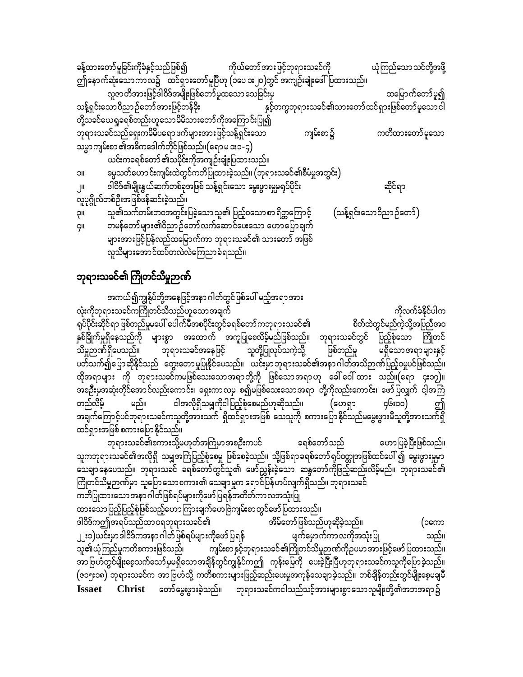|                                                      |  | ခန့်ထားတော်မူခြင်းကိုခံနှင့်သည်ဖြစ်၍ ကိုယ်တော်အားဖြင့်ဘုရားသခင်ကို           |  |          |  | ယုံကြည်သော သင်တို့အဖို့                         |  |  |
|------------------------------------------------------|--|------------------------------------------------------------------------------|--|----------|--|-------------------------------------------------|--|--|
|                                                      |  | ဤနောက်ဆုံးသောကာလ၌ ထင်ရှားတော်မူပြီဟု (၁ပေ ၁း၂၀)တွင် အကျဉ်းချုံးဖေါ်ပြထားသည်။ |  |          |  |                                                 |  |  |
|                                                      |  | လူဇာတိအားဖြင့်ဒါဝိဒ်အမျိုးဖြစ်တော်မူထသော သေခြင်းမှ                           |  |          |  | ထမြောက်တော်မူ၍                                  |  |  |
| သန့်ရှင်းသောဝိညာဉ်တော်အားဖြင့်တန်ခိုး                |  |                                                                              |  |          |  | နှင့်တကွဘုရားသခင်၏သားတော်ထင်ရှားဖြစ်တော်မူသောငါ |  |  |
| တို့သခင်ယေရှုခရစ်တည်းဟူသောမိမိသားတော်ကိုအကြောင်းပြု၍ |  |                                                                              |  |          |  |                                                 |  |  |
|                                                      |  | ဘုရားသခင်သည်ရှေးကမိမိပရော ဖက်များအားဖြင့်သန့်ရှင်းသော                        |  | ကျမ်းစာ၌ |  | ကတိထားတော်မူသော                                 |  |  |
|                                                      |  | သမ္မာကျမ်းစာ ၏အဓိကဒေါက်တိုင်ဖြစ်သည်။(ရောမ ၁း၁-၄)                             |  |          |  |                                                 |  |  |
|                                                      |  | ယင်းကခရစ်တော် ၏သမိုင်းကိုအကျဉ်းချုံးပြထားသည်။                                |  |          |  |                                                 |  |  |
| <b>IIC</b>                                           |  | မွေ့သတ်ဟောင်းကျမ်းထဲတွင်ကတိပြုထားခဲ့သည်။ (ဘုရားသခင်၏စီမံမှုအတွင်း)           |  |          |  |                                                 |  |  |
| $\mathsf{J}^{\mathsf{II}}$                           |  | ဒါဝိဒ်၏မျိုးနွယ်ဆက်တစ်ခုအဖြစ် သန့်ရှင်းသော မွေးဖွားမှုမှရုပ်ပိုင်း           |  |          |  | ဆိုင်ရာ                                         |  |  |
| လူပုဂ္ဂိုလ်တစ်ဦးအဖြစ်ဖန်ဆင်းခဲ့သည်။                  |  |                                                                              |  |          |  |                                                 |  |  |
| pll                                                  |  | သူ၏သက်တမ်းဘဝအတွင်းပြခဲ့သော သူ၏ ပြည့်ဝသော စာ ရိတ္တကြော င့်                    |  |          |  | (သန့်ရှင်းသောဝိညာဉ်တော်)                        |  |  |
| <b>GII</b>                                           |  | တမန်တော်များ၏ဝိညာဉ်တော်လက်ဆောင်ပေးသော ဟောပြောချက်                            |  |          |  |                                                 |  |  |
|                                                      |  | များအားဖြင့်ပြန်လည်ထမြောက်ကာ ဘုရားသခင်၏ သားတော် အဖြစ်                        |  |          |  |                                                 |  |  |
|                                                      |  | လူသိများအောင်ထပ်တလဲလဲကြေညာခံရသည်။                                            |  |          |  |                                                 |  |  |

#### ဘုရားသခင်၏ ကြိုတင်သိမှုဉာဏ်

အကယ်၍ကျွန်ုပ်တို့အနေဖြင့်အနာ ဂါတ်တွင်ဖြစ်ပေါ် မည့်အရာအား လုံးကိုဘုရားသခင်ကကြိုတင်သိသည်ဟူသောအချက် ကိုလက်ခံနိုင်ပါက ရပ်ပိုင်းဆိုင်ရာဖြစ်တည်မှုမပေါ် ပေါက်မီအစပိုင်းတွင်ခရစ်တော်ကဘုရားသခင်၏ စိတ်ထဲတွင်မည်ကဲ့သို့အပြည်အဝ နှစ်ခြိုက်မှုရှိနေသည်ကို များစွာ အထောက် အကူပြုစေလိမ့်မည်ဖြစ်သည်။ ဘုရားသခင်တွင် ပြည့်စုံသော ကြိုတင် ဘုရားသခင်အနေဖြင့် ဖြစ်တည်မှု သူတို့ပြုလုပ်သကဲ့သို့ သိမ္မဉာဏ်ရှိပေသည်။ မရှိသောအရာများနှင့် ပတ်သက်၍ပြောဆိုနိုင်သည် တွေးတောမှုပြုနိုင်ပေသည်။ ယင်းမှာဘုရားသခင်၏အနာဂါတ်အသိဉာဏ်ပြည့်ဝမှုပင်ဖြစ်သည်။ ထိုအရာများ ကို ဘုရားသခင်ကမဖြစ်သေးသောအရာတို့ကို ဖြစ်သောအရာဟု ခေါ် ဝေါ်ထား သည်။(ရော ၄း၁၇)။ အစဦးမှအဆုံးတိုင်အောင်လည်းကောင်း၊ ရှေးကာလမှ စ၍မဖြစ်သေးသောအရာ တို့ကိုလည်းကောင်း၊ ဖော်ပြလျှက် ငါ့အကြံ ငါအလိုရှိသမျှကိုငါပြည့်စုံစေမည်ဟုဆိုသည်။ တည်လိမ့် (ဟေရှာ ၄၆း၁၀) မည်။ .<br>အချက်ကြောင့်ပင်ဘုရားသခင်ကသူတို့အားသက် ရှိထင်ရှားအဖြစ် သေသူကို စကားပြောနိုင်သည်မမွေးဖွားမီသူတို့အားသက်ရှိ ထင်ရှားအဖြစ် စကားပြောနိုင်သည်။

ဘုရားသခင်၏စကားသို့မဟုတ်အကြံမှာအစဦးကပင် ဟောပြခဲ့ပြီးဖြစ်သည်။ ခရစ်တော်သည် သူကဘုရားသခင်၏အလိုရှိ သမျှအကြံပြည့်စုံစေမှု ဖြစ်စေခဲ့သည်။ သို့ဖြစ်ရာခရစ်တော်ရုပ်ဝတ္တုအဖြစ်ထင်ပေါ် ၍ မွေးဖွားမှုမှာ သေချာနေပေသည်။ ဘုရားသခင် ခရစ်တော်တွင်သူ၏ ဖော်ညွှန်းခဲ့သော ဆန္ဒတော်ကိုဖြည့်ဆည်းလိမ့်မည်။ ဘုရားသခင်၏ ကြိုတင်သိမ္မဉာဏ်မှာ သူပြောသောစကား၏ သေချာမူက ရောင်ပြန်ဟပ်လျက်ရှိသည်။ ဘုရားသခင် ကတိပြုထားသောအနာဂါတ်ဖြစ်ရပ်များကိုဖော်ပြရန်အတိတ်ကာလအသုံးပြု ထားသော ပြည့်ပြည့်စုံဖြစ်သည့်ဟော ကြားချက်ဟေဗြဲကျမ်းစာတွင်ဖော် ပြထားသည်။ ဒါဝိဒ်ကဤအရပ်သည်ထာဝရဘုရားသခင်၏ အိမ်တော်ဖြစ်သည်ဟုဆိုခဲ့သည်။ (၁ကော ၂၂း၁)ယင်းမှာဒါဝိဒ်ကအနာ ဂါတ်ဖြစ်ရပ်များကိုဖော်ပြရန် မျက်မှောက်ကာလကိုအသုံးပြု သည်။ သူ၏ယုံကြည်မှုကတိစကားဖြစ်သည်၊ ကျမ်းစာ နှင့်ဘုရားသခင်၏ကြိုတင်သိမှုဉာဏ်ကိုဉပမာအားဖြင့်ဖော်ပြထားသည်။ အာဗြဟံတွင်မျိုးစေ့သက်သော်မှမရှိသောအချိန်တွင်ကျွန်ုပ်ကဤ ကုန်းမြေကို ပေးခဲ့ပြီးပြီဟုဘုရားသခင်ကသူကိုပြောခဲ့သည်။ (ဇ၁၅း၁၈) ဘုရားသခင်က အာဗြဟံသို့ ကတိစကားများဖြည့်ဆည်းပေးမှုအကုန်သေချာခဲ့သည်။ တစ်ချိန်တည်းတွင်မျိုးစေ့မချမိ Christ တော်မွေးဖွားခဲ့သည်။ ဘုရားသခင်ကငါသည်သင့်အားများစွာသောလူမျိုးတို့၏အဘအရာ၌ **Issaet**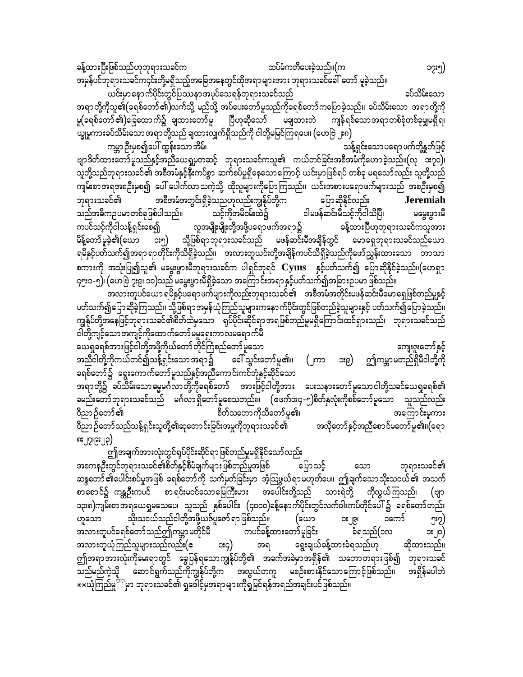ခန့်ထားပြီးဖြစ်သည်ဟုဘုရားသခင်က $\qquad$ းသားတွေကားကားကြသည်မှုကြေးခဲ့သည်။ $(\sigma$ ကားကားကားကြွေး၅) အမှန်ပင်ဘုရားသခင်က၄င်းတို့မရှိသည့်အခြေအနေတွင်ထိုအရာ များအား ဘုရားသခင်ခေါ် တော် မူခဲ့သည်။ ယင်းမှာနောက်ပိုင်းတွင်ပြဿနာအပုပ်သေရန်ဘုရားသခင်သည် ကားသားကား အပ်သိမ်းသော

အရာတို့ကိုသူ၏(ခရစ်တော် ၏)လက်သို့ မည်သို့ အပ်ပေးတော်မူသည်ကိုခရစ်တော်ကပြောခဲ့သည်။ ခပ်သိမ်းသော အရာတို့ကို<br>မူ(ခရစ်တော် ၏)ခြေထောက်၌ ချထားတော်မူ ပြီဟုဆိုသော် မချထားဘဲ ကျန်ရစ်သောအရာတစ်စုံတစ်ခုမျှမရှိရ၊ ပြီဟုဆိုသော် မချထားဘဲ ကျန်ရစ်သောအရာတစ်စုံတစ်ခုမျှမရှိရ၊ ယ္ခုမူကားခပ်သိမ်းသောအရာတို့သည် ချထားလျှက်ရှိသည်ကို ငါတို့မမြင်ကြရပေ။  $(\mathsf{cov}[\mathfrak{d}\,]$ း၈ $\big)$ 

ကမ္ဘာဉီးမှစ၍ပေါ် ထွန်းသော အိမ်၊ ကြားကြားကြားကြားကြားကြားကြသည့် အန်ရှင်းသော ပရောဖက်တို့နတ်ဖြင့် ဗျာဒိတ်ထားတော်မူသည်နှင့်အညီယေရှုမှတဆင့် ဘုရားသခင်ကသူ၏ ကယ်တင်ခြင်းအစီအမံကိုဟောခဲ့သည်။(လု ၁း၇၀)၊ သူတို့သည်ဘုရားသခင်၏ အစီအမံနှင့်နီးကပ်စွာ ဆက်စပ်မှုရှိနေသောကြောင့် ယင်းမှာဖြစ်ရပ် တစ်ခု မရသော်လည်း သူတို့သည် ကျမ်းစာအရအစဦးမှစ၍ ပေါ် ပေါက်လာသကဲ့သို့ ထိုလူများကိုပြောကြသည်။ ယင်းအစားပရောဖက်များသည် အစဦးမှစ၍ ဘုရားသခင်<mark>၏ အစီအမံအတွင်းရှိခဲ့</mark>သညဟုလည်းကျွန်ုပ်တို့က ပြောဆိုနိုင်လည်း **Jeremiah**<br>သည်အဓိကဥပမာတစ်ခုဖြစ်ပါသည်။ သင့်ကိုအမိဝမ်းထဲ၌ ငါမဖန်ဆင်းမီသင့်ကိုငါသိပြီ၊ မမွှေးဖွားမီ သည်အဓိကဉပမာတစ်ခုဖြစ်ပါသည်။ သင့်ကိုအမိဝမ်းထဲ၌ ငါမဖန်ဆင်းမီသင့်ကိုငါသိပြီ၊ မမွှေးဖွားမီ<br>ကပင်သင့်ကိုငါသန့်ရှင်းစေ၍ လူအမျိုးမျိုးတို့အဖို့ပရောဖက်အရာ၌ ခန့်ထားပြီဟုဘုရားသခင်ကသူအား လူအမျိုးမျိုးတို့အဖို့ပရောဖက်အရာ၌ မိန့်တော်မူခဲ့၏(ယော ၁း၅) သို့ဖြစ်ရာဘုရားသခင်သည် မဖန်ဆင်းမီအချိန်တွင် မောရှေဘုရားသခင်သည်ယော ရမိနှင့်ပတ်သက်၍အရာ ရာတိုင်းကိုသိရှိခဲ့သည်။ အလားတူယင်းတို့အချိန်ကပင်သိရှိခဲ့သည်ကိုဖော်ညွှန်းထားသော ဘာသာ စကားကို အသုံးပြု၍သူ၏ မမွေးဖွားမီဘုရားသခင်က ပါရှင်ဘုရင်  $\bf\, Cyms$  နှင့်ပတ်သက်၍ ပြောဆိုနိုင်ခဲ့သည်။(ဟေရှာ -<br>၄၅း၁-၅)၊ (ဟေဗြဲ ၇း၉၊ ၁၀)သည် မမွေးဖွားမီရှိခဲ့သော အကြောင်းအရာနှင့်ပတ်သက်၍အခြားဉပမာဖြစ်သည်။

.<br>အလားတူပင်ယော ရမိနှင့်ပရောဖက်များကိုလည်းဘုရားသခင်၏ အစီအမံအတိုင်းမဖန်ဆင်းမီမောရှေဖြစ်တည်မှုနှင့် ပတ်သက်၍ပြောဆိုခဲ့ကြသည်။ သို့ဖြစ်ရာအမှန်ယုံကြည်သူများကနောက်ပိုင်းတွင်ဖြစ်တည်ခဲ့သူများနှင့် ပတ်သက်၍ပြောခဲ့သည်။ ကျွန်ုပ်တို့အနေဖြင့်ဘုရားသခင်၏စိတ်ထဲမှသော ရုပ်ပိုင်းဆိုင်ရာအရဖြစ်တည်မှုမရှိကြောင်းထင်ရှားသည်၊ ဘုရားသခင်သည် ငါတို့ကျင့်သောအကျင့်ကိုထောက်တော်မမူရှေးကာလမရောက်မီ

ယေရှုခရစ်အားဖြင့်ငါတို့အဖို့ကိုယ်တော်တိုင်ကြံစည်တော်မူသော<br>အညီငါတို့ကိုကယ်တင်၍သန့်ရှင်းသောအရာ၌ ခေါ် သွင်းတော်မူ၏။ (၂ကာ ဒး၉) ဤကမ္ဘာမတည်ရှိမီငါတို့ကို အညီငါတို့ကိုကယ်တင်၍သန့်ရှင်းသောအရာ၌  $^-$  ခေါ် သွင်းတော်မူ၏။  $\,$  (၂ကာ  $\,$ း၉) ခရစ်တော်၌ ရွေးကောက်တော်မူသည်နှင့်အညီကောင်းကင်ဘုံနှင့်ဆိုင်သော အရာတို့၌ ခပ်သိမ်းသောဓမ္မမင်္ဂလာတို့ကိုခရစ်တော် အားဖြင့်ငါတို့အား ပေးသနားတော်မူသောငါတို့သခင်ယေရှုခရစ်၏ ခမည်းတော်ဘုရားသခင်သည် မင်္ဂလာရှိတော်မူစေသတည်း။ (ဧဖက်၁း၄-၅)စိတ်နှလုံးကိုစစ်တော်မူသော သူသည်လည်း<br>ဝိညာဉ်တော်၏ ဘကြောင်းမူကား စိတ်သဘောကိုသိတော်မူ၏၊<br>င်းအမှုကိုဘုရားသခင်၏ အလိုတော်နှင့်အညီစောင်မတော်မူ၏။(ရော ဝိညာဉ်တော်သည်သန့်ရှင်းသူတို့၏ဆုတောင်းခြင်းအမှုကိုဘုရားသခင်၏  $v$ s; 1 $S$ 1 $(s)$ ; 1 $S$ )

.<br>ဤအချက်အားလုံးတွင်ရုပ်ပိုင်းဆိုင်ရာ ဖြစ်တည်မှုမရှိနိုင်သော် လည်း အစကနဦးတွင်ဘုရားသခင်၏စိတ်နှင့်စီမံချက်များဖြစ်တည်မှုအဖြစ် မြောသင့် ဘုရားသခင်၏ ဆန္ဒတော်၏ပေါင်းစပ်မှုအဖြစ် ခရစ်တော်ကို သက်မှတ်ခြင်းမှာ အံ့သြဖွယ်ရာမဟုတ်ပေ။ ဤချက်သောသိုးသငယ်၏ အသက် စာစောင်၌ ကန္တဦးကပင် - စာရင်းမဝင်သောမြေကြီးမား - အပေါင်းတို့သည် - သားရဲတို့ - ကိုလွယ်ကြသည်၊ - (ဗျာ-၁၃း၈)ကျမ်းစာအရယေရှမသေပေ၊ သူသည် နှစ်ပေါင်း (၄၀၀၀)ခန့်နောက်ပိုင်းတွင်လက်ဝါးကပ်တိုင်ပေါ်၌ ခရစ်တော်တည်း ဟူသော သိုးသငယ်သည်ငါတို့အဖို့ယဇ်ပူဇော် ရာ ဖြစ်သည်။ (ယော - အ၂၉၊ - ၁ကော် - ၅း၇)<br>အလားတပင်ခရစ်တော်သည်ဤကမ္ဘာ မတိုင်မီ - ကပင်ခန့်ထားတော် မူခြင်း - ခံရသည်(၁လ - - ၁ႏ၂၀) အလားတူပင်ခရစ်တော်သည်ဤကမ္ဘာမတိုင်မီ ကပင်ခန့်ထားတော်မူခြင်း ခံရသည်(၁လ - ၁း၂၀)<br>အလားတူယုံကြည်သူများသည်လည်း(ဧ ၁း၄) အရ ရွေးချယ်ခန့်ထားခံရသည်ဟု ဆိုထားသည်။ အလားတူယုံကြည်သူများသည်လည်း(ဧ ၁း၄) အရ ရွေးချယ်ခန့်ထားခံရသည်ဟု ဆိုထားသည်။ ဤအရာအားလုံးကိုမေးရာတွင် ခွေပြန်ရသောကျွန်ုပ်တို့၏ အခက်အခဲမှာအရှိန်၏ သဘောတရားဖြစ်၍ ဘုရားသခင် သည်မည်ကဲ့သို့ ဆောင်ရွက်သည်ကိုကျွန်ုပ်တို့က အလွယ်တကူ မစဉ်းစားနိုင်သောကြောင့်ဖြစ်သည်။ အရှိန်မပါဘဲ  $\ast\ast$ ယုံကြည်မှု<sup>င်ငံ</sup>မှာ ဘုရားသခင်၏ ရှုဒေါင့်မှအရာများကိုရှုမြင်ရန်အရည်အချင်းပင်ဖြစ်သည်။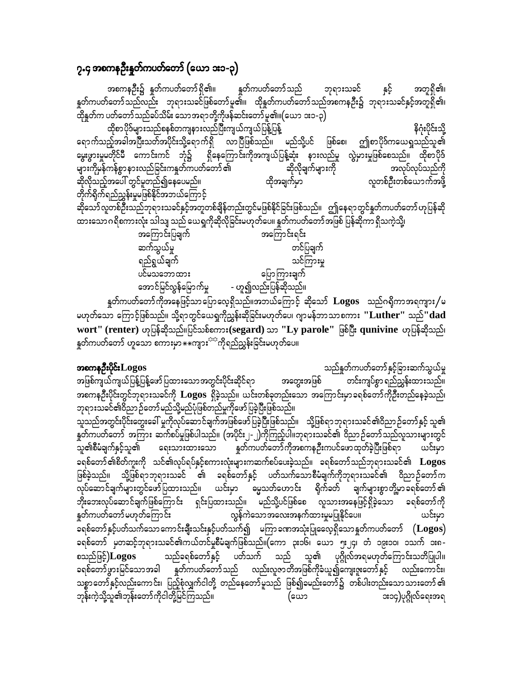### ၇.၄ အစကနဉ်ိဳးနှုတ်ကပတ်တော် (ယော ၁း၁-၃)

နူတ်ကပတ်တော် သည် အစကနဦး၌ နူတ်ကပတ်တော်ရှိ၏။ နှင့် ဘုရားသခင် အတူရှိ၏၊ နှတ်ကပတ်တော်သည်လည်း ဘုရားသခင်ဖြစ်တော်မူ၏။ ထိုနှတ်ကပတ်တော်သည်အစကနဦး၌ ဘုရားသခင်နှင့်အတူရှိ၏၊ --<br>ထိုနူတ်က ပတ်တော်သည်ခပ်သိမ်း သောအရာတို့ကိုဖန်ဆင်းတော် မူ၏။(ယော ၁း၁-၃) ထိုစာပိုဒ်များသည်စနစ်တကျနားလည်ပြီးကျယ်ကျယ်ပြန့်ပြန့် နိဂုံးပိုင်းသို့ ရောက်သည့်အခါအပြီးသတ်အပိုင်းသို့ရောက်ရှိ လာပြီဖြစ်သည်။ မည်သို့ပင် ဖြစ်စေ၊ ဤစာပိုဒ်ကယေရှုသည်သူ၏ မွေးဖွားမှုမတိုင်မီ ကောင်းကင် ဘုံ၌ ရှိနေကြောင်းကိုအကျယ်ပြန့်ဆုံး နားလည်မှု လွဲမှားမှုဖြစ်စေသည်။ ထိုစာပိုဒ် များကိုမှန်ကန်စွာနားလည်ခြင်းကနူတ်ကပတ်တော် ၏ အလုပ်လုပ်သည်ကို ဆိုလိုချက်များကို ထိုအချက်မှာ လူတစ်ဦးတစ်ယောက်အဖို့ .<br>တိုက်ရိုက်ရည်ညွှန်းမှုမဖြစ်နိုင်အဘယ်ကြောင့် ဆိုသော်လူတစ်ဦးသည်ဘုရားသခင်နှင့်အတူတစ်ချိန်တည်းတွင်မဖြစ်နိုင်ခြင်းဖြစ်သည်။ ဤနေရာတွင်နှုတ်ကပတ်တော်ဟုပြန်ဆို ထားသော ဂရိစကားလုံး သါသျှ သည် ယေရှုကိုဆိုလိုခြင်းမဟုတ်ပေ။ နှတ်ကပတ်တော်အဖြစ် ပြန်ဆိုကာ ရှိသကဲ့သို့၊ အကြောင်းပြချက် အကြောင်းရင်း ဆက်သွယ်မှု တင်ပြချက် သင်ကြားမှု ရည်ရွယ်ချက် ပြောကြားချက် ပင်မသဘောထား အောင်မြင်လွန်မြောက်မှု - ဟူ၍လည်းပြန်ဆိုသည်။ နှုတ်ကပတ်တော်ကိုအနေဖြင့်သာပြောလေ့ရှိသည်။အဘယ်ကြောင့် ဆိုသော်  $\bf{Logos}$  သည်ဂရိုကာအရကျား $/\circ$ မဟုတ်သော ကြောင့်ဖြစ်သည်။ သို့ရာတွင်ယေရှုကိုညွှန်းဆိုခြင်းမဟုတ်ပေ၊ ဂျာမန်ဘာသာစကား ''Luther'' သည်''dad wort" (renter) ဟုပြန်ဆိုသည်။ပြင်သစ်စကား(segard) သာ "Ly parole" ဖြစ်ပြီး qunivine ဟုပြန်ဆိုသည်၊ နှတ်ကပတ်တော် ဟူသော စကားမှာ $\ast\overline{*}$ ကျား<sup>ငှင</sup>်ကိုရည်ညွှန်းခြင်းမဟုတ်ပေ။

### အစကနဦးပိုင်း $\bf{Logos}$

သည်နှုတ်ကပတ်တော်နှင့်ခြားဆက်သွယ်မှု အတွေးအဖြစ် တင်းကျပ်စွာ ရည်ညွှန်းထားသည်။ အဖြစ်ကျယ်ကျယ်ပြန့်ပြန့်ဖော်ပြထားသောအတွင်းပိုင်းဆိုင်ရာ အစကနဉီးပိုင်းတွင်ဘုရားသခင်ကို  $\bf{Logos}$  ရှိခဲ့သည်။ ယင်းတစ်ခုတည်းသော အကြောင်းမှာခရစ်တော်ကိုဉီးတည်နေခဲ့သည်၊

ဘုရားသခင်၏ဝိညာ ဉ်တော်မည်သို့မည်ပုံဖြစ်တည်မှုကိုဖော်ပြခဲ့ပြီးဖြစ်သည်။ ာ့<br>သူသည်အတွင်းပိုင်းတွေးခေါ် မှုကိုလုပ်ဆောင်ချက်အဖြစ်ဖော်ပြခဲ့ပြီးဖြစ်သည်။ သို့ဖြစ်ရာဘုရားသခင်၏ဝိညာဉ်တော်နှင့် သူ၏ နှုတ်ကပတ်တော် အကြား ဆက်စပ်မှုဖြစ်ပါသည်။ (အပိုင်း၂-၂)ကိုကြည့်ပါ။ဘုရားသခင်၏ ဝိညာဉ်တော်သည်လူသားများတွင် နှတ်ကပတ်တော်ကိုအစကနဉီးကပင်ဖောထုတ်ခဲ့ပြီးဖြစ်ရာ ယင်းမှာ သူ၏စီမံချက်နှင့်သူ၏ ရေးသားထားသော ခရစ်တော် ၏စိတ်ကူးကို သင်၏လုပ်ရပ်နှင့်စကားလုံးများကဆက်စပ်ပေးခဲ့သည်။ ခရစ်တော်သည်ဘုရားသခင်၏  $\bf{Logos}$ ဖြစ်ခဲ့သည်။ သို့ဖြစ်ရာဘုရားသခင် ၏ ခရစ်တော်နှင့် ပတ်သက်သောစီမံချက်ကိုဘုရားသခင်၏ ဝိညာဉ်တော်က ဘိုးဘေးလုပ်ဆောင်ချက်ဖြစ်ကြောင်း ရှင်းပြထားသည်။ မည်သို့ပင်ဖြစ်စေ လူသားအနေဖြင့်ရှိခဲ့သော ခရစ်တော်ကို ...<br>လွန်ကဲသောအလေးအနက်ထားမှုမပြုနိုင်ပေ။ နှုတ်ကပတ်တော်မဟုတ်ကြောင်း ယင်းမှာ ခရစ်တော်နှင့်ပတ်သက်သောကောင်းချီးသင်းနှင့်ပတ်သက်၍ မကြာခဏအသုံးပြုလေ့ရှိသောနှုတ်ကပတ်တော်  $(\mathbf{Logos})$ ခရစ်တော် မှတဆင့်ဘုရားသခင်၏ကယ်တင်မှုစီမံချက်ဖြစ်သည်။(ကော ၃း၁၆၊ ယော ၅း၂၄၊ တံ ၁၉း၁၀၊ ၁သက် ၁း၈-သည်ခရစ်တော်နှင့် ပတ်သက် သည် သူ၏ ပုဂ္ဂိုလ်အရမဟုတ်ကြောင်းသတိပြုပါ။ စသည်ဖြင့်)Logos ခရစ်တော်ဖွားမြင်သောအခါ နှုတ်ကပတ်တော်သည် လည်းလူဇာတိအဖြစ်ကိုခံယူ၍ကျေးဇူးတော်နှင့် လည်းကောင်း၊ သစ္စာတော်နှင့်လည်းကောင်း၊ ပြည့်စုံလျှက်ငါတို့ တည်နေတော်မူသည် ဖြစ်၍ခမည်းတော်၌ တစ်ပါးတည်းသောသားတော်၏ ဘုန်းကဲ့သို့သူ၏ဘုန်းတော်ကိုငါတို့မြင်ကြသည်။ ား၁၄)ပုဂ္ဂိုလ်ရေးအရ (ယော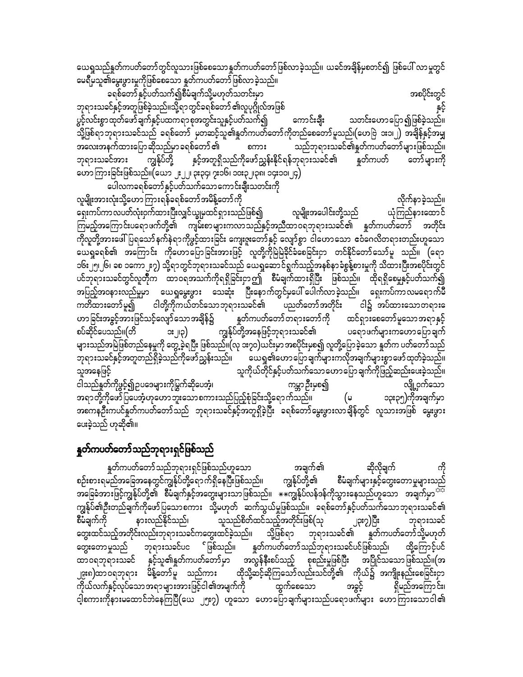ယေရှုသည်နှုတ်ကပတ်တော်တွင်လူသားဖြစ်စေသောနှုတ်ကပတ်တော်ဖြစ်လာခဲ့သည်။ ယခင်အချိန်မှစတင်၍ ဖြစ်ပေါ် လာမှုတွင် မေရီမှသူ၏မွေးဖွားမှုကိုဖြစ်စေသော နူတ်ကပတ်တော်ဖြစ်လာခဲ့သည်။

ခရစ်တော်နှင့်ပတ်သက်၍စီမံချက်သို့မဟုတ်သတင်းမှာ ကားသားသားသားသားသားသားသားသည် အစပိုင်းတွင် ဘုရားသခင်နှင့်အတူဖြစ်ခဲ့သည်။သို့ရာတွင်ခရစ်တော် ၏လူပုဂ္ဂိုလ်အဖြစ် ပွင့်လင်းစွာထုတ်ဖော်ချက်နှင့်ပထကရာစုအတွင်းသူနှင့်ပတ်သက်၍ ကောင်းချီး သတင်းဟောပြော၍ဖြစ်ခဲ့သည်။ သို့ဖြစ်ရာဘုရားသခင်သည် ခရစ်တော် မှတဆင့်သူ၏နှုတ်ကပတ်တော်ကိုတည်စေတော်မူသည်၊(ဟေဗြဲ ၁း၁၊၂) အချိန်နှင့်အမျှ<br>အလေးအနက်ထားပြောဆိုသည်မှာခရစ်တော်၏ စကား သည်ဘုရားသခင်၏နှတ်ကပတ်တော်များဖြစ်သည်။ အလေးအနက်ထားပြောဆိုသည်မှာ ခရစ်တော် ၏ စကား<br>ဘုရားသခင်အား ကျွန်ုပ်တို့ နှင့်အတူရှိသည်ကိုဖော်ညွှန်းနို ဘုရားသခင်အား ကျွန်ုပ်တို့ နှင့်အတူရှိသည်ကိုဖော်ညွှန်းနိုင်ရန်ဘုရားသခင်၏ နှုတ်ကပတ် တော်များကို a[mMum;jcif;jzpfonf/(a,m 2;22? 3;34? 7;16? 10;32?38? 14;10?24) ာ<br>ပေါလကခရစ်တော်နှင့်ပတ်သက်သောကောင်းချီးသတင်းကို

လူမျိုးအားလုံးသို့ဟောကြားရန်ခရစ်တော်အမိန့်တော်ကို<br>ရှေးကပ်ကာလပတ်လုံးဝှက်ထားပြီးလျှင်ယွုမှထင်ရှားသည်ဖြစ်၍ လူမျိုးအပေါင်းတို့သည် ယုံကြည်နားထောင် ရှေးကပ်ကာလပတ်လုံးဝှက်ထားပြီးလျှင်ယျွမှထင်ရှားသည်ဖြစ်၍ လူမျိုးအပေါင်းတို့သည် ယုံကြည်နားထောင် ကြမည့်အကြောင်းပရောဖက်တို့၏ ကျမ်းစာများကလာသည်နှင့်အညီထာဝရဘုရားသခင်၏ နူတ်ကပတ်တော် အတိုင်း ကိုလူတို့အားဖေါ်ပြရသော်နက်နဲရာကိုဖွင့်ထားခြင်း ကျေးဇူးတော်နှင့် လျော်စွာ ငါဟောသော ဧဝံဂေလိတရားတည်းဟူသော ယေရှုခရစ်၏ အကြောင်း ကိုဟောမြောခြင်းအားဖြင့် လူတို့ကိုမြဲမြဲခိုင်ခံစေခြင်းငှာ တင်နိုင်တော်သော်မူ သည်။ (ရော ၁၆း၂၅၊၂၆၊ ၁စ ၁ကော၂း၇) သို့ရာတွင်ဘုရားသခင်သည် ယေရှုဆောင်ရွက်သည့်အနစ်နာခံစွန့်စားမှုကို သိထားပြီးအစပိုင်းတွင် ပင်ဘုရားသခင်တွင်လူတိုက ထာဝရအသက်ကိုရရှိခြင်းငှာဤ စီမံချက်ထားရှိပြီး ဖြစ်သည်။ ထိုရရှိစေမှုနှင့်ပတ်သက်**၍** ာပြည့်အဝနားလည်မှုမှာ ယေရှုမွေးဖွား သေဆုံး ပြီးနောက်တွင်မှပေါ် ပေါက်လာခဲ့သည်။ ရှေးကပ်ကာလမရောက်မီ<br>ကတိထားတော်မူ၍ ငါတို့ကိုကယ်တင်သောဘုရားသခင်၏ ပညတ်တော်အတိုင်း ငါ၌ အပ်ထားသောတရားေ ကတိထားတော်မူ၍ ငါတို့ကိုကယ်တင်သောဘုရားသခင်၏ ဟညတ်တော်အတိုင်း<br>ဟာခြင်းအခွင့်အားဖြင်သင့်လျော်သောအချိန်၌ နှတ်ကပတ်တော်တရားတော်ကို ထ<sup>ု</sup> ဟာခြင်းအခွင့်အားဖြင်သင့်လျော်သောအချိန်၌ နှုတ်ကပတ်တော်တရားတော်ကို ထင်ရှားစေတော်မူသောအရာနှင့်<br>စပ်ဆိုင်ပေသည်။(တိ - ၁း၂၀) ကျွန်ုပ်တို့အနေဖြင့်ဘုရားသခင်၏ ပရောဖက်များကဟောပြောချက် ား၂၊၃) ကျွန်ုပ်တို့အနေဖြင့်ဘုရားသခင်၏ ပရောဖက်များကဟောပြောချက် များသည်အမြဲဖြစ်တည်နေမှုကို တွေ့ ခဲ့ရပြီး ဖြစ်သည်။(လု ၁း၇၀)ယင်းမှာ အစပိုင်းမှစ၍ လူတို့ပြောခဲ့သော နှုတ်က ပတ်တော်သည်<br>ဘုရားသခင်နှင့်အတူတည်ရှိခဲ့သည်ကိုဖော်ညွှန်းသည်။ ယေရှု၏ဟောပြောချက်များကလိုအချက်များစွာဖော် ထုတ်ခဲ့သည်။ ယေရှု၏ဟောပြောချက်များကလိုအချက်များစွာဖော်ထုတ်ခဲ့သည်။ oltaejzifh oludk,fwdkifESifhywfoufaoma[majymcsufudkjznfhqnf;ay;cJhonf/ ငါသည်နှုတ်ကိုဖွင့်၍ဥပဒေများကိုမြွက်ဆိုပေအံ့၊ ကမ္ဘာဦးမှစ၍ လျို့ဝှက်သော အရာတို့ကိုဖော်ပြပေအံ့ဟုဟောဘူးသောစကားသည်ပြည့်စုံခြင်းသို့ရောက်သည်။ (မ ၁၃း၃၅)ကိုအချက်မှာ ာစကနဦးကပင်နှုတ်ကပတ်တော်သည် ဘုရားသခင်နှင့်အတူရှိခဲ့ပြီး ခရစ်တော်မွေးဖွားလာချိန်တွင် လူသားအဖြစ် မွေးဖွား ပေးခဲ့သည် ဟုဆို၏။

### နှုတ်ကပတ်တော်သည်ဘုရားရှင်ဖြစ်သည်

နှုတ်ကပတ်တော်သည်ဘုရားရှင်ဖြစ်သည်ဟူသော အချက်၏ ဆိုလိုချက်<br>မည်အခြေအနေတွင်ကျွန်ုပ်တို့ရောက်ရှိနေပြီးဖြစ်သည်၊၊ ကျွန်ုပ်တို့၏ စီမံချက်များနှင့်တွေးတောမှုများသည် စဉ်းစားရမည်အခြေအနေတွင်ကျွန်ုပ်တို့ရောက်ရှိနေပြီးဖြစ်သည်။ richtm; Johnson, 1997) ကြီးချက်နှင့်အတွေးများသာဖြစ်သည်။ \*\*ကျွန်ုပ်လန်ဒန်ကိုသွားနေသည်ဟူသော အချက်မှာ<sup>သင်္ဘ</sup> ကျွန်ုပ်၏ဦးတည်ချက်ကိုဖော်ပြသောစကား သို့မဟုတ် ဆက်သွယ်မှုဖြစ်သည်။ ခရစ်တော်နှင့်ပတ်သက်သောဘုရားသခင်၏<br>စီမံချက်ကို နားလည်နိုင်သည်၊ သူသည်စိတ်ထင်သည့်အတိုင်းဖြစ်(သု ၂၃း၇)ပြီး ဘုရားသခင် ာညညစိတ်ထင်သည့်အတိုင်းဖြစ်(သု ၂၃း၇)ပြီး ဘုရားသခင်<br>ထင်ခဲ့သည်။ သို့ဖြစ်ရာ ဘုရားသခင်၏ နှုတ်ကပတ်တော်သို့မဟုတ် တွေးထင်သည့်အတိုင်းလည်းဘုရားသခင်ကတွေးထင်ခဲ့သည်။ သို့ဖြစ်ရာ ဘုရားသခင်၏ နှုတ်ကပတ်တော်သို့မဟုတ် ဆွေးတောမှုသည် ဘုရားသခင်ပင ်ဖြစ်သည်။ နှုတ်ကပတ်တော်သည်ဘုရားသခင်ပင်ဖြစ်သည်၊ ထို့ကြောင့်ပင်<br>ထာဝရဘုရားသခင် နှင့်သူ၏နှတ်ကပတ်တော်မှာ အလွန်နီးစပ်သည့် စုစည်းမှုဖြစ်ပြီး အပြိုင်သသောဖြစ်သည်။(အ ထာဝရဘုရားသခင် နှင့်သူ၏နှုတ်ကပတ်တော်မှာ အလွန်နီးစပ်သည့် စုစည်းမှုဖြစ်ပြီး ၂၉း၈)ထာဝရဘုရား မိန့်တော်မူ သည်ကား ထိုသို့ဆင့်ဆိုကြသော်လည်းသင်တို့၏ ကိုယ်၌ အကျိုးနည်းစေခြင်းငှာ<br>ကိုယ်လက်နှင့်လုပ်သောအရာများအားဖြင့်ငါ၏အမျက်ကို ထွက်စေသော အခွင့် ရှိမည်အကြောင်း၊ ကိုယ်လက်နှင့်လုပ်သောအရာများအားဖြင့်ငါ၏အမျက်ကို ထွက်စေသော အခွင့် ရှိမည်အကြောင်း၊ ငါ့စကားကိုနားမထောင်ဘဲနေကြပြီ $(\text{e}\,\omega$  ၂၅း၇) ဟူသော ဟောပြောချက်များသည်ပရောဖက်များ ဟောကြားသောငါ၏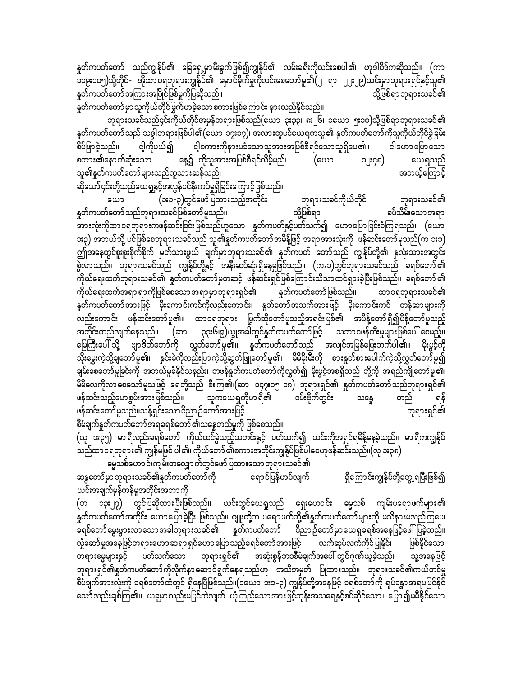နူတ်ကပတ်တော် သည်ကျွန်ုပ်၏ ခြေရှေ့မှာမီးခွက်ဖြစ်၍ကျွန်ုပ်၏ လမ်းခရီးကိုလင်းစေပါ၏ ဟုဒါဝိဒ်ကဆိုသည်။ (ကာ ၁၁၉း၁၀၅)သို့တိုင်- အိုထာဝရဘုရားကျွန်ုပ်၏ မှောင်မိုက်မှုကိုလင်းစေတော်မူ၏(၂ ရာ ၂၂ႏ၂၉)ယင်းမှာဘုရားရှင်နှင့်သူ၏ <u>န</u>တ်ကပတ်တော်အကြားအပြိုင်ဖြစ်မှုကိုပြဆိုသည်။ ကြားလားကြသည် တို့ဖြစ်ရာဘုရားသခင်၏

နှတ်ကပတ်တော်မှာသူကိုယ်တိုင်မြွက်ဟခဲ့သောစကားဖြစ်ကြောင်း နားလည်နိုင်သည်။

ဘုရားသခင်သည်၄င်းကိုယ်တိုင်အမှန်တရားဖြစ်သည်(ယော ၃း၃၃၊ ၈း၂၆၊ ၁ယော ၅း၁၀)သို့ဖြစ်ရာဘုရားသခင်၏ နှုတ်ကပတ်တော်သည် သဒ္ဒါတရားဖြစ်ပါ၏(ယော ၁၇း၁၇)၊ အလားတူပင်ယေရှုကသူ၏ နှုတ်ကပတ်တော်ကိုသူကိုယ်တိုင်ခွဲခြမ်း<br>စိပ်ဖြာခဲ့သည်၊၊ ငါ့ကိုပယ်၍ ငါ့စကားကိုနားမခံသောသူအားအပြစ်စီရင်သောသူရှိပေ၏၊၊ ငါဟောပြောသော ဝါ့ကိုပယ်၍ ငါ့စကားကိုနားမခံသောသူအားအပြစ်စီရင်သောသူရှိပေ၏။ ငါဟောပြောသော စကား၏နောက်ဆုံးသော နေ့၌ ထိုသူအားအပြစ်စီရင်လိမ့်မည်၊ (ယော ၁၂း၄၈) ယေရှုသည်<br>သူ၏နူတ်ကပတ်တော်များသည်လူသားဆန်သည်၊ သူ၏နူတ်ကပတ်တော်များသည်လူသားဆန်သည်၊

ဆိုသော် ၄င်းတို့သည်ယေရှုနှင့်အလွန်ပင်နီးကပ်မှုရှိခြင်းကြောင့်ဖြစ်သည်။

ယော (၁း၁-၃)တွင်ဖော်ပြထားသည့်အတိုင်း ဘုရားသခင်ကိုယ်တိုင် ဘုရားသခင်၏<br>၊တော်သည်ဘရားသခင်ဖြစ်တော်မူသည်။ သို့ဖြစ်ရာ နှတ်ကပတ်တော် သည်ဘုရားသခင်ဖြစ်တော် မူသည်။ သို့ဖြစ်ရာ အားလုံးကိုထာဝရဘုရားကဖန်ဆင်းခြင်းဖြစ်သည်ဟူသော နှုတ်ကပတ်နှင့်ပတ်သက်၍ ဟောပြောခြင်းခံကြရသည်။ (ယော ား၃) အဘယ်သို့ ပင်ဖြစ်စေဘုရားသခင်သည် သူ၏နူတ်ကပတ်တော် အမိန့်ဖြင့် အရာအားလုံးကို ဖန်ဆင်းတော်မူသည်(က ၁း၁) ဤအနေတွင်စူးစူးစိုက်စိုက် မှတ်သားဖွယ် ချက်မှာဘုရားသခင်၏ နှတ်ကပတ် တော်သည် ကျွန်ုပ်တို့၏ နှလုံးသားအတွင်း pလာသည်။ ဘုရားသခင်သည် ကျွန်ုပ်တို့နှင့် အနီးဆပ်ဆုံးရှိနေမှုဖြစ်သည်။ (က.၁)တွင်ဘုရားသခင်သည် ခရစ်တော််၏ .<br>ကိုယ်ရေးထက်ဘုရားသခင်၏ နှတ်ကပတ်တော်မှတဆင့် ဖန်ဆင်းရှင်ဖြစ်ကြောင်းသိသာထင်ရှားခဲ့ပြီးဖြစ်သည်။ ခရစ်တော်၏ ကိုယ်ရေးထက်အရာ ရာကိုဖြစ်စေသောအရာမှာဘုရားရှင်၏ နှုတ်ကပတ်တော်ဖြစ်သည်။ ထာ ၀ရဘုရားသခင်၏ နှတ်ကပတ်တော်အားဖြင့် မိုးကောင်းကင်ကိုလည်းကောင်း၊ နှတ်တော်အသက်အားဖြင့် မိုးကောင်းကင် တန်ဆာများကို လည်းကောင်း ဖန်ဆင်းတော်မူ၏။ ထာဝရဘုရား မြွက်ဆိုတော်မူသည့်အရင်းမြစ်၏ အမိန့်တော်ရှိ၍မိန့်တော်မူသည့် အတိုင်းတည်လျက်နေသည်။ (ဆာ ၃၃း၆၊၉)ယ္ခုအခါတွင်နှုတ်ကပတ်တော်ဖြင့် သဘာဝဖန်တီးမှုများဖြစ်ပေါ် စေမည့်။ မြေကြီးပေါ် သို့ ဗျာဒိတ်တော်ကို လွှတ်တော်မူ၏။ နှတ်ကပတ်တော်သည် အလျင်အမြန်ပြေးတက်ပါ၏။ မိုးပွင့်ကို သိုးမွှေးကဲ့သို့ချတော်မူ၏၊ နှင်းခဲကိုလည်းပြာကဲ့သို့ဆွတ်ဖြူတော်မူ၏၊ မိမိမိုးမ်ိဳးကို စားနှုတ်စားပေါက်ကဲ့သို့လွှတ်တော်မူ၍ ရမ်းစာတော်မူခြင်းကို အဘယ်မူခံနိုင်သနည်း၊ တဖန်နှုတ်ကပတ်တော်ကိုလွှတ်၍ မိုးပွင့်အစရှိသည် တို့ကို အရည်ကျိုတော်မူ၏၊ rdrdavudkvmapaomfrlojzifh a&wdkYonf pD;Mu\?(qm 147;15-18) bk&m;&Sif\ EIwfuywfawmfonfbk&m;&Sif\ ဖန်ဆင်းသည့်မောစွမ်းအားဖြစ်သည်။ သူကယေရှကိုမာရီ၏ ဝမ်းဗိုက်တွင်း သန္ဓေ တည် ရန်<br>ဖန်ဆင်းတော်မူသည်။သန့်ရှင်းသောဝိညာဉ်တော်အားဖြင့် ဖန်ဆင်းတော်မူသည်။သန့်ရှင်းသော ဝိညာ ဉ်တော်အားဖြင့် စီမံချက်နူတ်ကပတ်တော်အရခရစ်တော် ၏သန္ဓေတည်မှုကို ဖြစ်စေသည်။

(လု ၁း၃၅) မာရီလည်းခရစ်တော် ကိုယ်ထင်ခွဲသည့်သတင်းနှင့် ပတ်သက်၍ ယင်းကိုအရှင်ရမိန့်နေခဲ့သည်။ မာရီကကျွန်ုပ် သည်ထာဝရဘုရား၏ ကျွန်မဖြစ် ပါ၏၊ ကိုယ်တော် ၏စကားအတိုင်းကျွန်ုပ်ဖြစ်ပါစေဟုဖန်ဆင်းသည်။(လု ၁း၃၈) မ္မသစ်ဟောင်းကျမ်းတလျှောက်တွင်ဖော်ပြထားသော ဘုရားသခင်၏

ဆန္ဒတော်မှာဘုရားသခင်၏နှတ်ကပတ်တော်ကို စရာင်ပြန်ဟပ်လျက် ရှိကြောင်းကျွန်ုပ်တို့တွေ့ ရပြီးဖြစ်၍ ယင်းအချက်မှန်ကန်မှုအတိုင်းအတာကို

(တ ၁၃း၂၇) တွင်ပြဆိုထားပြီးဖြစ်သည်။ ယင်းတွင်ယေရှုသည် ရှေးဟောင်း ဓမ္မသစ် ကျမ်းပရောဖက်များ၏ နတ်ကပတ်တော်အတိုင်း ဟောပြောခဲ့ပြီး ဖြစ်သည်။ ဂျူးတို့က ပရောဖက်တို့၏နှုတ်ကပတ်တော်များကို မသိနားမလည်ကြပေ၊ ခရစ်တော်မွေးဖွားလာသောအခါဘုရားသခင်၏ နှုတ်ကပတ်တော် ဝိညာဉ်တော်မှာယေရှုခရစ်အနေဖြင့်ဖေါ်ပြခဲ့သည်။ လှုံ့ဆော်မှုအနေဖြင့်တရားဟောဆရာ ရှင်ဟောပြောသည့်ခရစ်တော်အားဖြင့် လက်ဆုပ်လက်ကိုင်ပြုနိုင်၊ ဖြစ်နိုင်သော<br>တရားမွေများနှင့် ပတ်သက်သော ဘုရားရှင်၏ အဆုံးစွန်ဘဝစီမံချက်အပေါ် တွင်ဂုဏ်ယူခဲ့သည်။ .<br>" ဘုရားရှင်၏ အဆုံးစွန်ဘ၀စီမံချက်အပေါ် တွင်ဂုဏ်ယူခဲ့သည်။ သူ့အနေဖြင့် ဘုရားရှင်၏နှုတ်ကပတ်တော်ကိုလိုက်နာဆောင်ရွက်နေရသည်ဟု အသိအမှတ် ပြုထားသည်။ ဘုရားသခင်၏ကယ်တင်မှု စီမံချက်အားလုံးကို ခရစ်တော်ထံတွင် ရှိနေပြီဖြစ်သည်။(၁ယော ၁း၁-၃) ကျွန်ုပ်တို့အနေဖြင့် ခရစ်တော်ကို ရုပ်ခန္ဓာအရမမြင်နိုင် သော်လည်းချစ်ကြ၏။ ယခုမှာလည်းမပြင်ဘဲလျက် ယုံကြည်သောအားဖြင့်ဘုန်းအသရေနှင့်စပ်ဆိုင်သော၊ ပြော၍မမီနိုင်သော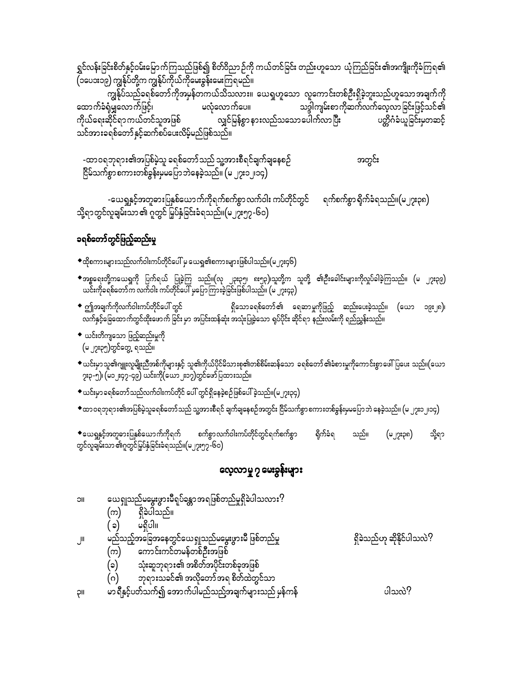ရွှင်လန်းခြင်းစိတ်နှင့်ဝမ်းမြောက်ကြသည်ဖြစ်၍ စိတ်ဝိညာဉ်ကို ကယ်တင်ခြင်း တည်းဟူသော ယုံကြည်ခြင်း၏အကျိုးကိုခံကြရ၏ .<br>(၁ပေ၁း၁၉) ကျွန်ုပ်တို့က ကျွန်ုပ်ကိုယ်ကိုမေးခွန်းမေးကြရမည်။

မလုံလောက်ပေ။ သဒ္ဒါကျမ်းစာ ကိုဆက်လက်လေ့လာ ခြင်းဖြင့်သင်၏ ထောက်ခံရုံမျှလောက်ဖြင့်၊ လျှင်မြန်စွာ နားလည်သသော ပေါက်လာပြီး ကိုယ်ရေးဆိုင်ရာ ကယ်တင်သူအဖြစ် ပတ္တိဂံခံယူခြင်းမှတဆင့် သင်အားခရစ်တော်နှင့်ဆက်စပ်ပေးလိမ့်မည်ဖြစ်သည်။

-ထာဝရဘုရား၏အပြစ်မဲ့သူ ခရစ်တော်သည် သူ့အားစီရင်ချက်ချနေစဉ် အတွင်း ငြိမ်သက်စွာ စကားတစ်ခွန်းမှမပြောဘဲနေခဲ့သည်။ (မ ၂၇း၁၂၊၁၄)

-ယေရှုနှင့်အတူဓားပြနှစ်ယောက်ကိုရက်စက်စွာ လက်ဝါး ကပ်တိုင်တွင် ရက်စက်စွာ ရိုက်ခံရသည်။(မ၂၇း၃၈) သို့ရာတွင်လူချမ်းသာ ၏ ဂူတွင် မြှပ်နှံခြင်းခံရသည်။(မ၂၇း၅၇-၆၀)

## ခရစ်တော်တွင်ဖြည့်ဆည်းမှု

- $\bullet$ ထိုစကားများသည်လက်ဝါးကပ်တိုင်ပေါ် မှ ယေရှု၏စကားများဖြစ်ပါသည်။(မ၂၇း၄၆)
- ◆အစ္စရေးတို့ကယေရှုကို ပြက်ရယ် ပြုခဲ့ကြ သည်။(လု ၂၃း၃၅၊ ၈း၅၃)၊သူတို့က သူတို့ ၏ဦးခေါင်းများကိုလှုပ်ခါခဲ့ကြသည်။ (မ ၂၇း၃၉)<br>ယင်းကိုခရစ်တော်ကလက်ဝါး ကပ်တိုင်ပေါ် မှပြောကြားခဲ့ခြင်းဖြစ်ပါသည်။ (မ ၂၇း၄၃)
- $\bullet$  ဤအချက်ကိုလက်ဝါးကပ်တိုင်ပေါ် တွင် ရှိသောခရစ်တော်၏ ရေဆာမှုကိုဖြည့် ဆည်းပေးခဲ့သည်။ (ယော ၁၉း၂၈)၊ လက်နှင့်ခြေထောက်တွင်ထိုးဖောက် ခြင်း မှာ အပြင်းထန်ဆုံး အသုံးပြုခဲ့သော ရုပ်ပိုင်း ဆိုင်ရာ နည်းလမ်းကို ရည်ညွှန်းသည်။
- $\bullet$  ယင်းတိကျသော ဖြည့်ဆည်းမှုကို
- $\bullet$ ယင်းမှာသူ၏ဂျူးလူမျိုးညီအစ်ကိုများနှင့် သူ၏ကိုယ်ပိုင်မိသားစု၏တစ်စိမ်းဆန်သော ခရစ်တော်၏ခံစားမှုကိုကောင်းစွာဖေါ်ပြပေး သည်။(ယော ၇း၃-၅)၊ (မ၁၂း၄၇-၄၉) ယင်းကို(ယော၂း၁၇)တွင်ဖော်ပြထားသည်။
- $\bullet$  ယင်းမှာ ခရစ်တော် သည်လက်ဝါးကပ်တိုင် ပေါ် တွင်ရှိနေခဲ့စဉ်ဖြစ်ပေါ် ခဲ့သည်။(မ၂၇း၃၄)
- ◆ထာဝရဘုရား၏အပြစ်မဲ့သူခရစ်တော်သည် သူ့အားစီရင် ချက်ချနေစဉ်အတွင်း ငြိမ်သက်စွာစကားတစ်ခွန်းမှမပြောဘဲ နေခဲ့သည်။ (မ ၂၇း၁၂၊၁၄)

 $\bullet$ ယေရှုနှင့်အတူခေးပြနှစ်ယောက်ကိုရက် စက်စွာလက်ဝါးကပ်တိုင်တွင်ရက်စက်စွာ ရိုက်ခံရ သို့ရာ သည်။ (မ၂၇း၃၈) တွင်လူချမ်းသာ ၏ဂူတွင်မြှပ်နှံခြင်းခံရသည်။(မ၂၇း၅၇-၆၀)

### လေ့လာမှု ၇ မေးခွန်းများ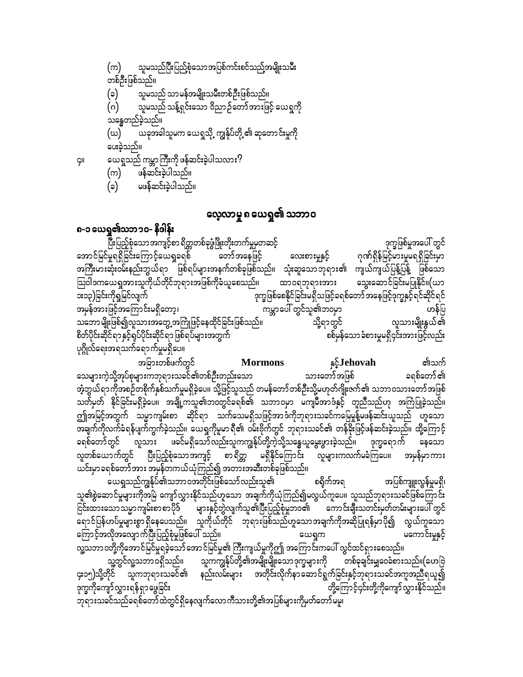**GII** 

- (က) ဖန်ဆင်းခဲ့ပါသည်။
- (၁) မဖန်ဆင်းခဲ့ပါသည်။

### လေ့လာမှု ၈ ယေရှု၏ သဘာဝ

#### ၈-၁ ယေရှု၏သဘၥဝ- နိဒါန်း

ပြီးပြည့်စုံသော အကျင့်စာ ရိတ္တတစ်ခုဖွံဖြိုးတိုးတက်မှုမှတဆင့် ဒုက္ခဖြစ်မှုအပေါ် တွင် အောင်မြင်မှုရရှိခြင်းကြောင့်ယေရှုခရစ် တော်အနေဖြင့် ဂုဏ်ရှိန်မြင့်မားမှုမရရှိခြင်းမှာ သွေးများလေး အကြီးမားဆုံးဝမ်းနည်းဘွယ်ရာ ဖြစ်ရပ်များအနက်တစ်ခုဖြစ်သည်။ သုံးဆူသောဘုရား၏ ကျယ်ကျယ်ပြန့်ပြန့် ဖြစ်သော သြဝါဒကယေရှုအားသူကိုယ်တိုင်ဘုရားအဖြစ်ကိုခံယူစေသည်။ ထာဝရဘုရားအား သွေးဆောင်ခြင်းမပြုနိုင်။(ယာ ား၁၃)ခြင်းကိုရှုမြင်လျက် ဒုက္ခဖြစ်စေနိုင်ခြင်းမရှိသဖြင့်ခရစ်တော် အနေဖြင့်ဒုက္ခနှင့်ရင်ဆိုင်ရင် အမှန်အားဖြင့်အကြောင်းမရှိတော့၊ ကမ္ဘာပေါ် တွင်သူ၏ဘဝမှာ ဟန်ပြ သဘောမျိုးဖြစ်၍လူသားအတွေ့အကြုံဖြင့်နေထိုင်ခြင်းဖြစ်သည်။ လူသားမျိုးနွယ်၏ သို့ရာတွင် စိတ်ပိုင်းဆိုင်ရာနှင့်ရုပ်ပိုင်းဆိုင်ရာဖြစ်ရပ်များအတွက် စစ်မှန်သော ခံစားမှုမရှိ၄င်းအားဖြင့်လည်း ပုဂ္ဂိုလ်ရေးအရသက်ရောက်မှုမရှိပေ။

**s**<sup>5</sup>**J**ehovah **Mormons** ၏သက် အခြားတစ်ဖက်တွင် သေများကဲ့သို့အုပ်စုများကဘုရားသခင်၏တစ်ဦးတည်းသော သားတော်အဖြစ် ခရစ်တော် ၏ အံ့ဘွယ်ရာကိုအစဉ်တစိုက်နှစ်သက်မှုမရှိခဲ့ပေ။ သို့ဖြင့်သူသည် တမန်တော်တစ်ဦးသို့မဟုတ်ဂျိုးဇက်၏ သဘာဝသားတော်အဖြစ် သတ်မှတ် နိုင်ခြင်းမရှိခဲ့ပေ။ အချို့ကသူ၏ဘဝတွင်ခရစ်၏ သဘာဝမှာ မကျမီအာဒံနှင့် တူညီသည်ဟု အကြံပြုခဲ့သည်။ ဤအမြင့်အတွက် သမ္မာကျမ်းစာ ဆိုင်ရာ သက်သေမရှိသဖြင့်အာဒံကိုဘုရားသခင်ကမြေမှုန့်မဖန်ဆင်းယူသည် ဟူသော အချက်ကိုလက်ခံရန်ပျက်ကွက်ခဲ့သည်။ ယေရှုကိုမူမာရီ၏ ဝမ်းဗိုက်တွင် ဘုရားသခင်၏ တန်ခိုးဖြင့်ဖန်ဆင်းခဲ့သည်။ ထို့ကြောင့ လူသား ဖခင်မရှိသော်လည်းသူကကျွန်ုပ်တို့ကဲ့သို့သန္ဓေယူမွေးဖွားခဲ့သည်။ ဒုက္ခရောက် နေသော ခရစ်တော်တွင် လူတစ်ယောက်တွင် ပြီးပြည့်စုံသောအကျင့် စာရိတ္တ မရှိနိုင်ကြောင်း လူများကလက်မခံကြပေ။ အမှန်မှာကား ယင်းမှာခရစ်တော်အား အမှန်တကယ်ယုံကြည်၍ အတားအဆီးတစ်ခုဖြစ်သည်။

ယေရှုသည်ကျွန်ုပ်၏သဘာဝအတိုင်းဖြစ်သော်လည်းသူ၏ စရိုက်အရ အပြစ်ကျူးလွန်မှုမရှိ၊ သူ၏စွဲဆောင်မှုများကိုအမြဲ ကျော်လွှားနိုင်သည်ဟူသော အချက်ကိုယုံကြည်၍မလွယ်ကူပေ။ သူသည်ဘုရားသခင်ဖြစ်ကြောင်း ငြင်းထားသောသမ္မာကျမ်းစာစာပိုဒ် များနှင့်တွဲလျက်သူ၏ပြီးပြည့်စုံမှုဘဝ၏ ကောင်း<mark>ချီး</mark>သတင်းမှတ်တမ်းများပေါ် တွင် -<br>ရောင်ပြန်ဟပ်မှုများစွာ ရှိနေပေသည်။ သူကိုယ်တိုင် ဘုရားဖြစ်သည်ဟူသောအချက်ကိုအဆိုပြုရန်မှာပို၍ လွယ်ကူသော ကြောင့်အလိုအလျောက်ပြီးပြည့်စုံမှုဖြစ်ပေါ် သည်။ မကောင်းမှုနှင့် ယေရှုက လူ့သဘာ ၀တို့ကိုအောင်မြင်မှုရခဲ့သော် အောင်မြင်မှု၏ ကြီးကျယ်မှုကိုဤ အကြောင်းကပေါ် လွင်ထင်ရှားစေသည်။ သူ့တွင်လူ့သဘာဝရှိသည်၊၊ သူကကျွန်ုပ်တို့၏အမျိုးမျိုးသောဒုက္ခများကို တစ်ခုချင်းမျှဝေခံစားသည်၊၊(ဟေဗြဲ<br>၄း၁၅)သို့တိုင် သူကဘုရားသခင်၏ နည်းလမ်းများ အတိုင်းလိုက်နာဆောင်ရွက်ခြင်းနှင့်ဘုရားသခင်အကူအညီရယူ၍ ဒုက္ခကိုကျော်လွှားရန်ရှာဖွေခြင်း တို့ကြောင့်၄င်းတို့ကိုကျော်လွှားနိုင်သည်။ ဘုရားသခင်သည်ခရစ်တော်ထဲတွင်ရှိနေလျက်လောကီသားတို့၏အပြစ်များကိုမှတ်တော်မူ။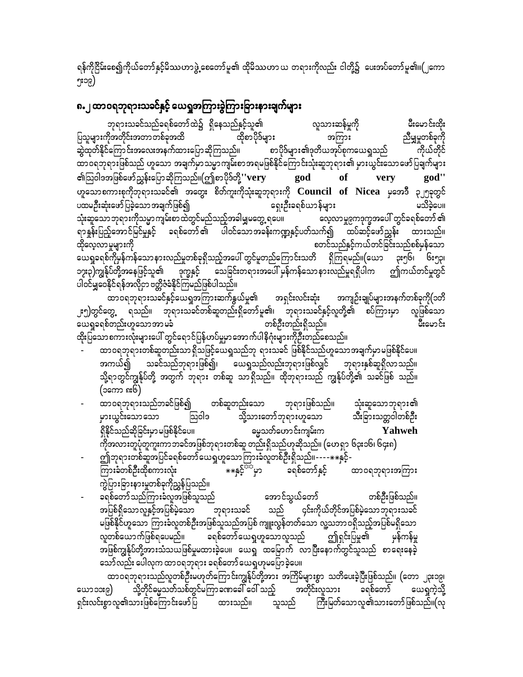ရန်ကိုငြိမ်းစေ၍ကိုယ်တော်နှင့်မိဿဟာဖွဲ့ စေတော်မူ၏ ထိုမိဿဟာ ယ တရားကိုလည်း ငါတို့၌ ပေးအပ်တော်မူ၏။(၂ကော ၅း၁၉)

### ၈.၂ ထာဝရဘုရားသခင်နှင့် ယေရှုအကြားခွဲကြားခြားနားချက်များ

ဘုရားသခင်သည်ခရစ်တော်ထဲ၌ ရှိနေသည်နှင့်သူ၏ လူသားဆန်မှုကို မီးမောင်းထိုး ပြသူများကိုအတိုင်းအတာတစ်ခုအထိ ညီမျှမှုတစ်ခုကို ထိုစာပိုဒ်များ အကြား ဆွဲထုတ်နိုင်ကြောင်းအလေးအနက်ထားပြောဆိုကြသည်။ ကိုယ်တိုင် စာပိုဒ်များ၏ဒုတိယအုပ်စုကယေရှုသည် ထာဝရဘုရားဖြစ်သည် ဟူသော အချက်မှာသမ္မာကျမ်းစာအရမဖြစ်နိုင်ကြောင်းသုံးဆူဘုရား၏ မှားယွင်းသောဖော်ပြချက်များ ၏ဩဝါဒအဖြစ်ဖော်ညွှန်းပြောဆိုကြသည်။(ဤစာပိုဒ်တို့''very god god" of very ဟူသောစကားစုကိုဘုရားသခင်၏ အတွေး စိတ်ကူးကိုသုံးဆူဘုရားကို Council of Nicea မှအေဒီ ၃၂၅ခုတွင် ရှေးဦးခရစ်ယာန်များ ပထမဦးဆုံးဖော်ပြခဲ့သော အချက်ဖြစ်၍ မသိခဲ့ပေ။ သုံးဆူသောဘုရားကိုသမ္မာကျမ်းစာထဲတွင်မည်သည့်အခါမျှမတွေ့ ရပေ။ လေ့လာမှု၉ကဒုက္ခအပေါ် တွင်ခရစ်တော် ၏ ရာနူန်းပြည့်အောင်မြင်မှုနှင့် ခရစ်တော်၏ ပါဝင်သောအခန်းကဏ္ဍနှင့်ပတ်သက်၍ ထပ်ဆင့်ဖော်ညွှန်း ထားသည်။ ထိုလေ့လာမှုများကို စတင်သည်နှင့်ကယ်တင်ခြင်းသည်စစ်မှန်သော ယေရှုခရစ်ကိုမှန်ကန်သောနားလည်မှုတစ်ခုရှိသည့်အပေါ် တွင်မူတည်ကြောင်းသတိ ရှိကြရမည်။(ယော **ုး**၅၆၊ ၆း၅၃၊ ၁၇း၃)ကျွန်ုပ်တို့အနေဖြင့်သူ၏ ဒုက္ခနှင့် သေခြင်းတရားအပေါ် မှန်ကန်သောနားလည်မှုရရှိပါက ဤကယ်တင်မှုတွင် ပါဝင်မျှဝေနိုင်ရန်အလိုငှာ ဗတ္တိဇံခံနိုင်ကြမည်ဖြစ်ပါသည်။

ထာဝရဘုရားသခင်နှင့်ယေရှုအကြားဆက်နွယ်မှု၏ အရှင်းလင်းဆုံး အကျဉ်းချုပ်များအနက်တစ်ခုကို(၁တိ ၂း၅)တွင်တွေ့ ရသည်။ ဘုရားသခင်တစ်ဆူတည်းရှိတော်မူ၏၊ ဘုရားသခင်နှင့်လူတို့၏ စပ်ကြားမှာ လူဖြစ်သော ယေရှုခရစ်တည်းဟူသောအာမခံ တစ်ဦးတည်းရှိသည်။ ပီးမောင်း ထိုးပြသောစကားလုံးများပေါ် တွင်ရောင်ပြန်ဟပ်မှုမှာအောက်ပါနိဂုံးများကိုဦးတည်စေသည်။

- ထာဝရဘုရားတစ်ဆူတည်းသာ ရှိသဖြင့်ယေရှုသည်ဘု ရားသခင် ဖြစ်နိုင်သည်ဟူသောအချက်မှာမဖြစ်နိုင်ပေ။ သခင်သည်ဘုရားဖြစ်၍၊ ယေရှုသည်လည်းဘုရားဖြစ်လျှင် ဘုရားနှစ်ဆူရှိလာသည်။ အကယ်၍ သို့ရာတွင်ကျွန်ုပ်တို့ အတွက် ဘုရား တစ်ဆူ သာရှိသည်။ ထိုဘုရားသည် ကျွန်ုပ်တို့၏ သခင်ဖြစ် သည်။ (၁ကော ၈း၆)
- ထာ၀ရဘုရားသည်ဘခင်ဖြစ်၍ တစ်ဆူတည်းသော ဘုရားဖြစ်သည်။ သုံးဆူသောဘုရား၏ သို့သားတော်ဘုရားဟူသော သီးခြားသတ္တဝါတစ်ဦး သြဝါဒ မှားယွင်းသောသော ရှိနိုင်သည်ဆိုခြင်းမှာ မဖြစ်နိုင်ပေ။ ဓမ္မသတ်ဟောင်းကျမ်းက Yahweh ကိုအလားတူပုံတူကူးကာ ဘခင်အဖြစ်ဘုရားတစ်ဆူ တည်းရှိသည်ဟုဆိုသည်။ (ဟေရှာ ၆၃း၁၆၊ ၆၄း၈)
- ဤဘုရားတစ်ဆူအပြင်ခရစ်တော်ယေရှုဟူသောကြားခံလူတစ်ဦးရှိသည်။---- $\ast\ast$ နှင့်--<br>\*\*နှင့်<sup>ငံထု</sup>မှာ ခရစ်တော်နှင့် ကြားခံတစ်ဦးထိုစကားလုံး ထာ၀ရဘုရားအကြား ကွဲပြားခြားနားမှုတစ်ခုကိုညွှန်ပြသည်။
- ခရစ်တော် သည်ကြားခံလူအဖြစ်သူသည် အောင်သွယ်တော် တစ်ဦးဖြစ်သည်။ ဘုရားသခင် သည် ၄င်းကိုယ်တိုင်အပြစ်မဲ့သောဘုရားသခင် အပြစ်ရှိသောလူနှင့်အပြစ်မဲ့သော မဖြစ်နိုင်ဟူသော ကြားခံလူတစ်ဦးအဖြစ်သူသည်အပြစ် ကျူးလွန်တတ်သော လူ့သဘာဝရှိသည့်အပြစ်မရှိသော လူတစ်ယောက်ဖြစ်ရပေမည်။ ခရစ်တော်ယေရှဟူသောလူသည် ဤရှင်းပြမှု၏ မှန်ကန်မှု အဖြစ်ကျွန်ုပ်တို့အားသံသယဖြစ်မှုမထားခဲ့ပေ။ ယေရှ ထမြောက် လာပြီးနောက်တွင်သူသည် စာရေးနေခဲ့ သော်လည်း ပေါလုက ထာဝရဘုရား ခရစ်တော် ယေရှဟုမပြောခဲ့ပေ။

ထာဝရဘုရားသည်လူတစ်ဦးမဟုတ်ကြောင်းကျွန်ုပ်တို့အား အကြိမ်များစွာ သတိပေးခဲ့ပြီးဖြစ်သည်။ (တော ၂၃း၁၉၊ သို့တိုင်မွေ့သတ်သစ်တွင်မကြာခဏခေါ် ဝေါ် သည့် စာတိုင်းလူသား ခရစ်တော် ယော ၁၁း၉) ယေရှကဲ့သို့ ရှင်းလင်းစွာလူ၏သားဖြစ်ကြောင်းဖော်ပြ ထားသည်။ ကြီးမြတ်သောလူ၏သားတော်ဖြစ်သည်။(လု သူသည်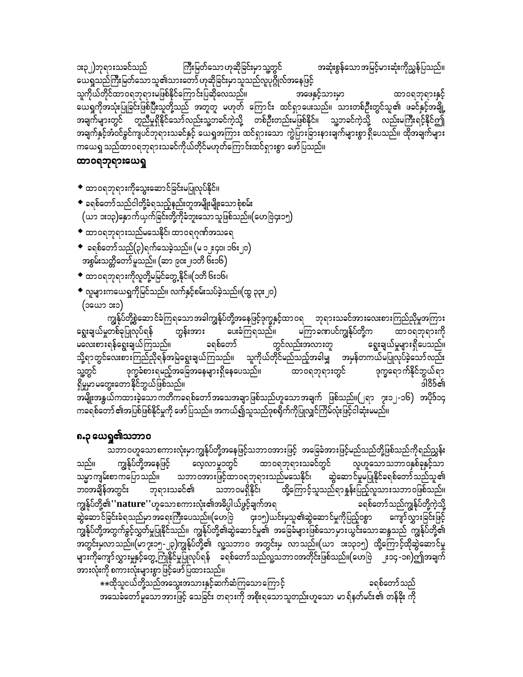\*\*ထိုသူငယ်တို့သည်အသွေးအသားနှင့်ဆက်ဆံကြသောကြောင့် ခရစ်တော်သည် အသေခံတော်မူသောအားဖြင့် သေခြင်း တရားကို အစိုးရသောသူတည်းဟူသော မာရ်နတ်မင်း၏ တန်ခိုး ကို

သဘာဝဟူသောစကားလုံးမှာကျွန်ုပ်တို့အနေဖြင့်သဘာဝအားဖြင့် အခြေခံအားဖြင့်မည်သည်တို့ဖြစ်သည်ကိုရည်ညွှန်း ကျွန်ုပ်တို့အနေဖြင့် ထာဝရဘုရားသခင်တွင် လူဟူသောသဘာဝနှစ်ခုနှင့်သာ သည်။ လေ့လာမှု၁တွင် သမ္မာကျမ်းစာကပြောသည်။ သဘာဝအားဖြင့်ထာဝရဘုရားသည်မသေနိုင်၊ ဆွဲဆောင်မှုမပြုနိုင်ခရစ်တော်သည်သူ၏ ထို့ကြောင့်သူသည်ရာနှုန်းပြည့်လူသားသဘာဝဖြစ်သည်။ ဘုရားသခင်၏ ဘ၀အချိန်အတွင်း သဘာဝမရှိနိုင်၊ ကျွန်ုပ်တို့၏**''nature''**ဟူသောစကားလုံး၏အဓိပ္ပါယ်ဖွင့်ချက်အရ ခရစ်တော်သည်ကျွန်ုပ်တို့ကဲ့သို့ -<br>- ၄း၁၅)ယင်းမှသူ၏ဆွဲဆောင်မှုကိုပြည့်ဝစွာ ဆွဲဆောင်ခြင်းခံရသည်မှာအရေးကြီးပေသည်။(ဟေဗြဲ ကျော်လွှားခြင်းဖြင့် ကျွန်ုပ်တို့အတွက်ခွင့်လွှတ်မှုပြုနိုင်သည်။ ကျွန်ုပ်တို့၏ဆွဲဆောင်မှု၏ အခြေခံများဖြစ်သောမှားယွင်းသောဆန္ဒသည် ကျွန်ုပ်တို့၏ အတွင်းမှလာသည်။(မာ၇း၁၅-၂၃)ကျွန်ုပ်တို့၏ လူ့သဘာဝ အတွင်းမှ လာသည်။(ယာ ၁း၁၃၁၅) ထို့ကြောင့်ထိုဆွဲဆောင်မှု များကိုကျော်လွှားမှုနှင့်တွေ့ကြုံနိုင်မှုပြုလုပ်ရန် ခရစ်တော်သည်လူ့သဘာဝအတိုင်းဖြစ်သည်။(ဟေဗြဲ ၂း၁၄ -၁၈)ဤအချက် အားလုံးကို စကားလုံးများစွာဖြင့်ဖော်ပြထားသည်။

# ၈.၃ ယေရှု၏သဘာဝ

ကျွန်ုပ်တို့စွဲဆောင်ခံကြရသောအခါကျွန်ုပ်တို့အနေဖြင့်ဒုက္ခနှင့်ထာဝရ ဘုရားသခင်အားလေးစားကြည်ညိုမှုအကြား မကြာခဏပင်ကျွန်ုပ်တို့က ရွေးချယ်မှုတစ်ခုပြုလုပ်ရန် တွန်းအား ပေးခံကြရသည်။ ထာဝရဘုရားကို မလေးစားရန်ရွေးချယ်ကြသည်။ ခရစ်တော် တွင်လည်းအလားတူ ချွေးချယ်မှုများရှိပေသည်။ သို့ရာတွင်လေးစားကြည်ညှိရန်အမြဲရွေးချယ်ကြသည်။ သူကိုယ်တိုင်မည်သည့်အခါမျှ အမှန်တကယ်မပြုလုပ်ခဲ့သော်လည်း သူ့တွင် ဒုက္ခခံစားရမည့်အခြေအနေများရှိနေပေသည်။ ထာ၀ရဘုရားတွင် ဒုက္ခရောက်နိုင်ဘွယ်ရာ ရှိမှုမှာမတွေးတောနိုင်ဘွယ်ဖြစ်သည်။ ၁ါဝိဒ်၏ ----<br>အမျိုးအနွယ်ကထားခဲ့သော ကတိကခရစ်တော် အသေအချာ ဖြစ်သည်ဟူသော အချက် ဖြစ်သည်။(၂ရာ ၇း၁၂-၁၆) အပိုဒ်၁၄ ကခရစ်တော် ၏အပြစ်ဖြစ်နိုင်မှုကို ဖော်ပြသည်။ အကယ်၍သူသည်ဒုစရိုက်ကိုပြုလျှင်ကြိမ်လုံးဖြင့်ငါဆုံးမမည်။

- ◆ လူများကယေရှုကိုမြင်သည်။ လက်နှင့်စမ်းသပ်ခဲ့သည်။(ထွ ၃၃း၂၀) (ວະແລະ ລະວ)
- ◆ ထာဝရဘုရားကိုလူတို့မမြင်တွေ့ နိုင်။(၁တိ ၆း၁၆၊
- အစွမ်းသတ္တိတော်မူသည်။ (ဆာ ၉၀း၂၊၁တိ ၆း၁၆)
- $\bullet \,$  ခရစ်တော်သည်(၃)ရက်သေခဲ့သည်။ (မ ၁၂း၄၀၊ ၁၆း၂၀)
- $\bullet$  ထာဝရဘုရားသည်မသေနိုင်၊ ထာဝရဂုဏ်အသရေ
- $\bullet$  ခရစ်တော်သည်ငါတို့ခံရသည့်နည်းတူအမျိုးမျိုးသော စုံစမ်း (ယာ ၁း၁၃)နှောက်ယှက်ခြင်းတို့ကိုခံဘူးသောသူဖြစ်သည်။(ဟေဗြဲ၄း၁၅)
- ◆ ထာဝရဘုရားကိုသွေးဆောင်ခြင်းမပြုလုပ်နိုင်။

#### ထာဝရဘုရားယေရှ

အဆုံးစွန်သောအမြင့်မားဆုံးကိုညွှန်ပြသည်။ **း**၃၂)ဘုရားသခင်သည် ကြီးမြတ်သော ဟုဆိုခြင်းမှာ သူ့တွင် ယေရှုသည်ကြီးမြတ်သောသူ၏သားတော် ဟုဆိုခြင်းမှာသူသည်လူပုဂ္ဂိုလ်အနေဖြင့် သူကိုယ်တိုင်ထာဝရဘုရားမဖြစ်နိုင်ကြောင်းပြဆိုလေသည်။ အဖေနှင့်သားမှာ ထာ၀ရဘုရားနှင့် ယေရှုကိုအသုံးပြုခြင်းဖြစ်ပြီးသူတို့သည် အတူတူ မဟုတ် ကြောင်း ထင်ရှာပေးသည်။ သားတစ်ဉီးတွင်သူ၏ ဖခင်နှင့်အချို့ အချက်များတွင် ကူညီမှုရှိနိုင်သော်လည်းသူ့ဘခင်ကဲ့သို့ တစ်ဦးတည်းမဖြစ်နိုင်။ သူ့ဘခင်ကဲ့သို့ လည်းမကြီးရင့်နိုင်ဤ အချက်နှင့်အံဝင်ခွင်ကျပင်ဘုရားသခင်နှင့် ယေရှုအကြား ထင်ရှားသော ကွဲပြားခြားနားချက်များစွာရှိပေသည်။ ထိုအချက်များ ကယေရှု သည်ထာဝရဘုရားသခင်ကိုယ်တိုင်မဟုတ်ကြောင်းထင်ရှားစွာ ဖော်ပြသည်။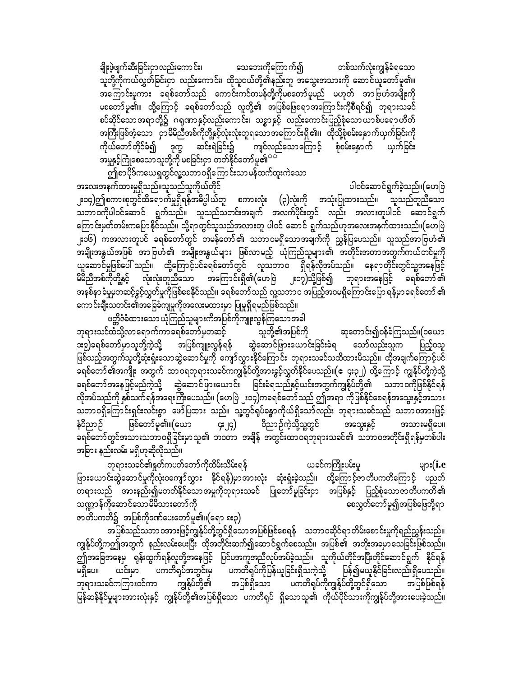တစ်သက်လုံးကျွန်ခံရသော ချိုးဖွဲဖျက်ဆီးခြင်းငှာလည်းကောင်း၊ သေဘေးကိုကြောက်၍ သူတို့ကိုကယ်လွှတ်ခြင်းငှာ လည်းကောင်း၊ ထိုသူငယ်တို့၏နည်းတူ အသွေးအသားကို ဆောင်ယူတော်မူ၏။ အကြောင်းမူကား ခရစ်တော်သည် ကောင်းကင်တမန်တို့ကိုမစတော်မူမည် မဟုတ် အာဗြဟံအမျိုးကို မစတော်မူ၏။ ထို့ကြောင့် ခရစ်တော်သည် လူတို့၏ အပြစ်ဖြေစရာအကြောင်းကိုစီရင်၍ ဘုရားသခင် စပ်ဆိုင်သော အရာတို့၌ ဂရုဏာနှင့်လည်းကောင်း၊ သစ္စာနှင့် လည်းကောင်းပြည့်စုံသောယာစ်ပရောဟိတ် အကြီးဖြစ်ဘဲ့သော ငှာမိမိညီအစ်ကိုတို့နှင့်လုံးလုံးတူရသောအကြောင်းရှိ၏။ ထိုသို့စုံစမ်းနှောက်ယှက်ခြင်းကို ကိုယ်တော်တိုင်ခံ၍ ဒုက္ခ ဆင်းရဲခြင်း၌ ကျင်လည်သောကြောင့် စုံစမ်းနောက် ယှက်ခြင်း အမှုနှင့်ကြုံစေသော သူတို့ကို မစခြင်းငှာ တတ်နိုင်တော်မူ၏<sup>သင်္</sup>

ား<br>ဤစာပိုဒ်ကယေရှုတွင်လူ့သဘာဝရှိကြောင်းသာမန်ထက်ထူးကဲသော -<br>အလေးအနက်ထားမှုရှိသည်။သူသည်သူကိုယ်တိုင် ပါဝင်ဆောင်ရွက်ခဲ့သည်။(ဟေဗြဲ ၂း၁၄)ဤစကားစုတွင်ထိရောက်မှုရှိရန်အဓိပ္ပါယ်တူ စကားလုံး (၃)လုံးကို အသုံးပြုထားသည်။ သူသည်တူညီသော - ကိုယ်တို့ပါဝင်ဆောင် ရွက်သည်။ သူသည်သတင်းအချက် အလက်ပိုင်းတွင် လည်း အလားတူပါဝင် ဆောင်ရွက် ကြောင်းမှတ်တမ်းကပြောနိုင်သည်။ သို့ရာတွင်သူသည်အလားတူ ပါဝင် ဆောင် ရွက်သည်ဟုအလေးအနက်ထားသည်။(ဟေဗြဲ ၂း၁၆) ကအလားတူပင် ခရစ်တော်တွင် တမန်တော်၏ သဘာဝမရှိသောအချက်ကို ညွှန်ပြပေသည်။ သူသည်အာဗြဟံ၏ အမျိုးအနွယ်အဖြစ် အာဗြဟံ၏ အမျိုးအနွယ်များ ဖြစ်လာမည့် ယုံကြည်သူများ၏ အတိုင်းအတာအတွက်ကယ်တင်မှုကို ယူဆောင်မှုဖြစ်ပေါ် သည်။ ထို့ကြောင့်ပင်ခရစ်တော်တွင် လူသဘာဝ ရှိရန်လိုအပ်သည်။ နေရာတိုင်းတွင်သူ့အနေဖြင့် မိမိညီအစ်ကိုတို့နှင့် လုံးလုံးတူညီသော အကြောင်းရှိ၏(ဟေဗြဲ ၂း၁၇)သို့ဖြစ်၍ ဘုရားအနေဖြင့် ခရစ်တော်၏ အနစ်နာ ခံမှုမှတဆင့်ခွင့်လွှတ်မှုကိုဖြစ်စေနိုင်သည်။ ခရစ်တော်သည် လူ့သဘာဝ အပြည့်အဝမရှိကြောင်းပြော ရန်မှာခရစ်တော် ၏ ကောင်းချီးသတင်း၏အခြေခံကျမှုကိုအလေးမထားမှာ ပြုမူရှိရမည်ဖြစ်သည်။

ဗတ္တိဇံခံထားသော ယုံကြည်သူများကိအပြစ်ကိုကျူးလွန်ကြသောအခါ

ဘုရားသင်ထံသို့လာရောက်ကာခရစ်တော်မှတဆင့် သူတို့၏အပြစ်ကို ဆုတောင်း၍ဝန်ခံကြသည်။(၁ယော <mark>ား၉)ခရစ်တော်မှာသူတို့ကဲ့သို့ အပြစ်ကျူးလွန်ရန် ဆွဲဆောင်ဖြားယောင်းခြင်းခံရ သော်လည်းသူက</mark> မ ပြည့်ဝသူ ဖြစ်သည့်အတွက်သူတို့ဆုံးရှုံးသောဆွဲဆောင်မှုကို ကျော်လွှားနိုင်ကြောင်း ဘုရားသခင်သထိထားမိသည်။ ထိုအချက်ကြောင့်ပင် ခရစ်တော် ၏အကျိုး အတွက် ထာဝရဘုရားသခင်ကကျွန်ုပ်တို့အားခွင့်လွှတ်နိုင်ပေသည်။(ဧ ၄း၃၂) ထို့ကြောင့် ကျွန်ုပ်တို့ကဲ့သို့ ခရစ်တော် အနေဖြင့်မည်ကဲ့သို့ ဆွဲဆောင်ဖြားယောင်း ခြင်းခံရသည်နှင့်ယင်းအတွက်ကျွန်ုပ်တို့၏ သဘာဝကိုဖြစ်နိုင်ရန် လိုအပ်သည်ကို နှစ်သက်ရန်အရေးကြီးပေသည်။ (ဟေဗြဲ ၂း၁၄)ကခရစ်တော်သည် ဤအရာ ကိုဖြစ်နိုင်စေရန်အသွေးနှင့်အသား သဘာဝရှိကြောင်းရှင်းလင်းစွာ ဖော်ပြထား သည်။ သူ့တွင်ရပ်ခန္ဓာကိုယ်ရှိသော်လည်း ဘုရားသခင်သည် သဘာဝအားဖြင့် နံဝိညာဉ် ဖြစ်တော်မူ၏။(ယော  $\mathsf{G}$ :  $\mathsf{G}$ ) ဝိညာဉ်ကဲ့သို့သူ့တွင် အသွေးနှင့် အသားမရှိပေ။ .<br>ခရစ်တော်တွင်အသားသဘာဝရှိခြင်းမှာသူ၏ ဘ၀တာ အချိန် အတွင်းထာဝရဘုရားသခင်၏ သဘာဝအတိုင်းရှိရန်မှတစ်ပါး အခြား နည်းလမ်း မရှိဟုဆိုလိုသည်။

ဘုရားသခင်၏နှုတ်ကပတ်တော်ကိုထိမ်းသိမ်းရန် ယခင်ကကြိုးပမ်းမှု များ $(i.e$ ဖြားယောင်းဆွဲဆောင်မှုကိုလုံးဝကျော်လွှား နိုင်ရန်)မှာအားလုံး ဆုံးရှုံးခဲ့သည်။ ထို့ကြောင့်ဇာတိပကတိကြောင့် ပညတ် သဏ္ဍာန်ကိုဆောင်သောမိမိသားတော်ကို စေလွှတ်တော်မူ၍အပြစ်ဖြေဘို့ရာ ဇာတိပကတိ၌ အပြစ်ကိုဒဏ်ပေးတော်မူ၏။(ရော ၈း၃)

အပြစ်သည်သဘာ ဝအားဖြင့်ကျွန်ုပ်တို့တွင်ရှိသော အပြစ်ဖြစ်စေရန် သဘာ ဝဆိုင်ရာ တိမ်းစောင်းမှုကိုရည်ညွှန်းသည်။ ကျွန်ုပ်တို့ကဤအတွက် နည်းလမ်းပေးပြီး ထိုအတိုင်းဆက်၍ဆောင်ရွက်စေသည်။ အပြစ်၏ အဘိုးအခမှာသေခြင်းဖြစ်သည်။ ဤအခြေအနေမှ ရုန်းထွက်ရန်လူတို့အနေဖြင့် ပြင်ပအကူအညီလုပ်အပ်ခဲ့သည်။ သူကိုယ်တိုင်အပြီးတိုင်ဆောင်ရွက် နိုင်ရန် မရှိပေ။ ယင်းမှာ ဟကတိရပ်အတွင်းမှ ဟကတိရပ်ကိုပြန်ယူခြင်းရှိသကဲ့သို့ ပြန်၍မယူနိုင်ခြင်းလည်းရှိပေသည်။ အပြစ်ရှိသော ပကတိရပ်ကိုကျွန်ုပ်တို့တွင်ရှိသော ကျွန်ုပ်တို့၏ ဘုရားသခင်ကကြားဝင်ကာ အပြစ်ဖြစ်ရန် မြန်ဆန်နိုင်မှုများအားလုံးနှင့် ကျွန်ုပ်တို့၏အပြစ်ရှိသော ပကတိရုပ် ရှိသောသူ၏ ကိုယ်ပိုင်သားကိုကျွန်ုပ်တို့အားပေးခဲ့သည်။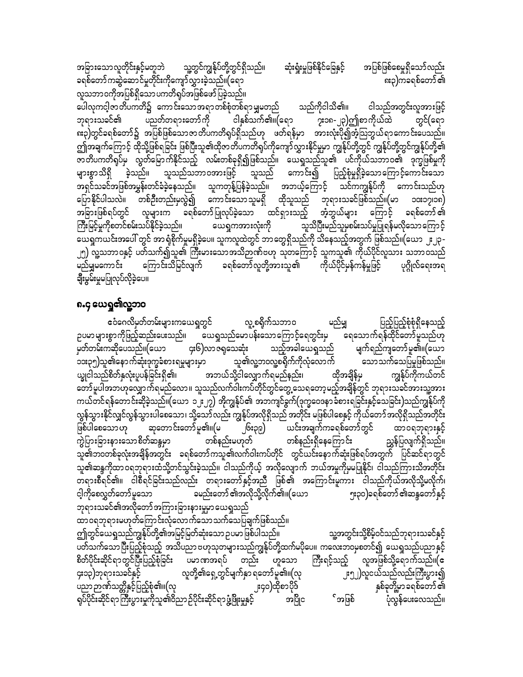အခြားသောလူတိုင်းနှင့်မတူဘဲ သူ့တွင်ကျွန်ုပ်တို့တွင်ရှိသည်။ ဆုံးရှုံးမှုဖြစ်နိုင်ခြေနှင့် အပြစ်ဖြစ်စေမှုရှိသော်လည်း ခရစ်တော်ကဆွဲဆောင်မှုတိုင်းကိုကျော်လွှားခဲ့သည်။(ရော $\,$  8)  $\,$  8 $\,$  8 $\,$  8 $\,$  8 $\,$  8 $\,$  8 $\,$  9 $\,$  9 $\,$  9 $\,$  9 $\,$  9 $\,$  9 $\,$  9 $\,$  9 $\,$  9 $\,$  9 $\,$  9 $\,$  9 $\,$  9 $\,$  9 $\,$  9 $\,$  9 $\,$  9 $\,$  9 $\,$  9 $\,$  9 $\,$  9 $\$ လူသဘာဝကိုအပြစ်ရှိသော ပကတိရုပ်အဖြစ်ဖော်ပြခဲ့သည်။

ပေါလုကငါ့ဇာတိပကတိ၌ ကောင်းသောအရာတစ်စုံတစ်ရာမျှမတည် သည်ကိုငါသိ၏။ ငါသည်အတွင်းလူအားဖြင့် ဘုရားသခင်၏ ပညတ်တရားတော်ကို ငါနှစ်သက်၏။(ရော ၇း၁၈-၂၃)ဤစာကိုယ်ထဲ တွင်(ရော ၈း၃)တွင်ခရစ်တော်၌ အပြစ်ဖြစ်သောဇာတိပကတိရုပ်ရှိသည်ဟု ဖတ်ရန်မှာ အားလုံးပို၍အံ့ဩဘွယ်ရာကောင်းပေသည်။ ဤအချက်ကြောင့် ထိုသို့ဖြစ်ရခြင်း ဖြစ်ပြီးသူ၏ထိုဇာတိပကတိရပ်ကိုကျော်လွှားနိုင်မှုမှာ ကျွန်ုပ်တို့တွင် ကျွန်ုပ်တို့တွင်ကျွန်ုပ်တို့၏ ဇာတိပကတိရုပ်မှ လွတ်မြောက်နိုင်သည့် လမ်းတစ်ခုရှိ၍ဖြစ်သည်။ ယေရှုသည်သူ၏ ပင်ကိုယ်သဘာဝ၏ ဒုက္ခဖြစ်မှုကို<br>များစွာသိရှိ ' ခဲ့သည်။ ' သူသည်သဘာဝအားဖြင့် ' သူသည် 'ကောင်း၍ ' ပြည့်စုံမှုရှိခဲ့သောကြောင့်ကောင်းသော များစွာသိရှိ ခဲ့သည်။ သူသည်သဘာဝအားဖြင့် သူသည် အရှင်သခင်အဖြစ်အမွှန်းတင်ခံခဲ့နေသည်။ သူကတုန့်ပြန်ခဲ့သည်။ အဘယ့်ကြောင့် သင်ကကျွန်ုပ်ကို ကောင်းသည်ဟု<br>ပြောနိုင်ပါသလဲ။ တစ်ဦးတည်းမှလွဲ၍ ကောင်းသောသူမရှိ ထိုသူသည် ဘုရားသခင်ဖြစ်သည်။(မာ ၁၀း၁၇၊၁၈) ကောင်းသောသူမရှိ ထိုသူသည် ဘုရားသခင်ဖြစ်သည်။(မာ ၁၀း၁၇၊၁၈)<br>ကဉ်ြုလုပ်ခဲ့သော ထင်ရှားသည့် အံ့ဘွယ်များ ကြောင့် ခရစ်တော်၏ အခြားဖြစ်ရပ်တွင် လူများက ခရစ်တော်ပြုလုပ်ခဲ့သော ထင်ရှားသည့်<br>ကြီးမြင့်မှုကိုစတင်စမ်းသပ်နိုင်ခဲ့သည်။ ယေရှုကအားလုံးကို သူ၁  $\overline{\Xi}$ သူသိပြီးမည်သူမှစမ်းသပ်မှုပြုရန်မလိုသော ကြော င့် ယေရှုကယင်းအပေါ် တွင် အာ ရုံစိုက်မှုမရှိခဲ့ပေ။ သူကလူထဲတွင် ဘာတွေရှိသည်ကို သိနေသည့်အတွက် ဖြစ်သည်။(ယော ၂း၂၃-25) vlYobm0ESifh ywfoufíol\ BuD;rm;aomtodÓPfA[k okwaMumifh oluol\ udk,fydkifvlom; obm0onf မည်မျှမကောင်း ကြောင်းသိမြင်လျက် ခရစ်တော်လူတို့အားသူ၏ ကိုယ်ပိုင်မှန်ကန်မှုဖြင့် ပုဂ္ဂိုလ်ရေးအရ ချီးမွမ်းမှုမပြုလုပ်လိုခဲ့ပေ။

#### ၈.၄ ယေ**ရှ**၏လူ့ဘဝ

**ော်ဂေလိမှတ်တမ်းများကယေရှုတွင် ထူ့စရို**က်သဘာဝ မည်မျှ ပြည့်ပြည့်စုံစုံရှိနေသည့် ဉပမာများစွာကိုဖြည့်ဆည်းပေးသည်။ ယေရှုသည်မောပန်းသောကြောင့်ရေတွင်းမှ ရေသောက်ရန်ထိုင်တော်မူသည်ဟု မှတ်တမ်းကဆိုပေသည်။(ယော ၄း၆)လာဇရုသေဆုံး သည့်အခါယေရှုသည် မျက်ရည်ကျတော်မူ၏။(ယော ၁၁း၃၅)သူ၏နောက်ဆုံးဒုက္ခခံစားရမှုများမှာ သူ၏လူ့ဘဝလူ့စရိုက်ကိုလုံလောက် သောသက်သေပြမှုဖြစ်သည်။ ယ္ခုငါသည်စိတ်နှလုံးပူပန်ခြင်းရှိ၏၊ အဘယ်သို့ငါလျှောက်ရမည်နည်း၊ ထိုအချိန်မှ ကျွန်ုပ်ကိုကယ်တင် ကော်မူပါအဘဟုလျှောက်ရမည်လော။ သူသည်လက်ဝါးကပ်တိုင်တွင်တွေ့သေရတော့မည့်အချိန်တွင် ဘုရားသခင်အားသူ့အား ကယ်တင်ရန်တောင်းဆိုခဲ့သည်။(ယော ၁၂း၂၇) အိုကျွန်ုပ်၏ အဘကျင်ခွက်(ဒုက္ခဝေဒနာခံစားရခြင်းနှင့်သေခြင်း)သည်ကျွန်ုပ်ကို လွန်သွားနိုင်လျှင်လွန်သွားပါစေသော၊ သို့သော်လည်း ကျွန်ုပ်အလိုရှိသည် အတိုင်း မဖြစ်ပါစေနှင့် ကိုယ်တော် အလိုရှိသည်အတိုင်း ဖြစ်ပါစေသောဟု ဆုတောင်းတော်မူ၏။(မ ၂၆း၃၉) ယင်းအချက်ကခရစ်တော်တွင် ထာဝရဘုရားနှင့်<br>ကွဲပြားခြားနားသောစိတ်ဆန္ဒမှာ - တစ်နည်းမဟုတ် - တစ်နည်းရှိနေကြောင်း - ညွှန်ပြလျက်ရှိသည်။ ကွဲပြားခြားနားသောစိတ်ဆန္ဒမှာ သူ၏ဘဝတစ်ခုလုံးအချိန်အတွင်း ခရစ်တော်ကသူ၏လက်ဝါးကပ်တိုင် တွင်ယင်းနောက်ဆုံးဖြစ်ရပ်အတွက် ပြင်ဆင်ရာတွင် သူ၏ဆန္ဒကိုထာဝရဘုရားထံသို့တင်သွင်းခဲ့သည်။ ငါသည်ကိုယ့် အလိုလျောက် ဘယ်အမှုကိုမှမပြုနိုင်၊ ငါသည်ကြားသိအတိုင်း တရားစီရင်၏။ ငါစီရင်ခြင်းသည်လည်း တရားတော်နှင့်အညီ ဖြစ်၏ အကြောင်းမူကား ငါသည်ကိုယ်အလိုသို့မလိုက်၊ ငါ့ကိုစေလွှတ်တော်မူသော မေည်းတော် ၏အလိုသို့လိုက်၏။ $(\text{e}$ ယာ ၅ႏ၃၀)ခရစ်တော် ၏ဆန္ဒတော်နှင့် ဘုရားသခင်၏အလိုတော်အကြားခြားနားမှုမှာ ယေရှုသည် ထာဝရဘုရားမဟုတ်ကြောင်းလုံလောက်သောသက်သေပြချက်ဖြစ်သည်။ ဤတွင်ယေရှုသည်ကျွန်ုပ်တို့၏အမြင့်မြတ်ဆုံးသော ဥပမာ ဖြစ်ပါသည်။ သူ့အတွင်းသို့စိမ့်ဝင်သည်ဘုရားသခင်နှင့် ပတ်သက်သောပြီးပြည့်စုံသည့် အသိပညာဗဟုသုတများသည်ကျွန်ုပ်တို့ထက်မပိုပေ။ ကလေးဘဝမှစတင်၍ ယေရှုသည်ပညာနှင့်<br>စိတ်ပိုင်းဆိုင်ရာတွင်ပြီးပြည့်စုံခြင်း ပမာဏအရပ် တည်း ဟူသော ကြီးရင့်သည့် လူအဖြစ်သို့ရောက်သည်။(**ဧ** စိတ်ပိုင်းဆိုင်ရာတွင်ပြီးပြည့်စုံခြင်း ပမာဏအရပ် တည်း ဟူသော ၄း၁၃)ဘုရားသခင်နှင့် လူတို့၏ရှေ့တွင်မျက်နှာ ရတော်မူ၏။(လု နစ်ခုတို့မှာ ရစ်တော် ၏<br>ပညာဉာဏ်သတ္တိနှင့်ပြည့်စုံ၏။(လု ပညာဉာဏ်သတ္တိနှင့်ပြည့်စုံ၏။(လု<br>ရုပ်ပိုင်းဆိုင်ရာကြီးပွားမှုကိုသူ၏ဝိညာဉ်ပိုင်းဆိုင်ရာဖွံ့ဖြိုးမှုနှင့် အပြိုင ျပဳပိုင်းဆိုင်ရာကြီးပွားမှုကိုသူ၏ဝိညာဉ်ပိုင်းဆိုင်ရာပွံ့ဖြိုးမှုနှင့် အပြိုင ်အဖြစ် ပုံလွန်ပေးလေသည်။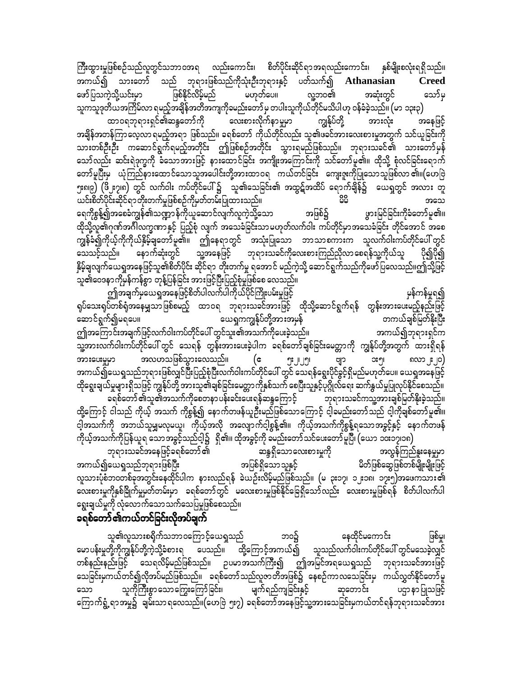ကြီးထွားမှုဖြစ်စဉ်သည်လူတွင်သဘာဝအရ လည်းကောင်း၊ စိတ်ပိုင်းဆိုင်ရာအရလည်းကောင်း၊ နှစ်မျိုးစလုံးရရှိသည်။ အကယ်၍ သားတော် သည် ဘုရားဖြစ်သည်ကိုသုံးဦးဘုရားနှင့် ပတ်သက်၍ Athanasian **Creed** မဟုတ်ပေ။ ဖြစ်နိုင်လိမ့်မည် လူ့ဘဝ၏ ဖော်ပြသကဲ့သို့ယင်းမှာ အဆုံးတွင် သော်မှ သူကသူဒုတိယအကြိမ်လာ ရမည့်အချိန်အတိအကျကိုခမည်းတော်မှ တပါးသူကိုယ်တိုင်မသိပါဟု ဝန်ခံခဲ့သည်။ (မာ ၁၃း၃)

ထာဝရဘုရားရှင်၏ဆန္ဒတော်ကို လေးစားလိုက်နာမှုမှာ ကျွန်ုပ်တို့ အားလုံး အနေဖြင့် အချိန်အတန်ကြာလေ့လာ ရမည့်အရာ ဖြစ်သည်။ ခရစ်တော် ကိုယ်တိုင်လည်း သူ၏ဖခင်အားလေးစားမှုအတွက် သင်ယူခြင်းကို သော်လည်း ဆင်းရဲဒုက္ခကို ခံသောအားဖြင့် နားထောင်ခြင်း အကျိုးအကြောင်းကို သင်တော်မူ၏။ ထိုသို့ စုံလင်ခြင်းရောက် တော်မူပြီးမှ ယုံကြည်နားထောင်သောသူအပေါင်းတို့အားထာဝရ ကယ်တင်ခြင်း ကျေးဇူးကိုပြုသောသူဖြစ်လာ၏။(ဟေဗြဲ ှုးရ၊၉) (ဖို့ ဧ၇၊၈) တွင် လက်ဝါး ကပ်တိုင်ပေါ်၌ သူ၏သေခြင်း၏ အထွဋ်အထိပ် ရောက်ချိန်၌ ယေရှုတွင် အလား တူ ယင်းစိတ်ပိုင်းဆိုင်ရာတိုးတက်မှုဖြစ်စဉ်ကိုမှတ်တမ်းပြုထားသည်။ ၀၀ အသေ ရေကိုစွန့်၍အစေခံကျွန်၏သဏ္ဍာန်ကိုယူဆောင်လျက်လူကဲ့သို့သော အဖြစ်၌ ဖွားမြင်ခြင်းကိုခံတော်မူ၏။ ထိုသို့လူ၏ဂုဏ်အင်္ဂါလက္ခဏာနှင့် ပြည့်စုံ လျက် အသေခံခြင်းသာမဟုတ်လက်ဝါး ကပ်တိုင်မှာအသေခံခြင်း တိုင်အောင် အစေ ကျွန်ခံ၍ကိုယ့်ကိုကိုယ်နိမ့်ချတော်မူ၏။ ဤနေရာတွင် အသုံးပြုသော ဘာသာစကားက သူလက်ဝါးကပ်တိုင်ပေါ်တွင် ာက်သည်။ နောက်ဆုံးတွင် သူ့အနေဖြင့် ဘုရားသခင်ကိုလေးစားကြည်ညှိလာစေရန်သူ့ကိုယ်သူ -ပို၍ပို၍ နှိမ့်ချလျက်ယေရှုအနေဖြင့်သူ၏စိတ်ပိုင်း ဆိုင်ရာ တိုးတက်မှု ရအောင် မည်ကဲ့သို့ ဆောင်ရွက်သည်ကိုဖော်ပြလေသည်။ဤသို့ဖြင့် သူ၏ဝေဒနာကိုမှန်ကန်စွာ တုန့်ပြန်ခြင်း အားဖြင့်ပြီးပြည့်စုံမှုဖြစ်စေ လေသည်။

ဤအချက်မှယေရှုအနေဖြင့်စိတ်ပါလက်ပါကိုယ်ပိုင်ကြိုးပမ်းမှုဖြင့် မှန်ကန်မှုရ၍ ရုပ်သေးရုပ်တစ်ရံအနေမျှသာဖြစ်စမည့် ထာဝရ ဘုရားသခင်အားဖြင့် ထိုသို့ဆောင်ရွက်ရန် တွန်းအားပေးမည့်နည်းဖြင့် ယေရှုကကျွန်ုပ်တို့အားအမှန် ဆောင်ရွက်၍မရပေ။ တကယ်ချစ်မြတ်နိုးပြီး ဤအကြောင်းအချက်ဖြင့်လက်ဝါးကပ်တိုင်ပေါ် တွင်သူး၏အသက်ကိုပေးခဲ့သည်။ အကယ်၍ဘုရားရှင်က —-<br>သူ့အားလက်ဝါးကပ်တိုင်ပေါ် တွင် သေရန် တွန်းအားပေးခဲ့ပါက ခရစ်တော်ချစ်ခြင်းမေတ္တာကို ကျွန်ုပ်တို့အတွက် ထားရှိရန် အလဟသဖြစ်သွားလေသည်။ အားပေးမှုမှာ  $(e$ အားပေးမှုမှာ အလဟသဖြစ်သွားလေသည်။ (ဧ ၅း၂၂၅၊ ဗျာ အ၅၊ အ၅၊ ၈လာ၂း၂၀)<br>အကယ်၍ယေရှုသည်ဘုရားဖြစ်လျှင်ပြီးပြည့်စုံပြီးလက်ဝါးကပ်တိုင်ပေါ် တွင် သေရန်ရွေးပိုင်ခွင့်ရှိမည်မဟုတ်ပေ။ ယေရှုအနေဖြင့် ထိုရွေးချယ်မှုများရှိသဖြင့် ကျွန်ုပ်တို့ အားသူ၏ချစ်ခြင်းမေတ္တာကိုနှစ်သက် စေပြီးသူနှင့်ပုဂ္ဂိုလ်ရေး ဆက်နွယ်မှုပြုလုပ်နိုင်စေသည်။ ခရစ်တော် ၏သူ၏အသက်ကိုစေတနာပန်းခင်းပေးရန်ဆန္ဒကြောင့် ဘုရားသခင်ကသူ့အားချစ်မြတ်နိုးခဲ့သည်။ ထို့ကြောင့် ငါသည် ကိုယ့် အသက် ကိုစွန့်၍ နောက်တဖန်ယူဦးမည်ဖြစ်သောကြောင့် ငါ့ခမည်းတော်သည် ငါ့ကိုချစ်တော်မူ၏။ ငါ့အသက်ကို အဘယ်သူမျှမလုမယူ၊ ကိုယ့်အလို အလျောက်ငါ့စွန့်၏။ ကိုယ့်အသက်ကိုစွန့်ရသောအခွင့်နှင့် နောက်တဖန် ကိုယ့်အသက်ကိုပြန်ယူရ သောအခွင့်သည်ငါ့၌ ရှိ၏။ ထိုအခွင့်ကို ခမည်းတော် သင်ပေးတော် မူပြီ၊ (ယော ၁၀း၁၇၊၁၈)

ဘုရားသခင်အနေဖြင့်ခရစ်တော် ၏ ဆန္ဒရှိသောလေးစားမှုကို အလွန်ကြည်နူးနေမှုမှာ အပြစ်ရှိသောသူနှင့် အကယ်၍ယေရှုသည်ဘုရားဖြစ်ပြီး မိတ်ဖြစ်ဆွေဖြစ်တစ်မျိုးမျိုးဖြင့် လူသားပုံစံဘဝတစ်ခုအတွင်းနေထိုင်ပါက နားလည်ရန် ခဲယဉ်းလိမ့်မည်ဖြစ်သည်။ (မ ၃း၁၇၊ ၁၂း၁၈၊ ၁၇း၅)အဖေကသား၏ လေးစားမှုကိုနှစ်ခြိုက်မှုမှတ်တမ်းမှာ ခရစ်တော်တွင် မလေးစားမှုဖြစ်နိုင်ခြေရှိသော်လည်း လေးစားမှုဖြစ်ရန် စိတ်ပါလက်ပါ ရွေးချယ်မှုကို လုံလောက်သောသက်သေပြမှုဖြစ်စေသည်။

## ခရစ်တော်၏ကယ်တင်ခြင်းလိုအပ်ချက်

သူ၏လူသားစရိုက်သဘာဝကြောင့်ယေရှသည် နေထိုင်မကောင်း ဘဝ၌ ဖြစ်ပူ၊ မောပန်းမှုတို့ကိုကျွန်ုပ်တို့ကဲ့သို့ခံစားရ ပေသည်။ ထို့ကြောင့်အကယ်၍ သူသည်လက်ဝါးကပ်တိုင်ပေါ် တွင်မသေခဲ့လျှင် တစ်နည်းနည်းဖြင့် သေရလိမ့်မည်ဖြစ်သည်။ ဉပမာအသက်ကြီး၍ ဤအမြင်အရယေရှုသည် ဘုရားသခင်အားဖြင့် သေခြင်းမှကယ်တင်၍လိုအပ်မည်ဖြစ်သည်။ ခရစ်တော်သည်လူဇာတိအဖြစ်၌ နေစဉ်ကာလသေခြင်းမှ ကယ်လွှတ်နိုင်တော်မူ သူကိုကြီးစွာသောကြွေးကြော်ခြင်း၊ မျက်ရည်ကျခြင်းနှင့် သော ဆုတောင်း ပဌာ နာပြုသဖြင့် ကြောက်ရွံ့ရာအမှု၌ ချမ်းသာရလေသည်။(ဟေဗြဲ ၅း၇) ခရစ်တော်အနေဖြင့်သူ့အားသေခြင်းမှကယ်တင်ရန်ဘုရားသခင်အား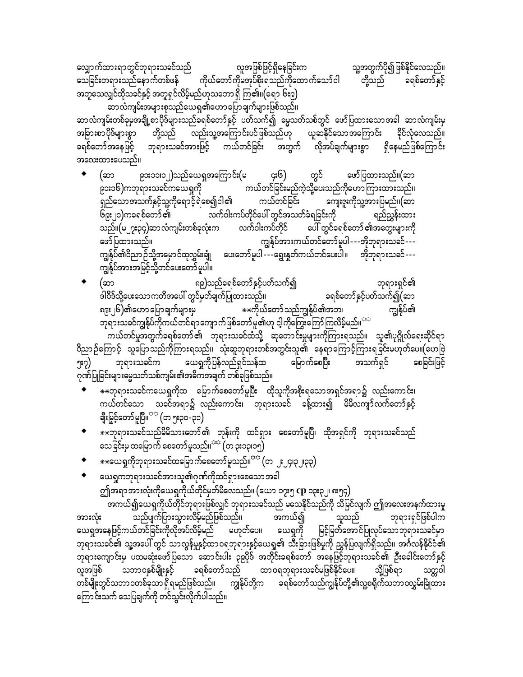သူ့အတွက်ပို၍ဖြစ်နိုင်လေသည်။ လျှောက်ထားရာတွင်ဘုရားသခင်သည် လူအဖြစ်ဖြင့်ရှိနေခြင်းက ကိုယ်တော်ကိုမအုပ်စိုးရသည်ကိုထောက်သော်ငါ သေခြင်းတရားသည်နောက်တစ်ဖန် တို့သည် ခရစ်တော်နှင့် အတူသေလျှင်ထိုသခင်နှင့် အတူရှင်လိမ့်မည်ဟုသဘောရှိ ကြ၏။(ရော ၆း၉)

…<br>ဆာလံကျမ်းအများစုသည်ယေရှု၏ဟောပြောချက်များဖြစ်သည်။ ဆာလံကျမ်းတစ်ခုမှအချို့စာပိုဒ်များသည်ခရစ်တော်နှင့် ပတ်သက်၍ မွေသတ်သစ်တွင် ဖော်ပြထားသောအခါ ဆာလံကျမ်းမှ အခြားစာပိုဒ်များစွာ တို့သည် လည်းသူ့အကြောင်းပင်ဖြစ်သည်ဟု ယူဆနိုင်သောအကြောင်း ခိုင်လုံလေသည်။ ခရစ်တော်အနေဖြင့် ဘုရားသခင်အားဖြင့် ကယ်တင်ခြင်း အတွက် လိုအပ်ချက်များစွာ ရှိနေမည်ဖြစ်ကြောင်း အလေးထားပေသည်။

- တွင် ၉၁း၁၁၊၁၂)သည်ယေရှုအကြောင်း(မ ဖော်ပြထားသည်။(ဆာ ၄း၆) (ဆာ ၉၁း၁၆)ကဘုရားသခင်ကယေရှုကို ကယ်တင်ခြင်းမည်ကဲ့သို့ပေးသည်ကိုဟောကြားထားသည်။ ရှည်သောအသက်နှင့်သူ့ကိုရောင့်ရဲစေ၍ငါ၏ ကယ်တင်ခြင်း ကျေးဇူးကိုသူ့အားပြမည်။(ဆာ လက်ဝါးကပ်တိုင်ပေါ် တွင်အသတ်ခံရခြင်းကို ၆၉း၂၁)ကခရစ်တော် ၏ ရည်ညွှန်းထား ပေါ် တွင်ခရစ်တော် ၏အတွေးများကို သည်။(မ၂၇း၃၄)ဆာလံကျမ်းတစ်ခုလုံးက လက်ဝါးကပ်တိုင် ကျွန်ုပ်အားကယ်တင်တော်မူပါ - --အိုဘုရားသခင်---ဖော်ပြထားသည်။ ကျွန်ုပ်၏ဝိညာဉ်သို့အမှောင်ထုလွှမ်းချုံ ပေးတော်မူပါ ---ရွေးနှုတ်ကယ်တင်ပေးပါ။ အိုဘုရားသခင်---
- (ဆာ ၈၉)သည်ခရစ်တော်နှင့်ပတ်သက်၍ ဘုရားရှင်၏ ဒါဝိဒ်သို့ပေးသော ကတိအပေါ် တွင်မှတ်ချက်ပြုထားသည်။ ခရစ်တော်နှင့်ပတ်သက်၍(ဆာ ရ၉း၂၆)၏ဟော ပြောချက်များမှ ∗∗×ကိုယ်တော်သည်ကျွန်ုပ်၏အဘ၊ ကျွန်ုပ်၏ ဘုရားသခင်ကျွန်ုပ်ကိုကယ်တင်ရာကျောက်ဖြစ်တော်မူ၏ဟု ငါ့ကိုကြွေးကြော်ကြလိမ့်မည်။<sup>အနှ</sup>

.<br>ကယ်တင်မှုအတွက်ခရစ်တော် ၏ ဘုရားသခင်ထံသို့ ဆုတောင်းမှုများကိုကြားရသည်။ သူ၏ပုဂ္ဂိုလ်ရေးဆိုင်ရာ ဝိညာဉ်ကြောင့် သူပြောသည်ကိုကြားရသည်။ သုံးဆူဘုရားတစ်အတွင်းသူ၏ နေရာကြောင့်ကြားရခြင်းမဟုတ်ပေ။(ဟေဗြဲ ယေရှုကိုပြန်လည်ရှင်သန်ထ ဘုရားသခင်က<sup>် သ</sup> မြောက်စေပြီး အသက်ရှင် ဒဲ့စုါးဒိုခြစခ ၅း၇) ဂုဏ်ပြုခြင်းများမွေ့သတ်သစ်ကျမ်း၏အဓိကအချက် တစ်ခုဖြစ်သည်။

- ☀☀ဘုရားသခင်ကယေရှုကိုထ မြောက်စေတော်မူပြီး ထိုသူကိုအစိုးရသောအရှင်အရာ၌ လည်းကောင်း၊ ကယ်တင်သော သခင်အရာ၌ လည်းကောင်း၊ ဘုရားသခင် ခန့်ထား၍ မိမိလကျာ်လက်တော်နှင့် ချီးမြှင့်တော်မူပြီ။<sup>သာ</sup> (တ ၅း၃၀-၃၁)
- \*\*ဘုရားသခင်သည်မိမိသားတော်၏ ဘုန်းကို ထင်ရှား စေတော်မူပြီ၊ ထိုအရှင်ကို ဘုရားသခင်သည် သေခြင်းမှ ထမြောက် စေတော် မူသည်။<sup>သင</sup>်္ဂတ ၃း၁၃၊၁၅)
- \*\*ယေရှုကိုဘုရားသခင်ထမြောက်စေတော်မူသည်။<sup>ာာ</sup> (တ ၂း၂၄၊၃၂၊၃၃)
- ယေရှုကဘုရားသခင်အားသူ၏ဂုဏ်ကိုထင်ရှားစေသောအခါ ဤအရာအားလုံးကိုယေရှုကိုယ်တိုင်မှတ်မိလေသည်။ (ယော ၁၇း၅ **cp** ၁၃း၃၂၊ ၈း၅၄)

.<br>အကယ်၍ယေရှကိုယ်တိုင်ဘုရားဖြစ်လျှင် ဘုရားသခင်သည် မသေနိုင်သည်ကို သိမြင်လျက် ဤအလေးအနက်ထားမှု အကယ်၍ သည်ပျက်ပြားသွားလိမ့်မည်ဖြစ်သည်။ ဘုရားရှင်ဖြစ်ပါက အားလုံး သူသည် ာသော ကား<br>ယေရှုအနေဖြင့်ကယ်တင်ခြင်းကိုလိုအပ်လိမ့်မည် မဟုတ်ပေ။ ယေရှုကို မြင့်မြတ်အောင်ပြုလုပ်သောဘုရားသခင်မှာ ဘုရားသခင်၏ သူ့အပေါ် တွင် သာလွန်မှုနှင့်ထာဝရဘုရားနှင့်ယေရှု၏ သီးခြားဖြစ်မှုကို ညွှန်ပြလျက်ရှိသည်။ အင်္ဂလန်နိုင်ငံ၏ ဘုရားကျောင်းမှ ပထမဆုံးဖော်ပြသော ဆောင်းပါး ၃၉ပိုဒ် အတိုင်းခရစ်တော် အနေဖြင့်ဘုရားသခင်၏ ဦးခေါင်းတော်နှင့် လူအဖြစ် သဘာဝနှစ်မျိုးနှင့် ခရစ်တော်သည် ထာဝရဘုရားသခင်မဖြစ်နိုင်ပေ။ သို့ဖြစ်ရာ သတ္တဝါ ကြောင်းသက် သေပြချက်ကို တင်သွင်းလိုက်ပါသည်။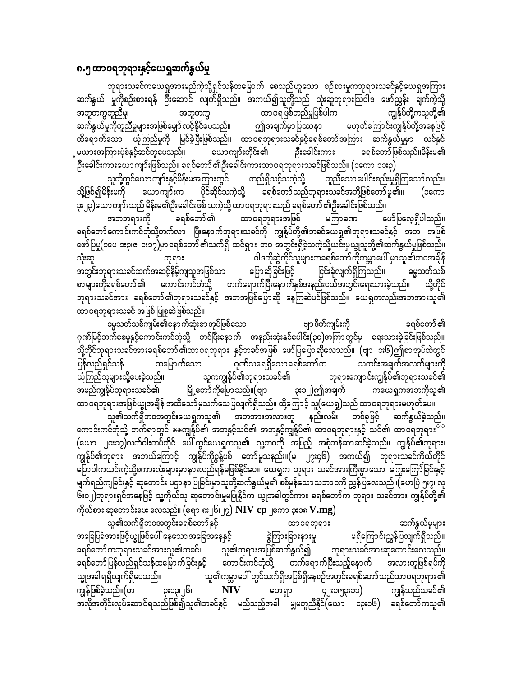#### ၈.၅ ထာဝရဘုရားနှင့်ယေရှုဆက်နွယ်မှု

ဘုရားသခင်ကယေရှုအားမည်ကဲ့သို့ရှင်သန်ထမြောက် စေသည်ဟူသော စဉ်စားမှုကဘုရားသခင်နှင့်ယေရှုအကြား ဆက်နွယ် မှုကိုစဉ်းစားရန် ဦးဆောင် လျက်ရှိသည်။ အကယ်၍သူတို့သည် သုံးဆူဘုရားသြဝါဒ ဖော်ညွှန်း ချက်ကဲ့သို့ အတူတကွတူညီမှု၊ ထာဝရဖြစ်တည်မှုဖြစ်ပါက ကျွန်ုပ်တို့ကသူတို့၏ အတူတက္ခ ဆက်နွယ်မှုကိုတူညီမှုများအဖြစ်မျှော် လင့်နိုင်ပေသည်။ ဤအချက်မှာပြဿနာ မဟုတ်ကြောင်းကျွန်ုပ်တို့အနေဖြင့် ထိရောက်သော ယုံကြည်မှုကို မြင်ခဲ့ပြီးဖြစ်သည်။ ထာဝရဘုရားသခင်နှင့်ခရစ်တော်အကြား ဆက်နွယ်မှုမှာ လင်နှင် မယားအကြားပုံစံနှင့်ဆင်တူပေသည်။ ယောကျာ်းတိုင်း၏ ဦးခေါင်းကား ခရစ်တော်ဖြစ်သည်။မိန်းမ၏ ဦးခေါင်းကားယောကျာ်းဖြစ်သည်။ ခရစ်တော် ၏ဦးခေါင်းကားထာဝရဘုရားသခင်ဖြစ်သည်။ (၁ကော ၁၁း၃)

သူတို့တွင်ယောကျာ်းနှင့်မိန်းမအကြားတွင် တည်ရှိသင့်သကဲ့သို့ တူညီသော ပေါင်းစည်းမှုရှိကြသော် လည်း၊ သို့ဖြစ်၍မိန်းမကို ယောကျာ်းက ခရစ်တော်သည်ဘုရားသခင်အဘို့ဖြစ်တော်မူ၏။ ပိုင်ဆိုင်သကဲ့သို့ (၁ကော ၃း၂၃)ယောကျာ်းသည် မိန်းမ၏ဦးခေါင်းဖြစ် သကဲ့သို့ ထာဝရဘုရားသည် ခရစ်တော် ၏ဦးခေါင်းဖြစ်သည်။

ခရစ်တော် ၏ ထာ၀ရဘုရားအဖြစ် မကြာခဏ ဖော်ပြလေ့ရှိပါသည်။ အဘဘုရားကို ခရစ်တော်ကောင်းကင်ဘုံသို့တက်လာ ပြီးနောက်ဘုရားသခင်ကို ကျွန်ုပ်တို့၏ဘခင်ယေရှု၏ဘုရားသခင်နှင့် အဘ အဖြစ် ဖော်ပြမှု(၁ပေ ၁း၃၊ဧ ၁း၁၇)မှာ ခရစ်တော် ၏သက်ရှိ ထင်ရှား ဘဝ အတွင်းရှိခဲ့သကဲ့သို့ယင်းမှယျွသူတို့၏ဆက်နွယ်မှုဖြစ်သည်။ ဝါဒကိုဆွဲကိုင်သူများကခရစ်တော်ကိုကမ္ဘာပေါ် မှာသူ၏ဘဝအချိန် သုံးဆူ ဘုရား အတွင်းဘုရားသခင်ထက်အဆင့်နိမ့်ကျသူအဖြစ်သာ ပြောဆိုခြင်းဖြင့် ဓမ္မသတ်သစ် ငြင်းခုံလျက်ရှိကြသည်။ စာများကိုခရစ်တော်၏ ကောင်းကင်ဘုံသို့ တက်ရောက်ပြီးနောက်နှစ်အနည်းငယ်အတွင်းရေးသားခဲ့သည်။ သို့တိုင် ဘုရားသခင်အား ခရစ်တော်၏ဘုရားသခင်နှင့် အဘအဖြစ်ပြောဆို နေကြဆဲပင်ဖြစ်သည်။ ယေရှုကလည်းအဘအားသူ၏ ထာဝရဘုရားသခင် အဖြစ် ပြုစုဆဲဖြစ်သည်။

မွေ့သတ်သစ်ကျမ်း၏နောက်ဆုံးစာအုပ်ဖြစ်သော ဗျာ ဒိတ်ကျမ်းကို ခရစ်တော် ၏ ဂုဏ်မြင့်တက်စေမှုနှင့်ကောင်းကင်ဘုံသို့ တင်ပြီးနောက် အနည်းဆုံးနှစ်ပေါင်း(၃၀)အကြာတွင်မှ ရေးသားခဲ့ခြင်းဖြစ်သည်။ သို့တိုင်ဘုရားသခင်အားခရစ်တော် ၏ထာဝရဘုရား နှင့်ဘခင်အဖြစ် ဖော်ပြပြောဆိုလေသည်။ (ဗျာ ၁း၆)ဤစာအုပ်ထဲတွင် ပြန်လည်ရှင်သန် ထမြောက်သော ဂုဏ်သရေရှိသောခရစ်တော်က သတင်းအချက်အလက်များကို ယုံကြည်သူများသို့ပေးခဲ့သည်။ သူကကျွန်ုပ်၏ဘုရားသခင်၏ ဘုရားကျောင်းကျွန်ုပ်၏ဘုရားသခင်၏ အမည်ကျွန်ုပ်ဘုရားသခင်၏ မြို့တော်ကိုပြောသည်။(ဗျာ ၃း၁၂)ဤအချက် ကယေရှကအဘကိုသူ၏ 

သူ၏သက်ရှိဘဝအတွင်းယေရှကသူ၏ အဘအားအလားတူ နည်းလမ်း တစ်ခုဖြင့် ဆက်နွယ်ခဲ့သည်။ ကောင်းကင်ဘုံသို့ တက်ရာတွင် \*\*ကျွန်ုပ်၏ အဘနှင့်သင်၏ အဘနှင့်ကျွန်ုပ်၏ ထာဝရဘုရားနှင့် သင်၏ ထာဝရဘုရား<sup>တဲ့တွ</sup> (ယော ၂၀း၁၇)လက်ဝါးကပ်တိုင် ပေါ်တွင်ယေရှုကသူ၏ လူ့ဘ၀ကို အပြည့် အစုံတန်ဆာဆင်ခဲ့သည်။ ကျွန်ုပ်၏ဘုရား၊ .<br>ကျွန်ုပ်၏ဘုရား အဘယ်ကြောင့် ကျွန်ုပ်ကိုစွန့်ပစ် တော်မူသနည်း။(မ ၂၇း၄၆) အကယ်၍ ဘုရားသခင်ကိုယ်တိုင် ပြောပါကယင်းကဲ့သို့စကားလုံးများမှာနားလည်ရန်မဖြစ်နိုင်ပေ။ ယေရှက ဘုရား သခင်အားကြီးစွာသော ကြွေးကြော်ခြင်းနှင့် မျက်ရည်ကျခြင်းနှင့် ဆုတောင်း ပဌာနာပြုခြင်းမှာသူတို့ဆက်နွယ်မှု၏ စစ်မှန်သောသဘာဝကို ညွှန်ပြလေသည်။(ဟေဗြဲ ၅း၇၊ လု ၆း၁၂)ဘုရားရှင်အနေဖြင့် သူ့ကိုယ်သူ ဆုတောင်းမှုမပြုနိုင်က ယျွအခါတွင်ကား ခရစ်တော်က ဘုရား သခင်အား ကျွန်ုပ်တို့၏ ကိုယ်စား ဆုတောင်းပေး လေသည်။ (ရော ၈း၂၆၊၂၇)  $\bold{NIV}$   $\bold{cp}$  ၂ကော ၃း၁၈  $\bold{V.mg)}$ 

သူ၏သက်ရှိဘဝအတွင်းခရစ်တော်နှင့် ဆက်နွယ်မှုများ ထာ၀ရဘုရား မရှိကြောင်းညွှန်ပြလျက်ရှိသည်။ အခြေပြခံအားဖြင့်ယျှဖြစ်ပေါ် နေသောအခြေအနေနှင့် ခွဲကြားခြားနားမှု ခရစ်တော်ကဘုရားသခင်အားသူ၏ဘခင်၊ သူ၏ဘုရားအပြစ်ဆက်နွယ်၍ ဘုရားသခင်အားဆုတောင်းလေသည်။ ခရစ်တော်ပြန်လည်ရှင်သန်ထမြောက်ခြင်းနှင့် ကောင်းကင်ဘုံသို့ တက်ရောက်ပြီးသည့်နောက် အလားတူဖြစ်ရပ်ကို သူ၏ကမ္ဘာပေါ် တွင်သက်ရှိအပြစ်ရှိနေစဉ်အတွင်းခရစ်တော်သည်ထာဝရဘုရား၏ ယ္ခုအခါရရှိလျက်ရှိပေသည်။ ကျွန်ဖြစ်ခဲ့သည်။(တ **၃း**၁၃၊ ၂၆၊  $NIV$ ဟေရှာ ၄၂း၁၊၅၃း၁၁) ကျွန်သည်သခင်၏ အလိုအတိုင်းလုပ်ဆောင်ရသည်ဖြစ်၍သူ၏ဘခင်နှင့် မည်သည့်အခါ မျှမတူညီနိုင်(ယော ၁၃း၁၆) ခရစ်တော်ကသူ၏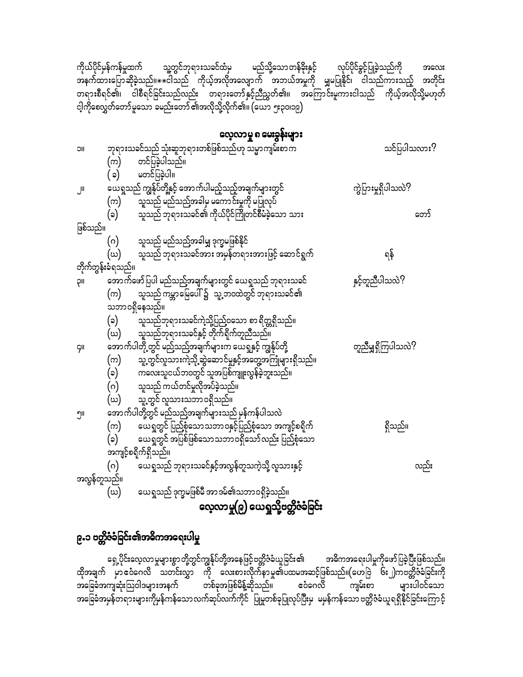ကိုယ်ပိုင်မှန်ကန်မှုထက် သူ့တွင်ဘုရားသခင်ထံမှ မည်သို့သောတန်ခိုးနှင့် လုပ်ပိုင်ခွင့်ပြုခဲ့သည်ကို အလေး ာ<br>နောက်ထားပြောဆိုခဲ့သည်။ $\ast\ast$ ငါသည် ကိုယ့်အလိုအလျောက် အဘယ်အမှုကို မျှမပြုနိုင်၊ ငါသည်ကားသည့် အတိုင်း တရားစီရင်၏၊ ငါစီရင်ခြင်းသည်လည်း တရားတော်နှင့်ညီညွတ်၏။ အကြောင်းမူကားငါသည် ကိုယ့်အလိုသို့မဟုတ် ငါ့ကိုစေလွှတ်တော်မူသော ခမည်းတော် ၏အလိုသို့လိုက်၏။ (ယော ၅း၃၀၊၁၉)

### လေ့လာမူ ၈ မေးခွန်းများ

| <b>JIC</b>  | ဘုရားသခင်သည် သုံးဆူဘုရားတစ်ဖြစ်သည်ဟု သမ္မာကျမ်းစာက               | သင်ပြပါသလား?        |
|-------------|------------------------------------------------------------------|---------------------|
|             | တင်ပြခဲ့ပါသည်။<br>(က)                                            |                     |
|             | မတင်ပြခဲ့ပါ။<br>(၁)                                              |                     |
| JII         | ယေရှုသည် ကျွန်ုပ်တို့နှင့် အောက်ပါမည့်သည့်အချက်များတွင်          | ကွဲပြားမှုရှိပါသလဲ? |
|             | သူသည် မည်သည့်အခါမှ မကောင်းမှုကို မပြုလုပ်<br>(က)                 |                     |
|             | သူသည် ဘုရားသခင်၏ ကိုယ်ပိုင်ကြိုတင်စီမံခဲ့သော သား<br>(၁)          | တော်                |
| ဖြစ်သည်။    |                                                                  |                     |
|             | သူသည် မည်သည့်အခါမျှ ဒုက္ခမဖြစ်နိုင်<br>(ဂ)                       |                     |
|             | သူသည် ဘုရားသခင်အား အမှန်တရားအားဖြင့် ဆောင်ရွက်<br>(బ)            | ရန်                 |
|             | တိုက်တွန်းခံရသည်။                                                |                     |
| ρıι         | အောက်ဖော်ပြပါ မည်သည့်အချက်များတွင် ယေရှုသည် ဘုရားသခင်            | နှင့်တူညီပါသလဲ?     |
|             | သူသည် ကမ္ဘာမြေပေါ် ၌   သူ့ဘဝထဲတွင် ဘုရားသခင်၏<br>(က)             |                     |
|             | သဘာဝရှိနေသည်။                                                    |                     |
|             | (၁)<br>သူသည်ဘုရားသခင်ကဲ့သို့ပြည်ဝသော စာ ရိတ္တရှိသည်။             |                     |
|             | သူသည်ဘုရားသခင်နှင့် တိုက်ရိုက်တူညီသည်။<br>(ဃ)                    |                     |
| <b>GII</b>  | .<br>အောက်ပါတို့တွင် မည်သည့်အချက်များက ယေရှုနှင့် ကျွန်ုပ်တို့   | တူညီမျှရှိကြပါသလဲ?  |
|             | သူ့တွင်လူသားကဲ့သို့ ဆွဲဆောင်မှုနှင့်အတွေ့အကြုံများရှိသည်။<br>(က) |                     |
|             | ကလေးသူငယ်ဘဝတွင် သူအပြစ်ကျူးလွန်ခဲ့ဘူးသည်။<br>(၁)                 |                     |
|             | သူသည် ကယ်တင်မှုလိုအပ်ခဲ့သည်။<br>(ဂ)                              |                     |
|             | သူ့တွင် လူသားသဘာဝရှိသည်။<br>(బ)                                  |                     |
| ၅။          | အောက်ပါတို့တွင် မည်သည့်အချက်များသည် မှန်ကန်ပါသလဲ                 |                     |
|             | ယေရှတွင် ပြည့်စုံသောသဘာဝနှင့်ပြည့်စုံသော အကျင့်စရိုက်<br>(က)     | ရှိသည်။             |
|             | $(\circ)$<br>ယေရှုတွင် အပြစ်ဖြစ်သောသဘာဝရှိသော်လည်း ပြည့်စုံသော   |                     |
|             | အကျင့်စရိုက်ရှိသည်။                                              |                     |
|             | $(\circ)$<br>ယေရှုသည် ဘုရားသခင်နှင့်အလွန်တူသကဲ့သို့ လူသားနှင့်   | လည်း                |
| အလွန်တူသည်။ |                                                                  |                     |
|             | ယေရှုသည် ဒုက္ခမဖြစ်မီ အာဒမ်၏သဘာဝရှိခဲ့သည်။<br>(ധ)                |                     |
|             | လေ့လာမှု(၉) ယေရှုသို့ဗတ္တိဇံခံခြင်း                              |                     |
|             |                                                                  |                     |

# ၉.၁ ဗ**တ္တိဇံခံခြင်း၏အဓိကအရေးပါမှု**

ရှေ့ပိုင်းလေ့လာမှုများစွာတို့တွင်ကျွန်ုပ်တို့အနေဖြင့်ဗတ္တိဇံခံယူခြင်း၏ အဓိကအရေးပါမှုကိုဖော်ပြခဲ့ပြီးဖြစ်သည်။ ထိုအချက် မှာ ဧငံဂေလိ သတင်းလွှာ ကို လေးစားလိုက်နာမှု၏ပထမအဆင့်ဖြစ်သည်။(ဟေဗြဲ ၆း၂)ကဗတ္တိဇံခံခြင်းကို ာ<br>ေခြခံအကျဆုံးသြဝါဒများအနက် တစ်ခုအဖြစ်မိန့်ဆိုသည်။ ဧငံဂေလိ ကျမ်းစာ များပါဝင်သော အခြေခံအမှန်တရားများကိုမှန်ကန်သောလက်ဆုပ်လက်ကိုင် ပြုမှုတစ်ခုပြုလုပ်ပြီးမှ မမှန်ကန်သောဗတ္တိဇံခံယူရရှိနိုင်ခြင်းကြောင့်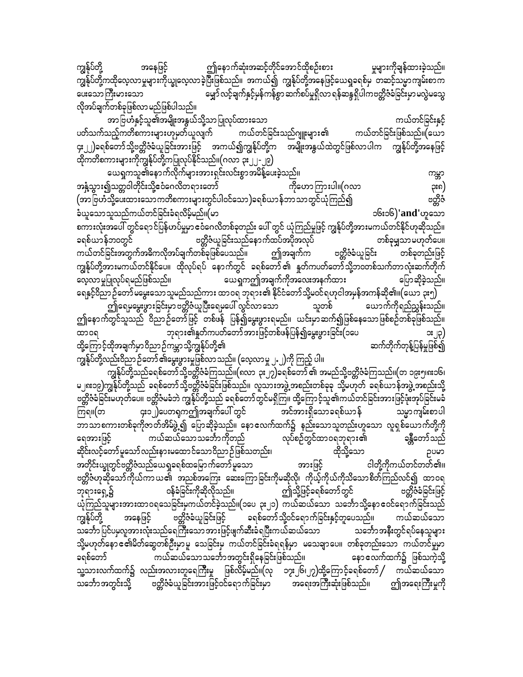ကျွန်ုပ်တို့ ဤနောက်ဆုံးအဆင့်တိုင်အောင်ထိုစဉ်းစား မှုများကိုချန်ထားခဲ့သည်။ အနေဖြင့် ကျွန်ုပ်တို့ကထိုလေ့လာမှုများကိုယ္ခုလေ့လာခဲ့ပြီးဖြစ်သည်။ အကယ်၍ ကျွန်ုပ်တို့အနေဖြင့်ယေရှုခရစ်မှ တဆင့်သမ္မာကျမ်းစာက ပေးသောကြီးမားသော မျှော် လင့်ချက်နှင့်မှန်ကန်စွာ ဆက်စပ်မှုရှိလာ ရန်ဆန္ဒရှိပါကဗတ္တိဇံခံခြင်းမှာ မလွဲမသွေ လိုအပ်ချက်တစ်ခုဖြစ်လာ မည်ဖြစ်ပါသည်။

ကယ်တင်ခြင်းနှင့် အာ ဗြဟႆနှင့်သူ၏အမျိုးအနွယ်သို့သာ ပြုလုပ်ထားသော ကယ်တင်ခြင်းဖြစ်သည်။(ယော ကယ်တင်ခြင်းသည်ဂျူးများ၏ ပတ်သက်သည့်ကတိစကားများဟုမှတ်ယူလျက် ၄း၂၂)ခရစ်တော်သို့ဗတ္တိဇံခံယူခြင်းအားဖြင့် အကယ်၍ကျွန်ုပ်တို့က အမျိုးအနွယ်ထဲတွင်ဖြစ်လာပါက ကျွန်ုပ်တို့အနေဖြင့် ထိုကတိစကားများကိုကျွန်ုပ်တို့ကပြုလုပ်နိုင်သည်။(ဂလာ ၃း၂၂-၂၉)

ယေရှကသူ၏နောက်လိုက်များအားရှင်းလင်းစွာအမိန့်ပေးခဲ့သည်။ ကမ္ဘာ အနံ့သွား၍သတ္တဝါတိုင်းသို့ဧငံဂေလိတရားတော် ကိုဟောကြားပါ။(ဂလာ ၃း၈) (အာဗြဟံသို့ပေးထားသောကတိစကားများတွင်ပါဝင်သော)ခရစ်ယာန်ဘာသာတွင်ယုံကြည်၍ ဗတ္ထိဇံ ခံယူသောသူသည်ကယ်တင်ခြင်းခံရလိမ့်မည်။(မာ ၁၆း၁၆)'and'ဟူသော စကားလုံးအပေါ် တွင်ရောင်ပြန်ဟပ်မှုမှာ ဧဝံဂေလိတစ်ခုတည်း ပေါ် တွင် ယုံကြည်မှုဖြင့် ကျွန်ုပ်တို့အားမကယ်တင်နိုင်ဟုဆိုသည်။ ဗတ္တိဇံယူခြင်းသည်နောက်ထပ်အပိုအလုပ် ခရစ်ယာန်ဘ၀တွင် တစ်ခုမျှသာမဟုတ်ပေ။ ကယ်တင်ခြင်းအတွက်အဓိကလိုအပ်ချက်တစ်ခုဖြစ်ပေသည်။ ဤအချက်က ဗတ္တိဇံခံယူခြင်း တစ်ခုတည်းဖြင့် ကျွန်ုပ်တို့အားမကယ်တင်နိုင်ပေ။ ထိုလုပ်ရပ် နောက်တွင် ခရစ်တော်၏ နှုတ်ကပတ်တော်သို့ဘ၀တစ်သက်တာလုံးဆက်တိုက် <sup>်</sup> ယေရှကဤအချက်ကိုအလေးအနက်ထား လေ့လာမှုပြုလုပ်ရမည်ဖြစ်သည်။ ပြောဆိုခဲ့သည်။ ရေနှင့်ဝိညာဉ်တော် မမွေးသောသူမည်သည်ကား ထာဝရ ဘုရား၏ နိုင်ငံတော်သို့မဝင်ရဟုငါအမှန်အကန်ဆို၏။(ယော ၃း၅) သူတစ် ဤရေမမွေးဖွားခြင်းမှာ ဗတ္တိဇံယူပြီးရေမပေါ် လွင်လာသော ယောက်ကိုရည်ညွှန်းသည်။ ဤနောက်တွင်သူသည် ဝိညာဉ်တော်ဖြင့် တစ်ဖန် ပြန်၍မွေးဖွားရမည်။ ယင်းမှာဆက်၍ဖြစ်နေသောဖြစ်စဉ်တစ်ခုဖြစ်သည်။ ဘုရား၏နှုတ်ကပတ်တော်အားဖြင့်တစ်ဖန်ပြန်၍မွှေးဖွားခြင်း(၁ပေ ထာ၀ရ **း** ပြ ဆက်တိုက်တုန့်ပြန်မှုဖြစ်၍ ထို့ကြောင့်ထိုအချက်မှာဝိညာဉ်ကမ္ဘာသို့ကျွန်ုပ်တို့၏ ကျွန်ုပ်တို့လည်းဝိညာ ဉ်တော် ၏မွေးဖွားမှုဖြစ်လာ သည်။ (လေ့လာမှု ၂.၂)ကို ကြည့် ပါ။

ကျွန်ုပ်တို့သည်ခရစ်တော်သို့ဗတ္တိဇံခံကြသည်။(၈လာ ၃း၂၇)ခရစ်တော် ၏ အမည်သို့ဗတ္တိဇံခံကြသည်။(တ ၁၉း၅၊၈း၁၆၊ မ၂၈း၁၉)ကျွန်ုပ်တို့သည် ခရစ်တော်သို့ဗတ္တိဇံခံခြင်းဖြစ်သည်။ လူသားအဖွဲ့ အစည်းတစ်ခုခု သို့မဟုတ် ခရစ်ယာန်အဖွဲ့ အစည်းသို့ ဗတ္တိဇံခ်ခြင်းမဟုတ်ပေ။ ဗတ္တိဇံမခံဘဲ ကျွန်ုပ်တို့သည် ခရစ်တော်တွင်မရှိကြ။ ထို့ကြောင့်သူ၏ကယ်တင်ခြင်းအားဖြင့်ဖုံးအုပ်ခြင်းမခံ —<br>အင်အားရှိသောခရစ်ယာန် ၄း၁၂)ပေတရကဤအချက်ပေါ် တွင် ကြရ။(တ သမ္မာကျမ်းစာပါ ဘာသာစကားတစ်ခုကိုဇာတ်အိမ်ဖွဲ့၍ ပြောဆိုခဲ့သည်။ နောဧလက်ထက်၌ နည်းသောသူတည်းဟူသော လူရှစ်ယောက်တို့ကို လုပ်ိစဉ်တွင်ထာဝရဘုရား၏ ကယ်ဆယ်သောသင်္ဘောကိုတည် ရေအားဖြင့် ခန္တီတော်သည် ဆိုင်းလင့်တော်မူသော် လည်းနားမထောင်သောဝိညာဉ်ဖြစ်သတည်း၊ ထိုသို့သော ဥပမာ ငါတို့ကိုကယ်တင်တတ်၏။ အတိုင်းယ္ခုတွင်ဗတ္တိဇံသည်ယေရှုခရစ်ထမြောက်တော်မူသော အားဖြင့် ဗတ္တိဇံဟုဆိုသော်ကိုယ်ကာယ၏ အညစ်အကြေး ဆေးကြောခြင်းကိုမဆိုလို၊ ကိုယ့်ကိုယ်ကိုသိသောစိတ်ကြည်လင်၍ ထာဝရ ဝန်ခံခြင်းကိုဆိုလိုသည်။ ဘုရားရှေ့၌ ဤသို့ဖြင့်ခရစ်တော်တွင် တွိုင်ခြင်းပြွင ယုံကြည်သူများအားထာဝရသေခြင်းမှကယ်တင်ခဲ့သည်။(၁ပေ ၃း၂၁) ကယ်ဆယ်သော သင်္ဘောသို့နောဧဝင်ရောက်ခြင်းသည် ကျွန်ုပ်တို့ အနေဖြင့် ဗတ္တိဇံခံယူခြင်းဖြင့် ခရစ်တော်သို့ဝင်ရောက်ခြင်းနှင့်တူပေသည်။ ကယ်ဆယ်သော သင်္ဘော ပြင်ပမှလူအားလုံးသည်ရေကြီးသော အားဖြင့်ဖျက်ဆီးခံရပြီးကယ်ဆယ်သော သင်္ဘောအနီးတွင်ရပ်နေသူများ သို့မဟုတ်နောင်၏မိတ်ဆွေတစ်ဦးမှာမူ သေခြင်းမှ ကယ်တင်ခြင်းခံရရန်မှာ မသေချာပေ။ တစ်ခုတည်းသော ကယ်တင်မှုမှာ ကယ်ဆယ်သော သင်္ဘော အတွင်းရှိနေခြင်းဖြစ်သည်။ ခရစ်တော် နောဧလက်ထက်၌ ဖြစ်သကဲ့သို့ သူ့သားလက်ထက်၌ လည်းအလားတူရေကြီးမှု ဖြစ်လိမ့်မည်။(လု ၁၇း၂၆၊၂၇)ထို့ကြောင့်ခရစ်တော် / ကယ်ဆယ်သော ဗတ္တိဇံခံယူခြင်းအားဖြင့်ဝင်ရောက်ခြင်းမှာ အရေးအကြီးဆုံးဖြစ်သည်။ သင်္ဘောအတွင်းသို့ ဤအရေးကြီးမှုကို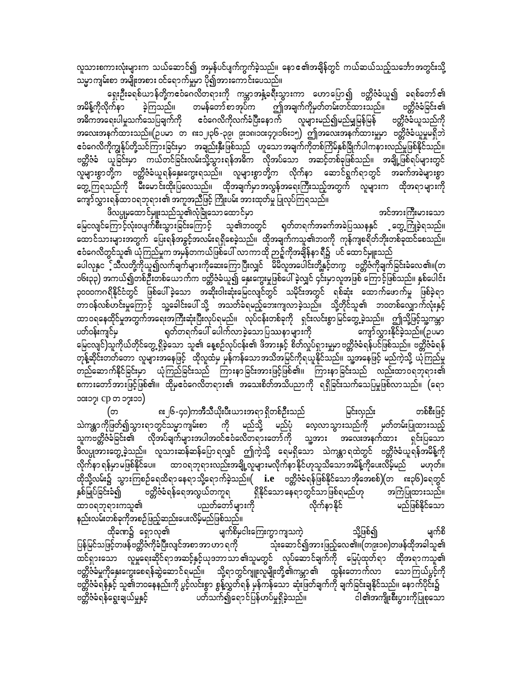လူသားစကားလုံးများက သယ်ဆောင်၍ အမှန်ပင်ပျက်ကွက်ခဲ့သည်။ နောၔ၏အချိန်တွင် ကယ်ဆယ်သည့်သင်္ဘောအတွင်းသို့ သမ္မာကျမ်းစာ အမျိုးအစား ဝင်ရောက်မှုမှာ ပို၍အားကောင်းပေသည်။

ရှေးဦးခရစ်ယာန်တို့ကငေဝံဂေလိတရားကို ကမ္ဘာအနံ့ခရီးသွားကာ ဟောပြော၍ ဗတ္တိဇံခံယူ၍ ခရစ်တော်၏ အမိန့်ကိုလိုက်နာ ခဲ့ကြသည်။ တမန်တော်စာအုပ်က ဤအချက်ကိုမှတ်တမ်းတင်ထားသည်။ ဗတ္ထိဇံခံခြင်း ၏ အဓိကအရေးပါမှုသက်သေပြချက်ကို ဧဝံဂေလိကိုလက်ခံပြီးနောက် လူများမည်၍မည်မျှမြန်မြန် ဗတ္တိဇံခံယူသည်ကို အလေးအနက်ထားသည်။(ဉပမာ တ ၈း၁၂၊၃၆-၃၉၊ ၉း၁၈၊၁၀း၄၇၊၁၆း၁၅) ဤအလေးအနက်ထားမှုမှာ ဗတ္တိဇံခံယူမှုမရှိဘဲ ငံဝံဂေလိကိုကျွန်ုပ်တို့သင်ကြားခြင်းမှာ အချည်းနှီးဖြစ်သည် ဟူသောအချက်ကိုတစ်ကြိမ်နှစ်ခြိုက်ပါကနားလည်မှုဖြစ်နိုင်သည်။ ဗတ္တိဇံခံ ယူခြင်းမှာ ကယ်တင်ခြင်းလမ်းသို့သွားရန်အဓိက လိုအပ်သော အဆင့်တစ်ခုဖြစ်သည်။ အချို့ဖြစ်ရပ်များတွင် ္ ။ ။ အသံုး<br>ကုများစွာတို့က ဗတ္တိဇံခံယူရန်နှေးကွေးရသည်။ လူများစွာတို့က လိုက်နာ ဆောင်ရွက်ရာတွင် အခက်အခဲများစွာ ကော့<br>တွေ့ကြရသည်ကို မီးမောင်းထိုးပြလေသည်။ ထိုအချက်မှာအလွန်အရေးကြီးသည့်အတွက် လူများက ထိုအရာများကို ကျော်လွှားရန်ထာဝရဘုရား၏ အကူအညီဖြင့် ကြိုးပမ်း အားထုတ်မှု ပြုလုပ်ကြရသည်။

ဖိလပ္ပုမုထောင်မျုးသည်သူ၏လုံခြုံသောထောင်မှာ အင်အားကြီးမားသော မြေငလျင်ကြောင့်လုံးဝပျက်စီးသွားခြင်းကြောင့် သူ၏ဘဝတွင် ရှတ်တရက်အခက်အခဲပြဿနနှင် တွေ့ကြုံခဲ့ရသည်။ ထောင်သားများအတွက် ပြေးရန်အခွင့်အလမ်းရရှိစေခဲ့သည်။ ထိုအချက်ကသူ၏ဘဝကို ကုန်ကျစရိတ်ဘိုးတစ်ခုထင်စေသည်။ ဧဝံဂေလိတွင်သူ၏ ယုံကြည်မှုက အမှန်တကယ်ဖြစ်ပေါ် လာကာထို ဉာဉ့်ကိုအချိန်နာ ရီ၌ ပင် ထောင်မျုးသည် ပေါလုနှင<sup>့</sup>်သီလတို့ကိုယူ၍လက်ချက်များကိုဆေးကြောပြီးလျှင် မိမိလူအပေါင်းတို့နှင့်တကွ ဗတ္တိဇံကိုချက်ခြင်းခံလေ၏။(တ ၁၆း၃၃) အကယ်၍တစ်ဦးတစ်ယောက်က ဗတ္ထိဇံခံယူ၍ နှေးကွေးမှုဖြစ်ပေါ် ခဲ့လျှင် ၄င်းမှာလူအဖြစ် ကြောင့်ဖြစ်သည်။ နှစ်ပေါင်း ၃၀၀၀ကဂရိနိုင်ငံတွင် ဖြစ်ပေါ်ခဲ့သော အဆိုးဝါးဆုံးမြေငလျင်တွင် သမိုင်းအတွင် ရစ်ဆုံး ထောက်ဖောက်မှု ဖြစ်ခဲ့ရာ .<br>တာဝန်လစ်ဟင်းမှုကြောင့် သူ့ခေါင်းပေါ် သို့ အသတ်ခံရမည့်ဘေးကျလာခဲ့သည်။ သို့တိုင်သူ၏ ဘဝတစ်လျှောက်လုံးနှင့် ထာဝရနေထိုင်မူအတွက်အရေးအကြီးဆုံးပြီးလုပ်ရမည်။ လုပ်ငန်းတစ်ခုကို ရှင်းလင်းစွာမြင်တွေ့ခဲ့သည်။ ဤသို့ဖြင့်သူ့ကမ္ဘာ -<br>- ရုတ်တရက်ပေါ် ပေါက်လာခဲ့သောပြဿနာများကို ပတ်ဝန်းကျင်မှ ကျော်လွှားနိုင်ခဲ့သည်။(ဉပမာ မြေငလျင်)သူကိုယ်တိုင်တွေ့ ရှိခဲ့သော သူ၏ နေ့စဉ်လုပ်ငန်း၏ ဖိအားနှင့် စိတ်လှုပ်ရှားမှုမှာ ဗတ္တိဇံခံရန်ပင်ဖြစ်သည်။ ဗတ္တိဇံခံရန် တုန့်ဆိုင်းတတ်တော လူများအနေဖြင့် ထိုလူထံမှ မှန်ကန်သောအသိအမြင်ကိုရယူနိုင်သည်။ သူ့အနေဖြင့် မည်ကဲ့သို့ ယုံကြည်မှု တည်ဆောက်နိုင်ခြင်းမှာ ယုံကြည်ခြင်းသည် ကြားနာခြင်းအားဖြင့်ဖြစ်၏။ ကြားနာခြင်းသည် လည်းထာဝရဘုရား၏ စကားတော်အားဖြင့်ဖြစ်၏။ ထိုမှဧဝံဂေလိတရား၏ အသေးစိတ်အသိပညာကို ရရှိခြင်းသက်သေပြမှုဖြစ်လာသည်။ (ရော ၁၀း၁၇၊ CD တ ၁၇း၁၁)

၈း၂၆-၄၀)ကအီသီယိုးပီးယားအရာရှိတစ်ဦးသည် (တ မြင်းလှည်း တစ်စီးဖြင့် သဲကန္တာကိုဖြတ်၍သွားရာတွင်သမ္မာကျမ်းစာ ကို မည်သို့ မည်ပုံ လေ့လာသွားသည်ကို မှတ်တမ်းပြုထားသည့် သူကဗတ္တိဇံခံခြင်း၏ လိုအပ်ချက်များအပါအဝင်ဧဝံလေိတရားတော်ကို သူ့အား အလေးအနက်ထား ရှင်းပြသော .<br>ဖိလပ္ပုအားတွေ့ခဲ့သည်။ လူသားဆန်ဆန်ပြောရလျှင် ဤကဲ့သို့ ရေမရှိသော သဲကန္တာရထဲတွင် ဗတ္တိဇံခံယူရန်အမိန့်ကို .<br>လိုက်နာ ရန်မှာ မဖြစ်နိုင်ပေ။ ထာ ဝရဘုရားလည်းအချို့လူများမလိုက်နာ နိုင်ဟုသူသိသော အမိန့်ကိုပေးလိမ့်မည် မဟုတ်။ ထိုသို့လမ်း၌ သွားကြစဉ်ရေထိရာနေရာသို့ရောက်ခဲ့သည်။(  $\,$ i.e ဗတ္တိဇံခံရန်ဖြစ်နိုင်သောအိုအေစစ်)(တ စး၃၆)ရေတွင် \_<br>ဗတ္တိဇံခံရန်ရေအလွယ်တကူရ ရှိနိုင်သောနေရာတွင်သာဖြစ်ရမည်ဟု အကြံပြုထားသည်။ နှစ်မြုပ်ခြင်းခံ၍ ထာ၀ရဘုရားကသူ၏ ပညတ်တော်များကို လိုက်နာနိုင် မည်ဖြစ်နိုင်သော နည်းလမ်းတစ်ခုကိုအစဉ်ဖြည့်ဆည်းပေးလိမ့်မည်ဖြစ်သည်။

မျက်စိမှငါးကြေးကွာကျသကဲ့ မျက်စိ ထိုခဏ၌ ရှောလှ၏ သို့ဖြစ်၍ ပြန်မြင်သဖြင့်တဖန်ဗတ္တိဇံကိုခံပြီးလျင်အစာအာဟာ ရကို သုံးဆောင်၍အားဖြည့်လေ၏။(တ၉း၁၈)တဖန်ထိုအခါသူ၏ ထင်ရှားသော လူမှုရေးဆိုင်ရာအဆင့်နှင့်ယုဒဘာသာ၏သူမတွင် လုပ်ဆောင်ချက်ကို မြေပုံထုတ်ရာ ထိုအရာကသူ၏ ္<br>ဗတ္တိဇံခံမှုကိုနှေးကွေးစေရန်ဆွဲဆောင်ရမည်။ သို့ရာတွင်ဂျူးလူမျိုးတို့၏ကမ္ဘာ၏ ထွန်းတောက်လာ သောကြယ်ပွင့်ကို<br>ဗတ္တိဇံခံရန်နှင့် သူ၏ဘဝနေနည်းကို ပွင့်လင်းစွာ စွန့်လွှတ်ရန် မှန်ကန်သော ဆုံးဖြတ်ချက်ကို ချက်ခြင်းချနိုင်သည်။ နောက်ပိ ပတ်သက်၍ရောင်ပြန်ဟပ်မှုရှိခဲ့သည်။ ငါ၏အကျိုးစီးပွားကိုပြုစုသော ဗတ္တိဇံခံရန်ရွေးချယ်မှုနှင့်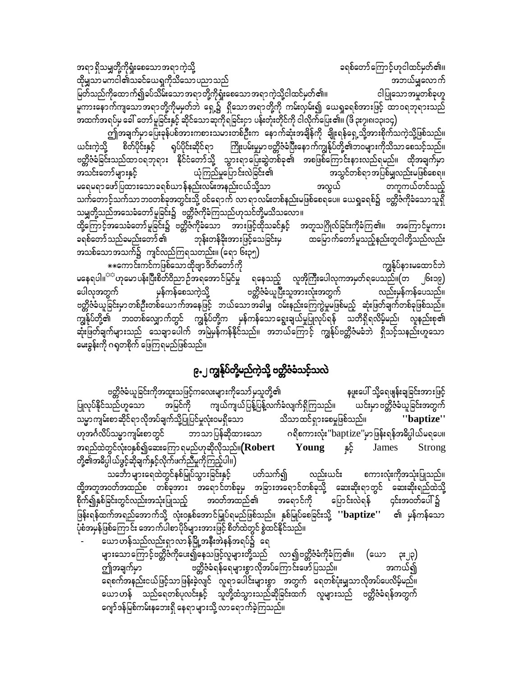အရာ ရှိသမျှတို့ကိုရှုံးစေသောအရာ ကဲ့သို့ ခရစ်တော်ကြောင့်ဟုငါထင်မှတ်၏။ ထိုမျှသာ မကငါ၏သခင်ယေရှကိုသိသော ပညာ သည် အဘယ်မျှလောက် မြတ်သည်ကိုထောက်၍ခပ်သိမ်းသောအရာတို့ကိုရှုံးစေသောအရာကဲ့သို့ငါထင်မှတ်၏။ ငါပြုသောအမှုတစ်ခုဟူ မူကားနောက်ကျသောအရာတို့ကိုမမှတ်ဘဲ ရှေ့၌ ရှိသောအရာတို့ကို ကမ်းလှမ်း၍ ယေရှုခရစ်အားဖြင့် ထာဝရဘုရားသည် အထက်အရပ်မှ ခေါ် တော်မူခြင်းနှင့် ဆိုင်သောဆုကိုရခြင်းငှာ ပန်းတုံးတိုင်ကို ငါလိုက်ပြေး၏။ (ဖိ ၃း၇၊၈၊၁၃၊၁၄)

ဤအချက်မှာပြေးခုန်ပစ်အားကစားသမားတစ်ဦးက နောက်ဆုံးအချိန်ကို ချိုးရန်ရှေ့သို့အားစိုက်သကဲ့သို့ဖြစ်သည်။ ရုပ်ပိုင်းဆိုင်ရာ ကြိုးပမ်းမှုမာ ဗတ္တိဇံခံပြီးနောက်ကျွန်ုပ်တို့၏ဘဝများကိုသိသာ စေသင့်သည်။ ယင်းကဲ့သို့ စိတ်ပိုင်းနှင့် ဗတ္တိဇံခ်ခြင်းသည်ထာဝရဘုရား နိုင်ငံတော်သို့ သွားရာပြေးဆွဲတစ်ခု၏ အစဖြစ်ကြောင်းနားလည်ရမည်။ ထိုအချက်မှာ ယုံကြည်မှုပြောင်းလဲခြင်း၏ အသင်းတော်များနှင့် အသွင်တစ်ရာအပြစ်မျှလည်းမဖြစ်စေရ။ မရေမရာဖော်ပြထားသောခရစ်ယာန်နည်းလမ်းအနည်းငယ်သို့သာ အလွယ် တကူကယ်တင်သည့် သက်တောင့်သက်သာဘ၀တစ်ခုအတွင်းသို့ ဝင်ရောက် လာရာလမ်းတစ်နည်းမဖြစ်စေရပေ။ ယေရှုခရစ်၌ ဗတ္တိဇံကိုခံသောသူရှိ သမျှတို့သည်အသေခံတော် မူခြင်း၌ ``ဗတ္တိဇံကိုခံကြသည်ဟုသင်တို့မသိသလော။`

ထို့ကြောင့်အသေခံတော်မူဒြင်း၌ ဗတ္တိဇ်ကိုခံသော အားဖြင့်ထိုသခင်နှင့် အတူသဂြိုလ်ခြင်းကိုခံကြ၏။ အကြောင်မူကား ခရစ်တော် သည်ခမည်းတော် ၏ ကြား ဆုံးတန်ခိုးအားဖြင့်သေခြင်းမှ ထမြောက်တော် မူသည့်နည်းတူငါတို့သည်လည်း အသစ်သောအသက်၌ ကျင်လည်ကြရသတည်း။ (ရော ၆း၃၅)

\*\*ကောင်းကင်ကဖြစ်သောထိုဗျာဒိတ်တော်ကို ကျွန်ုပ်နားမထောင်ဘဲ မနေရပါ။<sup>သာ</sup>ဟုမောပန်းပြီးစိတ်ဝိညာဉ်အရအောင်မြင်မှု ရနေသည့် လူအိုကြီးပေါလုကအမှတ်ရပေသည်။(တ ၂၆း၁၉) ဗ**တ္တိဇံ**ခံယူပြီးသူအားလုံးအတွက် မှန်ကန်စေသကဲ့သို့ ပေါလုအတွက် လည်းမှန်ကန်ပေသည်။ ဗတ္တိဇီခံယူခြင်းမှာ တစ်ဦးတစ်ယောက်အနေဖြင့် - ဘယ်သော အခါမျှ - ဝမ်းနည်းကြေကွဲမှုမဖြစ်မည့် - ဆုံးဖြတ်ချက်တစ်ခုဖြစ်သည်။ ကျွန်ုပ်တို့၏ ဘဝတစ်လျှောက်တွင် ကျွန်ုပ်တို့က မှန်ကန်သောရွေးချယ်မှုပြုလုပ်ရန် သတိရှိရလိမ့်မည်၊ လူနည်းစု၏ ဆုံးဖြတ်ချက်များသည် သေချာပေါက် အမြဲမှန်ကန်နိုင်သည်။ အဘယ်ကြောင့် ကျွန်ုပ်ဗတ္တိဇံမခံဘဲ ရှိသင့်သနည်းဟူသော မေးခွန်းကို ဂရုတစိုက် ဖြေကြရမည်ဖြစ်သည်။

# ၉.၂ ကျွန်ုပ်တို့မည်ကဲ့သို့ ဗတ္တိဇံခံသင့်သလဲ

ဗတ္တိဇံခံယူခြင်းကိုအထူးသဖြင့်ကလေးများကိုသော်မှသူတို့၏ နဖူးပေါ် သို့ရေဖျန်းချခြင်းအားဖြင့် ပြုလုပ်နိုင်သည်ဟူသော အမြင်ကို ကျယ်ကျယ်ပြန့်ပြန့်လက်ခံလျက်ရှိကြသည်။ ယင်းမှာ ဗတ္တိဇံခံယူခြင်းအတွက် သမ္မာကျမ်းစာဆိုင်ရာလိုအပ်ချက်သို့ပြုပြင်မှုလုံးဝမရှိသော သိသာထင်ရှားစေမှုဖြစ်သည်။ "baptize" ဟုအင်္ဂလိပ်သမ္မာကျမ်းစာတွင် ဘာသာပြန်ဆိုထားသော ဂရိစကားလုံး''baptize''မှာဖြန်းရန်အဓိပ္ပါယ်မရပေ။ အရည်ထဲတွင်လုံးဝနှစ်၍ဆေးကြော ရမည်ဟုဆိုလိုသည်။ $({\bf Robert}$ နှင့် Young James **Strong** တို့၏အဓိပ္ပါယ်ဖွင့်ဆိုချက်နှင့်လိုက်ဖက်ညီမှုကိုကြည့်ပါ။)

သင်္ဘောများရေထဲတွင်နစ်မြုပ်သွားခြင်းနှင့် ပတ်သက်၍ လည်းယင်း စကားလုံးကိုအသုံးပြုသည်။ ထို့အတူအဝတ်အထည်စ တစ်ခုအား အရောင်တစ်ခုမှ အခြားအရောင်တစ်ခုသို့ ဆေးဆိုးရာတွင် ဆေးဆိုးရည်ထဲသို့ စိုက်၍နှစ်ခြင်းတွင်လည်းအသုံးပြုသည့် အဝတ်အထည်၏ အရောင်ကို ပြောင်းလဲရန် ၄င်းအဝတ်ပေါ်၌ -<br>ဖြန်းရန်ထက်အရည်အောက်သို့ လုံးဝနှစ်အောင်မြှုပ်ရမည်ဖြစ်သည်။ နှစ်မြုပ်စေခြင်းသို့ ''baptize'' ၏ မှန်ကန်သော ပုံစံအမှန်ဖြစ်ကြောင်း အောက်ပါစာပိုဒ်များအားဖြင့် စိတ်ထဲတွင် စွဲထင်နိုင်သည်။

ယောဟန်သည်လည်းရှာလာန်မြို့အနီးအဲနန်အရပ်၌ ရေ များသောကြောင့်ဗတ္တိဇံကိုပေး၍နေသဖြင့်လူများတို့သည် လာ၍ဗတ္တိဇံခံကိုခံကြ၏။ (ယော ၃း၂၃) ဗတ္တိဇံခံရန်ရေများစွာလိုအပ်ကြောင်းဖော်ပြသည်။ အကယ်၍ ဤအချက်မှာ ရေစက်အနည်းငယ်ဖြင့်သာဖြန်းခဲ့လျင် လူရာပေါင်းများစွာ အတွက် ရေတစ်ပုံးမျှသာလိုအပ်ပေလိမ့်မည်။ ယောဟန် သည်ရေတစ်ပုလင်းနှင့် သူတို့ထံသွားသည်ဆိုခြင်းထက် လူများသည် ဗတ္တိဇံခံရန်အတွက် ဂျော်ဒန်မြစ်ကမ်းနဘေးရှိ နေရာများသို့ လာရောက်ခဲ့ကြသည်။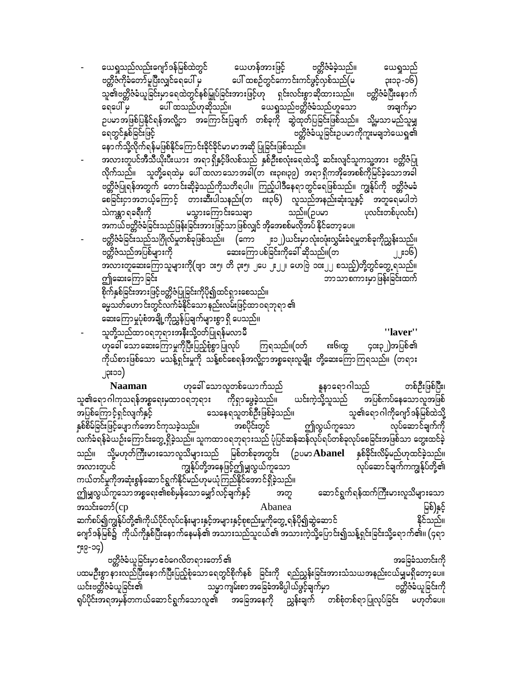ယေရှုသည်လည်းဂျော်ဒန်မြစ်ထဲတွင် ယေဟန်အားဖြင့် ဗတ္ထိဇံခံခဲ့သည်။ ယေရှုသည် ဗတ္တိဇံကိုခံတော်မူပြီးလျှင်ရေပေါ် မှ ပေါ် ထစဉ်တွင်ကောင်းကင်ဖွင့်လှစ်သည်(မ ၃း၁၃ -၁၆) သူ၏ဗတ္တိဇံခံယူခြင်းမှာရေထဲတွင်နစ်မြှုပ်ခြင်းအားဖြင့်ဟု ရှင်းလင်းစွာဆိုထားသည်။ ဗတ္တိဇံခံပြီးနောက် ရေပေါ် မှ ပေါ် ထသည်ဟုဆိုသည်။ ယေရှုသည်ဗတ္တိဇံခံသည်ဟူသော အချက်မှာ ဉပမာအဖြစ်ပြနိုင်ရန်အလို့ငှာ အကြောင်းပြချက် တစ်ခုကို ဆွဲထုတ်ပြခြင်းဖြစ်သည်။ သို့မှသာမည်သူမျှ ဗတ္တိဇံခံယူခြင်းဥပမာကိုကူးမချဘဲယေရှ၏ ရေတွင်နှစ်ခြင်းဖြင့် နောက်သို့လိုက်ရန်မဖြစ်နိုင်ကြောင်းခိုင်ခိုင်မာမာအဆို ပြုခြင်းဖြစ်သည်။ အလားတူပင်အီသီယိုးပီးယား အရာရှိနှင့်ဖိလစ်သည် နှစ်ဦးစလုံးရေထဲသို့ ဆင်းလျင်သူကသူ့အား ဗတ္တိဇံပြု လိုက်သည်။ သူတို့ရေထဲမှ ပေါ်ထလာသောအခါ(တ ၈း၃၈၊၃၉) အရာရှိကအိုအေစစ်ကိုမြင်ခဲ့သောအခါ ဗတ္တိဇံပြုရန်အတွက် တောင်းဆိုခဲ့သည်ကိုသတိရပါ။ ကြည့်ပါဒီနေရာတွင်ရေဖြစ်သည်။ ကျွန်ုပ်ကို ဗတ္တိဇံမခံ မွေး<br>စေခြင်းငှာအဘယ့်ကြောင့် တားဆီးပါသနည်း(တ ၈း၃၆) လူသည်အနည်းဆုံးသူနှင့် အတူရေမပါဘဲ သည်။(ဉပမာ သဲကန္တာ ရခရီးကို မသွားကြောင်းသေချာ ပုလင်းတစ်ပုလင်း) အကယ်ဗတ္တိဇံခံခြင်းသည်ဖြန်းခြင်းအားဖြင့်သာဖြစ်လျှင် အိုအေစစ်မလိုအပ် နိုင်တော့ပေ။ ဗတ္တိဇံခံခြင်းသည်သဂြိုလ်မှုတစ်ခုဖြစ်သည်။ (ကော ၂း၁၂)ယင်းမှာလုံးဝဖုံးလွှမ်းခံရမှုတစ်ခုကိုညွှန်းသည်။ ဗတ္ထိဇံသည်အပြစ်များကို ကာတာကာ ဆေးကြော ပစ်ခြင်းကိုခေါ် ဆိုသည်။(တ ၂၂း၁၆) အလားတူဆေးကြောသူများကို(ဗျာ ၁း၅၊ တိ ၃း၅၊ ၂ပေ ၂း၂၂၊ ဟေဗြဲ ၁၀း၂၂ စသည့်)တို့တွင်တွေ့ ရသည်။ ဤဆေးကြော ခြင်း ဘာသာစကားမှာဖြန်းခြင်းထက် စိုက်နှစ်ခြင်းအားဖြင့်ဗတ္တိဇံပြုခြင်းကိုပို၍ထင်ရှားစေသည်။ ဓမ္မသတ်ဟောင်းတွင်လက်ခံနိုင်သော နည်းလမ်းဖြင့်ထာဝရဘုရာ ၏ ဆေးကြောမှုပုံစံအချို့ကိုညွှန်ပြချက်များစွာ ရှိ ပေသည်။ သူတို့သည်ထာ ဝရဘုရားအနီးသို့ဝတ်ပြုရန်မလာမီ "laver"

၈း၆၊ထွ ဟုခေါ် သောဆေးကြောမှုကိုပြီးပြည့်စုံစွာပြုလုပ် ကြရသည်။(ဝတ် င်တီး၁ါသက္ခြင္မေျ ကိုယ်စားဖြစ်သော မသန့်ရှင်းမှုကို သန့်စင်စေရန်အလို့ငှာအစ္စရေးလူမျိုး တို့ဆေးကြောကြရသည်။ (တရား ၂၃း၁၁)

နူနာရောဂါသည် တစ်ဦးဖြစ်ပြီး၊ **Naaman** ဟုခေါ် သောလူတစ်ယောက်သည် သူ၏ရောဂါကုသရန်အစ္စရေးမှထာဝရဘုရား ကိုရှာဖွေခဲ့သည်။ ယင်းကဲ့သို့သူသည် အပြစ်ကပ်နေသောလူအဖြစ် အပြစ်ကြောင့်ရှင်လျက်နှင့် သူ၏ရောဂါကိုဂျော်ဒန်မြစ်ထဲသို့ သေနေရသူတစ်ဦးဖြစ်ခဲ့သည်။ နှစ်စိမ်ခြင်းဖြင့်ပျောက်အောင်ကုသခဲ့သည်။ အစပိုင်းတွင် ဤလွယ်ကူသော လုပ်ဆောင်ချက်ကို လက်ခံရန်ခဲယဉ်းကြောင်းတွေ့ ရှိခဲ့သည်။ သူကထာဝရဘုရားသည် ပုံပြင်ဆန်ဆန်လုပ်ရပ်တစ်ခုလုပ်စေခြင်းအဖြစ်သာ တွေးထင်ခဲ့ သည်။ သို့မဟုတ်ကြီးမားသောလူသိများသည် မြစ်တစ်ခုအတွင်း (ဉပမာ $\bf A\bm b$ anel နှစ်ခိုင်းလိမ့်မည်ဟုထင်ခဲ့သည်။ ကျွန်ုပ်တို့အနေဖြင့်ဤမျှလွယ်ကူသော လုပ်ဆောင်ချက်ကကျွန်ုပ်တို့၏ အလားတူပင် ကယ်တင်မှုကိုအဆုံးစွန်ဆောင်ရွက်နိုင်မည်ဟုမယုံကြည်နိုင်အောင်ရှိခဲ့သည်။ ဤမျှလွယ်ကူသောအစ္စရေး၏စစ်မှန်သော မျှော်လင့်ချက်နှင့် ဆောင်ရွက်ရန်ထက်ကြီးမားလူသိများသော အတူ **အသင်းတော် (**Cp Abanea မြစ်)နှင့် ဆက်စပ်၍ကျွန်ုပ်တို့၏ကိုယ်ပိုင်လုပ်ငန်းများနှင့်အများနှင့်စုစည်းမှုကိုတွေ့ ရန်ပို၍ဆွဲဆောင် နိုင်သည်။ ဂျော်ဒန်မြစ်၌ ကိုယ်ကိုနှစ်ပြီးနောက်နေမန်၏ အသားသည်သူငယ်၏ အသားကဲ့သို့ပြောင်း၍သန့်ရှင်းခြင်းသို့ရောက်၏။ (၄ရာ ၅း၉-၁၄) ဗတ္တိဇံခံယူခြင်းမှာ ဧဝံဂေလိတရားတော် ၏<br>- - -အခြေခံသတင်းကို

ပထမဦးစွာ နားလည်ပြီးနောက်ပြီးပြည့်စုံသောရေတွင်စိုက်နစ် ခြင်းကို ရည်ညွှန်းခြင်းအားသံသယအနည်းငယ်မျှမရှိတော့ပေ။ သမ္မာ ကျမ်းစာ အခြေခံအဓိပ္ပါယ်ဖွင့်ချက်မှာ ယင်းဗတ္တိဇံခံယူခြင်း၏ ဗတ္တိဇံခံယူခြင်းကို ရုပ်ပိုင်းအရအမှန်တကယ်ဆောင်ရွက်သောလူ၏ အခြေအနေကို ညွှန်းချက် တစ်စုံတစ်ရာပြုလုပ်ခြင်း မဟုတ်ပေ။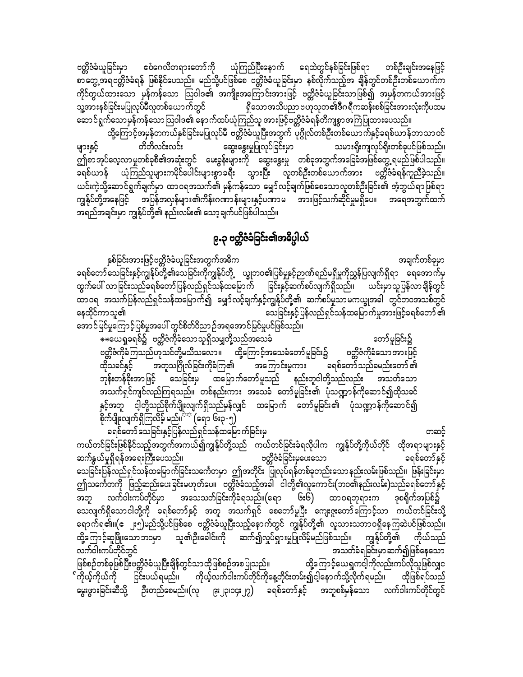ဧဝံဂေလိတရားတော်ကို ယုံကြည်ပြီးနောက် ရေထဲတွင်နစ်ခြင်းဖြစ်ရာ တစ်ဦးချင်းအနေဖြင့် ဗတ္ထိဇံခံယူခြင်းမှာ စာတွေ့အရဗတ္တိဇံခံရန် ဖြစ်နိုင်ပေသည်။ မည်သို့ပင်ဖြစ်စေ ဗတ္တိဇံခံယူခြင်းမှာ နစ်လိုက်သည့်အ ချိန်တွင်တစ်ဦးတစ်ယောက်က ကိုင်တွယ်ထားသော မှန်ကန်သော ဩဝါဒ၏ အကျိုးအကြောင်းအားဖြင့် ဗတ္တိဇံခံယူခြင်းသာဖြစ်၍ အမှန်တကယ်အားဖြင့် သူ့အားနစ်ခြင်းမပြုလုပ်မီလူတစ်ယောက်တွင် ရှိသောအသိပညာဗဟုသုတ၏ဒီဂရီကဆန်းစစ်ခြင်းအားလုံးကိုပထမ

ဆောင်ရွက်သောမှန်ကန်သောဩဝါဒ၏ နောက်ထပ်ယုံကြည်သူ အားဖြင့်ဗတ္တိဇံခံရန်တိကျစွာအကြံပြုထားပေသည်။ ထို့ကြောင့်အမှန်တကယ်နှစ်ခြင်းမပြုလုပ်မီ ဗတ္တိဇံခံယူပြီးအတွက် ပုဂ္ဂိုလ်တစ်ဦးတစ်ယောက်နှင့်ခရစ်ယာန်ဘာသာဝင် တိတိလင်းလင်း ဆွေးနွေးမှုပြုလုပ်ခြင်းမှာ များနှင့် သမားရိုးကျလုပ်ရိုးတစ်ခုပင်ဖြစ်သည်။ ဤစာအုပ်လေ့လာမှုတစ်ခုစီ၏အဆုံးတွင် မေးခွန်းများကို ဆွေးနွေးမှု တစ်ခုအတွက်အခြေခံအဖြစ်တွေ့ရမည်ဖြစ်ပါသည်။ ခရစ်ယာန် ယုံကြည်သူများကမိုင်ပေါင်းများစွာခရီး သွားပြီး လူတစ်ဦးတစ်ယောက်အား ဗတ္တိဇံခံရန်ကူညီခဲ့သည်။ ယင်းကဲ့သို့ဆောင်ရွက်ချက်မှာ ထာဝရအသက်၏ မှန်ကန်သော မျှော်လင့်ချက်ဖြစ်စေသောလူတစ်ဦးခြင်း၏ အံ့ဘွယ်ရာဖြစ်ရာ ကျွန်ုပ်တို့အနေဖြင့် အပြန်အလှန်များ၏ကိန်းဂဏာန်းများနှင့်ပဏာမ အားဖြင့်သက်ဆိုင်မှုမရှိပေ။ အရေအတွက်ထက် အရည်အချင်းမှာ ကျွန်ုပ်တို့၏ နည်းလမ်း၏ သော့ချက်ပင်ဖြစ်ပါသည်။

# ၉.၃ ဗတ္တိဇံခံခြင်း၏အဓိပ္ပါယ်

နှစ်ခြင်းအားဖြင့်ဗတ္တိဇံခံယူခြင်းအတွက်အဓိက အချက်တစ်ခုမှာ ခရစ်တော်သေခြင်းနှင့်ကျွန်ုပ်တို့၏သေခြင်းကိုကျွန်ုပ်တို့ ယ္ခုဘဝ၏ပြစ်မှုနှင့်ဉာဏ်ရည်မရှိမှုကိုညွှန်ပြလျက်ရှိရာ ရေအောက်မှ ထွက်ပေါ် လာခြင်းသည်ခရစ်တော်ပြန်လည်ရှင်သန်ထမြောက် ခြင်းနှင့်ဆက်စပ်လျက်ရှိသည်။ ယင်းမှာသူပြန်လာချိန်တွင် ထာဝရ အသက်ပြန်လည်ရှင်သန်ထမြောက်၍ မျှော်လင့်ချက်နှင့်ကျွန်ုပ်တို့၏ ဆက်စပ်မှုသာမကယ္ဍုအခါ တွင်ဘဝအသစ်တွင် နေထိုင်ကာသူ၏ သေခြင်းနှင့်ပြန်လည်ရှင်သန်ထမြောက်မှုအားဖြင့်ခရစ်တော် ၏

အောင်မြင်မှုကြောင့်ပြစ်မှုအပေါ် တွင်စိတ်ဝိညာဉ်အရအောင်မြင်မှုပင်ဖြစ်သည်။

\*\*ယေရှုခရစ်၌ ဗတ္တိဇံကိုခံသောသူရှိသမျှတို့သည်အသေခံ တော်မူခြင်း၌ ဗတ္တိဇံကိုခံကြသည်ဟုသင်တို့မသိသလော။ ထို့ကြောင့်အသေခံတော်မူခြင်း၌ ဗတ္တိဇံကိုခံသော အားဖြင့် အတူသဂြိုလ်ခြင်းကိုခံကြ၏ အကြောင်းမူကား ထိုသခင်နှင့် ခရစ်တော်သည်ခမည်းတော် ၏ ဘုန်းတန်ခိုးအာဖြင့် သေခြင်းမှ ထမြောက်တော်မူသည် နည်းတူငါတို့သည်လည်း အသတ်သော အသက်ရှင်ကျင်လည်ကြရသည်။ တစ်နည်းကား အသေခံ တော်မူခြင်း၏ ပုံသဏ္ဍာန်ကိုဆောင်၍ထိုသခင် နှင့်အတူ ငါ့တို့သည်စိုက်ပျိုးလျက်ရှိသည်မှန်လျှင် ထမြောက် တော်မူခြင်း၏ ပုံသဏ္ဍာန်ကိုဆောင်၍ စိုက်ပျိုးလျက်ရှိကြလိမ့် မည်။<sup>သည</sup> (ရော ၆း၃-၅)

ခရစ်တော်သေခြင်းနှင့်ပြန်လည်ရှင်သန်ထမြောက်ခြင်းမှ တဆင့် ကယ်တင်ခြင်းဖြစ်နိုင်သည့်အတွက်အကယ်၍ကျွန်ုပ်တို့သည် ကယ်တင်ခြင်းခံရလိုပါက ကျွန်ုပ်တို့ကိုယ်တိုင် ထိုအရာများနှင့် ဆက်နွယ်မှုရှိရန်အရေးကြီးပေသည်။ ဗတ္တိဇံခံခြင်းမှပေးသော ခရစ်တော်နှင့် သေခြင်းပြန်လည်ရှင်သန်ထမြောက်ခြင်းသင်္ကေတမှာ ဤအတိုင်း ပြုလုပ်ရန်တစ်ခုတည်းသောနည်းလမ်းဖြစ်သည်။ ဖြန်းခြင်းမှာ ဤသင်္ကေတကို ဖြည့်ဆည်းပေးခြင်းမဟုတ်ပေ။ ဗတ္ထိဇံခံသည့်အခါ ငါတို့၏လူကောင်း(ဘဝ၏နည်းလမ်း)သည်ခရစ်တော်နှင့် လက်ဝါးကပ်တိုင်မှာ အသေသတ်ခြင်းကိုခံရသည်။(ရော ၆း၆) ထာဝရဘုရားက ဒုစရိုက်အပြစ်၌ သေလျက်ရှိသောငါတို့ကို ခရစ်တော်နှင့် အတူ အသက်ရှင် စေတော်မူပြီး ကျေးဇူးတော်ကြောင့်သာ ကယ်တင်ခြင်းသို့ ရောက်ရ၏။(ဧ ၂း၅)မည်သို့ပင်ဖြစ်စေ ဗတ္တိဇံခံယူပြီးသည့်နောက်တွင် ကျွန်ုပ်တို့၏ လူသားသဘာဝရှိနေကြဆဲပင်ဖြစ်သည်။ ာ**ူ၏ဦး**ခေါင်းကို ဆက်၍လှုပ်ရှားမှုပြုလိမ့်မည်ဖြစ်သည်။ ကျွန်ုပ်တို့၏ ကိုယ်သည် ထို့ကြောင့်ဆူဖြိုးသောဘဝမှာ အသတ်ခံရခြင်းမှာဆက်၍ဖြစ်နေသော လက်ဝါးကပ်တိုင်တွင် ဖြစ်စဉ်တစ်ခုဖြစ်ပြီးဗတ္တိဇံခံယူပြီးချိန်တွင်သာထိုဖြစ်စဉ်အစပြုသည်။ ထို့ကြောင့်ယေရှကင့ါကိုလည်းကပ်လိုသူဖြစ်လျှင ်ကိုယ့်ကိုယ်ကို ငြင်းပယ်ရမည်။ ကိုယ့်လက်ဝါးကပ်တိုင်ကိုနေ့တိုင်းတမ်း၍ငါ့နောက်သို့လိုက်ရမည်။ ထိုဖြစ်ရပ်သည်

မွေးဖွားခြင်းဆီသို့ ဦးတည်စေမည်။(လု ၉း၂၃၊၁၄း၂၇) ခရစ်တော်နှင့် အတူစစ်မှန်သော လက်ဝါးကပ်တိုင်တွင်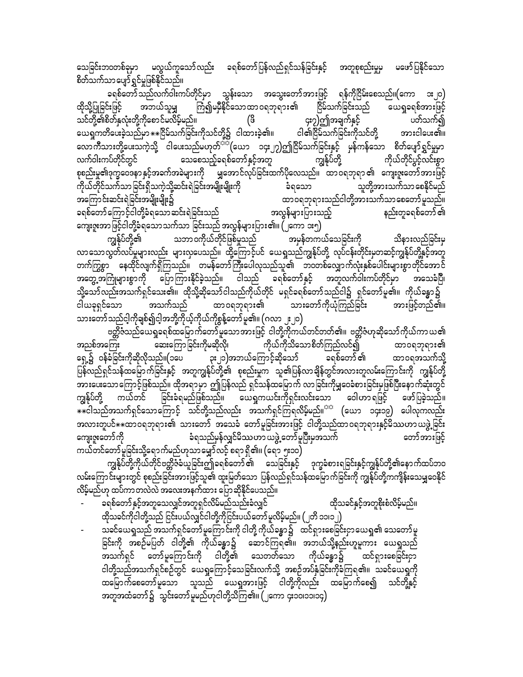သေခြင်းဘဝတစ်ခုမှာ မလွယ်ကူသော်လည်း ခရစ်တော်ပြန်လည်ရှင်သန်ခြင်းနှင့် အတူစုစည်းမှုမှ မဖော်ပြနိုင်သော စိတ်သက်သာပျော်ရွှင်မှုဖြစ်နိုင်သည်။

ခရစ်တော် သည်လက်ဝါးကပ်တိုင်မှာ သွန်းသော အသွေးတော်အားဖြင့် ရန်ကိုငြိမ်းစေသည်။(ကော ၁း၂၀) အဘယ်သူမျှ ကြံ၍မမှီနိုင်သောထာဝရဘုရား၏ ငြိမ်သက်ခြင်းသည် ယေရှုခရစ်အားဖြင့် ထိုသို့ပြုခြင်းဖြင့် သင်တို့၏စိတ်နှလုံးတို့ကိုစောင်မလိမ့်မည်။ ၄း၇)ဤအချက်နှင့် ပတ်သက်၍ (ဖိ ယေရှကတိပေးခဲ့သည်မှာ $\ast\ast$ ငြိမ်သက်ခြင်းကိုသင်တို့၌ ငါထားခဲ့၏။ ငါ၏ငြိမ်သက်ခြင်းကိုသင်တို့ အားငါပေး၏။ လောကီသားတို့ပေးသကဲ့သို့ ငါပေးသည်မဟုတ်<sup>ာာ</sup>(ယော ၁၄း၂၇)ဤငြိမ်သက်ခြင်းနှင့် မှန်ကန်သော စိတ်ပျော်ရွှင်မှုမှာ သေစေသည့်ခရစ်တော်နှင့်အတူ ကျွန်ုပ်တို့ လက်ဝါးကပ်တိုင်တွင် ကိုယ်တိုင်ပွင့်လင်းစွာ စုစည်းမှု၏ဒုက္ခဝေဒနာ နှင့်အခက်အခဲများကို ဖြေအောင်လုပ်ခြင်းထက်ပိုလေသည်။ ထာဝရဘုရာ ၏ ကျေးဇူးတော်အားဖြင့် ကိုယ်တိုင်သက်သာခြင်းရှိသကဲ့သို့ဆင်းရဲခြင်းအမျိုးမျိုးကို ခံရသော သူတို့အားသက်သာ စေနိုင်မည် ထာဝရဘုရားသည်ငါတို့အားသက်သာစေတော်မူသည်။ အကြောင်းဆင်းရဲခြင်းအမျိုးမျိုး၌ နည်းတူခရစ်တော် ၏ ခရစ်တော်ကြောင့်ငါတို့ခံရသောဆင်းရဲခြင်းသည် အလွန်များပြားသည့် ကျေးဇူးအာဖြင့်ငါတို့ခံရသောသက်သာ ခြင်းသည် အလွန်များပြား၏။ (၂ကော ၁း၅)

ကျွန်ုပ်တို့၏ သဘာဝကိုယ်တိုင်ဖြစ်မှုသည် အမှန်တကယ်သေခြင်းကို သိနားလည်ခြင်းမှ လာသောလွတ်လပ်မှုများလည်း များလှပေသည်။ ထို့ကြောင့်ပင် ယေရှုသည်ကျွန်ုပ်တို့ လုပ်ငန်းတိုင်းမှတဆင့်ကျွန်ုပ်တို့နှင့်အတူ တက်ကြွစွာ နေထိုင်လျက်ရှိကြသည်။ တမန်တော်ကြီးပေါလုသည်သူ၏ ဘဝတစ်လျှောက်လုံးနှစ်ပေါင်းများစွာတိုင်အောင် အတွေ့အကြုံများစွာကို ပြောကြားနိုင်ခဲ့သည်။ ငါသည် ခရစ်တော်နှင့် အတူလက်ဝါးကပ်တိုင်မှာ အသေခံပြီ၊ သို့သော်လည်းအသက်ရှင်သေး၏။ ထိုသို့ဆိုသော်ငါသည်ကိုယ်တိုင် မရှင်ခရစ်တော်သည်ငါ၌ ရှင်တော်မူ၏။ ကိုယ်ခန္ဓာ၌ အသက်သည် သားတော်ကိုယုံကြည်ခြင်း ထာ၀ရဘုရား၏ အားဖြင့်တည်၏။ သားတော်သည်ငါ့ကိုချစ်၍ငါ့အဘို့ကိုယ့်ကိုယ်ကိုစွန့်တော်မူ၏။ (ဂလာ ၂း၂၀)

ဗတ္တိဇံသည်ယေရှုခရစ်ထမြောက်တော်မူသောအားဖြင့် ငါတို့ကိုကယ်တင်တတ်၏။ ဗတ္တိဇံဟုဆိုသော်ကိုယ်ကာယ၏ ဆေးကြောခြင်းကိုမဆိုလို၊ အညစ်အကြေး ကိုယ်ကိုသိသောစိတ်ကြည်လင်၍ ထာ၀ရဘုရား၏ ၃း၂၁)အဘယ်ကြောင့်ဆိုသော် ရှေ့၌ ဝန်ခံခြင်းကိုဆိုလိုသည်။(၁ပေ ခရစ်တော် ၏ ထာဝရအသက်သို့ ပြန်လည်ရှင်သန်ထမြောက်ခြင်းနှင့် အတူကျွန်ုပ်တို့၏ စုစည်းမှုက သူ၏ပြန်လာချိန်တွင်အလားတူလမ်းကြောင်းကို ကျွန်ုပ်တို့ ာက သား<br>အားပေးသောကြောင့်ဖြစ်သည်။ ထိုအရာမှာ ဤပြန်လည် ရှင်သန်ထမြောက် လာခြင်းကိုမျှဝေခံစားခြင်းမှဖြစ်ပြီးနောက်ဆုံးတွင် ကျွန်ုပ်တို့ ခြင်းခံရမည်ဖြစ်သည်။ ယေရှကယင်းကိုရှင်းလင်းသော ဝေါဟာရဖြင့် ကယ်တင် ဖော်ပြခဲ့သည်။ တော်အားဖြင့် ကျေးဇူးတော်ကို ခံရသည်မှန်လျှင်မိဿဟာ ယဖွဲ့ တော်မှုပြီးမှအသက် ကယ်တင်တော်မူခြင်းသို့ရောက်မည်ဟုသာမျှော်လင့် စရာ ရှိ၏။ (ရော ၅း၁၀)

ကျွန်ုပ်တို့ကိုယ်တိုင်ဗတ္တိဇံခံယူခြင်းဤခရစ်တော် ၏ သေခြင်းနှင့် ဒုက္ခခံစားရခြင်းနှင့်ကျွန်ုပ်တို့၏နောက်ထပ်ဘဝ လမ်းကြောင်းများတွင် စုစည်းခြင်းအားဖြင့်သူ၏ ထူးမြတ်သော ပြန်လည်ရှင်သန်ထမြောက်ခြင်းကို ကျွန်ုပ်တို့ကကျိန်းသေမျှဝေနိုင် လိမ့်မည်ဟု ထပ်ကာတလဲလဲ အလေးအနက်ထား ပြောဆိုနိုင်ပေသည်။

- ခရစ်တော်နှင့်အတူသေလျှင်အတူရှင်လိမ်မည်သည်းခံလျှင် ထိုသခင်နှင့်အတူစိုးစံလိမ့်မည်။ ထိုသခင်ကိုငါတို့သည် ငြင်းပယ်လျှင်ငါတို့ကိုငြင်းပယ်တော် မူလိမ့်မည်။ (၂တိ ၁၁၊၁၂)
- သခင်ယေရှုသည် အသက်ရှင်တော်မှုကြောင်းကို ငါတို့ ကိုယ်ခန္ဓာ၌ ထင်ရှားစေခြင်းငှာယေရှု၏ သေတော်မှု ခြင်းကို အစဉ်မပြတ် ငါတို့၏ ကိုယ်ခန္ဓာ၌ ဆောင်ကြရ၏။ အဘယ်သို့နည်းဟူမူကား ယေရှုသည် ငါတို့သည်အသက်ရှင်စဉ်တွင် ယေရှုကြောင့်သေခြင်းလက်သို့ အစဉ်အပ်နှံခြင်းကိုခံကြရ၏။ သခင်ယေရှုကို ထမြောက်စေတော်မူသော သူသည် ယေရှုအားဖြင့် ငါတို့ကိုလည်း ထမြောက်စေ၍ သင်တို့နှင့် အတူအထံတော်၌ သွင်းတော်မူမည်ဟုငါတို့သိကြ၏။ (၂ကော ၄း၁၀၊၁၁၊၁၄)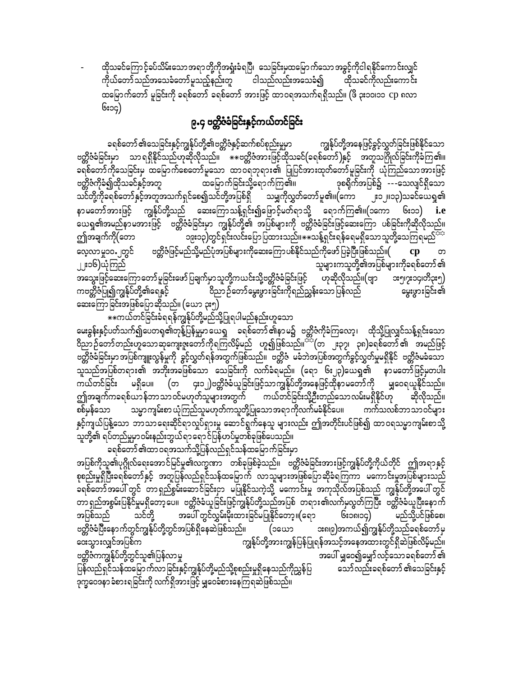ထိုသခင်ကြောင့်ခပ်သိမ်းသောအရာတို့ကိုအရှုံးခံရပြီ၊ သေခြင်းမှထမြောက်သောအခွင့်ကိုငါရနိုင်ကောင်းလျှင် ကိုယ်တော်သည်အသေခံတော်မူသည့်နည်းတူ ငါသည်လည်းအသေခံ၍ ထိုသခင်ကိုလည်းကောင်း ထမြောက်တော် မူခြင်းကို ခရစ်တော် ခရစ်တော် အားဖြင့် ထာဝရအသက်ရရှိသည်။ (ဖိ ၃း၁၀၊၁၁ cp ၈လာ ၆း၁၄)

## ၉.၄ ဗတ္တိဇံခံခြင်းနှင့်ကယ်တင်ခြင်း

ခရစ်တော် ၏သေခြင်းနှင့်ကျွန်ုပ်တို့၏ဗတ္တိဇံနှင့်ဆက်စပ်စုည်းမှုမှာ ကျွန်ုပ်တို့အနေဖြင့်ခွင့်လွှတ်ခြင်းဖြစ်နိုင်သော ဗတ္တိဇံခံခြင်းမှာ သာရရှိနိုင်သည်ဟုဆိုလိုသည်။ \*\*ဗတ္တိဇံအားဖြင့်ထိုသခင်(ခရစ်တော်)နှင့် အတူသဂြိုလ်ခြင်းကိုခံကြ၏။ ခရစ်တော်ကိုသေခြင်းမှ ထမြောက်စေတော်မူသော ထာဝရဘုရား၏ ပြုပြင်အားထုတ်တော်မူခြင်းကို ယုံကြည်သောအားဖြင့် ဗတ္တိဇံကိုခံ၍ထိုသခင်နှင့်အတူ ထမြောက်ခြင်းသို့ရောက်ကြ၏။ ဒုစရိုက်အပြစ်၌ ---သေလျင်ရှိသော သင်တို့ကိုခရစ်တော်နှင့်အတူအသက်ရှင်စေ၍သင်တို့အပြစ်ရှိ သမျှကိုလွှတ်တော်မူ၏။(ကော ၂း၁၂။၁၃)သခင်ယေရှ၏ နာမတော်အားဖြင့် ကျွန်ုပ်တို့သည် ဆေးကြောသန့်ရှင်း၍ဖြောင့်မတ်ရာသို့ ရောက်ကြ၏။(၁ကော ၆း၁၁) *i.e* .<br>ယေရှု၏အမည်နာမအားဖြင့် စတ္တိဇံခံခြင်းမှာ ကျွန်ုပ်တို့၏ အပြစ်များကို ဗတ္တိဇံခံခြင်းဖြင့်ဆေးကြော ပစ်ခြင်းကိုဆိုလိုသည်။ ၁၉း၁၃)တွင်ရှင်းလင်းပြောပြထားသည်၊၊ $\ast\ast$ သန့်ရှင်းရန်ရေမရှိသောသူတို့သေကြရမည်<sup>အာ</sup> ဤအချက်ကို(တော ဗတ္ထိဇံဖြင့်မည်သို့မည်ပုံအပြစ်များကိုဆေးကြောပစ်နိုင်သည်ကိုဖော်ပြခဲ့ပြီးဖြစ်သည်။( လေ့လာမှု၁၀.၂တွင်  $cp$ ၂၂း၁၆)ယုံကြည် သူများကသူတို့၏အပြစ်များကိုခရစ်တော် ၏ အသွေးဖြင့်ဆေးကြောတော် မူခြင်းဖော်ပြချက်မှာ သူတို့ကယင်းသို့ဗတ္တိဇံခံခြင်းဖြင့် ဟုဆိုလိုသည်။(ဗျာ ဒး၅၊၇း၁၄၊တိ၃း၅) ကဗတ္တိဇံပြု၍ကျွန်ုပ်တို့၏ရေနှင့် ဝိညာဉ်တော်မွေးဖွားခြင်းကိုရည်ညွှန်းသောပြန်လည် မွေးဖွားခြင်း၏ ဆေးကြောခြင်းအဖြစ်ပြောဆိုသည်။ (ယော ၃း၅)

\*\*ကယ်တင်ခြင်းခံရရန်ကျွန်ုပ်တို့မည်သို့ပြုရပါမည်နည်းဟူသော

မေးခွန်းနှင့်ပတ်သက်၍ပေတရု၏တုန့်ပြန်မှုမှာယေရှု ခရစ်တော်၏နာမ၌ ဗတ္တိဇံကိုခံကြလော့၊ ထိုသို့ပြုလျှင်သန့်ရှင်းသော ဗတ္တိဇံခ်ခြင်းမှာအပြစ်ကျူးလွန်မှုကို ခွင့်လွှတ်ရန်အတွက်ဖြစ်သည်။ ဗတ္တိဇံ မခံဘဲအပြစ်အတွက်ခွင့်လွှတ်မှုမရှိနိုင် ဗတ္တိဇံမခံသော သူသည်အပြစ်တရား၏ အဘိုးအခဖြစ်သော သေခြင်းကို လက်ခံရမည်။ (ရော ၆း၂၃)ယေရှ၏ နာမတော်ဖြင့်မှတပါး မရှိပေ။ (တ ၄း၁၂)ဗတ္တိဇံခံယူခြင်းဖြင့်သာကျွန်ုပ်တို့အနေဖြင့်ထိုနာမတော်ကို မျှဝေရယူနိုင်သည်။ ကယ်တင်ခြင်း ဤအချက်ကခရစ်ယာန်ဘာသာဝင်မဟုတ်သူများအတွက် ကယ်တင်ခြင်းသို့ဦးတည်သောလမ်းမရှိနိုင်ဟု ဆိုလိုသည်။ သမ္မာကျမ်းစာ ယုံကြည်သူမဟုတ်ကသူတို့ပြုသော အရာ ကိုလက်မခံနိုင်ပေ။ ကက်သလစ်ဘာ သာ ဝင်များ စစ်မှန်သော နှင့်ကျယ်ပြန့်သော ဘာသာရေးဆိုင်ရာလှုပ်ရှားမှု ဆောင်ရွက်နေသူ များလည်း ဤအတိုင်းပင်ဖြစ်၍ ထာဝရသမ္မာကျမ်းစာသို့ -<br>သူတို့၏ ရပ်တည်မှုမှာဝမ်းနည်းဘွယ်ရာ ရောင်ပြန်ဟပ်မှုတစ်ခုဖြစ်ပေသည်။

ခရစ်တော် ၏ထာ ဝရအသက်သို့ပြန်လည်ရှင်သန်ထမြောက်ခြင်းမှာ အပြစ်ကိုသူ၏ပုဂ္ဂိုလ်ရေးအောင်မြင်မှု၏လက္ခဏာ တစ်ခုဖြစ်ခဲ့သည်။ ဗတ္တိဇံခံခြင်းအားဖြင့်ကျွန်ုပ်တို့ကိုယ်တိုင် ဤအရာနှင့် စုစည်းမှုရှိပြီးခရစ်တော်နှင့် အတူပြန်လည်ရှင်သန်ထမြောက် လာသူများအဖြစ်ပြောဆိုခံရကြကာ မကောင်းမှုအပြစ်များသည် ု — ……<br>ခရစ်တော်အပေါ် တွင် ့တာ ရှည်စွမ်းဆောင်ခြင်းငှာ မပြုနိုင်သကဲ့သို့ မကောင်းမှု အကုသိုလ်အပြစ်သည် ကျွန်ုပ်တို့အပေါ် တွင်<br>တာရှည်အစွမ်းပြနိုင်မှုမရှိတော့ပေ။ ဗတ္တိဇံခံယူခြင်းဖြင့်ကျွန်ုပ်တို့သည်အပြစ် တရား၏လက်မှလွတ်ကြပြီး ဗတ အပေါ် တွင်လွှမ်းမိုးထားခြင်မပြုနိုင်တော့။(ရော မည်သို့ပင်ဖြစ်စေ၊ အပြစ်သည် သင်တို့ ၆း၁၈၊၁၄) ဗတ္တိဇံခံပြီးနောက်တွင်ကျွန်ုပ်တို့တွင်အပြစ်ရှိနေဆဲဖြစ်သည်။ ား၈၊၉)အကယ်၍ကျွန်ုပ်တို့သည်ခရစ်တော်မှ (၁ယော .<br>ကျွန်ုပ်တို့အားကျွန်ပြန်ပြုရန်အသင့်အနေအထားတွင်ရှိဆဲဖြစ်လိမ့်မည်။ ဒေးသွားလျှင်အပြစ်က ဗတ္တိဇံကကျွန်ုပ်တို့တွင်သူ၏ပြန်လာမှု အပေါ် မျှဝေ၍မျှော်လင့်သော ခရစ်တော် ၏ ပြန်လည်ရှင်သန်ထမြော က်လာခြင်းနှင့်ကျွန်ုပ်တို့မည်သို့စုစည်းမှုရှိနေသည်ကိုညွှန်ပြ သော်လည်းခရစ်တော် ၏သေခြင်းနှင့် ဒုက္ခဝေဒနာ ခံစားရခြင်းကို လက်ရှိအားဖြင့် မျှဝေခံစားနေကြရဆဲဖြစ်သည်။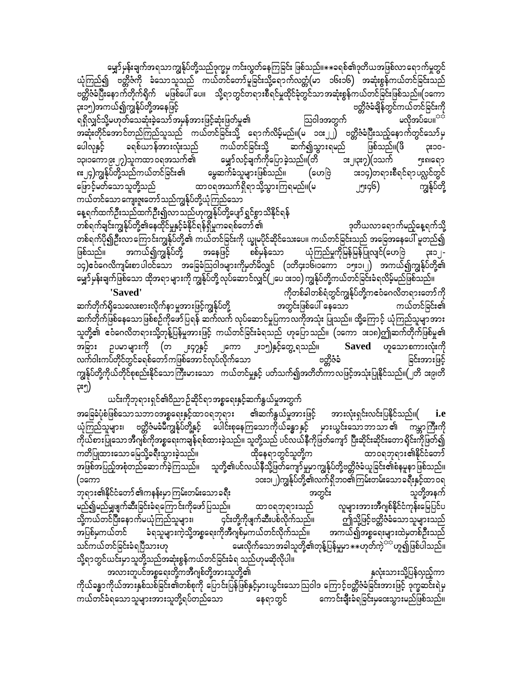မျှော်မှန်းချက်အရသာကျွန်ုပ်တို့သည်ဒုက္ခမှ ကင်းလွတ်နေကြခြင်း ဖြစ်သည်။ $\ast\ast$ ခရစ်၏ဒုတိယအဖြစ်လာရောက်မှုတွင် ယုံကြည်၍ ဗတ္တိဇံကို ခံသောသူသည် ကယ်တင်တော်မူခြင်းသို့ရောက်လတ္တံ(မာ ၁၆း၁၆) အဆုံးစွန်ကယ်တင်ခြင်းသည် ဗတ္တိဇံခံပြီးနောက်တိုက်ရိုက် မဖြစ်ပေါ် ပေ။ သို့ရာတွင်တရားစီရင်မှုထိုင်ခုံတွင်သာအဆုံးစွန်ကယ်တင်ခြင်းဖြစ်သည်။(၁ကော ၃း၁၅)အကယ်၍ကျွန်ုပ်တို့အနေဖြင့် ဗတ္တိဇံခံချိန်တွင်ကယ်တင်ခြင်းကို ရရှိလျှင်သို့မဟုတ်သေဆုံးခဲ့သော်အမှန်အားဖြင့်ဆုံးဖြတ်မှု၏ ဩဝါဒအတွက် မလိုအပ်ပေ။<sup>သာ</sup> အဆုံးတိုင်အောင်တည်ကြည်သူသည် ကယ်တင်ခြင်းသို့ ရောက်လိမ့်မည်။(မ ၁၀း၂၂) ဗတ္တိဇံခံပြီးသည့်နောက်တွင်သော်မှ ပေါလုနှင့် ခရစ်ယာန်အားလုံးသည် ကယ်တင်ခြင်းသို့ ဆက်၍သွားရမည် ၃း၁၀-ဖြစ်သည်။(ဖိ မျှော်လင့်ချက်ကိုပြောခဲ့သည်။(တိ ၁၃၊၁ကော၉း၂၇)သူကထာ ဝရအသက်၏ ား၂ု၁း၇)(၁သက် <u>ား</u>ရေ၁ ၈း၂၄)ကျွန်ုပ်တို့သည်ကယ်တင်ခြင်း၏ မွေဆက်ခံသူများဖြစ်သည်။ (ဟေဗြဲ ား၁၄)တရားစီရင်ရာပလ္လင်တွင် ဖြောင့်မတ်သောသူတို့သည် ထာဝရအသက်ရှိရာသို့သွားကြရမည်။(မ ၂၅း၄၆) ကျွန်ုပ်တို့ ကယ်တင်သော ကျေးဇူးတော်သည်ကျွန်ုပ်တို့ယုံကြည်သော

နေ့ရက်ထက်ဦးသည်ထက်ဦး၍လာသည်ဟုကျွန်ုပ်တို့ပျော်ရွှင်စွာသိနိုင်ရန် တစ်ရက်ချင်းကျွန်ုပ်တို့၏နေထိုင်မှုနှင့်ခံနိုင်ရန်ရှိမှုကခရစ်တော် ၏ ဒုတိယလာရောက်မည့်နေ့ရက်သို့ တစ်ရက်ပို၍ဦးလာကြောင်းကျွန်ုပ်တို့၏ ကယ်တင်ခြင်းကို ယျှမပိုင်ဆိုင်သေးပေ။ ကယ်တင်ခြင်းသည် အခြေအနေပေါ် မူတည်၍ အကယ်၍ကျွန်ုပ်တို့ စစ်မှန်သော ယုံကြည်မှုကိုမြန်မြန်ပြုလျင်(ဟေဗြဲ ဖြစ်သည်။ အနေဖြင့် ၃း၁၂-၁၄)ဧဝံဂေလိကျမ်းစာပါဝင်သော အခြေခံသြဝါဒများကိုမှတ်မိလျှင် (၁တိ၄း၁၆၊၁ကော ၁၅း၁၊၂) အကယ်၍ကျွန်ုပ်တို့၏ မျှော်မှန်းချက်ဖြစ်သော ထိုအရာများကို ကျွန်ုပ်တို့ လုပ်ဆောင်လျှင်(၂ပေ ၁း၁၀) ကျွန်ုပ်တို့ကယ်တင်ခြင်းခံရလိမ့်မည်ဖြစ်သည်။

ကိုတစ်ခါတစ်ရံတွင်ကျွန်ုပ်တို့ကဧဝံဂေလိတရားတော်ကို 'Saved' ဆက်တိုက်ရှိသေလေးစားလိုက်နာမူအားဖြင့်ကျွန်ုပ်တို့ အတွင်းဖြစ်ပေါ် နေသော ကယ်တင်ခြင်း၏ ဆက်တိုက်ဖြစ်နေသော ဖြစ်စဉ်ကိုဖော်ပြရန် ဆက်လက် လုပ်ဆောင်မှုပြကာလကိုအသုံး ပြုသည်။ ထို့ကြောင့် ယုံကြည်သူမျာအား သူတို့၏ ဧဝံဂေလိတရားသို့တုန့်ပြန်မှုအားဖြင့် ကယ်တင်ခြင်းခံရသည် ဟုပြောသည်။ (၁ကော ၁း၁၈)ဤဆက်တိုက်ဖြစ်မှု၏ ၂း၁၅**)**နှင့်တွေ့ ရသည်။ အခြား ဥပမာများကို (တ ု့၄၇နှင့် Saved ဟူသောစကားလုံးကို ၂ကော လက်ဝါးကပ်တိုင်တွင်ခရစ်တော်ကဖြစ်အောင်လုပ်လိုက်သော ဗတ္ထိဇံခံ ခြင်းအားဖြင့် ကျွန်ုပ်တို့ကိုယ်တိုင်စုစည်းနိုင်သောကြီးမားသော ကယ်တင်မှုနှင့် ပတ်သက်၍အတိတ်ကာလဖြင့်အသုံးပြုနိုင်သည်။(၂တိ ၁း၉၊တိ ၃း၅)

ယင်းကိုဘုရားရှင်၏ဝိညာဉ်ဆိုင်ရာအစ္စရေးနှင့်ဆက်နွယ်မှုအတွက်

အားလုံးရှင်းလင်းပြနိုင်သည်။( အခြေခံပုံစံဖြစ်သောသဘာဝအစ္စရေးနှင့်ထာဝရဘုရား ၏ဆက်နွယ်မှုအားဖြင့် i.e ယုံကြည်သူများ၊ ဗတ္တိဇံမခံမီကျွန်ုပ်တို့နှင့် ပေါင်းစုနေကြသောကိုယ်ခန္ဓာနှင့် မှားယွင်းသောဘာသာ၏ ကမ္ဘာကြီးကို ကိုယ်စားပြုသောအီဂျစ်ကိုအစ္စရေးကချန်ရစ်ထားခဲ့သည်။ သူတို့သည် ပင်လယ်နီကိုဖြတ်ကျော် ပြီးဆိုင်းဆိုင်းတော ရိုင်းကိုဖြတ်၍ ကတိပြုထားသောမြေသို့ခရီးသွားခဲ့သည်။ ထိုနေရာတွင်သူတို့က ထာဝရဘုရား၏နိုင်ငံတော် အဖြစ်အပြည့်အစုံတည်ဆောက်ခဲ့ကြသည်။ သူတို့၏ပင်လယ်နီသို့ဖြတ်ကျော်မှုမှာကျွန်ုပ်တို့ဗတ္တိဇံခံယူခြင်း၏စံနမူနာဖြစ်သည်။ ၁၀း၁၊၂)ကျွန်ုပ်တို့၏လက်ရှိဘဝ၏ကြမ်းတမ်းသော ခရီးနှင့်ထာ ဝရ (၁ကော ဘုရား၏နိုင်ငံတော် ၏ကနန်းမှာ ကြမ်းတမ်းသော ခရီး သူတို့အနက် အတွင်း

ထာဝရဘုရားသည် လူများအားအီဂျစ်နိုင်ငံကုန်းမြေပြင်ပ မည်၍မည်မျှဖျက်ဆီးခြင်းခံရကြောင်းကိုဖော်ပြသည်။ ၄င်းတို့ကိုဖျက်ဆီးပစ်လိုက်သည်။ သို့ကယ်တင်ပြီးနောက်မယုံကြည်သူများ၊ ဤသို့ဖြင့်ဗတ္တိဇံခံသောသူများသည် အပြစ်မှကယ်တင် အကယ်၍အစ္စရေးများထဲမှတစ်ဦးသည် မေးလိုက်သောအခါသူတို့၏တုန့်ပြန်မှုမှာ $\ast\ast$ ဟုတ်ကဲ့ $^{\natural\circ\natural}$ ဟူ၍ဖြစ်ပါသည်။ သင်ကယ်တင်ခြင်းခံရပြီသားဟု သို့ရာတွင်ယင်းမှာသူတို့သည်အဆုံးစွန်ကယ်တင်ခြင်းခံရ သည်ဟုမဆိုလိုပါ။

အလားတူပင်အစ္စရေးတို့ကအီဂျစ်တို့အားသူတို့၏ နှလုံးသားသို့ပြန်လှည့်ကာ ကိုယ်ခန္ဓာကိုယ်အားနှစ်သစ်ခြင်း၏တစ်စုကို ပြောင်းပြန်ဖြစ်နှင့်မှားယွင်းသောဩဝါဒ ကြောင့်ဗတ္တိဇံခံခြင်းအားဖြင့် ဒုက္ခဆင်းရဲမှ ကယ်တင်ခံရသောသူများအားသူတို့ရပ်တည်သော ကောင်းချီးခံရခြင်းမှဝေးသွားမည်ဖြစ်သည်။ နေရာတွင်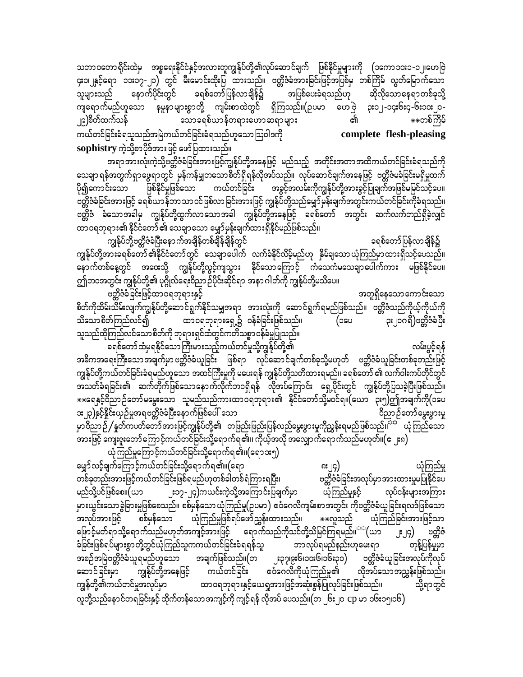သဘာဝတောရိုင်းထဲမှ အစ္စရေးနိုင်ငံနှင့်အလားတူကျွန်ုပ်တို့၏လုပ်ဆောင်ချက် ဖြစ်နိုင်မှုများကို (၁ကော၁၀း၁-၁၂၊ဟေဗြဲ ၄း၁၊၂နှင့်ရော ၁၁း၁၇-၂၁) တွင် မီးမောင်းထိုးပြ ထားသည်။ ဗတ္ထိဇံခံအားခြင်းဖြင့်အပြစ်မှ တစ်ကြိမ် လွတ်မြောက်သော နောက်ပိုင်းတွင် ခရစ်တော်ပြန်လာချိန်၌ အပြစ်ပေးခံရသည်ဟု ဆိုလိုသောနေရာတစ်ခုသို့ သူများသည် ကျရောက်မည်ဟူသော နမူနာများစွာတို့ ကျမ်းစာထဲတွင် ရှိကြသည်။(ဥပမာ ဟေဗြဲ ၃း၁၂-၁၄း၆း၄-၆း၁၀း၂၀-၂၉)စိတ်ထက်သန် သောခရစ်ယာန်တရားဟောဆရာများ \*\*တစ်ကြိမ် ကယ်တင်ခြင်းခံရသူသည်အမြဲကယ်တင်ခြင်းခံရသည်ဟူသောဩဝါဒကို complete flesh-pleasing sophistry ကဲ့သို့စာပိုဒ်အားဖြင့် ဖော်ပြထားသည်။

အရာအားလုံးကဲ့သို့ဗတ္တိဇံခံခြင်းအားဖြင့်ကျွန်ုပ်တို့အနေဖြင့် မည်သည့် အတိုင်းအတာအထိကယ်တင်ခြင်းခံရသည်ကို သေချာ ရန်အတွက်ရှာဖွေရာတွင် မှန်ကန်မျှတသောစိတ်ရှိရန်လိုအပ်သည်။ လုပ်ဆောင်ချက်အနေဖြင့် ဗတ္တိဇံမခံခြင်းမရှိမှုထက် ဖြစ်နိုင်မှုဖြစ်သော ကယ်တင်ခြင်း အခွင့်အလမ်းကိုကျွန်ုပ်တို့အားခွင့်ပြုချက်အဖြစ်မမြင်သင့်ပေ။ ပို၍ကောင်းသော .<br>ဗတ္တိဇံခံခြင်းအားဖြင့် ခရစ်ယာန်ဘာသာဝင်ဖြစ်လာခြင်းအားဖြင့် ကျွန်ုပ်တို့သည်မျှော်မှန်းချက်အတွင်းကယ်တင်ခြင်းကိုခံရသည်။ ဗတ္တိဇံ ခံသောအခါမှ ကျွန်ုပ်တို့ထွက်လာသောအခါ ကျွန်ုပ်တို့အနေဖြင့် ခရစ်တော် အတွင်း ဆက်လက်တည်ရှိခဲ့လျှင် ထာဝရဘုရား၏ နိုင်ငံတော်၏ သေချာသော မျှော်မှန်းချက်ထားရှိနိုင်မည်ဖြစ်သည်။

ကျွန်ုပ်တို့ဗတ္တိဇံခံပြီးနောက်အချိန်တစ်ချိန်ချိန်တွင် ခရစ်တော်ပြန်လာချိန်၌ ကျွန်ုပ်တို့အားခရစ်တော် ၏နိုင်ငံတော်တွင် သေချာပေါက် လက်ခံနိုင်လိမ့်မည်ဟု နှိမ်ချသော ယုံကြည်မှာထားရှိသင့်ပေသည်။ နောက်တစ်နေ့တွင် အဝေးသို့ ကျွန်ုပ်တို့လွင့်ကျသွား နိုင်သောကြောင့် ကံသေကံမသေချာပေါက်ကား မဖြစ်နိုင်ပေ။ ဤဘဝအတွင်း ကျွန်ုပ်တို့၏ ပုဂ္ဂိုလ်ရေးဝိညာဉ်ပိုင်းဆိုင်ရာ အနာဂါတ်ကို ကျွန်ုပ်တို့မသိပေ။

ဗတ္တိဇံခံခြင်းဖြင့်ထာဝရဘုရားနှင့် အတူရှိနေသော ကောင်းသော စိတ်ကိုထိမ်းသိမ်းလျက်ကျွန်ုပ်တို့ဆောင်ရွက်နိုင်သမျှအရာ အားလုံးကို ဆောင်ရွက်ရမည်ဖြစ်သည်။ ဗတ္တိဇံသည်ကိုယ့်ကိုယ်ကို ၃း၂၁ဂရိ)ဗတ္တိဇံခံပြီး ထာဝရဘုရားရှေ့၌ ဝန်ခံခြင်းဖြစ်သည်။ သိသောစိတ်ကြည်လင်၍ (ວ໑ບ သူသည်ထိုကြည်လင်သောစိတ်ကို ဘုရားရှင်ထံတွင်ကတိသစ္စာဝန်ခံမှုပြုသည်။

ခရစ်တော်ထံမှရနိုင်သောကြီးမားသည့်ကယ်တင်မှုသို့ကျွန်ုပ်တို့၏ လမ်းပွင့်ရန် အဓိကအရေးကြီးသောအချက်မှာ ဗတ္တိဇံခံယူခြင်း ဖြစ်ရာ လုပ်ဆောင်ချက်တစ်ခုသို့မဟုတ် ဗတ္တိဇံခံယူခြင်းတစ်ခုတည်းဖြင့် ကျွန်ုပ်တို့ကယ်တင်ခြင်းခံရမည်ဟူသော အထင်ကြီးမှုကို မပေးရန် ကျွန်ုပ်တို့သတိထားရမည်။ ခရစ်တော် ၏ လက်ဝါးကပ်တိုင်တွင် အသတ်ခံရခြင်း၏ ဆက်တိုက်ဖြစ်သောနောက်လိုက်ဘဝရှိရန် လိုအပ်ကြောင်း ရှေ့ပိုင်းတွင် ကျွန်ုပ်တို့ပြသခဲ့ပြီးဖြစ်သည်။ \*\*ရေနှင့်ဝိညာဉ်တော်မမွေးသော သူမည်သည်ကားထာဝရဘုရား၏ နိုင်ငံတော်သို့မဝင်ရ။(ယော ၃း၅)ဤအချက်ကို(၁ပေ ား၂၃)နှင့်နိူင်းယှဉ်မှုအရဗတ္တိဇံခံပြီးနောက်ဖြစ်ပေါ် သော ဝိညာဉ်တော်မွေးဖွားမှု ့သည်။<br>မှာဝိညာဉ််∕နှတ်ကပတ်တော်အားဖြင့်ကျွန်ုပ်တို့၏ တဖြည်းဖြည်းပြန်လည်မွေးဖွားမှုကိုညွှန်းရမည်ဖြစ်သည်။<sup>်း</sup> ယုံကြည်သော -<br>အားဖြင့် ကျေးဇူးတော်ကြောင့်ကယ်တင်ခြင်းသို့ရောက်ရ၏။ ကိုယ့်အလို အလျှောက်ရောက်သည်မဟုတ်။(ဧ ၂း၈)

ယုံကြည်မှုကြောင့်ကယ်တင်ခြင်းသို့ရောက်ရ၏။(ရောၥး၅)

မျှော်လင့်ချက်ကြောင့်ကယ်တင်ခြင်းသို့ရောက်ရ၏။(ရော ၿး ၂၄) ယုံကြည်မှု တစ်ခုတည်းအားဖြင့်ကယ်တင်ခြင်းဖြစ်ရမည်ဟုတစ်ခါတစ်ရံကြားရပြီး၊ ဗတ္တိဇံခံခြင်းအလုပ်မှာအားထားမှုမပြုနိုင်ပေ ၂း၁၇-၂၄)ကယင်းကဲ့သို့အကြောင်းပြချက်မှာ မည်သို့ပင်ဖြစ်စေ။(ယ၁ လုပ်ငန်းများအကြား ယုံကြည်မှုနှင့် မှားယွင်းသောခွဲခြားမှုဖြစ်စေသည်။ စစ်မှန်သောယုံကြည်မှု(ဥပမာ) ဧဝံဂေလိကျမ်းစာအတွင်း ကိုဗတ္တိဇံခံယူခြင်းရလဒ်ဖြစ်သော ယုံကြည်မှုဖြစ်ရပ်ဖော်ညွှန်းထားသည်။ အလုပ်အားဖြင့် စစ်မှန်သော \*\*လူသည် ယုံကြည်ခြင်းအားဖြင့်သာ ဖြောင့်မတ်ရာသို့ရောက်သည်မဟုတ်အကျင့်အားဖြင့် ရောက်သည်ကိုသင်တို့သိမြင်ကြရမည်။<sup>သင</sup>်(ယာ ုး၂၄) ဗတ္ထိဇံ ခံခြင်းဖြစ်ရပ်များစွာတို့တွင်ယုံကြည်သူကကယ်တင်ခြင်းခံရရန်သူ ဘာလုပ်ရမည်နည်းဟုမေးရာ တုန့်ပြန်မှုမှာ အစဉ်အမြဲဗတ္တိဇံခ်ယူရမည်ဟူသော အချက်ဖြစ်သည်။(တ ၂း၃၇၊၉း၆၊၁၀း၆၊၁၆း၃၀) ဗတ္တိဇံခံယူခြင်းအလုပ်ကိုလုပ် ဆောင်ခြင်းမှာ ကျွန်ုပ်တို့အနေဖြင့် ကယ်တင်ခြင်း ဧဝံဂေလိကိုယုံကြည်မှု၏ လိုအပ်သောအညွှန်းဖြစ်သည်။ ထာဝရဘုရားနှင့်ယေရှုအားဖြင့်အဆုံးစွန်ပြုလုပ်ခြင်းဖြစ်သည်။ ကျွန်တို့၏ကယ်တင်မှုအလုပ်မှာ သို့ရာတွင် လူတို့သည်နောင်တရခြင်းနှင့် ထိုက်တန်သောအကျင့်ကို ကျင့်ရန် လိုအပ် ပေသည်။(တ ၂၆း၂၀ cp မာ ၁၆း၁၅၊၁၆)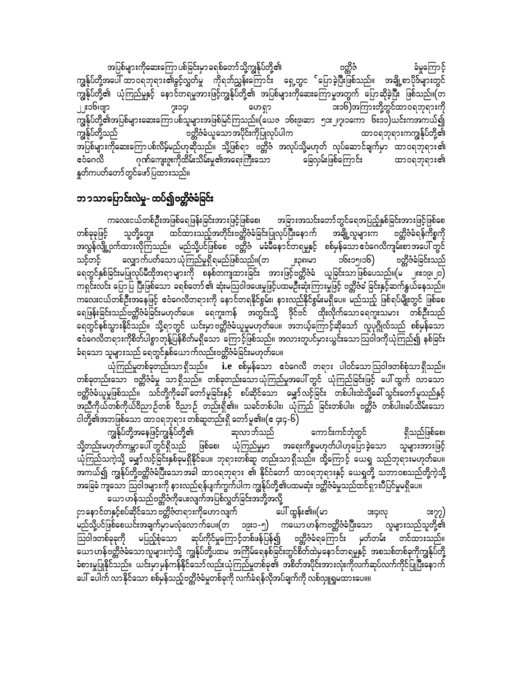အပြစ်များကိုဆေးကြော ပစ်ခြင်းမှာ ခရစ်တော် သို့ကျွန်ုပ်တို့၏ ဗတ္ထိဇံ ခံမှုကြောင့် ကျွန်ုပ်တို့အပေါ် ထာဝရဘုရား၏ခွင့်လွှတ်မှု ကိုရဘ်ညွှန်းကြောင်း ရှေ့တွင ်ပြောခဲ့ပြီးဖြစ်သည်။ အချို့စာပိုဒ်များတွင် ကျွန်ုပ်တို့၏ ယုံကြည်မှုနှင့် နောင်တရမှုအားဖြင့်ကျွန်ုပ်တို့၏ အပြစ်များကိုဆေးကြောမှုအတွက် ပြောဆိုခဲ့ပြီး ဖြစ်သည်။(တ ၂၂း၁၆၊ဗျာ ား၁၆)အကြားတို့တွင်ထာဝရဘုရားကို poci ဟေရှာ ကျွန်ုပ်တို့၏အပြစ်များဆေးကြော ပစ်သူများအဖြစ်မြင်ကြသည်။(ယေဇ ၁၆း၉၊ဆာ ၅၁း၂၊၇၊၁ကော ၆း၁၁)ယင်းကအကယ်၍ ကျွန်ုပ်တို့သည် ဗတ္တိဇံခံယူသောအပိုင်းကိုပြုလုပ်ပါက ထာဝရဘုရားကကျွန်ုပ်တို့၏ အပြစ်များကိုဆေးကြောပစ်လိမ့်မည်ဟုဆိုသည်။ သို့ဖြစ်ရာ ဗတ္တိဇံ အလုပ်သို့မဟုတ် လုပ်ဆောင်ချက်မှာ ထာဝရဘုရား၏ —<br>ဂုဏ်ကျေးဇူးကိုထိမ်းသိမ်းမှု၏အရေးကြီးသော ခြေလှမ်းဖြစ်ကြောင်း ငံဝေလိ ထာ၀ရဘုရား၏ နူတ်ကပတ်တော်တွင်ဖော်ပြထားသည်။

## ဘ၁သာပြောင်းလဲမှု- ထပ်၍ဗတ္တိဇံခံခြင်း

ကလေးငယ်တစ်ဦးအဖြစ်ရေဖြန်းခြင်းအားဖြင့်ဖြစ်စေ၊ အခြားအသင်းတော်တွင်ရေအပြည့်နှစ်ခြင်းအားဖြင့်ဖြစ်စေ သူတို့တွေး ထင်ထားသည့်အတိုင်းဗတ္တိဇံခံခြင်းပြုလုပ်ပြီးနောက် အချို့လူများက တစ်ခုခုဖြင့် ဗတ္တိဇံခံရန်ကိစ္စကို အလွန်လျို့ဝှက်ထားလိုကြသည်။ မည်သို့ပင်ဖြစ်စေ ဗတ္တိဇံ မခံမိနောင်တရမှုနှင့် စစ်မှန်သောဧငံဂေလိကျမ်းစာအပေါ်တွင် လျှောက်ပတ်သော ယုံကြည်မှုရှိရမည်ဖြစ်သည်။(တ သင့်တင့် ၁၆း၁၅၊၁၆) ဗတ္တိဇံခံခြင်းသည် ုး၃၈၊မာ ရေတွင်နှစ်ခြင်းမပြုလုပ်မီထိုအရာများကို စနစ်တကျထားခြင်း အားဖြင့်ဗတ္တိဇံခံ ယူခြင်းသာဖြစ်ပေသည်။(မ ၂၈း၁၉၊၂၀) ကရှင်းလင်း ပြောပြ ပြီးဖြစ်သော ခရစ်တော်၏ ဆုံးမသြဝါဒပေးမှုဖြင့်ပထမဦးဆုံးကြားမှုဖြင့် ဗတ္တိဇံခံ ခြင်းနှင့်ဆက်နွယ်နေသည်။ ား<br>ကလေးငယ်တစ်ဦးအနေဖြင့် ဧဝံဂေလိတရားကို နောင်တရနိုင်စွမ်း၊ နားလည်နိုင်စွမ်းမရှိပေ။ မည်သည့် ဖြစ်ရပ်မျိုးတွင် ဖြစ်စေ ရေဖြန်းခြင်းသည်ဗတ္တိဇံခံခြင်းမဟုတ်ပေ။ ရေကူးကန် အတွင်းသို့ ဒိုင်ဗင် ထိုးလိုက်သောရေကူးသမား တစ်ဦးသည် ရေတွင်နစ်သွားနိုင်သည်။ သို့ရာတွင် ယင်းမှာဗတ္တိဇံခံယူမှုမဟုတ်ပေ။ အဘယ့်ကြောင့်ဆိုသော် လူပုဂ္ဂိုလ်သည် စစ်မှန်သော ဧဝီဂေလိတရားကိုစိတ်ပါစွာတုန့်ပြန်စိတ်မရှိသော ကြောင့်ဖြစ်သည်။ အလားတူပင်မှားယွင်းသောဩဝါဒကိုယုံကြည်၍ နစ်ခြင်း ခံရသော သူများသည် ရေတွင်နှစ်ယောက်လည်းဗတ္တိဇံခံခြင်းမဟုတ်ပေ။

.<br>ယုံကြည်မှုတစ်ခုတည်းသာ ရှိသည်။ **i.e** စစ်မှန်သော ဧဝံဂေလိ တရား ပါဝင်သော ဩဝါဒတစ်စုံသာ ရှိသည်။ တစ်ခုတည်းသော ဗတ္တိဇံခံမှု သာရှိသည်။ တစ်ခုတည်းသောယုံကြည်မှုအပေါ် တွင် ယုံကြည်ခြင်းဖြင့် ပေါ်ထွက် လာသော ဗတ္တိဇံခံယူမှုဖြစ်သည်။ သင်တို့ကိုခေါ် တော်မူခြင်းနှင့် စပ်ဆိုင်သော မျှော်လင့်ခြင်း တစ်ပါးထဲသို့ခေါ် သွင်းတော်မူသည်နှင့် ငါတို့၏အဘဖြစ်သော ထာဝရဘုရား တစ်ဆူတည်းရှိ တော်မူ၏။(ဧ ၄း၄-၆)

ကျွန်ုပ်တို့အနေဖြင့်ကျွန်ုပ်တို့၏ ဆုလာဘ်သည် ကောင်းကင်ဘုံတွင် ရှိသည်ဖြစ်စေ၊ သို့တည်းမဟုတ်ကမ္ဘာပေါ် တွင်ရှိသည် ဖြစ်စေ၊ ယုံကြည်မှုမှာ အရေးကိစ္စမဟုတ်ပါဟုပြောခဲ့သော သူများအားဖြင့် ယုံကြည်သကဲ့သို့ မျှော်လင့်ခြင်းနှစ်ခုမရှိနိုင်ပေ။ ဘုရားတစ်ဆူ တည်းသာရှိသည်။ ထို့ကြောင့် ယေရှု သည်ဘုရားမဟုတ်ပေ။ အခြေခံ ကျသော ဩဝါဒများကို နားလည်ရန်ပျက်ကွက်ပါက ကျွန်ုပ်တို့၏ပထမဆုံး ဗတ္တိဇံခံမှုသည်ထင်ရှားပီပြင်မှုမရှိပေ။ ယော ဟန်သည်ဗတ္တိဇံကိုပေးလျက်အပြစ်လွှတ်ခြင်းအဘို့အလို့

ငှာနောင်တနှင့်စပ်ဆိုင်သော ဗတ္တိဇံတရားကိုဟောလျက် ပေါ် ထွန်း၏။(မာ oscico ၁း၇၇) မည်သို့ပင်ဖြစ်စေယင်းအချက်မှာမလုံလောက်ပေ။(တ ၁၉း၁-၅) ကယောဟန်ကဗတ္တိဇံခံပြီးသော လူများသည်သူတို့၏ သြဝါဒတစ်ခုခုကို မပြည့်စုံသော ဆုပ်ကိုင်မှုကြောင့်တစ်ဖန်ပြန်၍ ဗတ္တိဇံခံရကြောင်း မှတ်တမ်း တင်ထားသည်။ ံစားမှုပြုနိုင်သည်။ ယင်းမှာမှန်ကန်နိုင်သော်လည်းယုံကြည်မှုတစ်ခု၏ အစိတ်အပိုင်းအားလုံးကိုလက်ဆုပ်လက်ကိုင်ပြုပြီးနောက် ပေါ် ပေါက် လာနိုင်သော စစ်မှန်သည့်ဗတ္တိဇံခံမှုတစ်ခုကို လက်ခံရန်လိုအပ်ချက်ကို လစ်လျှုရှမထားပေ။။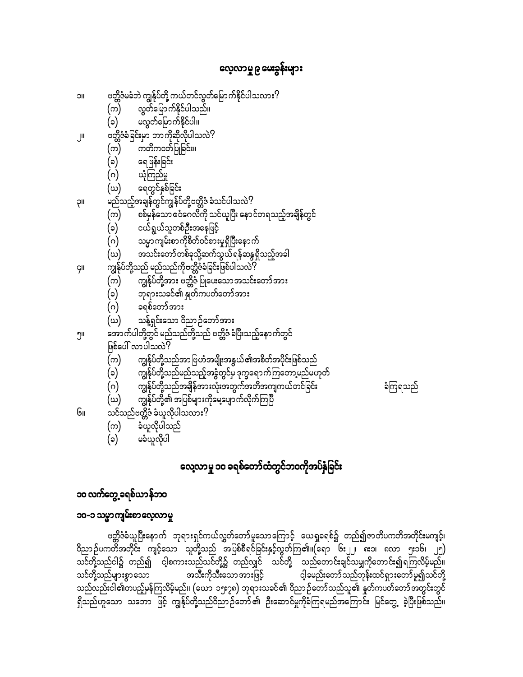# လေ့လာမှု ၉ မေးခွန်းများ

ဗတ္တိဇံမခံဘဲ ကျွန်ုပ်တို့ ကယ်တင်လွတ်မြောက်နိုင်ပါသလား? IIC လွှတ်မြောက်နိုင်ပါသည်။ (က) မလွှတ်မြောက်နိုင်ပါ။  $(\circ)$ ဗတ္တိဇံခံခြင်းမှာ ဘာကိုဆိုလိုပါသလဲ?  $\mathbb{I}$ (က) ကတိကဝတ်ပြုခြင်း။  $(\circ)$ ရေဖြန်းခြင်း ယုံကြည်မှု  $(\circ)$ ရေတွင်နှစ်ခြင်း (ဃ) မည်သည့်အချန်တွင်ကျွန်ပ်တို့ဗတ္တိဇံ ခံသင်ပါသလဲ? **IIÇ** (က) စစ်မှန်သော ဧငံဂေလိကို သင်ယူပြီး နောင်တရသည့်အချိန်တွင် (၁) ငယ်ရွယ်သူတစ်ဦးအနေဖြင့် သမ္မာကျမ်းစာကိုစိတ်ဝင်စားမှုရှိပြီးနောက် (ဂ) အသင်းတော်တစ်ခုသို့ဆက်သွယ်ရန်ဆန္ဒရှိသည့်အခါ (ယ) .<br>ကျွန်ုပ်တို့သည် မည်သည်ကိုဗတ္တိဇံခံခြင်းဖြစ်ပါသလဲ? ÇII (က) ာ<br>ဘုရားသခင်၏ နှုတ်ကပတ်တော်အား  $(\circ)$ ခရစ်တော်အား (ဂ) သန့်ရှင်းသော ဝိညာဉ်တော်အား (ဃ) ့<br>အောက်ပါတို့တွင် မည်သည်တို့သည် ဗတ္တိဇံ ခံပြီးသည့်နောက်တွင်<br>ဖြစ်ပေါ် လာပါသလဲ? ၅။ ကျွန်ုပ်တို့သည်အာ ဗြဟံအမျိုးအနွယ်၏အစိတ်အပိုင်းဖြစ်သည် (က) ကျွန်ုပ်တို့သည်မည်သည့်အခွံတွင်မှ ဒုက္ခရောက်ကြတော့မည်မဟုတ် (၁) ျော်<br>ကျွန်ုပ်တို့သည်အချိန်အားလုံးအတွက်အတိအကျကယ်တင်ခြင်း (ဂ) ကျွန်ုပ်တို့၏ အပြစ်များကိုမေ့ပျောက်လိုက်ကြပြီ (ဃ) သင်သည်ဗတ္တိဇံ ခံယူလိုပါသလား<sup>၇</sup> Gıı ခံယူလိုပါသည် (က) မခံယူလိုပါ  $(s)$ 

# ခံကြရသည်

# လေ့လာမှု ၁၀ ခရစ်တော်ထံတွင်ဘဝကိုအပ်နှံခြင်း

## ၁၀ လက်တွေ့ ခရစ်ယာန်ဘဝ

#### ၁၀-၁ သမ္မာကျမ်းစာလေ့လာမှု

ဗတ္တိဇံခံယူပြီးနောက် ဘုရားရှင်ကယ်လွှတ်တော်မူသောကြောင့် ယေရှုခရစ်၌ တည်၍ဇာတိပကတိအတိုင်းမကျင့်၊ သင်တို့သည်ငါ၌ တည်၍ ဝါ့စကားသည်သင်တို့၌ တည်လျှင် သင်တို့ သည်တောင်းချင်သမျှကိုတောင်း၍ရကြလိမ့်မည်။ အသီးကိုသီးသောအားဖြင့် သင်တို့သည်များစွာသော ငါ့ခမည်းတော် သည်ဘုန်းထင်ရှားတော်မူ၍သင်တို့ သည်လည်းငါ၏တပည့်မှန်ကြလိမ့်မည်။ (ယော ၁၅း၇၈) ဘုရားသခင်၏ ဝိညာဉ်တော်သည်သူ၏ နှုတ်ကပတ်တော်အတွင်းတွင်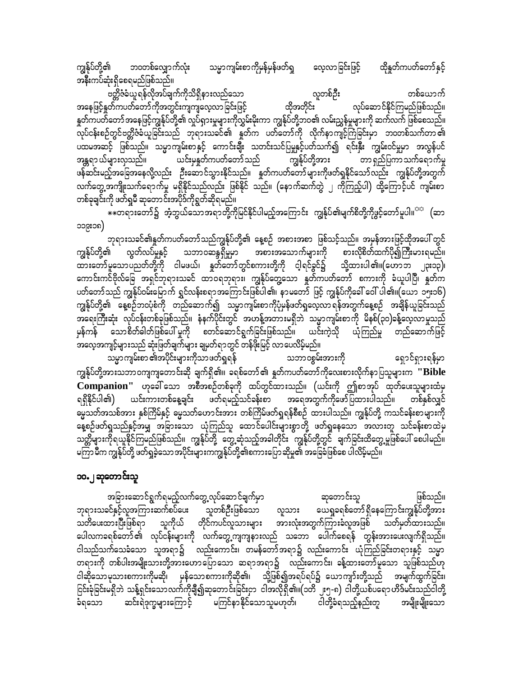ကျွန်ုပ်တို့၏ သမ္မာကျမ်းစာကိုမှန်မှန်ဖတ်ရှ လေ့လာခြင်းဖြင့် ထိုနှုတ်ကပတ်တော်နှင့် ဘဝတစ်လျှောက်လုံး အနီးကပ်ဆုံးရှိစေရမည်ဖြစ်သည်။

လူတစ်ဦး ဗတ္တိဇံခံယူရန်လိုအပ်ချက်ကိုသိရှိနားလည်သော တစ်ယောက် ထိုအတိုင်း<sup>'</sup> လုပ်ဆောင်နိုင်ကြမည်ဖြစ်သည်။ အနေဖြင့်နှုတ်ကပတ်တော်ကိုအတွင်းကျကျလေ့လာခြင်းဖြင့် နှုတ်ကပတ်တော် အနေဖြင့်ကျွန်ုပ်တို့၏ လှုပ်ရှားမှုများကိုလွှမ်းမိုးကာ ကျွန်ုပ်တို့ဘဝ၏ လမ်းညွှန်မှုများကို ဆက်လက် ဖြစ်စေသည်။ .<br>လုပ်ငန်းစဉ်တွင်ဗတ္တိဇံခံယူခြင်းသည် ဘုရားသခင်၏ နှတ်က ပတ်တော်ကို လိုက်နာကျင့်ကြံခြင်းမှာ ဘဝတစ်သက်တာ၏ ပထမအဆင့် ဖြစ်သည်။ သမ္မာကျမ်းစာနှင့် ကောင်းချီး သတင်းသင်ပြမှုနှင့်ပတ်သက်၍ ရင်းနှီး ကျွမ်းဝင်မှုမှာ အလွန်ပင် ကျွန်ုပ်တို့အား <sup>—</sup> -<br>-<br>တာ ရှည်ပြကာ သက်ရောက်မှု ယင်းမှနှတ်ကပတ်တော် သည် အန္တရာ ယ်များလှသည်။ .<br>ဖန်ဆင်းမည့်အခြေအနေလို့လည်း ဦးဆောင်သွားနိုင်သည်။ နှုတ်ကပတ်တော်များကိုဖတ်ရှုနိုင်သော်လည်း ကျွန်ုပ်တို့အတွက် လက်တွေ့အကျိုးသက်ရောက်မှု မရှိနိုင်သည်လည်း ဖြစ်နိုင် သည်။ (နောက်ဆက်တွဲ ၂ ကိုကြည့်ပါ) ထို့ကြောင့်ပင် ကျမ်းစာ တစ်ခုချင်းကို ဖတ်ရှုမီ ဆုတောင်းအပိုဒ်ကိုရွတ်ဆိုရမည်။

\*\*တရားတော်၌ အံ့ဘွယ်သောအရာတို့ကိုမြင်နိုင်ပါမည့်အကြောင်း ကျွန်ုပ်၏မျက်စိတို့ကိုဖွင့်တော်မူပါ။<sup>ာာ</sup> (ဆာ ၁၁၉း၁၈)

ဘုရားသခင်၏နူတ်ကပတ်တော်သည်ကျွန်ုပ်တို့၏ နေ့စဉ် အစားအစာ ဖြစ်သင့်သည်။ အမှန်အားဖြင့်ထိုအပေါ် တွင် ကျွန်ုပ်တို့၏ လွတ်လပ်မှုနှင့် သဘာဝဆန္ဒရှိမှုမှာ အစားအသောက်များကို စားလိုစိတ်ထက်ပို၍ကြီးမားရမည်။ ထားတော်မူသောပညတ်တို့ကို ငါမဖယ်၊ နှတ်တော်တွင်စကားတို့ကို ငါ့ရင်ခွင်၌ သို့ထားပါ၏။(ဟောဘ ၂၃း၁၃)၊ ကောင်းကင်ဗိုလ်ခြေ အရှင်ဘုရားသခင် ထာဝရဘုရား၊ ကျွန်ုပ်တွေ့သော နှတ်ကပတ်တော် စကားကို ခံယူပါပြီ၊ နှတ်က ပတ်တော်သည် ကျွန်ုပ်ဝမ်းမြောက် ရွှင်လန်းစရာအကြောင်းဖြစ်ပါ၏၊ နာမတော် ဖြင့် ကျွန်ုပ်ကိုခေါ် ဝေါ် ပါ၏။(ယော ၁၅း၁၆) ကျွန်ုပ်တို့၏ နေ့စဉ်ဘဝပုံစံကို တည်ဆောက်၍ သမ္မာကျမ်းစာကိုပုံမှန်ဖတ်ရှုလေ့လာရန်အတွက်နေ့စဉ် အချိန်ယူခြင်းသည် မှန်ကန် သောစိတ်ဓါတ်ဖြစ်ပေါ် မှုကို စတင်ဆောင်ရွက်ခြင်းဖြစ်သည်။ ယင်းကဲ့သို ယုံကြည်မှု တည်ဆောက်ဖြင့် -<br>အလေ့အကျင့်များသည် ဆုံးဖြတ်ချက်များ ချမှတ်ရာတွင် တန်ဖိုးမြင့် လာပေလိမ့်မည်။

သမ္မာကျမ်းစာ ၏အပိုင်းများကိုသာဖတ်ရှုရန် သဘာဝစွမ်းအားကို ရှောင်ရှားရန်မှာ ကျွန်ုပ်တို့အားသဘာဝကျကျတောင်းဆို ချက်ရှိ၏။ ခရစ်တော်၏ နှတ်ကပတ်တော်ကိုလေးစားလိုက်နာပြသူများက ''Bible **Companion''** ဟုခေါ်သော အစီအစဉ်တစ်ခုကို ထပ်တွင်ထားသည်။ (ယင်းကို ဤစာအုပ် ထုတ်ပေးသူများထံမှ ရရှိနိုင်ပါ၏) ယင်းကားတစ်နေ့ချင်း ဖတ်ရမည့်သင်ခန်းစာ အရေအတွက်ကိုဖော်ပြထားပါသည်။ တစ်နှစ်လျှင် ား<br>ဓမ္မသတ်အသစ်အား နှစ်ကြိမ်နှင့် ဓမ္မသတ်ဟောင်းအား တစ်ကြိမ်ဖတ်ရှုရန်စီစဉ် ထားပါသည်။ ကျွန်ုပ်တို့ ကသင်ခန်းစာများကို နေ့စဉ်ဖတ်ရှသည်နှင့်အမျှ အခြားသော ယုံကြည်သူ ထောင်ပေါင်းများစွာတို့ ဖတ်ရှနေသော အလားတူ သင်ခန်းစာထဲမှ သတ္တိများကိုရယူနိုင်ကြမည်ဖြစ်သည်။ ကျွန်ုပ်တို့ တွေ့ဆုံသည့်အခါတိုင်း ကျွန်ုပ်တို့တွင် ချက်ခြင်းထိတွေ့မှုဖြစ်ပေါ် စေပါမည်။ မကြာ မီက ကျွန်ုပ်တို့ ဖတ်ရှုခဲ့သော အပိုင်းများကကျွန်ုပ်တို့၏စကားပြော ဆိုမှု၏ အခြေခံဖြစ်စေ ပါလိမ့်မည်။

## ၁၀.၂ ဆုတောင်းသူ

အခြားဆောင်ရွက်ရမည့်လက်တွေ့ လုပ်ဆောင်ချက်မှာ ဆုတောင်းသူ ဖြစ်သည်။ ဘုရားသခင်နှင့်လူအကြားဆက်စပ်ပေး သူတစ်ဦးဖြစ်သော လူသား ယေရှုခရစ်တော်ရှိနေကြောင်းကျွန်ုပ်တို့အား သတိပေးထားပြီးဖြစ်ရာ သူကိုယ် တိုင်ကပင်လူသားများ အားလုံးအတွက်ကြားခံလူအဖြစ် သတ်မှတ်ထားသည်။ ပေါလကခရစ်တော်၏ လုပ်ငန်းများကို လက်တွေ့ကျကျနားလည် သဘော ပေါက်စေရန် တွန်းအားပေးလျက်ရှိသည်။ ငါသည်သက်သေခံသော သူအရာ၌ လည်းကောင်း၊ တမန်တော်အရာ၌ လည်းကောင်း ယုံကြည်ခြင်းတရားနှင့် သမ္မာ ငါဆိုသောမုသားစကားကိုမဆို၊ မှန်သောစကားကိုဆို၏၊ သို့ဖြစ်၍အရပ်ရပ်၌ ယောကျာ်းတို့သည် အမျက်ထွက်ခြင်း၊ ငြင်းခုံခြင်းမရှိဘဲ သန့်ရှင်းသောလက်ကိုချီ၍ဆုတောင်းခြင်းငှာ ငါအလိုရှိ၏။(၁တိ ၂၅-၈) ငါတို့ယစ်ပရောဟိဒ်မင်းသည်ငါတို့ ငါတို့ခံရသည့်နည်းတူ ဆင်းရဲဒုက္ခများကြောင့် မကြင်နာနိုင်သောသူမဟုတ်၊ ခံရသော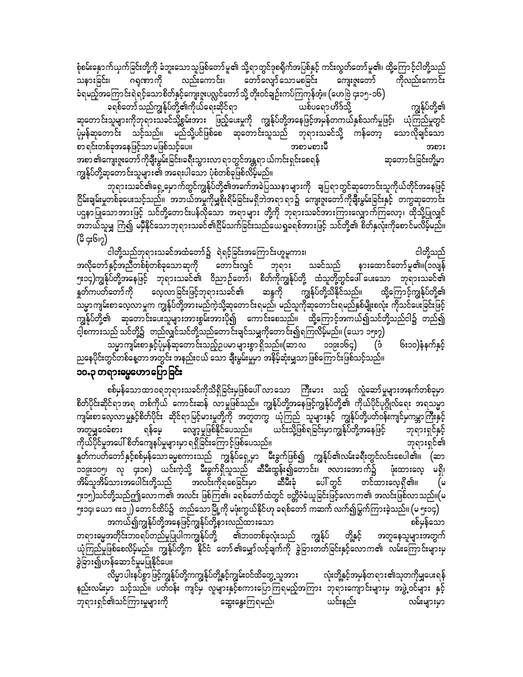စုံစမ်းနှောက်ယှက်ခြင်းတို့ကို ခံဘူးသောသူဖြစ်တော်မူ၏ သို့ရာတွင်ဒုစရိုက်အပြစ်နှင့် ကင်းလွတ်တော်မူ၏၊ ထို့ကြောင့်ငါတို့သည် သနားခြင်း၊ ဂရုဏာကို လည်းကောင်း၊ တော်လျော်သောမစခြင်း ကျေးဇူးတော် ကိုလည်းကောင်း ခံရမည့်အကြောင်းရဲရင့်သောစိတ်နှင့်ကျေးဇူးပလ္လင်တော်သို့ တိုးဝင်ချဉ်းကပ်ကြကုန်အံ့။ (ဟေဗြဲ ၄း၁၅-၁၆) ခရစ်တော်သည်ကျွန်ုပ်တို့၏ကိုယ်ရေးဆိုင်ရာ ယစ်ပရော ဟိဒ်သို့ ကျွန်ုပ်တို့၏ ဆုတောင်းသူများကိုဘုရားသခင်သို့စွမ်းအား ဖြည့်ပေးမှုကို ကျွန်ုပ်တို့အနေဖြင့်အမှန်တကယ်နှစ်သက်မှုဖြင့်၊ ယုံကြည်မှုတွင် ပုံမှန်ဆုတောင်း သင့်သည်။ မည်သို့ပင်ဖြစ်စေ ဆုတောင်းသူသည် ဘုရားသခင်သို့ ကန်တော့ သောလိုချင်သော pm&if;wpfcktaejzifhomrjzpfoifhay/ tpmrpm;rD tpm; အစာ ၏ကျေးဇူးတော် ကိုချီးမွမ်းခြင်း၊ခရီးသွားလာ ရာတွင်အန္တရာ ယ်ကင်းရှင်းစေရန် ကာတာ အောတောင်းခြင်းတို့မှာ ကျွန်ုပ်တို့ဆုတောင်းသူများ၏ အရေးပါသော ပုံစံတစ်ခုဖြစ်လိမ့်မည်။

ဘုရားသခင်၏ရှေ့မှောက်တွင်ကျွန်ုပ်တို့၏အခက်အခဲပြဿနာများကို ချပြရာတွင်ဆုတောင်းသူကိုယ်တိုင်အနေဖြင့် ငြိမ်းချမ်းမှုတစ်ခုပေးသင့်သည်။ အဘယ်အမှုကိုမျှစိုးရိမ်ခြင်းမရှိဘဲအရာ ရာ၌ ကျေးဇူးတော်ကိုချီးမွမ်းခြင်းနှင့် တကွဆုတောင်း y<br>မဌနာပြုသောအားဖြင့် သင်တို့တောင်းပန်လိုသော အရာများ တို့ကို ဘုရားသခင်အားကြားလျှောက်ကြလော့၊ ထိုသို့ပြုလျှင် အဘယ်သူမျှ ကြ၍ မမီနိုင်သောဘုရားသခင်၏ငြိမ်သက်ခြင်းသည်ယေရှုခရစ်အားဖြင့် သင်တို့၏ စိတ်နှလုံးကိုစောင်မလိမ့်မည်။  $($ မိ ၄း၆၊၇)

igwdkYonfbk&m;ociftxHawmfü&J&ifhjcif;taMumif;[lrlum;? igwdkYonf အလိုတော်နှင့်အညီတစ်စုံတစ်ခုသောဆုကို တောင်းလျှင် ဘုရား သခင်သည် နားထောင်တော်မူ၏။(၁လျန် ၅း၁၄)ကျွန်ုပ်တို့အနေဖြင့် ဘုရားသခင်၏ ဝိညာဉ်တော်၊ စိတ်ကိုကျွန်ုပ်တို့ ထံသူတို့တွင်ဖေါ် ပေးသော ဘုရားသခင်၏<br>နှတ်ကပတ်တော်ကို လေ့လာခြင်းဖြင့်ဘုရားသခင်၏ ဆန္ဒကို ကျွန်ုပ်တို့သိနိုင်သည်။ ထို့ကြောင့်ကျွန်ုပ်တို့၏ နှတ်ကပတ်တော်ကို လေ့လာခြင်းဖြင့်ဘုရားသခင်၏ ဆန္ဒကို ကျွန်ုပ်တို့သိနိုင်သည်။ ထို့ကြောင့်ကျွန်ုပ်တို့၏ --<br>သမ္မာကျမ်းစာလေ့လာမှုက ကျွန်ုပ်တို့အားမည်ကဲ့သို့ဆုတောင်းရမည်၊ မည်သူကိုဆုတောင်းရမည်နှစ်မျိုးစလုံး ကိုသင်ပေးခြင်းဖြင့် ကျွန်ုပ်တို့၏ ဆုတောင်းပေးသူများအားစွမ်းအားပို၍ ကောင်းစေသည်။ ထို့ကြောင့်အကယ်၍သင်တို့သည်ငါ၌ တည်၍ ငါ့စကားသည် သင်တို့၌ တည်လျှင်သင်တို့သည်တောင်းချင်သမျှကိုတောင်း၍ရကြလိမ့်မည်။ (ယော ၁၅း၇)

သမ္မာကျမ်းစာနှင့်ပိုမှန်ဆုတောင်းသည့်ဥပမာများစွာ ရှိသည်။(ဆာလ ၁၁၉း၁၆၄) (ဒီ ၆း၁၀)နံနက်နှင့် ညနေပိုင်းတွင်တစ်နေ့တာအတွင်း အနည်းငယ် သော ချီးမွမ်းမှုမှာ အနိမ့်ဆုံးမျှသာဖြစ်ကြောင်းဖြစ်သင့်သည်။

## ၁၀.၃ တရားဓမ္မဟောပြောခြင်း

စစ်မှန်သောထာဝရဘုရားသခင်ကိုသိရှိခြင်းမှဖြစ်ပေါ် လာသော ကြီးမား သည့် လှုံဆော်မှုများအနက်တစ်ခုမှာ စိတ်ပိုင်းဆိုင်ရာအရ တစ်ကိုယ် ကောင်းဆန် လာမှုဖြစ်သည်။ ကျွန်ုပ်တို့အနေဖြင့်ကျွန်ုပ်တို့၏ ကိုယ်ပိုင်ပုဂ္ဂိုလ်ရေး အရသမ္မာ ကျမ်းစာ လေ့လာမှုနှင့်စိတ်ပိုင်း ဆိုင်ရာ မြင့်မားမှုတို့ကို အတူတကွ ယုံကြည် သူများနှင့် ကျွန်ုပ်တို့ပတ်ဝန်းကျင်မှကမ္ဘာကြီးနှင့်<br>အတူမျှဝေခံစား ရန်မေ့ လျော့မှုဖြစ်နိုင်ပေသည်။ ယင်းသို့ဖြစ်ရခြင်းမှာက အတူမျှဝေခံစား ရန်မေ့ လျော့မှုဖြစ်နိုင်ပေသည်။ ယင်းသို့ဖြစ်ရခြင်းမှာကျွန်ုပ်တို့အနေဖြင့် ဘုရားရှင်နှင့် udk,fydkifrItay:pdwfauseyfrIrsm;rSm&&Sdjcif;aMumifhjzpfayonf/ bk&m;&Sif\ ်ကြောက်တော်နှင့်စစ်မှန်သောဓမ္မစကားသည် ကျွန်ုပ်ရှေ့မှာ မီးခွက်ဖြစ်၍ ကျွန်ုပ်၏လမ်းခရီးတွင်လင်းစေပါ၏။ (ဆာ 119;105? vk 4;18) ,if;uJhodkY rD;cGuf&Sdolonf qDrD;xGef;íawmif;? Zvm;atmufü zHk;xm;avh r&Sd? အိမ်သူအိမ်သားအပေါင်းတို့သည် အလင်းကိုရစေခြင်းမှာ ဆီမီးခုံ ပေါ် တွင် တင်ထားလေ့ရှိ၏။ (မ ၅း၁၅)သင်တို့သည်ဤလောက၏ အလင်း ဖြစ်ကြ၏၊ ခရစ်တော်ထံတွင် ဗတ္တိဇံခံယူခြင်းဖြင့်လောက၏ အလင်းဖြစ်လာသည်။(မ ၅း၁၄၊ ယော ၈း၁၂) တောင်ထိပ်၌ တည်သောမြို့ကို မဖုံးကွယ်နိုင်ဟု ခရစ်တော် ကဆက် လက်၍မြွက်ကြားခဲ့သည်။ (မ ၅း၁၄)

အကယ်၍ကျွန်ုပ်တို့အနေဖြင့်ကျွန်ုပ်တို့နားလည်ထားသော<br>အတိုင်းဘဝရပ်တည်မှုပြုပါကကျွန်ုပ်တို့ ၏ဘဝတစ်ခုလုံးသည် ကျွန်ုပ် တို့နှင့် အတူနေသူများအတွက် တရားမွေအတိုင်းဘဝရပ်တည်မှုပြုပါကကျွန်ုပ်တို့ ၏ဘဝတစ်ခုလုံးသည် ကျွန်ုပ် တို့နှင့် အတူနေသူများအတွက် ,<br>ယုံကြည်မှုဖြစ်စေလိမ့်မည်။ ကျွန်ုပ်တို့က နိုင်ငံ တော်၏မျှော်လင့်ချက်ကို ခွဲခြားတတ်ခြင်းနှင့်လောက၏ လမ်းကြောင်းများမှ ခွဲခြား၍ဟန်ဆောင်မှုမပြုနိုင်ပေ။

လိမ္မာပါးနပ်စွာဖြင့်ကျွန်ုပ်တို့ကကျွန်ုပ်တို့နှင့်ကျွမ်းဝင်ထိတွေ့သူအား လုံးတို့နှင့်အမှန်တရား၏သုတကိုမျှပေးရန် နည်းလမ်းမှာ သင့်သည်။ ပတ်ဝန်း ကျင်မှ လူများနှင့်စကားပြောကြရမည့်အကြား ဘုရားကျောင်းများမှ အဖွဲ့ဝင်များ နှင့် bk&m;&Sif\oifMum;rIrsm;udk aqG;aEG;Mu&rnf? ,if;enf; vrf;rsm;rSm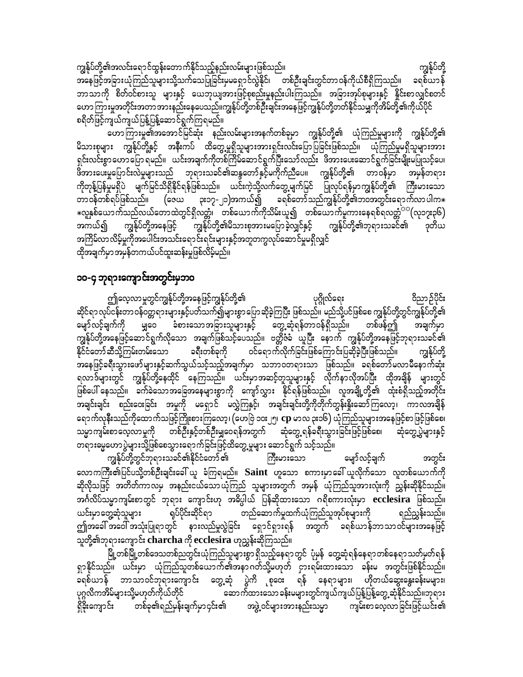ကျွန်ုပ်တို့၏အလင်းရောင်ထွန်းတောက်နိုင်သည့်နည်းလမ်းများဖြစ်သည်။ ကျွန်ုပ်တို့ အနေဖြင့်အခြားယုံကြည်သူများသို့သက်သေပြုခြင်းမှမရှောင်လွဲနိုင်၊ တစ်ဦးချင်းတွင်တာဝန်ကိုယ်စီရှိကြသည်။ ခရစ်ယာန် ဘာသာကို စိတ်ဝင်စားသူ များနှင့် ယေဘုယျအားဖြင့်စုစည်းမှုနည်းပါးကြသည်။ အခြားအုပ်စုများနှင့် နှိုင်းစာလျှင်စတင် ဟောကြားမှုအတိုင်းအတာအားနည်းနေပေသည်။ကျွန်ုပ်တို့တစ်ဦးချင်းအနေဖြင့်ကျွန်ုပ်တို့တတ်နိုင်သမျှကိုအိမ်တို့၏ကိုယ်ပိုင် စရိတ်ဖြင့်ကျယ်ကျယ်ပြန့်ပြန့်ဆောင်ရွက်ကြရမည်။

ဟောကြားမှု၏အအောင်မြင်ဆုံး နည်းလမ်းများအနက်တစ်ခုမှာ ကျွန်ုပ်တို့၏ ယုံကြည်မှုများကို ကျွန်ုပ်တို့၏ မိသားစုများ ကျွန်ုပ်တို့နှင့် အနီးကပ် ထိတွေ့မှုရှိသူများအားရှင်းလင်းပြောပြခြင်းဖြစ်သည်။ ယုံကြည်မှုမရှိသူများအား ရှင်းလင်းစွာဟောပြော ရမည်။ ယင်းအချက်ကိုတစ်ကြိမ်ဆောင်ရွက်ပြီးသော်လည်း ဖိအားပေးဆောင်ရွက်ခြင်းမျိုးမပြုသင့်ပေ၊ .<br>ဖိအားပေးမှုပြောင်းလဲမှုများသည် ဘုရားသခင်၏ဆန္ဒတော်နှင့်မကိုက်ညီပေ။ ကျွန်ုပ်တို့၏ တာဝန်မှာ အမှန်တရား ကိုတုန့်ပြန်မှုမရှိပဲ မျက်မြင်သိရှိနိုင်ရန်ဖြစ်သည်။ ယင်းကဲ့သို့လက်တွေ့မျက်မြင် ပြုလုပ်ရန်မှာကျွန်ုပ်တို့၏ ကြီးမားသော တာဝန်တစ်ရပ်ဖြစ်သည်။ (ဇေယ ၃း၁၇-၂၁)အကယ်၍ ခရစ်တော်သည်ကျွန်ုပ်တို့၏ဘဝအတွင်းရောက်လာပါက $\ast$ းလူနှစ်ယောက်သည်လယ်တောထဲတွင်ရှိလတ္တံ၊ တစ်ယောက်ကိုသိမ်းယူ၍ တစ်ယောက်မူကားနေရစ်ရလတ္တံ<sup>ာ</sup> (လု၁၇း၃၆) -.<br>ကျွန်ုပ်တို့၏မိသားစုအားမပြောခဲ့လျှင်နှင့် ကျွန်ုပ်တို့၏ဘုရားသခင်၏ အကယ်၍ ကျွန်ုပ်တို့အနေဖြင့် ဒုတိယ အကြိမ်လာလိမ့်မှုကိုအပေါင်းအသင်းရောင်းရင်းများနှင့်အတူတကွလုပ်ဆောင်မှုမရှိလျှင် ထိုအချက်မှာအမှန်တကယ်ပင်ထူးဆန်းမှုဖြစ်လိမ့်မည်။

### ၁၀-၄ ဘုရားကျောင်းအတွင်းမှဘဝ

ဤလေ့လာမှုတွင်ကျွန်ုပ်တို့အနေဖြင့်ကျွန်ုပ်တို့၏ ဝိညာဉ်ပိုင်း ပုဂ္ဂိုလ်ရေး ဆိုင်ရာ လုပ်ငန်းတာ ဝန်ဝတ္တရားများနှင့်ပတ်သက်၍များစွာ ပြောဆိုခဲ့ကြပြီး ဖြစ်သည်။ မည်သို့ပင်ဖြစ်စေ ကျွန်ုပ်တို့တွင်ကျွန်ုပ်တို့၏ မျှဝေ ခံစားသောအခြားသူများနှင့် တွေ့ဆုံရန်တာဝန်ရှိသည်။ မျော်လင့်ချက်ကို တစ်ဖန်ဤ အချက်မှာ ကျွန်ုပ်တို့အနေဖြင့်ဆောင်ရွက်လိုသော အချက်ဖြစ်သင့်ပေသည်။ ဗတ္ထိဇံခံ ယူပြီး နောက် ကျွန်ုပ်တို့အနေဖြင့်ဘုရားသခင်၏ ခရီးတစ်ခုကို ဝင်ရောက်လိုက်ခြင်းဖြစ်ကြောင်းပြဆိုခဲ့ပြီးဖြစ်သည်။ နိုင်ငံတော်ဆီသို့ကြမ်းတမ်းသော ကျွန်ုပ်တို့ အနေဖြင့်ခရီးသွားဖော်များနှင့်ဆက်သွယ်သင့်သည့်အချက်မှာ သဘာဝတရားသာ ဖြစ်သည်။ ခရစ်တော်မလာမီနောက်ဆုံး ရလာဒ်များတွင် ကျွန်ုပ်တို့နေထိုင် နေကြသည်။ ယင်းမှာအဆင့်တူသူများနှင့် လိုက်နာလိုအပ်ပြီး ထိုအချိန် များတွင် ဖြစ်ပေါ် နေသည်။ ခက်ခဲသောအခြေအနေများစွာကို ကျော်လွှား နိုင်ရန်ဖြစ်သည်။ လူအချို့တို့၏ ထုံးစံရှိသည့်အတိုင်း -<br>အချင်းချင်း စည်းဝေးခြင်း အမှုကို မရှောင် မလွှဲကြနှင့်၊ အချင်းချင်းတို့ကိုတိုက်တွန်းနိုးဆော်ကြလော့၊ ကာလအချိန် ရောက်လုနီးသည်ကိုထောက်သဖြင့်ကြိုးစားကြလော့၊ (ဟေဗြဲ ၁၀း၂၅၊ **cp** မာလ ၃း၁၆) ယုံကြည်သူများအနေဖြင့်စာဖြင့်ဖြစ်စေ၊ သမ္မာကျမ်းစာလေ့လာမှုကို တစ်ဦးနှင့်တစ်ဦးမျှဝေရန်အတွက် ဆုံတွေ့ရန်ခရီးသွားခြင်းဖြင့်ဖြစ်စေ၊ ဆုံတွေ့ပွဲများနှင့် တရားမွေဟောပွဲများသို့ဖြစ်စေသွားရောက်ခြင်းဖြင့်ထိတွေ့မှုများ ဆောင်ရွက် သင့်သည်။

ကျွန်ုပ်တို့တွင်ဘုရားသခင်၏နိုင်ငံတော် ၏ ကြီးမားသော မျော်လင့်ချက် အတွင်း လောကကြီး၏ပြင်ပသို့တစ်ဦးချင်းခေါ် ယူ ခံကြရမည်။ Saint ဟူသော စကားမှာခေါ် ယူလိုက်သော လူတစ်ယောက်ကို ဆိုလိုသဖြင့် အတိတ်ကာလမှ အနည်းငယ်သောယုံကြည် သူများအတွက် အမှန် ယုံကြည်သူအားလုံးကို ညွှန်းဆိုနိုင်သည်။ အင်္ဂလိပ်သမ္မာကျမ်းစာတွင် ဘုရား ကျောင်းဟု အဓိပ္ပါယ် ပြန်ဆိုထားသော ဂရိစကားလုံးမှာ <mark>ecclesira ဖြ</mark>စ်သည်။ ယင်းမှာတွေ့ဆုံသူများ ရုပ်ပိုင်းဆိုင်ရာ တည်ဆောက်မှုထက်ယုံကြည်သူအုပ်စုများကို ရည်ညွှန်းသည်။ ဤအခေါ် အဝေါ် အသုံးပြုရာတွင် နားလည်မှုလွဲခြင်း ရှောင်ရှားရန် အတွက် ရစ်ယာန်ဘာသာဝင်များအနေဖြင့် သူတို့၏ဘုရားကျောင်း charcha ကို ecclesira ဟုညွှန်းဆိုကြသည်။

မြို့တစ်မြို့တစ်ဒေသတစ်ညတွင်းယုံကြည်သူများစွာ ရှိသည့်နေရာတွင် ပုံမှန် တွေ့ဆုံရန်နေရာတစ်နေရာသတ်မှတ်ရန် ရှာနိုင်သည်။ ယင်းမှာ ယုံကြည်သူတစ်ယောက်၏အနာဂတ်သို့မဟုတ် ငှားရမ်းထားသော ခန်းမ အတွင်းဖြစ်နိုင်သည်။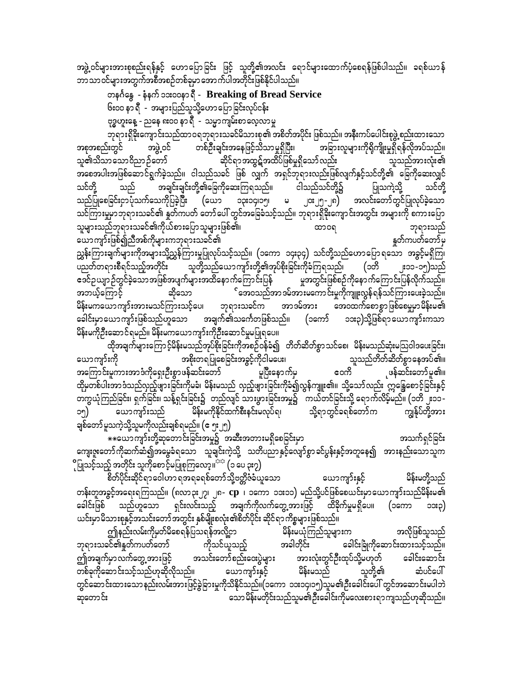အဖွဲ့ ဝင်များအားစုစည်းရန်နှင့် ဟောပြောခြင်း ဖြင့် သူတို့၏အလင်း ရောင်များထောက်ပံ့စေရန်ဖြစ်ပါသည်။ ခရစ်ယာန် ဘာသာဝင်များအတွက်အစီအစဉ်တစ်ခုမှာအောက်ပါအတိုင်းဖြစ်နိုင်ပါသည်။

တနင်္ဂနွေ - နံနက် ၁၁း၀၀နာ ရီ - Breaking of Bread Service ၆း၀၀ နာ ရီ - အများပြည်သူသို့ဟော ပြော ခြင်းလုပ်ငန်း

ဗုဒ္ဓဟူးနေ့ - ညနေ ၈း၀၀ နာ ရီ - သမ္မာကျမ်းစာလေ့လာမှု

ဘုရားရှိခိုးကျောင်းသည်ထာဝရဘုရားသခင်မိသားစု၏ အစိတ်အပိုင်း ဖြစ်သည်။ အနီးကပ်ပေါင်းစုဖွဲ့ စည်းထားသော အဖွဲ့ဝင် တစ်ဦးချင်းအနေဖြင့်သိသာမှုရှိပြီး၊ .<br>အခြားလူများကိုရိုကျိုးမှုရှိရန်လိုအပ်သည်။ အစုအစည်းတွင် .<br>ဆိုင်ရာအထွဋ်အထိပ်ဖြစ်မှုရှိသော်လည်း သူ၏သိသာသောဝိညာဉ်တော် သူသည်အားလုံး၏ အစေအပါးအဖြစ်ဆောင်ရွက်ခဲ့သည်။ ငါသည်သခင် ဖြစ် လျှက် အရှင်ဘုရားလည်းဖြစ်လျက်နှင့်သင်တို့၏ ခြေကိုဆေးလျှင် အချင်းချင်းတို့၏ခြေကိုဆေးကြရသည်။ သင်တိ ငါသည်သင်တို့၌ ပြုသကဲ့သို့ သည် သင်တို့ သည်ပြုစေခြင်းငှာပုံသက်သေကိုပြခဲ့ပြီး ၁၃း၁၄၊၁၅၊ မ ၂၀း၂၅-၂၈) အလင်းတော်တွင်ပြုလုပ်ခဲ့သော (ယော သင်ကြားမှုမှာဘုရားသခင်၏ နှုတ်ကပတ် တော်ပေါ် တွင်အခြေခံသင့်သည်။ ဘုရားရှိခိုးကျောင်းအတွင်း အများကို စကားပြော သူများသည်ဘုရားသခင်၏ကိုယ်စားပြောသူများဖြစ်၏၊ ထာ၀ရ ဘုရားသည် ယောကျာ်းဖြစ်၍ညီအစ်ကိုများကဘုရားသခင်၏ နူတ်ကပတ်တော်မှ ညွှန်းကြားချက်များကိုအများသို့ညွှန်ကြားမှုပြုလုပ်သင့်သည်။ (၁ကော ၁၄း၃၄) သင်တို့သည်ဟောပြောရသော အခွင့်မရှိကြ၊ ပညတ်တရားစီရင်သည့်အတိုင်း သူတို့သည်ယောကျာ်းတို့၏အုပ်စိုးခြင်းကိုခံကြရသည်၊ (၁တိ ူး၁၁-၁၅)သည် ဧဒင်ဉယျာဉ်တွင်ခဲ့သောအဖြစ်အပျက်များအထိနောက်ကြောင်းပြန် မှုအတွင်းဖြစ်စဉ်ကိုနောက်ကြောင်းပြန်လိုက်သည်။ ်အေ၀သည်အာ ဒမ်အားမကောင်းမှုကိုကျူးလွန်ရန်သင်ကြားပေးခဲ့သည်။ အဘယ့်ကြောင့် ဆိုသော မိန်းမကယောကျာ်းအားမသင်ကြားသင့်ပေ၊ ဘုရားသခင်က အာဒမ်အား အေဝထက်စောစွာဖြစ်စေမှုမှာမိန်းမ၏ ခေါင်းမှာယောကျာ်းဖြစ်သည်ဟူသော အချက်၏သင်္ကေတဖြစ်သည်။ (၁ကော် ၁၁း၃)သို့ဖြစ်ရာ ယောကျာ်းကသာ မိန်းမကိုဦးဆောင်ရမည်။ မိန်းမကယောကျာ်းကိုဦးဆောင်မှုမပြုရပေ။

ထိုအချက်များကြောင့်မိန်းမသည်အုပ်စိုးခြင်းကိုအစဉ်ဝန်ခံ၍ တိတ်ဆိတ်စွာသင်စေ၊ မိန်းမသည်ဆုံးမသြဝါဒပေးခြင်း၊ အစိုးတရပြုစေခြင်းအခွင့်ကိုငါမပေး၊ သူသည်တိတ်ဆိတ်စွာ နေအပ်၏။ ယောကျာ်းကို ကော် ုဖန်ဆင်းတော်မူ၏။ အကြောင်းမူကားအာဒံကိုရှေးဦးစွာဖန်ဆင်းတော် မှုပြီးနောက်မှ ထိုမှတစ်ပါးအာဒံသည်လှည့်ဖျားခြင်းကိုမခံ၊ မိန်းမသည် လှည့်ဖျားခြင်းကိုခံ၍လွန်ကျူး၏။ သို့သော်လည်း ဣန္ဒြေစောင့်ခြင်းနှင့် တကွယုံကြည်ခြင်း၊ ရှက်ခြင်း၊ သန့်ရှင်းခြင်း၌ တည်လျင် သားဖွားခြင်းအမှု၌ ကယ်တင်ခြင်းသို့ ရောက်လိမ့်မည်။ (၁တိ ၂း၁၁-ကျွန်ုပ်တို့အား မိန်းမကိုနိုင်ထက်စီးနင်းမလုပ်ရ၊ သို့ရာတွင်ခရစ်တော်က ယောကျာ်းသည် ວໆ) ချစ်တော် မူသကဲ့သို့သူမကိုလည်းချစ်ရမည်။ (ဧ၅း၂၅)

.<br>\*\*ယောကျာ်းတို့ဆုတောင်းခြင်းအမှု၌ အဆီးအတားမရှိစေခြင်းမှာ အသက်ရှင်ခြင်း ကျေးဇူးတော်ကိုဆက်ဆံ၍အမွေခံရသော သူချင်းကဲ့သို့ သတိပညာနှင့်လျော်စွာခင်ပွန်းနှင့်အတူနေ၍ အားနည်းသောသူက ိုပြုသင့်သည့် အတိုင်း သူကိုစောင့်မပြုစုကြလော့။<sup>ာာ</sup> (၁ ပေ ၃း၇)

စိတ်ပိုင်းဆိုင်ရာ ဝေါဟာ ရအရခရစ်တော်သို့ဗတ္တိဇံခံယူသော မိန်းမတို့သည် ယောကျာ်းနှင့် တန်းတူအခွင့်အရေးရကြသည်။ (၈လာ၃း၂၇၊ ၂၈- **cp** ၊ ၁ကော ၁၁း၁၁) မည်သို့ပင်ဖြစ်စေယင်းမှာယောကျာ်းသည်မိန်းမ၏ ခေါင်းဖြစ် သည်ဟူသော ရှင်းလင်းသည့် အချက်ကိုလက်တွေ့အားဖြင့် ထိခိုက်မှုမရှိပေ။ (၁ကော ၁၁း၃) ယင်းမှာမိသားစုနှင့်အသင်းတော်အတွင်း နှစ်မျိုးစလုံး၏စိတ်ပိုင်း ဆိုင်ရာ ကိစ္စများဖြစ်သည်။

မိန်းမယုံကြည်သူများက ဤနည်းလမ်းကိုမှတ်မိစေရန်ပြသရန်အလို့ငှာ အလိုဖြစ်သူသည် ဘုရားသခင်၏နှုတ်ကပတ်တော် ကိုသင်ယူသည့် အခါတိုင်း ခေါင်းခြုံကိုဆောင်းထားသင့်သည်။ အားလုံးတွင်ဦးထုပ်သို့မဟုတ် ဤအချက်မှာလက်တွေ့အားဖြင့် အသင်းတော်စည်းဝေးပွဲများ ခေါင်းဆောင်း တစ်ခုကိုဆောင်းသင့်သည်ဟုဆိုလိုသည်။ ယောကျာ်းနှင့် မိန်းမသည် သူတို့၏ ဆံပင်ပေါ် တွင်ဆောင်းထားသော နည်းလမ်းအားဖြင့်ခွဲခြားမှုကိုသိနိုင်သည်။(၁ကော ၁၁း၁၄၊၁၅)သူမ၏ဦးခေါင်းပေါ် တွင်အဆောင်းမပါဘဲ သောမိန်းမတိုင်းသည်သူမ၏ဦးခေါင်းကိုမလေးစားရာကျသည်ဟုဆိုသည်။ ဆုတောင်း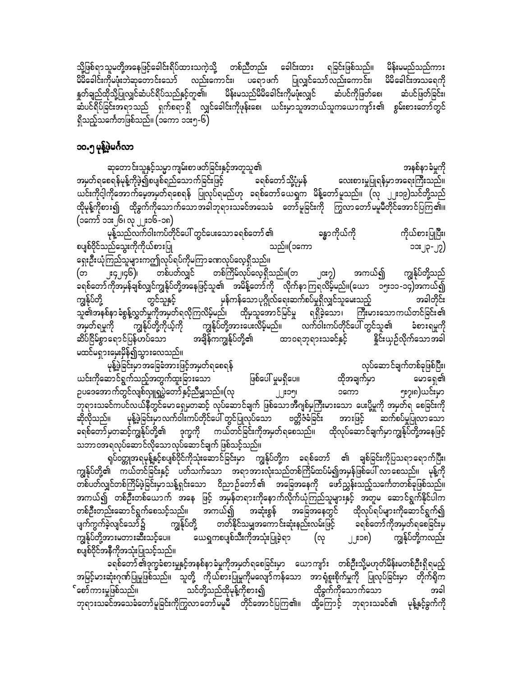သို့ဖြစ်ရာသူမတို့အနေဖြင့်ခေါင်းရိပ်ထားသကဲ့သို့ တစ်ညီတည်း ခေါင်းထား ရခြင်းဖြစ်သည်။ မိန်းမမည်သည်ကား မိမိခေါင်းကိုမဖုံးဘဲဆုတောင်းသော် လည်းကောင်း၊ ပရောဖက် ပြုလျှင်သော်လည်းကောင်း၊ မိမိခေါင်းအသရေကို<br>နှတ်ချည်ထိုသို့ပြုလျှင်ဆံပင်ရိပ်သည်နှင့်တူ၏၊ မိန်းမသည်မိမိခေါင်းကိုမဖုံးလျှင် ဆံပင်ကိုဖြတ်စေ၊ ဆံပင်ဖြတ်ခြင်း၊ မိန်းမသည်မိမိခေါင်းကိုမဖိုးလျှင် ဆီပင်ကိုဖြတ်စေ၊ ဆံပင်ဖြတ်ခြင်း၊ ဆံပင်ရိပ်ခြင်းအရာသည် ရှက်စရာရှိ လျှင်ခေါင်းကိုဖုန်းစေ၊ ယင်းမှာသူအဘယ်သူကယောကျာ်း၏ စွမ်းစားတော်တွင် ရှိသည့်သင်္ကေတဖြစ်သည်။ (၁ကော ၁၁း၅-၆)

#### ၁၀.၅ မုန့်ဖွဲမင်္ဂလာ

ဆုတောင်းသူနှင့်သမ္မာကျမ်းစာ ဖတ်ခြင်းနှင့်အတူသူ၏<br>စရန်မုန့်ကိုဖဲ့၍စပျစ်ရည်သောက်ခြင်းဖြင့် နေစ်တော်သို့ပုံမှန် ထေးစားမှုပြုရန်မှာ အရေးကြီးသည်။ အမှတ်ရစေရန်မုန့်ကိုဖွဲ၍စပျစ်ရည်သောက်ခြင်းဖြင့် $\begin{bmatrix} \vdots \end{bmatrix}$  ခရစ်တော်သို့ပုံမှန် ယင်းကိုငါ့ကိုအောက်မေ့အမှတ်ရစေရန် ပြုလုပ်ရမည်ဟု ခရစ်တော်ယေရှုက မိန့်တော်မူသည်။ (လု ၂၂း၁၉)သင်တို့သည် ထိုမုန့်ကိုစား၍ ထိုခွက်ကိုသောက်သောအခါဘုရားသခင်အသေခံ တော်မူခြင်းကို ကြွလာတော်မမူမီတိုင်အောင်ပြကြ၏။ (၁ကော် ၁၁း၂၆၊ လု ၂၂း၁၆-၁၈)

မုန့်သည်လက်ဝါးကပ်တိုင်ပေါ် တွင်ပေးသော ရစ်တော် ၏ န္ဓာ ကိုယ်ကို ကိုယ်စားပြုပြီး၊ စပျစ်ဝိုင်သည်သွေးကိုကိုယ်စားပြု ကြက်လာသည်။ သည်။(၁ကော ကြက်လာသည်) သေး၂၃-၂၇) နှေးဦးယုံကြည်သူများကဤလုပ်ရပ်ကိုမကြာခဏလုပ်လေ့ရှိသည်။ က 2; 2008)<br>(အ ၂း၄၂၊၄၆)၊ တစ်ပတ်လျှင် တစ်ကြိမ်လုပ်လေ့ရှိသည်။(တ ၂၁း၇) အကယ်၍ ကျွန်ုပ်တို့သည် c&pfawmfudktrSefcspfvQifuREkfyfwdkYtaejzifhol\ trdefYawmfudk vdkufemMu&vdrfhrnf/(a,m 15;11-14)tu,fí ကျွန်ုပ်တို့ တွင်သူနှင့် မှန်ကန်သောပုဂ္ဂိုလ်ရေးဆက်စပ်မှုရှိလျှင်သူမေးသည့် အခါတိုင်း ာက်<br>သူ၏အနစ်နာခံစွန့်လွှတ်မှုကိုအမှတ်ရလိုကြလိမ့်မည်၊ ထိုမှသူအောင်မြင်မှု ရရှိခဲ့သော၊ ကြီးမားသောကယ်တင်ခြင်း၏<br>အမှတ်ရမှုကို ကျွန်ုပ်တို့ကိုယ့်ကို ကျွန်ုပ်တို့အားပေးလိမ့်မည်။ လက်ဝါးကပ်တိုင်ပေါ် တွင်သူ၏ ခံစားရမှုကို အမှတ်ရမှုကို ကျွန်ုပ်တို့ကိုယ့်ကို ကျွန်ုပ်တို့အားပေးလိမ့်မည်။ လက်ဝါးကပ်တိုင်ပေါ်ကြွင်သူ၏ ခံစားရမှုကို<br>ဆိပ်ငြိမ်စွာရောင်ပြန်ဟပ်သော အချိန်ကကျွန်ုပ်တို့၏ ထာဝရဘုရားသခင်နှင့် နိုင်းယှဉ်လိုက်သောအခါ အချိန်ကကျွန်ုပ်တို့၏ ထာဝရဘုရားသခင်နှင့် နိုင်းယှဉ်လိုက်သောအခါ မထင်မရှားမှေးမှိန်၍သွားလေသည်။

မုန့်ဖဲ့ခြင်းမှာအခြေခံအားဖြင့်အမှတ်ရစေရန်<br>ထာင်ရွက်သည့်အတွက်ထူးခြားသော ဖြစ်ပေါ် မှုမရှိပေ။ ထိုအချက်မှာ မောခရု၏ ယင်းကိုဆောင်ရွက်သည့်အတွက်ထူးခြားသော ဖြစ်ပေါ် မှုမရှိပေ။ ထိုအချက်မှာ မောရှေ၏ Oya'atmufwGifvspfvSL½IyGJawmfESifhnDrQonf/(vk 22;15? 1aum 5;7?8),if;rSm ်<br>ဘုရားသခင်ကပင်လယ်နီတွင်မောရှေ့မတဆင့် လုပ်ဆောင်ချက် ဖြစ်သောအီဂျစ်မှကြီးမားသော ပေးပို့မှုကို အမှတ်ရ စေခြင်းကို ဆိုလိုသည်။ မုန့်ဖဲ့ခြင်းမှာလက်ဝါးကပ်တိုင်ပေါ် တွင်ပြုလုပ်သော ဗတ္တိဇံခံခြင်း အားဖြင့် ဆက်စပ်မှုပြုလာသော ခရစ်တော်မှတဆင့်ကျွန်ုပ်တို့၏ ဒုက္ခကို ကယ်တင်ခြင်းကိုအမှတ်ရစေသည်။ ထိုလုပ်ဆောင်ချက်မှာကျွန်ုပ်တို့အနေဖြင့် သဘာဝအရလုပ်ဆောင်လိုသောလုပ်ဆောင်ချက် ဖြစ်သင့်သည်။

ရုပ်ဝတ္တုအရမုန့်နှင့်စပျစ်ဝိုင်ကိုသုံးဆောင်ခြင်းမှာ ကျွန်ုပ်တို့က ခရစ်တော် ၏ ချစ်ခြင်းကိုပြသရာရောက်ပြီး၊ ကျွန်ုပ်တို့၏ ကယ်တင်ခြင်းနှင့် ပတ်သက်သော အရာအားလုံးသည်တစ်ကြိမ်ထပ်မံ၍အမှန်ဖြစ်ပေါ် လာစေသည်။ မုန့်ကို whichcy]င်တစ်ကြိမ်ဖဲ့ခြင်းမှာသန့်ရှင်းသော ဝိညာဉ်တော်၏ အခြေအနေကို ဖော်ညွှန်းသည့်သင်္ကေတတစ်ခုဖြစ်သည်။ အကယ်၍ တစ်ဦးတစ်ယောက် အနေ ဖြင့် အမှန်တရားကိုနောက်လိုက်ယုံကြည်သူများနှင့် အတူမ ဆောင်ရွက်နိုင်ပါက တစ်ဦးတည်းဆောင်ရွက်စေသင့်သည်။ အကယ်၍ အဆုံးစွန် အခြေအနေတွင် ထိုလုပ်ရပ်များကိုဆောင်ရွက်၍ ပျက်ကွက်ခဲ့လျင်သော်၌ ကျွန်ုပ်တို့ တတ်နိုင်သမျှအကောင်းဆုံးနည်းလမ်းဖြင့် ခရစ်တော်ကိုအမှတ်ရစေခြင်းမှ<br>ကျွန်ုပ်တို့အားမတားဆီးသင့်ပေ။ ယေရှကစပျစ်သီးကိုအသုံးပြုခဲ့ရာ (လု ၂ း၁၈) ကျွန်ုပ်တို့ကလည်း <sup>ီ</sup> ယေရှုကစပျစ်သီးကိုအသုံးပြုခဲ့ရာ (လု ၂၂း၁၈) စပျစ်ဝိုင်အနီကိုအသုံးပြုသင့်သည်။

ခရစ်တော် ၏ဒုက္ခခံစားမှုနှင့်အနစ်နာခံမှုကိုအမှတ်ရစေခြင်းမှာ ယောကျာ်း တစ်ဦးသို့မဟုတ်မိန်းမတစ်ဦးရှိရမည့် အမြင့်မားဆုံးဂုဏ်ပြုမှုဖြစ်သည်။ သူတို့ ကိုယ်စားပြုမှုကိုမလျော်ကန်သော အာရုံစူးစိုက်မှုကို ပြုလုပ်ခြင်းမှာ တိုက်ရိုက<br>စော်ကားမှုဖြစ်သည်။ သင်တို့သည်ထိုမုန့်ကိုစား၍ ထိုခွက်ကိုသောက်သော ကိသော fapmfum;rIjzpfonf/ oifwdkYonfxdkrkefYudkpm;í xdkcGufudkaomufaom tcg ဘုရားသခင်အသေခံတော်မူခြင်းကိုကြွလာတော်မမူမီ တိုင်အောင်ပြကြ၏။ ထို့ကြောင့် ဘုရားသခင်၏ မုန့်နှင့်ခွက်ကို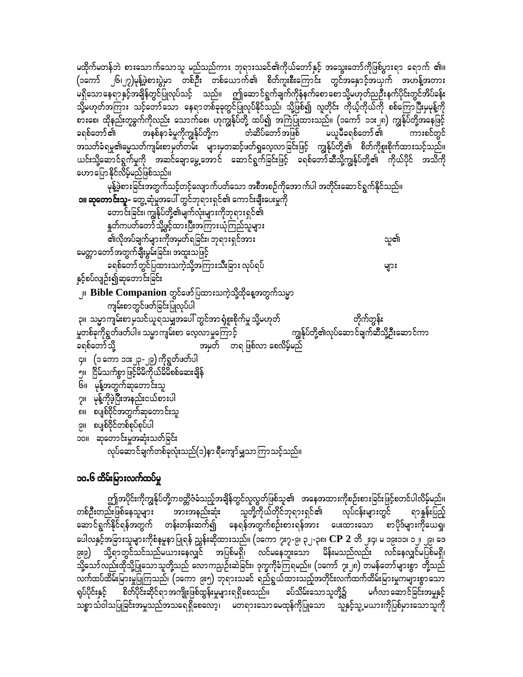မထိုက်မတန်ဘဲ စားသောက်သောသူ မည်သည်ကား ဘုရားသခင်၏ကိုယ်တော်နှင့် အသွေးတော်ကိုဖြစ်ပွားရာ ရောက် ၏။ (၁ကော် ၂၆၊၂၇)မုန့်ဖွဲ့စားပွဲမှာ တစ်ဦး တစ်ယောက်၏ စိတ်ကူးစီးကြောင်း တွင်အနှောင့်အယှက် အဟန့်အတား မရှိသောနေရာနှင့်အချိန်တွင်ပြုလုပ်သင့် သည်။ ဤဆောင်ရွက်ချက်ကိုနီနက်စောစောသို့မဟုတ်ညဦးနက်ပိုင်းတွင်အိပ်ခန်း သို့မဟုတ်အကြား သင့်တော်သော နေရာတစ်ခုခုတွင်ပြုလုပ်နိုင်သည်၊ သို့ဖြစ်၍ လူတိုင်း ကိုယ့်ကိုယ်ကို စစ်ကြောပြီးမှမုန့်ကို စားစေ၊ ထိုနည်းတူခွက်ကိုလည်း သောက်စေ၊ ဟုကျွန်ုပ်တို့ ထပ်၍ အကြံပြုထားသည်။ (၁ကော် ၁၁း၂၈) ကျွန်ုပ်တို့အနေဖြင့် အနစ်နာခံမှုကိုကျွန်ုပ်တို့က တံဆိပ်တော် အဖြစ် မယူမီခရစ်တော် ၏ ကားစင်တွင် ခရစ်တော် ၏ အသတ်ခံရမှု၏ဓမ္မသတ်ကျမ်းစာမှတ်တမ်း များမှတဆင့်ဖတ်ရှုလေ့လာခြင်းဖြင့် ကျွန်ုပ်တို့၏ စိတ်ကိုစူးစိုက်ထားသင့်သည်။ ယင်းသို့ဆောင်ရွက်မှုကို အဆင်ချောမွေ့အောင် ဆောင်ရွက်ခြင်းဖြင့် ခရစ်တော်ဆီသို့ကျွန်ုပ်တို့၏ ကိုယ်ပိုင် အသိကို ဟောပြောနိုင်လိမ့်မည်ဖြစ်သည်။

မုန့်ဖဲ့စားခြင်းအတွက်သင့်တင့်လျောက်ပတ်သော အစီအစဉ်ကိုအောက်ပါ အတိုင်းဆောင်ရွက်နိုင်သည်။ **၁။ ဆုတောင်းသူ-** တွေ့ဆုံမှုအပေါ် တွင်ဘုရားရှင်၏ ကောင်းချီးပေးမှုကို တောင်းခြင်း၊ ကျွန်ုပ်တို့၏မျက်လုံးများကိုဘုရားရှင်၏ နူတ်ကပတ်တော် သို့ဖွင့်ထားပြီးအကြားယုံကြည်သူများ -<br>၏လိုအပ်ချက်များကိုအမှတ်ရခြင်း၊ ဘုရားရှင်အား သူ၏ မေတ္တာတော်အတွက်<mark>ချီး</mark>မွမ်းခြင်း၊ အထူးသဖြင့် ခရစ်တော်တွင်ပြထားသကဲ့သို့အကြားသီးခြား လုပ်ရပ် များ နှင့်စပ်လျဉ်း၍ဆုတောင်းခြင်း ၂။  $\, {\bf Bible} \, {\bf Comparison} \,$ တွင်ဖော်ပြထားသကဲ့သို့ထိုနေ့အတွက်သမ္မာ ကျမ်းစာတွင်ဖတ်ခြင်းပြုလုပ်ပါ ၃။ သမ္မာကျမ်းစာမှသင်ယူရသမျှအပေါ် တွင်အာရုံစူးစိုက်မှု သို့မဟုတ် တိုက်တွန်း<br>ကျွန်ုပ်တို့၏လုပ်ဆောင်ချက်ဆီသို့ဦးဆောင်ကာ မှုတစ်ခုကိုရွတ်ဖတ်ပါ။ သမ္မာကျမ်းစာ လေ့လာမှုကြောင့်

အမှတ် တရ ဖြစ်လာ စေလိမ့်မည် ခရစ်တော်သို့ ၄။ (၁ ကော ၁၁း၂၃ -၂၉) ကိုရွတ်ဖတ်ပါ ၅။ ငြိမ်သက်စွာဖြင့်မိမိကိုယ်မိမိစစ်ဆေးချိန် ၆။ မုန့်အတွက်ဆုတောင်းသူ

၇။ မုန့်ကိုဖဲ့ပြီးအနည်းငယ်စားပါ

၈။ စပျစ်ဝိုင်အတွက်ဆုတောင်းသူ

၉။ စပျစ်ဝိုင်တစ်စုပ်စုပ်ပါ

၁၀။ ဆုတောင်းမှုအဆုံးသတ်ခြင်း

လုပ်ဆောင်ချက်တစ်ခုလုံးသည်(၁)နာ ရီကျော်မျှသာကြာသင့်သည်။

# ၁၀.၆ ထိမ်းမြားလက်ထပ်မှု

ဤအပိုင်းကိုကျွန်ုပ်တို့ကဗတ္တိဇံခံသည့်အချိန်တွင်လူလွတ်ဖြစ်သူ၏ အနေအထားကိုစဉ်းစားခြင်းဖြင့်စတင်ပါလိမ့်မည်။ တစ်ဦးတည်းဖြစ်နေသူများ အားအနည်းဆုံး သူတို့ကိုယ်တိုင်ဘုရားရှင်၏ လုပ်ငန်းများတွင် ရာနှန်းပြည့် ဆောင်ရွက်နိုင်ရန်အတွက် တန်းတန်းဆက်၍ နေရန်အတွက်စဉ်းစားရန်အား ပေးထားသော စာပိုဒ်များကိုယေရှု၊ ပေါလနှင့်အခြားသူများကိုစံနမူနာပြုရန် ညွှန်းဆိုထားသည်။ (၁ကော ၇း၇-၉၊ ၃၂-၃၈၊  $\bf CP~2$  တိ ၂း၄၊ မ ၁၉း၁၁၊ ၁၂၊ ၂၉၊ ဒေ သို့ရာတွင်သင်သည်မယားနေလျှင် အပြစ်မရှိ၊ လင်မနေဘူးသော မိန်းမသည်လည်း လင်နေလျှင်မပြစ်မရှိ၊ (ئائتا သို့သော်လည်းထိုသို့ပြုသောသူတို့သည် လောကညဉ်းဆဲခြင်း၊ ဒုက္ခကိုခံကြရမည်။ (၁ကော် ၇း၂၈) တမန်တော်များစွာ တို့သည် လက်ထပ်ထိမ်းမြားမှုပြုကြသည်၊ (၁ကော ၉း၅) ဘုရားသခင် ရည်ရွယ်ထားသည့်အတိုင်းလက်ထက်ထိမ်းမြားမှုကများစွာသော ရုပ်ပိုင်းနှင့် စိတ်ပိုင်းဆိုင်ရာအကျိုးဖြစ်ထွန်းမှုများရရှိစေသည်။ ခပ်သိမ်းသောသူတို့၌ မင်္ဂလာဆောင်ခြင်းအမှုနှင့် သစ္စာသံဝါသပြုခြင်းအမှုသည်အသရေရှိစေလော့၊ မတရားသောမေထုန်ကိုပြုသော သူနှင့်သူ့မယားကိုပြစ်မှားသောသူကို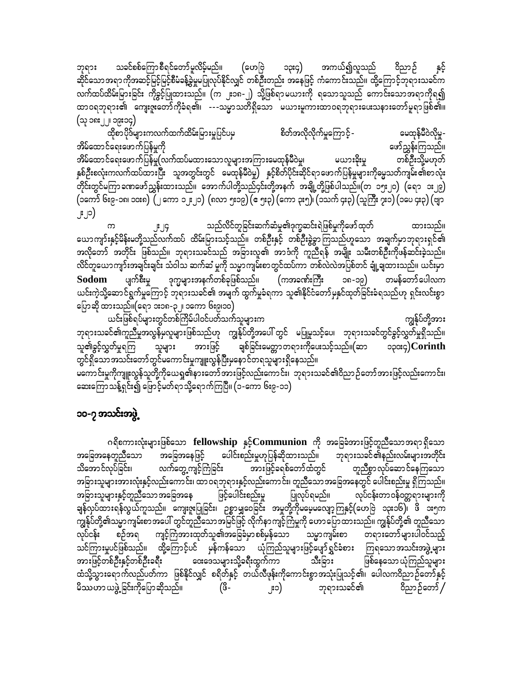၁၃း၄) သခင်စစ်ကြောစီရင်တော်မူလိမ့်မည်။ အကယ်၍လူသည် ဘုရား (ဟေဗြဲ ဝိညာဉ် ဆိုင်သောအရာကိုအဆင့်မြင့်မြင့်စီမံခန့်ခွဲမှုမပြုလုပ်နိုင်လျှင် တစ်ဦးတည်း အနေဖြင့် ကံကောင်းသည်။ ထို့ကြောင့်ဘုရားသခင်က လက်ထပ်ထိမ်းမြားခြင်း ကိုခွင့်ပြုထားသည်။ (က ၂း၁၈-၂) သို့ဖြစ်ရာမယားကို ရသောသူသည် ကောင်းသောအရာကိုရ၍ ထာဝရဘုရား၏ ကျေးဇူးတော်ကိုခံရ၏၊ ---သမ္မာသတိရှိသော မယားမူကားထာဝရဘုရားပေးသနားတော်မူရာဖြစ်၏။ (သု ၁၈း၂၂၊ ၁၉း၁၄)

.<br>ထိုစာပိုဒ်များကလက်ထက်ထိမ်းမြားမှုပြင်ပမှ စိတ်အလိုလိုက်မှုကြောင့် -မေထုန်မီဝဲလိုမှု-အိမ်ထောင်ရေးဖောက်ပြန်မှုကို ဖော်ညွှန်းကြသည်။ တစ်ဦးသို့မဟုတ် မယားဒိုးမှု အိမ်ထောင်ရေးဖောက်ပြန်မှု(လက်ထပ်မထားသောလူများအကြားမေထုန်မီဝဲမှု၊ နှစ်ဦးစလုံးကလက်ထပ်ထားပြီး သူအတွင်းတွင် မေထုန်မီဝဲမှု) နှင့်စိတ်ပိုင်းဆိုင်ရာဖောက်ပြန်မှုများကိုမွေသတ်ကျမ်း၏စာလုံး -<br>တိုင်းတွင်မကြာ ခဏဖော်ညွှန်းထားသည်။ အောက်ပါတို့သည်၄င်းတို့အနက် အချို့တို့ဖြစ်ပါသည်။(တ ၁၅း၂၀) (ရော ၁း၂၉) (၁ကော် ၆း၉-၁၈၊ ၁၀း၈) (၂ ကော ၁၂း၂၁) (၈လာ ၅း၁၉) (ေ၅း၃) (ကော ၃း၅)၊ (၁သက် ၄း၃) (သူကြီး ၇း၁) (၁ပေ ၄း၃) (ဗျာ ၂း၂၁)

သည်လိင်တူခြင်းဆက်ဆံမှု၏ဒုက္ခဆင်းရဲဖြစ်မှုကိုဖော် ထုတ် ထားသည်။  $\infty$ ယောကျာ်းနှင့်မိန်းမတို့သည်လက်ထပ် ထိမ်းမြားသင့်သည်။ တစ်ဦးနှင့် တစ်ဦးခွဲခွာကြသည်ဟူသော အချက်မှာဘုရားရှင်၏ အလိုတော် အတိုင်း ဖြစ်သည်။ ဘုရားသခင်သည် အခြားလူ၏ အာဒံကို ကူညီရန် အမျိုး သမီးတစ်ဦးကိုဖန်ဆင်းခဲ့သည်။ လိင်တူယောကျာ်းအချင်းချင်း သံဝါသ ဆက်ဆံ မှုကို သမ္မာကျမ်းစာတွင်ထပ်ကာ တစ်လဲလဲအပြစ်တင် ချုံ့ချထားသည်။ ယင်းမှာ ပျက်စီးမှု ဒုက္ခများအနက်တစ်ခုဖြစ်သည်။ (ကအခဏ်းကြီး Sodom ၁၈-၁၉) တမန်တော်ပေါလက ယင်းကဲ့သို့ဆောင်ရွက်မှုကြောင့် ဘုရားသခင်၏ အမျက် ထွက်မှုခံရကာ သူ၏နိုင်ငံတော်မှနှင်ထုတ်ခြင်းခံရသည်ဟု ရှင်းလင်းစွာ ပြောဆို ထားသည်။(ရော ၁း၁၈-၃၂၊ ၁ကော ၆း၉၊၁၀)

ယင်းဖြစ်ရပ်များတွင်တစ်ကြိမ်ပါဝင်ပတ်သက်သူများက ကျွန်ုပ်တို့အား ဘုရားသခင်၏ကူညီမှုအလွန်မှလူများဖြစ်သည်ဟု ကျွန်ုပ်တို့အပေါ် တွင် မပြုမူသင့်ပေ၊ ဘုရားသခင်တွင်ခွင့်လွှတ်မှုရှိသည်။ ချစ်ခြင်းမေတ္တာတရားကိုပေးသင့်သည်။(ဆာ သူ၏ခွင့်လွှတ်မှုရကြ အားဖြင့် သူများ  $\infty$   $Corinth$ တွင်ရှိသောအသင်းတော်တွင်မကောင်းမှုကျူးလွန်ပြီးမှနောင်တရသူများရှိနေသည်။

မကောင်းမှုကိုကျူးလွန်သူတို့ကိုယေရှု၏နားတော်အားဖြင့်လည်းကောင်း၊ ဘုရားသခင်၏ဝိညာဉ်တော်အားဖြင့်လည်းကောင်း၊ ဆေးကြောသန့်ရှင်း၍ ဖြောင့်မတ်ရာသို့ရောက်ကြပြီ။ (၁-ကော ၆း၉-၁၁)

## ၁၀-၇ အသင်းအဖွဲ့

ဂရိစကားလုံးများဖြစ်သော fellowship နှင့်Communion ကို အခြေခံအားဖြင့်တူညီသောအရာရှိသော ပေါင်းစည်းမှုဟုပြန်ဆိုထားသည်။ အခြေအနေတူညီသော အခြေအနေဖြင့် ဘုရားသခင်၏နည်းလမ်းများအတိုင်း - --<br>အားဖြင့်ခရစ်တော်ထံတွင် လက်တွေ့ကျင့်ကြံခြင်း သိအောင်လုပ်ခြင်း၊ တူညီစွာ လုပ်ဆော င်နေကြသော အခြားသူများအားလုံးနှင့်လည်းကောင်း၊ ထာဝရဘုရားနှင့်လည်းကောင်း၊ တူညီသောအခြေအနေတွင် ပေါင်းစည်းမှု ရှိကြသည်။ ဖြင့်ပေါင်းစည်းမှု အခြားသူများနှင့်တူညီသော အခြေအနေ ပြုလုပ်ရမည်။ လုပ်ငန်းတာဝန်ဝတ္တရားများကို ချန်လုပ်ထားရန်လွယ်ကူသည်။ ကျေးဇူးပြုခြင်း၊ ဉစ္စာမျှဝေခြင်း အမှုတို့ကိုမမေ့မလျော့ကြနှင့်(ဟေဗြဲ ၁၃း၁၆)၊ ဖိ ၁း၅က ကျွန်ုပ်တို့၏သမ္မာကျမ်းစာအပေါ် တွင်တူညီသောအမြင်ဖြင့် လိုက်နာကျင့်ကြံမှုကို ဟောပြောထားသည်။ ကျွန်ုပ်တို့၏ တူညီသော စဉ်အရ ကျင့်ကြံအားထုတ်သူ၏အခြေခံမှာစစ်မှန်သော သမ္မာကျမ်းစာ တရားတော်များပါဝင်သည့် လုပ်ငန်း သင်ကြားမှုပင်ဖြစ်သည်။ ထို့ကြောင့်ပင် မှန်ကန်သော ယုံကြည်သူများဖြင့်ပျော်ရွှင်ခံစား ကြရသောအသင်းအဖွဲ့များ အားဖြင့်တစ်ဦးနှင့်တစ်ဦးခရီး သီးခြား ဝေးဒေသများသို့ခရီးထွက်ကာ ဖြစ်နေသော ယုံကြည်သူများ ထံသို့သွားရောက်လည်ပတ်ကာ ဖြစ်နိုင်လျှင် စရိတ်နှင့် တယ်လီဖုန်းကိုကောင်းစွာအသုံးပြုသင့်၏၊ ပေါလကဝိညာဉ်တော်နှင့် မိဿဟာ ယဖွဲ့ ခြင်းကိုပြောဆိုသည်။ (ဖိ-ဘုရားသခင်၏ ဝိညာဉ်တော် / ၂း၁)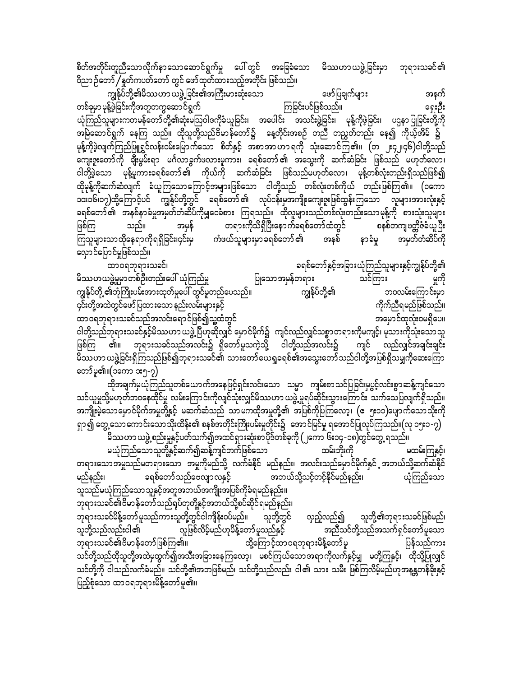စိတ်အတိုင်းတူညီသောလိုက်နာသောဆောင်ရွက်မှု ပေါ်တွင် အခြေခံသော မိဿဟာယဖွဲ့ခြင်းမှာ ဘုရားသခင်၏ ဝိညာ ဉ်တော် / နူတ်ကပတ်တော် တွင် ဖော်ထုတ်ထားသည့်အတိုင်း ဖြစ်သည်။

ကျွန်ုပ်တို့၏မိဿဟာ ယဖွဲ့ ခြင်း၏အကြီးမားဆုံးသော ဖော်ပြချက်များ အနက် တစ်ခုမှာ မုန့်ဖွဲခြင်းကိုအတူတကွဆော<sup>င်</sup>ရွက် ကြခြင်းပင်ဖြစ်သည်။ ရေးဦး ယုံကြည်သူများကတမန်တော်တို့၏ဆုံးမသြဝါဒကိုခံယူခြင်း၊ အပေါင်း အသင်းဖွဲ့ခြင်း၊ မုန့်ကိုဖွဲခြင်း၊ ပဌနာပြုခြင်းတို့ကို အမြဲဆောင်ရွက် နေကြ သည်။ ထိုသူတို့သည်ဗိမာန်တော်၌ နေ့တိုင်းအစဉ် တညီ တညွတ်တည်း နေ၍ ကိုယ့်အိမ် ၌ မုန့်ကိုဖွဲ့လျက်ကြည်ဖြူရွင်လန်းဝမ်းမြောက်သော စိတ်နှင့် အစာအာဟာရကို သုံးဆောင်ကြ၏။ (တ ဧ၄၂၊၄၆)ငါတို့သည် ကျေးဇူးတော်ကို ချီးမွမ်းရာ မင်္ဂလာခွက်ဖလားမှုကား၊ ခရစ်တော်၏ အသွေးကို ဆက်ဆံခြင်း ဖြစ်သည် မဟုတ်လော၊ ငါတို့ဖွဲ့သော မုန့်မူကားခရစ်တော်၏ ကိုယ်ကို ဆက်ဆံခြင်း ဖြစ်သည်မဟုတ်လော၊ မုန့်တစ်လုံးတည်းရှိသည်ဖြစ်၍ ထိုမုန့်ကိုဆက်ဆံလျက် ခံယူကြသောကြောင့်အများဖြစ်သော ငါတို့သည် တစ်လုံးတစ်ကိုယ် တည်းဖြစ်ကြ၏။ (၁ကော ၁၀း၁၆၊၁၇)ထို့ကြောင့်ပင် ကျွန်ုပ်တို့တွင် ခရစ်တော်၏ လုပ်ငန်းမှအကျိုးကျေးဇူးဖြစ်ထွန်းကြသော လူများအားလုံးနှင့် ခရစ်တော်၏ အနစ်နာခံမှုအမှတ်တံဆိပ်ကိုမျှဝေခံစား ကြရသည်။ ထိုလူများသည်တစ်လုံးတည်းသောမုန့်ကို စားသုံးသူများ ဖြစ်ကြ တရားကိုသိရှိပြီးနောက်ခရစ်တော်ထံတွင် စနစ်တကျဗတ္တိဇံခံယူပြီး သည်။ အမှန် အနစ် နာခံမှု အမှတ်တံဆိပ်ကို လှောင်ပြောင်မှုဖြစ်သည်။

ခရစ်တော်နှင့်အခြားယုံကြည်သူများနှင့်ကျွန်ုပ်တို့၏ ထာ၀ရဘုရားသခင်၊ မှုကို မိဿဟယဖွဲ့မှုမှာတစ်ဦးတည်းပေါ် ယုံကြည်မှု ပြုသောအမှန်တရား သင်ကြား ကျွန်ုပ်တို့၏ ကျွန်ုပ်တို့ ၏ဘုံကြိုးပမ်းအားထုတ်မှုပေါ် တွင်မူတည်ပေသည်။ ဘဝလမ်းကြောင်းမှာ ၄င်းတို့အထဲတွင်ဖော်ပြထားသော နည်းလမ်းများနှင့် ကိုက်ညီရမည်ဖြစ်သည်။ ထာဝရဘုရားသခင်သည်အလင်းရောင်ဖြစ်၍သူ့ထံတွင် အမှောင်ထုလုံးဝမရှိပေ။ ငါတို့သည်ဘုရားသခင်နှင့်မိဿဟာ ယဖွဲ့ပြီဟုဆိုလျှင် မှောင်မိုက်၌ ကျင်လည်လျှင်သစ္စာတရားကိုမကျင့်၊ မုသားကိုသုံးသောသူ ဖြစ်ကြ ၏။ ဘုရားသခင်သည်အလင်း၌ ရှိတော်မူသကဲ့သို့ ငါတို့သည်အလင်း၌ ကျင် လည်လျှင်အချင်းချင်း မိဿဟာ ယဖွဲ့ခြင်းရှိကြသည်ဖြစ်၍ဘုရားသခင်၏ သားတော်ယေရှုခရစ်၏အသွေးတော်သည်ငါတို့အပြစ်ရှိသမျှကိုဆေးကြော တော်မူ၏။(၁ကော ၁း၅-၇)

ထိုအချက်မှယုံကြည်သူတစ်ယောက်အနေဖြင့်ရှင်းလင်းသော သမ္မာ ကျမ်းစာသင်ပြခြင်းမှပွင့်လင်းစွာဆန့်ကျင်သော သင်ယူမှုသို့မဟုတ်ဘဝနေထိုင်မှု လမ်းကြောင်းကိုလျှင်သုံးလျှင်မိဿဟာ ယဖွဲ့ မူရပ်ဆိုင်းသွားကြောင်း သက်သေပြလျက်ရှိသည်။ ရှာ၍ တွေ့သောကောင်းသောသိုးထိန်း၏ စနစ်အတိုင်းကြိုးပမ်းမှုတိုင်း၌ အောင်မြင်မှု ရအောင်ပြုလုပ်ကြသည်။(လု ၁၅း၁-၇) မိဿဟာ ယဖွဲ့ စည်းမှုနှင့်ပတ်သက်၍အထင်ရှားဆုံးစာပိုဒ်တစ်ခုကို (၂ကော ၆း၁၄-၁၈)တွင်တွေ့ ရသည်။

ထမ်းဘိုးကို မထမ်းကြနှင့်၊ မယုံကြည်သောသူတို့နှင့်ဆက်၍ဆန့်ကျင်ဘက်ဖြစ်သော တရားသောအမူသည်မတရားသော အမှုကိုမည်သို့ လက်ခံနိုင် မည်နည်း၊ အလင်းသည်မှောင်မိုက်နှင် အဘယ်သို့ဆက်ဆံနိုင် ခရစ်တော်သည်ဗေလျှာလနှင့် အဘယ်သို့သင့်တင့်နိုင်မည်နည်း၊ ယုံကြည်သော မည်နည်း၊ သူသည်မယုံကြည်သောသူနှင့်အတူအဘယ်အကျိုးအပြစ်ကိုခံရမည်နည်း။ -<br>ဘုရားသခင်၏ဗိမာန်တော်သည်ရပ်တုတို့နှင့်အဘယ်သို့စပ်ဆိုင်ရမည်နည်း၊

ဘုရားသခင်မိန့်တော် မူသည်ကားသူတို့တွင်ငါကျိန်းဝပ်မည်။ သူတို့တွင် လှည့်လည်၍ သူတို့၏ဘုရားသခင်ဖြစ်မည်၊ -<br>လူဖြစ်လိမ့်မည်ဟုမိန့်တော် မူသည်နှင့် သူတို့သည်လည်းငါ၏ အညီသင်တို့သည်အသက်ရှင်တော်မူသော ထို့ကြောင့်ထာဝရဘုရားမိန့်တော်မူ ဘုရားသခင်၏ဗိမာန်တော်ဖြစ်ကြ၏။ ပြန်သည်ကား သင်တို့သည်ထိုသူတို့အထဲမှထွက်၍အသီးအခြားနေကြလော့၊ မစင်ကြယ်သောအရာကိုလက်နှင့်မျှ မတို့ကြနှင့်၊ ထိုသို့ပြုလျှင် သင်တို့ကို ငါသည်လက်ခံမည်။ သင်တို့၏အဘဖြစ်မည်၊ သင်တို့သည်လည်း ငါ၏ သား သမီး ဖြစ်ကြလိမ့်မည်ဟုအနန္တတန်ခိုးနှင့် ပြည့်စုံသော ထာဝရဘုရားမိန့်တော်မူ၏။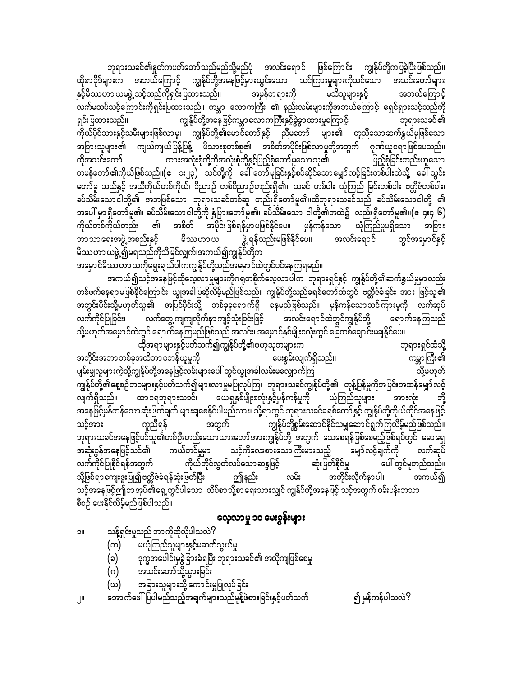ဘုရားသခင်၏နူတ်ကပတ်တော်သည်မည်သို့မည်ပုံ အလင်းရောင် ဖြစ်ကြောင်း ကျွန်ုပ်တို့ကပြခဲ့ပြီးဖြစ်သည်။ ထိုစာပိုဒ်များက အဘယ်ကြောင့် ကျွန်ုပ်တို့အနေဖြင့်မှားယွင်းသော သင်ကြားမှုများကိုသင်သော အသင်းတော်များ နှင့်မိဿဟာ ယမဖွဲ့ သင့်သည်ကိုရှင်းပြထားသည်။ အမှန်တရားကို မသိသူများနှင့် အဘယ်ကြောင့် ာ<br>လက်မထပ်သင့်ကြောင်းကိုရှင်းပြထားသည်။ ကမ္ဘာ လောကကြီး ၏ နည်းလမ်းများကိုအဘယ်ကြောင့် ရှေင်ရှားသင့်သည်ကို ကျွန်ုပ်တို့အနေဖြင့်ကမ္ဘာ လောကကြီးနှင့်ခွဲခွာထားမှုကြောင့် ရှင်းပြထားသည်။ ဘုရားသခင်၏ ကိုယ်ပိုင်သားနှင့်သမီးများဖြစ်လာမှု၊ ကျွန်ုပ်တို့၏မောင်တော်နှင့် ညီမတော် များ၏ တူညီသောဆက်နွယ်မှုဖြစ်သော အခြားသူများ၏ ကျယ်ကျယ်ပြန့်ပြန့် မိသားစုတစ်စု၏ အစိတ်အပိုင်းဖြစ်လာမှုတို့အတွက် ဂုဏ်ယူစရာဖြစ်ပေသည်။ ကားအလုံးစုံတို့ကိုအလုံးစုံတို့နှင့်ပြည့်စုံတော်မူသောသူ၏ ပြည့်စုံခြင်းတည်းဟူသော ထိုအသင်းတော် ္<br>တမန်တော် ၏ကိုယ်ဖြစ်သည်။(ေ ား၂၃) သင်တို့ကို ခေါ် တော်မူခြင်းနှင့်စပ်ဆိုင်သောမျှော်လင့်ခြင်းတစ်ပါးထဲသို့ ခေါ် သွင်း တော်မူ သည်နှင့် အညီကိုယ်တစ်ကိုယ်၊ ဝိညာဉ် တစ်ဝိညာဉ်တည်းရှိ၏။ သခင် တစ်ပါး ယုံကြည် ခြင်းတစ်ပါး ဗတ္တိဇံတစ်ပါး၊ <u>့</u><br>စပ်သိမ်းသောငါတို့၏ အဘဖြစ်သော ဘုရားသခင်တစ်ဆူ တည်းရှိတော်မူ၏။ထိုဘုရားသခင်သည် ခပ်သိမ်းသောငါတို့ ၏ အပေါ် မှာ ရှိတော်မူ၏၊ ခပ်သိမ်းသောငါတို့ကို နံ့ပြားတော်မူ၏၊ ခပ်သိမ်းသော ငါတို့၏အထဲ၌ လည်းရှိတော်မူ၏။(ဧ ၄း၄-၆) ကိုယ်တစ်ကိုယ်တည်း ၏ အစိတ် အပိုင်းဖြစ်ရန်မှာမဖြစ်နိုင်ပေ။ မှန်ကန်သော ယုံကြည်မှုမရှိသော အခြား မိဿဟာယ ဘာသာရေးအဖွဲ့ အစည်းနှင့် မိဿဟာ ယဖွဲ့၍မရသည်ကိုသိမြင်လျှက်၊အကယ်၍ကျွန်ုပ်တို့က အမှောင်မိဿဟာ ယကိုရွေးချယ်ပါကကျွန်ုပ်တို့သည်အမှောင်ထဲတွင်ပင်နေကြရမည်။

တစ်ဖက်နေရာမဖြစ်နိုင်ကြောင်း ယျွအခါပြဆိုလိမ့်မည်ဖြစ်သည်။ ကျွန်ုပ်တို့သည်ခရစ်တော်ထံတွင် ဗတ္တိဇံခ်ခြင်း အား ဖြင့်သူ၏ အတွင်းပိုင်းသို့မဟုတ်သူ၏ အပြင်ပိုင်းသို့ တစ်ခုခုရောက်ရှိ နေမည်ဖြစ်သည်။ မှန်ကန်သောသင်ကြားမှုကို လက်ဆုပ် လက်ကိုင်ပြုခြင်း၊ လက်တွေ့ကျကျလိုက်နာ ကျင့်သုံးခြင်းဖြင့် အလင်းရောင်ထဲတွင်ကျွန်ုပ်တို့ ရောက်နေကြသည် သို့မဟုတ်အမှောင်ထဲတွင် ရောက်နေကြမည်ဖြစ်သည် အလင်း၊ အမှောင်နှစ်မျိုးစလုံးတွင် ခြေတစ်ချောင်းမချနိုင်ပေ။

.<br>ထိုအရာများနှင့်ပတ်သက်၍ကျွန်ုပ်တို့၏ဗဟုသုတများက ဘုရားရှင်ထံသို့ အတိုင်းအတာတစ်ခုအထိတာ ၀တန်ယူမှုကို ပေးစွမ်းလျက်ရှိသည်။ ကမ္ဘာကြီး၏ ပျမ်းမျှလူများကဲ့သို့ကျွန်ုပ်တို့အနေဖြင့်လမ်းများပေါ် တွင်ယ္ခုအခါလမ်းမလျှောက်ကြ သို့မဟုတ် ကျွန်ုပ်တို့၏နေ့စဉ်ဘဝများနှင့်ပတ်သက်၍များလာမှုမပြုလုပ်ကြ၊ ဘုရားသခင်ကျွန်ုပ်တို့၏ တုန့်ပြန်မှုကိုအပြင်းအထန်မျှော်လင့် ္သြား သည္။ ၂၀၀၀ - ၁၉၀၀ - ၁၉၀၀၀ - ၁၉၀၀၀ - ၁၉၀၀၀၀ - ၁၉၀၀၀ - ၁၉၀၀၀၀ - ၁၉၀၀၀၀ - ၁၉၀၀၀၀ - ၁၉၀၀၀၀ - ၁၉၀၀၀၀ - ၁၉၀၀၀၀၀ တို့ အားလုံး အနေဖြင့်မှန်ကန်သောဆုံးဖြတ်ချက် များချစေနိုင်ပါမည်လား၊ သို့ရာတွင် ဘုရားသခင်ခရစ်တော် နှင့် ကျွန်ုပ်တို့ကိုယ်တိုင်အနေဖြင့် အတွက် .<br>ကျွန်ုပ်တို့စွမ်းဆောင်နိုင်သမျှဆောင်ရွက်ကြလိမ့်မည်ဖြစ်သည်။ သင့်အား ကူညီရန် ဘုရားသခင်အနေဖြင့်ပင်သူ၏တစ်ဦးတည်းသောသားတော်အားကျွန်ုပ်တို့ အတွက် သေစေရန်ဖြစ်စေမည့်ဖြစ်ရပ်တွင် မောရှေ ကယ်တင်မှုမှာ အဆုံးစွန်အနေဖြင့်သင်၏ သင့်ကိုလေးစားသောကြီးမားသည့် မျော်လင့်ချက်ကို လက်ဆုပ် ကိုယ်တိုင်လွတ်လပ်သောဆန္ဒဖြင့် ဆုံးဖြတ်နိုင်မှု ပေါ် တွင်မူတည်သည်။ လက်ကိုင်ပြုနိုင်ရန်အတွက် သို့ဖြစ်ရာကျေးဇူးပြု၍ဗတ္တိဇံခံရန်ဆုံးဖြတ်ပြီး ဤနည်း အတိုင်းလိုက်နာပါ။ လမ်း အကယ်၍ သင့်အနေဖြင့်ဤစာအုပ်၏ရှေ့တွင်ပါသော လိပ်စာသို့စာရေးသားလျှင် ကျွန်ုပ်တို့အနေဖြင့် သင့်အတွက် ဝမ်းပန်းတသာ စီစဉ် ပေးနိုင်လိမ့်မည်ဖြစ်ပါသည်။

## လေ့လာမှု ၁၀ မေးခွန်းများ

- သန့်ရှင်းမှုသည် ဘာကိုဆိုလိုပါသလဲ? **IIC** 
	- မယုံကြည်သူများနှင့်မဆက်သွယ်မှု (က)
	- ဒုက္ခအပေါင်းမှခွဲခြားခံရပြီး ဘုရားသခင်၏ အလိုကျဖြစ်စေမှု (ခ)
	- (ဂ) အသင်းတော်သို့သွားခြင်း
	- အခြားသူများသို့ ကောင်းမှုပြုလုပ်ခြင်း (ဃ)

အောက်ဖေါ်ပြပါမည်သည့်အချက်များသည်မှန့်ဖဲစားခြင်းနှင့်ပတ်သက်

၍ မှန်ကန်ပါသလဲ?

 $\mathbb{I}$